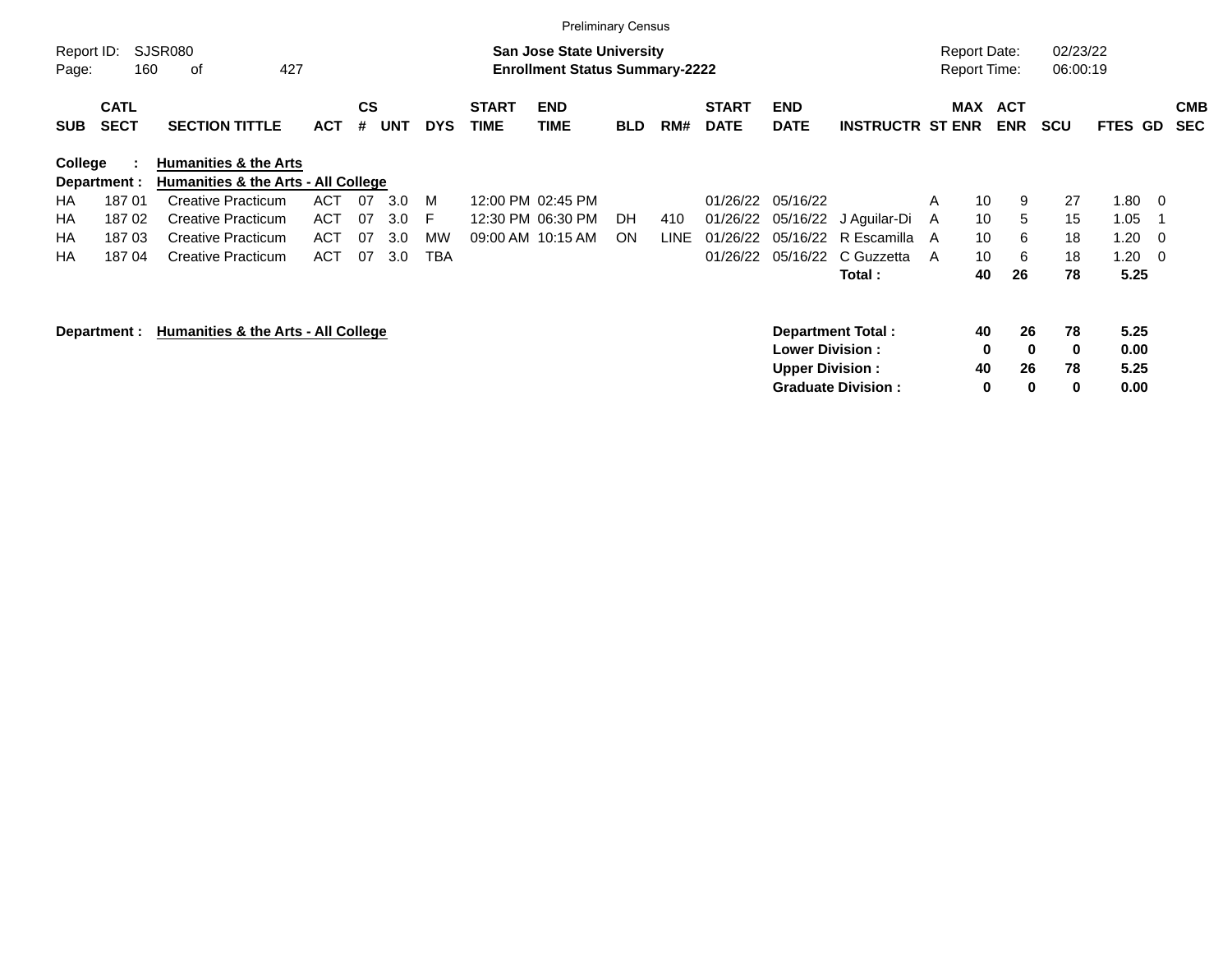|                     |                                                                                                                 |                                                                         |            |                |            |            |                             |                           | <b>Preliminary Census</b> |             |                             |                           |                           |   |                                            |                          |                      |              |                          |                          |
|---------------------|-----------------------------------------------------------------------------------------------------------------|-------------------------------------------------------------------------|------------|----------------|------------|------------|-----------------------------|---------------------------|---------------------------|-------------|-----------------------------|---------------------------|---------------------------|---|--------------------------------------------|--------------------------|----------------------|--------------|--------------------------|--------------------------|
| Report ID:<br>Page: | <b>SJSR080</b><br><b>San Jose State University</b><br>427<br><b>Enrollment Status Summary-2222</b><br>160<br>οf |                                                                         |            |                |            |            |                             |                           |                           |             |                             |                           |                           |   | <b>Report Date:</b><br><b>Report Time:</b> |                          | 02/23/22<br>06:00:19 |              |                          |                          |
| <b>SUB</b>          | <b>CATL</b><br><b>SECT</b>                                                                                      | <b>SECTION TITTLE</b>                                                   | <b>ACT</b> | <b>CS</b><br># | <b>UNT</b> | <b>DYS</b> | <b>START</b><br><b>TIME</b> | <b>END</b><br><b>TIME</b> | <b>BLD</b>                | RM#         | <b>START</b><br><b>DATE</b> | <b>END</b><br><b>DATE</b> | <b>INSTRUCTR ST ENR</b>   |   | MAX                                        | <b>ACT</b><br><b>ENR</b> | <b>SCU</b>           | FTES GD      |                          | <b>CMB</b><br><b>SEC</b> |
| <b>College</b>      | Department :                                                                                                    | <b>Humanities &amp; the Arts</b><br>Humanities & the Arts - All College |            |                |            |            |                             |                           |                           |             |                             |                           |                           |   |                                            |                          |                      |              |                          |                          |
| HA.                 | 18701                                                                                                           | <b>Creative Practicum</b>                                               | <b>ACT</b> | 07             | 3.0        | M          |                             | 12:00 PM 02:45 PM         |                           |             | 01/26/22                    | 05/16/22                  |                           | A | 10                                         | 9                        | 27                   | 1.80         | $\overline{\phantom{0}}$ |                          |
| HA                  | 18702                                                                                                           | <b>Creative Practicum</b>                                               | ACT        | 07             | 3.0        | E          |                             | 12:30 PM 06:30 PM         | DH                        | 410         | 01/26/22                    |                           | 05/16/22 J Aguilar-Di     | A | 10                                         | 5                        | 15                   | 1.05         |                          |                          |
| HA                  | 18703                                                                                                           | <b>Creative Practicum</b>                                               | <b>ACT</b> | 07             | 3.0        | MW         |                             | 09:00 AM 10:15 AM         | <b>ON</b>                 | <b>LINE</b> | 01/26/22                    | 05/16/22                  | R Escamilla A             |   | 10                                         | 6                        | 18                   | 1.20         | - 0                      |                          |
| HA                  | 18704                                                                                                           | <b>Creative Practicum</b>                                               | <b>ACT</b> | 07             | 3.0        | <b>TBA</b> |                             |                           |                           |             | 01/26/22                    | 05/16/22                  | C Guzzetta                | A | 10                                         | 6                        | 18                   | 1.20         | $\overline{\phantom{0}}$ |                          |
|                     |                                                                                                                 |                                                                         |            |                |            |            |                             |                           |                           |             |                             |                           | Total :                   |   | 40                                         | 26                       | 78                   | 5.25         |                          |                          |
|                     | Humanities & the Arts - All College<br><b>Department Total:</b><br>Department :<br><b>Lower Division :</b>      |                                                                         |            |                |            |            |                             |                           |                           |             |                             |                           |                           |   | 40<br>0                                    | 26<br>$\mathbf 0$        | 78<br>$\mathbf 0$    | 5.25<br>0.00 |                          |                          |
|                     | <b>Upper Division:</b>                                                                                          |                                                                         |            |                |            |            |                             |                           |                           |             |                             |                           |                           |   | 40                                         | 26                       | 78                   | 5.25         |                          |                          |
|                     |                                                                                                                 |                                                                         |            |                |            |            |                             |                           |                           |             |                             |                           | <b>Graduate Division:</b> |   | 0                                          | 0                        | $\bf{0}$             | 0.00         |                          |                          |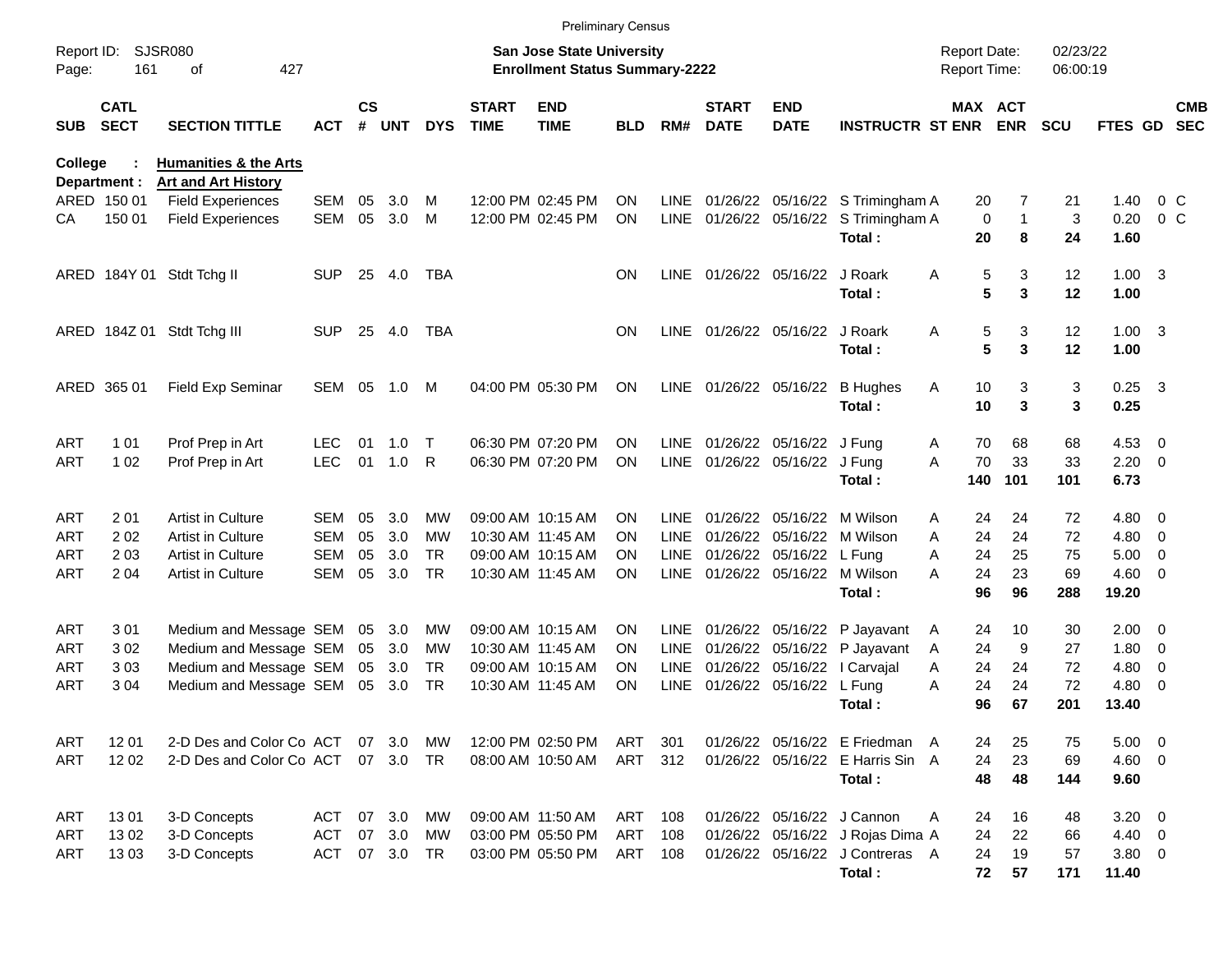|                     |                             |                                                                |            |                    |            |            |                             |                                                                           | <b>Preliminary Census</b> |             |                             |                                 |                                       |                                     |             |                      |                |                          |                          |
|---------------------|-----------------------------|----------------------------------------------------------------|------------|--------------------|------------|------------|-----------------------------|---------------------------------------------------------------------------|---------------------------|-------------|-----------------------------|---------------------------------|---------------------------------------|-------------------------------------|-------------|----------------------|----------------|--------------------------|--------------------------|
| Report ID:<br>Page: | 161                         | <b>SJSR080</b><br>οf<br>427                                    |            |                    |            |            |                             | <b>San Jose State University</b><br><b>Enrollment Status Summary-2222</b> |                           |             |                             |                                 |                                       | <b>Report Date:</b><br>Report Time: |             | 02/23/22<br>06:00:19 |                |                          |                          |
| <b>SUB</b>          | <b>CATL</b><br><b>SECT</b>  | <b>SECTION TITTLE</b>                                          | <b>ACT</b> | $\mathsf{cs}$<br># | <b>UNT</b> | <b>DYS</b> | <b>START</b><br><b>TIME</b> | <b>END</b><br><b>TIME</b>                                                 | <b>BLD</b>                | RM#         | <b>START</b><br><b>DATE</b> | <b>END</b><br><b>DATE</b>       | <b>INSTRUCTR ST ENR ENR</b>           |                                     | MAX ACT     | <b>SCU</b>           | <b>FTES GD</b> |                          | <b>CMB</b><br><b>SEC</b> |
| College             |                             | <b>Humanities &amp; the Arts</b><br><b>Art and Art History</b> |            |                    |            |            |                             |                                                                           |                           |             |                             |                                 |                                       |                                     |             |                      |                |                          |                          |
|                     | Department :<br>ARED 150 01 | <b>Field Experiences</b>                                       | SEM        | 05                 | 3.0        | M          |                             | 12:00 PM 02:45 PM                                                         | ON                        | LINE        |                             |                                 | 01/26/22 05/16/22 S Trimingham A      |                                     | 20          | 7<br>21              | 1.40           | $0\,C$                   |                          |
| CА                  | 150 01                      | <b>Field Experiences</b>                                       | <b>SEM</b> | 05                 | 3.0        | M          |                             | 12:00 PM 02:45 PM                                                         | <b>ON</b>                 |             |                             |                                 | LINE 01/26/22 05/16/22 S Trimingham A |                                     | $\mathbf 0$ | 3<br>1               | 0.20           | $0\,C$                   |                          |
|                     |                             |                                                                |            |                    |            |            |                             |                                                                           |                           |             |                             |                                 | Total:                                |                                     | 20          | 8<br>24              | 1.60           |                          |                          |
|                     |                             | ARED 184Y 01 Stdt Tchg II                                      | <b>SUP</b> | 25                 | 4.0        | TBA        |                             |                                                                           | <b>ON</b>                 |             |                             | LINE 01/26/22 05/16/22 J Roark  |                                       | Α                                   | 5           | 3<br>12              | $1.00 \quad 3$ |                          |                          |
|                     |                             |                                                                |            |                    |            |            |                             |                                                                           |                           |             |                             |                                 | Total:                                |                                     | 5           | 3<br>12              | 1.00           |                          |                          |
|                     |                             | ARED 184Z 01 Stdt Tchg III                                     | <b>SUP</b> | 25                 | 4.0        | <b>TBA</b> |                             |                                                                           | <b>ON</b>                 |             |                             | LINE 01/26/22 05/16/22 J Roark  |                                       | Α                                   | 5           | 3<br>12              | $1.00 \quad 3$ |                          |                          |
|                     |                             |                                                                |            |                    |            |            |                             |                                                                           |                           |             |                             |                                 | Total:                                |                                     | 5           | 3<br>12              | 1.00           |                          |                          |
|                     | ARED 365 01                 | Field Exp Seminar                                              | SEM 05     |                    | 1.0        | M          |                             | 04:00 PM 05:30 PM                                                         | <b>ON</b>                 |             |                             |                                 | LINE 01/26/22 05/16/22 B Hughes       | A                                   | 10          | 3<br>3               | $0.25$ 3       |                          |                          |
|                     |                             |                                                                |            |                    |            |            |                             |                                                                           |                           |             |                             |                                 | Total:                                |                                     | 10          | 3<br>3               | 0.25           |                          |                          |
| <b>ART</b>          | 1 0 1                       | Prof Prep in Art                                               | <b>LEC</b> | 01                 | 1.0        | Т          |                             | 06:30 PM 07:20 PM                                                         | <b>ON</b>                 | LINE        |                             | 01/26/22 05/16/22 J Fung        |                                       | A                                   | 70<br>68    | 68                   | 4.53 0         |                          |                          |
| <b>ART</b>          | 1 0 2                       | Prof Prep in Art                                               | <b>LEC</b> | 01                 | 1.0        | R          |                             | 06:30 PM 07:20 PM                                                         | <b>ON</b>                 | LINE        |                             | 01/26/22 05/16/22 J Fung        |                                       | A                                   | 70<br>33    | 33                   | $2.20 \t 0$    |                          |                          |
|                     |                             |                                                                |            |                    |            |            |                             |                                                                           |                           |             |                             |                                 | Total:                                | 140                                 | 101         | 101                  | 6.73           |                          |                          |
| <b>ART</b>          | 201                         | Artist in Culture                                              | SEM        | 05                 | 3.0        | <b>MW</b>  |                             | 09:00 AM 10:15 AM                                                         | ON                        | <b>LINE</b> |                             | 01/26/22 05/16/22 M Wilson      |                                       | A                                   | 24<br>24    | 72                   | $4.80\ 0$      |                          |                          |
| ART                 | 202                         | <b>Artist in Culture</b>                                       | SEM        | 05                 | 3.0        | МW         |                             | 10:30 AM 11:45 AM                                                         | ON                        | <b>LINE</b> |                             | 01/26/22 05/16/22 M Wilson      |                                       | A                                   | 24<br>24    | 72                   | $4.80$ 0       |                          |                          |
| ART                 | 203                         | <b>Artist in Culture</b>                                       | SEM        | 05                 | 3.0        | <b>TR</b>  |                             | 09:00 AM 10:15 AM                                                         | ON                        | LINE        |                             | 01/26/22 05/16/22 L Fung        |                                       | A                                   | 24<br>25    | 75                   | 5.00           | $\overline{\phantom{0}}$ |                          |
| ART                 | 2 0 4                       | Artist in Culture                                              | <b>SEM</b> | 05                 | 3.0        | <b>TR</b>  |                             | 10:30 AM 11:45 AM                                                         | <b>ON</b>                 |             |                             | LINE 01/26/22 05/16/22 M Wilson |                                       | A                                   | 24<br>23    | 69                   | $4.60 \ 0$     |                          |                          |
|                     |                             |                                                                |            |                    |            |            |                             |                                                                           |                           |             |                             |                                 | Total:                                |                                     | 96<br>96    | 288                  | 19.20          |                          |                          |
| <b>ART</b>          | 301                         | Medium and Message SEM                                         |            | 05                 | 3.0        | <b>MW</b>  |                             | 09:00 AM 10:15 AM                                                         | <b>ON</b>                 | LINE.       |                             |                                 | 01/26/22 05/16/22 P Jayavant          | A                                   | 10<br>24    | 30                   | $2.00 \t 0$    |                          |                          |
| ART                 | 302                         | Medium and Message SEM                                         |            | 05                 | 3.0        | MW         |                             | 10:30 AM 11:45 AM                                                         | <b>ON</b>                 | <b>LINE</b> |                             |                                 | 01/26/22 05/16/22 P Jayavant          | A                                   | 24          | 9<br>27              | 1.80           | $\overline{\phantom{0}}$ |                          |
| ART                 | 303                         | Medium and Message SEM                                         |            | 05                 | 3.0        | TR         |                             | 09:00 AM 10:15 AM                                                         | <b>ON</b>                 | LINE        |                             |                                 | 01/26/22 05/16/22   Carvajal          | A                                   | 24<br>24    | 72                   | 4.80           | $\overline{\mathbf{0}}$  |                          |
| ART                 | 304                         | Medium and Message SEM                                         |            | 05                 | 3.0        | <b>TR</b>  |                             | 10:30 AM 11:45 AM                                                         | ON                        | LINE        |                             | 01/26/22 05/16/22 L Fung        |                                       | A                                   | 24<br>24    | 72                   | 4.80           | $\overline{\phantom{0}}$ |                          |
|                     |                             |                                                                |            |                    |            |            |                             |                                                                           |                           |             |                             |                                 | Total:                                |                                     | 96<br>67    | 201                  | 13.40          |                          |                          |
| ART                 | 1201                        | 2-D Des and Color Co ACT                                       |            |                    | 07 3.0     | МW         |                             | 12:00 PM 02:50 PM                                                         | ART                       | 301         |                             |                                 | 01/26/22 05/16/22 E Friedman A        |                                     | 25<br>24    | 75                   | $5.00 \t 0$    |                          |                          |
| ART                 | 12 02                       | 2-D Des and Color Co ACT 07 3.0                                |            |                    |            | TR         |                             | 08:00 AM 10:50 AM                                                         | ART 312                   |             |                             |                                 | 01/26/22 05/16/22 E Harris Sin A      |                                     | 23<br>24    | 69                   | $4.60$ 0       |                          |                          |
|                     |                             |                                                                |            |                    |            |            |                             |                                                                           |                           |             |                             |                                 | Total:                                |                                     | 48<br>48    | 144                  | 9.60           |                          |                          |
| ART                 | 1301                        | 3-D Concepts                                                   | ACT        |                    | 07 3.0     | МW         |                             | 09:00 AM 11:50 AM                                                         | ART                       | 108         |                             |                                 | 01/26/22 05/16/22 J Cannon            | A                                   | 16<br>24    | 48                   | $3.20 \ 0$     |                          |                          |
| ART                 | 1302                        | 3-D Concepts                                                   | <b>ACT</b> |                    | 07 3.0     | МW         |                             | 03:00 PM 05:50 PM                                                         | ART                       | 108         |                             |                                 | 01/26/22 05/16/22 J Rojas Dima A      |                                     | 22<br>24    | 66                   | 4.40 0         |                          |                          |
| ART                 | 1303                        | 3-D Concepts                                                   | ACT        |                    | 07 3.0     | TR         |                             | 03:00 PM 05:50 PM                                                         | ART 108                   |             |                             |                                 | 01/26/22 05/16/22 J Contreras A       | 24                                  | 19          | 57                   | $3.80\ 0$      |                          |                          |
|                     |                             |                                                                |            |                    |            |            |                             |                                                                           |                           |             |                             |                                 | Total:                                |                                     | 72<br>57    | 171                  | 11.40          |                          |                          |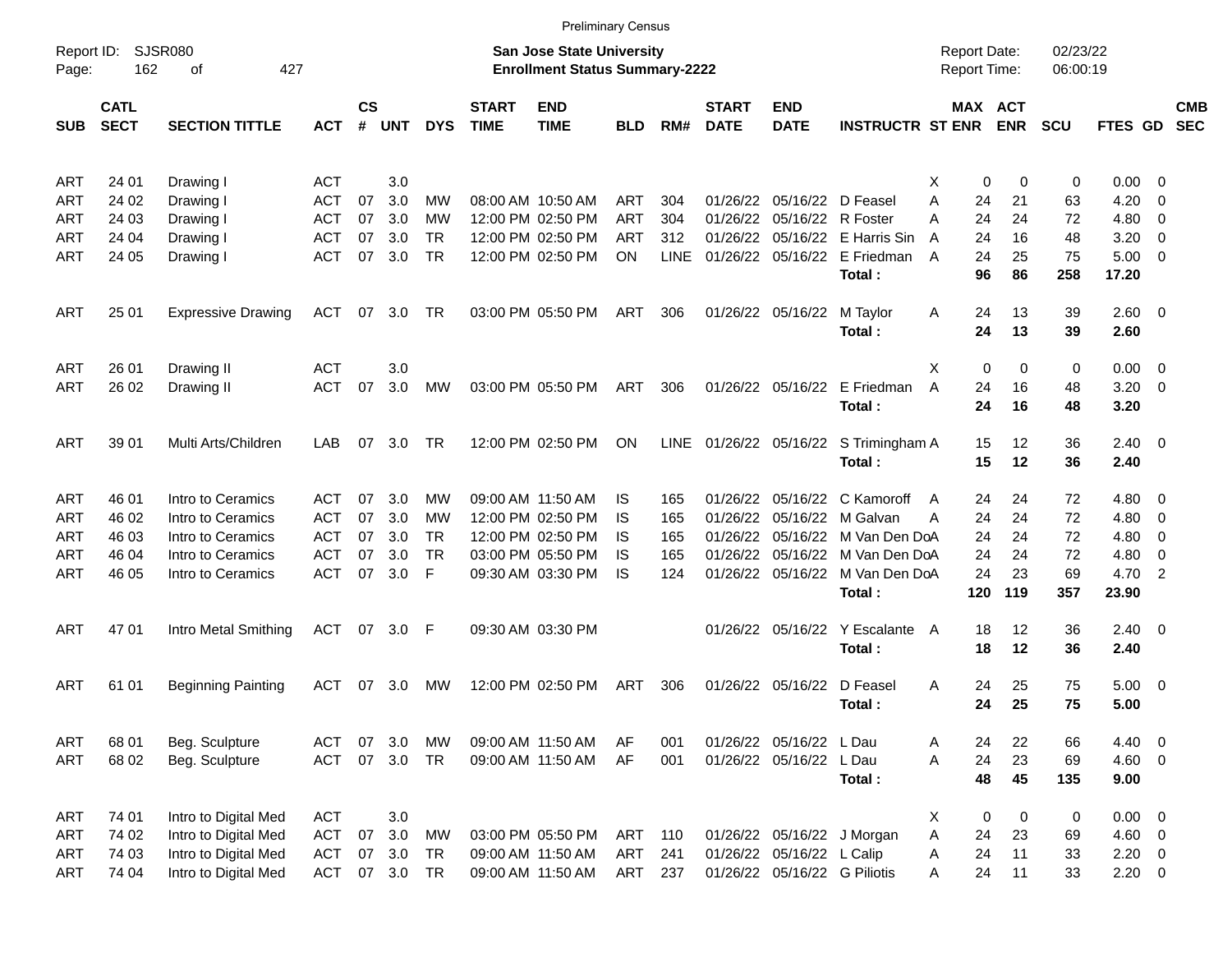|                     |                            |                                              |                          |                    |            |            |                             |                                                                    | <b>Preliminary Census</b> |             |                             |                              |                                           |                                     |                              |                      |                         |                          |                          |
|---------------------|----------------------------|----------------------------------------------|--------------------------|--------------------|------------|------------|-----------------------------|--------------------------------------------------------------------|---------------------------|-------------|-----------------------------|------------------------------|-------------------------------------------|-------------------------------------|------------------------------|----------------------|-------------------------|--------------------------|--------------------------|
| Report ID:<br>Page: | 162                        | <b>SJSR080</b><br>427<br>οf                  |                          |                    |            |            |                             | San Jose State University<br><b>Enrollment Status Summary-2222</b> |                           |             |                             |                              |                                           | <b>Report Date:</b><br>Report Time: |                              | 02/23/22<br>06:00:19 |                         |                          |                          |
| <b>SUB</b>          | <b>CATL</b><br><b>SECT</b> | <b>SECTION TITTLE</b>                        | <b>ACT</b>               | $\mathsf{cs}$<br># | <b>UNT</b> | <b>DYS</b> | <b>START</b><br><b>TIME</b> | <b>END</b><br><b>TIME</b>                                          | BLD                       | RM#         | <b>START</b><br><b>DATE</b> | <b>END</b><br><b>DATE</b>    | <b>INSTRUCTR ST ENR</b>                   |                                     | MAX ACT<br>ENR               | <b>SCU</b>           | <b>FTES GD</b>          |                          | <b>CMB</b><br><b>SEC</b> |
| ART                 | 24 01                      | Drawing I                                    | ACT                      |                    | 3.0        |            |                             |                                                                    |                           |             |                             |                              |                                           | X                                   | 0                            | 0<br>0               | 0.00                    | - 0                      |                          |
| ART                 | 24 02                      | Drawing I                                    | <b>ACT</b>               | 07                 | 3.0        | МW         |                             | 08:00 AM 10:50 AM                                                  | ART                       | 304         |                             | 01/26/22 05/16/22 D Feasel   |                                           | Α                                   | 24<br>21                     | 63                   | 4.20                    | 0                        |                          |
| ART                 | 24 03                      | Drawing I                                    | <b>ACT</b>               | 07                 | 3.0        | МW         |                             | 12:00 PM 02:50 PM                                                  | <b>ART</b>                | 304         |                             | 01/26/22 05/16/22 R Foster   |                                           | A                                   | 24<br>24                     | 72                   | 4.80                    | $\overline{0}$           |                          |
| ART                 | 24 04                      | Drawing I                                    | <b>ACT</b>               | 07                 | 3.0        | <b>TR</b>  |                             | 12:00 PM 02:50 PM                                                  | <b>ART</b>                | 312         |                             |                              | 01/26/22 05/16/22 E Harris Sin            | A                                   | 24<br>16                     | 48                   | 3.20                    | $\overline{0}$           |                          |
| ART                 | 24 05                      | Drawing I                                    | ACT                      | 07                 | 3.0        | <b>TR</b>  |                             | 12:00 PM 02:50 PM                                                  | <b>ON</b>                 | <b>LINE</b> |                             |                              | 01/26/22 05/16/22 E Friedman<br>Total:    | A                                   | 24<br>25<br>96<br>86         | 75<br>258            | $5.00 \t 0$<br>17.20    |                          |                          |
| <b>ART</b>          | 25 01                      | <b>Expressive Drawing</b>                    | ACT                      | 07                 | 3.0        | TR         |                             | 03:00 PM 05:50 PM                                                  | ART                       | 306         |                             | 01/26/22 05/16/22            | M Taylor<br>Total:                        | A                                   | 13<br>24<br>24<br>13         | 39<br>39             | $2.60 \t 0$<br>2.60     |                          |                          |
| ART                 | 26 01                      | Drawing II                                   | <b>ACT</b>               |                    | 3.0        |            |                             |                                                                    |                           |             |                             |                              |                                           | X                                   | $\mathbf 0$                  | 0<br>0               | $0.00 \t 0$             |                          |                          |
| <b>ART</b>          | 26 02                      | Drawing II                                   | <b>ACT</b>               | 07                 | 3.0        | MW         |                             | 03:00 PM 05:50 PM                                                  | ART                       | 306         |                             |                              | 01/26/22 05/16/22 E Friedman<br>Total:    | A                                   | 16<br>24<br>24<br>16         | 48<br>48             | 3.20<br>3.20            | $\overline{\phantom{0}}$ |                          |
| <b>ART</b>          | 39 01                      | Multi Arts/Children                          | LAB                      | 07                 | 3.0        | TR.        |                             | 12:00 PM 02:50 PM                                                  | <b>ON</b>                 | LINE        |                             |                              | 01/26/22 05/16/22 S Trimingham A          |                                     | 15<br>12                     | 36                   | $2.40 \ 0$              |                          |                          |
|                     |                            |                                              |                          |                    |            |            |                             |                                                                    |                           |             |                             |                              | Total:                                    |                                     | 15<br>12                     | 36                   | 2.40                    |                          |                          |
| ART                 | 46 01                      | Intro to Ceramics                            | ACT                      | 07                 | 3.0        | МW         |                             | 09:00 AM 11:50 AM                                                  | IS                        | 165         |                             |                              | 01/26/22 05/16/22 C Kamoroff              | A                                   | 24<br>24                     | 72                   | 4.80                    | $\overline{\phantom{0}}$ |                          |
| ART                 | 46 02                      | Intro to Ceramics                            | ACT                      | 07                 | 3.0        | МW         |                             | 12:00 PM 02:50 PM                                                  | IS                        | 165         |                             |                              | 01/26/22 05/16/22 M Galvan                | A                                   | 24<br>24                     | 72                   | 4.80                    | $\overline{\mathbf{0}}$  |                          |
| ART                 | 46 03                      | Intro to Ceramics                            | ACT                      | 07                 | 3.0        | <b>TR</b>  |                             | 12:00 PM 02:50 PM                                                  | IS                        | 165         |                             |                              | 01/26/22 05/16/22 M Van Den DoA           |                                     | 24<br>24                     | 72                   | 4.80                    | $\overline{0}$           |                          |
| ART                 | 46 04                      | Intro to Ceramics                            | ACT                      | 07                 | 3.0        | <b>TR</b>  |                             | 03:00 PM 05:50 PM                                                  | IS                        | 165         |                             |                              | 01/26/22 05/16/22 M Van Den DoA           |                                     | 24<br>24                     | 72                   | 4.80                    | $\overline{0}$           |                          |
| ART                 | 46 05                      | Intro to Ceramics                            | <b>ACT</b>               | 07                 | 3.0        | F          |                             | 09:30 AM 03:30 PM                                                  | IS                        | 124         |                             |                              | 01/26/22 05/16/22 M Van Den DoA<br>Total: | 120                                 | 24<br>23<br>119              | 69<br>357            | 4.70<br>23.90           | $\overline{2}$           |                          |
| <b>ART</b>          | 47 01                      | Intro Metal Smithing                         | <b>ACT</b>               |                    | 07 3.0 F   |            |                             | 09:30 AM 03:30 PM                                                  |                           |             |                             |                              | 01/26/22 05/16/22 Y Escalante A           |                                     | 12<br>18                     | 36                   | $2.40 \ 0$              |                          |                          |
|                     |                            |                                              |                          |                    |            |            |                             |                                                                    |                           |             |                             |                              | Total:                                    |                                     | 18<br>12                     | 36                   | 2.40                    |                          |                          |
| ART                 | 61 01                      | <b>Beginning Painting</b>                    | <b>ACT</b>               | 07                 | 3.0        | <b>MW</b>  |                             | 12:00 PM 02:50 PM                                                  | ART                       | 306         |                             | 01/26/22 05/16/22            | D Feasel                                  | A                                   | 24<br>25                     | 75                   | $5.00 \t 0$             |                          |                          |
|                     |                            |                                              |                          |                    |            |            |                             |                                                                    |                           |             |                             |                              | Total :                                   |                                     | 25<br>24                     | 75                   | 5.00                    |                          |                          |
| ART                 | 68 01                      | Beg. Sculpture                               | ACT                      | 07                 | 3.0        | МW         |                             | 09:00 AM 11:50 AM                                                  | AF                        | 001         |                             | 01/26/22 05/16/22 L Dau      |                                           | A                                   | 24<br>22                     | 66                   | 4.40 0                  |                          |                          |
| ART                 | 68 02                      | Beg. Sculpture                               | <b>ACT</b>               | 07                 | 3.0        | <b>TR</b>  |                             | 09:00 AM 11:50 AM                                                  | AF                        | 001         |                             | 01/26/22 05/16/22 L Dau      | Total:                                    | A                                   | 24<br>23<br>48<br>45         | 69<br>135            | $4.60$ 0<br>9.00        |                          |                          |
|                     |                            |                                              |                          |                    |            |            |                             |                                                                    |                           |             |                             |                              |                                           |                                     |                              |                      |                         |                          |                          |
| ART<br>ART          | 74 01<br>74 02             | Intro to Digital Med<br>Intro to Digital Med | <b>ACT</b><br><b>ACT</b> | 07                 | 3.0<br>3.0 | <b>MW</b>  |                             | 03:00 PM 05:50 PM                                                  | ART                       | 110         |                             |                              | 01/26/22 05/16/22 J Morgan                | X.<br>Α                             | 0<br>$\mathbf 0$<br>24<br>23 | 0<br>69              | $0.00 \t 0$<br>$4.60$ 0 |                          |                          |
| ART                 | 74 03                      | Intro to Digital Med                         | <b>ACT</b>               | 07                 | 3.0        | <b>TR</b>  |                             | 09:00 AM 11:50 AM                                                  | ART                       | 241         |                             | 01/26/22 05/16/22 L Calip    |                                           | Α                                   | 11<br>24                     | 33                   | $2.20 \t 0$             |                          |                          |
| ART                 | 74 04                      | Intro to Digital Med                         | ACT                      |                    | 07 3.0     | TR         |                             | 09:00 AM 11:50 AM                                                  | ART 237                   |             |                             | 01/26/22 05/16/22 G Piliotis |                                           | A                                   | 11<br>24                     | 33                   | $2.20 \t 0$             |                          |                          |
|                     |                            |                                              |                          |                    |            |            |                             |                                                                    |                           |             |                             |                              |                                           |                                     |                              |                      |                         |                          |                          |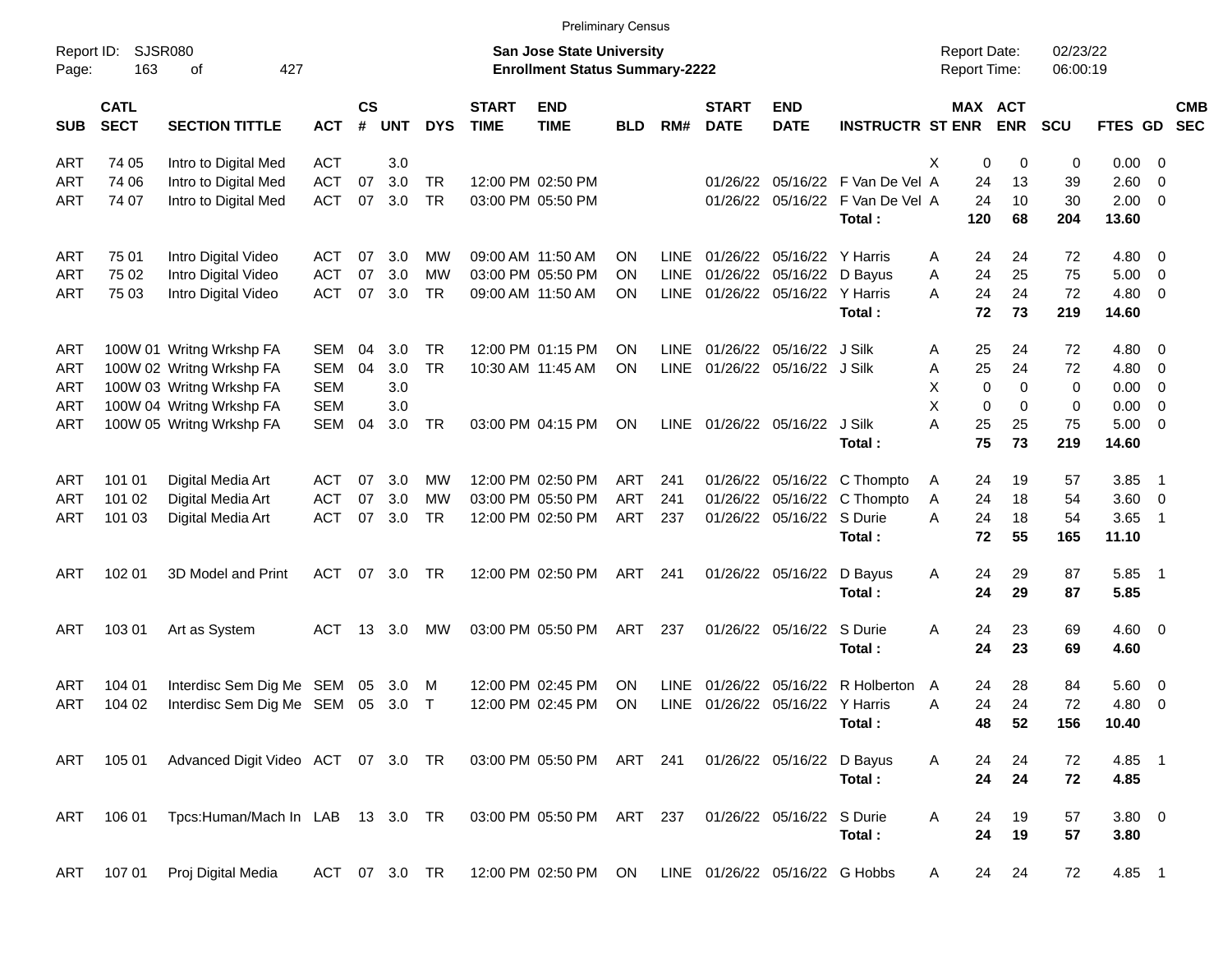|                     |                            |                                                                         |               |                             |            |            |                             | <b>Preliminary Census</b>                                          |            |             |                             |                                 |                         |                                     |                         |                      |                |                          |            |
|---------------------|----------------------------|-------------------------------------------------------------------------|---------------|-----------------------------|------------|------------|-----------------------------|--------------------------------------------------------------------|------------|-------------|-----------------------------|---------------------------------|-------------------------|-------------------------------------|-------------------------|----------------------|----------------|--------------------------|------------|
| Report ID:<br>Page: | <b>SJSR080</b><br>163      | 427<br>οf                                                               |               |                             |            |            |                             | San Jose State University<br><b>Enrollment Status Summary-2222</b> |            |             |                             |                                 |                         | <b>Report Date:</b><br>Report Time: |                         | 02/23/22<br>06:00:19 |                |                          |            |
| <b>SUB</b>          | <b>CATL</b><br><b>SECT</b> | <b>SECTION TITTLE</b>                                                   | <b>ACT</b>    | $\mathsf{cs}$<br>$\pmb{\#}$ | <b>UNT</b> | <b>DYS</b> | <b>START</b><br><b>TIME</b> | <b>END</b><br><b>TIME</b>                                          | <b>BLD</b> | RM#         | <b>START</b><br><b>DATE</b> | <b>END</b><br><b>DATE</b>       | <b>INSTRUCTR ST ENR</b> |                                     | MAX ACT<br><b>ENR</b>   | <b>SCU</b>           | FTES GD SEC    |                          | <b>CMB</b> |
| ART                 | 74 05                      | Intro to Digital Med                                                    | <b>ACT</b>    |                             | 3.0        |            |                             |                                                                    |            |             |                             |                                 |                         | X                                   | 0<br>0                  | 0                    | $0.00 \t 0$    |                          |            |
| ART                 | 74 06                      | Intro to Digital Med                                                    | <b>ACT</b>    | 07                          | 3.0        | <b>TR</b>  |                             | 12:00 PM 02:50 PM                                                  |            |             | 01/26/22                    |                                 | 05/16/22 F Van De Vel A | 24                                  | 13                      | 39                   | 2.60 0         |                          |            |
| ART                 | 74 07                      | Intro to Digital Med                                                    | <b>ACT</b>    | 07                          | 3.0        | <b>TR</b>  |                             | 03:00 PM 05:50 PM                                                  |            |             |                             | 01/26/22 05/16/22               | F Van De Vel A          | 24                                  | 10                      | 30                   | $2.00 \t 0$    |                          |            |
|                     |                            |                                                                         |               |                             |            |            |                             |                                                                    |            |             |                             |                                 | Total:                  | 120                                 | 68                      | 204                  | 13.60          |                          |            |
| ART                 | 75 01                      | Intro Digital Video                                                     | ACT           | 07                          | 3.0        | МW         |                             | 09:00 AM 11:50 AM                                                  | ΟN         | <b>LINE</b> | 01/26/22                    | 05/16/22 Y Harris               |                         | 24<br>A                             | 24                      | 72                   | $4.80\ 0$      |                          |            |
| ART                 | 75 02                      | Intro Digital Video                                                     | ACT           | 07                          | 3.0        | МW         |                             | 03:00 PM 05:50 PM                                                  | ΟN         | <b>LINE</b> | 01/26/22                    | 05/16/22 D Bayus                |                         | 24<br>Α                             | 25                      | 75                   | $5.00 \t 0$    |                          |            |
| ART                 | 75 03                      | Intro Digital Video                                                     | <b>ACT</b>    | 07                          | 3.0        | <b>TR</b>  |                             | 09:00 AM 11:50 AM                                                  | ΟN         | LINE        |                             | 01/26/22 05/16/22 Y Harris      |                         | 24<br>A                             | 24                      | 72                   | $4.80\ 0$      |                          |            |
|                     |                            |                                                                         |               |                             |            |            |                             |                                                                    |            |             |                             |                                 | Total:                  | 72                                  | 73                      | 219                  | 14.60          |                          |            |
| ART                 |                            | 100W 01 Writng Wrkshp FA                                                | SEM           | 04                          | 3.0        | <b>TR</b>  |                             | 12:00 PM 01:15 PM                                                  | ΟN         | LINE        |                             | 01/26/22 05/16/22 J Silk        |                         | 25<br>Α                             | 24                      | 72                   | $4.80\ 0$      |                          |            |
| ART                 |                            | 100W 02 Writng Wrkshp FA                                                | <b>SEM</b>    | 04                          | 3.0        | <b>TR</b>  |                             | 10:30 AM 11:45 AM                                                  | ΟN         | LINE        |                             | 01/26/22 05/16/22 J Silk        |                         | 25<br>Α                             | 24                      | 72                   | 4.80 0         |                          |            |
| ART                 |                            | 100W 03 Writng Wrkshp FA                                                | <b>SEM</b>    |                             | 3.0        |            |                             |                                                                    |            |             |                             |                                 |                         | X                                   | $\mathbf 0$<br>$\Omega$ | 0                    | $0.00 \t 0$    |                          |            |
| ART                 |                            | 100W 04 Writng Wrkshp FA                                                | <b>SEM</b>    |                             | 3.0        |            |                             |                                                                    |            |             |                             |                                 |                         | X                                   | 0<br>$\Omega$           | 0                    | $0.00 \t 0$    |                          |            |
| ART                 |                            | 100W 05 Writng Wrkshp FA                                                | SEM           | 04                          | 3.0        | TR         |                             | 03:00 PM 04:15 PM                                                  | ON         | LINE        |                             | 01/26/22 05/16/22               | J Silk                  | A<br>25                             | 25                      | 75                   | $5.00 \t 0$    |                          |            |
|                     |                            |                                                                         |               |                             |            |            |                             |                                                                    |            |             |                             |                                 | Total:                  | 75                                  | 73                      | 219                  | 14.60          |                          |            |
| ART                 | 101 01                     | Digital Media Art                                                       | ACT           | 07                          | 3.0        | МW         |                             | 12:00 PM 02:50 PM                                                  | ART        | 241         | 01/26/22                    |                                 | 05/16/22 C Thompto      | 24<br>A                             | 19                      | 57                   | 3.85           | $\overline{\phantom{1}}$ |            |
| ART                 | 101 02                     | Digital Media Art                                                       | ACT           | 07                          | 3.0        | МW         |                             | 03:00 PM 05:50 PM                                                  | <b>ART</b> | 241         | 01/26/22                    |                                 | 05/16/22 C Thompto      | 24<br>Α                             | 18                      | 54                   | 3.60 0         |                          |            |
| ART                 | 101 03                     | Digital Media Art                                                       | <b>ACT</b>    | 07                          | 3.0        | <b>TR</b>  |                             | 12:00 PM 02:50 PM                                                  | ART        | 237         |                             | 01/26/22 05/16/22 S Durie       |                         | A<br>24                             | 18                      | 54                   | 3.65           | $\overline{\phantom{1}}$ |            |
|                     |                            |                                                                         |               |                             |            |            |                             |                                                                    |            |             |                             |                                 | Total:                  | 72                                  | 55                      | 165                  | 11.10          |                          |            |
| ART                 | 102 01                     | 3D Model and Print                                                      | <b>ACT</b>    |                             | 07 3.0     | TR         |                             | 12:00 PM 02:50 PM                                                  | ART        | 241         |                             | 01/26/22 05/16/22               | D Bayus                 | Α<br>24                             | 29                      | 87                   | 5.85 1         |                          |            |
|                     |                            |                                                                         |               |                             |            |            |                             |                                                                    |            |             |                             |                                 | Total:                  | 24                                  | 29                      | 87                   | 5.85           |                          |            |
|                     |                            |                                                                         |               |                             |            |            |                             |                                                                    |            |             |                             |                                 |                         |                                     |                         |                      |                |                          |            |
| ART                 | 103 01                     | Art as System                                                           | ACT           |                             | 13 3.0     | MW         |                             | 03:00 PM 05:50 PM                                                  | ART        | 237         |                             | 01/26/22 05/16/22               | S Durie                 | A<br>24                             | 23                      | 69                   | $4.60 \ 0$     |                          |            |
|                     |                            |                                                                         |               |                             |            |            |                             |                                                                    |            |             |                             |                                 | Total:                  | 24                                  | 23                      | 69                   | 4.60           |                          |            |
| ART                 | 104 01                     | Interdisc Sem Dig Me SEM                                                |               | 05                          | 3.0        | M          |                             | 12:00 PM 02:45 PM                                                  | ΟN         | <b>LINE</b> | 01/26/22                    | 05/16/22                        | R Holberton             | 24<br>A                             | 28                      | 84                   | $5.60 \quad 0$ |                          |            |
| ART                 | 104 02                     | Interdisc Sem Dig Me SEM 05                                             |               |                             | 3.0        | $\top$     |                             | 12:00 PM 02:45 PM                                                  | ON         |             |                             | LINE 01/26/22 05/16/22 Y Harris |                         | 24<br>Α                             | 24                      | 72                   | $4.80\ 0$      |                          |            |
|                     |                            |                                                                         |               |                             |            |            |                             |                                                                    |            |             |                             |                                 | Total:                  | 48                                  | 52                      | 156                  | 10.40          |                          |            |
|                     |                            | ART 105 01 Advanced Digit Video ACT 07 3.0 TR 03:00 PM 05:50 PM ART 241 |               |                             |            |            |                             |                                                                    |            |             |                             | 01/26/22 05/16/22               | D Bayus                 | A<br>24                             | 24                      | 72                   | 4.85 1         |                          |            |
|                     |                            |                                                                         |               |                             |            |            |                             |                                                                    |            |             |                             |                                 | Total:                  | 24                                  | 24                      | 72                   | 4.85           |                          |            |
| ART                 | 106 01                     | Tpcs:Human/Mach In LAB 13 3.0 TR                                        |               |                             |            |            |                             | 03:00 PM 05:50 PM ART 237                                          |            |             |                             | 01/26/22 05/16/22               | S Durie                 | A<br>24                             | 19                      | 57                   | 3.80 0         |                          |            |
|                     |                            |                                                                         |               |                             |            |            |                             |                                                                    |            |             |                             |                                 | Total:                  | 24                                  | 19                      | 57                   | 3.80           |                          |            |
| ART                 |                            | 107 01 Proj Digital Media                                               | ACT 07 3.0 TR |                             |            |            |                             | 12:00 PM 02:50 PM ON LINE 01/26/22 05/16/22 G Hobbs                |            |             |                             |                                 |                         | 24<br>A                             | 24                      | 72                   | 4.85 1         |                          |            |
|                     |                            |                                                                         |               |                             |            |            |                             |                                                                    |            |             |                             |                                 |                         |                                     |                         |                      |                |                          |            |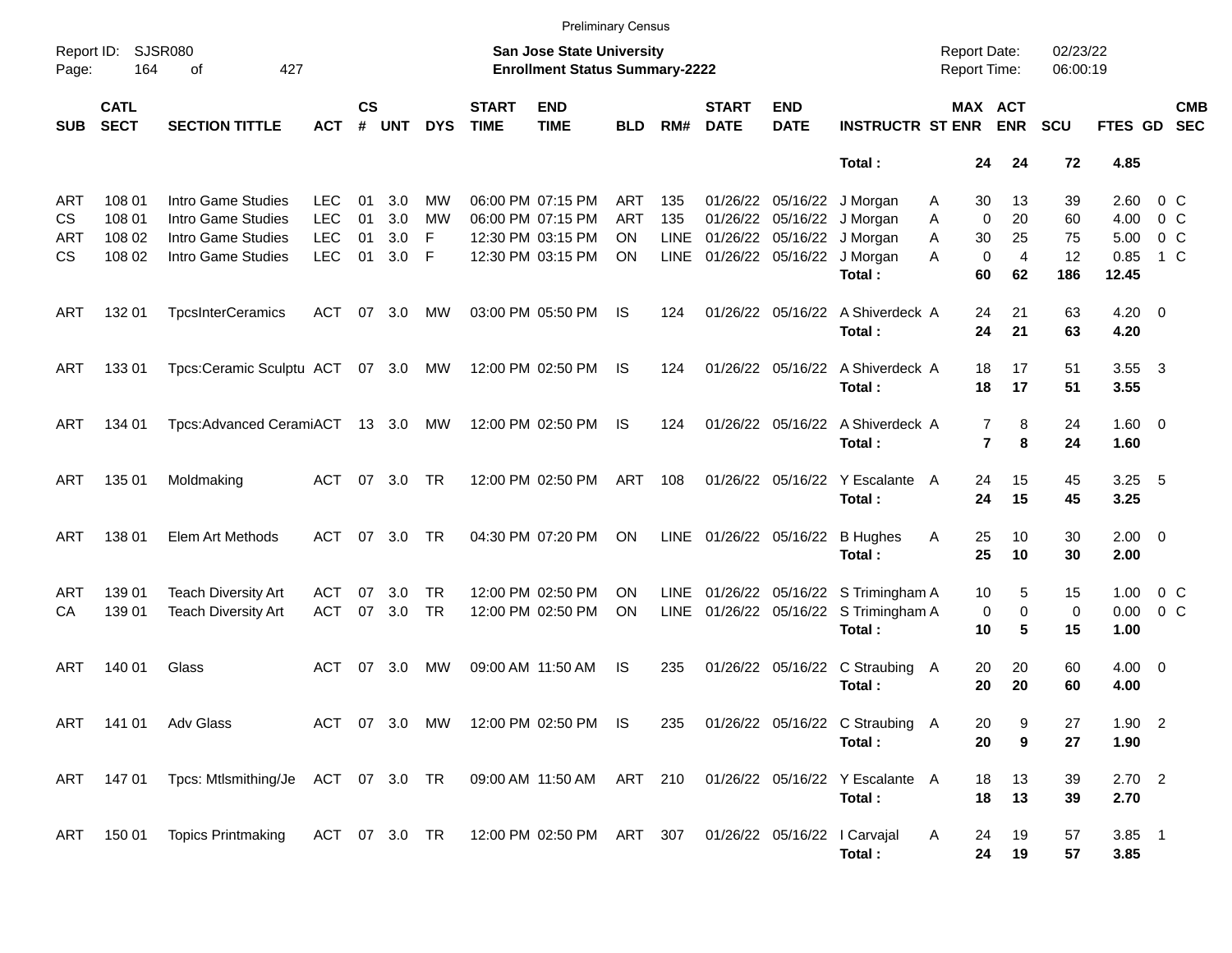|                     |                            |                                                                              |                          |                |               |                        |                             | <b>Preliminary Census</b>                                                 |                        |                     |                             |                               |                                                                                |                                            |                            |                      |                       |                          |
|---------------------|----------------------------|------------------------------------------------------------------------------|--------------------------|----------------|---------------|------------------------|-----------------------------|---------------------------------------------------------------------------|------------------------|---------------------|-----------------------------|-------------------------------|--------------------------------------------------------------------------------|--------------------------------------------|----------------------------|----------------------|-----------------------|--------------------------|
| Report ID:<br>Page: | <b>SJSR080</b><br>164      | 427<br>оf                                                                    |                          |                |               |                        |                             | <b>San Jose State University</b><br><b>Enrollment Status Summary-2222</b> |                        |                     |                             |                               |                                                                                | <b>Report Date:</b><br><b>Report Time:</b> |                            | 02/23/22<br>06:00:19 |                       |                          |
| <b>SUB</b>          | <b>CATL</b><br><b>SECT</b> | <b>SECTION TITTLE</b>                                                        | <b>ACT</b>               | <b>CS</b><br># | <b>UNT</b>    | <b>DYS</b>             | <b>START</b><br><b>TIME</b> | <b>END</b><br><b>TIME</b>                                                 | <b>BLD</b>             | RM#                 | <b>START</b><br><b>DATE</b> | <b>END</b><br><b>DATE</b>     | <b>INSTRUCTR ST ENR</b>                                                        |                                            | MAX ACT<br><b>ENR</b>      | SCU                  | <b>FTES GD</b>        | <b>CMB</b><br><b>SEC</b> |
|                     |                            |                                                                              |                          |                |               |                        |                             |                                                                           |                        |                     |                             |                               | Total:                                                                         | 24                                         | 24                         | 72                   | 4.85                  |                          |
| ART<br>CS           | 108 01<br>108 01           | Intro Game Studies<br>Intro Game Studies                                     | <b>LEC</b><br><b>LEC</b> | 01<br>01       | 3.0<br>3.0    | MW<br><b>MW</b>        |                             | 06:00 PM 07:15 PM<br>06:00 PM 07:15 PM                                    | ART<br><b>ART</b>      | 135<br>135          | 01/26/22                    | 01/26/22 05/16/22<br>05/16/22 | J Morgan<br>J Morgan                                                           | 30<br>Α<br>0<br>A                          | 13<br>20                   | 39<br>60             | 2.60<br>4.00          | 0 C<br>0 <sup>o</sup>    |
| ART<br>СS           | 108 02<br>108 02           | Intro Game Studies<br>Intro Game Studies                                     | <b>LEC</b><br><b>LEC</b> | 01<br>01       | 3.0<br>3.0    | F<br>F                 |                             | 12:30 PM 03:15 PM<br>12:30 PM 03:15 PM                                    | <b>ON</b><br><b>ON</b> | <b>LINE</b><br>LINE | 01/26/22 05/16/22           | 01/26/22 05/16/22             | J Morgan<br>J Morgan<br>Total:                                                 | 30<br>A<br>0<br>A<br>60                    | 25<br>$\overline{4}$<br>62 | 75<br>12<br>186      | 5.00<br>0.85<br>12.45 | 0 <sup>o</sup><br>1 C    |
| ART                 | 132 01                     | <b>TpcsInterCeramics</b>                                                     | ACT                      | 07             | 3.0           | MW                     |                             | 03:00 PM 05:50 PM                                                         | IS.                    | 124                 |                             |                               | 01/26/22 05/16/22 A Shiverdeck A<br>Total:                                     | 24<br>24                                   | 21<br>21                   | 63<br>63             | $4.20 \ 0$<br>4.20    |                          |
| ART                 | 133 01                     | Tpcs:Ceramic Sculptu ACT 07 3.0 MW                                           |                          |                |               |                        |                             | 12:00 PM 02:50 PM                                                         | IS                     | 124                 |                             |                               | 01/26/22 05/16/22 A Shiverdeck A<br>Total:                                     | 18<br>18                                   | 17<br>17                   | 51<br>51             | 3.55<br>3.55          | $\overline{\mathbf{3}}$  |
| ART                 | 134 01                     | Tpcs:Advanced CeramiACT 13 3.0                                               |                          |                |               | MW                     |                             | 12:00 PM 02:50 PM                                                         | IS                     | 124                 |                             |                               | 01/26/22 05/16/22 A Shiverdeck A<br>Total:                                     | 7<br>$\overline{\mathbf{r}}$               | 8<br>8                     | 24<br>24             | $1.60 \ 0$<br>1.60    |                          |
| ART                 | 135 01                     | Moldmaking                                                                   | ACT                      | 07             | 3.0           | <b>TR</b>              |                             | 12:00 PM 02:50 PM                                                         | ART                    | 108                 |                             | 01/26/22 05/16/22             | Y Escalante A<br>Total:                                                        | 24<br>24                                   | 15<br>15                   | 45<br>45             | 3.25<br>3.25          | - 5                      |
| ART                 | 138 01                     | Elem Art Methods                                                             | <b>ACT</b>               | 07             | 3.0           | <b>TR</b>              |                             | 04:30 PM 07:20 PM                                                         | ON                     |                     | LINE 01/26/22 05/16/22      |                               | <b>B</b> Hughes<br>Total:                                                      | 25<br>A<br>25                              | 10<br>10                   | 30<br>30             | $2.00 \t 0$<br>2.00   |                          |
| ART<br>CА           | 139 01<br>139 01           | <b>Teach Diversity Art</b><br><b>Teach Diversity Art</b>                     | ACT<br><b>ACT</b>        | 07<br>07       | 3.0<br>3.0    | <b>TR</b><br><b>TR</b> |                             | 12:00 PM 02:50 PM<br>12:00 PM 02:50 PM                                    | <b>ON</b><br>ΟN        | LINE<br><b>LINE</b> |                             |                               | 01/26/22 05/16/22 S Trimingham A<br>01/26/22 05/16/22 S Trimingham A<br>Total: | 10<br>0<br>10                              | 5<br>0<br>5                | 15<br>0<br>15        | 1.00<br>0.00<br>1.00  | $0\,C$<br>0 <sup>o</sup> |
| ART                 | 140 01                     | Glass                                                                        | <b>ACT</b>               | 07             | 3.0           | MW                     |                             | 09:00 AM 11:50 AM                                                         | IS                     | 235                 |                             |                               | 01/26/22 05/16/22 C Straubing A<br>Total:                                      | 20<br>20                                   | 20<br>20                   | 60<br>60             | $4.00 \ 0$<br>4.00    |                          |
| ART                 |                            | 141 01 Adv Glass                                                             |                          |                | ACT 07 3.0 MW |                        |                             | 12:00 PM 02:50 PM IS                                                      |                        | 235                 |                             |                               | 01/26/22 05/16/22 C Straubing A<br>Total:                                      | 20<br>20                                   | 9<br>9                     | 27<br>27             | $1.90$ 2<br>1.90      |                          |
| ART                 |                            | 147 01  Tpcs: Mtlsmithing/Je  ACT  07  3.0  TR  09:00 AM  11:50 AM  ART  210 |                          |                |               |                        |                             |                                                                           |                        |                     |                             |                               | 01/26/22 05/16/22 Y Escalante A<br>Total:                                      | 18<br>18                                   | 13<br>13                   | 39<br>39             | $2.70$ 2<br>2.70      |                          |
| ART                 |                            | 150 01 Topics Printmaking                                                    | ACT 07 3.0 TR            |                |               |                        |                             | 12:00 PM 02:50 PM ART 307                                                 |                        |                     |                             |                               | 01/26/22 05/16/22   Carvajal<br>Total:                                         | A<br>24<br>24                              | 19<br>19                   | 57<br>57             | $3.85$ 1<br>3.85      |                          |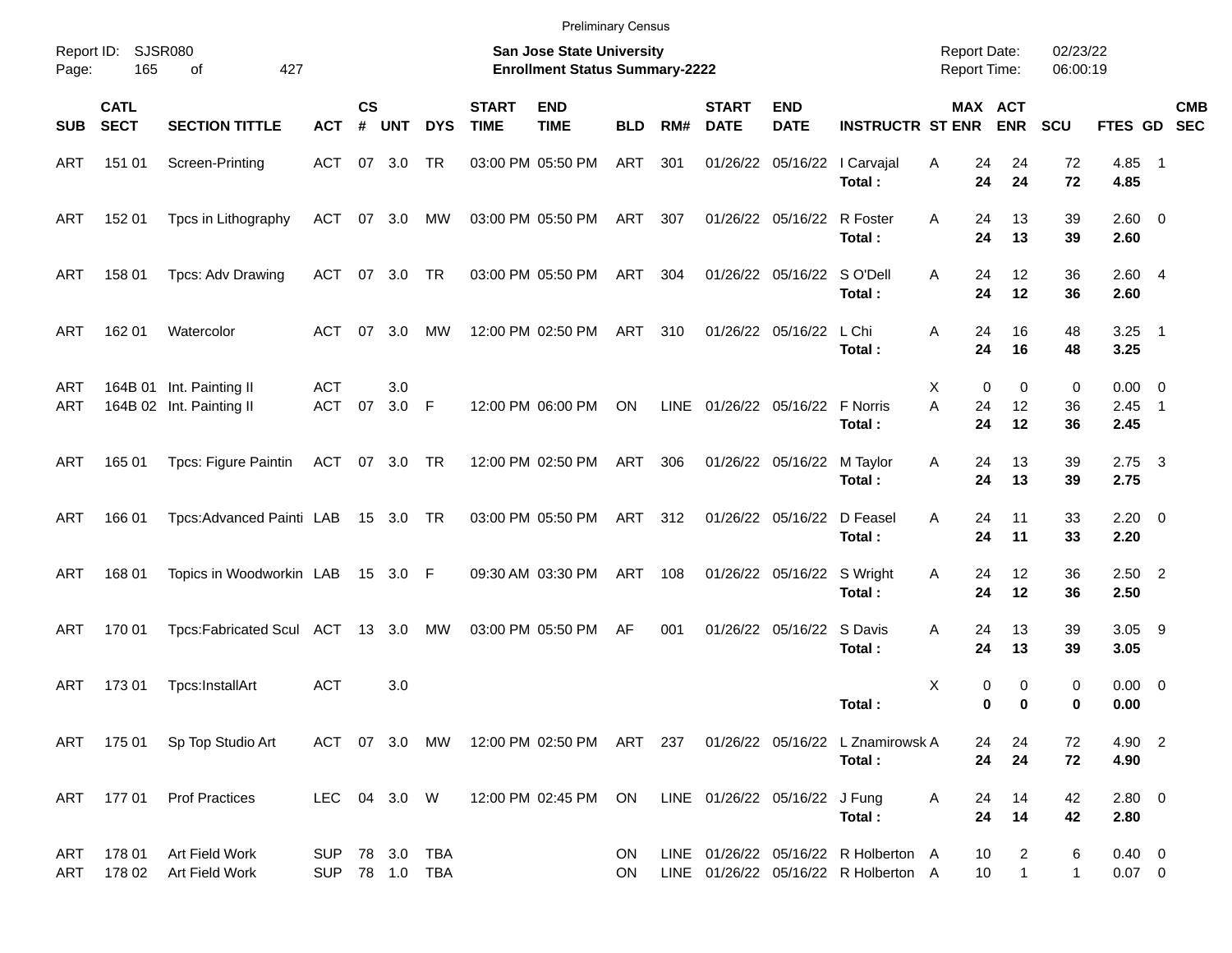|                     |                            |                                                      |                              |                |                |            |                             | <b>Preliminary Census</b>                                                 |            |     |                             |                                 |                                                                                    |                                            |                         |                      |                             |                           |
|---------------------|----------------------------|------------------------------------------------------|------------------------------|----------------|----------------|------------|-----------------------------|---------------------------------------------------------------------------|------------|-----|-----------------------------|---------------------------------|------------------------------------------------------------------------------------|--------------------------------------------|-------------------------|----------------------|-----------------------------|---------------------------|
| Report ID:<br>Page: | 165                        | <b>SJSR080</b><br>427<br>οf                          |                              |                |                |            |                             | <b>San Jose State University</b><br><b>Enrollment Status Summary-2222</b> |            |     |                             |                                 |                                                                                    | <b>Report Date:</b><br><b>Report Time:</b> |                         | 02/23/22<br>06:00:19 |                             |                           |
| <b>SUB</b>          | <b>CATL</b><br><b>SECT</b> | <b>SECTION TITTLE</b>                                | <b>ACT</b>                   | <b>CS</b><br># | <b>UNT</b>     | <b>DYS</b> | <b>START</b><br><b>TIME</b> | <b>END</b><br><b>TIME</b>                                                 | <b>BLD</b> | RM# | <b>START</b><br><b>DATE</b> | <b>END</b><br><b>DATE</b>       | <b>INSTRUCTR ST ENR</b>                                                            |                                            | MAX ACT<br><b>ENR</b>   | <b>SCU</b>           |                             | <b>CMB</b><br>FTES GD SEC |
| ART                 | 151 01                     | Screen-Printing                                      | ACT 07 3.0                   |                |                | TR         |                             | 03:00 PM 05:50 PM                                                         | ART        | 301 |                             |                                 | 01/26/22 05/16/22   Carvajal<br>Total:                                             | Α<br>24<br>24                              | 24<br>24                | 72<br>72             | 4.85 1<br>4.85              |                           |
| ART                 | 152 01                     | Tpcs in Lithography                                  | ACT                          |                | 07 3.0         | MW         |                             | 03:00 PM 05:50 PM                                                         | ART        | 307 |                             | 01/26/22 05/16/22 R Foster      | Total:                                                                             | A<br>24<br>24                              | 13<br>13                | 39<br>39             | $2.60 \t 0$<br>2.60         |                           |
| ART                 | 158 01                     | Tpcs: Adv Drawing                                    | ACT                          |                | 07 3.0         | TR         |                             | 03:00 PM 05:50 PM                                                         | ART        | 304 |                             | 01/26/22 05/16/22 SO'Dell       | Total:                                                                             | A<br>24<br>24                              | 12<br>12                | 36<br>36             | 2.604<br>2.60               |                           |
| <b>ART</b>          | 162 01                     | Watercolor                                           | ACT                          |                | $07 \quad 3.0$ | МW         |                             | 12:00 PM 02:50 PM                                                         | ART        | 310 |                             | 01/26/22 05/16/22               | L Chi<br>Total:                                                                    | Α<br>24<br>24                              | 16<br>16                | 48<br>48             | $3.25$ 1<br>3.25            |                           |
| ART<br><b>ART</b>   |                            | 164B 01 Int. Painting II<br>164B 02 Int. Painting II | <b>ACT</b><br>ACT            | 07             | 3.0<br>$3.0$ F |            |                             | 12:00 PM 06:00 PM                                                         | ON         |     |                             | LINE 01/26/22 05/16/22 F Norris | Total:                                                                             | Х<br>A<br>24<br>24                         | 0<br>0<br>12<br>12      | 0<br>36<br>36        | $0.00 \t 0$<br>2.45<br>2.45 | $\overline{\phantom{1}}$  |
| ART                 | 165 01                     | Tpcs: Figure Paintin                                 | ACT 07 3.0 TR                |                |                |            |                             | 12:00 PM 02:50 PM                                                         | ART        | 306 |                             | 01/26/22 05/16/22               | M Taylor<br>Total:                                                                 | Α<br>24<br>24                              | 13<br>13                | 39<br>39             | $2.75 \quad 3$<br>2.75      |                           |
| <b>ART</b>          | 166 01                     | Tpcs: Advanced Painti LAB                            |                              |                | 15 3.0 TR      |            |                             | 03:00 PM 05:50 PM                                                         | ART        | 312 |                             | 01/26/22 05/16/22 D Feasel      | Total:                                                                             | A<br>24<br>24                              | 11<br>11                | 33<br>33             | $2.20 \t 0$<br>2.20         |                           |
| <b>ART</b>          | 168 01                     | Topics in Woodworkin LAB                             |                              |                | 15 3.0 F       |            |                             | 09:30 AM 03:30 PM                                                         | ART        | 108 |                             | 01/26/22 05/16/22 S Wright      | Total:                                                                             | Α<br>24<br>24                              | 12<br>12                | 36<br>36             | $2.50$ 2<br>2.50            |                           |
| <b>ART</b>          | 170 01                     | Tpcs:Fabricated Scul ACT 13 3.0 MW                   |                              |                |                |            |                             | 03:00 PM 05:50 PM                                                         | AF         | 001 |                             | 01/26/22 05/16/22 S Davis       | Total:                                                                             | A<br>24<br>24                              | 13<br>13                | 39<br>39             | $3.05$ 9<br>3.05            |                           |
| ART                 | 17301                      | Tpcs:InstallArt                                      | <b>ACT</b>                   |                | 3.0            |            |                             |                                                                           |            |     |                             |                                 | Total:                                                                             | X                                          | 0<br>0<br>0<br>$\bf{0}$ | 0<br>0               | $0.00 \t 0$<br>0.00         |                           |
|                     |                            | ART 175 01 Sp Top Studio Art                         |                              |                |                |            |                             |                                                                           |            |     |                             |                                 | ACT 07 3.0 MW 12:00 PM 02:50 PM ART 237 01/26/22 05/16/22 L Znamirowsk A<br>Total: | 24<br>24                                   | 24<br>24                | 72<br>72             | 4.90 2<br>4.90              |                           |
| ART                 |                            | 177 01 Prof Practices                                | LEC 04 3.0 W                 |                |                |            |                             | 12:00 PM 02:45 PM ON LINE 01/26/22 05/16/22 J Fung                        |            |     |                             |                                 | Total:                                                                             | 24<br>A<br>24                              | 14<br>14                | 42<br>42             | 2.80 0<br>2.80              |                           |
| ART<br>ART          | 178 01<br>178 02           | Art Field Work<br>Art Field Work                     | SUP 78 3.0 TBA<br><b>SUP</b> |                |                |            |                             |                                                                           | ON.<br>ON. |     |                             |                                 | LINE 01/26/22 05/16/22 R Holberton A<br>LINE 01/26/22 05/16/22 R Holberton A       | 10<br>10                                   | 2<br>$\mathbf{1}$       | 6<br>$\mathbf{1}$    | $0.40 \ 0$<br>$0.07$ 0      |                           |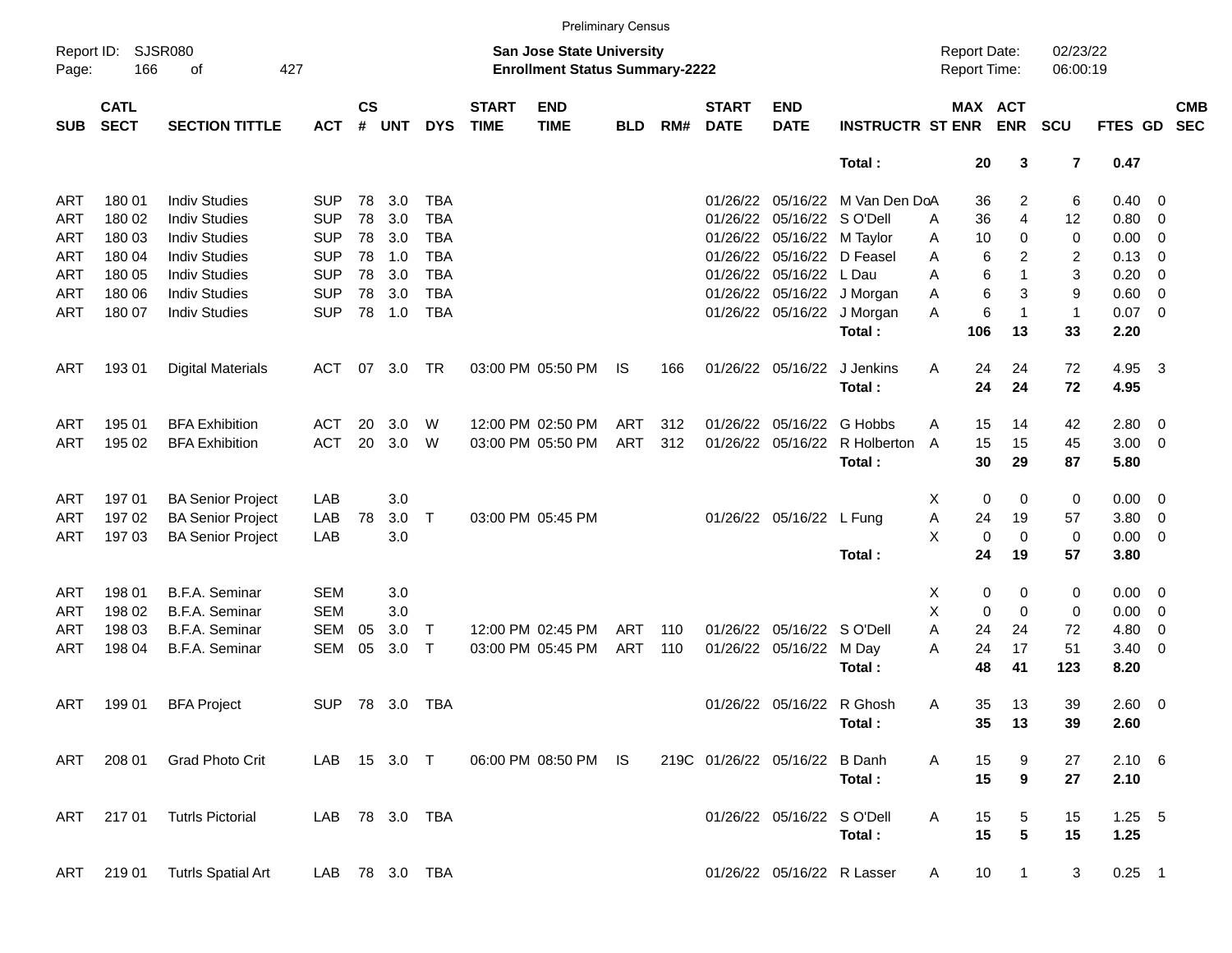|                     |                            |                             |            |                    |            |            |                             |                                                                    | <b>Preliminary Census</b> |     |                             |                               |                                 |   |                                     |              |                         |                |                          |                          |
|---------------------|----------------------------|-----------------------------|------------|--------------------|------------|------------|-----------------------------|--------------------------------------------------------------------|---------------------------|-----|-----------------------------|-------------------------------|---------------------------------|---|-------------------------------------|--------------|-------------------------|----------------|--------------------------|--------------------------|
| Report ID:<br>Page: | 166                        | <b>SJSR080</b><br>427<br>of |            |                    |            |            |                             | San Jose State University<br><b>Enrollment Status Summary-2222</b> |                           |     |                             |                               |                                 |   | <b>Report Date:</b><br>Report Time: |              | 02/23/22<br>06:00:19    |                |                          |                          |
| <b>SUB</b>          | <b>CATL</b><br><b>SECT</b> | <b>SECTION TITTLE</b>       | <b>ACT</b> | $\mathsf{cs}$<br># | <b>UNT</b> | <b>DYS</b> | <b>START</b><br><b>TIME</b> | <b>END</b><br><b>TIME</b>                                          | <b>BLD</b>                | RM# | <b>START</b><br><b>DATE</b> | <b>END</b><br><b>DATE</b>     | <b>INSTRUCTR ST ENR</b>         |   | MAX ACT                             | <b>ENR</b>   | <b>SCU</b>              | FTES GD        |                          | <b>CMB</b><br><b>SEC</b> |
|                     |                            |                             |            |                    |            |            |                             |                                                                    |                           |     |                             |                               | Total:                          |   | 20                                  | 3            | $\overline{\mathbf{r}}$ | 0.47           |                          |                          |
| ART                 | 180 01                     | <b>Indiv Studies</b>        | <b>SUP</b> | 78                 | 3.0        | <b>TBA</b> |                             |                                                                    |                           |     |                             |                               | 01/26/22 05/16/22 M Van Den DoA |   | 36                                  | 2            | 6                       | $0.40 \quad 0$ |                          |                          |
| ART                 | 180 02                     | <b>Indiv Studies</b>        | <b>SUP</b> | 78                 | 3.0        | <b>TBA</b> |                             |                                                                    |                           |     | 01/26/22                    | 05/16/22 S O'Dell             |                                 | Α | 36                                  | 4            | 12                      | 0.80           | $\overline{\mathbf{0}}$  |                          |
| ART                 | 180 03                     | <b>Indiv Studies</b>        | <b>SUP</b> | 78                 | 3.0        | <b>TBA</b> |                             |                                                                    |                           |     |                             | 01/26/22 05/16/22 M Taylor    |                                 | Α | 10                                  | 0            | 0                       | 0.00           | $\overline{\mathbf{0}}$  |                          |
| ART                 | 180 04                     | <b>Indiv Studies</b>        | <b>SUP</b> | 78                 | 1.0        | <b>TBA</b> |                             |                                                                    |                           |     |                             | 01/26/22 05/16/22 D Feasel    |                                 | A | 6                                   | 2            | $\overline{2}$          | 0.13           | $\overline{\mathbf{0}}$  |                          |
| ART                 | 180 05                     | <b>Indiv Studies</b>        | <b>SUP</b> | 78                 | 3.0        | <b>TBA</b> |                             |                                                                    |                           |     |                             | 01/26/22 05/16/22             | L Dau                           | Α | 6                                   | 1            | 3                       | 0.20           | $\overline{\mathbf{0}}$  |                          |
| ART                 | 180 06                     | <b>Indiv Studies</b>        | <b>SUP</b> | 78                 | 3.0        | <b>TBA</b> |                             |                                                                    |                           |     |                             |                               | 01/26/22 05/16/22 J Morgan      | Α | 6                                   | 3            | 9                       | 0.60           | $\overline{0}$           |                          |
| ART                 | 180 07                     | <b>Indiv Studies</b>        | <b>SUP</b> | 78                 | 1.0        | <b>TBA</b> |                             |                                                                    |                           |     |                             |                               | 01/26/22 05/16/22 J Morgan      | Α | 6                                   | 1            | $\mathbf{1}$            | 0.07           | $\overline{\phantom{0}}$ |                          |
|                     |                            |                             |            |                    |            |            |                             |                                                                    |                           |     |                             |                               | Total:                          |   | 106                                 | 13           | 33                      | 2.20           |                          |                          |
| ART                 | 19301                      | <b>Digital Materials</b>    | <b>ACT</b> | 07                 | 3.0        | <b>TR</b>  |                             | 03:00 PM 05:50 PM                                                  | IS                        | 166 |                             | 01/26/22 05/16/22             | J Jenkins                       | A | 24                                  | 24           | 72                      | 4.95           | $\overline{\mathbf{3}}$  |                          |
|                     |                            |                             |            |                    |            |            |                             |                                                                    |                           |     |                             |                               | Total:                          |   | 24                                  | 24           | 72                      | 4.95           |                          |                          |
| ART                 | 195 01                     | <b>BFA Exhibition</b>       | <b>ACT</b> | 20                 | 3.0        | W          |                             | 12:00 PM 02:50 PM                                                  | ART                       | 312 |                             | 01/26/22 05/16/22             | G Hobbs                         | A | 15                                  | 14           | 42                      | $2.80 \t 0$    |                          |                          |
| ART                 | 195 02                     | <b>BFA Exhibition</b>       | <b>ACT</b> | 20                 | 3.0        | W          |                             | 03:00 PM 05:50 PM                                                  | ART                       | 312 |                             | 01/26/22 05/16/22             | R Holberton                     | A | 15                                  | 15           | 45                      | $3.00 \ 0$     |                          |                          |
|                     |                            |                             |            |                    |            |            |                             |                                                                    |                           |     |                             |                               | Total:                          |   | 30                                  | 29           | 87                      | 5.80           |                          |                          |
| ART                 | 197 01                     | <b>BA Senior Project</b>    | LAB        |                    | 3.0        |            |                             |                                                                    |                           |     |                             |                               |                                 | Χ | 0                                   | 0            | 0                       | $0.00 \t 0$    |                          |                          |
| ART                 | 19702                      | <b>BA Senior Project</b>    | LAB        | 78                 | 3.0        | Т          |                             | 03:00 PM 05:45 PM                                                  |                           |     |                             | 01/26/22 05/16/22 L Fung      |                                 | Α | 24                                  | 19           | 57                      | 3.80           | $\overline{\mathbf{0}}$  |                          |
| ART                 | 197 03                     | <b>BA Senior Project</b>    | LAB        |                    | 3.0        |            |                             |                                                                    |                           |     |                             |                               |                                 | X | 0                                   | 0            | 0                       | $0.00 \t 0$    |                          |                          |
|                     |                            |                             |            |                    |            |            |                             |                                                                    |                           |     |                             |                               | Total:                          |   | 24                                  | 19           | 57                      | 3.80           |                          |                          |
| ART                 | 198 01                     | B.F.A. Seminar              | <b>SEM</b> |                    | 3.0        |            |                             |                                                                    |                           |     |                             |                               |                                 | Χ | 0                                   | 0            | 0                       | $0.00 \t 0$    |                          |                          |
| ART                 | 198 02                     | B.F.A. Seminar              | <b>SEM</b> |                    | 3.0        |            |                             |                                                                    |                           |     |                             |                               |                                 | X | $\mathbf 0$                         | 0            | 0                       | 0.00           | $\overline{\mathbf{0}}$  |                          |
| ART                 | 198 03                     | B.F.A. Seminar              | <b>SEM</b> | 05                 | 3.0        | Т          |                             | 12:00 PM 02:45 PM                                                  | <b>ART</b>                | 110 |                             | 01/26/22 05/16/22 SO'Dell     |                                 | A | 24                                  | 24           | 72                      | 4.80           | $\overline{\mathbf{0}}$  |                          |
| ART                 | 198 04                     | B.F.A. Seminar              | SEM        | 05                 | 3.0        | Т          |                             | 03:00 PM 05:45 PM                                                  | ART                       | 110 |                             | 01/26/22 05/16/22 M Day       |                                 | A | 24                                  | 17           | 51                      | $3.40 \ 0$     |                          |                          |
|                     |                            |                             |            |                    |            |            |                             |                                                                    |                           |     |                             |                               | Total:                          |   | 48                                  | 41           | 123                     | 8.20           |                          |                          |
| ART                 | 199 01                     | <b>BFA Project</b>          | <b>SUP</b> |                    | 78 3.0     | <b>TBA</b> |                             |                                                                    |                           |     |                             | 01/26/22 05/16/22 R Ghosh     |                                 | Α | 35                                  | 13           | 39                      | $2.60 \t 0$    |                          |                          |
|                     |                            |                             |            |                    |            |            |                             |                                                                    |                           |     |                             |                               | Total:                          |   | 35                                  | 13           | 39                      | 2.60           |                          |                          |
| ART                 | 208 01                     | <b>Grad Photo Crit</b>      | LAB        |                    | 15 3.0 T   |            |                             | 06:00 PM 08:50 PM IS                                               |                           |     |                             | 219C 01/26/22 05/16/22 B Danh |                                 | A | 15                                  | 9            | 27                      | $2.10\quad 6$  |                          |                          |
|                     |                            |                             |            |                    |            |            |                             |                                                                    |                           |     |                             |                               | Total:                          |   | 15                                  | 9            | 27                      | 2.10           |                          |                          |
| ART                 | 21701                      | <b>Tutrls Pictorial</b>     | LAB        |                    | 78 3.0 TBA |            |                             |                                                                    |                           |     |                             | 01/26/22 05/16/22 SO'Dell     |                                 | A | 15                                  | 5            | 15                      | $1.25 - 5$     |                          |                          |
|                     |                            |                             |            |                    |            |            |                             |                                                                    |                           |     |                             |                               | Total:                          |   | 15                                  | 5            | 15                      | 1.25           |                          |                          |
| ART                 | 219 01                     | <b>Tutrls Spatial Art</b>   | LAB        |                    |            | 78 3.0 TBA |                             |                                                                    |                           |     |                             | 01/26/22 05/16/22 R Lasser    |                                 | A | 10                                  | $\mathbf{1}$ | 3                       | $0.25$ 1       |                          |                          |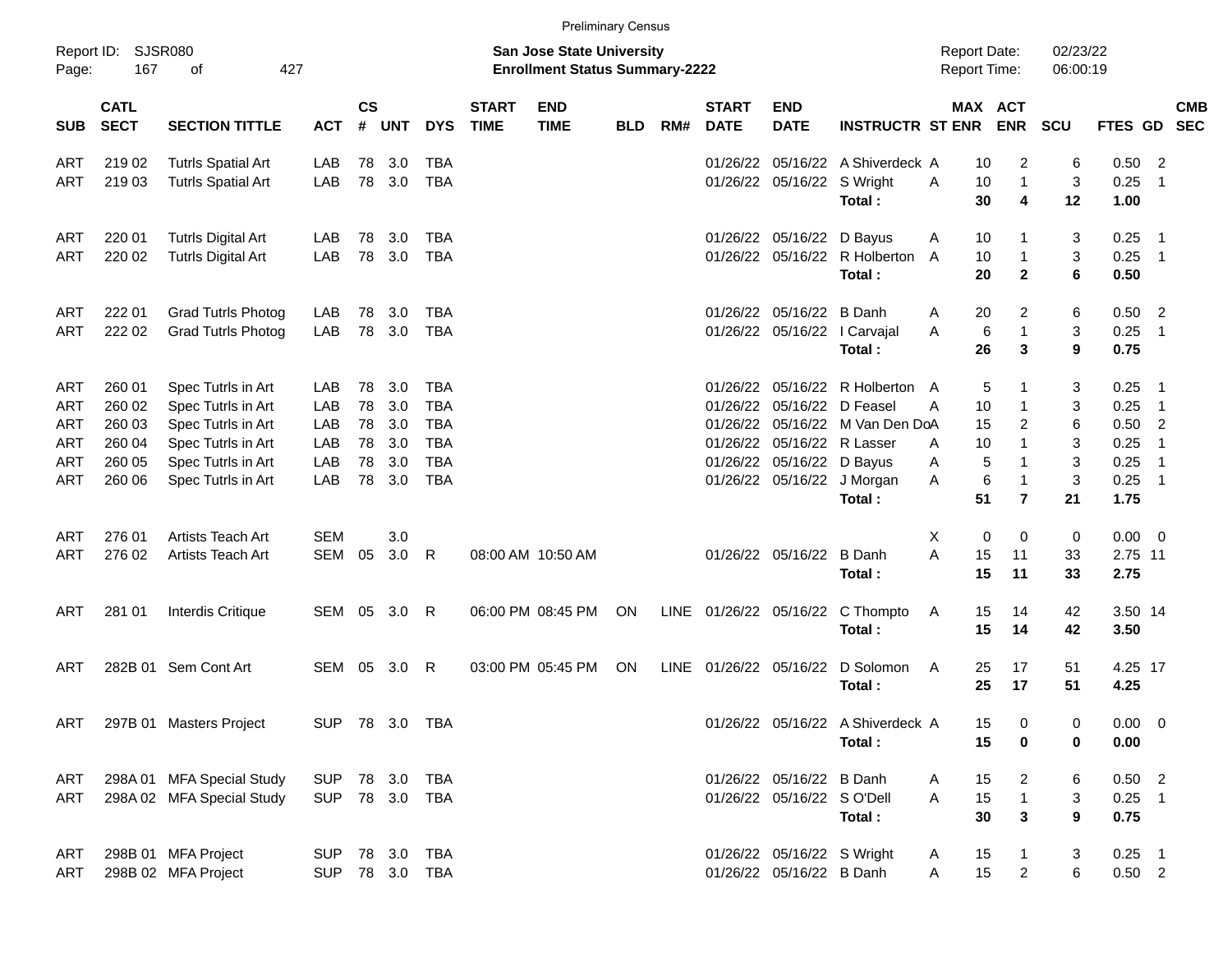|                     |                            |                           |                |                    |            |            |                             |                                                                    | <b>Preliminary Census</b> |     |                             |                            |                                  |              |             |                                            |                      |                 |                            |            |
|---------------------|----------------------------|---------------------------|----------------|--------------------|------------|------------|-----------------------------|--------------------------------------------------------------------|---------------------------|-----|-----------------------------|----------------------------|----------------------------------|--------------|-------------|--------------------------------------------|----------------------|-----------------|----------------------------|------------|
| Report ID:<br>Page: | 167                        | SJSR080<br>427<br>of      |                |                    |            |            |                             | San Jose State University<br><b>Enrollment Status Summary-2222</b> |                           |     |                             |                            |                                  |              |             | <b>Report Date:</b><br><b>Report Time:</b> | 02/23/22<br>06:00:19 |                 |                            |            |
| <b>SUB</b>          | <b>CATL</b><br><b>SECT</b> | <b>SECTION TITTLE</b>     | <b>ACT</b>     | $\mathsf{cs}$<br># | <b>UNT</b> | <b>DYS</b> | <b>START</b><br><b>TIME</b> | <b>END</b><br><b>TIME</b>                                          | <b>BLD</b>                | RM# | <b>START</b><br><b>DATE</b> | <b>END</b><br><b>DATE</b>  | <b>INSTRUCTR ST ENR</b>          |              |             | MAX ACT<br><b>ENR</b>                      | SCU                  | FTES GD SEC     |                            | <b>CMB</b> |
| ART                 | 219 02                     | <b>Tutrls Spatial Art</b> | LAB            | 78                 | 3.0        | <b>TBA</b> |                             |                                                                    |                           |     | 01/26/22                    | 05/16/22                   | A Shiverdeck A                   |              | 10          | 2                                          | 6                    | 0.50            | $\overline{2}$             |            |
| <b>ART</b>          | 219 03                     | <b>Tutrls Spatial Art</b> | LAB            | 78                 | 3.0        | <b>TBA</b> |                             |                                                                    |                           |     | 01/26/22                    | 05/16/22 S Wright          |                                  | A            | 10          | $\mathbf{1}$                               | 3                    | 0.25            | $\overline{\phantom{1}}$   |            |
|                     |                            |                           |                |                    |            |            |                             |                                                                    |                           |     |                             |                            | Total:                           |              | 30          | 4                                          | 12                   | 1.00            |                            |            |
| ART                 | 220 01                     | <b>Tutrls Digital Art</b> | LAB            | 78                 | 3.0        | <b>TBA</b> |                             |                                                                    |                           |     | 01/26/22                    | 05/16/22 D Bayus           |                                  | A            | 10          |                                            | 3                    | 0.25            | - 1                        |            |
| ART                 | 220 02                     | <b>Tutrls Digital Art</b> | LAB            | 78                 | 3.0        | <b>TBA</b> |                             |                                                                    |                           |     | 01/26/22                    |                            | 05/16/22 R Holberton A           |              | 10          | $\overline{1}$                             | 3                    | $0.25$ 1        |                            |            |
|                     |                            |                           |                |                    |            |            |                             |                                                                    |                           |     |                             |                            | Total:                           |              | 20          | $\mathbf{2}$                               | 6                    | 0.50            |                            |            |
| ART                 | 222 01                     | <b>Grad Tutrls Photog</b> | LAB            | 78                 | 3.0        | <b>TBA</b> |                             |                                                                    |                           |     | 01/26/22                    | 05/16/22                   | B Danh                           | A            | 20          | 2                                          | 6                    | 0.50            | $\overline{\phantom{0}}^2$ |            |
| ART                 | 222 02                     | <b>Grad Tutrls Photog</b> | LAB            | 78                 | 3.0        | <b>TBA</b> |                             |                                                                    |                           |     | 01/26/22                    | 05/16/22                   | I Carvajal                       | Α            | 6           | $\overline{1}$                             | 3                    | 0.25            | $\overline{\phantom{0}}$ 1 |            |
|                     |                            |                           |                |                    |            |            |                             |                                                                    |                           |     |                             |                            | Total:                           |              | 26          | 3                                          | 9                    | 0.75            |                            |            |
| ART                 | 260 01                     | Spec Tutrls in Art        | LAB.           | 78                 | 3.0        | <b>TBA</b> |                             |                                                                    |                           |     | 01/26/22                    |                            | 05/16/22 R Holberton A           |              | 5           |                                            | 3                    | 0.25            | - 1                        |            |
| ART                 | 260 02                     | Spec Tutrls in Art        | LAB            | 78                 | 3.0        | <b>TBA</b> |                             |                                                                    |                           |     | 01/26/22                    | 05/16/22                   | D Feasel                         | A            | 10          | $\mathbf 1$                                | 3                    | 0.25            | $\overline{\phantom{0}}$ 1 |            |
| ART                 | 260 03                     | Spec Tutrls in Art        | LAB            | 78                 | 3.0        | <b>TBA</b> |                             |                                                                    |                           |     | 01/26/22                    |                            | 05/16/22 M Van Den DoA           |              | 15          | 2                                          | 6                    | 0.50            | $\overline{2}$             |            |
| ART                 | 260 04                     | Spec Tutrls in Art        | LAB            | 78                 | 3.0        | <b>TBA</b> |                             |                                                                    |                           |     | 01/26/22                    |                            | 05/16/22 R Lasser                | A            | 10          | $\mathbf{1}$                               | 3                    | 0.25            | $\overline{1}$             |            |
| ART                 | 260 05                     | Spec Tutrls in Art        | LAB            | 78                 | 3.0        | <b>TBA</b> |                             |                                                                    |                           |     | 01/26/22                    |                            | 05/16/22 D Bayus                 | A            | 5           | $\overline{1}$                             | 3                    | 0.25            | $\overline{\phantom{0}}$   |            |
| <b>ART</b>          | 260 06                     | Spec Tutrls in Art        | LAB            | 78                 | 3.0        | <b>TBA</b> |                             |                                                                    |                           |     | 01/26/22                    |                            | 05/16/22 J Morgan                | Α            | 6           | $\overline{1}$                             | $\mathbf{3}$         | 0.25            | $\overline{1}$             |            |
|                     |                            |                           |                |                    |            |            |                             |                                                                    |                           |     |                             |                            | Total:                           |              | 51          | $\overline{7}$                             | 21                   | 1.75            |                            |            |
| ART                 | 276 01                     | Artists Teach Art         | <b>SEM</b>     |                    | 3.0        |            |                             |                                                                    |                           |     |                             |                            |                                  | Χ            | $\mathbf 0$ | $\Omega$                                   | 0                    | $0.00 \t 0$     |                            |            |
| <b>ART</b>          | 276 02                     | Artists Teach Art         | SEM            | 05                 | 3.0        | R          |                             | 08:00 AM 10:50 AM                                                  |                           |     |                             | 01/26/22 05/16/22          | <b>B</b> Danh                    | A            | 15          | 11                                         | 33                   | 2.75 11         |                            |            |
|                     |                            |                           |                |                    |            |            |                             |                                                                    |                           |     |                             |                            | Total:                           |              | 15          | 11                                         | 33                   | 2.75            |                            |            |
| <b>ART</b>          | 281 01                     | Interdis Critique         | SEM 05 3.0     |                    |            | R          |                             | 06:00 PM 08:45 PM                                                  | ON                        |     | LINE 01/26/22 05/16/22      |                            | C Thompto                        | A            | 15          | 14                                         | 42                   | 3.50 14         |                            |            |
|                     |                            |                           |                |                    |            |            |                             |                                                                    |                           |     |                             |                            | Total:                           |              | 15          | 14                                         | 42                   | 3.50            |                            |            |
|                     |                            |                           |                |                    |            |            |                             |                                                                    |                           |     |                             |                            |                                  |              |             |                                            |                      |                 |                            |            |
| <b>ART</b>          |                            | 282B 01 Sem Cont Art      | SEM 05 3.0     |                    |            | R          |                             | 03:00 PM 05:45 PM                                                  | ON                        |     | LINE 01/26/22 05/16/22      |                            | D Solomon<br>Total:              | A            | 25<br>25    | 17<br>17                                   | 51<br>51             | 4.25 17<br>4.25 |                            |            |
|                     |                            |                           |                |                    |            |            |                             |                                                                    |                           |     |                             |                            |                                  |              |             |                                            |                      |                 |                            |            |
| ART                 |                            | 297B 01 Masters Project   | SUP 78 3.0 TBA |                    |            |            |                             |                                                                    |                           |     |                             |                            | 01/26/22 05/16/22 A Shiverdeck A |              | 15          | $\overline{0}$                             | 0                    | $0.00 \t 0$     |                            |            |
|                     |                            |                           |                |                    |            |            |                             |                                                                    |                           |     |                             |                            | Total:                           |              | 15          | 0                                          | 0                    | 0.00            |                            |            |
| ART                 |                            | 298A 01 MFA Special Study | SUP 78 3.0 TBA |                    |            |            |                             |                                                                    |                           |     |                             | 01/26/22 05/16/22 B Danh   |                                  | A            | 15          | $\overline{2}$                             | 6                    | $0.50$ 2        |                            |            |
| ART                 |                            | 298A 02 MFA Special Study | SUP 78 3.0 TBA |                    |            |            |                             |                                                                    |                           |     |                             | 01/26/22 05/16/22 SO'Dell  |                                  | $\mathsf{A}$ | 15          | $\mathbf{1}$                               | 3                    | $0.25$ 1        |                            |            |
|                     |                            |                           |                |                    |            |            |                             |                                                                    |                           |     |                             |                            | Total:                           |              | 30          | $\mathbf{3}$                               | 9                    | 0.75            |                            |            |
| ART                 |                            | 298B 01 MFA Project       | SUP 78 3.0 TBA |                    |            |            |                             |                                                                    |                           |     |                             | 01/26/22 05/16/22 S Wright |                                  | A            | 15          | $\mathbf{1}$                               | 3                    | $0.25$ 1        |                            |            |
| ART                 |                            | 298B 02 MFA Project       | <b>SUP</b>     |                    |            | 78 3.0 TBA |                             |                                                                    |                           |     |                             | 01/26/22 05/16/22 B Danh   |                                  | A            | 15          | $\overline{2}$                             | 6                    | $0.50$ 2        |                            |            |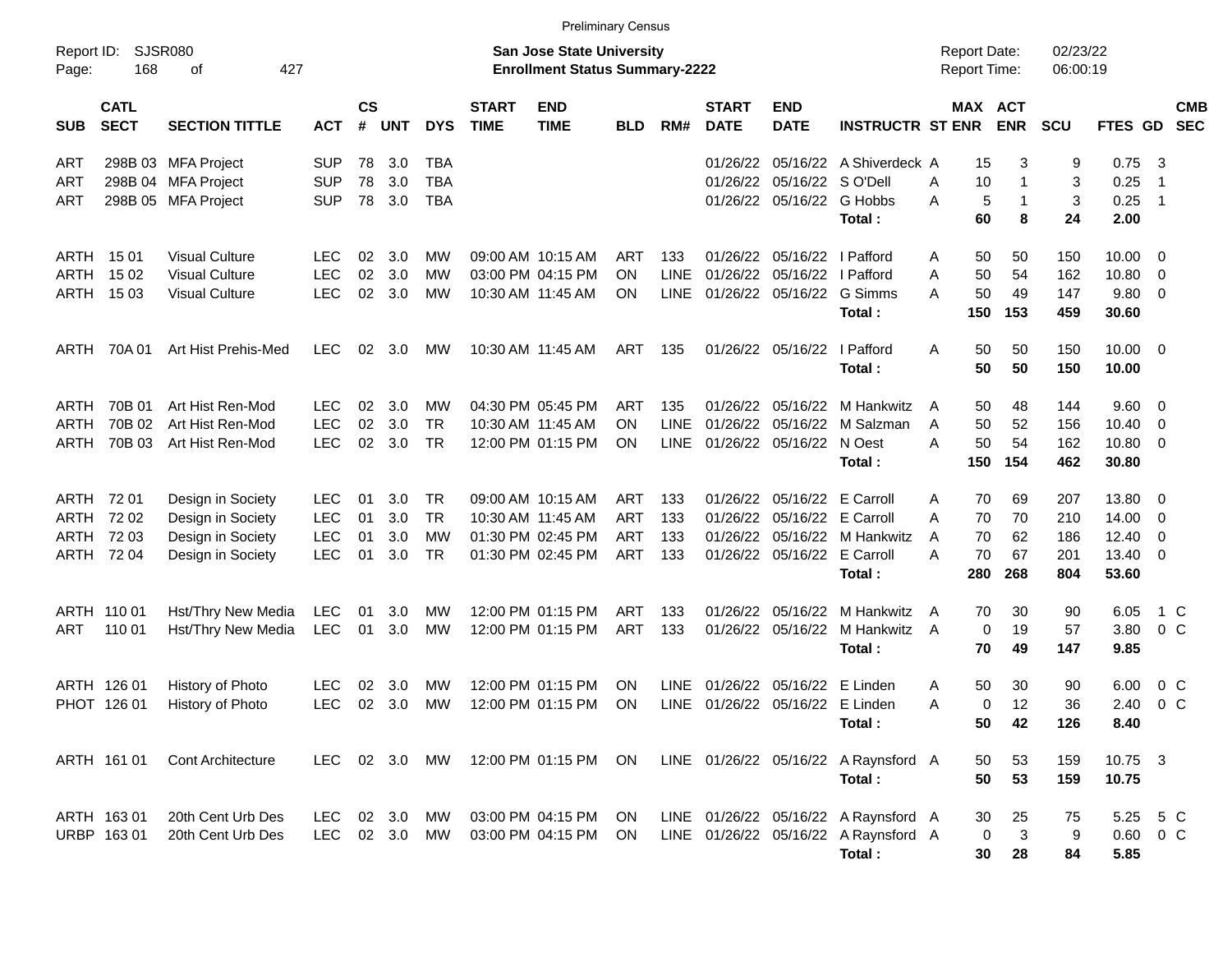|                                                                                                                                 | <b>Preliminary Census</b><br>02/23/22<br><b>Report Date:</b> |                                                                                  |                                                      |                      |                          |                                        |                             |                                                                                  |                                                      |                                   |                                              |                                                        |                                                                                        |                                                 |                               |                                 |                                           |                                                             |  |
|---------------------------------------------------------------------------------------------------------------------------------|--------------------------------------------------------------|----------------------------------------------------------------------------------|------------------------------------------------------|----------------------|--------------------------|----------------------------------------|-----------------------------|----------------------------------------------------------------------------------|------------------------------------------------------|-----------------------------------|----------------------------------------------|--------------------------------------------------------|----------------------------------------------------------------------------------------|-------------------------------------------------|-------------------------------|---------------------------------|-------------------------------------------|-------------------------------------------------------------|--|
| SJSR080<br><b>San Jose State University</b><br>Report ID:<br>427<br>168<br><b>Enrollment Status Summary-2222</b><br>Page:<br>οf |                                                              |                                                                                  |                                                      |                      |                          |                                        |                             |                                                                                  |                                                      |                                   |                                              |                                                        |                                                                                        | <b>Report Time:</b>                             |                               | 06:00:19                        |                                           |                                                             |  |
| <b>SUB</b>                                                                                                                      | <b>CATL</b><br><b>SECT</b>                                   | <b>SECTION TITTLE</b>                                                            | <b>ACT</b>                                           | $\mathsf{cs}$<br>#   | <b>UNT</b>               | <b>DYS</b>                             | <b>START</b><br><b>TIME</b> | <b>END</b><br><b>TIME</b>                                                        | <b>BLD</b>                                           | RM#                               | <b>START</b><br><b>DATE</b>                  | <b>END</b><br><b>DATE</b>                              | <b>INSTRUCTR ST ENR</b>                                                                |                                                 | MAX ACT<br><b>ENR</b>         | <b>SCU</b>                      | <b>FTES GD</b>                            | <b>CMB</b><br><b>SEC</b>                                    |  |
| ART<br>ART<br>ART                                                                                                               |                                                              | 298B 03 MFA Project<br>298B 04 MFA Project<br>298B 05 MFA Project                | SUP<br><b>SUP</b><br><b>SUP</b>                      | 78<br>78<br>78       | 3.0<br>3.0<br>3.0        | <b>TBA</b><br><b>TBA</b><br><b>TBA</b> |                             |                                                                                  |                                                      |                                   | 01/26/22<br>01/26/22<br>01/26/22             | 05/16/22 S O'Dell                                      | 05/16/22 A Shiverdeck A<br>05/16/22 G Hobbs<br>Total:                                  | 15<br>A<br>10<br>A<br>60                        | 3<br>1<br>5<br>1<br>8         | 9<br>3<br>3<br>24               | 0.75<br>0.25<br>0.25<br>2.00              | $\overline{\mathbf{3}}$<br>$\overline{1}$<br>$\overline{1}$ |  |
| ARTH<br><b>ARTH</b>                                                                                                             | ARTH 1501<br>15 02<br>15 03                                  | <b>Visual Culture</b><br><b>Visual Culture</b><br><b>Visual Culture</b>          | <b>LEC</b><br><b>LEC</b><br><b>LEC</b>               | 02<br>02<br>02       | 3.0<br>3.0<br>3.0        | МW<br><b>MW</b><br><b>MW</b>           |                             | 09:00 AM 10:15 AM<br>03:00 PM 04:15 PM<br>10:30 AM 11:45 AM                      | ART<br><b>ON</b><br><b>ON</b>                        | 133<br><b>LINE</b><br><b>LINE</b> | 01/26/22<br>01/26/22<br>01/26/22             | 05/16/22<br>05/16/22                                   | I Pafford<br>I Pafford<br>05/16/22 G Simms<br>Total:                                   | 50<br>A<br>50<br>A<br>A<br>50<br>150            | 50<br>54<br>49<br>153         | 150<br>162<br>147<br>459        | 10.00<br>10.80<br>9.80<br>30.60           | - 0<br>0<br>- 0                                             |  |
| ARTH                                                                                                                            | 70A 01                                                       | Art Hist Prehis-Med                                                              | <b>LEC</b>                                           | 02                   | 3.0                      | МW                                     |                             | 10:30 AM 11:45 AM                                                                | ART                                                  | 135                               |                                              | 01/26/22 05/16/22                                      | I Pafford<br>Total:                                                                    | 50<br>A<br>50                                   | 50<br>50                      | 150<br>150                      | $10.00 \t 0$<br>10.00                     |                                                             |  |
| ARTH<br>ARTH<br><b>ARTH</b>                                                                                                     | 70B 01<br>70B 02<br>70B 03                                   | Art Hist Ren-Mod<br>Art Hist Ren-Mod<br>Art Hist Ren-Mod                         | <b>LEC</b><br><b>LEC</b><br><b>LEC</b>               | 02<br>02<br>02       | 3.0<br>3.0<br>3.0        | МW<br><b>TR</b><br><b>TR</b>           |                             | 04:30 PM 05:45 PM<br>10:30 AM 11:45 AM<br>12:00 PM 01:15 PM                      | ART<br><b>ON</b><br><b>ON</b>                        | 135<br><b>LINE</b><br><b>LINE</b> | 01/26/22<br>01/26/22<br>01/26/22             | 05/16/22<br>05/16/22<br>05/16/22 N Oest                | M Hankwitz<br>M Salzman<br>Total :                                                     | 50<br>A<br>50<br>A<br>A<br>50<br>150            | 48<br>52<br>54<br>154         | 144<br>156<br>162<br>462        | 9.60 0<br>10.40<br>10.80<br>30.80         | 0<br>$\overline{\mathbf{0}}$                                |  |
| ARTH<br>ARTH<br><b>ARTH</b><br><b>ARTH</b>                                                                                      | 72 01<br>72 02<br>72 03<br>72 04                             | Design in Society<br>Design in Society<br>Design in Society<br>Design in Society | <b>LEC</b><br><b>LEC</b><br><b>LEC</b><br><b>LEC</b> | 01<br>01<br>01<br>01 | 3.0<br>3.0<br>3.0<br>3.0 | <b>TR</b><br><b>TR</b><br>MW<br>TR     |                             | 09:00 AM 10:15 AM<br>10:30 AM 11:45 AM<br>01:30 PM 02:45 PM<br>01:30 PM 02:45 PM | <b>ART</b><br><b>ART</b><br><b>ART</b><br><b>ART</b> | 133<br>133<br>133<br>133          | 01/26/22<br>01/26/22<br>01/26/22<br>01/26/22 | 05/16/22<br>05/16/22<br>05/16/22<br>05/16/22 E Carroll | E Carroll<br>E Carroll<br>M Hankwitz<br>Total:                                         | A<br>70<br>A<br>70<br>70<br>A<br>A<br>70<br>280 | 69<br>70<br>62<br>67<br>268   | 207<br>210<br>186<br>201<br>804 | 13.80<br>14.00<br>12.40<br>13.40<br>53.60 | - 0<br>0<br>$\overline{0}$<br>- 0                           |  |
| ART                                                                                                                             | ARTH 110 01<br>110 01                                        | Hst/Thry New Media<br>Hst/Thry New Media                                         | <b>LEC</b><br><b>LEC</b>                             | 01<br>01             | 3.0<br>3.0               | МW<br><b>MW</b>                        |                             | 12:00 PM 01:15 PM<br>12:00 PM 01:15 PM                                           | <b>ART</b><br><b>ART</b>                             | 133<br>133                        | 01/26/22<br>01/26/22                         | 05/16/22<br>05/16/22                                   | M Hankwitz<br>M Hankwitz<br>Total:                                                     | 70<br>A<br>A<br>70                              | 30<br>$\mathbf 0$<br>19<br>49 | 90<br>57<br>147                 | 6.05<br>3.80<br>9.85                      | 1 C<br>0 <sup>o</sup>                                       |  |
|                                                                                                                                 | ARTH 126 01<br>PHOT 126 01                                   | History of Photo<br>History of Photo                                             | <b>LEC</b><br><b>LEC</b>                             | 02<br>02             | 3.0<br>3.0               | МW<br><b>MW</b>                        |                             | 12:00 PM 01:15 PM<br>12:00 PM 01:15 PM                                           | ΟN<br><b>ON</b>                                      | <b>LINE</b><br><b>LINE</b>        | 01/26/22                                     | 05/16/22<br>01/26/22 05/16/22 E Linden                 | E Linden<br>Total:                                                                     | A<br>50<br>A<br>50                              | 30<br>12<br>0<br>42           | 90<br>36<br>126                 | 6.00<br>2.40<br>8.40                      | $0\,$ C<br>0 <sup>o</sup>                                   |  |
|                                                                                                                                 | ARTH 161 01                                                  | <b>Cont Architecture</b>                                                         | LEC.                                                 |                      | 02 3.0                   | MW                                     |                             | 12:00 PM 01:15 PM                                                                | ON                                                   |                                   |                                              |                                                        | LINE 01/26/22 05/16/22 A Raynsford A<br>Total:                                         | 50<br>50                                        | 53<br>53                      | 159<br>159                      | 10.75 3<br>10.75                          |                                                             |  |
|                                                                                                                                 | ARTH 163 01<br>URBP 16301                                    | 20th Cent Urb Des<br>20th Cent Urb Des                                           | <b>LEC</b><br><b>LEC</b>                             | 02                   | 3.0<br>02 3.0            | <b>MW</b><br>MW                        |                             | 03:00 PM 04:15 PM<br>03:00 PM 04:15 PM                                           | ON<br>ON.                                            |                                   |                                              |                                                        | LINE 01/26/22 05/16/22 A Raynsford A<br>LINE 01/26/22 05/16/22 A Raynsford A<br>Total: | 30<br>30                                        | 25<br>$\mathbf{3}$<br>0<br>28 | 75<br>9<br>84                   | 5.25<br>5.85                              | 5 C<br>$0.60 \quad 0 \quad C$                               |  |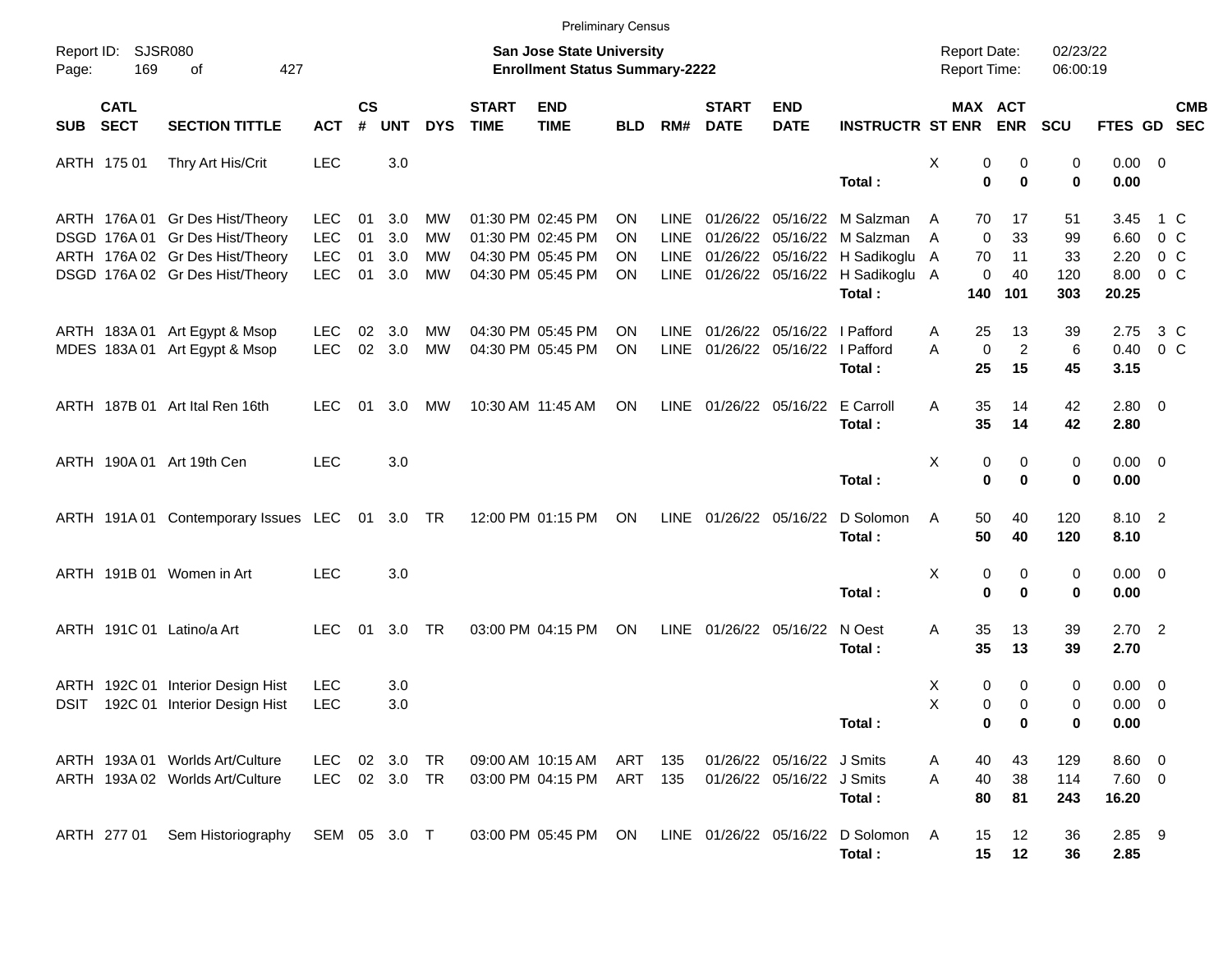|                     |                            |                                                                                                                                          |                                                      |                      |                                                                           |                      |                             | <b>Preliminary Census</b>                                                        |                                     |                     |                                        |                                                        |                                                                                                                                                    |             |                                     |                             |                              |                                       |                                            |            |
|---------------------|----------------------------|------------------------------------------------------------------------------------------------------------------------------------------|------------------------------------------------------|----------------------|---------------------------------------------------------------------------|----------------------|-----------------------------|----------------------------------------------------------------------------------|-------------------------------------|---------------------|----------------------------------------|--------------------------------------------------------|----------------------------------------------------------------------------------------------------------------------------------------------------|-------------|-------------------------------------|-----------------------------|------------------------------|---------------------------------------|--------------------------------------------|------------|
| Report ID:<br>Page: | <b>SJSR080</b><br>169      | 427<br>οf                                                                                                                                |                                                      |                      | <b>San Jose State University</b><br><b>Enrollment Status Summary-2222</b> |                      |                             |                                                                                  | <b>Report Date:</b><br>Report Time: |                     |                                        | 02/23/22<br>06:00:19                                   |                                                                                                                                                    |             |                                     |                             |                              |                                       |                                            |            |
| SUB                 | <b>CATL</b><br><b>SECT</b> | <b>SECTION TITTLE</b>                                                                                                                    | <b>ACT</b>                                           | $\mathsf{cs}$<br>#   | <b>UNT</b>                                                                | <b>DYS</b>           | <b>START</b><br><b>TIME</b> | <b>END</b><br><b>TIME</b>                                                        | <b>BLD</b>                          | RM#                 | <b>START</b><br><b>DATE</b>            | <b>END</b><br><b>DATE</b>                              | <b>INSTRUCTR ST ENR ENR</b>                                                                                                                        |             |                                     | MAX ACT                     | SCU                          | FTES GD SEC                           |                                            | <b>CMB</b> |
|                     | ARTH 175 01                | Thry Art His/Crit                                                                                                                        | <b>LEC</b>                                           |                      | 3.0                                                                       |                      |                             |                                                                                  |                                     |                     |                                        |                                                        | Total :                                                                                                                                            | X           | 0<br>0                              | 0<br>$\mathbf 0$            | 0<br>$\bf{0}$                | $0.00 \t 0$<br>0.00                   |                                            |            |
|                     |                            | ARTH 176A 01 Gr Des Hist/Theory<br>DSGD 176A 01 Gr Des Hist/Theory<br>ARTH 176A 02 Gr Des Hist/Theory<br>DSGD 176A 02 Gr Des Hist/Theory | <b>LEC</b><br><b>LEC</b><br><b>LEC</b><br><b>LEC</b> | 01<br>01<br>01<br>01 | 3.0<br>3.0<br>3.0<br>3.0                                                  | MW<br>MW<br>MW<br>MW |                             | 01:30 PM 02:45 PM<br>01:30 PM 02:45 PM<br>04:30 PM 05:45 PM<br>04:30 PM 05:45 PM | ΟN<br>ΟN<br>ON<br>ΟN                | LINE<br><b>LINE</b> |                                        |                                                        | 01/26/22 05/16/22 M Salzman<br>01/26/22 05/16/22 M Salzman<br>LINE 01/26/22 05/16/22 H Sadikoglu<br>LINE 01/26/22 05/16/22 H Sadikoglu A<br>Total: | A<br>A<br>A | 70<br>$\mathbf 0$<br>70<br>0<br>140 | 17<br>33<br>11<br>40<br>101 | 51<br>99<br>33<br>120<br>303 | 3.45<br>6.60<br>2.20<br>8.00<br>20.25 | 0 <sup>o</sup><br>$0\,C$<br>0 <sup>o</sup> | 1 C        |
|                     |                            | ARTH 183A 01 Art Egypt & Msop<br>MDES 183A 01 Art Egypt & Msop                                                                           | <b>LEC</b><br><b>LEC</b>                             | 02<br>02             | 3.0<br>3.0                                                                | MW<br>MW             |                             | 04:30 PM 05:45 PM<br>04:30 PM 05:45 PM                                           | <b>ON</b><br>ΟN                     | LINE<br><b>LINE</b> | 01/26/22 05/16/22<br>01/26/22 05/16/22 |                                                        | I Pafford<br>I Pafford<br>Total:                                                                                                                   | A<br>A      | 25<br>$\mathbf 0$<br>25             | 13<br>$\overline{c}$<br>15  | 39<br>6<br>45                | 2.75<br>0.40<br>3.15                  | $3\,C$<br>0 <sup>o</sup>                   |            |
|                     |                            | ARTH 187B 01 Art Ital Ren 16th                                                                                                           | <b>LEC</b>                                           | 01                   | 3.0                                                                       | МW                   |                             | 10:30 AM 11:45 AM                                                                | <b>ON</b>                           |                     | LINE 01/26/22 05/16/22                 |                                                        | E Carroll<br>Total:                                                                                                                                | A           | 35<br>35                            | 14<br>14                    | 42<br>42                     | $2.80 \t 0$<br>2.80                   |                                            |            |
|                     |                            | ARTH 190A 01 Art 19th Cen                                                                                                                | <b>LEC</b>                                           |                      | 3.0                                                                       |                      |                             |                                                                                  |                                     |                     |                                        |                                                        | Total:                                                                                                                                             | X           | 0<br>0                              | 0<br>$\bf{0}$               | 0<br>$\bf{0}$                | $0.00 \t 0$<br>0.00                   |                                            |            |
|                     |                            | ARTH 191A 01 Contemporary Issues LEC 01 3.0 TR                                                                                           |                                                      |                      |                                                                           |                      |                             | 12:00 PM 01:15 PM                                                                | ON                                  |                     | LINE 01/26/22 05/16/22                 |                                                        | D Solomon<br>Total:                                                                                                                                | A           | 50<br>50                            | 40<br>40                    | 120<br>120                   | 8.10 2<br>8.10                        |                                            |            |
|                     |                            | ARTH 191B 01 Women in Art                                                                                                                | <b>LEC</b>                                           |                      | 3.0                                                                       |                      |                             |                                                                                  |                                     |                     |                                        |                                                        | Total:                                                                                                                                             | X           | 0<br>$\mathbf 0$                    | 0<br>$\bf{0}$               | 0<br>0                       | $0.00 \t 0$<br>0.00                   |                                            |            |
|                     |                            | ARTH 191C 01 Latino/a Art                                                                                                                | <b>LEC</b>                                           | 01                   | 3.0                                                                       | <b>TR</b>            |                             | 03:00 PM 04:15 PM                                                                | ON                                  | <b>LINE</b>         | 01/26/22 05/16/22                      |                                                        | N Oest<br>Total:                                                                                                                                   | Α           | 35<br>35                            | 13<br>13                    | 39<br>39                     | $2.70$ 2<br>2.70                      |                                            |            |
| DSIT                |                            | ARTH 192C 01 Interior Design Hist<br>192C 01 Interior Design Hist                                                                        | <b>LEC</b><br><b>LEC</b>                             |                      | 3.0<br>3.0                                                                |                      |                             |                                                                                  |                                     |                     |                                        |                                                        | Total:                                                                                                                                             | х<br>X      | 0<br>0<br>0                         | 0<br>$\Omega$<br>0          | 0<br>0<br>0                  | $0.00 \t 0$<br>$0.00 \t 0$<br>0.00    |                                            |            |
|                     |                            | ARTH 193A 01 Worlds Art/Culture<br>ARTH 193A 02 Worlds Art/Culture                                                                       | LEC.<br>LEC                                          |                      | 02 3.0<br>02 3.0                                                          | TR<br>TR             |                             | 09:00 AM 10:15 AM<br>03:00 PM 04:15 PM                                           | ART<br>ART 135                      | 135                 |                                        | 01/26/22 05/16/22 J Smits<br>01/26/22 05/16/22 J Smits | Total:                                                                                                                                             | Α<br>Α      | 40<br>40<br>80                      | 43<br>38<br>81              | 129<br>114<br>243            | $8.60$ 0<br>7.60 0<br>16.20           |                                            |            |
|                     | ARTH 277 01                | Sem Historiography                                                                                                                       | SEM 05 3.0 T                                         |                      |                                                                           |                      |                             | 03:00 PM 05:45 PM ON                                                             |                                     |                     |                                        |                                                        | LINE 01/26/22 05/16/22 D Solomon<br>Total:                                                                                                         | A           | 15<br>15                            | 12<br>12                    | 36<br>36                     | 2.85 9<br>2.85                        |                                            |            |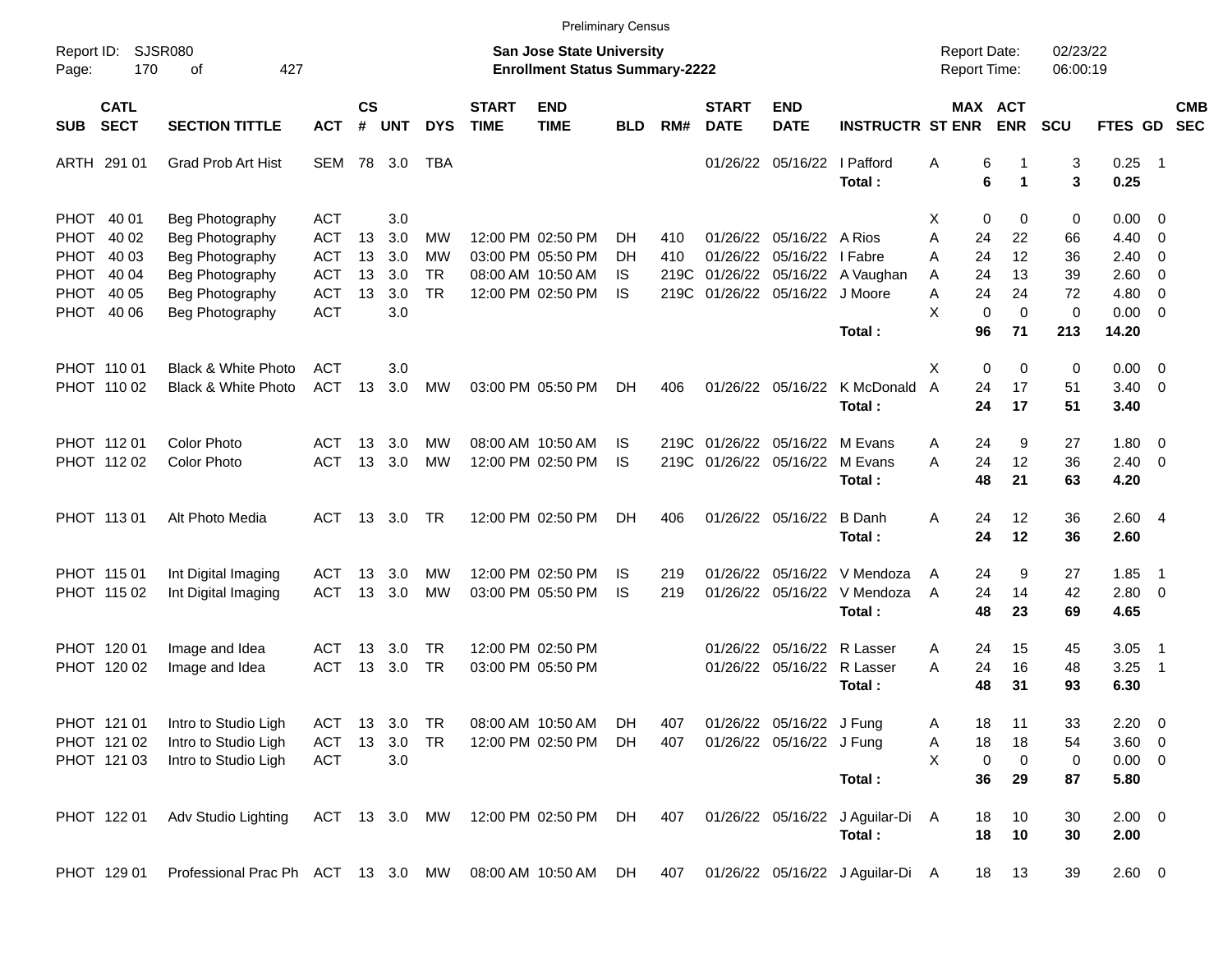| <b>Preliminary Census</b>                                                      |                                           |                                                                                                                |                                                                                  |                      |                                        |                                    |                             |                                                                                  |                              |                            |                             |                                                            |                                                  |                                     |                                                                                      |                                          |                                              |                                                                                              |                          |
|--------------------------------------------------------------------------------|-------------------------------------------|----------------------------------------------------------------------------------------------------------------|----------------------------------------------------------------------------------|----------------------|----------------------------------------|------------------------------------|-----------------------------|----------------------------------------------------------------------------------|------------------------------|----------------------------|-----------------------------|------------------------------------------------------------|--------------------------------------------------|-------------------------------------|--------------------------------------------------------------------------------------|------------------------------------------|----------------------------------------------|----------------------------------------------------------------------------------------------|--------------------------|
| Report ID:<br>Page:                                                            | <b>SJSR080</b><br>170                     | 427<br>οf                                                                                                      |                                                                                  |                      |                                        |                                    |                             | <b>San Jose State University</b><br><b>Enrollment Status Summary-2222</b>        |                              |                            |                             |                                                            |                                                  | <b>Report Date:</b><br>Report Time: |                                                                                      | 02/23/22<br>06:00:19                     |                                              |                                                                                              |                          |
| <b>SUB</b>                                                                     | <b>CATL</b><br><b>SECT</b>                | <b>SECTION TITTLE</b>                                                                                          | <b>ACT</b>                                                                       | $\mathsf{cs}$<br>#   | <b>UNT</b>                             | <b>DYS</b>                         | <b>START</b><br><b>TIME</b> | <b>END</b><br><b>TIME</b>                                                        | <b>BLD</b>                   | RM#                        | <b>START</b><br><b>DATE</b> | <b>END</b><br><b>DATE</b>                                  | <b>INSTRUCTR ST ENR</b>                          |                                     | MAX ACT<br><b>ENR</b>                                                                | SCU                                      | FTES GD                                      |                                                                                              | <b>CMB</b><br><b>SEC</b> |
|                                                                                | ARTH 291 01                               | <b>Grad Prob Art Hist</b>                                                                                      | <b>SEM</b>                                                                       | 78                   | 3.0                                    | TBA                                |                             |                                                                                  |                              |                            |                             | 01/26/22 05/16/22                                          | I Pafford<br>Total:                              | A                                   | 6<br>6<br>1                                                                          | 3<br>3                                   | 0.25<br>0.25                                 | $\overline{\phantom{1}}$                                                                     |                          |
| PHOT 40 01<br><b>PHOT</b><br><b>PHOT</b><br><b>PHOT</b><br><b>PHOT</b><br>PHOT | 40 02<br>40 03<br>40 04<br>40 05<br>40 06 | Beg Photography<br>Beg Photography<br>Beg Photography<br>Beg Photography<br>Beg Photography<br>Beg Photography | <b>ACT</b><br><b>ACT</b><br><b>ACT</b><br><b>ACT</b><br><b>ACT</b><br><b>ACT</b> | 13<br>13<br>13<br>13 | 3.0<br>3.0<br>3.0<br>3.0<br>3.0<br>3.0 | MW<br>МW<br><b>TR</b><br><b>TR</b> |                             | 12:00 PM 02:50 PM<br>03:00 PM 05:50 PM<br>08:00 AM 10:50 AM<br>12:00 PM 02:50 PM | DH.<br>DH<br>IS<br><b>IS</b> | 410<br>410<br>219C<br>219C | 01/26/22                    | 01/26/22 05/16/22<br>05/16/22<br>01/26/22 05/16/22 J Moore | A Rios<br>I Fabre<br>01/26/22 05/16/22 A Vaughan | X<br>A<br>Α<br>A<br>Α<br>X          | 0<br>0<br>24<br>22<br>24<br>12<br>24<br>13<br>24<br>24<br>$\mathbf 0$<br>$\mathbf 0$ | 0<br>66<br>36<br>39<br>72<br>$\mathbf 0$ | 0.00<br>4.40<br>2.40<br>2.60<br>4.80<br>0.00 | - 0<br>$\overline{0}$<br>- 0<br>$\overline{0}$<br>$\overline{0}$<br>$\overline{\phantom{0}}$ |                          |
|                                                                                | PHOT 110 01<br>PHOT 110 02                | <b>Black &amp; White Photo</b><br>Black & White Photo                                                          | <b>ACT</b><br><b>ACT</b>                                                         | 13                   | 3.0<br>3.0                             | MW                                 |                             | 03:00 PM 05:50 PM                                                                | DH.                          | 406                        |                             | 01/26/22 05/16/22                                          | Total :<br>K McDonald<br>Total:                  | X<br>$\overline{A}$                 | 96<br>71<br>$\mathbf 0$<br>0<br>24<br>17<br>24<br>17                                 | 213<br>0<br>51<br>51                     | 14.20<br>0.00<br>3.40<br>3.40                | $\overline{\phantom{0}}$<br>$\overline{0}$                                                   |                          |
|                                                                                | PHOT 11201<br>PHOT 112 02                 | <b>Color Photo</b><br>Color Photo                                                                              | <b>ACT</b><br><b>ACT</b>                                                         | 13<br>13             | 3.0<br>3.0                             | MW<br>MW                           |                             | 08:00 AM 10:50 AM<br>12:00 PM 02:50 PM                                           | IS<br><b>IS</b>              | 219C<br>219C               |                             | 01/26/22 05/16/22 M Evans<br>01/26/22 05/16/22             | M Evans<br>Total:                                | A<br>A                              | 24<br>9<br>24<br>12<br>48<br>21                                                      | 27<br>36<br>63                           | 1.80<br>2.40<br>4.20                         | - 0<br>$\overline{0}$                                                                        |                          |
|                                                                                | PHOT 113 01                               | Alt Photo Media                                                                                                | <b>ACT</b>                                                                       | 13                   | 3.0                                    | <b>TR</b>                          |                             | 12:00 PM 02:50 PM                                                                | DH.                          | 406                        |                             | 01/26/22 05/16/22                                          | B Danh<br>Total:                                 | A                                   | 24<br>12<br>24<br>12                                                                 | 36<br>36                                 | 2.604<br>2.60                                |                                                                                              |                          |
|                                                                                | PHOT 115 01<br>PHOT 115 02                | Int Digital Imaging<br>Int Digital Imaging                                                                     | <b>ACT</b><br><b>ACT</b>                                                         | 13<br>13             | 3.0<br>3.0                             | MW<br>MW                           |                             | 12:00 PM 02:50 PM<br>03:00 PM 05:50 PM                                           | IS<br><b>IS</b>              | 219<br>219                 | 01/26/22                    | 05/16/22<br>01/26/22 05/16/22                              | V Mendoza<br>V Mendoza<br>Total:                 | A<br>$\overline{A}$                 | 24<br>9<br>24<br>14<br>48<br>23                                                      | 27<br>42<br>69                           | 1.85<br>2.80 0<br>4.65                       | $\overline{\phantom{1}}$                                                                     |                          |
|                                                                                | PHOT 120 01<br>PHOT 120 02                | Image and Idea<br>Image and Idea                                                                               | ACT<br><b>ACT</b>                                                                | 13<br>13             | 3.0<br>3.0                             | <b>TR</b><br><b>TR</b>             |                             | 12:00 PM 02:50 PM<br>03:00 PM 05:50 PM                                           |                              |                            |                             | 01/26/22 05/16/22<br>01/26/22 05/16/22 R Lasser            | R Lasser<br>Total:                               | A<br>A                              | 24<br>15<br>24<br>16<br>31<br>48                                                     | 45<br>48<br>93                           | 3.05<br>3.25<br>6.30                         | - 1<br>- 1                                                                                   |                          |
|                                                                                | PHOT 121 01<br>PHOT 121 02<br>PHOT 121 03 | Intro to Studio Ligh<br>Intro to Studio Ligh<br>Intro to Studio Ligh                                           | ACT<br>ACT<br><b>ACT</b>                                                         | 13<br>13             | 3.0<br>3.0<br>3.0                      | TR<br><b>TR</b>                    |                             | 08:00 AM 10:50 AM<br>12:00 PM 02:50 PM                                           | DH.<br>DH.                   | 407<br>407                 |                             | 01/26/22 05/16/22 J Fung<br>01/26/22 05/16/22 J Fung       | Total:                                           | Α<br>Α<br>X                         | 18<br>11<br>18<br>18<br>0<br>0<br>36<br>29                                           | 33<br>54<br>0<br>87                      | $2.20 \t 0$<br>3.60 0<br>$0.00 \t 0$<br>5.80 |                                                                                              |                          |
|                                                                                | PHOT 122 01                               | Adv Studio Lighting                                                                                            | ACT 13 3.0 MW                                                                    |                      |                                        |                                    |                             | 12:00 PM 02:50 PM                                                                | DH                           | 407                        |                             |                                                            | 01/26/22 05/16/22 J Aguilar-Di A<br>Total:       |                                     | 10<br>18<br>18<br>10                                                                 | 30<br>30                                 | $2.00 \t 0$<br>2.00                          |                                                                                              |                          |
|                                                                                | PHOT 129 01                               | Professional Prac Ph ACT 13 3.0 MW 08:00 AM 10:50 AM                                                           |                                                                                  |                      |                                        |                                    |                             |                                                                                  | DH                           | 407                        |                             |                                                            | 01/26/22 05/16/22 J Aguilar-Di A                 |                                     | 18<br>13                                                                             | 39                                       | 2.60 0                                       |                                                                                              |                          |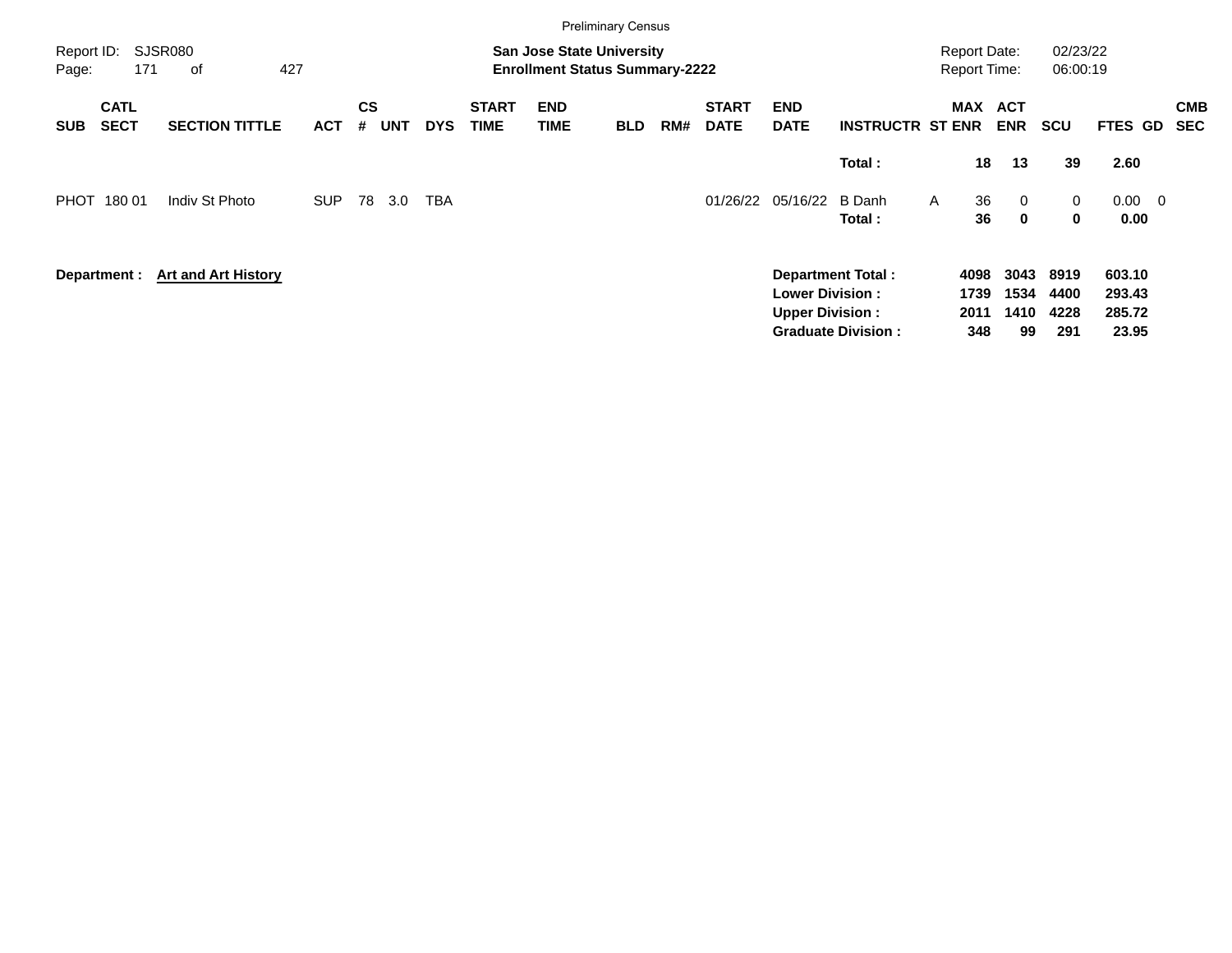|                                          |                            |            |                |            |            |                             |                                                                           | <b>Preliminary Census</b> |     |                             |                                                  |                           |                                            |                            |                      |                            |                          |
|------------------------------------------|----------------------------|------------|----------------|------------|------------|-----------------------------|---------------------------------------------------------------------------|---------------------------|-----|-----------------------------|--------------------------------------------------|---------------------------|--------------------------------------------|----------------------------|----------------------|----------------------------|--------------------------|
| Report ID:<br>171<br>Page:               | SJSR080<br>427<br>оf       |            |                |            |            |                             | <b>San Jose State University</b><br><b>Enrollment Status Summary-2222</b> |                           |     |                             |                                                  |                           | <b>Report Date:</b><br><b>Report Time:</b> |                            | 02/23/22<br>06:00:19 |                            |                          |
| <b>CATL</b><br><b>SECT</b><br><b>SUB</b> | <b>SECTION TITTLE</b>      | <b>ACT</b> | <b>CS</b><br># | <b>UNT</b> | <b>DYS</b> | <b>START</b><br><b>TIME</b> | <b>END</b><br><b>TIME</b>                                                 | <b>BLD</b>                | RM# | <b>START</b><br><b>DATE</b> | <b>END</b><br><b>DATE</b>                        | <b>INSTRUCTR ST ENR</b>   | <b>MAX</b>                                 | <b>ACT</b><br><b>ENR</b>   | <b>SCU</b>           | FTES GD                    | <b>CMB</b><br><b>SEC</b> |
|                                          |                            |            |                |            |            |                             |                                                                           |                           |     |                             |                                                  | Total:                    | 18                                         | 13                         | 39                   | 2.60                       |                          |
| PHOT<br>180 01                           | Indiv St Photo             | <b>SUP</b> | 78             | 3.0        | <b>TBA</b> |                             |                                                                           |                           |     | 01/26/22                    | 05/16/22                                         | B Danh<br>Total :         | 36<br>A<br>36                              | $\overline{0}$<br>$\bf{0}$ | 0<br>$\mathbf 0$     | $0.00 \quad 0$<br>0.00     |                          |
| Department :                             | <b>Art and Art History</b> |            |                |            |            |                             |                                                                           |                           |     |                             | <b>Lower Division:</b><br><b>Upper Division:</b> | <b>Department Total:</b>  | 4098<br>1739<br>2011                       | 3043<br>1534<br>1410       | 8919<br>4400<br>4228 | 603.10<br>293.43<br>285.72 |                          |
|                                          |                            |            |                |            |            |                             |                                                                           |                           |     |                             |                                                  | <b>Graduate Division:</b> | 348                                        | 99                         | 291                  | 23.95                      |                          |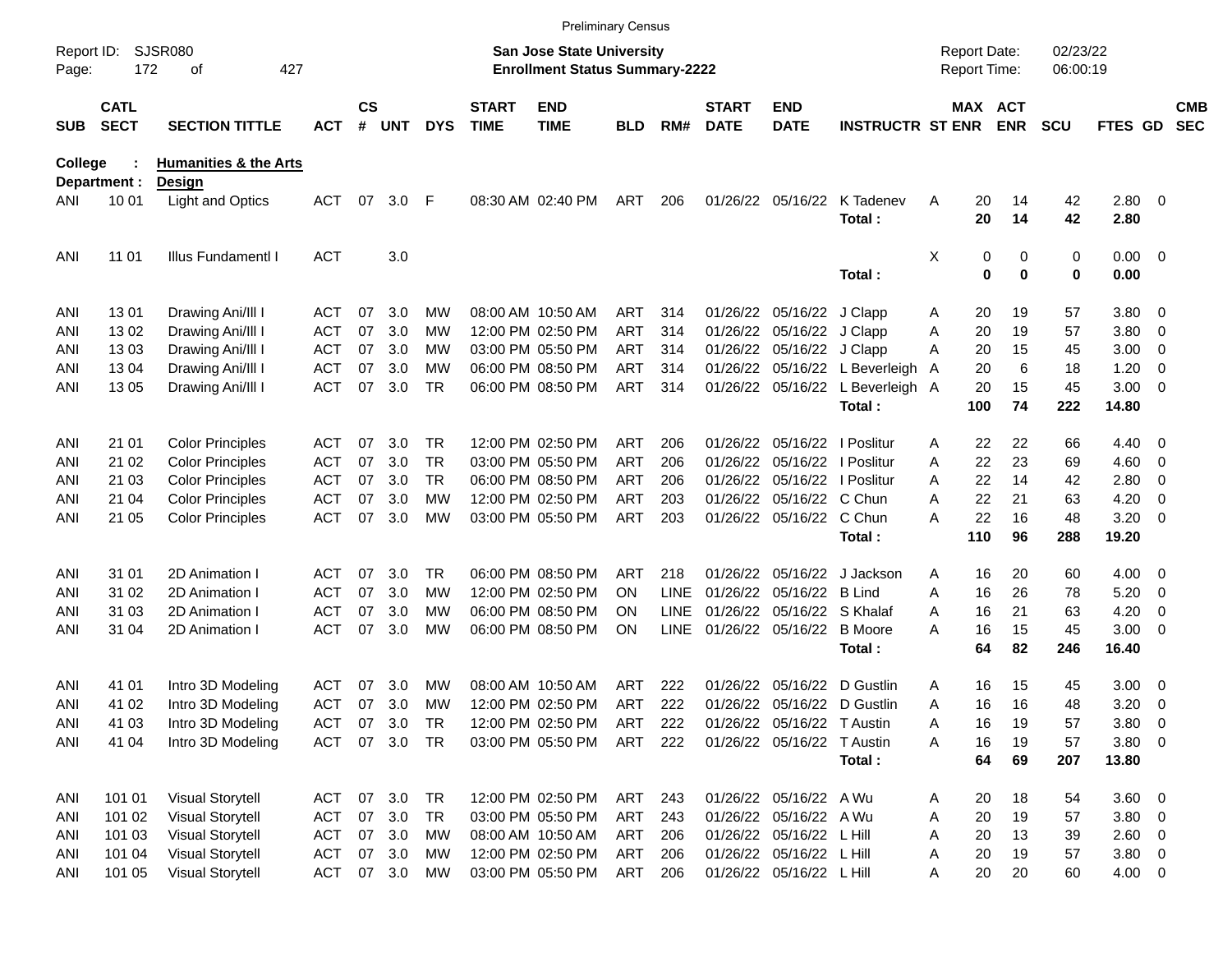|                     |                            |                                            |            |                    |            |            |                             |                                                                           | <b>Preliminary Census</b> |             |                             |                              |                                  |                                     |          |             |                      |                |                          |                          |
|---------------------|----------------------------|--------------------------------------------|------------|--------------------|------------|------------|-----------------------------|---------------------------------------------------------------------------|---------------------------|-------------|-----------------------------|------------------------------|----------------------------------|-------------------------------------|----------|-------------|----------------------|----------------|--------------------------|--------------------------|
| Report ID:<br>Page: | 172                        | <b>SJSR080</b><br>427<br>οf                |            |                    |            |            |                             | <b>San Jose State University</b><br><b>Enrollment Status Summary-2222</b> |                           |             |                             |                              |                                  | <b>Report Date:</b><br>Report Time: |          |             | 02/23/22<br>06:00:19 |                |                          |                          |
| <b>SUB</b>          | <b>CATL</b><br><b>SECT</b> | <b>SECTION TITTLE</b>                      | <b>ACT</b> | $\mathsf{cs}$<br># | <b>UNT</b> | <b>DYS</b> | <b>START</b><br><b>TIME</b> | <b>END</b><br><b>TIME</b>                                                 | BLD                       | RM#         | <b>START</b><br><b>DATE</b> | <b>END</b><br><b>DATE</b>    | <b>INSTRUCTR ST ENR</b>          |                                     | MAX ACT  | <b>ENR</b>  | <b>SCU</b>           | FTES GD        |                          | <b>CMB</b><br><b>SEC</b> |
| College             | Department :               | <b>Humanities &amp; the Arts</b><br>Design |            |                    |            |            |                             |                                                                           |                           |             |                             |                              |                                  |                                     |          |             |                      |                |                          |                          |
| ANI                 | 10 01                      | <b>Light and Optics</b>                    | ACT        | 07                 | 3.0        | -F         |                             | 08:30 AM 02:40 PM                                                         | ART                       | 206         |                             | 01/26/22 05/16/22            | K Tadenev<br>Total:              | Α                                   | 20<br>20 | 14<br>14    | 42<br>42             | 2.80 0<br>2.80 |                          |                          |
| ANI                 | 11 01                      | Illus Fundamentl I                         | <b>ACT</b> |                    | 3.0        |            |                             |                                                                           |                           |             |                             |                              |                                  | Χ                                   | 0        | 0           | 0                    | $0.00 \t 0$    |                          |                          |
|                     |                            |                                            |            |                    |            |            |                             |                                                                           |                           |             |                             |                              | Total:                           |                                     | 0        | $\mathbf 0$ | 0                    | 0.00           |                          |                          |
| ANI                 | 1301                       | Drawing Ani/III I                          | ACT        | 07                 | 3.0        | МW         |                             | 08:00 AM 10:50 AM                                                         | ART                       | 314         |                             | 01/26/22 05/16/22 J Clapp    |                                  | Α                                   | 20       | 19          | 57                   | 3.80           | $\overline{\phantom{0}}$ |                          |
| ANI                 | 1302                       | Drawing Ani/III I                          | ACT        | 07                 | 3.0        | МW         |                             | 12:00 PM 02:50 PM                                                         | ART                       | 314         |                             | 01/26/22 05/16/22 J Clapp    |                                  | Α                                   | 20       | 19          | 57                   | 3.80           | $\overline{\mathbf{0}}$  |                          |
| ANI                 | 1303                       | Drawing Ani/III I                          | ACT        | 07                 | 3.0        | МW         |                             | 03:00 PM 05:50 PM                                                         | ART                       | 314         |                             | 01/26/22 05/16/22 J Clapp    |                                  | A                                   | 20       | 15          | 45                   | 3.00           | $\overline{\mathbf{0}}$  |                          |
| ANI                 | 1304                       | Drawing Ani/III I                          | <b>ACT</b> | 07                 | 3.0        | МW         |                             | 06:00 PM 08:50 PM                                                         | ART                       | 314         |                             |                              | 01/26/22 05/16/22 L Beverleigh   | A                                   | 20       | 6           | 18                   | 1.20           | 0                        |                          |
| ANI                 | 13 05                      | Drawing Ani/III I                          | <b>ACT</b> | 07                 | 3.0        | <b>TR</b>  |                             | 06:00 PM 08:50 PM                                                         | ART                       | 314         |                             |                              | 01/26/22 05/16/22 L Beverleigh A |                                     | 20       | 15          | 45                   | 3.00           | $\overline{\phantom{0}}$ |                          |
|                     |                            |                                            |            |                    |            |            |                             |                                                                           |                           |             |                             |                              | Total:                           |                                     | 100      | 74          | 222                  | 14.80          |                          |                          |
| ANI                 | 21 01                      | <b>Color Principles</b>                    | ACT        | 07                 | 3.0        | TR.        |                             | 12:00 PM 02:50 PM                                                         | ART                       | 206         |                             | 01/26/22 05/16/22   Poslitur |                                  | Α                                   | 22       | 22          | 66                   | 4.40           | - 0                      |                          |
| ANI                 | 21 02                      | <b>Color Principles</b>                    | <b>ACT</b> | 07                 | 3.0        | <b>TR</b>  |                             | 03:00 PM 05:50 PM                                                         | <b>ART</b>                | 206         |                             | 01/26/22 05/16/22   Poslitur |                                  | Α                                   | 22       | 23          | 69                   | 4.60           | $\overline{\phantom{0}}$ |                          |
| ANI                 | 21 03                      | <b>Color Principles</b>                    | ACT        | 07                 | 3.0        | <b>TR</b>  |                             | 06:00 PM 08:50 PM                                                         | ART                       | 206         |                             | 01/26/22 05/16/22   Poslitur |                                  | Α                                   | 22       | 14          | 42                   | 2.80           | 0                        |                          |
| ANI                 | 21 04                      | <b>Color Principles</b>                    | <b>ACT</b> | 07                 | 3.0        | МW         |                             | 12:00 PM 02:50 PM                                                         | ART                       | 203         |                             | 01/26/22 05/16/22 C Chun     |                                  | Α                                   | 22       | 21          | 63                   | 4.20           | 0                        |                          |
| ANI                 | 21 05                      | <b>Color Principles</b>                    | <b>ACT</b> | 07                 | 3.0        | МW         |                             | 03:00 PM 05:50 PM                                                         | ART                       | 203         |                             | 01/26/22 05/16/22 C Chun     |                                  | А                                   | 22       | 16          | 48                   | 3.20           | $\overline{\phantom{0}}$ |                          |
|                     |                            |                                            |            |                    |            |            |                             |                                                                           |                           |             |                             |                              | Total:                           |                                     | 110      | 96          | 288                  | 19.20          |                          |                          |
| ANI                 | 31 01                      | 2D Animation I                             | ACT        | 07                 | 3.0        | <b>TR</b>  |                             | 06:00 PM 08:50 PM                                                         | ART                       | 218         |                             | 01/26/22 05/16/22            | J Jackson                        | A                                   | 16       | 20          | 60                   | 4.00           | $\overline{\phantom{0}}$ |                          |
| ANI                 | 31 02                      | 2D Animation I                             | ACT        | 07                 | 3.0        | МW         |                             | 12:00 PM 02:50 PM                                                         | ON                        | LINE        |                             | 01/26/22 05/16/22 B Lind     |                                  | Α                                   | 16       | 26          | 78                   | 5.20           | $\overline{\mathbf{0}}$  |                          |
| ANI                 | 31 03                      | 2D Animation I                             | <b>ACT</b> | 07                 | 3.0        | МW         |                             | 06:00 PM 08:50 PM                                                         | ON                        | <b>LINE</b> |                             | 01/26/22 05/16/22 S Khalaf   |                                  | A                                   | 16       | 21          | 63                   | 4.20           | 0                        |                          |
| ANI                 | 31 04                      | 2D Animation I                             | <b>ACT</b> | 07                 | 3.0        | МW         |                             | 06:00 PM 08:50 PM                                                         | ΟN                        | LINE        |                             | 01/26/22 05/16/22 B Moore    |                                  | А                                   | 16       | 15          | 45                   | 3.00           | $\overline{\phantom{0}}$ |                          |
|                     |                            |                                            |            |                    |            |            |                             |                                                                           |                           |             |                             |                              | Total:                           |                                     | 64       | 82          | 246                  | 16.40          |                          |                          |
| ANI                 | 41 01                      | Intro 3D Modeling                          | <b>ACT</b> | 07                 | 3.0        | МW         |                             | 08:00 AM 10:50 AM                                                         | ART                       | 222         | 01/26/22                    |                              | 05/16/22 D Gustlin               | Α                                   | 16       | 15          | 45                   | 3.00           | $\overline{\phantom{0}}$ |                          |
| ANI                 | 41 02                      | Intro 3D Modeling                          | <b>ACT</b> | 07                 | 3.0        | МW         |                             | 12:00 PM 02:50 PM                                                         | ART                       | 222         |                             | 01/26/22 05/16/22 D Gustlin  |                                  | Α                                   | 16       | 16          | 48                   | 3.20           | - 0                      |                          |
| ANI                 | 41 03                      | Intro 3D Modeling                          | <b>ACT</b> | 07                 | 3.0        | TR         |                             | 12:00 PM 02:50 PM                                                         | ART                       | 222         |                             | 01/26/22 05/16/22 T Austin   |                                  | Α                                   | 16       | 19          | 57                   | 3.80           | $\overline{\phantom{0}}$ |                          |
| ANI                 | 41 04                      | Intro 3D Modeling                          | <b>ACT</b> |                    | 07 3.0     | TR         |                             | 03:00 PM 05:50 PM                                                         | ART                       | 222         |                             | 01/26/22 05/16/22 T Austin   |                                  | Α                                   | 16       | 19          | 57                   | 3.80 0         |                          |                          |
|                     |                            |                                            |            |                    |            |            |                             |                                                                           |                           |             |                             |                              | Total:                           |                                     | 64       | 69          | 207                  | 13.80          |                          |                          |
| ANI                 | 101 01                     | <b>Visual Storytell</b>                    | ACT        |                    | 07 3.0     | <b>TR</b>  |                             | 12:00 PM 02:50 PM                                                         | ART                       | 243         |                             | 01/26/22 05/16/22 A Wu       |                                  | A                                   | 20       | 18          | 54                   | 3.60 0         |                          |                          |
| ANI                 | 101 02                     | <b>Visual Storytell</b>                    | ACT        |                    | 07 3.0     | <b>TR</b>  |                             | 03:00 PM 05:50 PM                                                         | ART                       | 243         |                             | 01/26/22 05/16/22 A Wu       |                                  | Α                                   | 20       | 19          | 57                   | 3.80 0         |                          |                          |
| ANI                 | 101 03                     | <b>Visual Storytell</b>                    | ACT        |                    | 07 3.0     | МW         |                             | 08:00 AM 10:50 AM                                                         | ART                       | 206         |                             | 01/26/22 05/16/22 L Hill     |                                  | Α                                   | 20       | 13          | 39                   | 2.60 0         |                          |                          |
| ANI                 | 101 04                     | <b>Visual Storytell</b>                    | ACT        |                    | 07 3.0     | МW         |                             | 12:00 PM 02:50 PM                                                         | ART                       | 206         |                             | 01/26/22 05/16/22 L Hill     |                                  | Α                                   | 20       | 19          | 57                   | $3.80\ 0$      |                          |                          |
| ANI                 | 101 05                     | <b>Visual Storytell</b>                    |            |                    | ACT 07 3.0 | МW         |                             | 03:00 PM 05:50 PM                                                         | ART                       | 206         |                             | 01/26/22 05/16/22 L Hill     |                                  | Α                                   | 20       | 20          | 60                   | $4.00 \ 0$     |                          |                          |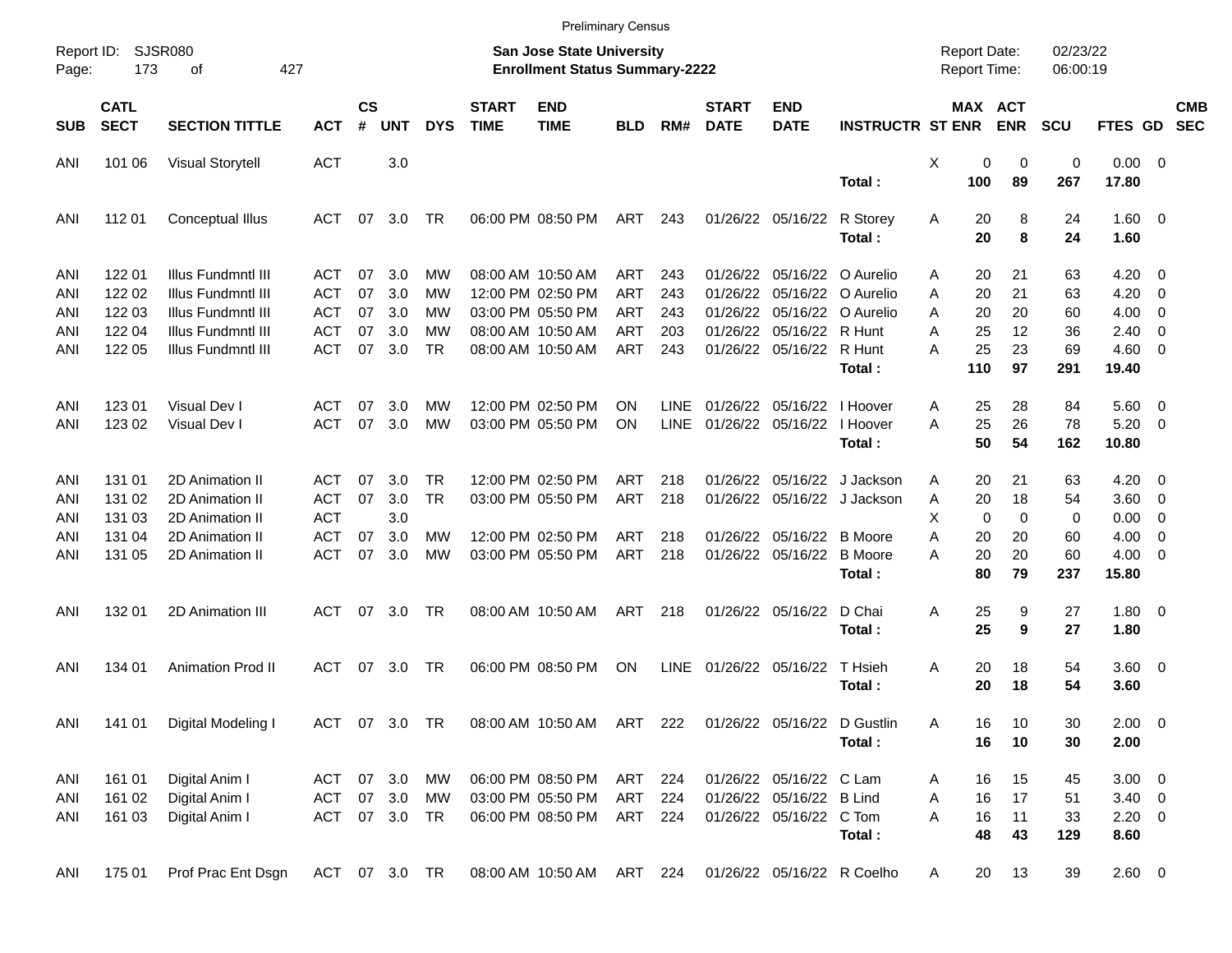|                     |                            |                             |            |                    |               |            |                             |                                                                           | <b>Preliminary Census</b> |             |                             |                           |                             |                                     |                         |                      |                |                          |                          |
|---------------------|----------------------------|-----------------------------|------------|--------------------|---------------|------------|-----------------------------|---------------------------------------------------------------------------|---------------------------|-------------|-----------------------------|---------------------------|-----------------------------|-------------------------------------|-------------------------|----------------------|----------------|--------------------------|--------------------------|
| Report ID:<br>Page: | 173                        | <b>SJSR080</b><br>427<br>οf |            |                    |               |            |                             | <b>San Jose State University</b><br><b>Enrollment Status Summary-2222</b> |                           |             |                             |                           |                             | <b>Report Date:</b><br>Report Time: |                         | 02/23/22<br>06:00:19 |                |                          |                          |
| <b>SUB</b>          | <b>CATL</b><br><b>SECT</b> | <b>SECTION TITTLE</b>       | <b>ACT</b> | $\mathsf{cs}$<br># | <b>UNT</b>    | <b>DYS</b> | <b>START</b><br><b>TIME</b> | <b>END</b><br><b>TIME</b>                                                 | <b>BLD</b>                | RM#         | <b>START</b><br><b>DATE</b> | <b>END</b><br><b>DATE</b> | <b>INSTRUCTR ST ENR</b>     |                                     | MAX ACT<br><b>ENR</b>   | <b>SCU</b>           | <b>FTES GD</b> |                          | <b>CMB</b><br><b>SEC</b> |
| ANI                 | 101 06                     | <b>Visual Storytell</b>     | <b>ACT</b> |                    | 3.0           |            |                             |                                                                           |                           |             |                             |                           |                             | X                                   | 0<br>0                  | 0                    | $0.00 \t 0$    |                          |                          |
|                     |                            |                             |            |                    |               |            |                             |                                                                           |                           |             |                             |                           | Total:                      | 100                                 | 89                      | 267                  | 17.80          |                          |                          |
| ANI                 | 112 01                     | Conceptual Illus            | ACT        | 07                 | 3.0           | TR         |                             | 06:00 PM 08:50 PM                                                         | ART                       | 243         |                             | 01/26/22 05/16/22         | R Storey                    | Α                                   | 8<br>20                 | 24                   | $1.60 \t 0$    |                          |                          |
|                     |                            |                             |            |                    |               |            |                             |                                                                           |                           |             |                             |                           | Total:                      |                                     | 20<br>8                 | 24                   | 1.60           |                          |                          |
| ANI                 | 122 01                     | Illus Fundmntl III          | ACT        | 07                 | 3.0           | МW         |                             | 08:00 AM 10:50 AM                                                         | ART                       | 243         | 01/26/22                    |                           | 05/16/22 O Aurelio          | Α                                   | 20<br>21                | 63                   | 4.20           | $\overline{\mathbf{0}}$  |                          |
| ANI                 | 122 02                     | Illus Fundmntl III          | ACT        | 07                 | 3.0           | МW         |                             | 12:00 PM 02:50 PM                                                         | <b>ART</b>                | 243         | 01/26/22                    | 05/16/22                  | O Aurelio                   | A                                   | 21<br>20                | 63                   | 4.20           | - 0                      |                          |
| ANI                 | 122 03                     | Illus Fundmntl III          | ACT        | 07                 | 3.0           | МW         |                             | 03:00 PM 05:50 PM                                                         | <b>ART</b>                | 243         | 01/26/22                    | 05/16/22                  | O Aurelio                   | A                                   | 20<br>20                | 60                   | 4.00           | $\overline{\mathbf{0}}$  |                          |
| ANI                 | 122 04                     | Illus Fundmntl III          | ACT        | 07                 | 3.0           | МW         |                             | 08:00 AM 10:50 AM                                                         | <b>ART</b>                | 203         | 01/26/22                    | 05/16/22                  | R Hunt                      | Α                                   | 25<br>12                | 36                   | 2.40           | - 0                      |                          |
| ANI                 | 122 05                     | Illus Fundmntl III          | <b>ACT</b> | 07                 | 3.0           | TR         |                             | 08:00 AM 10:50 AM                                                         | ART                       | 243         | 01/26/22                    | 05/16/22                  | R Hunt                      | А                                   | 25<br>23                | 69                   | 4.60           | $\overline{\phantom{0}}$ |                          |
|                     |                            |                             |            |                    |               |            |                             |                                                                           |                           |             |                             |                           | Total:                      | 110                                 | 97                      | 291                  | 19.40          |                          |                          |
|                     |                            |                             |            |                    |               |            |                             |                                                                           |                           |             |                             |                           |                             |                                     |                         |                      |                |                          |                          |
| ANI                 | 123 01                     | Visual Dev I                | ACT        | 07                 | 3.0           | МW         |                             | 12:00 PM 02:50 PM                                                         | ΟN                        | <b>LINE</b> | 01/26/22                    | 05/16/22                  | I Hoover                    | A                                   | 25<br>28                | 84                   | $5.60 \quad 0$ |                          |                          |
| ANI                 | 123 02                     | Visual Dev I                | <b>ACT</b> | 07                 | 3.0           | MW         |                             | 03:00 PM 05:50 PM                                                         | ΟN                        | <b>LINE</b> | 01/26/22                    | 05/16/22                  | I Hoover                    | А                                   | 25<br>26                | 78                   | 5.20           | $\overline{\phantom{0}}$ |                          |
|                     |                            |                             |            |                    |               |            |                             |                                                                           |                           |             |                             |                           | Total:                      |                                     | 50<br>54                | 162                  | 10.80          |                          |                          |
| ANI                 | 131 01                     | 2D Animation II             | ACT        | 07                 | 3.0           | TR         |                             | 12:00 PM 02:50 PM                                                         | ART                       | 218         | 01/26/22                    | 05/16/22                  | J Jackson                   | Α                                   | 20<br>21                | 63                   | 4.20           | $\overline{\mathbf{0}}$  |                          |
| ANI                 | 131 02                     | 2D Animation II             | <b>ACT</b> | 07                 | 3.0           | <b>TR</b>  |                             | 03:00 PM 05:50 PM                                                         | ART                       | 218         | 01/26/22                    |                           | 05/16/22 J Jackson          | Α                                   | 20<br>18                | 54                   | 3.60           | $\overline{\phantom{0}}$ |                          |
| ANI                 | 131 03                     | 2D Animation II             | <b>ACT</b> |                    | 3.0           |            |                             |                                                                           |                           |             |                             |                           |                             | Х                                   | $\mathbf 0$<br>$\Omega$ | 0                    | 0.00           | $\overline{\mathbf{0}}$  |                          |
| ANI                 | 131 04                     | 2D Animation II             | <b>ACT</b> | 07                 | 3.0           | МW         |                             | 12:00 PM 02:50 PM                                                         | <b>ART</b>                | 218         | 01/26/22                    | 05/16/22                  | <b>B</b> Moore              | Α                                   | 20<br>20                | 60                   | 4.00           | - 0                      |                          |
|                     | 131 05                     | 2D Animation II             | <b>ACT</b> | 07                 | 3.0           | MW         |                             | 03:00 PM 05:50 PM                                                         | ART                       | 218         | 01/26/22                    | 05/16/22                  | <b>B</b> Moore              | А                                   | 20<br>20                | 60                   | 4.00           | $\overline{\phantom{0}}$ |                          |
| ANI                 |                            |                             |            |                    |               |            |                             |                                                                           |                           |             |                             |                           | Total:                      |                                     | 80<br>79                | 237                  | 15.80          |                          |                          |
|                     |                            |                             |            |                    |               |            |                             |                                                                           |                           |             |                             |                           |                             |                                     |                         |                      |                |                          |                          |
| ANI                 | 132 01                     | 2D Animation III            | ACT        | 07                 | 3.0           | TR         |                             | 08:00 AM 10:50 AM                                                         | ART                       | 218         |                             | 01/26/22 05/16/22         | D Chai                      | Α                                   | 25<br>9                 | 27                   | $1.80 \ 0$     |                          |                          |
|                     |                            |                             |            |                    |               |            |                             |                                                                           |                           |             |                             |                           | Total:                      |                                     | 25<br>9                 | 27                   | 1.80           |                          |                          |
|                     |                            |                             |            |                    |               |            |                             |                                                                           |                           |             |                             |                           |                             |                                     |                         |                      |                |                          |                          |
| ANI                 | 134 01                     | <b>Animation Prod II</b>    | ACT        | 07                 | 3.0           | TR         |                             | 06:00 PM 08:50 PM                                                         | ON                        | <b>LINE</b> |                             | 01/26/22 05/16/22         | T Hsieh                     | Α                                   | 18<br>20                | 54                   | $3.60 \quad 0$ |                          |                          |
|                     |                            |                             |            |                    |               |            |                             |                                                                           |                           |             |                             |                           | Total:                      |                                     | 20<br>18                | 54                   | 3.60           |                          |                          |
|                     |                            |                             |            |                    |               |            |                             |                                                                           |                           |             |                             |                           |                             |                                     |                         |                      |                |                          |                          |
| ANI                 | 141 01                     | Digital Modeling I          |            |                    | ACT 07 3.0 TR |            |                             | 08:00 AM 10:50 AM ART 222                                                 |                           |             |                             |                           | 01/26/22 05/16/22 D Gustlin | Α                                   | 16<br>10                | 30                   | $2.00 \t 0$    |                          |                          |
|                     |                            |                             |            |                    |               |            |                             |                                                                           |                           |             |                             |                           | Total:                      |                                     | 16<br>10                | 30                   | 2.00           |                          |                          |
|                     |                            |                             |            |                    |               |            |                             |                                                                           |                           |             |                             |                           |                             |                                     |                         |                      |                |                          |                          |
| ANI                 | 161 01                     | Digital Anim I              | ACT 07 3.0 |                    |               | MW         |                             | 06:00 PM 08:50 PM                                                         | ART 224                   |             |                             | 01/26/22 05/16/22 C Lam   |                             | A                                   | 16<br>15                | 45                   | $3.00 \ 0$     |                          |                          |
| ANI                 | 161 02                     | Digital Anim I              | ACT 07 3.0 |                    |               | MW         |                             | 03:00 PM 05:50 PM                                                         | ART                       | 224         |                             | 01/26/22 05/16/22 B Lind  |                             | Α                                   | 16<br>17                | 51                   | $3.40 \ 0$     |                          |                          |
| ANI                 | 161 03                     | Digital Anim I              |            |                    | ACT 07 3.0 TR |            |                             | 06:00 PM 08:50 PM                                                         | ART 224                   |             |                             | 01/26/22 05/16/22 C Tom   |                             | Α                                   | 16<br>11                | 33                   | $2.20 \t 0$    |                          |                          |
|                     |                            |                             |            |                    |               |            |                             |                                                                           |                           |             |                             |                           | Total:                      |                                     | 48<br>43                | 129                  | 8.60           |                          |                          |
|                     |                            |                             |            |                    |               |            |                             |                                                                           |                           |             |                             |                           |                             |                                     |                         |                      |                |                          |                          |
| ANI                 | 175 01                     | Prof Prac Ent Dsgn          |            |                    | ACT 07 3.0 TR |            |                             | 08:00 AM 10:50 AM ART 224                                                 |                           |             |                             |                           | 01/26/22 05/16/22 R Coelho  | A                                   | 20<br>13                | 39                   | $2.60 \t 0$    |                          |                          |
|                     |                            |                             |            |                    |               |            |                             |                                                                           |                           |             |                             |                           |                             |                                     |                         |                      |                |                          |                          |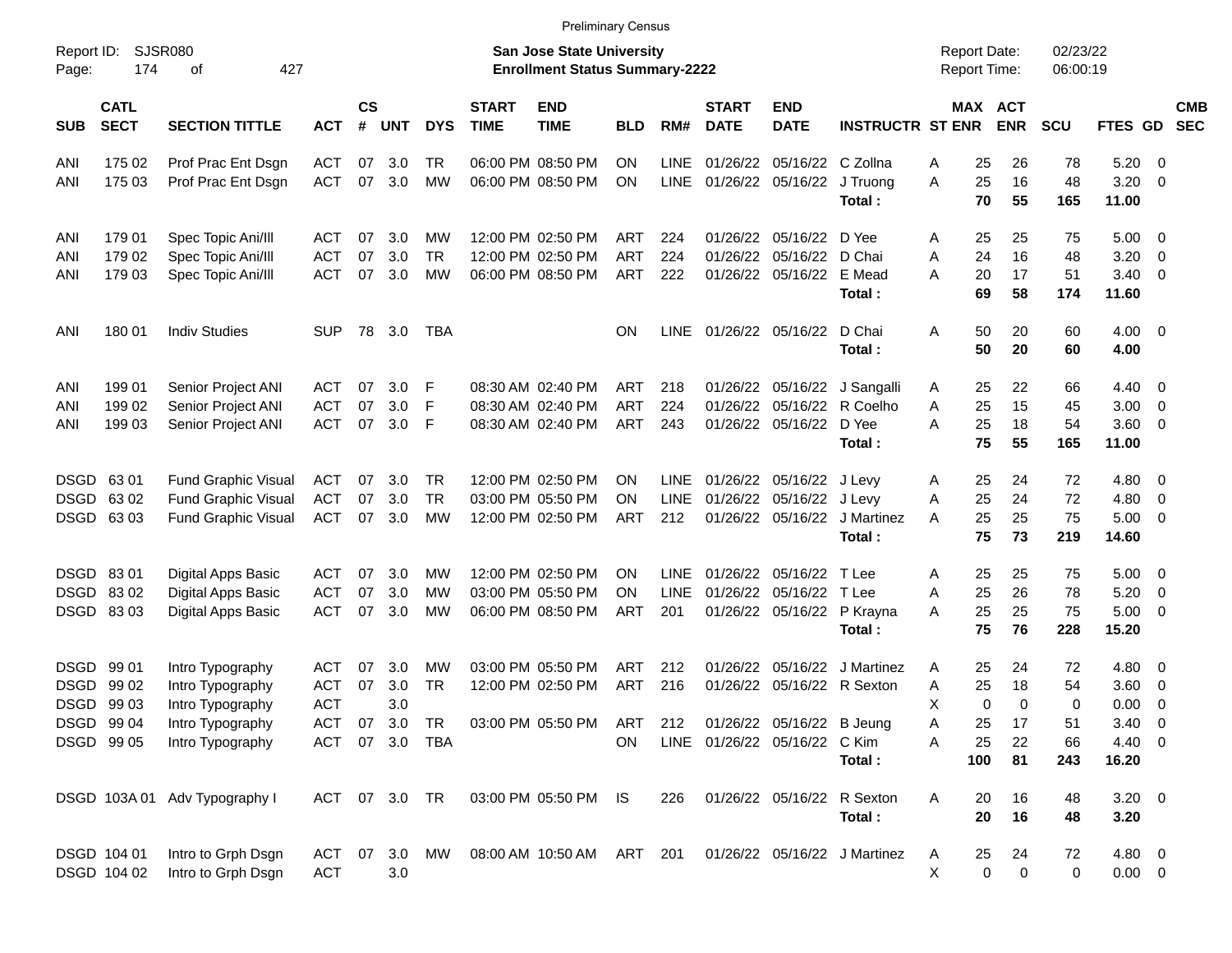|                     |                            |                               |               |                |            |                |                             | <b>Preliminary Census</b>                                                 |            |             |                              |                            |                              |                                            |                              |                      |                    |                          |  |
|---------------------|----------------------------|-------------------------------|---------------|----------------|------------|----------------|-----------------------------|---------------------------------------------------------------------------|------------|-------------|------------------------------|----------------------------|------------------------------|--------------------------------------------|------------------------------|----------------------|--------------------|--------------------------|--|
| Report ID:<br>Page: | 174                        | SJSR080<br>427<br>οf          |               |                |            |                |                             | <b>San Jose State University</b><br><b>Enrollment Status Summary-2222</b> |            |             |                              |                            |                              | <b>Report Date:</b><br><b>Report Time:</b> |                              | 02/23/22<br>06:00:19 |                    |                          |  |
| <b>SUB</b>          | <b>CATL</b><br><b>SECT</b> | <b>SECTION TITTLE</b>         | <b>ACT</b>    | <b>CS</b><br># | <b>UNT</b> | <b>DYS</b>     | <b>START</b><br><b>TIME</b> | <b>END</b><br><b>TIME</b>                                                 | <b>BLD</b> | RM#         | <b>START</b><br><b>DATE</b>  | <b>END</b><br><b>DATE</b>  | <b>INSTRUCTR ST ENR</b>      |                                            | <b>MAX ACT</b><br><b>ENR</b> | <b>SCU</b>           | FTES GD            | <b>CMB</b><br><b>SEC</b> |  |
| ANI                 | 175 02                     | Prof Prac Ent Dsgn            | ACT           | 07             | 3.0        | TR             |                             | 06:00 PM 08:50 PM                                                         | ΟN         | <b>LINE</b> | 01/26/22                     | 05/16/22 C Zollna          |                              | 25<br>Α                                    | 26                           | 78                   | $5.20 \ 0$         |                          |  |
| ANI                 | 175 03                     | Prof Prac Ent Dsgn            | <b>ACT</b>    | 07             | 3.0        | <b>MW</b>      |                             | 06:00 PM 08:50 PM                                                         | ΟN         | <b>LINE</b> |                              | 01/26/22 05/16/22 J Truong | Total:                       | 25<br>A<br>70                              | 16<br>55                     | 48<br>165            | 3.20<br>11.00      | $\overline{\phantom{0}}$ |  |
| ANI                 | 179 01                     | Spec Topic Ani/III            | ACT           | 07             | 3.0        | МW             |                             | 12:00 PM 02:50 PM                                                         | ART        | 224         | 01/26/22                     | 05/16/22 D Yee             |                              | 25<br>Α                                    | 25                           | 75                   | $5.00 \t 0$        |                          |  |
| ANI                 | 179 02                     | Spec Topic Ani/III            | <b>ACT</b>    | 07             | 3.0        | <b>TR</b>      |                             | 12:00 PM 02:50 PM                                                         | <b>ART</b> | 224         | 01/26/22                     | 05/16/22 D Chai            |                              | 24<br>Α                                    | 16                           | 48                   | 3.20               | $\overline{\mathbf{0}}$  |  |
| ANI                 | 179 03                     | Spec Topic Ani/III            | ACT           | 07             | 3.0        | MW             |                             | 06:00 PM 08:50 PM                                                         | ART        | 222         |                              | 01/26/22 05/16/22 E Mead   |                              | 20<br>Α                                    | 17                           | 51                   | $3.40 \ 0$         |                          |  |
|                     |                            |                               |               |                |            |                |                             |                                                                           |            |             |                              |                            | Total:                       | 69                                         | 58                           | 174                  | 11.60              |                          |  |
| ANI                 | 180 01                     | <b>Indiv Studies</b>          | SUP           |                | 78 3.0     | TBA            |                             |                                                                           | ΟN         | <b>LINE</b> |                              | 01/26/22 05/16/22 D Chai   | Total:                       | 50<br>Α<br>50                              | 20<br>20                     | 60<br>60             | $4.00 \ 0$<br>4.00 |                          |  |
| ANI                 | 199 01                     | Senior Project ANI            | ACT           | 07             | 3.0        | F              |                             | 08:30 AM 02:40 PM                                                         | ART        | 218         |                              |                            | 01/26/22 05/16/22 J Sangalli | 25<br>A                                    | 22                           | 66                   | $4.40 \quad 0$     |                          |  |
| ANI                 | 199 02                     | Senior Project ANI            | ACT           | 07             | 3.0        | F              |                             | 08:30 AM 02:40 PM                                                         | <b>ART</b> | 224         | 01/26/22                     |                            | 05/16/22 R Coelho            | 25<br>Α                                    | 15                           | 45                   | $3.00 \ 0$         |                          |  |
| ANI                 | 199 03                     | Senior Project ANI            | <b>ACT</b>    | 07             | 3.0        | F              |                             | 08:30 AM 02:40 PM                                                         | ART        | 243         |                              | 01/26/22 05/16/22 D Yee    |                              | 25<br>A                                    | 18                           | 54                   | $3.60 \ 0$         |                          |  |
|                     |                            |                               |               |                |            |                |                             |                                                                           |            |             |                              |                            | Total:                       | 75                                         | 55                           | 165                  | 11.00              |                          |  |
|                     | DSGD 6301                  | <b>Fund Graphic Visual</b>    | ACT           | 07             | 3.0        | TR.            |                             | 12:00 PM 02:50 PM                                                         | ΟN         | <b>LINE</b> |                              | 01/26/22 05/16/22 J Levy   |                              | 25<br>Α                                    | 24                           | 72                   | $4.80\ 0$          |                          |  |
| <b>DSGD</b>         | 6302                       | <b>Fund Graphic Visual</b>    | <b>ACT</b>    | 07             | 3.0        | <b>TR</b>      |                             | 03:00 PM 05:50 PM                                                         | ON         | LINE        | 01/26/22                     | 05/16/22 J Levy            |                              | 25<br>Α                                    | 24                           | 72                   | 4.80               | $\overline{\phantom{0}}$ |  |
|                     | DSGD 6303                  | <b>Fund Graphic Visual</b>    | <b>ACT</b>    | 07             | 3.0        | МW             |                             | 12:00 PM 02:50 PM                                                         | ART        | 212         |                              |                            | 01/26/22 05/16/22 J Martinez | 25<br>A                                    | 25                           | 75                   | $5.00 \t 0$        |                          |  |
|                     |                            |                               |               |                |            |                |                             |                                                                           |            |             |                              |                            | Total:                       | 75                                         | 73                           | 219                  | 14.60              |                          |  |
|                     | DSGD 8301                  | <b>Digital Apps Basic</b>     | ACT           | 07             | 3.0        | <b>MW</b>      |                             | 12:00 PM 02:50 PM                                                         | ON         | <b>LINE</b> | 01/26/22                     | 05/16/22 T Lee             |                              | 25<br>Α                                    | 25                           | 75                   | $5.00 \t 0$        |                          |  |
|                     | DSGD 8302                  | <b>Digital Apps Basic</b>     | <b>ACT</b>    | 07             | 3.0        | МW             |                             | 03:00 PM 05:50 PM                                                         | ON         | <b>LINE</b> | 01/26/22                     | 05/16/22 T Lee             |                              | 25<br>Α                                    | 26                           | 78                   | 5.20               | $\overline{\mathbf{0}}$  |  |
|                     | DSGD 8303                  | <b>Digital Apps Basic</b>     | <b>ACT</b>    | 07             | 3.0        | MW             |                             | 06:00 PM 08:50 PM                                                         | <b>ART</b> | 201         |                              |                            | 01/26/22 05/16/22 P Krayna   | 25<br>Α                                    | 25                           | 75                   | $5.00 \t 0$        |                          |  |
|                     |                            |                               |               |                |            |                |                             |                                                                           |            |             |                              |                            | Total:                       | 75                                         | 76                           | 228                  | 15.20              |                          |  |
|                     | DSGD 99 01                 | Intro Typography              | ACT           | 07             | 3.0        | MW             |                             | 03:00 PM 05:50 PM                                                         | ART        | 212         | 01/26/22                     |                            | 05/16/22 J Martinez          | 25<br>A                                    | 24                           | 72                   | $4.80\ 0$          |                          |  |
| <b>DSGD</b>         | 99 02                      | Intro Typography              | <b>ACT</b>    | 07             | 3.0        | TR             |                             | 12:00 PM 02:50 PM                                                         | <b>ART</b> | 216         |                              | 01/26/22 05/16/22 R Sexton |                              | 25<br>Α                                    | 18                           | 54                   | 3.60               | $\overline{\phantom{0}}$ |  |
|                     | DSGD 99 03                 | Intro Typography              | <b>ACT</b>    |                | 3.0        |                |                             |                                                                           |            |             |                              |                            |                              | Χ                                          | 0<br>$\Omega$                | 0                    | 0.00               | $\overline{\mathbf{0}}$  |  |
|                     | DSGD 99 04                 | Intro Typography              | <b>ACT</b>    |                | 07 3.0     | TR             |                             | 03:00 PM 05:50 PM                                                         | ART        | 212         |                              | 01/26/22 05/16/22 B Jeung  |                              | 25<br>Α                                    | 17                           | 51                   | $3.40 \ 0$         |                          |  |
|                     | DSGD 99 05                 | Intro Typography              |               |                |            | ACT 07 3.0 TBA |                             |                                                                           | ON.        |             | LINE 01/26/22 05/16/22 C Kim |                            |                              | 25<br>Α                                    | 22                           | 66                   | 4.40 0             |                          |  |
|                     |                            |                               |               |                |            |                |                             |                                                                           |            |             |                              |                            | Total:                       | 100                                        | 81                           | 243                  | 16.20              |                          |  |
|                     |                            | DSGD 103A 01 Adv Typography I | ACT 07 3.0 TR |                |            |                |                             | 03:00 PM 05:50 PM IS                                                      |            | 226         |                              |                            | 01/26/22 05/16/22 R Sexton   | 20<br>Α                                    | 16                           | 48                   | $3.20 \ 0$         |                          |  |
|                     |                            |                               |               |                |            |                |                             |                                                                           |            |             |                              |                            | Total:                       | 20                                         | 16                           | 48                   | 3.20               |                          |  |
|                     | DSGD 104 01                | Intro to Grph Dsgn            |               |                |            | ACT 07 3.0 MW  |                             | 08:00 AM 10:50 AM                                                         | ART 201    |             |                              |                            | 01/26/22 05/16/22 J Martinez | 25<br>A                                    | 24                           | 72                   | 4.80 0             |                          |  |
|                     | DSGD 104 02                | Intro to Grph Dsgn            | <b>ACT</b>    |                | 3.0        |                |                             |                                                                           |            |             |                              |                            |                              | х                                          | 0<br>0                       | 0                    | $0.00 \t 0$        |                          |  |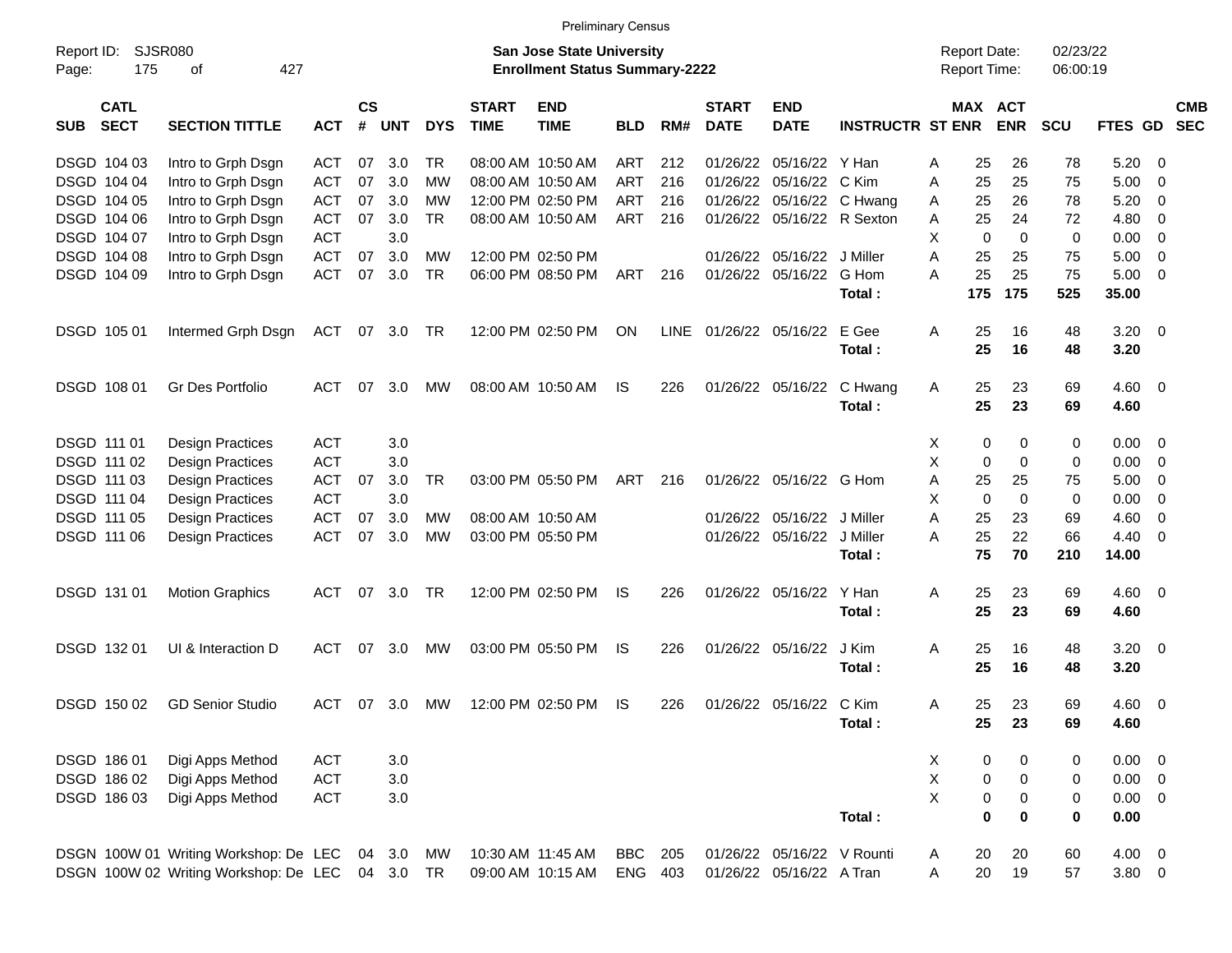|                     |                            |                                       |                          |                    |            |            |                                                                           | <b>Preliminary Census</b> |            |     |                             |                            |                         |        |                                     |                       |            |              |                          |
|---------------------|----------------------------|---------------------------------------|--------------------------|--------------------|------------|------------|---------------------------------------------------------------------------|---------------------------|------------|-----|-----------------------------|----------------------------|-------------------------|--------|-------------------------------------|-----------------------|------------|--------------|--------------------------|
| Report ID:<br>Page: | SJSR080<br>175             |                                       |                          |                    |            |            | <b>San Jose State University</b><br><b>Enrollment Status Summary-2222</b> |                           |            |     |                             |                            |                         |        | <b>Report Date:</b><br>Report Time: | 02/23/22<br>06:00:19  |            |              |                          |
| <b>SUB</b>          | <b>CATL</b><br><b>SECT</b> | <b>SECTION TITTLE</b>                 | <b>ACT</b>               | $\mathsf{cs}$<br># | <b>UNT</b> | <b>DYS</b> | <b>START</b><br><b>TIME</b>                                               | <b>END</b><br><b>TIME</b> | <b>BLD</b> | RM# | <b>START</b><br><b>DATE</b> | <b>END</b><br><b>DATE</b>  | <b>INSTRUCTR ST ENR</b> |        |                                     | MAX ACT<br><b>ENR</b> | <b>SCU</b> | FTES GD      | <b>CMB</b><br><b>SEC</b> |
|                     | DSGD 104 03                | Intro to Grph Dsgn                    | <b>ACT</b>               | 07                 | 3.0        | TR         |                                                                           | 08:00 AM 10:50 AM         | <b>ART</b> | 212 | 01/26/22                    | 05/16/22 Y Han             |                         | A      | 25                                  | 26                    | 78         | 5.20         | - 0                      |
|                     | DSGD 104 04                | Intro to Grph Dsgn                    | <b>ACT</b>               | 07                 | 3.0        | <b>MW</b>  |                                                                           | 08:00 AM 10:50 AM         | <b>ART</b> | 216 | 01/26/22                    | 05/16/22                   | C Kim                   | A      | 25                                  | 25                    | 75         | 5.00         | 0                        |
|                     | DSGD 104 05                | Intro to Grph Dsgn                    | <b>ACT</b>               | 07                 | 3.0        | <b>MW</b>  |                                                                           | 12:00 PM 02:50 PM         | <b>ART</b> | 216 | 01/26/22                    | 05/16/22                   | C Hwang                 | A      | 25                                  | 26                    | 78         | 5.20         | 0                        |
|                     | DSGD 104 06                | Intro to Grph Dsgn                    | <b>ACT</b>               | 07                 | 3.0        | <b>TR</b>  |                                                                           | 08:00 AM 10:50 AM         | ART        | 216 | 01/26/22                    |                            | 05/16/22 R Sexton       | Α      | 25                                  | 24                    | 72         | 4.80         | 0                        |
|                     | DSGD 104 07                | Intro to Grph Dsgn                    | <b>ACT</b>               |                    | 3.0        |            |                                                                           |                           |            |     |                             |                            |                         | X      | 0                                   | $\mathbf 0$           | 0          | 0.00         | 0                        |
|                     |                            |                                       |                          |                    |            |            |                                                                           |                           |            |     |                             |                            |                         |        |                                     |                       |            |              |                          |
|                     | DSGD 104 08                | Intro to Grph Dsgn                    | <b>ACT</b>               | 07                 | 3.0        | <b>MW</b>  |                                                                           | 12:00 PM 02:50 PM         |            |     | 01/26/22                    | 05/16/22                   | J Miller                | A      | 25                                  | 25                    | 75         | 5.00         | 0                        |
|                     | DSGD 104 09                | Intro to Grph Dsgn                    | <b>ACT</b>               | 07                 | 3.0        | <b>TR</b>  |                                                                           | 06:00 PM 08:50 PM         | ART        | 216 | 01/26/22                    | 05/16/22                   | G Hom                   | A      | 25                                  | 25                    | 75         | 5.00         | $\Omega$                 |
|                     |                            |                                       |                          |                    |            |            |                                                                           |                           |            |     |                             |                            | Total:                  |        | 175                                 | 175                   | 525        | 35.00        |                          |
| DSGD 105 01         |                            | Intermed Grph Dsgn                    | <b>ACT</b>               |                    | 07 3.0     | TR         |                                                                           | 12:00 PM 02:50 PM         | ON         |     | LINE 01/26/22 05/16/22      |                            | E Gee                   | A      | 25                                  | 16                    | 48         | 3.20         | - 0                      |
|                     |                            |                                       |                          |                    |            |            |                                                                           |                           |            |     |                             |                            | Total:                  |        | 25                                  | 16                    | 48         | 3.20         |                          |
|                     |                            |                                       |                          |                    |            |            |                                                                           |                           |            |     |                             |                            |                         |        |                                     |                       |            |              |                          |
| DSGD 108 01         |                            | Gr Des Portfolio                      | <b>ACT</b>               | 07                 | 3.0        | MW         |                                                                           | 08:00 AM 10:50 AM         | IS.        | 226 |                             | 01/26/22 05/16/22          | C Hwang                 | Α      | 25                                  | 23                    | 69         | 4.60         | - 0                      |
|                     |                            |                                       |                          |                    |            |            |                                                                           |                           |            |     |                             |                            | Total:                  |        | 25                                  | 23                    | 69         | 4.60         |                          |
| DSGD 111 01         |                            | <b>Design Practices</b>               | <b>ACT</b>               |                    | 3.0        |            |                                                                           |                           |            |     |                             |                            |                         | Х      | 0                                   | 0                     | 0          | 0.00         | - 0                      |
| DSGD 111 02         |                            | <b>Design Practices</b>               | <b>ACT</b>               |                    | 3.0        |            |                                                                           |                           |            |     |                             |                            |                         | X      | 0                                   | $\mathbf 0$           | 0          | 0.00         | 0                        |
| DSGD 111 03         |                            | <b>Design Practices</b>               | <b>ACT</b>               | 07                 | 3.0        | <b>TR</b>  |                                                                           | 03:00 PM 05:50 PM         | ART        | 216 |                             | 01/26/22 05/16/22 G Hom    |                         | Α      | 25                                  | 25                    | 75         | 5.00         | 0                        |
| DSGD 111 04         |                            | <b>Design Practices</b>               | <b>ACT</b>               |                    | 3.0        |            |                                                                           |                           |            |     |                             |                            |                         | X      | $\mathbf 0$                         | $\mathbf 0$           | 0          | 0.00         | 0                        |
| DSGD 111 05         |                            | <b>Design Practices</b>               | <b>ACT</b>               | 07                 | 3.0        | МW         | 08:00 AM 10:50 AM                                                         |                           |            |     | 01/26/22                    | 05/16/22                   | J Miller                | A      | 25                                  | 23                    | 69         | 4.60         | 0                        |
|                     | DSGD 111 06                | <b>Design Practices</b>               | <b>ACT</b>               | 07                 | 3.0        | <b>MW</b>  |                                                                           | 03:00 PM 05:50 PM         |            |     | 01/26/22                    | 05/16/22 J Miller          |                         | A      | 25                                  | 22                    | 66         | 4.40         | $\Omega$                 |
|                     |                            |                                       |                          |                    |            |            |                                                                           |                           |            |     |                             |                            | Total:                  |        | 75                                  | 70                    | 210        | 14.00        |                          |
|                     |                            |                                       |                          |                    |            |            |                                                                           |                           |            |     |                             |                            |                         |        |                                     |                       |            |              |                          |
|                     | DSGD 131 01                | <b>Motion Graphics</b>                | <b>ACT</b>               | 07                 | 3.0        | TR         |                                                                           | 12:00 PM 02:50 PM         | IS.        | 226 |                             | 01/26/22 05/16/22          | Y Han                   | Α      | 25                                  | 23                    | 69         | 4.60         | - 0                      |
|                     |                            |                                       |                          |                    |            |            |                                                                           |                           |            |     |                             |                            | Total:                  |        | 25                                  | 23                    | 69         | 4.60         |                          |
|                     | DSGD 132 01                | UI & Interaction D                    | <b>ACT</b>               | 07                 | 3.0        | <b>MW</b>  |                                                                           | 03:00 PM 05:50 PM         | IS.        | 226 |                             | 01/26/22 05/16/22          | J Kim                   | A      | 25                                  | 16                    | 48         | 3.20         | $\overline{\phantom{0}}$ |
|                     |                            |                                       |                          |                    |            |            |                                                                           |                           |            |     |                             |                            | Total:                  |        | 25                                  | 16                    | 48         | 3.20         |                          |
|                     |                            |                                       |                          |                    |            |            |                                                                           |                           |            |     |                             |                            |                         |        |                                     |                       |            |              |                          |
|                     | DSGD 150 02                | <b>GD Senior Studio</b>               | <b>ACT</b>               | 07                 | 3.0        | MW         |                                                                           | 12:00 PM 02:50 PM         | IS.        | 226 |                             | 01/26/22 05/16/22 C Kim    |                         | A      | 25                                  | 23                    | 69         | 4.60         | - 0                      |
|                     |                            |                                       |                          |                    |            |            |                                                                           |                           |            |     |                             |                            | Total :                 |        | 25                                  | 23                    | 69         | 4.60         |                          |
|                     |                            |                                       |                          |                    |            |            |                                                                           |                           |            |     |                             |                            |                         |        |                                     |                       |            |              |                          |
|                     | DSGD 186 01<br>DSGD 186 02 | Digi Apps Method                      | <b>ACT</b><br><b>ACT</b> |                    | 3.0        |            |                                                                           |                           |            |     |                             |                            |                         | X<br>X | 0                                   | 0                     | 0          | 0.00<br>0.00 | - 0                      |
|                     |                            | Digi Apps Method                      |                          |                    | 3.0        |            |                                                                           |                           |            |     |                             |                            |                         | X      | 0                                   | $\mathbf 0$           | 0          |              | - 0                      |
|                     | DSGD 186 03                | Digi Apps Method                      | <b>ACT</b>               |                    | $3.0\,$    |            |                                                                           |                           |            |     |                             |                            |                         |        | 0                                   | $\pmb{0}$             | 0          | 0.00         | - 0                      |
|                     |                            |                                       |                          |                    |            |            |                                                                           |                           |            |     |                             |                            | Total:                  |        | 0                                   | $\mathbf 0$           | $\bf{0}$   | 0.00         |                          |
|                     |                            | DSGN 100W 01 Writing Workshop: De LEC |                          |                    | 04 3.0     | MW         | 10:30 AM 11:45 AM                                                         |                           | BBC        | 205 |                             | 01/26/22 05/16/22 V Rounti |                         | A      | 20                                  | 20                    | 60         | $4.00 \ 0$   |                          |
|                     |                            | DSGN 100W 02 Writing Workshop: De LEC |                          |                    | 04 3.0     | <b>TR</b>  |                                                                           | 09:00 AM 10:15 AM         | ENG 403    |     |                             | 01/26/22 05/16/22 A Tran   |                         | A      | 20                                  | 19                    | 57         | 3.80 0       |                          |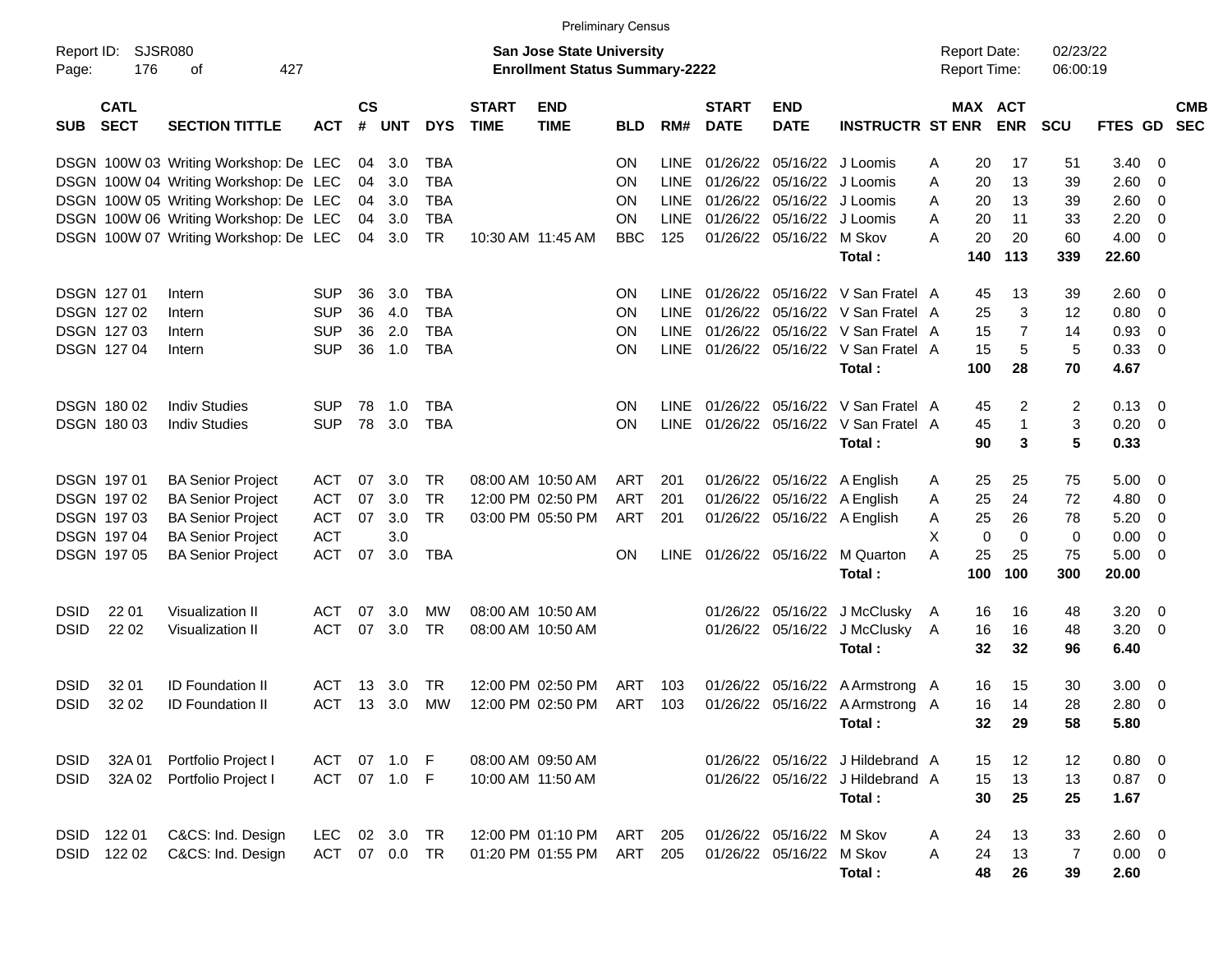|                     |                            |                                       |              |                |            |            |                             | <b>Preliminary Census</b>                                                 |            |             |                             |                             |                                       |                                     |     |                       |                      |          |                |                          |
|---------------------|----------------------------|---------------------------------------|--------------|----------------|------------|------------|-----------------------------|---------------------------------------------------------------------------|------------|-------------|-----------------------------|-----------------------------|---------------------------------------|-------------------------------------|-----|-----------------------|----------------------|----------|----------------|--------------------------|
| Report ID:<br>Page: | <b>SJSR080</b><br>176      | 427<br>οf                             |              |                |            |            |                             | <b>San Jose State University</b><br><b>Enrollment Status Summary-2222</b> |            |             |                             |                             |                                       | <b>Report Date:</b><br>Report Time: |     |                       | 02/23/22<br>06:00:19 |          |                |                          |
| <b>SUB</b>          | <b>CATL</b><br><b>SECT</b> | <b>SECTION TITTLE</b>                 | <b>ACT</b>   | <b>CS</b><br># | <b>UNT</b> | <b>DYS</b> | <b>START</b><br><b>TIME</b> | <b>END</b><br><b>TIME</b>                                                 | <b>BLD</b> | RM#         | <b>START</b><br><b>DATE</b> | <b>END</b><br><b>DATE</b>   | <b>INSTRUCTR ST ENR</b>               |                                     |     | MAX ACT<br><b>ENR</b> | <b>SCU</b>           | FTES GD  |                | <b>CMB</b><br><b>SEC</b> |
|                     |                            | DSGN 100W 03 Writing Workshop: De LEC |              |                | 04 3.0     | TBA        |                             |                                                                           | ΟN         | <b>LINE</b> |                             | 01/26/22 05/16/22 J Loomis  |                                       | A                                   | 20  | 17                    | 51                   | 3.40     | 0              |                          |
|                     |                            | DSGN 100W 04 Writing Workshop: De LEC |              | 04             | 3.0        | TBA        |                             |                                                                           | ΟN         | <b>LINE</b> | 01/26/22                    | 05/16/22                    | J Loomis                              | Α                                   | 20  | 13                    | 39                   | 2.60     | 0              |                          |
|                     |                            | DSGN 100W 05 Writing Workshop: De LEC |              |                | 04 3.0     | TBA        |                             |                                                                           | ΟN         | <b>LINE</b> | 01/26/22                    | 05/16/22                    | J Loomis                              | A                                   | 20  | 13                    | 39                   | 2.60     | 0              |                          |
|                     |                            | DSGN 100W 06 Writing Workshop: De LEC |              |                | 04 3.0     | TBA        |                             |                                                                           | ΟN         | <b>LINE</b> |                             | 01/26/22 05/16/22           | J Loomis                              | A                                   | 20  | 11                    | 33                   | 2.20     | 0              |                          |
|                     |                            | DSGN 100W 07 Writing Workshop: De LEC |              |                | 04 3.0     | TR         | 10:30 AM 11:45 AM           |                                                                           | <b>BBC</b> | 125         |                             | 01/26/22 05/16/22           | M Skov                                | A                                   | 20  | 20                    | 60                   | 4.00     | 0              |                          |
|                     |                            |                                       |              |                |            |            |                             |                                                                           |            |             |                             |                             | Total:                                |                                     | 140 | 113                   | 339                  | 22.60    |                |                          |
| <b>DSGN 12701</b>   |                            | Intern                                | <b>SUP</b>   | 36             | 3.0        | TBA        |                             |                                                                           | ON         | LINE.       |                             |                             | 01/26/22 05/16/22 V San Fratel A      |                                     | 45  | 13                    | 39                   | 2.60     | 0              |                          |
|                     | DSGN 127 02                | Intern                                | <b>SUP</b>   | 36             | 4.0        | <b>TBA</b> |                             |                                                                           | ΟN         | <b>LINE</b> | 01/26/22                    |                             | 05/16/22 V San Fratel A               |                                     | 25  | 3                     | 12                   | 0.80     | 0              |                          |
|                     | DSGN 127 03                | Intern                                | <b>SUP</b>   | 36             | 2.0        | TBA        |                             |                                                                           | ON         | <b>LINE</b> | 01/26/22                    |                             | 05/16/22 V San Fratel A               |                                     | 15  | 7                     | 14                   | 0.93     | 0              |                          |
|                     | DSGN 127 04                | Intern                                | <b>SUP</b>   | 36             | 1.0        | TBA        |                             |                                                                           | ON         | LINE        |                             |                             | 01/26/22 05/16/22 V San Fratel A      |                                     | 15  | 5                     | 5                    | 0.33     | 0              |                          |
|                     |                            |                                       |              |                |            |            |                             |                                                                           |            |             |                             |                             | Total:                                |                                     | 100 | 28                    | 70                   | 4.67     |                |                          |
|                     | <b>DSGN 18002</b>          | <b>Indiv Studies</b>                  | SUP          | 78             | 1.0        | TBA        |                             |                                                                           | ON         |             |                             |                             | LINE 01/26/22 05/16/22 V San Fratel A |                                     | 45  | 2                     | 2                    | 0.13     | 0              |                          |
|                     | DSGN 180 03                | <b>Indiv Studies</b>                  | <b>SUP</b>   | 78             | 3.0        | <b>TBA</b> |                             |                                                                           | ΟN         | <b>LINE</b> |                             |                             | 01/26/22 05/16/22 V San Fratel A      |                                     | 45  | $\mathbf{1}$          | 3                    | 0.20     | 0              |                          |
|                     |                            |                                       |              |                |            |            |                             |                                                                           |            |             |                             |                             | Total:                                |                                     | 90  | 3                     | 5                    | 0.33     |                |                          |
| <b>DSGN 19701</b>   |                            | <b>BA Senior Project</b>              | ACT          | 07             | 3.0        | TR         | 08:00 AM 10:50 AM           |                                                                           | ART        | 201         |                             | 01/26/22 05/16/22 A English |                                       | A                                   | 25  | 25                    | 75                   | 5.00     | 0              |                          |
|                     | <b>DSGN 19702</b>          | <b>BA Senior Project</b>              | <b>ACT</b>   | 07             | 3.0        | TR         |                             | 12:00 PM 02:50 PM                                                         | ART        | 201         |                             | 01/26/22 05/16/22 A English |                                       | A                                   | 25  | 24                    | 72                   | 4.80     | 0              |                          |
|                     | <b>DSGN 19703</b>          | <b>BA Senior Project</b>              | <b>ACT</b>   | 07             | 3.0        | TR         |                             | 03:00 PM 05:50 PM                                                         | ART        | 201         |                             | 01/26/22 05/16/22 A English |                                       | A                                   | 25  | 26                    | 78                   | 5.20     | 0              |                          |
|                     | <b>DSGN 19704</b>          | <b>BA Senior Project</b>              | <b>ACT</b>   |                | 3.0        |            |                             |                                                                           |            |             |                             |                             |                                       | X                                   | 0   | $\mathbf 0$           | 0                    | 0.00     | 0              |                          |
|                     | DSGN 197 05                | <b>BA Senior Project</b>              | <b>ACT</b>   | 07             | 3.0        | TBA        |                             |                                                                           | ΟN         | LINE        | 01/26/22 05/16/22           |                             | M Quarton                             | A                                   | 25  | 25                    | 75                   | 5.00     | 0              |                          |
|                     |                            |                                       |              |                |            |            |                             |                                                                           |            |             |                             |                             | Total:                                |                                     | 100 | 100                   | 300                  | 20.00    |                |                          |
| <b>DSID</b>         | 22 01                      | <b>Visualization II</b>               | ACT          | 07             | 3.0        | МW         | 08:00 AM 10:50 AM           |                                                                           |            |             |                             | 01/26/22 05/16/22           | J McClusky                            | A                                   | 16  | 16                    | 48                   | 3.20     | 0              |                          |
| <b>DSID</b>         | 22 02                      | Visualization II                      | <b>ACT</b>   | 07             | 3.0        | TR         | 08:00 AM 10:50 AM           |                                                                           |            |             |                             | 01/26/22 05/16/22           | J McClusky                            | A                                   | 16  | 16                    | 48                   | 3.20     | 0              |                          |
|                     |                            |                                       |              |                |            |            |                             |                                                                           |            |             |                             |                             | Total:                                |                                     | 32  | 32                    | 96                   | 6.40     |                |                          |
| <b>DSID</b>         | 32 01                      | <b>ID Foundation II</b>               | ACT          | 13             | 3.0        | TR.        |                             | 12:00 PM 02:50 PM                                                         | <b>ART</b> | 103         | 01/26/22                    |                             | 05/16/22 A Armstrong A                |                                     | 16  | 15                    | 30                   | 3.00     | 0              |                          |
| <b>DSID</b>         | 32 02                      | <b>ID Foundation II</b>               | <b>ACT</b>   | 13             | 3.0        | MW         |                             | 12:00 PM 02:50 PM                                                         | ART        | 103         |                             |                             | 01/26/22 05/16/22 A Armstrong A       |                                     | 16  | 14                    | 28                   | 2.80     | 0              |                          |
|                     |                            |                                       |              |                |            |            |                             |                                                                           |            |             |                             |                             | Total:                                |                                     | 32  | 29                    | 58                   | 5.80     |                |                          |
| <b>DSID</b>         | 32A 01                     | Portfolio Project I                   | ACT 07 1.0 F |                |            |            | 08:00 AM 09:50 AM           |                                                                           |            |             |                             |                             | 01/26/22 05/16/22 J Hildebrand A      |                                     | 15  | 12                    | 12                   | 0.80     | $\overline{0}$ |                          |
| <b>DSID</b>         | 32A 02                     | Portfolio Project I                   | ACT 07 1.0 F |                |            |            | 10:00 AM 11:50 AM           |                                                                           |            |             |                             |                             | 01/26/22 05/16/22 J Hildebrand A      |                                     | 15  | 13                    | 13                   | $0.87$ 0 |                |                          |
|                     |                            |                                       |              |                |            |            |                             |                                                                           |            |             |                             |                             | Total:                                |                                     | 30  | 25                    | 25                   | 1.67     |                |                          |
|                     | DSID 122 01                | C&CS: Ind. Design                     | LEC 02 3.0   |                |            | TR         |                             | 12:00 PM 01:10 PM                                                         | ART        | 205         |                             | 01/26/22 05/16/22           | M Skov                                | $\mathsf{A}$                        | 24  | 13                    | 33                   | 2.60     | $\overline{0}$ |                          |
|                     | DSID 122 02                | C&CS: Ind. Design                     | ACT 07 0.0   |                |            | <b>TR</b>  |                             | 01:20 PM 01:55 PM                                                         | ART        | 205         |                             | 01/26/22 05/16/22           | M Skov                                | A                                   | 24  | 13                    | $\overline{7}$       | 0.00     | $\overline{0}$ |                          |
|                     |                            |                                       |              |                |            |            |                             |                                                                           |            |             |                             |                             | Total:                                |                                     | 48  | 26                    | 39                   | 2.60     |                |                          |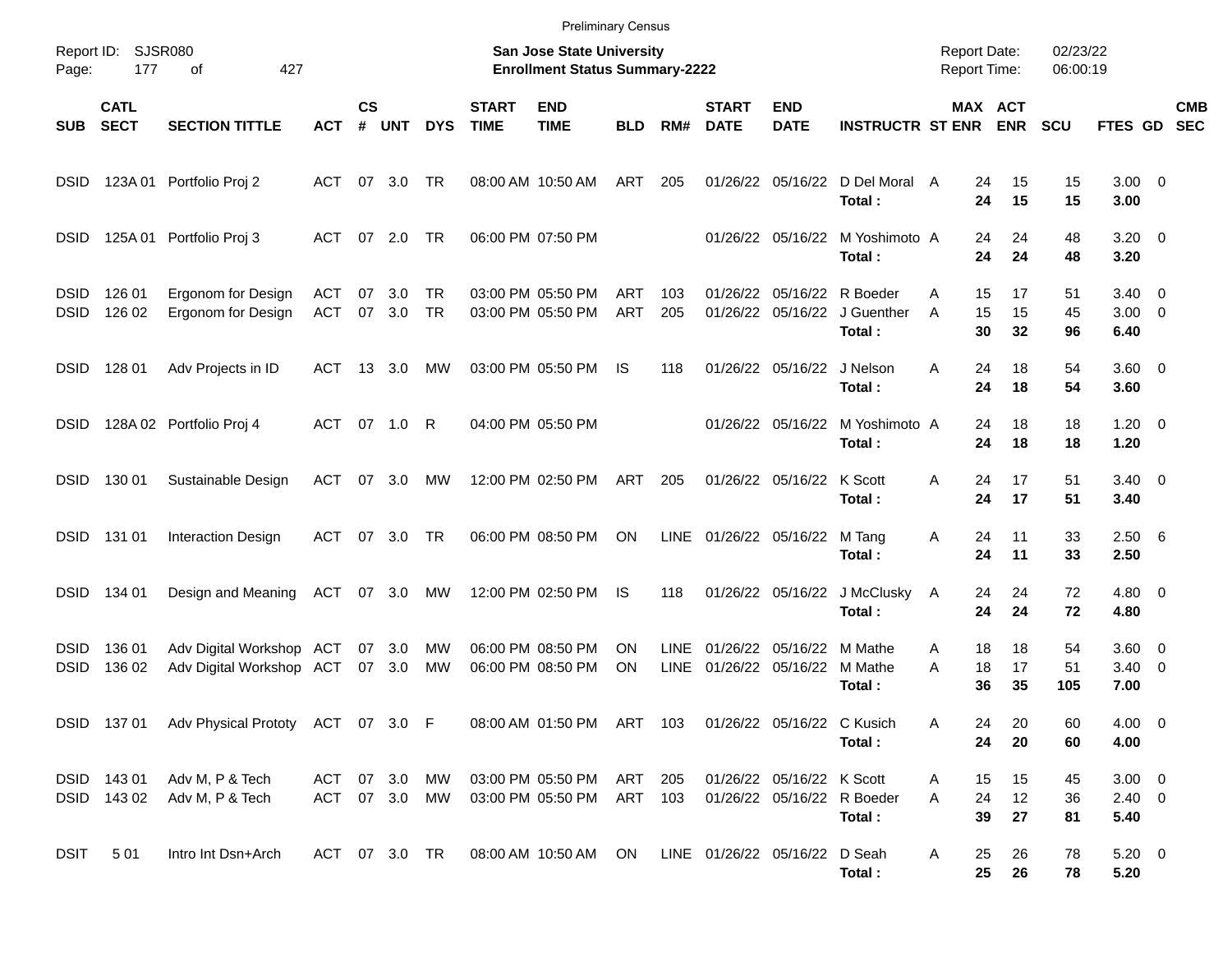|                            |                            |                                                      |                             |                    |                  |            |                             | <b>Preliminary Census</b>                                                 |                          |                     |                               |                            |                                      |                                            |                       |                      |                                  |                                                    |                          |
|----------------------------|----------------------------|------------------------------------------------------|-----------------------------|--------------------|------------------|------------|-----------------------------|---------------------------------------------------------------------------|--------------------------|---------------------|-------------------------------|----------------------------|--------------------------------------|--------------------------------------------|-----------------------|----------------------|----------------------------------|----------------------------------------------------|--------------------------|
| Page:                      | Report ID: SJSR080<br>177  | 427<br>оf                                            |                             |                    |                  |            |                             | <b>San Jose State University</b><br><b>Enrollment Status Summary-2222</b> |                          |                     |                               |                            |                                      | <b>Report Date:</b><br><b>Report Time:</b> |                       | 02/23/22<br>06:00:19 |                                  |                                                    |                          |
| <b>SUB</b>                 | <b>CATL</b><br><b>SECT</b> | <b>SECTION TITTLE</b>                                | <b>ACT</b>                  | $\mathsf{cs}$<br># | <b>UNT</b>       | <b>DYS</b> | <b>START</b><br><b>TIME</b> | <b>END</b><br><b>TIME</b>                                                 | <b>BLD</b>               | RM#                 | <b>START</b><br><b>DATE</b>   | <b>END</b><br><b>DATE</b>  | <b>INSTRUCTR ST ENR</b>              |                                            | MAX ACT<br><b>ENR</b> | <b>SCU</b>           | FTES GD                          |                                                    | <b>CMB</b><br><b>SEC</b> |
| <b>DSID</b>                |                            | 123A 01 Portfolio Proj 2                             | ACT                         | 07                 | 3.0              | TR         |                             | 08:00 AM 10:50 AM                                                         | ART                      | 205                 |                               | 01/26/22 05/16/22          | D Del Moral A<br>Total:              | 24<br>24                                   | 15<br>15              | 15<br>15             | $3.00 \ 0$<br>3.00               |                                                    |                          |
| <b>DSID</b>                | 125A 01                    | Portfolio Proj 3                                     | ACT                         | 07                 | 2.0              | TR         | 06:00 PM 07:50 PM           |                                                                           |                          |                     |                               | 01/26/22 05/16/22          | M Yoshimoto A<br>Total:              | 24<br>24                                   | 24<br>24              | 48<br>48             | 3.20<br>3.20                     | $\overline{\phantom{0}}$                           |                          |
| <b>DSID</b><br><b>DSID</b> | 126 01<br>126 02           | Ergonom for Design<br>Ergonom for Design             | ACT<br><b>ACT</b>           | 07<br>07           | 3.0<br>3.0       | TR<br>TR   |                             | 03:00 PM 05:50 PM<br>03:00 PM 05:50 PM                                    | <b>ART</b><br><b>ART</b> | 103<br>205          | 01/26/22<br>01/26/22          | 05/16/22<br>05/16/22       | R Boeder<br>J Guenther<br>Total:     | 15<br>A<br>15<br>A<br>30                   | 17<br>15<br>32        | 51<br>45<br>96       | 3.40<br>3.00<br>6.40             | $\overline{\mathbf{0}}$<br>$\overline{\mathbf{0}}$ |                          |
| <b>DSID</b>                | 128 01                     | Adv Projects in ID                                   | ACT                         | 13                 | 3.0              | МW         |                             | 03:00 PM 05:50 PM                                                         | IS                       | 118                 |                               | 01/26/22 05/16/22          | J Nelson<br>Total:                   | A<br>24<br>24                              | 18<br>18              | 54<br>54             | $3.60 \ 0$<br>3.60               |                                                    |                          |
| <b>DSID</b>                |                            | 128A 02 Portfolio Proj 4                             | ACT 07 1.0                  |                    |                  | R          | 04:00 PM 05:50 PM           |                                                                           |                          |                     |                               | 01/26/22 05/16/22          | M Yoshimoto A<br>Total:              | 24<br>24                                   | 18<br>18              | 18<br>18             | $1.20 \t 0$<br>1.20              |                                                    |                          |
| <b>DSID</b>                | 130 01                     | Sustainable Design                                   | ACT                         | 07                 | 3.0              | МW         |                             | 12:00 PM 02:50 PM                                                         | ART                      | 205                 |                               | 01/26/22 05/16/22          | K Scott<br>Total:                    | 24<br>Α<br>24                              | 17<br>17              | 51<br>51             | $3.40 \quad 0$<br>3.40           |                                                    |                          |
| <b>DSID</b>                | 131 01                     | <b>Interaction Design</b>                            | ACT                         | 07                 | 3.0              | <b>TR</b>  |                             | 06:00 PM 08:50 PM                                                         | ON                       | LINE                | 01/26/22 05/16/22             |                            | M Tang<br>Total:                     | Α<br>24<br>24                              | 11<br>11              | 33<br>33             | 2.506<br>2.50                    |                                                    |                          |
| <b>DSID</b>                | 134 01                     | Design and Meaning                                   | ACT                         |                    | 07 3.0           | МW         |                             | 12:00 PM 02:50 PM                                                         | IS                       | 118                 |                               | 01/26/22 05/16/22          | J McClusky<br>Total:                 | 24<br>A<br>24                              | 24<br>24              | 72<br>72             | 4.80<br>4.80                     | $\overline{\phantom{0}}$                           |                          |
| <b>DSID</b><br><b>DSID</b> | 136 01<br>136 02           | Adv Digital Workshop ACT<br>Adv Digital Workshop ACT |                             |                    | 07 3.0<br>07 3.0 | МW<br>MW   | 06:00 PM 08:50 PM           | 06:00 PM 08:50 PM                                                         | ON<br>ON                 | <b>LINE</b><br>LINE | 01/26/22<br>01/26/22 05/16/22 | 05/16/22                   | M Mathe<br>M Mathe<br>Total:         | 18<br>A<br>A<br>18<br>36                   | 18<br>17<br>35        | 54<br>51<br>105      | 3.60<br>3.40<br>7.00             | $\overline{\mathbf{0}}$<br>$\overline{\mathbf{0}}$ |                          |
|                            |                            | DSID 137 01 Adv Physical Prototy ACT 07 3.0 F        |                             |                    |                  |            |                             | 08:00 AM 01:50 PM ART 103                                                 |                          |                     |                               | 01/26/22 05/16/22 C Kusich | Total:                               | 24<br>Α<br>24                              | 20<br>20              | 60<br>60             | $4.00 \ 0$<br>4.00               |                                                    |                          |
|                            | DSID 143 01<br>DSID 143 02 | Adv M, P & Tech<br>Adv M, P & Tech                   | ACT 07 3.0<br>ACT 07 3.0 MW |                    |                  | MW         |                             | 03:00 PM 05:50 PM<br>03:00 PM 05:50 PM                                    | ART<br>ART 103           | 205                 |                               | 01/26/22 05/16/22 K Scott  | 01/26/22 05/16/22 R Boeder<br>Total: | 15<br>A<br>24<br>A<br>39                   | 15<br>12<br>27        | 45<br>36<br>81       | $3.00 \ 0$<br>$2.40 \ 0$<br>5.40 |                                                    |                          |
| <b>DSIT</b>                | 501                        | Intro Int Dsn+Arch                                   | ACT 07 3.0 TR               |                    |                  |            |                             | 08:00 AM 10:50 AM                                                         | ON                       |                     | LINE 01/26/22 05/16/22        |                            | D Seah<br>Total:                     | 25<br>A<br>25                              | 26<br>26              | 78<br>78             | $5.20 \t 0$<br>5.20              |                                                    |                          |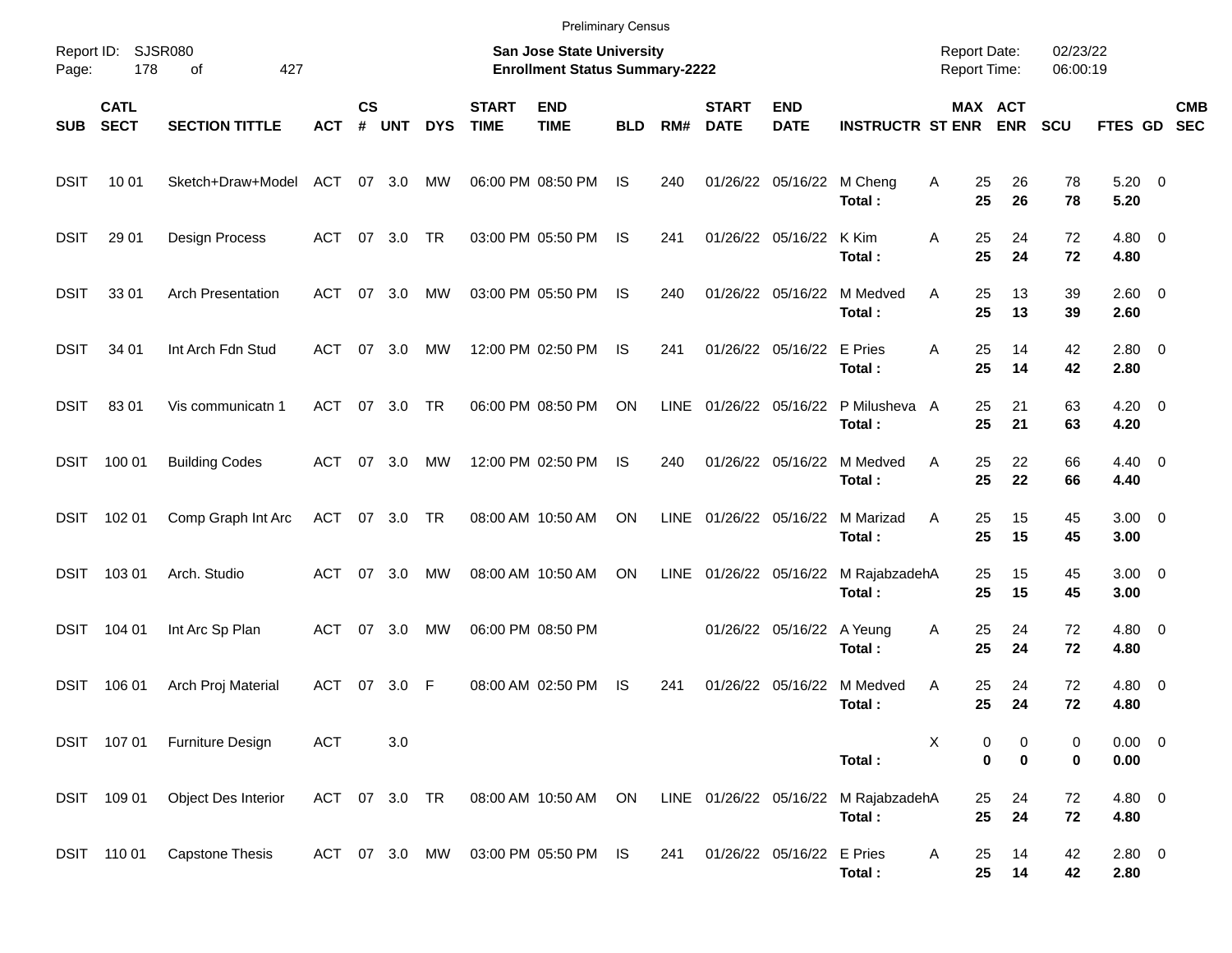|                     |                            |                          |               |                    |            |            |                             | <b>Preliminary Census</b>                                                 |            |             |                             |                           |                         |                                     |                                   |                      |                         |                          |
|---------------------|----------------------------|--------------------------|---------------|--------------------|------------|------------|-----------------------------|---------------------------------------------------------------------------|------------|-------------|-----------------------------|---------------------------|-------------------------|-------------------------------------|-----------------------------------|----------------------|-------------------------|--------------------------|
| Report ID:<br>Page: | 178                        | SJSR080<br>427<br>оf     |               |                    |            |            |                             | <b>San Jose State University</b><br><b>Enrollment Status Summary-2222</b> |            |             |                             |                           |                         | <b>Report Date:</b><br>Report Time: |                                   | 02/23/22<br>06:00:19 |                         |                          |
| <b>SUB</b>          | <b>CATL</b><br><b>SECT</b> | <b>SECTION TITTLE</b>    | <b>ACT</b>    | $\mathsf{cs}$<br># | <b>UNT</b> | <b>DYS</b> | <b>START</b><br><b>TIME</b> | <b>END</b><br><b>TIME</b>                                                 | <b>BLD</b> | RM#         | <b>START</b><br><b>DATE</b> | <b>END</b><br><b>DATE</b> | <b>INSTRUCTR ST ENR</b> |                                     | MAX ACT<br><b>ENR</b>             | <b>SCU</b>           | FTES GD                 | <b>CMB</b><br><b>SEC</b> |
| <b>DSIT</b>         | 10 01                      | Sketch+Draw+Model        | ACT           | 07                 | 3.0        | MW         |                             | 06:00 PM 08:50 PM                                                         | IS         | 240         |                             | 01/26/22 05/16/22         | M Cheng<br>Total:       | Α<br>25<br>25                       | 26<br>26                          | 78<br>78             | 5.20<br>5.20            | $\overline{\phantom{0}}$ |
| <b>DSIT</b>         | 29 01                      | Design Process           | ACT           | 07                 | 3.0        | <b>TR</b>  |                             | 03:00 PM 05:50 PM                                                         | IS         | 241         |                             | 01/26/22 05/16/22         | K Kim<br>Total:         | Α<br>25<br>25                       | 24<br>24                          | 72<br>72             | 4.80<br>4.80            | $\overline{\mathbf{0}}$  |
| <b>DSIT</b>         | 33 01                      | <b>Arch Presentation</b> | ACT           | 07                 | 3.0        | MW         |                             | 03:00 PM 05:50 PM                                                         | IS         | 240         |                             | 01/26/22 05/16/22         | M Medved<br>Total:      | Α<br>25<br>25                       | 13<br>13                          | 39<br>39             | $2.60 \t 0$<br>2.60     |                          |
| <b>DSIT</b>         | 34 01                      | Int Arch Fdn Stud        | ACT           | 07                 | 3.0        | MW         |                             | 12:00 PM 02:50 PM                                                         | IS         | 241         |                             | 01/26/22 05/16/22         | E Pries<br>Total:       | Α<br>25<br>25                       | 14<br>14                          | 42<br>42             | 2.80<br>2.80            | $\overline{\phantom{0}}$ |
| <b>DSIT</b>         | 8301                       | Vis communicatn 1        | ACT           | 07                 | 3.0        | <b>TR</b>  |                             | 06:00 PM 08:50 PM                                                         | ON         | <b>LINE</b> | 01/26/22 05/16/22           |                           | P Milusheva A<br>Total: | 25<br>25                            | 21<br>21                          | 63<br>63             | 4.20<br>4.20            | $\overline{\mathbf{0}}$  |
| <b>DSIT</b>         | 100 01                     | <b>Building Codes</b>    | ACT           | 07                 | 3.0        | MW         |                             | 12:00 PM 02:50 PM                                                         | IS         | 240         |                             | 01/26/22 05/16/22         | M Medved<br>Total:      | Α<br>25<br>25                       | 22<br>22                          | 66<br>66             | $4.40 \quad 0$<br>4.40  |                          |
| <b>DSIT</b>         | 102 01                     | Comp Graph Int Arc       | <b>ACT</b>    | 07                 | 3.0        | <b>TR</b>  |                             | 08:00 AM 10:50 AM                                                         | ON         | <b>LINE</b> | 01/26/22 05/16/22           |                           | M Marizad<br>Total:     | Α<br>25<br>25                       | 15<br>15                          | 45<br>45             | 3.00<br>3.00            | $\overline{\phantom{0}}$ |
| <b>DSIT</b>         | 103 01                     | Arch. Studio             | ACT           | 07                 | 3.0        | MW         |                             | 08:00 AM 10:50 AM                                                         | ON         | <b>LINE</b> | 01/26/22 05/16/22           |                           | M RajabzadehA<br>Total: | 25<br>25                            | 15<br>15                          | 45<br>45             | 3.00<br>3.00            | $\overline{\phantom{0}}$ |
| <b>DSIT</b>         | 104 01                     | Int Arc Sp Plan          | <b>ACT</b>    | 07                 | 3.0        | MW         |                             | 06:00 PM 08:50 PM                                                         |            |             |                             | 01/26/22 05/16/22         | A Yeung<br>Total:       | Α<br>25<br>25                       | 24<br>24                          | 72<br>72             | 4.80<br>4.80            | $\overline{\mathbf{0}}$  |
| <b>DSIT</b>         | 106 01                     | Arch Proj Material       | <b>ACT</b>    | 07                 | 3.0        | F          |                             | 08:00 AM 02:50 PM                                                         | IS         | 241         | 01/26/22                    | 05/16/22                  | M Medved<br>Total:      | Α<br>25<br>25                       | 24<br>24                          | 72<br>72             | 4.80<br>4.80            | $\overline{\mathbf{0}}$  |
|                     | DSIT 107 01                | Furniture Design         | <b>ACT</b>    |                    | 3.0        |            |                             |                                                                           |            |             |                             |                           | Total:                  | X                                   | 0<br>0<br>$\mathbf 0$<br>$\bf{0}$ | 0<br>0               | $0.00 \t 0$<br>$0.00\,$ |                          |
|                     | DSIT 109 01                | Object Des Interior      | ACT 07 3.0 TR |                    |            |            |                             | 08:00 AM 10:50 AM                                                         | ON         |             | LINE 01/26/22 05/16/22      |                           | M RajabzadehA<br>Total: | 25<br>25                            | 24<br>24                          | 72<br>72             | 4.80 0<br>4.80          |                          |
|                     | DSIT 110 01                | <b>Capstone Thesis</b>   | ACT 07 3.0    |                    |            | MW         |                             | 03:00 PM 05:50 PM                                                         | - IS       | 241         |                             | 01/26/22 05/16/22         | E Pries<br>Total:       | 25<br>A<br>25                       | 14<br>14                          | 42<br>42             | 2.80 0<br>2.80          |                          |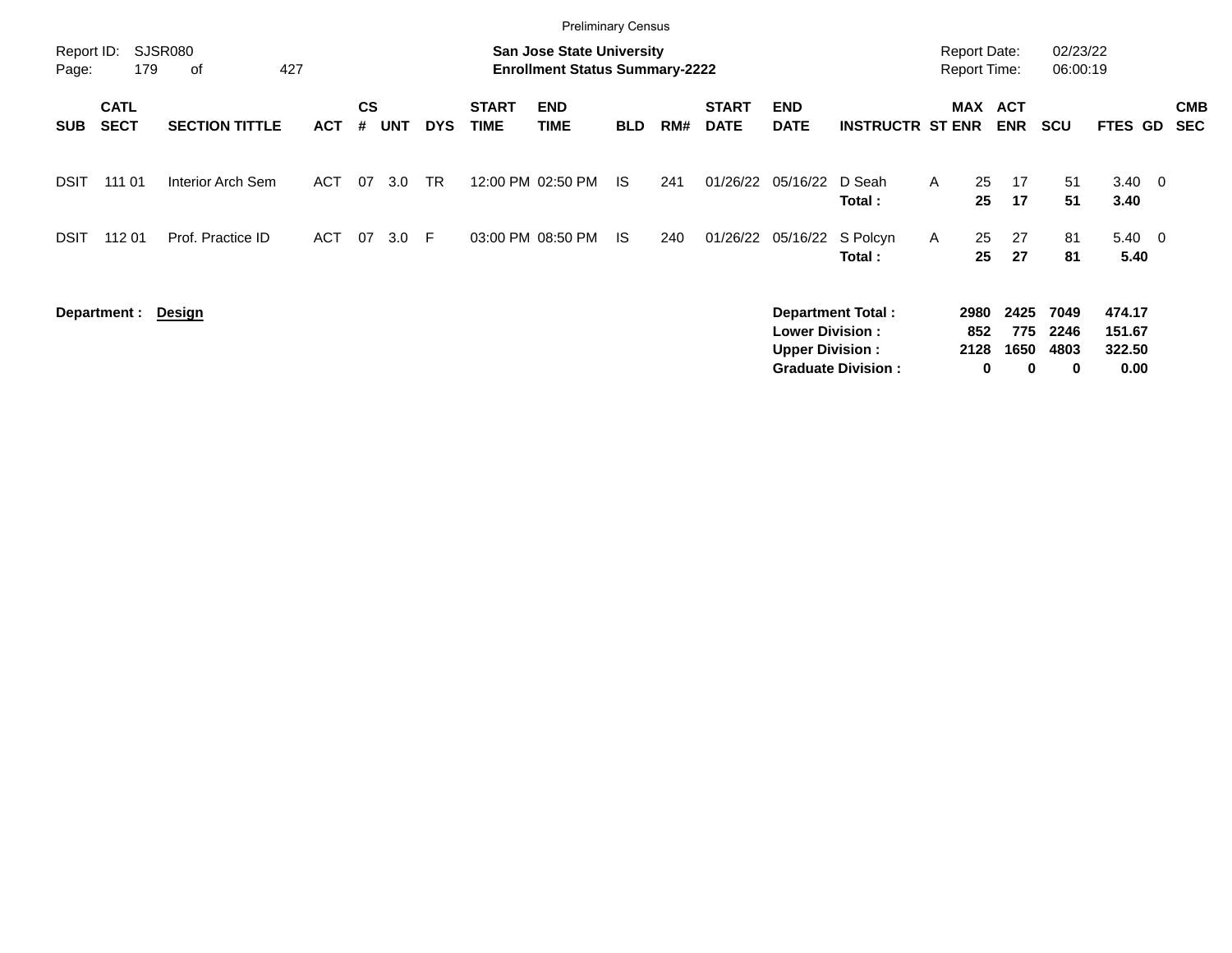|                     |                            |                             |            |                |            |            |                             | <b>Preliminary Census</b>                                          |            |     |                             |                                                  |                                                       |   |                                            |                                 |                           |                                    |                          |
|---------------------|----------------------------|-----------------------------|------------|----------------|------------|------------|-----------------------------|--------------------------------------------------------------------|------------|-----|-----------------------------|--------------------------------------------------|-------------------------------------------------------|---|--------------------------------------------|---------------------------------|---------------------------|------------------------------------|--------------------------|
| Report ID:<br>Page: | 179                        | <b>SJSR080</b><br>427<br>of |            |                |            |            |                             | San Jose State University<br><b>Enrollment Status Summary-2222</b> |            |     |                             |                                                  |                                                       |   | <b>Report Date:</b><br><b>Report Time:</b> |                                 | 02/23/22<br>06:00:19      |                                    |                          |
| <b>SUB</b>          | <b>CATL</b><br><b>SECT</b> | <b>SECTION TITTLE</b>       | <b>ACT</b> | <b>CS</b><br># | <b>UNT</b> | <b>DYS</b> | <b>START</b><br><b>TIME</b> | <b>END</b><br><b>TIME</b>                                          | <b>BLD</b> | RM# | <b>START</b><br><b>DATE</b> | <b>END</b><br><b>DATE</b>                        | <b>INSTRUCTR ST ENR</b>                               |   | <b>MAX</b>                                 | <b>ACT</b><br><b>ENR</b>        | <b>SCU</b>                | <b>FTES GD</b>                     | <b>CMB</b><br><b>SEC</b> |
| DSIT                | 111 01                     | Interior Arch Sem           | <b>ACT</b> | 07             | 3.0        | <b>TR</b>  |                             | 12:00 PM 02:50 PM                                                  | - IS       | 241 | 01/26/22                    | 05/16/22                                         | D Seah<br>Total:                                      | A | 25<br>25                                   | 17<br>17                        | 51<br>51                  | $3.40 \quad 0$<br>3.40             |                          |
| <b>DSIT</b>         | 112 01                     | Prof. Practice ID           | ACT        | 07             | 3.0        | -F         |                             | 03:00 PM 08:50 PM                                                  | IS.        | 240 | 01/26/22                    | 05/16/22                                         | S Polcyn<br>Total:                                    | A | 25<br>25                                   | 27<br>27                        | 81<br>81                  | $5.40 \quad 0$<br>5.40             |                          |
|                     | Department :               | Design                      |            |                |            |            |                             |                                                                    |            |     |                             | <b>Lower Division:</b><br><b>Upper Division:</b> | <b>Department Total:</b><br><b>Graduate Division:</b> |   | 2980<br>852<br>2128<br>0                   | 2425<br>775<br>1650<br>$\bf{0}$ | 7049<br>2246<br>4803<br>0 | 474.17<br>151.67<br>322.50<br>0.00 |                          |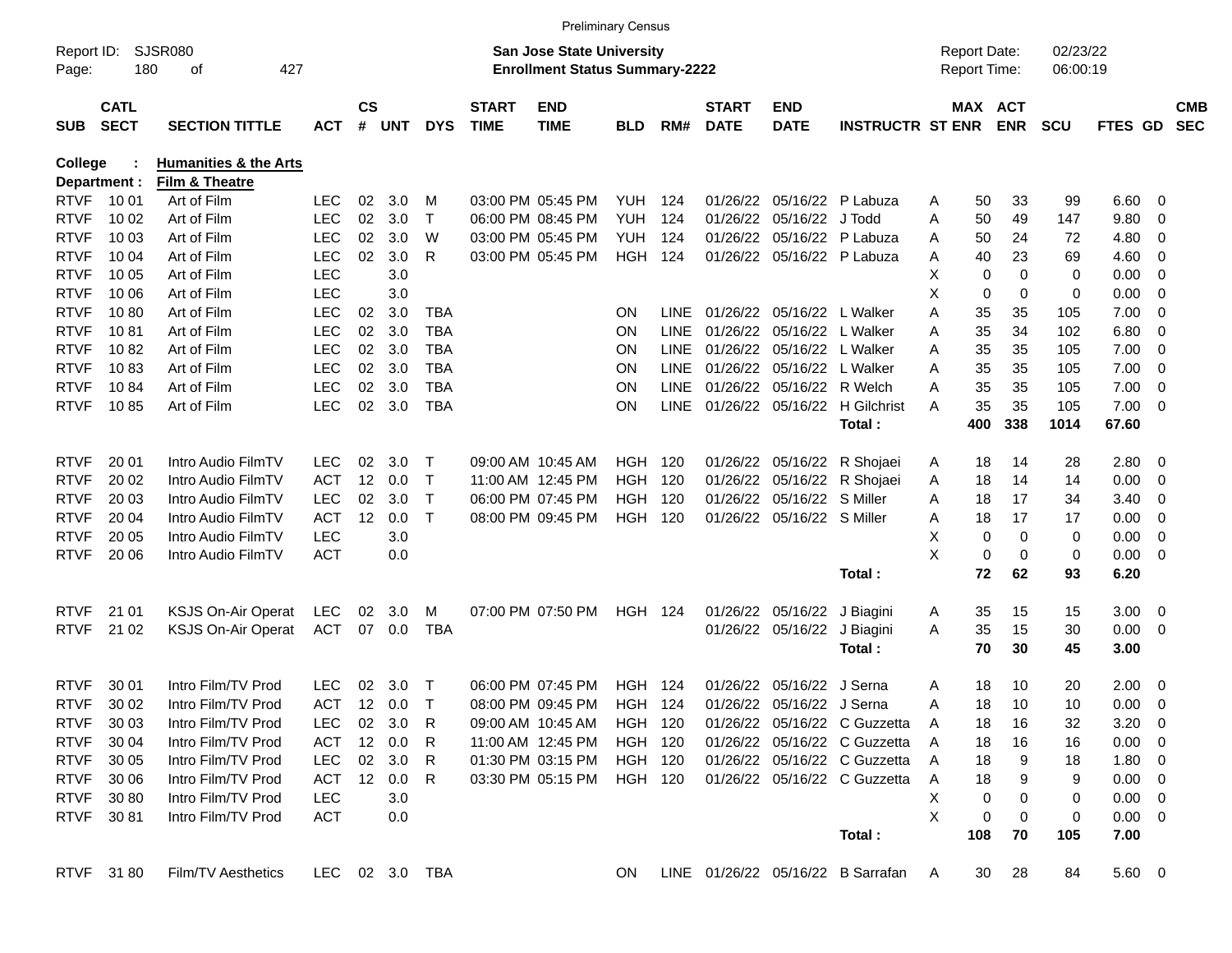|                     |                            |                                  |            |               |        |                |                             | <b>Preliminary Census</b>                                                 |            |             |                             |                             |                                    |   |                                            |             |                      |                |                          |                          |
|---------------------|----------------------------|----------------------------------|------------|---------------|--------|----------------|-----------------------------|---------------------------------------------------------------------------|------------|-------------|-----------------------------|-----------------------------|------------------------------------|---|--------------------------------------------|-------------|----------------------|----------------|--------------------------|--------------------------|
| Report ID:<br>Page: | 180                        | <b>SJSR080</b><br>οf<br>427      |            |               |        |                |                             | <b>San Jose State University</b><br><b>Enrollment Status Summary-2222</b> |            |             |                             |                             |                                    |   | <b>Report Date:</b><br><b>Report Time:</b> |             | 02/23/22<br>06:00:19 |                |                          |                          |
| <b>SUB</b>          | <b>CATL</b><br><b>SECT</b> | <b>SECTION TITTLE</b>            | ACT        | $\mathsf{cs}$ | # UNT  | <b>DYS</b>     | <b>START</b><br><b>TIME</b> | <b>END</b><br><b>TIME</b>                                                 | <b>BLD</b> | RM#         | <b>START</b><br><b>DATE</b> | <b>END</b><br><b>DATE</b>   | <b>INSTRUCTR ST ENR</b>            |   | MAX ACT                                    | <b>ENR</b>  | <b>SCU</b>           | <b>FTES GD</b> |                          | <b>CMB</b><br><b>SEC</b> |
| <b>College</b>      |                            | <b>Humanities &amp; the Arts</b> |            |               |        |                |                             |                                                                           |            |             |                             |                             |                                    |   |                                            |             |                      |                |                          |                          |
| Department :        |                            | Film & Theatre                   |            |               |        |                |                             |                                                                           |            |             |                             |                             |                                    |   |                                            |             |                      |                |                          |                          |
| <b>RTVF</b>         | 10 01                      | Art of Film                      | <b>LEC</b> | 02            | 3.0    | м              |                             | 03:00 PM 05:45 PM                                                         | YUH.       | 124         | 01/26/22                    |                             | 05/16/22 P Labuza                  | A | 50                                         | 33          | 99                   | 6.60           | - 0                      |                          |
| <b>RTVF</b>         | 10 02                      | Art of Film                      | <b>LEC</b> | 02            | 3.0    | $\top$         |                             | 06:00 PM 08:45 PM                                                         | <b>YUH</b> | 124         | 01/26/22                    | 05/16/22 J Todd             |                                    | A | 50                                         | 49          | 147                  | 9.80           | 0                        |                          |
| <b>RTVF</b>         | 10 03                      | Art of Film                      | <b>LEC</b> | 02            | 3.0    | W              |                             | 03:00 PM 05:45 PM                                                         | YUH.       | 124         | 01/26/22                    |                             | 05/16/22 P Labuza                  | A | 50                                         | 24          | 72                   | 4.80           | 0                        |                          |
| <b>RTVF</b>         | 10 04                      | Art of Film                      | <b>LEC</b> | 02            | 3.0    | R              |                             | 03:00 PM 05:45 PM                                                         | HGH        | 124         |                             | 01/26/22 05/16/22 P Labuza  |                                    | A | 40                                         | 23          | 69                   | 4.60           | 0                        |                          |
| <b>RTVF</b>         | 10 05                      | Art of Film                      | <b>LEC</b> |               | 3.0    |                |                             |                                                                           |            |             |                             |                             |                                    | X | 0                                          | $\mathbf 0$ | $\mathbf 0$          | 0.00           | - 0                      |                          |
| <b>RTVF</b>         | 10 06                      | Art of Film                      | <b>LEC</b> |               | 3.0    |                |                             |                                                                           |            |             |                             |                             |                                    | X | 0                                          | $\mathbf 0$ | $\mathbf 0$          | 0.00           | - 0                      |                          |
| <b>RTVF</b>         | 1080                       | Art of Film                      | <b>LEC</b> | 02            | 3.0    | TBA            |                             |                                                                           | ΟN         | <b>LINE</b> | 01/26/22                    | 05/16/22 L Walker           |                                    | A | 35                                         | 35          | 105                  | 7.00           | - 0                      |                          |
| <b>RTVF</b>         | 1081                       | Art of Film                      | <b>LEC</b> | 02            | 3.0    | TBA            |                             |                                                                           | ΟN         | <b>LINE</b> | 01/26/22                    | 05/16/22 L Walker           |                                    | Α | 35                                         | 34          | 102                  | 6.80           | - 0                      |                          |
| <b>RTVF</b>         | 1082                       | Art of Film                      | <b>LEC</b> | 02            | 3.0    | <b>TBA</b>     |                             |                                                                           | ΟN         | <b>LINE</b> | 01/26/22                    | 05/16/22 L Walker           |                                    | A | 35                                         | 35          | 105                  | 7.00           | - 0                      |                          |
| <b>RTVF</b>         | 1083                       | Art of Film                      | <b>LEC</b> | 02            | 3.0    | TBA            |                             |                                                                           | ΟN         | <b>LINE</b> | 01/26/22                    | 05/16/22 L Walker           |                                    | A | 35                                         | 35          | 105                  | 7.00           | - 0                      |                          |
| <b>RTVF</b>         | 1084                       | Art of Film                      | <b>LEC</b> | 02            | 3.0    | <b>TBA</b>     |                             |                                                                           | ΟN         | <b>LINE</b> | 01/26/22                    | 05/16/22 R Welch            |                                    | A | 35                                         | 35          | 105                  | 7.00           | - 0                      |                          |
| <b>RTVF</b>         | 1085                       | Art of Film                      | <b>LEC</b> | 02            | 3.0    | <b>TBA</b>     |                             |                                                                           | ΟN         |             |                             |                             | LINE 01/26/22 05/16/22 H Gilchrist | A | 35                                         | 35          | 105                  | 7.00           | - 0                      |                          |
|                     |                            |                                  |            |               |        |                |                             |                                                                           |            |             |                             |                             | Total:                             |   | 400                                        | 338         | 1014                 | 67.60          |                          |                          |
| <b>RTVF</b>         | 20 01                      | Intro Audio FilmTV               | LEC        | 02            | 3.0    | $\top$         |                             | 09:00 AM 10:45 AM                                                         | HGH 120    |             |                             |                             | 01/26/22 05/16/22 R Shojaei        | A | 18                                         | 14          | 28                   | 2.80           | $\overline{\mathbf{0}}$  |                          |
| <b>RTVF</b>         | 20 02                      | Intro Audio FilmTV               | <b>ACT</b> | 12            | 0.0    | $\top$         |                             | 11:00 AM 12:45 PM                                                         | HGH        | 120         | 01/26/22                    |                             | 05/16/22 R Shojaei                 | A | 18                                         | 14          | 14                   | 0.00           | 0                        |                          |
| <b>RTVF</b>         | 20 03                      | Intro Audio FilmTV               | <b>LEC</b> | 02            | 3.0    | $\top$         |                             | 06:00 PM 07:45 PM                                                         | HGH        | 120         | 01/26/22                    | 05/16/22 S Miller           |                                    | A | 18                                         | 17          | 34                   | 3.40           | - 0                      |                          |
| <b>RTVF</b>         | 20 04                      | Intro Audio FilmTV               | <b>ACT</b> | 12            | 0.0    | $\top$         |                             | 08:00 PM 09:45 PM                                                         | HGH        | 120         |                             | 01/26/22 05/16/22 S Miller  |                                    | A | 18                                         | 17          | 17                   | 0.00           | - 0                      |                          |
| <b>RTVF</b>         | 20 05                      | Intro Audio FilmTV               | <b>LEC</b> |               | 3.0    |                |                             |                                                                           |            |             |                             |                             |                                    | X | 0                                          | 0           | 0                    | 0.00           | 0                        |                          |
| <b>RTVF</b>         | 20 06                      | Intro Audio FilmTV               | <b>ACT</b> |               | 0.0    |                |                             |                                                                           |            |             |                             |                             |                                    | X | 0                                          | 0           | 0                    | 0.00           | - 0                      |                          |
|                     |                            |                                  |            |               |        |                |                             |                                                                           |            |             |                             |                             | Total:                             |   | 72                                         | 62          | 93                   | 6.20           |                          |                          |
|                     |                            |                                  |            |               |        |                |                             |                                                                           |            |             |                             |                             |                                    |   |                                            |             |                      |                |                          |                          |
| <b>RTVF</b>         | 21 01                      | <b>KSJS On-Air Operat</b>        | LEC        | 02            | 3.0    | м              |                             | 07:00 PM 07:50 PM                                                         | HGH 124    |             |                             | 01/26/22 05/16/22 J Biagini |                                    | A | 35                                         | 15          | 15                   | 3.00           | $\overline{\phantom{0}}$ |                          |
| <b>RTVF</b>         | 21 02                      | <b>KSJS On-Air Operat</b>        | <b>ACT</b> |               | 07 0.0 | <b>TBA</b>     |                             |                                                                           |            |             |                             | 01/26/22 05/16/22 J Biagini |                                    | A | 35                                         | 15          | 30                   | 0.00           | $\overline{\mathbf{0}}$  |                          |
|                     |                            |                                  |            |               |        |                |                             |                                                                           |            |             |                             |                             | Total:                             |   | 70                                         | 30          | 45                   | 3.00           |                          |                          |
|                     |                            |                                  |            |               |        |                |                             |                                                                           |            |             |                             |                             |                                    |   |                                            |             |                      |                |                          |                          |
| <b>RTVF</b>         | 30 01                      | Intro Film/TV Prod               | LEC        | 02            | 3.0    | $\top$         |                             | 06:00 PM 07:45 PM                                                         | HGH.       | 124         | 01/26/22                    | 05/16/22 J Serna            |                                    | A | 18                                         | 10          | 20                   | 2.00           | $\overline{\mathbf{0}}$  |                          |
| <b>RTVF</b>         | 30 02                      | Intro Film/TV Prod               | <b>ACT</b> |               | 12 0.0 | $\top$         |                             | 08:00 PM 09:45 PM                                                         | HGH        | 124         |                             | 01/26/22 05/16/22 J Serna   |                                    | A | 18                                         | 10          | 10                   | 0.00           | - 0                      |                          |
| <b>RTVF</b>         | 30 03                      | Intro Film/TV Prod               | LEC.       |               | 02 3.0 | R              |                             | 09:00 AM 10:45 AM                                                         | HGH 120    |             |                             |                             | 01/26/22 05/16/22 C Guzzetta       | A | 18                                         | 16          | 32                   | $3.20 \ 0$     |                          |                          |
| <b>RTVF</b>         | 30 04                      | Intro Film/TV Prod               | ACT        |               | 12 0.0 | R.             |                             | 11:00 AM 12:45 PM                                                         | HGH 120    |             |                             |                             | 01/26/22 05/16/22 C Guzzetta       | A | 18                                         | 16          | 16                   | $0.00 \ 0$     |                          |                          |
| <b>RTVF</b>         | 30 05                      | Intro Film/TV Prod               | LEC        |               | 02 3.0 | R.             |                             | 01:30 PM 03:15 PM                                                         | HGH 120    |             |                             |                             | 01/26/22 05/16/22 C Guzzetta       | A | 18                                         | 9           | 18                   | $1.80 \t 0$    |                          |                          |
| RTVF                | 30 06                      | Intro Film/TV Prod               | ACT        |               | 12 0.0 | R              |                             | 03:30 PM 05:15 PM                                                         | HGH 120    |             |                             |                             | 01/26/22 05/16/22 C Guzzetta       | A | 18                                         | 9           | 9                    | $0.00 \t 0$    |                          |                          |
| RTVF                | 30 80                      | Intro Film/TV Prod               | <b>LEC</b> |               | 3.0    |                |                             |                                                                           |            |             |                             |                             |                                    | Χ | 0                                          | 0           | 0                    | $0.00 \t 0$    |                          |                          |
| <b>RTVF</b>         | 3081                       | Intro Film/TV Prod               | <b>ACT</b> |               | 0.0    |                |                             |                                                                           |            |             |                             |                             |                                    | X | 0                                          | 0           | 0                    | $0.00 \t 0$    |                          |                          |
|                     |                            |                                  |            |               |        |                |                             |                                                                           |            |             |                             |                             | Total:                             |   | 108                                        | 70          | 105                  | 7.00           |                          |                          |
|                     | RTVF 3180                  | Film/TV Aesthetics               |            |               |        | LEC 02 3.0 TBA |                             |                                                                           | ON.        |             |                             |                             | LINE 01/26/22 05/16/22 B Sarrafan  | A | 30                                         | 28          | 84                   | 5.60 0         |                          |                          |
|                     |                            |                                  |            |               |        |                |                             |                                                                           |            |             |                             |                             |                                    |   |                                            |             |                      |                |                          |                          |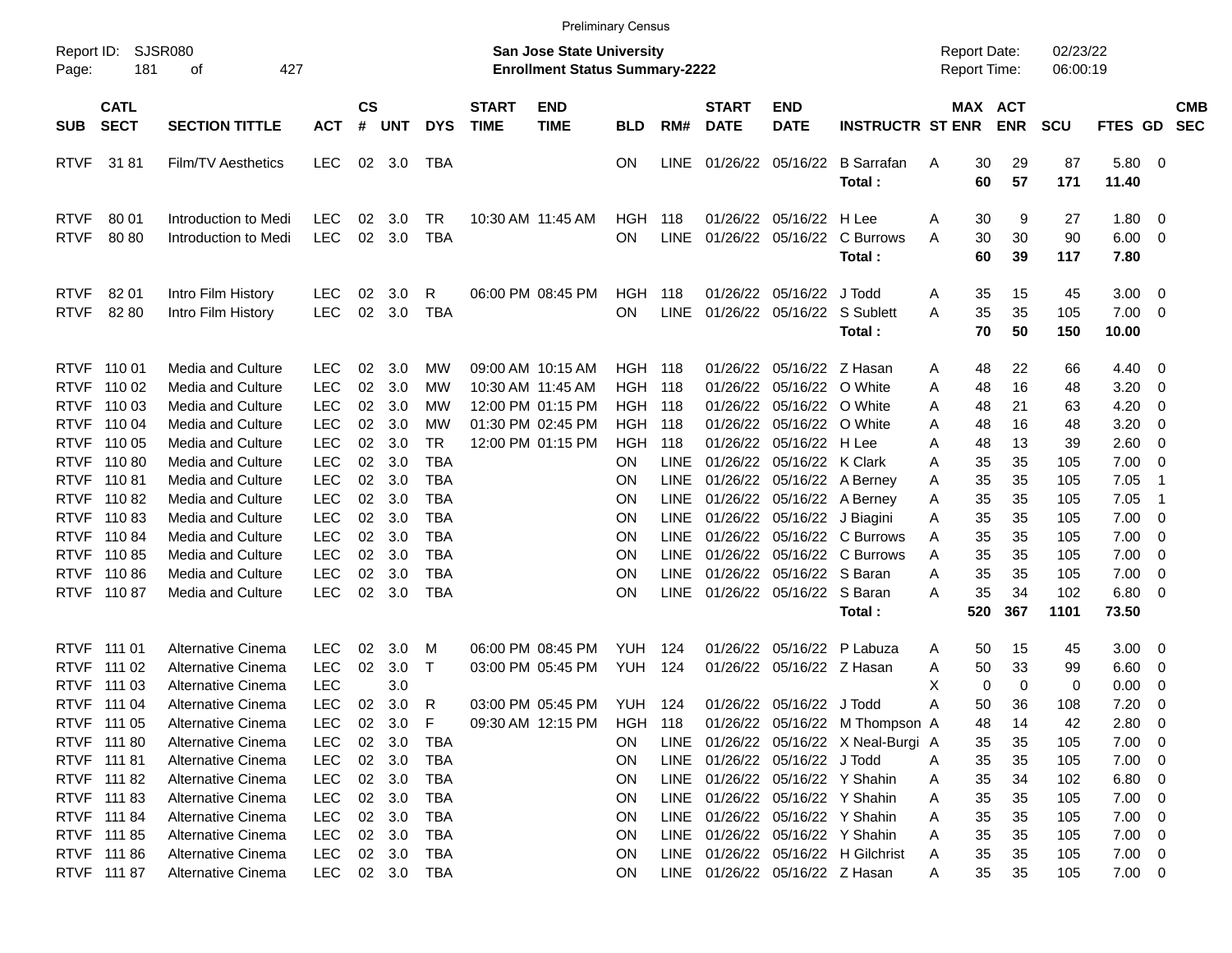|                                           |                                           |                                                                           |                                        |                             |                            |                                        |                             |                                                                    | <b>Preliminary Census</b>    |                                           |                             |                                                                                        |                                       |                                     |                |                      |                            |                                                                                 |                          |
|-------------------------------------------|-------------------------------------------|---------------------------------------------------------------------------|----------------------------------------|-----------------------------|----------------------------|----------------------------------------|-----------------------------|--------------------------------------------------------------------|------------------------------|-------------------------------------------|-----------------------------|----------------------------------------------------------------------------------------|---------------------------------------|-------------------------------------|----------------|----------------------|----------------------------|---------------------------------------------------------------------------------|--------------------------|
| Report ID:<br>Page:                       | 181                                       | <b>SJSR080</b><br>427<br>οf                                               |                                        |                             |                            |                                        |                             | San Jose State University<br><b>Enrollment Status Summary-2222</b> |                              |                                           |                             |                                                                                        |                                       | <b>Report Date:</b><br>Report Time: |                | 02/23/22<br>06:00:19 |                            |                                                                                 |                          |
| <b>SUB</b>                                | <b>CATL</b><br><b>SECT</b>                | <b>SECTION TITTLE</b>                                                     | <b>ACT</b>                             | $\mathbf{c}\mathbf{s}$<br># | <b>UNT</b>                 | <b>DYS</b>                             | <b>START</b><br><b>TIME</b> | <b>END</b><br><b>TIME</b>                                          | <b>BLD</b>                   | RM#                                       | <b>START</b><br><b>DATE</b> | <b>END</b><br><b>DATE</b>                                                              | <b>INSTRUCTR ST ENR</b>               | MAX ACT                             | <b>ENR</b>     | <b>SCU</b>           | FTES GD                    |                                                                                 | <b>CMB</b><br><b>SEC</b> |
| <b>RTVF</b>                               | 3181                                      | Film/TV Aesthetics                                                        | <b>LEC</b>                             | 02                          | 3.0                        | TBA                                    |                             |                                                                    | ΟN                           | <b>LINE</b>                               |                             | 01/26/22 05/16/22                                                                      | <b>B</b> Sarrafan<br>Total:           | 30<br>A<br>60                       | 29<br>57       | 87<br>171            | 5.80<br>11.40              | $\overline{\mathbf{0}}$                                                         |                          |
| <b>RTVF</b><br><b>RTVF</b>                | 80 01<br>8080                             | Introduction to Medi<br>Introduction to Medi                              | LEC<br><b>LEC</b>                      | 02<br>02                    | 3.0<br>3.0                 | TR<br><b>TBA</b>                       |                             | 10:30 AM 11:45 AM                                                  | HGH<br><b>ON</b>             | 118<br><b>LINE</b>                        |                             | 01/26/22 05/16/22 H Lee<br>01/26/22 05/16/22                                           | C Burrows<br>Total:                   | 30<br>Α<br>30<br>Α<br>60            | 9<br>30<br>39  | 27<br>90<br>117      | 1.80<br>6.00<br>7.80       | $\overline{\mathbf{0}}$<br>$\overline{\phantom{0}}$                             |                          |
| <b>RTVF</b><br><b>RTVF</b>                | 82 01<br>82 80                            | Intro Film History<br>Intro Film History                                  | <b>LEC</b><br><b>LEC</b>               | 02<br>02                    | 3.0<br>3.0                 | R<br><b>TBA</b>                        |                             | 06:00 PM 08:45 PM                                                  | HGH<br>ON.                   | 118<br><b>LINE</b>                        |                             | 01/26/22 05/16/22 J Todd<br>01/26/22 05/16/22 S Sublett                                | Total:                                | 35<br>Α<br>35<br>Α<br>70            | 15<br>35<br>50 | 45<br>105<br>150     | 3.00<br>7.00<br>10.00      | $\overline{\mathbf{0}}$<br>$\overline{\mathbf{0}}$                              |                          |
| <b>RTVF</b>                               | RTVF 110 01<br>110 02                     | Media and Culture<br>Media and Culture                                    | <b>LEC</b><br><b>LEC</b>               | 02<br>02                    | 3.0<br>3.0                 | MW<br>MW                               |                             | 09:00 AM 10:15 AM<br>10:30 AM 11:45 AM                             | <b>HGH 118</b><br><b>HGH</b> | 118                                       |                             | 01/26/22 05/16/22 Z Hasan<br>01/26/22 05/16/22 O White                                 |                                       | 48<br>Α<br>48<br>Α                  | 22<br>16       | 66<br>48             | 4.40<br>3.20               | $\overline{\mathbf{0}}$<br>0                                                    |                          |
| <b>RTVF</b><br><b>RTVF</b><br><b>RTVF</b> | 110 03<br>110 04<br>110 05                | Media and Culture<br>Media and Culture<br>Media and Culture               | <b>LEC</b><br><b>LEC</b><br><b>LEC</b> | 02<br>02<br>02              | 3.0<br>3.0<br>3.0          | MW<br>MW<br><b>TR</b>                  |                             | 12:00 PM 01:15 PM<br>01:30 PM 02:45 PM<br>12:00 PM 01:15 PM        | HGH.<br>HGH<br>HGH           | 118<br>118<br>118                         |                             | 01/26/22 05/16/22 O White<br>01/26/22 05/16/22 O White<br>01/26/22 05/16/22 H Lee      |                                       | 48<br>Α<br>48<br>Α<br>48<br>A       | 21<br>16<br>13 | 63<br>48<br>39       | 4.20<br>3.20<br>2.60       | 0<br>0<br>0                                                                     |                          |
|                                           | RTVF 110 80<br>RTVF 110 81                | <b>Media and Culture</b><br>Media and Culture                             | <b>LEC</b><br><b>LEC</b>               | 02<br>02                    | 3.0<br>3.0                 | <b>TBA</b><br>TBA                      |                             |                                                                    | OΝ<br>ON                     | <b>LINE</b><br><b>LINE</b>                |                             | 01/26/22 05/16/22 K Clark<br>01/26/22 05/16/22 A Berney                                |                                       | 35<br>Α<br>35<br>Α                  | 35<br>35       | 105<br>105           | 7.00<br>7.05               | 0<br>-1                                                                         |                          |
| <b>RTVF</b>                               | 11082<br>RTVF 110 83<br>RTVF 110 84       | Media and Culture<br><b>Media and Culture</b><br>Media and Culture        | <b>LEC</b><br><b>LEC</b><br><b>LEC</b> | 02<br>02<br>02              | 3.0<br>3.0<br>3.0          | <b>TBA</b><br><b>TBA</b><br><b>TBA</b> |                             |                                                                    | ΟN<br>ΟN<br>ΟN               | <b>LINE</b><br><b>LINE</b><br><b>LINE</b> |                             | 01/26/22 05/16/22 A Berney<br>01/26/22 05/16/22 J Biagini                              | 01/26/22 05/16/22 C Burrows           | 35<br>Α<br>35<br>Α<br>35<br>Α       | 35<br>35<br>35 | 105<br>105<br>105    | 7.05<br>7.00<br>7.00       | -1<br>0<br>0                                                                    |                          |
|                                           | RTVF 110 85<br>RTVF 11086<br>RTVF 110 87  | Media and Culture<br><b>Media and Culture</b><br><b>Media and Culture</b> | <b>LEC</b><br><b>LEC</b><br><b>LEC</b> | 02<br>02<br>02              | 3.0<br>3.0<br>3.0          | <b>TBA</b><br>TBA<br><b>TBA</b>        |                             |                                                                    | ΟN<br>ΟN<br>ΟN               | <b>LINE</b><br><b>LINE</b><br><b>LINE</b> |                             | 01/26/22 05/16/22 S Baran<br>01/26/22 05/16/22 S Baran                                 | 01/26/22 05/16/22 C Burrows           | 35<br>Α<br>35<br>A<br>35<br>A       | 35<br>35<br>34 | 105<br>105<br>102    | 7.00<br>7.00<br>6.80       | 0<br>0<br>0                                                                     |                          |
|                                           |                                           |                                                                           |                                        |                             |                            |                                        |                             |                                                                    |                              |                                           |                             |                                                                                        | Total:                                | 520                                 | 367            | 1101                 | 73.50                      |                                                                                 |                          |
| <b>RTVF</b><br><b>RTVF</b>                | RTVF 111 01<br>111 02<br>111 03           | Alternative Cinema<br>Alternative Cinema<br>Alternative Cinema            | LEC<br><b>LEC</b><br><b>LEC</b>        | 02<br>02                    | 3.0<br>3.0<br>3.0          | M<br>$\mathsf{T}$                      |                             | 06:00 PM 08:45 PM<br>03:00 PM 05:45 PM                             | YUH<br>YUH                   | 124<br>124                                |                             | 01/26/22 05/16/22<br>01/26/22 05/16/22 Z Hasan                                         | P Labuza                              | 50<br>Α<br>50<br>A<br>X<br>0        | 15<br>33<br>0  | 45<br>99<br>0        | 3.00<br>6.60<br>0.00       | $\overline{\mathbf{0}}$<br>0<br>0                                               |                          |
|                                           | RTVF 111 04<br>RTVF 111 05                | Alternative Cinema<br>Alternative Cinema                                  | <b>LEC</b><br>LEC                      | 02<br>02                    | 3.0<br>3.0                 | R<br>- F                               |                             | 03:00 PM 05:45 PM<br>09:30 AM 12:15 PM                             | <b>YUH 124</b><br>HGH<br>ON. | - 118                                     |                             | 01/26/22 05/16/22 J Todd                                                               | 01/26/22 05/16/22 M Thompson A        | 50<br>Α<br>48                       | 36<br>14       | 108<br>42            | 7.20<br>2.80               | 0<br>$\mathbf 0$                                                                |                          |
|                                           | RTVF 111 80<br>RTVF 111 81<br>RTVF 111 82 | Alternative Cinema<br>Alternative Cinema<br>Alternative Cinema            | LEC<br><b>LEC</b><br><b>LEC</b>        | 02                          | 3.0<br>02 3.0<br>02 3.0    | TBA<br>TBA<br>TBA                      |                             |                                                                    | ON<br>ON                     |                                           |                             | LINE 01/26/22 05/16/22 J Todd<br>LINE 01/26/22 05/16/22 Y Shahin                       | LINE 01/26/22 05/16/22 X Neal-Burgi A | 35<br>35<br>Α<br>35<br>A            | 35<br>35<br>34 | 105<br>105<br>102    | 7.00<br>7.00<br>6.80       | $\overline{\mathbf{0}}$<br>$\overline{\mathbf{0}}$<br>$\overline{\mathbf{0}}$   |                          |
|                                           | RTVF 111 83<br>RTVF 111 84<br>RTVF 111 85 | Alternative Cinema<br>Alternative Cinema<br>Alternative Cinema            | <b>LEC</b><br><b>LEC</b><br><b>LEC</b> |                             | 02 3.0<br>02 3.0<br>02 3.0 | TBA<br>TBA<br>TBA                      |                             |                                                                    | ON<br>0N<br>0N               | LINE<br>LINE<br>LINE                      |                             | 01/26/22 05/16/22 Y Shahin<br>01/26/22 05/16/22 Y Shahin<br>01/26/22 05/16/22 Y Shahin |                                       | 35<br>A<br>35<br>Α<br>35<br>Α       | 35<br>35<br>35 | 105<br>105<br>105    | 7.00<br>7.00<br>7.00       | $\overline{\phantom{0}}$<br>$\overline{\mathbf{0}}$<br>$\overline{\phantom{0}}$ |                          |
|                                           | RTVF 111 86<br>RTVF 111 87                | Alternative Cinema<br>Alternative Cinema                                  | <b>LEC</b><br><b>LEC</b>               |                             | 02 3.0                     | TBA<br>02 3.0 TBA                      |                             |                                                                    | <b>ON</b><br>ON              |                                           |                             | LINE 01/26/22 05/16/22 Z Hasan                                                         | LINE 01/26/22 05/16/22 H Gilchrist    | 35<br>A<br>35<br>A                  | 35<br>35       | 105<br>105           | $7.00 \t 0$<br>$7.00 \t 0$ |                                                                                 |                          |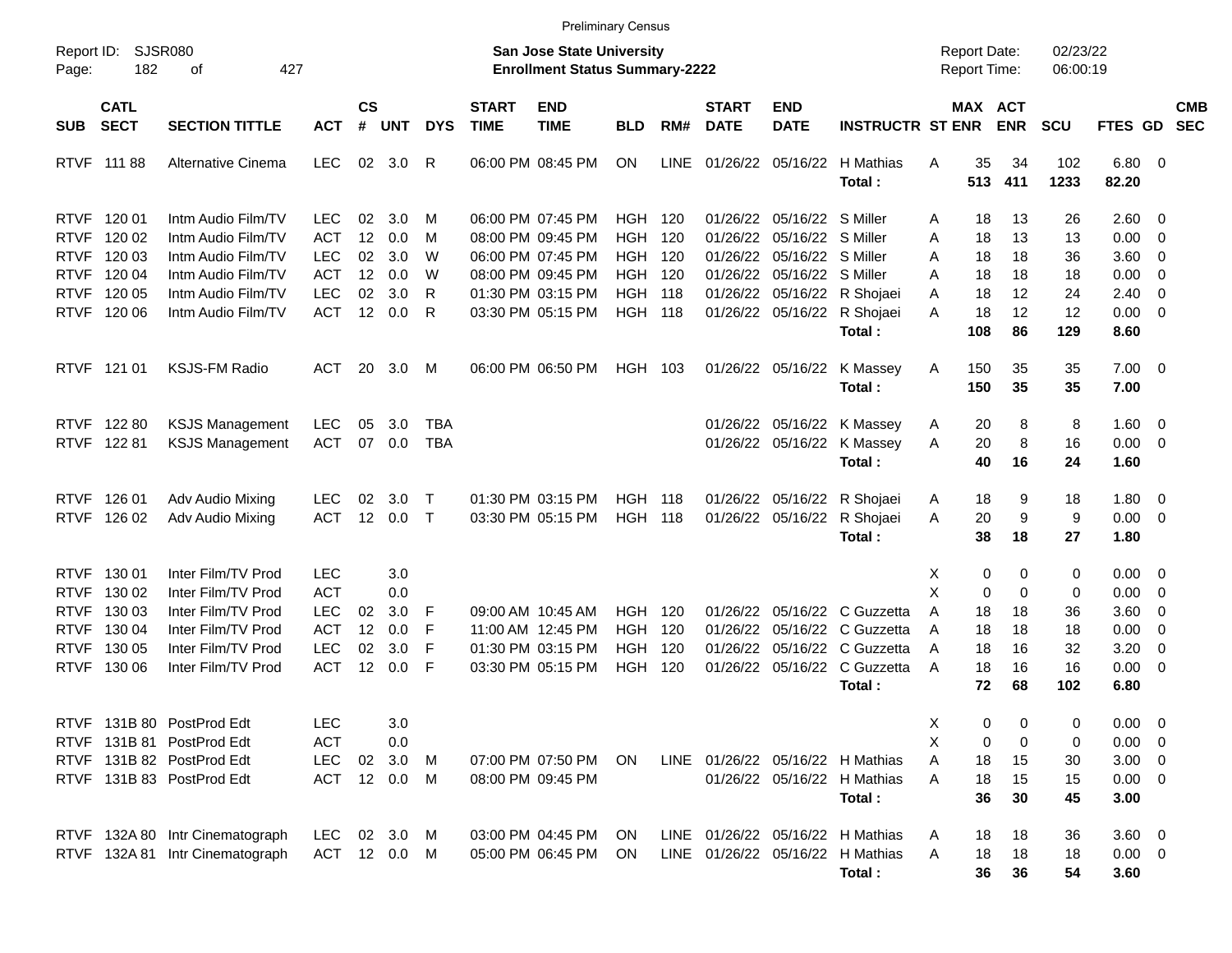|                                                                                        |                                                          |                                                                                                                                  |                                                                                  |                                  |                                        |                            |                             | <b>Preliminary Census</b>                                                                                                  |                                                                                      |                                 |                                                                      |                                                                |                                                                                |                            |                                      |                                            |                                                           |                                                                 |                                                                                                 |                          |
|----------------------------------------------------------------------------------------|----------------------------------------------------------|----------------------------------------------------------------------------------------------------------------------------------|----------------------------------------------------------------------------------|----------------------------------|----------------------------------------|----------------------------|-----------------------------|----------------------------------------------------------------------------------------------------------------------------|--------------------------------------------------------------------------------------|---------------------------------|----------------------------------------------------------------------|----------------------------------------------------------------|--------------------------------------------------------------------------------|----------------------------|--------------------------------------|--------------------------------------------|-----------------------------------------------------------|-----------------------------------------------------------------|-------------------------------------------------------------------------------------------------|--------------------------|
| Report ID:<br>Page:                                                                    | 182                                                      | SJSR080<br>427<br>οf                                                                                                             |                                                                                  |                                  |                                        |                            |                             | <b>San Jose State University</b><br><b>Enrollment Status Summary-2222</b>                                                  |                                                                                      |                                 |                                                                      |                                                                |                                                                                |                            |                                      | <b>Report Date:</b><br><b>Report Time:</b> | 02/23/22<br>06:00:19                                      |                                                                 |                                                                                                 |                          |
| <b>SUB</b>                                                                             | <b>CATL</b><br><b>SECT</b>                               | <b>SECTION TITTLE</b>                                                                                                            | <b>ACT</b>                                                                       | $\mathsf{cs}$<br>#               | <b>UNT</b>                             | <b>DYS</b>                 | <b>START</b><br><b>TIME</b> | <b>END</b><br><b>TIME</b>                                                                                                  | <b>BLD</b>                                                                           | RM#                             | <b>START</b><br><b>DATE</b>                                          | <b>END</b><br><b>DATE</b>                                      | <b>INSTRUCTR ST ENR</b>                                                        |                            |                                      | MAX ACT<br><b>ENR</b>                      | SCU                                                       | FTES GD                                                         |                                                                                                 | <b>CMB</b><br><b>SEC</b> |
|                                                                                        | RTVF 111 88                                              | Alternative Cinema                                                                                                               | <b>LEC</b>                                                                       | 02                               | 3.0                                    | R                          |                             | 06:00 PM 08:45 PM                                                                                                          | <b>ON</b>                                                                            | <b>LINE</b>                     |                                                                      |                                                                | 01/26/22 05/16/22 H Mathias<br>Total:                                          | A                          | 35<br>513                            | 34<br>411                                  | 102<br>1233                                               | $6.80\quad 0$<br>82.20                                          |                                                                                                 |                          |
| <b>RTVF</b><br><b>RTVF</b><br><b>RTVF</b><br><b>RTVF</b><br><b>RTVF</b><br><b>RTVF</b> | 120 01<br>120 02<br>120 03<br>120 04<br>120 05<br>120 06 | Intm Audio Film/TV<br>Intm Audio Film/TV<br>Intm Audio Film/TV<br>Intm Audio Film/TV<br>Intm Audio Film/TV<br>Intm Audio Film/TV | <b>LEC</b><br><b>ACT</b><br><b>LEC</b><br><b>ACT</b><br><b>LEC</b><br><b>ACT</b> | 02<br>12<br>02<br>12<br>02<br>12 | 3.0<br>0.0<br>3.0<br>0.0<br>3.0<br>0.0 | M<br>м<br>W<br>W<br>R<br>R |                             | 06:00 PM 07:45 PM<br>08:00 PM 09:45 PM<br>06:00 PM 07:45 PM<br>08:00 PM 09:45 PM<br>01:30 PM 03:15 PM<br>03:30 PM 05:15 PM | <b>HGH</b><br><b>HGH</b><br><b>HGH</b><br><b>HGH</b><br><b>HGH</b><br><b>HGH 118</b> | 120<br>120<br>120<br>120<br>118 | 01/26/22<br>01/26/22<br>01/26/22<br>01/26/22<br>01/26/22<br>01/26/22 | 05/16/22 S Miller<br>05/16/22<br>05/16/22<br>05/16/22 S Miller | S Miller<br>S Miller<br>05/16/22 R Shojaei<br>05/16/22 R Shojaei               | A<br>A<br>Α<br>A<br>A<br>A | 18<br>18<br>18<br>18<br>18<br>18     | 13<br>13<br>18<br>18<br>12<br>12           | 26<br>13<br>36<br>18<br>24<br>12                          | $2.60 \ 0$<br>0.00<br>3.60<br>0.00<br>2.40<br>0.00              | $\overline{0}$<br>$\overline{\mathbf{0}}$<br>$\overline{0}$<br>$\overline{0}$<br>$\overline{0}$ |                          |
| <b>RTVF</b>                                                                            | 121 01                                                   | <b>KSJS-FM Radio</b>                                                                                                             | <b>ACT</b>                                                                       | 20                               | 3.0                                    | M                          |                             | 06:00 PM 06:50 PM                                                                                                          | HGH 103                                                                              |                                 |                                                                      | 01/26/22 05/16/22                                              | Total:<br>K Massey<br>Total:                                                   | Α                          | 108<br>150<br>150                    | 86<br>35<br>35                             | 129<br>35<br>35                                           | 8.60<br>$7.00 \t 0$<br>7.00                                     |                                                                                                 |                          |
| <b>RTVF</b>                                                                            | RTVF 122 80<br>122 81                                    | <b>KSJS Management</b><br><b>KSJS Management</b>                                                                                 | <b>LEC</b><br><b>ACT</b>                                                         | 05<br>07                         | 3.0<br>0.0                             | <b>TBA</b><br><b>TBA</b>   |                             |                                                                                                                            |                                                                                      |                                 |                                                                      | 01/26/22 05/16/22                                              | 01/26/22 05/16/22 K Massey<br>K Massey<br>Total:                               | A<br>A                     | 20<br>20<br>40                       | 8<br>8<br>16                               | 8<br>16<br>24                                             | 1.60<br>0.00<br>1.60                                            | $\overline{\mathbf{0}}$<br>$\overline{0}$                                                       |                          |
| <b>RTVF</b><br><b>RTVF</b>                                                             | 126 01<br>126 02                                         | Adv Audio Mixing<br>Adv Audio Mixing                                                                                             | <b>LEC</b><br><b>ACT</b>                                                         | 02<br>12                         | 3.0<br>0.0                             | $\top$<br>$\top$           |                             | 01:30 PM 03:15 PM<br>03:30 PM 05:15 PM                                                                                     | HGH<br><b>HGH</b>                                                                    | 118<br>118                      | 01/26/22<br>01/26/22                                                 | 05/16/22                                                       | 05/16/22 R Shojaei<br>R Shojaei<br>Total:                                      | A<br>A                     | 18<br>20<br>38                       | 9<br>9<br>18                               | 18<br>9<br>27                                             | 1.80<br>0.00<br>1.80                                            | $\overline{\mathbf{0}}$<br>$\overline{\phantom{0}}$                                             |                          |
| <b>RTVF</b><br><b>RTVF</b><br><b>RTVF</b><br><b>RTVF</b><br><b>RTVF</b><br><b>RTVF</b> | 130 01<br>130 02<br>130 03<br>130 04<br>130 05<br>130 06 | Inter Film/TV Prod<br>Inter Film/TV Prod<br>Inter Film/TV Prod<br>Inter Film/TV Prod<br>Inter Film/TV Prod<br>Inter Film/TV Prod | <b>LEC</b><br><b>ACT</b><br><b>LEC</b><br><b>ACT</b><br><b>LEC</b><br><b>ACT</b> | 02<br>12<br>02<br>12             | 3.0<br>0.0<br>3.0<br>0.0<br>3.0<br>0.0 | F<br>F<br>F<br>F           |                             | 09:00 AM 10:45 AM<br>11:00 AM 12:45 PM<br>01:30 PM 03:15 PM<br>03:30 PM 05:15 PM                                           | <b>HGH</b><br><b>HGH</b><br><b>HGH</b><br><b>HGH</b>                                 | 120<br>120<br>120<br>120        | 01/26/22<br>01/26/22<br>01/26/22<br>01/26/22                         | 05/16/22<br>05/16/22<br>05/16/22<br>05/16/22                   | C Guzzetta<br>C Guzzetta<br>C Guzzetta<br>C Guzzetta<br>Total:                 | X<br>X<br>A<br>A<br>A<br>A | 0<br>0<br>18<br>18<br>18<br>18<br>72 | 0<br>0<br>18<br>18<br>16<br>16<br>68       | $\mathbf 0$<br>$\mathbf 0$<br>36<br>18<br>32<br>16<br>102 | 0.00<br>0.00<br>3.60<br>0.00<br>3.20<br>0.00<br>6.80            | - 0<br>$\overline{\mathbf{0}}$<br>0<br>$\overline{0}$<br>0<br>$\overline{\mathbf{0}}$           |                          |
|                                                                                        |                                                          | RTVF 131B 80 PostProd Edt<br>RTVF 131B 81 PostProd Edt<br>RTVF 131B 82 PostProd Edt<br>RTVF 131B 83 PostProd Edt                 | <b>LEC</b><br><b>ACT</b><br><b>LEC</b><br>ACT                                    | 02                               | 3.0<br>0.0<br>3.0<br>12 0.0 M          | M                          |                             | 07:00 PM 07:50 PM<br>08:00 PM 09:45 PM                                                                                     | ON.                                                                                  |                                 |                                                                      |                                                                | LINE 01/26/22 05/16/22 H Mathias<br>01/26/22 05/16/22 H Mathias<br>Total:      | Х<br>X<br>Α<br>A           | 0<br>0<br>18<br>18<br>36             | 0<br>0<br>15<br>15<br>30                   | 0<br>0<br>30<br>15<br>45                                  | $0.00 \t 0$<br>$0.00 \t 0$<br>$3.00 \ 0$<br>$0.00 \t 0$<br>3.00 |                                                                                                 |                          |
|                                                                                        |                                                          | RTVF 132A 80 Intr Cinematograph<br>RTVF 132A 81 Intr Cinematograph                                                               | LEC<br>ACT 12 0.0 M                                                              |                                  | 02 3.0 M                               |                            |                             | 03:00 PM 04:45 PM<br>05:00 PM 06:45 PM                                                                                     | ON.<br>ON.                                                                           |                                 |                                                                      |                                                                | LINE 01/26/22 05/16/22 H Mathias<br>LINE 01/26/22 05/16/22 H Mathias<br>Total: | A<br>A                     | 18<br>18<br>36                       | 18<br>18<br>36                             | 36<br>18<br>54                                            | $3.60 \ 0$<br>$0.00 \t 0$<br>3.60                               |                                                                                                 |                          |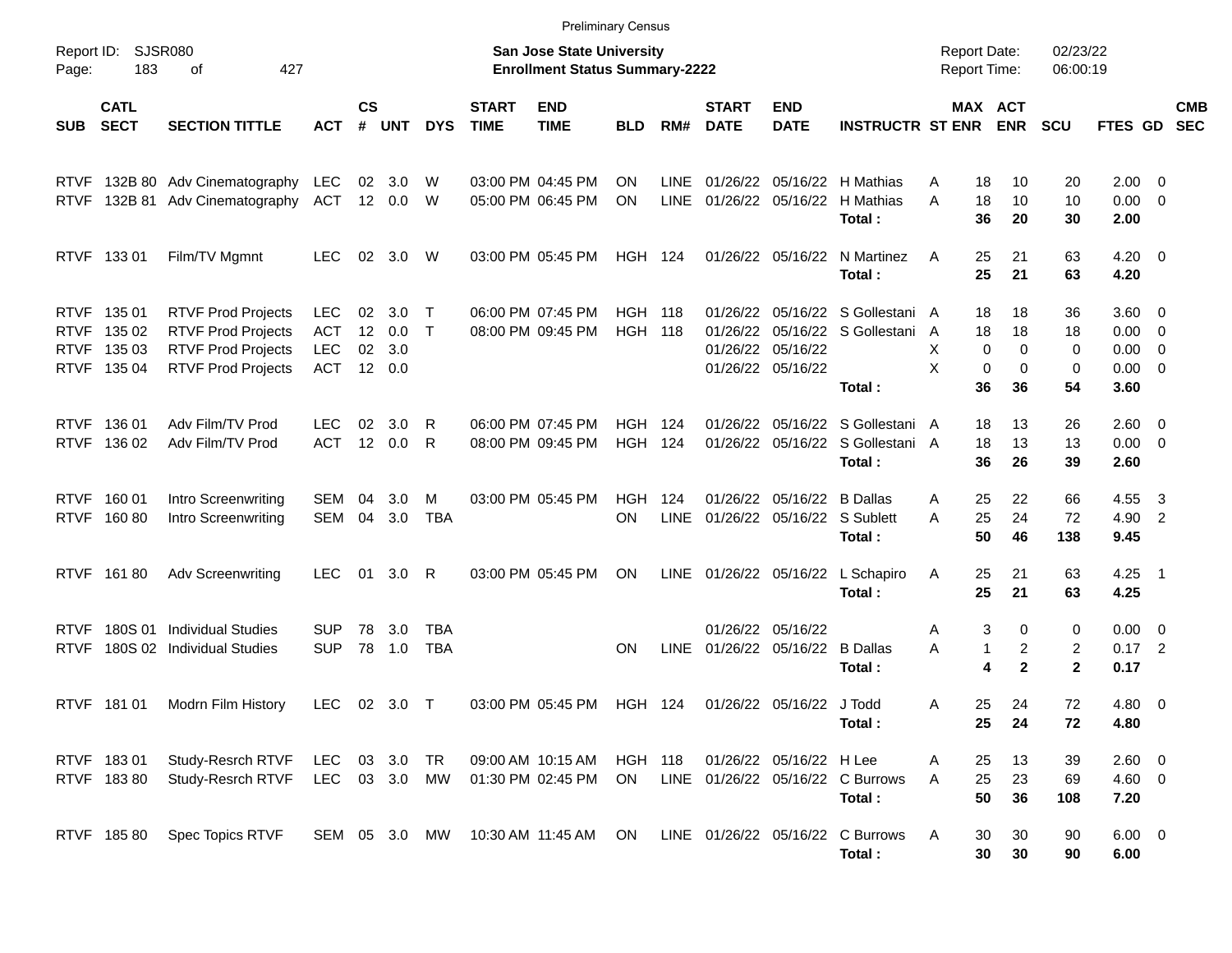|                                                          |                                      |                                                                                                                  |                                                      |                      |                          |                          |                             | <b>Preliminary Census</b>                                                 |                                  |                     |                                  |                                         |                                                                                |                                     |                                                                 |                                     |                                                   |                                                     |                          |
|----------------------------------------------------------|--------------------------------------|------------------------------------------------------------------------------------------------------------------|------------------------------------------------------|----------------------|--------------------------|--------------------------|-----------------------------|---------------------------------------------------------------------------|----------------------------------|---------------------|----------------------------------|-----------------------------------------|--------------------------------------------------------------------------------|-------------------------------------|-----------------------------------------------------------------|-------------------------------------|---------------------------------------------------|-----------------------------------------------------|--------------------------|
| Page:                                                    | Report ID: SJSR080<br>183            | 427<br>οf                                                                                                        |                                                      |                      |                          |                          |                             | <b>San Jose State University</b><br><b>Enrollment Status Summary-2222</b> |                                  |                     |                                  |                                         |                                                                                | <b>Report Date:</b><br>Report Time: |                                                                 | 02/23/22<br>06:00:19                |                                                   |                                                     |                          |
| SUB                                                      | <b>CATL</b><br><b>SECT</b>           | <b>SECTION TITTLE</b>                                                                                            | <b>ACT</b>                                           | $\mathsf{cs}$<br>#   | <b>UNT</b>               | <b>DYS</b>               | <b>START</b><br><b>TIME</b> | <b>END</b><br><b>TIME</b>                                                 | <b>BLD</b>                       | RM#                 | <b>START</b><br><b>DATE</b>      | <b>END</b><br><b>DATE</b>               | <b>INSTRUCTR ST ENR</b>                                                        |                                     | MAX ACT<br><b>ENR</b>                                           | <b>SCU</b>                          | <b>FTES GD</b>                                    |                                                     | <b>CMB</b><br><b>SEC</b> |
| <b>RTVF</b><br><b>RTVF</b>                               |                                      | 132B 80 Adv Cinematography<br>132B 81 Adv Cinematography                                                         | <b>LEC</b><br>ACT                                    | 02<br>12             | 3.0<br>0.0               | W<br>W                   |                             | 03:00 PM 04:45 PM<br>05:00 PM 06:45 PM                                    | ON<br><b>ON</b>                  | LINE<br><b>LINE</b> | 01/26/22                         | 05/16/22<br>01/26/22 05/16/22           | H Mathias<br>H Mathias<br>Total:                                               | A<br>18<br>A<br>18<br>36            | 10<br>10<br>20                                                  | 20<br>10<br>30                      | $2.00 \t 0$<br>$0.00 \t 0$<br>2.00                |                                                     |                          |
|                                                          | RTVF 133 01                          | Film/TV Mgmnt                                                                                                    | <b>LEC</b>                                           | 02                   | 3.0                      | W                        |                             | 03:00 PM 05:45 PM                                                         | <b>HGH 124</b>                   |                     |                                  | 01/26/22 05/16/22                       | N Martinez<br>Total:                                                           | 25<br>A<br>25                       | 21<br>21                                                        | 63<br>63                            | $4.20 \ 0$<br>4.20                                |                                                     |                          |
| <b>RTVF</b><br><b>RTVF</b><br><b>RTVF</b><br><b>RTVF</b> | 135 01<br>135 02<br>135 03<br>135 04 | <b>RTVF Prod Projects</b><br><b>RTVF Prod Projects</b><br><b>RTVF Prod Projects</b><br><b>RTVF Prod Projects</b> | <b>LEC</b><br><b>ACT</b><br><b>LEC</b><br><b>ACT</b> | 02<br>12<br>02<br>12 | 3.0<br>0.0<br>3.0<br>0.0 | $\top$<br>$\top$         |                             | 06:00 PM 07:45 PM<br>08:00 PM 09:45 PM                                    | <b>HGH 118</b><br><b>HGH 118</b> |                     | 01/26/22<br>01/26/22<br>01/26/22 | 05/16/22<br>01/26/22 05/16/22           | 05/16/22 S Gollestani A<br>05/16/22 S Gollestani<br>Total:                     | 18<br>18<br>A<br>X<br>X<br>36       | 18<br>18<br>0<br>0<br>0<br>0<br>36                              | 36<br>18<br>0<br>0<br>54            | $3.60 \ 0$<br>0.00<br>0.00<br>$0.00 \t 0$<br>3.60 | $\overline{\phantom{0}}$<br>$\overline{\mathbf{0}}$ |                          |
| <b>RTVF</b>                                              | 136 01<br>RTVF 136 02                | Adv Film/TV Prod<br>Adv Film/TV Prod                                                                             | LEC.<br><b>ACT</b>                                   | 02<br>12             | 3.0<br>0.0               | R<br>R                   |                             | 06:00 PM 07:45 PM<br>08:00 PM 09:45 PM                                    | <b>HGH</b><br><b>HGH</b>         | 124<br>124          |                                  |                                         | 01/26/22 05/16/22 S Gollestani A<br>01/26/22 05/16/22 S Gollestani A<br>Total: | 18<br>18<br>36                      | 13<br>13<br>26                                                  | 26<br>13<br>39                      | $2.60 \quad 0$<br>$0.00 \t 0$<br>2.60             |                                                     |                          |
| <b>RTVF</b><br><b>RTVF</b>                               | 160 01<br>16080                      | Intro Screenwriting<br>Intro Screenwriting                                                                       | SEM<br>SEM                                           | 04<br>04             | 3.0<br>3.0               | M<br><b>TBA</b>          |                             | 03:00 PM 05:45 PM                                                         | HGH<br><b>ON</b>                 | 124<br><b>LINE</b>  | 01/26/22                         | 05/16/22<br>01/26/22 05/16/22 S Sublett | <b>B</b> Dallas<br>Total:                                                      | 25<br>A<br>25<br>A<br>50            | 22<br>24<br>46                                                  | 66<br>72<br>138                     | 4.55<br>4.90<br>9.45                              | -3<br>$\overline{2}$                                |                          |
|                                                          | RTVF 16180                           | <b>Adv Screenwriting</b>                                                                                         | LEC.                                                 | 01                   | 3.0                      | R                        |                             | 03:00 PM 05:45 PM                                                         | <b>ON</b>                        | LINE                |                                  | 01/26/22 05/16/22                       | L Schapiro<br>Total:                                                           | 25<br>Α<br>25                       | 21<br>21                                                        | 63<br>63                            | 4.25<br>4.25                                      | $\overline{\phantom{1}}$                            |                          |
| <b>RTVF</b><br><b>RTVF</b>                               |                                      | 180S 01 Individual Studies<br>180S 02 Individual Studies                                                         | <b>SUP</b><br><b>SUP</b>                             | 78<br>78             | 3.0<br>1.0               | <b>TBA</b><br><b>TBA</b> |                             |                                                                           | ON                               | <b>LINE</b>         |                                  | 01/26/22 05/16/22<br>01/26/22 05/16/22  | <b>B</b> Dallas<br>Total:                                                      | Α<br>Α                              | 3<br>0<br>$\overline{c}$<br>$\mathbf{1}$<br>$\overline{2}$<br>4 | 0<br>$\overline{2}$<br>$\mathbf{2}$ | $0.00 \t 0$<br>$0.17$ 2<br>0.17                   |                                                     |                          |
|                                                          | RTVF 181 01                          | Modrn Film History                                                                                               | <b>LEC</b>                                           |                      | 02 3.0                   | $\top$                   |                             | 03:00 PM 05:45 PM                                                         | <b>HGH 124</b>                   |                     |                                  | 01/26/22 05/16/22 J Todd                | Total:                                                                         | 25<br>A<br>25                       | 24<br>24                                                        | 72<br>72                            | $4.80\ 0$<br>4.80                                 |                                                     |                          |
|                                                          | RTVF 18301<br>RTVF 18380             | Study-Resrch RTVF<br>Study-Resrch RTVF                                                                           | LEC<br>LEC 03 3.0                                    |                      | 03 3.0                   | TR<br>MW                 |                             | 09:00 AM 10:15 AM<br>01:30 PM 02:45 PM                                    | <b>HGH 118</b><br>ON.            |                     |                                  | 01/26/22 05/16/22 H Lee                 | LINE 01/26/22 05/16/22 C Burrows<br>Total:                                     | 25<br>A<br>25<br>A<br>50            | 13<br>23<br>36                                                  | 39<br>69<br>108                     | 2.60 0<br>4.60 0<br>7.20                          |                                                     |                          |
|                                                          | RTVF 185 80                          | Spec Topics RTVF                                                                                                 | SEM 05 3.0 MW                                        |                      |                          |                          |                             | 10:30 AM 11:45 AM                                                         | ON                               |                     | LINE 01/26/22 05/16/22           |                                         | C Burrows<br>Total:                                                            | Α<br>30<br>30                       | 30<br>30                                                        | 90<br>90                            | $6.00 \t 0$<br>6.00                               |                                                     |                          |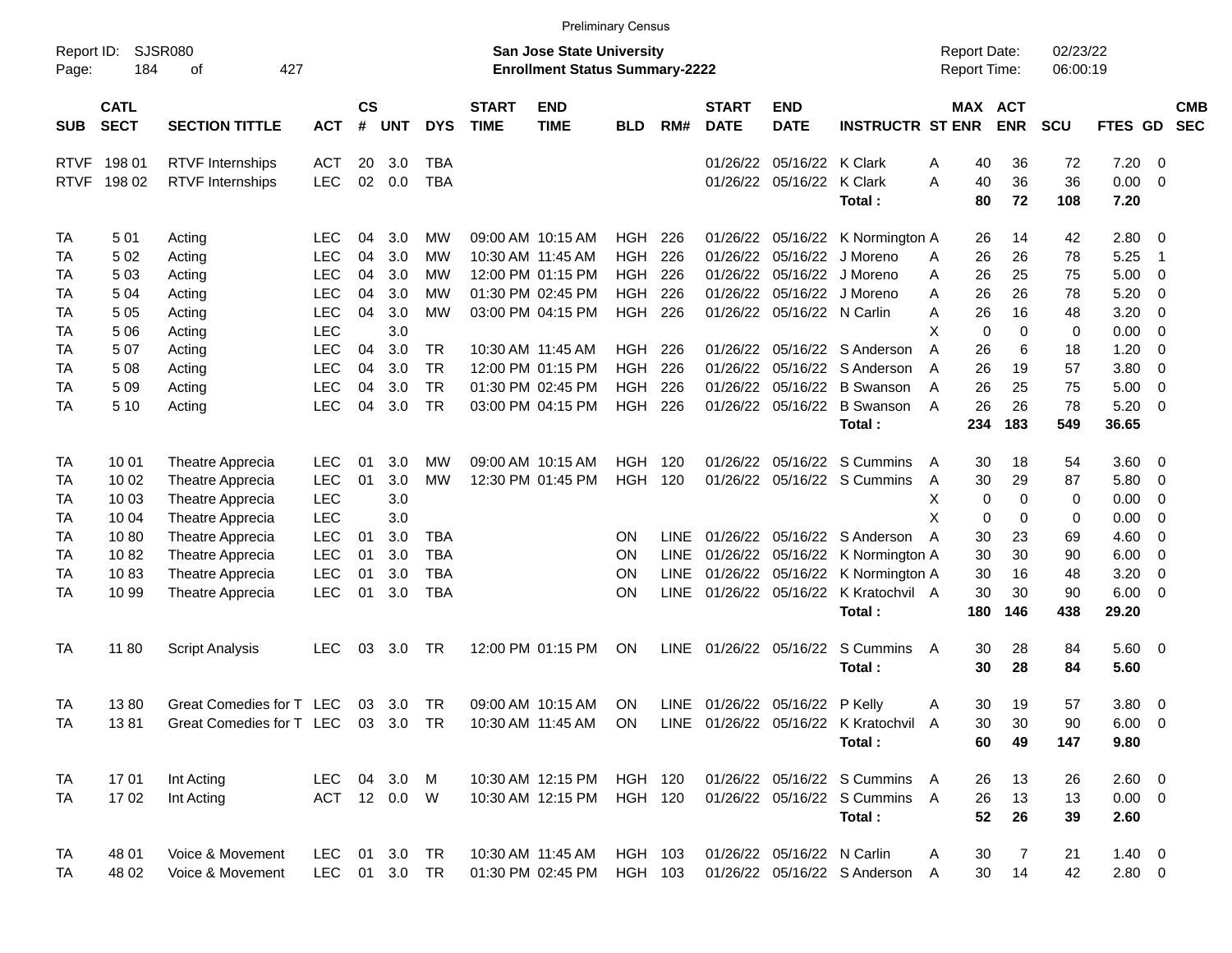|                     |                            |                                    |              |                         |              |            |                             |                                                                           | <b>Preliminary Census</b> |             |                             |                            |                                                            |                                     |                            |                      |             |                         |                          |
|---------------------|----------------------------|------------------------------------|--------------|-------------------------|--------------|------------|-----------------------------|---------------------------------------------------------------------------|---------------------------|-------------|-----------------------------|----------------------------|------------------------------------------------------------|-------------------------------------|----------------------------|----------------------|-------------|-------------------------|--------------------------|
| Report ID:<br>Page: | 184                        | <b>SJSR080</b><br>427<br>οf        |              |                         |              |            |                             | <b>San Jose State University</b><br><b>Enrollment Status Summary-2222</b> |                           |             |                             |                            |                                                            | <b>Report Date:</b><br>Report Time: |                            | 02/23/22<br>06:00:19 |             |                         |                          |
| <b>SUB</b>          | <b>CATL</b><br><b>SECT</b> | <b>SECTION TITTLE</b>              | <b>ACT</b>   | <b>CS</b><br>$\pmb{\#}$ | <b>UNT</b>   | <b>DYS</b> | <b>START</b><br><b>TIME</b> | <b>END</b><br><b>TIME</b>                                                 | <b>BLD</b>                | RM#         | <b>START</b><br><b>DATE</b> | <b>END</b><br><b>DATE</b>  | <b>INSTRUCTR ST ENR</b>                                    |                                     | MAX ACT<br><b>ENR</b>      | <b>SCU</b>           | FTES GD     |                         | <b>CMB</b><br><b>SEC</b> |
| <b>RTVF</b>         | 198 01                     | <b>RTVF</b> Internships            | ACT          | 20                      | 3.0          | <b>TBA</b> |                             |                                                                           |                           |             | 01/26/22                    | 05/16/22 K Clark           |                                                            | 40<br>A                             | 36                         | 72                   | 7.20        | - 0                     |                          |
| <b>RTVF</b>         | 198 02                     | <b>RTVF Internships</b>            | <b>LEC</b>   | 02                      | 0.0          | <b>TBA</b> |                             |                                                                           |                           |             |                             | 01/26/22 05/16/22          | <b>K</b> Clark                                             | 40<br>Α                             | 36                         | 36                   | 0.00        | $\overline{0}$          |                          |
|                     |                            |                                    |              |                         |              |            |                             |                                                                           |                           |             |                             |                            | Total:                                                     | 80                                  | 72                         | 108                  | 7.20        |                         |                          |
| <b>TA</b>           | 501                        | Acting                             | <b>LEC</b>   | 04                      | 3.0          | MW         |                             | 09:00 AM 10:15 AM                                                         | <b>HGH</b>                | 226         |                             | 01/26/22 05/16/22          | K Normington A                                             | 26                                  | 14                         | 42                   | 2.80        | $\overline{\mathbf{0}}$ |                          |
| TA                  | 5 0 2                      | Acting                             | <b>LEC</b>   | 04                      | 3.0          | МW         |                             | 10:30 AM 11:45 AM                                                         | <b>HGH</b>                | 226         | 01/26/22                    | 05/16/22                   | J Moreno                                                   | 26<br>A                             | 26                         | 78                   | 5.25        | -1                      |                          |
| TA                  | 503                        | Acting                             | <b>LEC</b>   | 04                      | 3.0          | МW         |                             | 12:00 PM 01:15 PM                                                         | <b>HGH</b>                | 226         | 01/26/22                    | 05/16/22                   | J Moreno                                                   | 26<br>A                             | 25                         | 75                   | 5.00        | 0                       |                          |
| TA                  | 504                        | Acting                             | <b>LEC</b>   | 04                      | 3.0          | MW         |                             | 01:30 PM 02:45 PM                                                         | <b>HGH</b>                | 226         | 01/26/22                    | 05/16/22                   | J Moreno                                                   | 26<br>Α                             | 26                         | 78                   | 5.20        | 0                       |                          |
| <b>TA</b>           | 5 0 5                      | Acting                             | <b>LEC</b>   | 04                      | 3.0          | MW         |                             | 03:00 PM 04:15 PM                                                         | <b>HGH</b>                | 226         |                             | 01/26/22 05/16/22 N Carlin |                                                            | 26<br>Α                             | 16                         | 48                   | 3.20        | $\mathbf 0$             |                          |
| <b>TA</b>           | 5 0 6                      | Acting                             | LEC          |                         | 3.0          |            |                             |                                                                           |                           |             |                             |                            |                                                            | X                                   | $\mathbf 0$<br>$\mathbf 0$ | 0                    | 0.00        | $\mathbf 0$             |                          |
| <b>TA</b>           | 507                        | Acting                             | <b>LEC</b>   | 04                      | 3.0          | <b>TR</b>  |                             | 10:30 AM 11:45 AM                                                         | <b>HGH</b>                | 226         | 01/26/22                    |                            | 05/16/22 S Anderson                                        | 26<br>A                             | 6                          | 18                   | 1.20        | $\mathbf 0$             |                          |
| TA                  | 508                        | Acting                             | <b>LEC</b>   | 04                      | 3.0          | <b>TR</b>  |                             | 12:00 PM 01:15 PM                                                         | <b>HGH</b>                | 226         | 01/26/22                    | 05/16/22                   | S Anderson                                                 | 26<br>A                             | 19                         | 57                   | 3.80        | $\mathbf 0$             |                          |
| <b>TA</b>           | 509                        | Acting                             | <b>LEC</b>   | 04                      | 3.0          | <b>TR</b>  |                             | 01:30 PM 02:45 PM                                                         | <b>HGH</b>                | 226         | 01/26/22                    | 05/16/22                   | <b>B</b> Swanson                                           | 26<br>A                             | 25                         | 75                   | 5.00        | $\mathbf 0$             |                          |
| <b>TA</b>           | 5 10                       | Acting                             | LEC          | 04                      | 3.0          | <b>TR</b>  |                             | 03:00 PM 04:15 PM                                                         | HGH                       | 226         |                             | 01/26/22 05/16/22          | <b>B</b> Swanson                                           | 26<br>A                             | 26                         | 78                   | 5.20        | 0                       |                          |
|                     |                            |                                    |              |                         |              |            |                             |                                                                           |                           |             |                             |                            | Total:                                                     | 234                                 | 183                        | 549                  | 36.65       |                         |                          |
| <b>TA</b>           | 10 01                      | Theatre Apprecia                   | <b>LEC</b>   | 01                      | 3.0          | MW         |                             | 09:00 AM 10:15 AM                                                         | <b>HGH</b>                | - 120       |                             | 01/26/22 05/16/22          | S Cummins                                                  | 30<br>A                             | 18                         | 54                   | 3.60        | $\overline{\mathbf{0}}$ |                          |
| TA                  | 10 02                      | Theatre Apprecia                   | LEC          | 01                      | 3.0          | <b>MW</b>  |                             | 12:30 PM 01:45 PM                                                         | <b>HGH</b>                | 120         |                             |                            | 01/26/22 05/16/22 S Cummins                                | 30<br>A                             | 29                         | 87                   | 5.80        | 0                       |                          |
| TA                  | 10 03                      | Theatre Apprecia                   | LEC          |                         | 3.0          |            |                             |                                                                           |                           |             |                             |                            |                                                            | Х                                   | 0<br>0                     | 0                    | 0.00        | 0                       |                          |
| <b>TA</b>           | 10 04                      | Theatre Apprecia                   | <b>LEC</b>   |                         | 3.0          |            |                             |                                                                           |                           |             |                             |                            |                                                            | X                                   | 0<br>0                     | 0                    | 0.00        | 0                       |                          |
| <b>TA</b>           | 1080                       | Theatre Apprecia                   | <b>LEC</b>   | 01                      | 3.0          | <b>TBA</b> |                             |                                                                           | <b>ON</b>                 | <b>LINE</b> |                             | 01/26/22 05/16/22          | S Anderson                                                 | 30<br>A                             | 23                         | 69                   | 4.60        | 0                       |                          |
| <b>TA</b>           | 1082                       | Theatre Apprecia                   | LEC          | 01                      | 3.0          | <b>TBA</b> |                             |                                                                           | <b>ON</b>                 | <b>LINE</b> | 01/26/22                    | 05/16/22                   | K Normington A                                             | 30                                  | 30                         | 90                   | 6.00        | $\mathbf 0$             |                          |
| <b>TA</b>           | 1083                       | Theatre Apprecia                   | <b>LEC</b>   | 01                      | 3.0          | <b>TBA</b> |                             |                                                                           | <b>ON</b>                 | <b>LINE</b> |                             | 01/26/22 05/16/22          | K Normington A                                             | 30                                  | 16                         | 48                   | 3.20        | $\mathbf 0$             |                          |
| <b>TA</b>           | 10 99                      | Theatre Apprecia                   | <b>LEC</b>   | 01                      | 3.0          | <b>TBA</b> |                             |                                                                           | ON                        | <b>LINE</b> |                             | 01/26/22 05/16/22          | K Kratochvil A                                             | 30                                  | 30                         | 90                   | 6.00        | 0                       |                          |
|                     |                            |                                    |              |                         |              |            |                             |                                                                           |                           |             |                             |                            | Total:                                                     | 180                                 | 146                        | 438                  | 29.20       |                         |                          |
| <b>TA</b>           | 11 80                      | <b>Script Analysis</b>             | <b>LEC</b>   | 03                      | 3.0          | <b>TR</b>  |                             | 12:00 PM 01:15 PM                                                         | <b>ON</b>                 | LINE        |                             | 01/26/22 05/16/22          | S Cummins                                                  | A                                   | 30<br>28                   | 84                   | 5.60        | $\overline{\mathbf{0}}$ |                          |
|                     |                            |                                    |              |                         |              |            |                             |                                                                           |                           |             |                             |                            | Total:                                                     | 30                                  | 28                         | 84                   | 5.60        |                         |                          |
| <b>TA</b>           | 1380                       | Great Comedies for T LEC           |              | 03                      | 3.0          | <b>TR</b>  |                             | 09:00 AM 10:15 AM                                                         | <b>ON</b>                 |             |                             | LINE 01/26/22 05/16/22     | P Kelly                                                    | A                                   | 30<br>19                   | 57                   | 3.80        | $\overline{\mathbf{0}}$ |                          |
| <b>TA</b>           | 1381                       | Great Comedies for T LEC 03 3.0 TR |              |                         |              |            |                             |                                                                           |                           |             |                             |                            | 10:30 AM 11:45 AM ON LINE 01/26/22 05/16/22 K Kratochvil A |                                     | 30<br>30                   | 90                   | $6.00 \t 0$ |                         |                          |
|                     |                            |                                    |              |                         |              |            |                             |                                                                           |                           |             |                             |                            | Total:                                                     | 60                                  | 49                         | 147                  | 9.80        |                         |                          |
| <b>TA</b>           | 1701                       | Int Acting                         | LEC 04 3.0 M |                         |              |            |                             | 10:30 AM 12:15 PM HGH 120                                                 |                           |             |                             |                            | 01/26/22 05/16/22 S Cummins A                              | 26                                  | 13                         | 26                   | $2.60 \t 0$ |                         |                          |
| TA                  | 1702                       | Int Acting                         |              |                         | ACT 12 0.0 W |            |                             | 10:30 AM 12:15 PM                                                         | HGH 120                   |             |                             |                            | 01/26/22 05/16/22 S Cummins A                              | 26                                  | 13                         | 13                   | $0.00 \t 0$ |                         |                          |
|                     |                            |                                    |              |                         |              |            |                             |                                                                           |                           |             |                             |                            | Total:                                                     | 52                                  | 26                         | 39                   | 2.60        |                         |                          |
| TA                  | 48 01                      | Voice & Movement                   | <b>LEC</b>   |                         | 01 3.0       | TR         |                             | 10:30 AM 11:45 AM                                                         | HGH 103                   |             |                             | 01/26/22 05/16/22 N Carlin |                                                            | 30<br>A                             | 7                          | 21                   | $1.40 \ 0$  |                         |                          |
| TA                  | 48 02                      | Voice & Movement                   | LEC 01 3.0   |                         |              | <b>TR</b>  |                             | 01:30 PM 02:45 PM                                                         | HGH 103                   |             |                             |                            | 01/26/22 05/16/22 S Anderson A                             | 30                                  | 14                         | 42                   | $2.80 \t 0$ |                         |                          |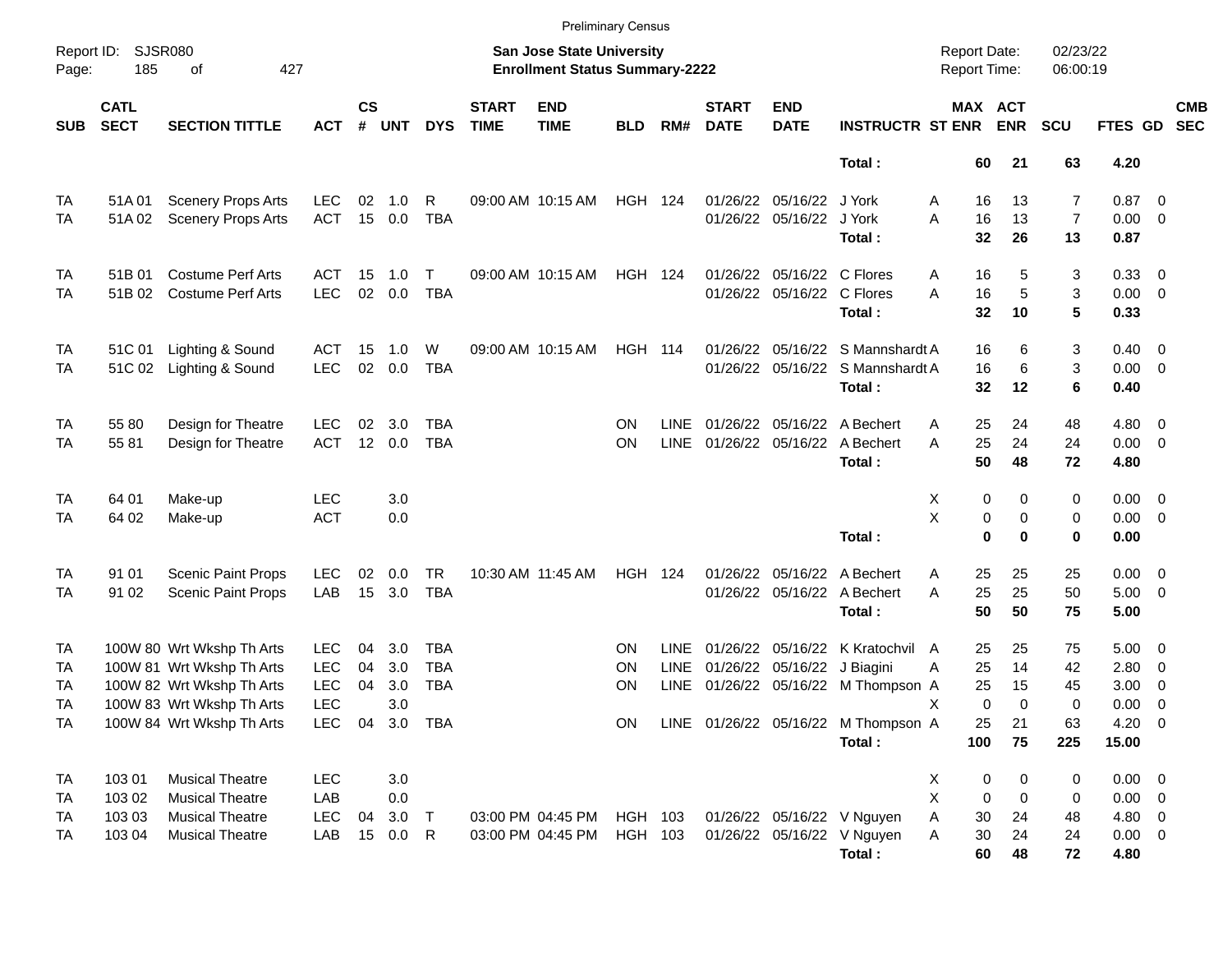|            |                            |                           |            |                 |                |            |                             |                                                                           | <b>Preliminary Census</b> |             |                             |                             |                                     |                                     |                         |                      |                |                          |                          |
|------------|----------------------------|---------------------------|------------|-----------------|----------------|------------|-----------------------------|---------------------------------------------------------------------------|---------------------------|-------------|-----------------------------|-----------------------------|-------------------------------------|-------------------------------------|-------------------------|----------------------|----------------|--------------------------|--------------------------|
| Page:      | Report ID: SJSR080<br>185  | 427<br>of                 |            |                 |                |            |                             | <b>San Jose State University</b><br><b>Enrollment Status Summary-2222</b> |                           |             |                             |                             |                                     | <b>Report Date:</b><br>Report Time: |                         | 02/23/22<br>06:00:19 |                |                          |                          |
| <b>SUB</b> | <b>CATL</b><br><b>SECT</b> | <b>SECTION TITTLE</b>     | <b>ACT</b> | $\mathsf{cs}$   | # UNT          | <b>DYS</b> | <b>START</b><br><b>TIME</b> | <b>END</b><br><b>TIME</b>                                                 | <b>BLD</b>                | RM#         | <b>START</b><br><b>DATE</b> | <b>END</b><br><b>DATE</b>   | <b>INSTRUCTR ST ENR</b>             |                                     | MAX ACT<br><b>ENR</b>   | <b>SCU</b>           | FTES GD        |                          | <b>CMB</b><br><b>SEC</b> |
|            |                            |                           |            |                 |                |            |                             |                                                                           |                           |             |                             |                             | Total:                              | 60                                  | 21                      | 63                   | 4.20           |                          |                          |
| TA         | 51A01                      | <b>Scenery Props Arts</b> | <b>LEC</b> | 02              | 1.0            | R          |                             | 09:00 AM 10:15 AM                                                         | <b>HGH 124</b>            |             |                             | 01/26/22 05/16/22 J York    |                                     | 16<br>Α                             | 13                      | 7                    | $0.87$ 0       |                          |                          |
| TA         | 51A02                      | <b>Scenery Props Arts</b> | <b>ACT</b> |                 | 15 0.0         | <b>TBA</b> |                             |                                                                           |                           |             |                             | 01/26/22 05/16/22 J York    |                                     | A<br>16                             | 13                      | $\overline{7}$       | $0.00 \t 0$    |                          |                          |
|            |                            |                           |            |                 |                |            |                             |                                                                           |                           |             |                             |                             | Total:                              | 32                                  | 26                      | 13                   | 0.87           |                          |                          |
| <b>TA</b>  | 51B 01                     | <b>Costume Perf Arts</b>  | <b>ACT</b> | 15              | 1.0            | т          |                             | 09:00 AM 10:15 AM                                                         | <b>HGH 124</b>            |             |                             | 01/26/22 05/16/22 C Flores  |                                     | 16<br>Α                             | 5                       | 3                    | 0.33 0         |                          |                          |
| TA         | 51B 02                     | <b>Costume Perf Arts</b>  | <b>LEC</b> | 02              | 0.0            | <b>TBA</b> |                             |                                                                           |                           |             |                             | 01/26/22 05/16/22 C Flores  |                                     | A<br>16                             | 5                       | 3                    | $0.00 \t 0$    |                          |                          |
|            |                            |                           |            |                 |                |            |                             |                                                                           |                           |             |                             |                             | Total:                              | 32                                  | 10                      | 5                    | 0.33           |                          |                          |
| <b>TA</b>  | 51C 01                     | Lighting & Sound          | <b>ACT</b> | 15              | 1.0            | W          |                             | 09:00 AM 10:15 AM                                                         | <b>HGH 114</b>            |             |                             |                             | 01/26/22 05/16/22 S Mannshardt A    | 16                                  | 6                       | 3                    | $0.40 \quad 0$ |                          |                          |
| TA         | 51C 02                     | Lighting & Sound          | <b>LEC</b> | 02              | 0.0            | <b>TBA</b> |                             |                                                                           |                           |             |                             |                             | 01/26/22 05/16/22 S Mannshardt A    | 16                                  | 6                       | 3                    | $0.00 \t 0$    |                          |                          |
|            |                            |                           |            |                 |                |            |                             |                                                                           |                           |             |                             |                             | Total:                              | 32                                  | 12                      | 6                    | 0.40           |                          |                          |
| TA         | 55 80                      | Design for Theatre        | <b>LEC</b> | 02              | 3.0            | <b>TBA</b> |                             |                                                                           | ΟN                        | <b>LINE</b> |                             |                             | 01/26/22 05/16/22 A Bechert         | 25<br>Α                             | 24                      | 48                   | $4.80\ 0$      |                          |                          |
| TA         | 5581                       | Design for Theatre        | <b>ACT</b> | 12 <sup>2</sup> | 0.0            | <b>TBA</b> |                             |                                                                           | ON                        | <b>LINE</b> |                             |                             | 01/26/22 05/16/22 A Bechert         | 25<br>A                             | 24                      | 24                   | $0.00 \t 0$    |                          |                          |
|            |                            |                           |            |                 |                |            |                             |                                                                           |                           |             |                             |                             | Total:                              | 50                                  | 48                      | 72                   | 4.80           |                          |                          |
| TA         | 64 01                      | Make-up                   | <b>LEC</b> |                 | 3.0            |            |                             |                                                                           |                           |             |                             |                             |                                     | X                                   | 0<br>0                  | 0                    | $0.00 \t 0$    |                          |                          |
| TA         | 64 02                      | Make-up                   | <b>ACT</b> |                 | 0.0            |            |                             |                                                                           |                           |             |                             |                             |                                     | X                                   | 0<br>0                  | 0                    | $0.00 \t 0$    |                          |                          |
|            |                            |                           |            |                 |                |            |                             |                                                                           |                           |             |                             |                             | Total:                              |                                     | $\bf{0}$<br>$\bf{0}$    | 0                    | 0.00           |                          |                          |
| <b>TA</b>  | 91 01                      | <b>Scenic Paint Props</b> | <b>LEC</b> | 02              | 0.0            | <b>TR</b>  |                             | 10:30 AM 11:45 AM                                                         | <b>HGH 124</b>            |             |                             |                             | 01/26/22 05/16/22 A Bechert         | 25<br>Α                             | 25                      | 25                   | $0.00 \t 0$    |                          |                          |
| TA         | 91 02                      | <b>Scenic Paint Props</b> | LAB        | 15              | 3.0            | <b>TBA</b> |                             |                                                                           |                           |             |                             |                             | 01/26/22 05/16/22 A Bechert         | 25<br>A                             | 25                      | 50                   | $5.00 \t 0$    |                          |                          |
|            |                            |                           |            |                 |                |            |                             |                                                                           |                           |             |                             |                             | Total:                              | 50                                  | 50                      | 75                   | 5.00           |                          |                          |
| TA         |                            | 100W 80 Wrt Wkshp Th Arts | <b>LEC</b> | 04              | 3.0            | TBA        |                             |                                                                           | ON                        | <b>LINE</b> |                             |                             | 01/26/22 05/16/22 K Kratochvil A    | 25                                  | 25                      | 75                   | $5.00 \t 0$    |                          |                          |
| TA         |                            | 100W 81 Wrt Wkshp Th Arts | <b>LEC</b> | 04              | 3.0            | <b>TBA</b> |                             |                                                                           | ΟN                        | LINE        |                             | 01/26/22 05/16/22 J Biagini |                                     | 25<br>A                             | 14                      | 42                   | 2.80           | $\overline{\phantom{0}}$ |                          |
| TA         |                            | 100W 82 Wrt Wkshp Th Arts | <b>LEC</b> | 04              | 3.0            | <b>TBA</b> |                             |                                                                           | ΟN                        | <b>LINE</b> |                             |                             | 01/26/22 05/16/22 M Thompson A      | 25                                  | 15                      | 45                   | 3.00           | $\overline{\phantom{0}}$ |                          |
| TA         |                            | 100W 83 Wrt Wkshp Th Arts | <b>LEC</b> |                 | 3.0            |            |                             |                                                                           |                           |             |                             |                             |                                     | X                                   | $\mathbf 0$<br>$\Omega$ | 0                    | 0.00           | $\overline{\phantom{0}}$ |                          |
| TA         |                            | 100W 84 Wrt Wkshp Th Arts |            |                 | LEC 04 3.0 TBA |            |                             |                                                                           | ON                        |             |                             |                             | LINE 01/26/22 05/16/22 M Thompson A | 25                                  | 21                      | 63                   | $4.20 \ 0$     |                          |                          |
|            |                            |                           |            |                 |                |            |                             |                                                                           |                           |             |                             |                             | Total:                              | 100                                 | 75                      | 225                  | 15.00          |                          |                          |
| <b>TA</b>  | 103 01                     | <b>Musical Theatre</b>    | <b>LEC</b> |                 | 3.0            |            |                             |                                                                           |                           |             |                             |                             |                                     | X                                   | $\pmb{0}$<br>0          | 0                    | $0.00 \t 0$    |                          |                          |
| TA         | 103 02                     | <b>Musical Theatre</b>    | LAB        |                 | 0.0            |            |                             |                                                                           |                           |             |                             |                             |                                     | X                                   | 0<br>0                  | 0                    | $0.00 \t 0$    |                          |                          |
| TA         | 103 03                     | <b>Musical Theatre</b>    | <b>LEC</b> | 04              | 3.0            | $\top$     |                             | 03:00 PM 04:45 PM                                                         | HGH 103                   |             |                             |                             | 01/26/22 05/16/22 V Nguyen          | Α<br>30                             | 24                      | 48                   | 4.80 0         |                          |                          |
| TA         | 103 04                     | <b>Musical Theatre</b>    | LAB        |                 | 15 0.0 R       |            |                             | 03:00 PM 04:45 PM                                                         | HGH 103                   |             |                             |                             | 01/26/22 05/16/22 V Nguyen          | A<br>30                             | 24                      | 24                   | $0.00 \t 0$    |                          |                          |
|            |                            |                           |            |                 |                |            |                             |                                                                           |                           |             |                             |                             | Total:                              | 60                                  | 48                      | 72                   | 4.80           |                          |                          |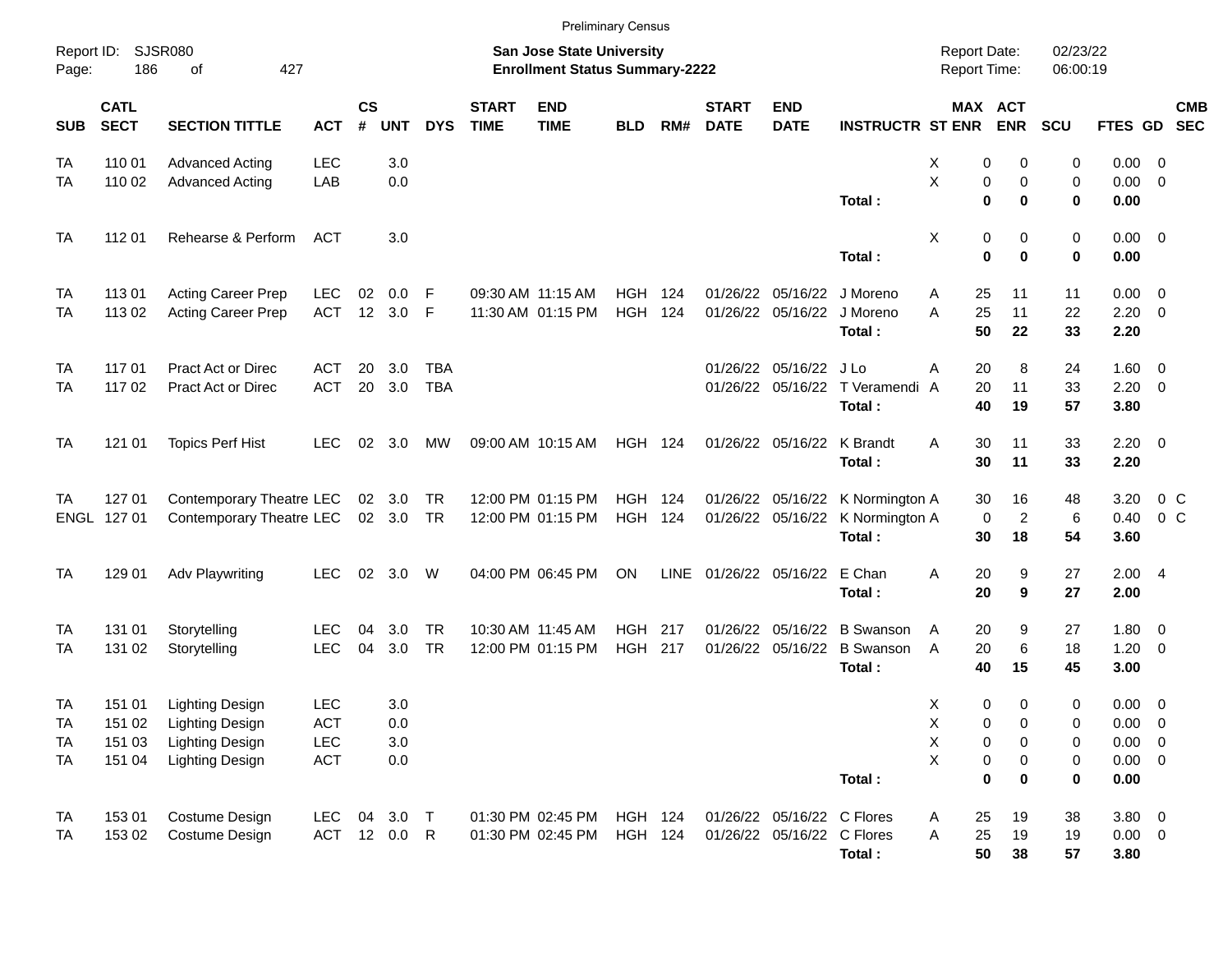|                                                  |                                      |                                                                                                      |                                        |                   |                          |                          |                             | <b>Preliminary Census</b>                                                 |                                  |            |                             |                                                          |                                                                                |                                                                  |                            |                                       |                                                           |                                                     |                          |
|--------------------------------------------------|--------------------------------------|------------------------------------------------------------------------------------------------------|----------------------------------------|-------------------|--------------------------|--------------------------|-----------------------------|---------------------------------------------------------------------------|----------------------------------|------------|-----------------------------|----------------------------------------------------------|--------------------------------------------------------------------------------|------------------------------------------------------------------|----------------------------|---------------------------------------|-----------------------------------------------------------|-----------------------------------------------------|--------------------------|
| Report ID:<br>Page:                              | <b>SJSR080</b><br>186                | 427<br>of                                                                                            |                                        |                   |                          |                          |                             | <b>San Jose State University</b><br><b>Enrollment Status Summary-2222</b> |                                  |            |                             |                                                          |                                                                                | <b>Report Date:</b><br><b>Report Time:</b>                       |                            | 02/23/22<br>06:00:19                  |                                                           |                                                     |                          |
| <b>SUB</b>                                       | <b>CATL</b><br><b>SECT</b>           | <b>SECTION TITTLE</b>                                                                                | <b>ACT</b>                             | <b>CS</b><br>$\#$ | <b>UNT</b>               | <b>DYS</b>               | <b>START</b><br><b>TIME</b> | <b>END</b><br><b>TIME</b>                                                 | <b>BLD</b>                       | RM#        | <b>START</b><br><b>DATE</b> | <b>END</b><br><b>DATE</b>                                | <b>INSTRUCTR ST ENR</b>                                                        |                                                                  | MAX ACT<br><b>ENR</b>      | SCU                                   | FTES GD                                                   |                                                     | <b>CMB</b><br><b>SEC</b> |
| TA<br>TA                                         | 110 01<br>110 02                     | <b>Advanced Acting</b><br><b>Advanced Acting</b>                                                     | <b>LEC</b><br>LAB                      |                   | 3.0<br>0.0               |                          |                             |                                                                           |                                  |            |                             |                                                          | Total :                                                                        | X<br>0<br>Χ<br>$\bf{0}$                                          | 0<br>0<br>0<br>0           | 0<br>0<br>$\bf{0}$                    | 0.00<br>0.00<br>0.00                                      | - 0<br>$\overline{0}$                               |                          |
| <b>TA</b>                                        | 112 01                               | Rehearse & Perform                                                                                   | ACT                                    |                   | 3.0                      |                          |                             |                                                                           |                                  |            |                             |                                                          | Total:                                                                         | X<br>0<br>$\bf{0}$                                               | 0<br>0                     | 0<br>$\bf{0}$                         | 0.00<br>0.00                                              | $\overline{\phantom{0}}$                            |                          |
| <b>TA</b><br>TA                                  | 113 01<br>113 02                     | <b>Acting Career Prep</b><br>Acting Career Prep                                                      | <b>LEC</b><br><b>ACT</b>               | 02<br>12          | 0.0<br>3.0               | F<br>-F                  |                             | 09:30 AM 11:15 AM<br>11:30 AM 01:15 PM                                    | <b>HGH</b><br><b>HGH</b>         | 124<br>124 |                             | 01/26/22 05/16/22<br>01/26/22 05/16/22                   | J Moreno<br>J Moreno<br>Total:                                                 | 25<br>A<br>25<br>A<br>50                                         | 11<br>11<br>22             | 11<br>22<br>33                        | 0.00<br>2.20<br>2.20                                      | $\overline{\mathbf{0}}$<br>$\overline{\phantom{0}}$ |                          |
| <b>TA</b><br>TA                                  | 117 01<br>117 02                     | <b>Pract Act or Direc</b><br><b>Pract Act or Direc</b>                                               | ACT<br><b>ACT</b>                      | 20<br>20          | 3.0<br>3.0               | <b>TBA</b><br><b>TBA</b> |                             |                                                                           |                                  |            |                             | 01/26/22 05/16/22                                        | J Lo<br>01/26/22 05/16/22 T Veramendi A<br>Total:                              | 20<br>A<br>20<br>40                                              | 8<br>11<br>19              | 24<br>33<br>57                        | 1.60<br>2.20<br>3.80                                      | $\overline{\mathbf{0}}$<br>$\overline{\phantom{0}}$ |                          |
| <b>TA</b>                                        | 121 01                               | <b>Topics Perf Hist</b>                                                                              | <b>LEC</b>                             | 02                | 3.0                      | MW                       |                             | 09:00 AM 10:15 AM                                                         | <b>HGH 124</b>                   |            |                             | 01/26/22 05/16/22 K Brandt                               | Total:                                                                         | 30<br>A<br>30                                                    | 11<br>11                   | 33<br>33                              | 2.20<br>2.20                                              | $\overline{\mathbf{0}}$                             |                          |
| TA<br>ENGL                                       | 127 01<br>127 01                     | Contemporary Theatre LEC<br>Contemporary Theatre LEC                                                 |                                        |                   | 02 3.0<br>02 3.0         | <b>TR</b><br>TR          |                             | 12:00 PM 01:15 PM<br>12:00 PM 01:15 PM                                    | <b>HGH 124</b><br><b>HGH</b>     | 124        |                             |                                                          | 01/26/22 05/16/22 K Normington A<br>01/26/22 05/16/22 K Normington A<br>Total: | 30<br>0<br>30                                                    | 16<br>$\overline{c}$<br>18 | 48<br>6<br>54                         | 3.20<br>0.40<br>3.60                                      | 0 <sup>o</sup><br>0 <sup>o</sup>                    |                          |
| <b>TA</b>                                        | 129 01                               | Adv Playwriting                                                                                      | <b>LEC</b>                             | 02                | 3.0                      | W                        |                             | 04:00 PM 06:45 PM                                                         | <b>ON</b>                        | LINE       |                             | 01/26/22 05/16/22                                        | E Chan<br>Total:                                                               | 20<br>A<br>20                                                    | 9<br>9                     | 27<br>27                              | 2.00<br>2.00                                              | - 4                                                 |                          |
| TA<br>TA                                         | 131 01<br>131 02                     | Storytelling<br>Storytelling                                                                         | <b>LEC</b><br><b>LEC</b>               | 04<br>04          | 3.0<br>3.0               | <b>TR</b><br><b>TR</b>   |                             | 10:30 AM 11:45 AM<br>12:00 PM 01:15 PM                                    | <b>HGH</b><br>HGH                | 217<br>217 |                             |                                                          | 01/26/22 05/16/22 B Swanson<br>01/26/22 05/16/22 B Swanson<br>Total:           | 20<br>A<br>20<br>A<br>40                                         | 9<br>6<br>15               | 27<br>18<br>45                        | 1.80<br>1.20<br>3.00                                      | $\overline{\mathbf{0}}$<br>$\overline{0}$           |                          |
| <b>TA</b><br><b>TA</b><br><b>TA</b><br><b>TA</b> | 151 01<br>151 02<br>151 03<br>151 04 | <b>Lighting Design</b><br><b>Lighting Design</b><br><b>Lighting Design</b><br><b>Lighting Design</b> | <b>LEC</b><br>ACT<br><b>LEC</b><br>ACT |                   | 3.0<br>0.0<br>3.0<br>0.0 |                          |                             |                                                                           |                                  |            |                             |                                                          | Total:                                                                         | X<br>0<br>Χ<br>0<br>Χ<br>$\pmb{0}$<br>X<br>$\pmb{0}$<br>$\bf{0}$ | 0<br>0<br>0<br>0<br>0      | $\pmb{0}$<br>0<br>0<br>0<br>$\pmb{0}$ | 0.00<br>$0.00 \t 0$<br>$0.00 \t 0$<br>$0.00 \t 0$<br>0.00 | $\overline{\phantom{0}}$                            |                          |
| <b>TA</b><br><b>TA</b>                           | 15301<br>153 02                      | Costume Design<br>Costume Design                                                                     | LEC<br>ACT 12 0.0 R                    | 04                | $3.0$ T                  |                          |                             | 01:30 PM 02:45 PM<br>01:30 PM 02:45 PM                                    | <b>HGH 124</b><br><b>HGH 124</b> |            |                             | 01/26/22 05/16/22 C Flores<br>01/26/22 05/16/22 C Flores | Total:                                                                         | 25<br>Α<br>25<br>Α<br>50                                         | 19<br>19<br>38             | 38<br>19<br>57                        | $3.80\ 0$<br>$0.00 \t 0$<br>3.80                          |                                                     |                          |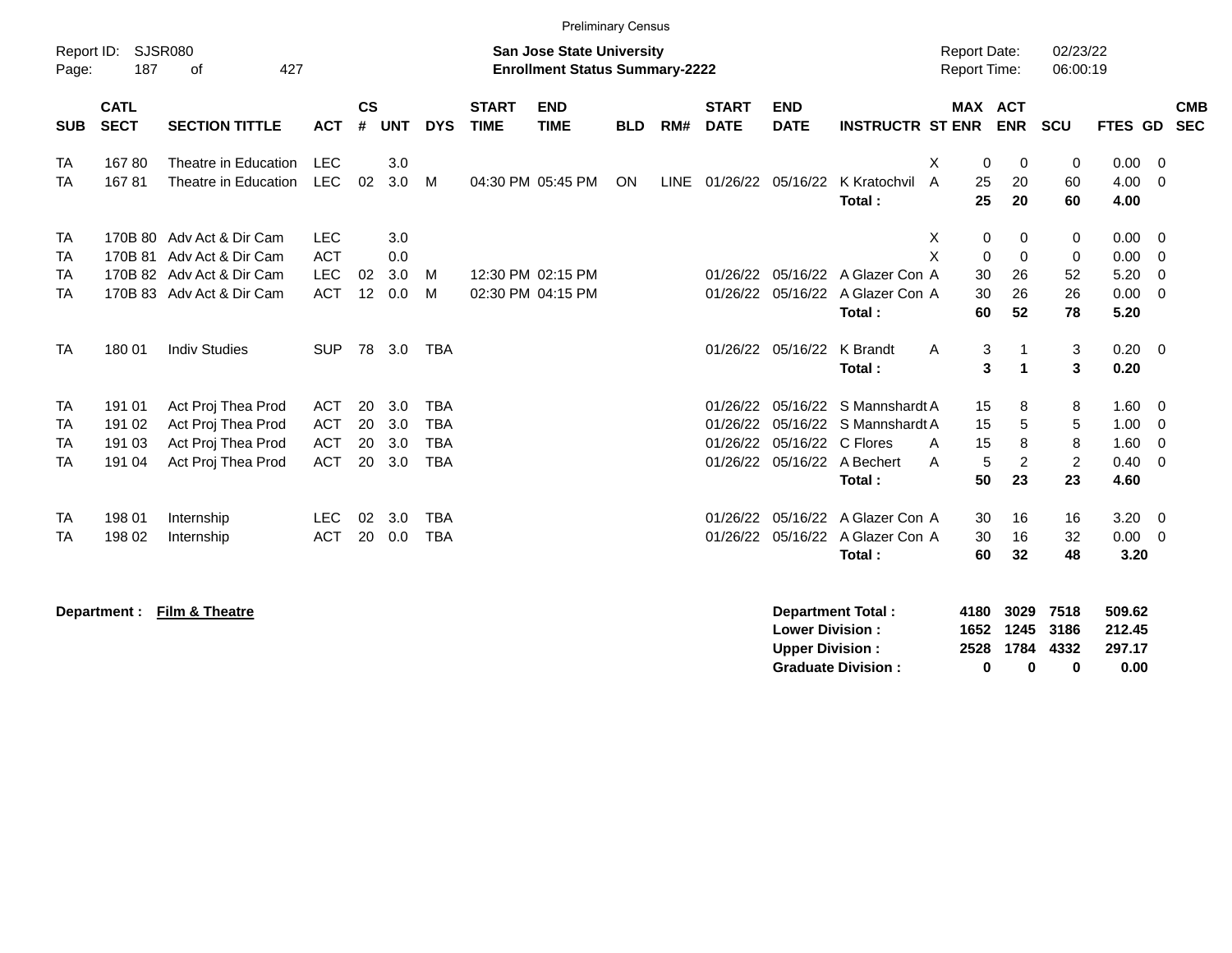|                                                  |                                      |                                                                                                          |                                                      |                      |                          |                                                      |                             | <b>Preliminary Census</b>                                                 |            |     |                                  |                               |                                                                                    |                                      |                                         |                                     |                                             |                                                                               |                          |
|--------------------------------------------------|--------------------------------------|----------------------------------------------------------------------------------------------------------|------------------------------------------------------|----------------------|--------------------------|------------------------------------------------------|-----------------------------|---------------------------------------------------------------------------|------------|-----|----------------------------------|-------------------------------|------------------------------------------------------------------------------------|--------------------------------------|-----------------------------------------|-------------------------------------|---------------------------------------------|-------------------------------------------------------------------------------|--------------------------|
| Report ID:<br>Page:                              | 187                                  | <b>SJSR080</b><br>427<br>of                                                                              |                                                      |                      |                          |                                                      |                             | <b>San Jose State University</b><br><b>Enrollment Status Summary-2222</b> |            |     |                                  |                               |                                                                                    | <b>Report Date:</b><br>Report Time:  |                                         | 02/23/22<br>06:00:19                |                                             |                                                                               |                          |
| <b>SUB</b>                                       | <b>CATL</b><br><b>SECT</b>           | <b>SECTION TITTLE</b>                                                                                    | <b>ACT</b>                                           | $\mathsf{cs}$<br>#   | <b>UNT</b>               | <b>DYS</b>                                           | <b>START</b><br><b>TIME</b> | <b>END</b><br><b>TIME</b>                                                 | <b>BLD</b> | RM# | <b>START</b><br><b>DATE</b>      | <b>END</b><br><b>DATE</b>     | <b>INSTRUCTR ST ENR</b>                                                            | MAX ACT                              | <b>ENR</b>                              | <b>SCU</b>                          | <b>FTES GD</b>                              |                                                                               | <b>CMB</b><br><b>SEC</b> |
| <b>TA</b><br><b>TA</b>                           | 16780<br>16781                       | Theatre in Education<br>Theatre in Education                                                             | <b>LEC</b><br><b>LEC</b>                             | 02                   | 3.0<br>3.0               | м                                                    |                             | 04:30 PM 05:45 PM                                                         | ON         |     | LINE 01/26/22 05/16/22           |                               | K Kratochvil<br>Total:                                                             | X<br>0<br>$\overline{A}$<br>25<br>25 | 0<br>20<br>20                           | 0<br>60<br>60                       | 0.00<br>4.00<br>4.00                        | $\overline{\phantom{0}}$<br>$\overline{0}$                                    |                          |
| <b>TA</b><br><b>TA</b><br><b>TA</b><br><b>TA</b> | 170B 81                              | 170B 80 Adv Act & Dir Cam<br>Adv Act & Dir Cam<br>170B 82 Adv Act & Dir Cam<br>170B 83 Adv Act & Dir Cam | <b>LEC</b><br><b>ACT</b><br><b>LEC</b><br><b>ACT</b> | 02<br>12             | 3.0<br>0.0<br>3.0<br>0.0 | M<br>M                                               |                             | 12:30 PM 02:15 PM<br>02:30 PM 04:15 PM                                    |            |     | 01/26/22                         | 01/26/22 05/16/22<br>05/16/22 | A Glazer Con A<br>A Glazer Con A<br>Total:                                         | Х<br>0<br>X<br>0<br>30<br>30<br>60   | 0<br>$\mathbf 0$<br>26<br>26<br>52      | 0<br>0<br>52<br>26<br>78            | $0.00 \t 0$<br>0.00<br>5.20<br>0.00<br>5.20 | $\overline{0}$<br>$\overline{0}$<br>$\overline{0}$                            |                          |
| <b>TA</b>                                        | 180 01                               | <b>Indiv Studies</b>                                                                                     | <b>SUP</b>                                           | 78                   | 3.0                      | <b>TBA</b>                                           |                             |                                                                           |            |     |                                  | 01/26/22 05/16/22             | K Brandt<br>Total:                                                                 | 3<br>A<br>3                          | $\mathbf{1}$<br>$\overline{\mathbf{1}}$ | 3<br>3                              | $0.20 \ 0$<br>0.20                          |                                                                               |                          |
| <b>TA</b><br><b>TA</b><br><b>TA</b><br><b>TA</b> | 191 01<br>191 02<br>191 03<br>191 04 | Act Proj Thea Prod<br>Act Proj Thea Prod<br>Act Proj Thea Prod<br>Act Proj Thea Prod                     | <b>ACT</b><br><b>ACT</b><br><b>ACT</b><br><b>ACT</b> | 20<br>20<br>20<br>20 | 3.0<br>3.0<br>3.0<br>3.0 | <b>TBA</b><br><b>TBA</b><br><b>TBA</b><br><b>TBA</b> |                             |                                                                           |            |     | 01/26/22<br>01/26/22<br>01/26/22 | 05/16/22<br>05/16/22 C Flores | S Mannshardt A<br>05/16/22 S Mannshardt A<br>01/26/22 05/16/22 A Bechert<br>Total: | 15<br>15<br>15<br>A<br>5<br>A<br>50  | 8<br>5<br>8<br>$\overline{2}$<br>23     | 8<br>5<br>8<br>$\overline{2}$<br>23 | 1.60<br>1.00<br>1.60<br>0.40<br>4.60        | $\overline{\mathbf{0}}$<br>$\overline{0}$<br>$\overline{0}$<br>$\overline{0}$ |                          |
| <b>TA</b><br><b>TA</b>                           | 198 01<br>198 02                     | Internship<br>Internship                                                                                 | <b>LEC</b><br><b>ACT</b>                             | 02<br>20             | 3.0<br>0.0               | <b>TBA</b><br><b>TBA</b>                             |                             |                                                                           |            |     | 01/26/22                         | 05/16/22<br>01/26/22 05/16/22 | A Glazer Con A<br>A Glazer Con A<br>Total:                                         | 30<br>30<br>60                       | 16<br>16<br>32                          | 16<br>32<br>48                      | 3.20<br>0.00<br>3.20                        | $\overline{\mathbf{0}}$<br>$\overline{0}$                                     |                          |
|                                                  | Department :                         | Film & Theatre                                                                                           |                                                      |                      |                          |                                                      |                             |                                                                           |            |     |                                  | <b>Lower Division:</b>        | <b>Department Total:</b>                                                           | 4180                                 | 3029<br>1652 1245                       | 7518<br>3186                        | 509.62<br>212.45                            |                                                                               |                          |

**Upper Division : 2528 1784 4332 297.17<br>
Graduate Division : 0 0 0 0 0.00** 

Graduate Division : 0 0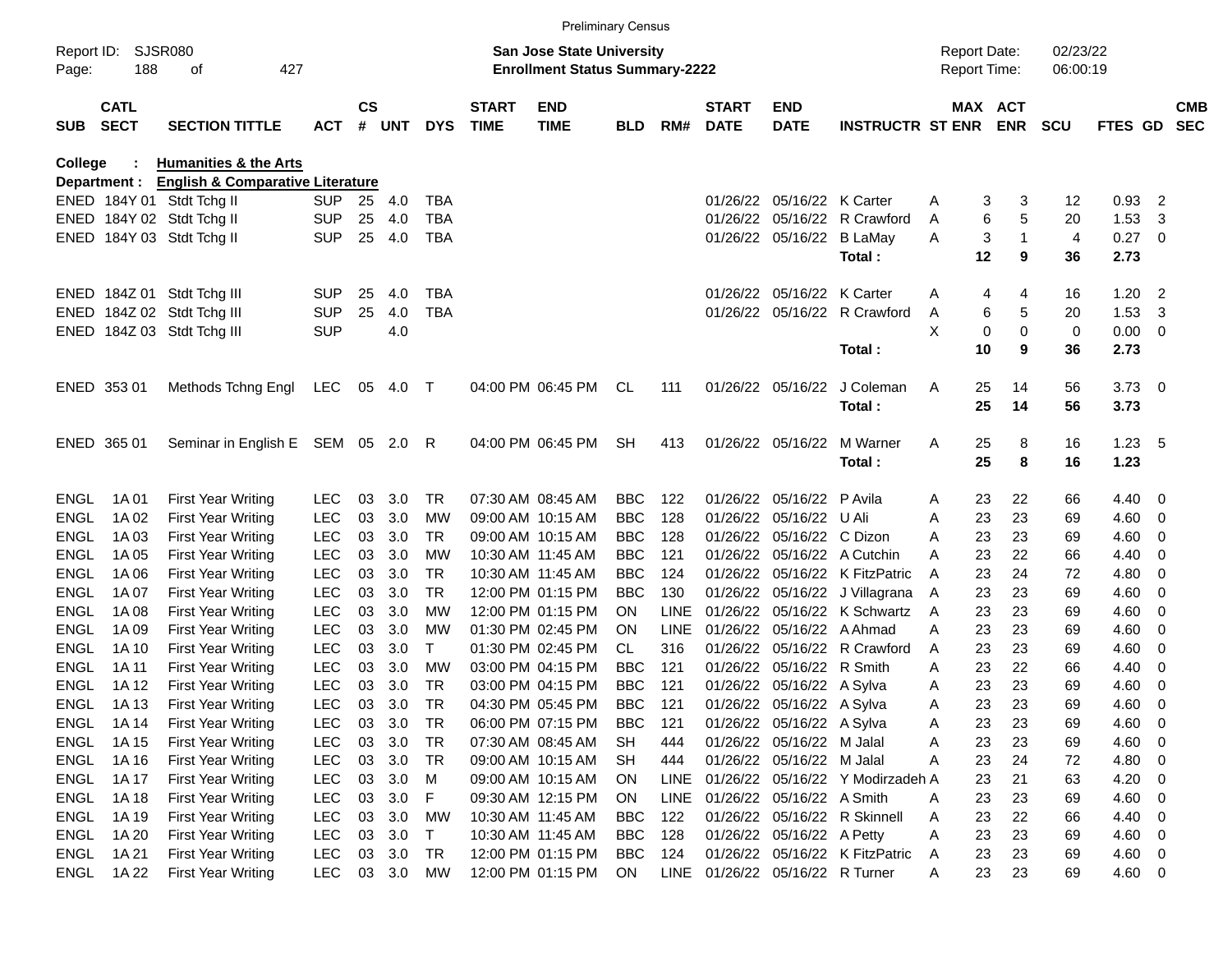|                     |                            |                                             |            |               |        |            |                             | <b>Preliminary Census</b>                                                 |            |             |                             |                                 |                                  |   |                                     |                  |                      |                            |                          |
|---------------------|----------------------------|---------------------------------------------|------------|---------------|--------|------------|-----------------------------|---------------------------------------------------------------------------|------------|-------------|-----------------------------|---------------------------------|----------------------------------|---|-------------------------------------|------------------|----------------------|----------------------------|--------------------------|
| Report ID:<br>Page: | 188                        | SJSR080<br>427<br>οf                        |            |               |        |            |                             | <b>San Jose State University</b><br><b>Enrollment Status Summary-2222</b> |            |             |                             |                                 |                                  |   | <b>Report Date:</b><br>Report Time: |                  | 02/23/22<br>06:00:19 |                            |                          |
| <b>SUB</b>          | <b>CATL</b><br><b>SECT</b> | <b>SECTION TITTLE</b>                       | <b>ACT</b> | $\mathsf{cs}$ | # UNT  | <b>DYS</b> | <b>START</b><br><b>TIME</b> | <b>END</b><br><b>TIME</b>                                                 | <b>BLD</b> | RM#         | <b>START</b><br><b>DATE</b> | <b>END</b><br><b>DATE</b>       | <b>INSTRUCTR ST ENR</b>          |   | MAX ACT<br><b>ENR</b>               | <b>SCU</b>       | FTES GD              |                            | <b>CMB</b><br><b>SEC</b> |
| College             |                            | <b>Humanities &amp; the Arts</b>            |            |               |        |            |                             |                                                                           |            |             |                             |                                 |                                  |   |                                     |                  |                      |                            |                          |
|                     | Department :               | <b>English &amp; Comparative Literature</b> |            |               |        |            |                             |                                                                           |            |             |                             |                                 |                                  |   |                                     |                  |                      |                            |                          |
|                     |                            | ENED 184Y 01 Stdt Tchg II                   | <b>SUP</b> | 25            | 4.0    | <b>TBA</b> |                             |                                                                           |            |             |                             | 01/26/22 05/16/22 K Carter      |                                  | A | 3                                   | 3<br>12          | 0.93                 | $\overline{2}$             |                          |
|                     |                            | ENED 184Y 02 Stdt Tchg II                   | <b>SUP</b> | 25            | 4.0    | <b>TBA</b> |                             |                                                                           |            |             |                             |                                 | 01/26/22 05/16/22 R Crawford     | A | 6                                   | 5<br>20          | 1.53                 | 3                          |                          |
|                     |                            | ENED 184Y 03 Stdt Tchg II                   | <b>SUP</b> | 25            | 4.0    | <b>TBA</b> |                             |                                                                           |            |             |                             | 01/26/22 05/16/22 B LaMay       |                                  | A | 3                                   | 4                | $0.27$ 0             |                            |                          |
|                     |                            |                                             |            |               |        |            |                             |                                                                           |            |             |                             |                                 | Total:                           |   | 12                                  | 9<br>36          | 2.73                 |                            |                          |
|                     |                            | ENED 184Z 01 Stdt Tchg III                  | <b>SUP</b> | 25            | 4.0    | TBA        |                             |                                                                           |            |             |                             | 01/26/22 05/16/22 K Carter      |                                  | A | 4                                   | 4<br>16          | 1.20                 | $\overline{\phantom{0}}^2$ |                          |
|                     |                            | ENED 184Z 02 Stdt Tchg III                  | <b>SUP</b> | 25            | 4.0    | <b>TBA</b> |                             |                                                                           |            |             |                             |                                 | 01/26/22 05/16/22 R Crawford     | Α | 6                                   | 5<br>20          | 1.53                 | 3                          |                          |
|                     |                            | ENED 184Z 03 Stdt Tchg III                  | <b>SUP</b> |               | 4.0    |            |                             |                                                                           |            |             |                             |                                 |                                  | X | 0                                   | $\mathbf 0$<br>0 | $0.00 \t 0$          |                            |                          |
|                     |                            |                                             |            |               |        |            |                             |                                                                           |            |             |                             |                                 | Total:                           |   | 10                                  | 9<br>36          | 2.73                 |                            |                          |
|                     | ENED 353 01                | Methods Tchng Engl                          | LEC        | 05            | 4.0    | $\top$     |                             | 04:00 PM 06:45 PM                                                         | CL         | 111         |                             | 01/26/22 05/16/22               | J Coleman                        | Α | 25                                  | 14<br>56         | $3.73 \quad 0$       |                            |                          |
|                     |                            |                                             |            |               |        |            |                             |                                                                           |            |             |                             |                                 | Total:                           |   | 25                                  | 56<br>14         | 3.73                 |                            |                          |
|                     | ENED 365 01                | Seminar in English E SEM 05 2.0 R           |            |               |        |            |                             | 04:00 PM 06:45 PM                                                         | <b>SH</b>  | 413         |                             | 01/26/22 05/16/22               | M Warner                         | Α | 25                                  | 8<br>16          | 1.23, 5              |                            |                          |
|                     |                            |                                             |            |               |        |            |                             |                                                                           |            |             |                             |                                 | Total:                           |   | 25                                  | 8<br>16          | 1.23                 |                            |                          |
| <b>ENGL</b>         | 1A 01                      | <b>First Year Writing</b>                   | <b>LEC</b> | 03            | 3.0    | TR.        |                             | 07:30 AM 08:45 AM                                                         | <b>BBC</b> | 122         |                             | 01/26/22 05/16/22 P Avila       |                                  | Α | 23                                  | 22<br>66         | 4.40 0               |                            |                          |
| <b>ENGL</b>         | 1A 02                      | <b>First Year Writing</b>                   | <b>LEC</b> | 03            | 3.0    | <b>MW</b>  |                             | 09:00 AM 10:15 AM                                                         | <b>BBC</b> | 128         |                             | 01/26/22 05/16/22 U Ali         |                                  | A | 23                                  | 23<br>69         | 4.60                 | $\overline{\mathbf{0}}$    |                          |
| <b>ENGL</b>         | 1A 03                      | <b>First Year Writing</b>                   | <b>LEC</b> | 03            | 3.0    | TR.        |                             | 09:00 AM 10:15 AM                                                         | <b>BBC</b> | 128         |                             | 01/26/22 05/16/22 C Dizon       |                                  | A | 23                                  | 23<br>69         | 4.60                 | $\overline{0}$             |                          |
| <b>ENGL</b>         | 1A 05                      | <b>First Year Writing</b>                   | <b>LEC</b> | 03            | 3.0    | МW         |                             | 10:30 AM 11:45 AM                                                         | <b>BBC</b> | 121         |                             |                                 | 01/26/22 05/16/22 A Cutchin      | A | 23                                  | 22<br>66         | 4.40                 | 0                          |                          |
| <b>ENGL</b>         | 1A 06                      | <b>First Year Writing</b>                   | <b>LEC</b> | 03            | 3.0    | <b>TR</b>  |                             | 10:30 AM 11:45 AM                                                         | <b>BBC</b> | 124         |                             |                                 | 01/26/22 05/16/22 K FitzPatric   | A | 23                                  | 24<br>72         | 4.80                 | $\overline{0}$             |                          |
| <b>ENGL</b>         | 1A 07                      | <b>First Year Writing</b>                   | <b>LEC</b> | 03            | 3.0    | TR.        |                             | 12:00 PM 01:15 PM                                                         | <b>BBC</b> | 130         |                             |                                 | 01/26/22 05/16/22 J Villagrana   | A | 23                                  | 23<br>69         | 4.60                 | $\overline{0}$             |                          |
| <b>ENGL</b>         | 1A 08                      | <b>First Year Writing</b>                   | <b>LEC</b> | 03            | 3.0    | МW         |                             | 12:00 PM 01:15 PM                                                         | <b>ON</b>  | LINE        |                             |                                 | 01/26/22 05/16/22 K Schwartz     | A | 23                                  | 23<br>69         | 4.60                 | $\overline{0}$             |                          |
| <b>ENGL</b>         | 1A 09                      | <b>First Year Writing</b>                   | <b>LEC</b> | 03            | 3.0    | MW         |                             | 01:30 PM 02:45 PM                                                         | <b>ON</b>  | <b>LINE</b> |                             | 01/26/22 05/16/22 A Ahmad       |                                  | A | 23                                  | 23<br>69         | 4.60                 | $\overline{0}$             |                          |
| <b>ENGL</b>         | 1A 10                      | <b>First Year Writing</b>                   | <b>LEC</b> | 03            | 3.0    | т          |                             | 01:30 PM 02:45 PM                                                         | CL         | 316         |                             |                                 | 01/26/22 05/16/22 R Crawford     | A | 23                                  | 23<br>69         | 4.60                 | 0                          |                          |
| <b>ENGL</b>         | 1A 11                      | <b>First Year Writing</b>                   | <b>LEC</b> | 03            | 3.0    | MW         |                             | 03:00 PM 04:15 PM                                                         | <b>BBC</b> | 121         |                             | 01/26/22 05/16/22 R Smith       |                                  | A | 23                                  | 22<br>66         | 4.40                 | 0                          |                          |
| <b>ENGL</b>         | 1A 12                      | <b>First Year Writing</b>                   | <b>LEC</b> | 03            | 3.0    | <b>TR</b>  |                             | 03:00 PM 04:15 PM                                                         | <b>BBC</b> | 121         |                             | 01/26/22 05/16/22 A Sylva       |                                  | Α | 23                                  | 23<br>69         | 4.60                 | $\overline{0}$             |                          |
| <b>ENGL</b>         | 1A 13                      | <b>First Year Writing</b>                   | <b>LEC</b> | 03            | 3.0    | TR         |                             | 04:30 PM 05:45 PM                                                         | <b>BBC</b> | 121         |                             | 01/26/22 05/16/22 A Sylva       |                                  | A | 23                                  | 23<br>69         | 4.60                 | $\overline{\mathbf{0}}$    |                          |
| ENGL                | 1A 14                      | <b>First Year Writing</b>                   | <b>LEC</b> | 03            | 3.0    | TR         |                             | 06:00 PM 07:15 PM                                                         | <b>BBC</b> | 121         |                             | 01/26/22 05/16/22 A Sylva       |                                  | A | 23                                  | 23<br>69         | 4.60                 | $\overline{\mathbf{0}}$    |                          |
| ENGL                | 1A 15                      | <b>First Year Writing</b>                   | <b>LEC</b> | 03            | 3.0    | TR         |                             | 07:30 AM 08:45 AM                                                         | <b>SH</b>  | 444         |                             | 01/26/22 05/16/22 M Jalal       |                                  | A | 23                                  | 23<br>69         | 4.60                 | $\overline{\phantom{0}}$   |                          |
| ENGL                | 1A 16                      | <b>First Year Writing</b>                   | LEC        | 03            | 3.0    | TR         |                             | 09:00 AM 10:15 AM                                                         | SH         | 444         |                             | 01/26/22 05/16/22 M Jalal       |                                  | A | 23                                  | 24<br>72         | 4.80 0               |                            |                          |
| ENGL                | 1A 17                      | <b>First Year Writing</b>                   | <b>LEC</b> | 03            | 3.0    | M          |                             | 09:00 AM 10:15 AM                                                         | <b>ON</b>  | <b>LINE</b> |                             |                                 | 01/26/22 05/16/22 Y Modirzadeh A |   | 23                                  | 21<br>63         | $4.20 \ 0$           |                            |                          |
| ENGL                | 1A 18                      | <b>First Year Writing</b>                   | <b>LEC</b> | 03            | 3.0    | F          |                             | 09:30 AM 12:15 PM                                                         | ON         | LINE        |                             | 01/26/22 05/16/22 A Smith       |                                  | A | 23                                  | 23<br>69         | $4.60 \ 0$           |                            |                          |
| ENGL                | 1A 19                      | <b>First Year Writing</b>                   | <b>LEC</b> | 03            | 3.0    | МW         |                             | 10:30 AM 11:45 AM                                                         | <b>BBC</b> | 122         |                             |                                 | 01/26/22 05/16/22 R Skinnell     | Α | 23                                  | 22<br>66         | 4.40 0               |                            |                          |
| ENGL                | 1A 20                      | <b>First Year Writing</b>                   | LEC.       | 03            | 3.0    | T          |                             | 10:30 AM 11:45 AM                                                         | <b>BBC</b> | 128         |                             | 01/26/22 05/16/22 A Petty       |                                  | Α | 23                                  | 23<br>69         | $4.60$ 0             |                            |                          |
| ENGL                | 1A 21                      | <b>First Year Writing</b>                   | <b>LEC</b> |               | 03 3.0 | TR         |                             | 12:00 PM 01:15 PM                                                         | BBC        | 124         |                             |                                 | 01/26/22 05/16/22 K FitzPatric   | A | 23                                  | 23<br>69         | $4.60 \ 0$           |                            |                          |
| ENGL                | 1A 22                      | <b>First Year Writing</b>                   | <b>LEC</b> |               | 03 3.0 | МW         |                             | 12:00 PM 01:15 PM                                                         | ON         |             |                             | LINE 01/26/22 05/16/22 R Turner |                                  | A | 23                                  | 23<br>69         | 4.60 0               |                            |                          |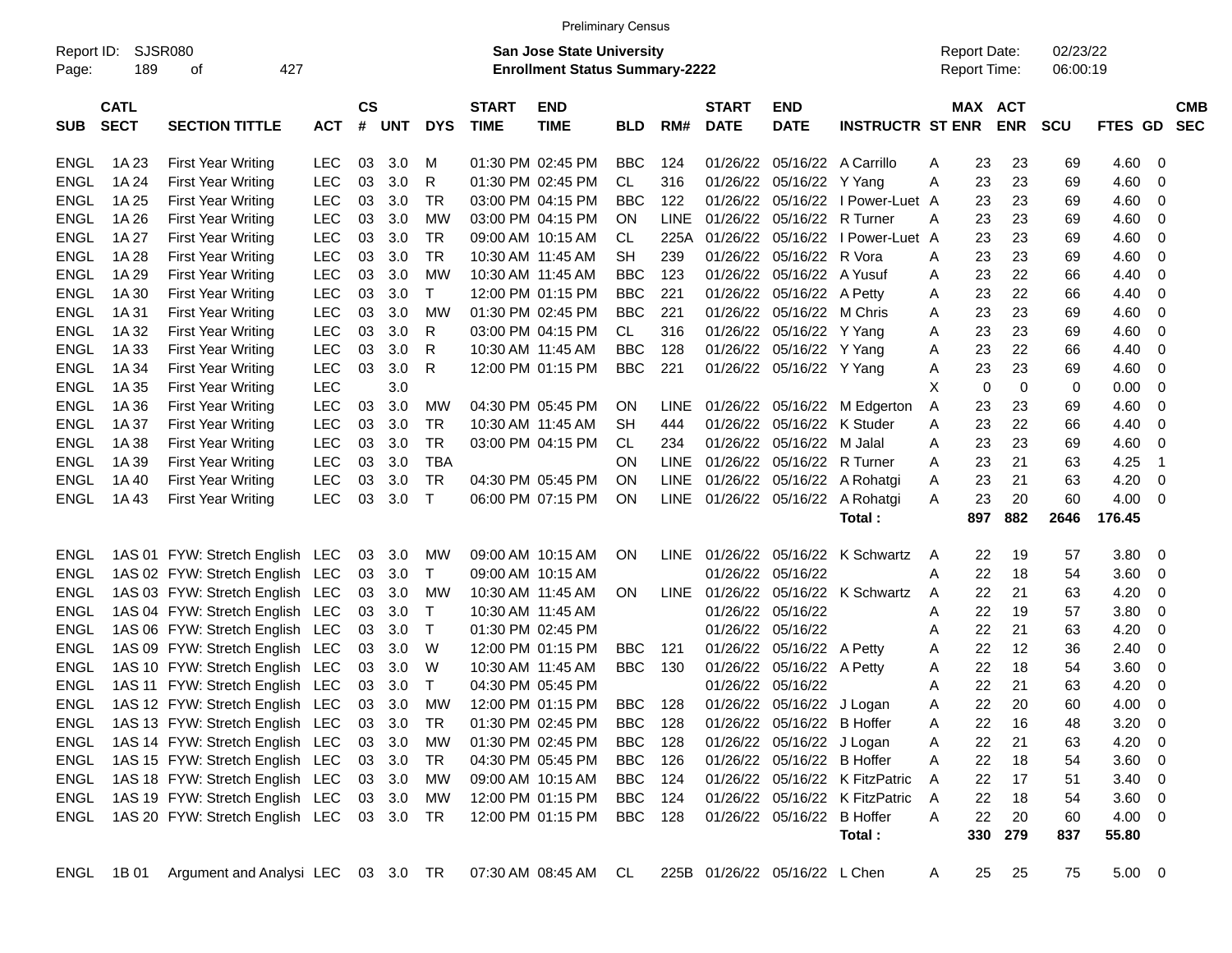|                     | SJSR080                    |                                               |            |                |            |              |                             | <b>Preliminary Census</b><br><b>San Jose State University</b> |            |             |                             |                               |                                |   | <b>Report Date:</b> |                       | 02/23/22   |             |                |                          |
|---------------------|----------------------------|-----------------------------------------------|------------|----------------|------------|--------------|-----------------------------|---------------------------------------------------------------|------------|-------------|-----------------------------|-------------------------------|--------------------------------|---|---------------------|-----------------------|------------|-------------|----------------|--------------------------|
| Report ID:<br>Page: | 189                        | 427<br>οf                                     |            |                |            |              |                             | <b>Enrollment Status Summary-2222</b>                         |            |             |                             |                               |                                |   | Report Time:        |                       | 06:00:19   |             |                |                          |
| <b>SUB</b>          | <b>CATL</b><br><b>SECT</b> | <b>SECTION TITTLE</b>                         | <b>ACT</b> | <b>CS</b><br># | <b>UNT</b> | <b>DYS</b>   | <b>START</b><br><b>TIME</b> | <b>END</b><br><b>TIME</b>                                     | <b>BLD</b> | RM#         | <b>START</b><br><b>DATE</b> | <b>END</b><br><b>DATE</b>     | <b>INSTRUCTR ST ENR</b>        |   |                     | MAX ACT<br><b>ENR</b> | <b>SCU</b> | FTES GD     |                | <b>CMB</b><br><b>SEC</b> |
| ENGL                | 1A 23                      | <b>First Year Writing</b>                     | <b>LEC</b> | 03             | 3.0        | M            |                             | 01:30 PM 02:45 PM                                             | <b>BBC</b> | 124         | 01/26/22                    | 05/16/22                      | A Carrillo                     | A | 23                  | 23                    | 69         | 4.60        | 0              |                          |
| <b>ENGL</b>         | 1A 24                      | <b>First Year Writing</b>                     | <b>LEC</b> | 03             | 3.0        | R            |                             | 01:30 PM 02:45 PM                                             | <b>CL</b>  | 316         | 01/26/22                    | 05/16/22                      | Y Yang                         | A | 23                  | 23                    | 69         | 4.60        | 0              |                          |
| <b>ENGL</b>         | 1A 25                      | <b>First Year Writing</b>                     | <b>LEC</b> | 03             | 3.0        | TR           |                             | 03:00 PM 04:15 PM                                             | <b>BBC</b> | 122         | 01/26/22                    | 05/16/22                      | I Power-Luet A                 |   | 23                  | 23                    | 69         | 4.60        | 0              |                          |
| <b>ENGL</b>         | 1A 26                      | <b>First Year Writing</b>                     | <b>LEC</b> | 03             | 3.0        | <b>MW</b>    |                             | 03:00 PM 04:15 PM                                             | <b>ON</b>  | <b>LINE</b> | 01/26/22                    | 05/16/22                      | R Turner                       | A | 23                  | 23                    | 69         | 4.60        | 0              |                          |
| <b>ENGL</b>         | 1A 27                      | <b>First Year Writing</b>                     | <b>LEC</b> | 03             | 3.0        | TR           |                             | 09:00 AM 10:15 AM                                             | CL.        | 225A        | 01/26/22                    | 05/16/22                      | I Power-Luet A                 |   | 23                  | 23                    | 69         | 4.60        | 0              |                          |
| <b>ENGL</b>         | 1A 28                      | <b>First Year Writing</b>                     | <b>LEC</b> | 03             | 3.0        | <b>TR</b>    |                             | 10:30 AM 11:45 AM                                             | SН         | 239         | 01/26/22                    | 05/16/22                      | R Vora                         | A | 23                  | 23                    | 69         | 4.60        | 0              |                          |
| <b>ENGL</b>         | 1A 29                      | <b>First Year Writing</b>                     | <b>LEC</b> | 03             | 3.0        | MW           |                             | 10:30 AM 11:45 AM                                             | <b>BBC</b> | 123         | 01/26/22                    | 05/16/22                      | A Yusuf                        | A | 23                  | 22                    | 66         | 4.40        | 0              |                          |
| <b>ENGL</b>         | 1A 30                      | <b>First Year Writing</b>                     | <b>LEC</b> | 03             | 3.0        | $\mathsf{T}$ |                             | 12:00 PM 01:15 PM                                             | <b>BBC</b> | 221         | 01/26/22                    | 05/16/22                      | A Petty                        | A | 23                  | 22                    | 66         | 4.40        | 0              |                          |
| <b>ENGL</b>         | 1A 31                      | <b>First Year Writing</b>                     | <b>LEC</b> | 03             | 3.0        | MW           |                             | 01:30 PM 02:45 PM                                             | <b>BBC</b> | 221         | 01/26/22                    | 05/16/22                      | M Chris                        | A | 23                  | 23                    | 69         | 4.60        | 0              |                          |
| <b>ENGL</b>         | 1A 32                      | <b>First Year Writing</b>                     | LEC        | 03             | 3.0        | R            |                             | 03:00 PM 04:15 PM                                             | CL.        | 316         | 01/26/22                    | 05/16/22                      | Y Yang                         | A | 23                  | 23                    | 69         | 4.60        | 0              |                          |
| <b>ENGL</b>         | 1A 33                      | <b>First Year Writing</b>                     | <b>LEC</b> | 03             | 3.0        | R            |                             | 10:30 AM 11:45 AM                                             | <b>BBC</b> | 128         |                             | 01/26/22 05/16/22 Y Yang      |                                | Α | 23                  | 22                    | 66         | 4.40        | 0              |                          |
| <b>ENGL</b>         | 1A 34                      | <b>First Year Writing</b>                     | <b>LEC</b> | 03             | 3.0        | R            |                             | 12:00 PM 01:15 PM                                             | <b>BBC</b> | 221         |                             | 01/26/22 05/16/22 Y Yang      |                                | A | 23                  | 23                    | 69         | 4.60        | 0              |                          |
| <b>ENGL</b>         | 1A 35                      | <b>First Year Writing</b>                     | <b>LEC</b> |                | 3.0        |              |                             |                                                               |            |             |                             |                               |                                | X | $\mathbf 0$         | $\mathbf 0$           | 0          | 0.00        | 0              |                          |
| <b>ENGL</b>         | 1A 36                      | <b>First Year Writing</b>                     | LEC        | 03             | 3.0        | MW           |                             | 04:30 PM 05:45 PM                                             | ON         | <b>LINE</b> |                             | 01/26/22 05/16/22             | M Edgerton                     | A | 23                  | 23                    | 69         | 4.60        | 0              |                          |
| <b>ENGL</b>         | 1A 37                      | <b>First Year Writing</b>                     | <b>LEC</b> | 03             | 3.0        | TR           |                             | 10:30 AM 11:45 AM                                             | <b>SH</b>  | 444         | 01/26/22                    | 05/16/22                      | K Studer                       | A | 23                  | 22                    | 66         | 4.40        | 0              |                          |
| <b>ENGL</b>         | 1A 38                      | <b>First Year Writing</b>                     | <b>LEC</b> | 03             | 3.0        | TR           |                             | 03:00 PM 04:15 PM                                             | CL         | 234         | 01/26/22                    | 05/16/22                      | M Jalal                        | A | 23                  | 23                    | 69         | 4.60        | 0              |                          |
| <b>ENGL</b>         | 1A 39                      | <b>First Year Writing</b>                     | <b>LEC</b> | 03             | 3.0        | <b>TBA</b>   |                             |                                                               | ΟN         | <b>LINE</b> | 01/26/22                    | 05/16/22                      | R Turner                       | A | 23                  | 21                    | 63         | 4.25        | -1             |                          |
| <b>ENGL</b>         | 1A 40                      | <b>First Year Writing</b>                     | <b>LEC</b> | 03             | 3.0        | <b>TR</b>    |                             | 04:30 PM 05:45 PM                                             | ΟN         | <b>LINE</b> | 01/26/22                    | 05/16/22                      | A Rohatgi                      | A | 23                  | 21                    | 63         | 4.20        | 0              |                          |
| ENGL                | 1A43                       | <b>First Year Writing</b>                     | <b>LEC</b> | 03             | 3.0        | $\top$       |                             | 06:00 PM 07:15 PM                                             | ON         |             |                             | LINE 01/26/22 05/16/22        | A Rohatgi                      | A | 23                  | 20                    | 60         | 4.00        | 0              |                          |
|                     |                            |                                               |            |                |            |              |                             |                                                               |            |             |                             |                               | Total :                        |   | 897                 | 882                   | 2646       | 176.45      |                |                          |
| <b>ENGL</b>         |                            | 1AS 01 FYW: Stretch English LEC               |            | 03             | 3.0        | MW           |                             | 09:00 AM 10:15 AM                                             | <b>ON</b>  | <b>LINE</b> | 01/26/22                    | 05/16/22                      | K Schwartz                     | A | 22                  | 19                    | 57         | 3.80        | 0              |                          |
| ENGL                |                            | 1AS 02 FYW: Stretch English LEC               |            | 03             | 3.0        | $\mathsf{T}$ |                             | 09:00 AM 10:15 AM                                             |            |             |                             | 01/26/22 05/16/22             |                                | A | 22                  | 18                    | 54         | 3.60        | 0              |                          |
| <b>ENGL</b>         |                            | 1AS 03 FYW: Stretch English LEC               |            | 03             | 3.0        | MW           |                             | 10:30 AM 11:45 AM                                             | <b>ON</b>  | <b>LINE</b> | 01/26/22                    | 05/16/22                      | K Schwartz                     | A | 22                  | 21                    | 63         | 4.20        | 0              |                          |
| <b>ENGL</b>         |                            | 1AS 04 FYW: Stretch English LEC               |            | 03             | 3.0        | $\mathsf{T}$ |                             | 10:30 AM 11:45 AM                                             |            |             |                             | 01/26/22 05/16/22             |                                | A | 22                  | 19                    | 57         | 3.80        | 0              |                          |
| <b>ENGL</b>         |                            | 1AS 06 FYW: Stretch English                   | LEC        | 03             | 3.0        | $\top$       |                             | 01:30 PM 02:45 PM                                             |            |             |                             | 01/26/22 05/16/22             |                                | A | 22                  | 21                    | 63         | 4.20        | 0              |                          |
| <b>ENGL</b>         |                            | 1AS 09 FYW: Stretch English LEC               |            | 03             | 3.0        | W            |                             | 12:00 PM 01:15 PM                                             | <b>BBC</b> | 121         | 01/26/22                    | 05/16/22                      | A Petty                        | A | 22                  | 12                    | 36         | 2.40        | 0              |                          |
| <b>ENGL</b>         |                            | 1AS 10 FYW: Stretch English LEC               |            | 03             | 3.0        | W            |                             | 10:30 AM 11:45 AM                                             | <b>BBC</b> | 130         | 01/26/22                    | 05/16/22 A Petty              |                                | A | 22                  | 18                    | 54         | 3.60        | 0              |                          |
| <b>ENGL</b>         |                            | 1AS 11 FYW: Stretch English                   | LEC        | 03             | 3.0        | $\mathsf{T}$ |                             | 04:30 PM 05:45 PM                                             |            |             | 01/26/22                    | 05/16/22                      |                                | Α | 22                  | 21                    | 63         | 4.20        | 0              |                          |
| <b>ENGL</b>         |                            | 1AS 12 FYW: Stretch English LEC               |            | 03             | 3.0        | <b>MW</b>    |                             | 12:00 PM 01:15 PM                                             | BBC        | 128         |                             | 01/26/22 05/16/22 J Logan     |                                | A | 22                  | 20                    | 60         | 4.00        | 0              |                          |
| ENGL                |                            | 1AS 13 FYW: Stretch English LEC 03 3.0        |            |                |            | TR           |                             | 01:30 PM 02:45 PM                                             | BBC        | 128         |                             | 01/26/22 05/16/22 B Hoffer    |                                | A | 22                  | 16                    | 48         | 3.20        | $\overline{0}$ |                          |
| ENGL                |                            | 1AS 14 FYW: Stretch English LEC               |            |                | 03 3.0     | МW           |                             | 01:30 PM 02:45 PM                                             | BBC        | 128         |                             | 01/26/22 05/16/22 J Logan     |                                | A | 22                  | 21                    | 63         | 4.20        | 0              |                          |
| ENGL                |                            | 1AS 15 FYW: Stretch English LEC               |            |                | 03 3.0     | TR           |                             | 04:30 PM 05:45 PM                                             | BBC        | 126         |                             | 01/26/22 05/16/22 B Hoffer    |                                | Α | 22                  | 18                    | 54         | 3.60        | 0              |                          |
| ENGL                |                            | 1AS 18 FYW: Stretch English LEC               |            |                | 03 3.0     | МW           |                             | 09:00 AM 10:15 AM                                             | BBC        | 124         |                             |                               | 01/26/22 05/16/22 K FitzPatric | A | 22                  | 17                    | 51         | 3.40        | 0              |                          |
| ENGL                |                            | 1AS 19 FYW: Stretch English LEC               |            |                | 03 3.0     | МW           |                             | 12:00 PM 01:15 PM                                             | BBC        | 124         |                             |                               | 01/26/22 05/16/22 K FitzPatric | Α | 22                  | 18                    | 54         | 3.60        | 0              |                          |
| ENGL                |                            | 1AS 20 FYW: Stretch English LEC 03 3.0        |            |                |            | TR           |                             | 12:00 PM 01:15 PM                                             | BBC 128    |             |                             | 01/26/22 05/16/22 B Hoffer    |                                | Α | 22                  | 20                    | 60         | 4.00        | - 0            |                          |
|                     |                            |                                               |            |                |            |              |                             |                                                               |            |             |                             |                               | Total:                         |   | 330                 | 279                   | 837        | 55.80       |                |                          |
|                     |                            | ENGL 1B 01 Argument and Analysi LEC 03 3.0 TR |            |                |            |              |                             | 07:30 AM 08:45 AM                                             | CL         |             |                             | 225B 01/26/22 05/16/22 L Chen |                                | A | 25                  | 25                    | 75         | $5.00 \t 0$ |                |                          |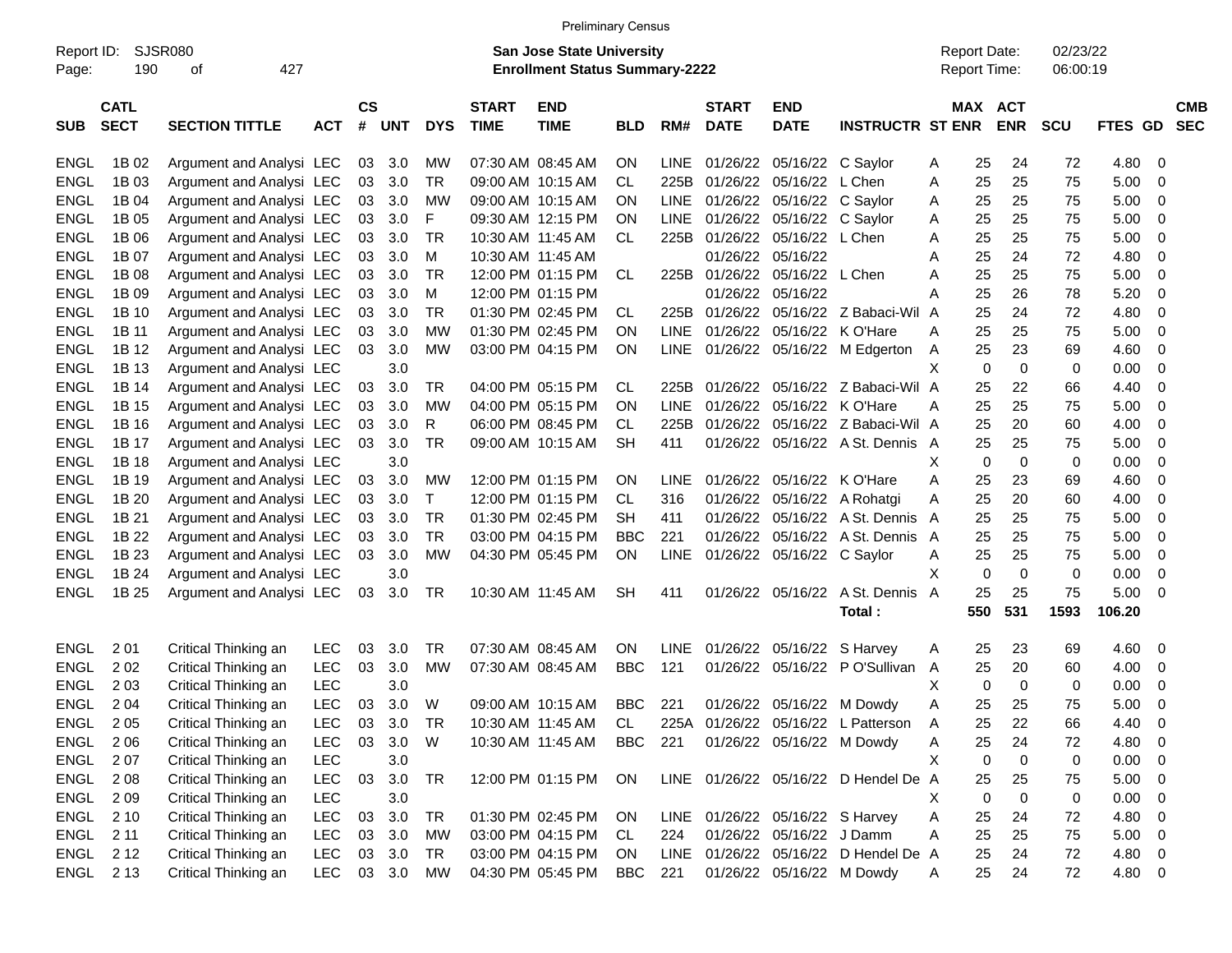|                     |                            |                          |            |                |            |            |                             | <b>Preliminary Census</b>                                                 |            |             |                             |                                 |                                       |                                            |                            |                      |         |                          |
|---------------------|----------------------------|--------------------------|------------|----------------|------------|------------|-----------------------------|---------------------------------------------------------------------------|------------|-------------|-----------------------------|---------------------------------|---------------------------------------|--------------------------------------------|----------------------------|----------------------|---------|--------------------------|
| Report ID:<br>Page: | 190                        | SJSR080<br>427<br>οf     |            |                |            |            |                             | <b>San Jose State University</b><br><b>Enrollment Status Summary-2222</b> |            |             |                             |                                 |                                       | <b>Report Date:</b><br><b>Report Time:</b> |                            | 02/23/22<br>06:00:19 |         |                          |
| <b>SUB</b>          | <b>CATL</b><br><b>SECT</b> | <b>SECTION TITTLE</b>    | <b>ACT</b> | <b>CS</b><br># | <b>UNT</b> | <b>DYS</b> | <b>START</b><br><b>TIME</b> | <b>END</b><br><b>TIME</b>                                                 | <b>BLD</b> | RM#         | <b>START</b><br><b>DATE</b> | <b>END</b><br><b>DATE</b>       | <b>INSTRUCTR ST ENR</b>               |                                            | MAX ACT<br><b>ENR</b>      | <b>SCU</b>           | FTES GD | <b>CMB</b><br><b>SEC</b> |
| <b>ENGL</b>         | 1B 02                      | Argument and Analysi LEC |            |                | 03 3.0     | MW         |                             | 07:30 AM 08:45 AM                                                         | <b>ON</b>  | <b>LINE</b> |                             | 01/26/22 05/16/22 C Saylor      |                                       | 25<br>A                                    | 24                         | 72                   | 4.80    | 0                        |
| <b>ENGL</b>         | 1B 03                      | Argument and Analysi LEC |            | 03             | 3.0        | TR         |                             | 09:00 AM 10:15 AM                                                         | CL.        |             | 225B 01/26/22 05/16/22      |                                 | L Chen                                | 25<br>A                                    | 25                         | 75                   | 5.00    | 0                        |
| <b>ENGL</b>         | 1B 04                      | Argument and Analysi LEC |            | 03             | 3.0        | МW         |                             | 09:00 AM 10:15 AM                                                         | ON         | LINE        | 01/26/22 05/16/22           |                                 | C Saylor                              | 25<br>A                                    | 25                         | 75                   | 5.00    | 0                        |
| <b>ENGL</b>         | 1B 05                      | Argument and Analysi LEC |            | 03             | 3.0        | F          |                             | 09:30 AM 12:15 PM                                                         | ΟN         | <b>LINE</b> |                             | 01/26/22 05/16/22               | C Saylor                              | 25<br>A                                    | 25                         | 75                   | 5.00    | 0                        |
| <b>ENGL</b>         | 1B 06                      | Argument and Analysi LEC |            | 03             | 3.0        | TR.        |                             | 10:30 AM 11:45 AM                                                         | CL.        |             |                             | 225B 01/26/22 05/16/22 L Chen   |                                       | 25<br>A                                    | 25                         | 75                   | 5.00    | 0                        |
| <b>ENGL</b>         | 1B 07                      | Argument and Analysi LEC |            | 03             | 3.0        | м          |                             | 10:30 AM 11:45 AM                                                         |            |             |                             | 01/26/22 05/16/22               |                                       | 25<br>A                                    | 24                         | 72                   | 4.80    | 0                        |
| <b>ENGL</b>         | 1B 08                      | Argument and Analysi LEC |            | 03             | 3.0        | TR         |                             | 12:00 PM 01:15 PM                                                         | CL.        |             |                             | 225B 01/26/22 05/16/22          | L Chen                                | 25<br>A                                    | 25                         | 75                   | 5.00    | 0                        |
| <b>ENGL</b>         | 1B 09                      | Argument and Analysi LEC |            | 03             | 3.0        | м          |                             | 12:00 PM 01:15 PM                                                         |            |             |                             | 01/26/22 05/16/22               |                                       | 25<br>Α                                    | 26                         | 78                   | 5.20    | 0                        |
| <b>ENGL</b>         | 1B 10                      | Argument and Analysi LEC |            | 03             | 3.0        | TR         |                             | 01:30 PM 02:45 PM                                                         | CL.        |             |                             |                                 | 225B 01/26/22 05/16/22 Z Babaci-Wil   | 25<br>A                                    | 24                         | 72                   | 4.80    | 0                        |
| <b>ENGL</b>         | 1B 11                      | Argument and Analysi LEC |            | 03             | 3.0        | MW         |                             | 01:30 PM 02:45 PM                                                         | ΟN         | LINE        |                             | 01/26/22 05/16/22               | K O'Hare                              | 25<br>A                                    | 25                         | 75                   | 5.00    | 0                        |
| <b>ENGL</b>         | 1B 12                      | Argument and Analysi LEC |            | 03             | 3.0        | MW         |                             | 03:00 PM 04:15 PM                                                         | ΟN         |             |                             |                                 | LINE 01/26/22 05/16/22 M Edgerton     | A                                          | 25<br>23                   | 69                   | 4.60    | 0                        |
| <b>ENGL</b>         | 1B 13                      | Argument and Analysi LEC |            |                | 3.0        |            |                             |                                                                           |            |             |                             |                                 |                                       | X                                          | $\mathbf 0$<br>$\mathbf 0$ | 0                    | 0.00    | 0                        |
| <b>ENGL</b>         | 1B 14                      | Argument and Analysi LEC |            | 03             | 3.0        | TR         |                             | 04:00 PM 05:15 PM                                                         | CL.        |             |                             |                                 | 225B 01/26/22 05/16/22 Z Babaci-Wil A | 25                                         | 22                         | 66                   | 4.40    | 0                        |
| <b>ENGL</b>         | 1B 15                      | Argument and Analysi LEC |            | 03             | 3.0        | MW         |                             | 04:00 PM 05:15 PM                                                         | ΟN         | LINE.       |                             | 01/26/22 05/16/22 K O'Hare      |                                       | 25<br>A                                    | 25                         | 75                   | 5.00    | $\mathbf 0$              |
| <b>ENGL</b>         | 1B 16                      | Argument and Analysi LEC |            | 03             | 3.0        | R          |                             | 06:00 PM 08:45 PM                                                         | СL         | 225B        |                             |                                 | 01/26/22 05/16/22 Z Babaci-Wil A      | 25                                         | 20                         | 60                   | 4.00    | $\mathbf 0$              |
| <b>ENGL</b>         | 1B 17                      | Argument and Analysi LEC |            | 03             | 3.0        | <b>TR</b>  |                             | 09:00 AM 10:15 AM                                                         | <b>SH</b>  | 411         |                             |                                 | 01/26/22 05/16/22 A St. Dennis A      | 25                                         | 25                         | 75                   | 5.00    | 0                        |
| <b>ENGL</b>         | 1B 18                      | Argument and Analysi LEC |            |                | 3.0        |            |                             |                                                                           |            |             |                             |                                 |                                       | X                                          | $\mathbf 0$<br>$\mathbf 0$ | 0                    | 0.00    | $\mathbf 0$              |
| <b>ENGL</b>         | 1B 19                      | Argument and Analysi LEC |            | 03             | 3.0        | MW         |                             | 12:00 PM 01:15 PM                                                         | <b>ON</b>  | <b>LINE</b> |                             | 01/26/22 05/16/22 K O'Hare      |                                       | Α<br>25                                    | 23                         | 69                   | 4.60    | 0                        |
| <b>ENGL</b>         | 1B 20                      | Argument and Analysi LEC |            | 03             | 3.0        | Τ          |                             | 12:00 PM 01:15 PM                                                         | CL.        | 316         |                             |                                 | 01/26/22 05/16/22 A Rohatgi           | 25<br>A                                    | 20                         | 60                   | 4.00    | 0                        |
| <b>ENGL</b>         | 1B 21                      | Argument and Analysi LEC |            | 03             | 3.0        | TR         |                             | 01:30 PM 02:45 PM                                                         | SН         | 411         |                             |                                 | 01/26/22 05/16/22 A St. Dennis A      | 25                                         | 25                         | 75                   | 5.00    | 0                        |
| <b>ENGL</b>         | 1B 22                      | Argument and Analysi LEC |            | 03             | 3.0        | TR         |                             | 03:00 PM 04:15 PM                                                         | BBC        | 221         |                             |                                 | 01/26/22 05/16/22 A St. Dennis A      | 25                                         | 25                         | 75                   | 5.00    | 0                        |
| <b>ENGL</b>         | 1B 23                      | Argument and Analysi LEC |            | 03             | 3.0        | <b>MW</b>  |                             | 04:30 PM 05:45 PM                                                         | ON         | LINE        |                             | 01/26/22 05/16/22 C Saylor      |                                       | A                                          | 25<br>25                   | 75                   | 5.00    | 0                        |
| <b>ENGL</b>         | 1B 24                      | Argument and Analysi LEC |            |                | 3.0        |            |                             |                                                                           |            |             |                             |                                 |                                       | X                                          | 0<br>$\mathbf 0$           | 0                    | 0.00    | 0                        |
| <b>ENGL</b>         | 1B 25                      | Argument and Analysi LEC |            | 03             | 3.0        | TR         |                             | 10:30 AM 11:45 AM                                                         | <b>SH</b>  | 411         |                             | 01/26/22 05/16/22               | A St. Dennis                          | 25<br>A                                    | 25                         | 75                   | 5.00    | $\mathbf 0$              |
|                     |                            |                          |            |                |            |            |                             |                                                                           |            |             |                             |                                 | Total:                                | 550                                        | 531                        | 1593                 | 106.20  |                          |
| <b>ENGL</b>         | 2 0 1                      | Critical Thinking an     | <b>LEC</b> | 03             | 3.0        | TR         |                             | 07:30 AM 08:45 AM                                                         | ON         | <b>LINE</b> |                             | 01/26/22 05/16/22               | S Harvey                              | 25<br>A                                    | 23                         | 69                   | 4.60    | 0                        |
| <b>ENGL</b>         | 202                        | Critical Thinking an     | <b>LEC</b> | 03             | 3.0        | MW         |                             | 07:30 AM 08:45 AM                                                         | <b>BBC</b> | 121         |                             | 01/26/22 05/16/22               | P O'Sullivan                          | 25<br>A                                    | 20                         | 60                   | 4.00    | 0                        |
| <b>ENGL</b>         | 2 0 3                      | Critical Thinking an     | <b>LEC</b> |                | 3.0        |            |                             |                                                                           |            |             |                             |                                 |                                       | Х                                          | 0<br>$\mathbf 0$           | 0                    | 0.00    | 0                        |
| ENGL                | 2 0 4                      | Critical Thinking an     | LEC        | 03             | 3.0        | W          |                             | 09:00 AM 10:15 AM                                                         | BBC        | 221         |                             | 01/26/22 05/16/22 M Dowdy       |                                       | A                                          | 25<br>25                   | 75                   | 5.00    | 0                        |
| ENGL                | 2 0 5                      | Critical Thinking an     | LEC        | 03             | 3.0        | <b>TR</b>  |                             | 10:30 AM 11:45 AM                                                         | <b>CL</b>  |             |                             |                                 | 225A 01/26/22 05/16/22 L Patterson    | A                                          | 25<br>22                   | 66                   | 4.40    | 0                        |
| ENGL                | 2 0 6                      | Critical Thinking an     | LEC.       |                | 03 3.0     | W          |                             | 10:30 AM 11:45 AM                                                         | BBC        | 221         |                             | 01/26/22 05/16/22 M Dowdy       |                                       | 25<br>A                                    | 24                         | 72                   | 4.80    | 0                        |
| ENGL                | 2 0 7                      | Critical Thinking an     | <b>LEC</b> |                | 3.0        |            |                             |                                                                           |            |             |                             |                                 |                                       | Χ                                          | 0<br>0                     | 0                    | 0.00    | 0                        |
| ENGL                | 208                        | Critical Thinking an     | <b>LEC</b> |                | 03 3.0     | TR         |                             | 12:00 PM 01:15 PM                                                         | ON         |             |                             |                                 | LINE 01/26/22 05/16/22 D Hendel De A  | 25                                         | 25                         | 75                   | 5.00    | 0                        |
| ENGL                | 209                        | Critical Thinking an     | <b>LEC</b> |                | 3.0        |            |                             |                                                                           |            |             |                             |                                 |                                       | X                                          | 0<br>0                     | 0                    | 0.00    | 0                        |
| ENGL                | 2 1 0                      | Critical Thinking an     | <b>LEC</b> |                | 03 3.0     | TR         |                             | 01:30 PM 02:45 PM                                                         | ON         |             |                             | LINE 01/26/22 05/16/22 S Harvey |                                       | 25<br>A                                    | 24                         | 72                   | 4.80    | 0                        |
| ENGL                | 2 11                       | Critical Thinking an     | <b>LEC</b> |                | 03 3.0     | МW         |                             | 03:00 PM 04:15 PM                                                         | CL.        | 224         |                             | 01/26/22 05/16/22 J Damm        |                                       | 25<br>A                                    | 25                         | 75                   | 5.00    | 0                        |
|                     | ENGL 212                   | Critical Thinking an     | <b>LEC</b> |                | 03 3.0     | TR         |                             | 03:00 PM 04:15 PM                                                         | ON.        |             |                             |                                 | LINE 01/26/22 05/16/22 D Hendel De A  | 25                                         | 24                         | 72                   | 4.80    | 0                        |
|                     | ENGL 213                   | Critical Thinking an     | LEC 03 3.0 |                |            | MW         |                             | 04:30 PM 05:45 PM                                                         | <b>BBC</b> | 221         |                             |                                 | 01/26/22 05/16/22 M Dowdy             | A                                          | 25<br>24                   | 72                   | 4.80    | $\overline{0}$           |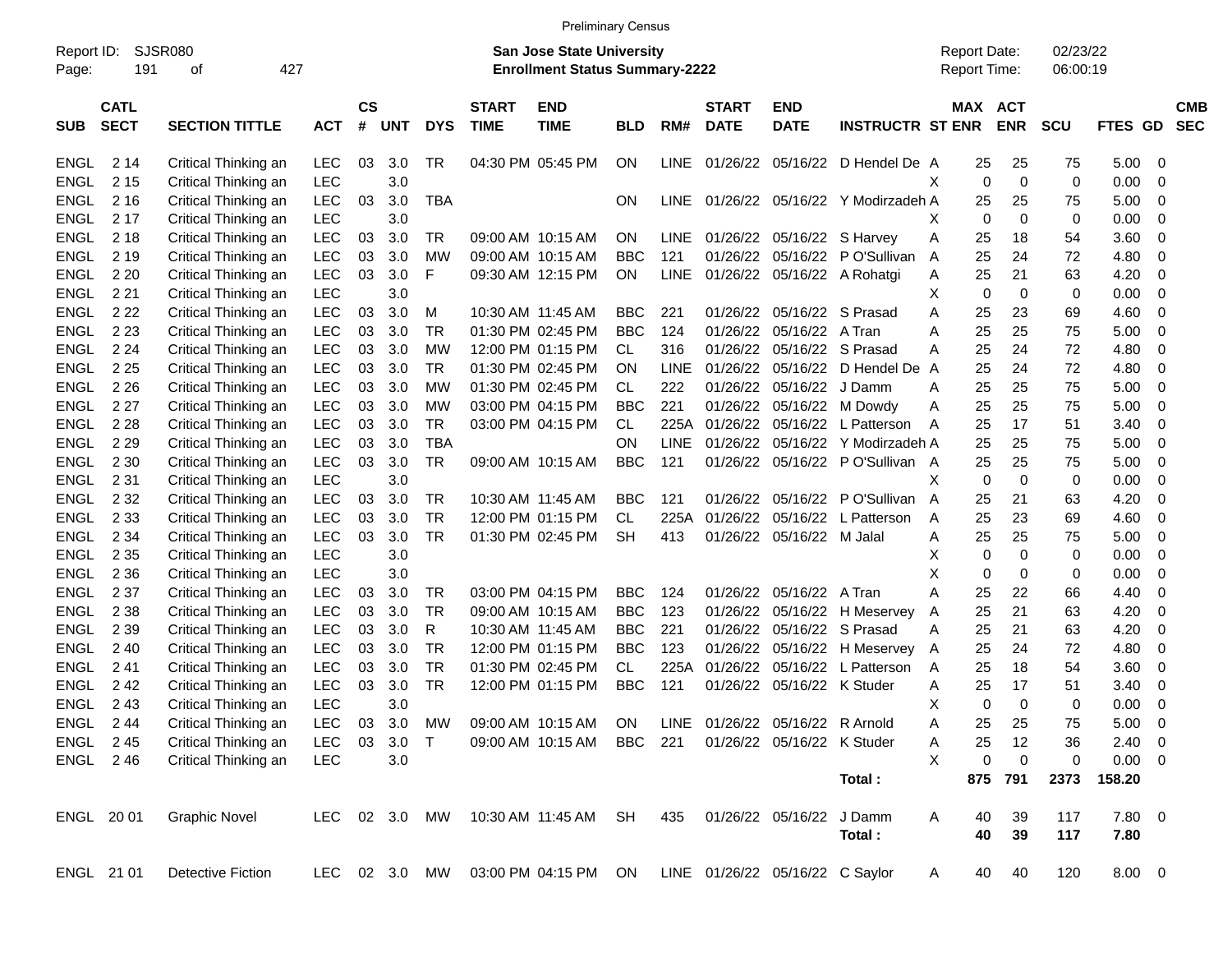|             |             |                          |               |               |            |               |              |                                       | <b>Preliminary Census</b> |             |              |                                 |                                  |                     |             |            |                |     |            |
|-------------|-------------|--------------------------|---------------|---------------|------------|---------------|--------------|---------------------------------------|---------------------------|-------------|--------------|---------------------------------|----------------------------------|---------------------|-------------|------------|----------------|-----|------------|
| Report ID:  |             | SJSR080                  |               |               |            |               |              | <b>San Jose State University</b>      |                           |             |              |                                 |                                  | <b>Report Date:</b> |             | 02/23/22   |                |     |            |
| Page:       | 191         | 427<br>оf                |               |               |            |               |              | <b>Enrollment Status Summary-2222</b> |                           |             |              |                                 |                                  | Report Time:        |             | 06:00:19   |                |     |            |
|             | <b>CATL</b> |                          |               | $\mathsf{cs}$ |            |               | <b>START</b> | <b>END</b>                            |                           |             | <b>START</b> | <b>END</b>                      |                                  |                     | MAX ACT     |            |                |     | <b>CMB</b> |
| <b>SUB</b>  | <b>SECT</b> | <b>SECTION TITTLE</b>    | <b>ACT</b>    | #             | <b>UNT</b> | <b>DYS</b>    | <b>TIME</b>  | <b>TIME</b>                           | <b>BLD</b>                | RM#         | <b>DATE</b>  | <b>DATE</b>                     | <b>INSTRUCTR ST ENR</b>          |                     | <b>ENR</b>  | <b>SCU</b> | FTES GD        |     | <b>SEC</b> |
| ENGL        | 2 14        | Critical Thinking an     | LEC           | 03            | 3.0        | TR            |              | 04:30 PM 05:45 PM                     | ON                        | LINE        |              |                                 | 01/26/22 05/16/22 D Hendel De A  | 25                  | 25          | 75         | 5.00           | - 0 |            |
| ENGL        | 2 1 5       | Critical Thinking an     | <b>LEC</b>    |               | 3.0        |               |              |                                       |                           |             |              |                                 |                                  | $\mathbf 0$<br>х    | $\mathbf 0$ | 0          | 0.00           | - 0 |            |
| <b>ENGL</b> | 2 1 6       | Critical Thinking an     | LEC           | 03            | 3.0        | <b>TBA</b>    |              |                                       | ON                        | <b>LINE</b> |              |                                 | 01/26/22 05/16/22 Y Modirzadeh A | 25                  | 25          | 75         | 5.00           | - 0 |            |
| ENGL        | 2 1 7       | Critical Thinking an     | <b>LEC</b>    |               | 3.0        |               |              |                                       |                           |             |              |                                 |                                  | $\mathbf 0$<br>х    | $\mathbf 0$ | 0          | 0.00           | - 0 |            |
| ENGL        | 2 1 8       | Critical Thinking an     | <b>LEC</b>    | 03            | 3.0        | TR            |              | 09:00 AM 10:15 AM                     | ΟN                        | <b>LINE</b> |              | 01/26/22 05/16/22 S Harvey      |                                  | Α<br>25             | 18          | 54         | 3.60           | - 0 |            |
| ENGL        | 2 1 9       | Critical Thinking an     | LEC           | 03            | 3.0        | МW            |              | 09:00 AM 10:15 AM                     | BBC                       | 121         |              |                                 | 01/26/22 05/16/22 P O'Sullivan   | 25<br>A             | 24          | 72         | 4.80           | 0   |            |
| ENGL        | 2 2 0       | Critical Thinking an     | <b>LEC</b>    | 03            | 3.0        | F             |              | 09:30 AM 12:15 PM                     | ON                        | <b>LINE</b> |              |                                 | 01/26/22 05/16/22 A Rohatgi      | 25<br>Α             | 21          | 63         | 4.20           | 0   |            |
| ENGL        | 2 2 1       | Critical Thinking an     | <b>LEC</b>    |               | 3.0        |               |              |                                       |                           |             |              |                                 |                                  | $\mathbf 0$<br>х    | 0           | 0          | 0.00           | - 0 |            |
| ENGL        | 2 2 2       |                          | <b>LEC</b>    | 03            | 3.0        | M             |              | 10:30 AM 11:45 AM                     | <b>BBC</b>                | 221         |              | 01/26/22 05/16/22 S Prasad      |                                  | Α<br>25             | 23          |            | 4.60           | - 0 |            |
|             |             | Critical Thinking an     |               |               |            |               |              |                                       |                           |             |              |                                 |                                  |                     |             | 69         |                |     |            |
| ENGL        | 2 2 3       | Critical Thinking an     | <b>LEC</b>    | 03            | 3.0        | TR            |              | 01:30 PM 02:45 PM                     | <b>BBC</b>                | 124         | 01/26/22     | 05/16/22 A Tran                 |                                  | 25<br>Α             | 25          | 75         | 5.00           | - 0 |            |
| ENGL        | 2 2 4       | Critical Thinking an     | <b>LEC</b>    | 03            | 3.0        | МW            |              | 12:00 PM 01:15 PM                     | CL                        | 316         |              | 01/26/22 05/16/22 S Prasad      |                                  | 25<br>Α             | 24          | 72         | 4.80           | 0   |            |
| ENGL        | 2 2 5       | Critical Thinking an     | <b>LEC</b>    | 03            | 3.0        | TR            |              | 01:30 PM 02:45 PM                     | OΝ                        | <b>LINE</b> |              |                                 | 01/26/22 05/16/22 D Hendel De    | 25<br>A             | 24          | 72         | 4.80           | 0   |            |
| ENGL        | 2 2 6       | Critical Thinking an     | <b>LEC</b>    | 03            | 3.0        | МW            |              | 01:30 PM 02:45 PM                     | CL                        | 222         |              | 01/26/22 05/16/22 J Damm        |                                  | 25<br>Α             | 25          | 75         | 5.00           | - 0 |            |
| ENGL        | 2 2 7       | Critical Thinking an     | <b>LEC</b>    | 03            | 3.0        | МW            |              | 03:00 PM 04:15 PM                     | <b>BBC</b>                | 221         |              |                                 | 01/26/22 05/16/22 M Dowdy        | 25<br>Α             | 25          | 75         | 5.00           | - 0 |            |
| ENGL        | 2 2 8       | Critical Thinking an     | <b>LEC</b>    | 03            | 3.0        | TR            |              | 03:00 PM 04:15 PM                     | CL                        | 225A        |              |                                 | 01/26/22 05/16/22 L Patterson    | 25<br>A             | 17          | 51         | 3.40           | 0   |            |
| ENGL        | 2 2 9       | Critical Thinking an     | <b>LEC</b>    | 03            | 3.0        | <b>TBA</b>    |              |                                       | OΝ                        | LINE        | 01/26/22     |                                 | 05/16/22 Y Modirzadeh A          | 25                  | 25          | 75         | 5.00           | - 0 |            |
| ENGL        | 2 3 0       | Critical Thinking an     | <b>LEC</b>    | 03            | 3.0        | <b>TR</b>     |              | 09:00 AM 10:15 AM                     | <b>BBC</b>                | 121         |              |                                 | 01/26/22 05/16/22 PO'Sullivan A  | 25                  | 25          | 75         | 5.00           | - 0 |            |
| ENGL        | 2 3 1       | Critical Thinking an     | <b>LEC</b>    |               | 3.0        |               |              |                                       |                           |             |              |                                 |                                  | Χ<br>0              | 0           | 0          | 0.00           | - 0 |            |
| ENGL        | 2 3 2       | Critical Thinking an     | <b>LEC</b>    | 03            | 3.0        | TR            |              | 10:30 AM 11:45 AM                     | BBC                       | 121         |              |                                 | 01/26/22 05/16/22 PO'Sullivan    | A<br>25             | 21          | 63         | 4.20           | 0   |            |
| ENGL        | 2 3 3       | Critical Thinking an     | <b>LEC</b>    | 03            | 3.0        | <b>TR</b>     |              | 12:00 PM 01:15 PM                     | <b>CL</b>                 | 225A        | 01/26/22     |                                 | 05/16/22 L Patterson             | 25<br>A             | 23          | 69         | 4.60           | - 0 |            |
| ENGL        | 2 3 4       | Critical Thinking an     | <b>LEC</b>    | 03            | 3.0        | <b>TR</b>     |              | 01:30 PM 02:45 PM                     | <b>SH</b>                 | 413         |              | 01/26/22 05/16/22 M Jalal       |                                  | 25<br>Α             | 25          | 75         | 5.00           | - 0 |            |
| ENGL        | 2 3 5       | Critical Thinking an     | <b>LEC</b>    |               | 3.0        |               |              |                                       |                           |             |              |                                 |                                  | 0<br>х              | 0           | 0          | 0.00           | - 0 |            |
| <b>ENGL</b> | 2 3 6       | Critical Thinking an     | <b>LEC</b>    |               | 3.0        |               |              |                                       |                           |             |              |                                 |                                  | X<br>0              | 0           | 0          | 0.00           | 0   |            |
| ENGL        | 2 3 7       | Critical Thinking an     | <b>LEC</b>    | 03            | 3.0        | TR            |              | 03:00 PM 04:15 PM                     | <b>BBC</b>                | 124         |              | 01/26/22 05/16/22 A Tran        |                                  | 25<br>Α             | 22          | 66         | 4.40           | 0   |            |
| ENGL        | 2 3 8       | Critical Thinking an     | <b>LEC</b>    | 03            | 3.0        | TR            |              | 09:00 AM 10:15 AM                     | <b>BBC</b>                | 123         | 01/26/22     |                                 | 05/16/22 H Meservey              | 25<br>A             | 21          | 63         | 4.20           | 0   |            |
| ENGL        | 2 3 9       | Critical Thinking an     | <b>LEC</b>    | 03            | 3.0        | R             |              | 10:30 AM 11:45 AM                     | <b>BBC</b>                | 221         |              | 01/26/22 05/16/22 S Prasad      |                                  | 25<br>A             | 21          | 63         | 4.20           | 0   |            |
| ENGL        | 240         | Critical Thinking an     | <b>LEC</b>    | 03            | 3.0        | <b>TR</b>     |              | 12:00 PM 01:15 PM                     | <b>BBC</b>                | 123         |              |                                 | 01/26/22 05/16/22 H Meservey     | 25<br>$\mathsf{A}$  | 24          | 72         | 4.80           | 0   |            |
| ENGL        | 241         | Critical Thinking an     | <b>LEC</b>    | 03            | 3.0        | <b>TR</b>     |              | 01:30 PM 02:45 PM                     | CL                        | 225A        | 01/26/22     |                                 | 05/16/22 L Patterson             | 25<br>Α             | 18          | 54         | 3.60           | - 0 |            |
| <b>ENGL</b> | 242         | Critical Thinking an     | <b>LEC</b>    | 03            | 3.0        | <b>TR</b>     |              | 12:00 PM 01:15 PM                     | <b>BBC</b>                | 121         |              | 01/26/22 05/16/22 K Studer      |                                  | 25<br>Α             | 17          | 51         | 3.40           | - 0 |            |
| ENGL        | 243         | Critical Thinking an     | LEC           |               | 3.0        |               |              |                                       |                           |             |              |                                 |                                  | х<br>0              | 0           | 0          | 0.00           | - 0 |            |
|             | ENGL 244    | Critical Thinking an     | LEC           |               |            | 03 3.0 MW     |              | 09:00 AM 10:15 AM                     | ON                        |             |              | LINE 01/26/22 05/16/22 R Arnold |                                  | 25<br>A             | 25          | 75         | $5.00 \t 0$    |     |            |
|             | ENGL 245    | Critical Thinking an     | <b>LEC</b>    | 03            | 3.0        | $\top$        |              | 09:00 AM 10:15 AM                     | BBC 221                   |             |              | 01/26/22 05/16/22 K Studer      |                                  | 25<br>Α             | 12          | 36         | $2.40 \quad 0$ |     |            |
|             | ENGL 246    | Critical Thinking an     | <b>LEC</b>    |               | 3.0        |               |              |                                       |                           |             |              |                                 |                                  | X<br>0              | $\mathbf 0$ | 0          | $0.00 \t 0$    |     |            |
|             |             |                          |               |               |            |               |              |                                       |                           |             |              |                                 | Total:                           | 875                 | 791         | 2373       | 158.20         |     |            |
|             | ENGL 2001   | <b>Graphic Novel</b>     | LEC 02 3.0 MW |               |            |               |              | 10:30 AM 11:45 AM SH                  |                           | 435         |              | 01/26/22 05/16/22 J Damm        |                                  | 40<br>Α             | 39          | 117        | 7.80 0         |     |            |
|             |             |                          |               |               |            |               |              |                                       |                           |             |              |                                 | Total:                           | 40                  | 39          | 117        | 7.80           |     |            |
|             | ENGL 21 01  | <b>Detective Fiction</b> |               |               |            | LEC 02 3.0 MW |              | 03:00 PM 04:15 PM ON                  |                           |             |              | LINE 01/26/22 05/16/22 C Saylor |                                  | 40<br>A             | 40          | 120        | $8.00 \t 0$    |     |            |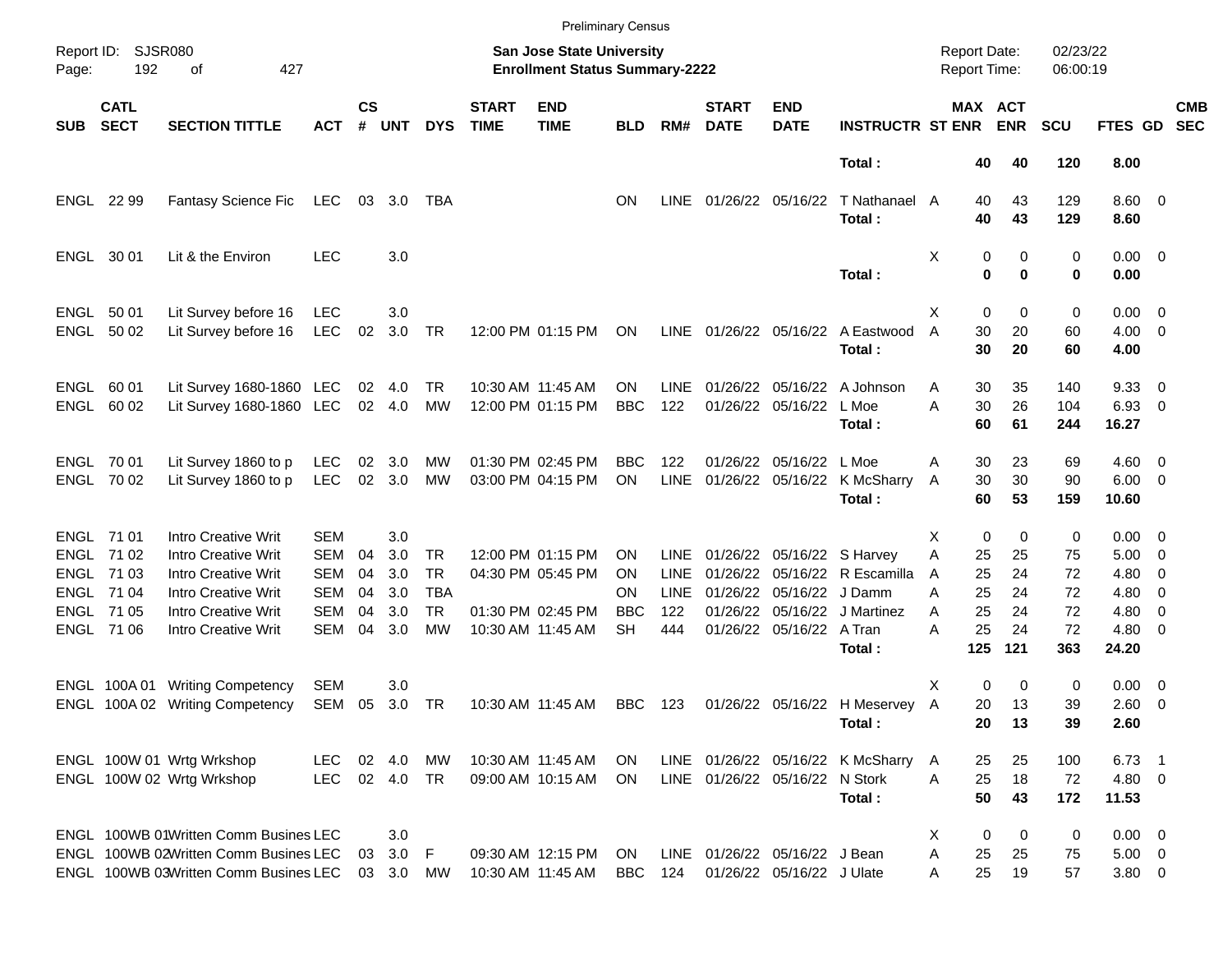|            |                                        |                                                                                                                         |                                        |                    |                         |                         |                             |                                                                    | <b>Preliminary Census</b> |                                   |                                |                                     |                                             |                                            |                                |                      |                                      |                          |                          |
|------------|----------------------------------------|-------------------------------------------------------------------------------------------------------------------------|----------------------------------------|--------------------|-------------------------|-------------------------|-----------------------------|--------------------------------------------------------------------|---------------------------|-----------------------------------|--------------------------------|-------------------------------------|---------------------------------------------|--------------------------------------------|--------------------------------|----------------------|--------------------------------------|--------------------------|--------------------------|
| Page:      | Report ID: SJSR080<br>192              | 427<br>οf                                                                                                               |                                        |                    |                         |                         |                             | San Jose State University<br><b>Enrollment Status Summary-2222</b> |                           |                                   |                                |                                     |                                             | <b>Report Date:</b><br><b>Report Time:</b> |                                | 02/23/22<br>06:00:19 |                                      |                          |                          |
| <b>SUB</b> | <b>CATL</b><br><b>SECT</b>             | <b>SECTION TITTLE</b>                                                                                                   | <b>ACT</b>                             | $\mathsf{cs}$<br># | <b>UNT</b>              | <b>DYS</b>              | <b>START</b><br><b>TIME</b> | <b>END</b><br><b>TIME</b>                                          | <b>BLD</b>                | RM#                               | <b>START</b><br><b>DATE</b>    | <b>END</b><br><b>DATE</b>           | <b>INSTRUCTR ST ENR</b>                     |                                            | <b>MAX ACT</b><br><b>ENR</b>   | <b>SCU</b>           | <b>FTES GD</b>                       |                          | <b>CMB</b><br><b>SEC</b> |
|            |                                        |                                                                                                                         |                                        |                    |                         |                         |                             |                                                                    |                           |                                   |                                |                                     | Total:                                      |                                            | 40<br>40                       | 120                  | 8.00                                 |                          |                          |
|            | ENGL 22 99                             | Fantasy Science Fic                                                                                                     | LEC                                    |                    | 03 3.0                  | TBA                     |                             |                                                                    | <b>ON</b>                 | <b>LINE</b>                       |                                | 01/26/22 05/16/22                   | T Nathanael A<br>Total:                     | 40<br>40                                   | 43<br>43                       | 129<br>129           | $8.60 \quad 0$<br>8.60               |                          |                          |
|            | ENGL 30 01                             | Lit & the Environ                                                                                                       | <b>LEC</b>                             |                    | 3.0                     |                         |                             |                                                                    |                           |                                   |                                |                                     | Total:                                      | X                                          | 0<br>0<br>$\bf{0}$<br>$\bf{0}$ | 0<br>0               | $0.00 \t 0$<br>0.00                  |                          |                          |
|            | ENGL 50 01<br>ENGL 50 02               | Lit Survey before 16<br>Lit Survey before 16                                                                            | <b>LEC</b><br><b>LEC</b>               | 02                 | 3.0<br>3.0              | TR                      |                             | 12:00 PM 01:15 PM                                                  | ON                        |                                   | LINE 01/26/22 05/16/22         |                                     | A Eastwood<br>Total:                        | X<br>30<br>A<br>30                         | 0<br>0<br>20<br>20             | 0<br>60<br>60        | $0.00 \t 0$<br>$4.00 \ 0$<br>4.00    |                          |                          |
|            | ENGL 60 01<br>ENGL 60 02               | Lit Survey 1680-1860 LEC<br>Lit Survey 1680-1860 LEC                                                                    |                                        |                    | 02 4.0<br>02 4.0        | TR<br>МW                |                             | 10:30 AM 11:45 AM<br>12:00 PM 01:15 PM                             | OΝ<br><b>BBC</b>          | LINE<br>122                       | 01/26/22                       | 01/26/22 05/16/22                   | 05/16/22 A Johnson<br>L Moe<br>Total:       | 30<br>Α<br>A<br>30<br>60                   | 35<br>26<br>61                 | 140<br>104<br>244    | 9.3300<br>6.93 0<br>16.27            |                          |                          |
|            | ENGL 70 01<br>ENGL 70 02               | Lit Survey 1860 to p<br>Lit Survey 1860 to p                                                                            | <b>LEC</b><br><b>LEC</b>               | 02<br>02           | 3.0<br>3.0              | MW<br>MW                |                             | 01:30 PM 02:45 PM<br>03:00 PM 04:15 PM                             | <b>BBC</b><br>ON          | 122<br><b>LINE</b>                | 01/26/22                       | 05/16/22 L Moe<br>01/26/22 05/16/22 | K McSharry<br>Total:                        | 30<br>A<br>30<br>A<br>60                   | 23<br>30<br>53                 | 69<br>90<br>159      | $4.60$ 0<br>$6.00 \t 0$<br>10.60     |                          |                          |
|            | ENGL 71 01<br>ENGL 71 02               | <b>Intro Creative Writ</b><br><b>Intro Creative Writ</b>                                                                | SEM<br><b>SEM</b>                      | 04                 | 3.0<br>3.0              | <b>TR</b>               |                             | 12:00 PM 01:15 PM                                                  | <b>ON</b>                 | <b>LINE</b>                       |                                | 01/26/22 05/16/22 S Harvey          |                                             | х<br>Α<br>25                               | 0<br>0<br>25                   | 0<br>75              | $0.00 \t 0$<br>$5.00 \t 0$           |                          |                          |
|            | ENGL 71 03<br>ENGL 71 04<br>ENGL 71 05 | <b>Intro Creative Writ</b><br><b>Intro Creative Writ</b><br><b>Intro Creative Writ</b>                                  | <b>SEM</b><br><b>SEM</b><br><b>SEM</b> | 04<br>04<br>04     | 3.0<br>3.0<br>3.0       | <b>TR</b><br>TBA<br>TR. |                             | 04:30 PM 05:45 PM<br>01:30 PM 02:45 PM                             | <b>ON</b><br>ΟN<br>BBC    | <b>LINE</b><br><b>LINE</b><br>122 | 01/26/22<br>01/26/22           | 01/26/22 05/16/22 J Damm            | 05/16/22 R Escamilla<br>05/16/22 J Martinez | 25<br>A<br>25<br>A<br>25<br>A              | 24<br>24<br>24                 | 72<br>72<br>72       | 4.80<br>$4.80\ 0$<br>$4.80\ 0$       | $\overline{\phantom{0}}$ |                          |
|            | ENGL 71 06                             | <b>Intro Creative Writ</b>                                                                                              | <b>SEM</b>                             | 04                 | 3.0                     | <b>MW</b>               |                             | 10:30 AM 11:45 AM                                                  | <b>SH</b>                 | 444                               |                                | 01/26/22 05/16/22 A Tran            | Total:                                      | 25<br>Α<br>125                             | 24<br>121                      | 72<br>363            | $4.80$ 0<br>24.20                    |                          |                          |
|            |                                        | ENGL 100A 01 Writing Competency<br>ENGL 100A 02 Writing Competency                                                      | <b>SEM</b><br>SEM                      | 05                 | 3.0<br>3.0 TR           |                         |                             | 10:30 AM 11:45 AM                                                  | BBC 123                   |                                   |                                |                                     | 01/26/22 05/16/22 H Meservey A<br>Total:    | X<br>20                                    | 0<br>0<br>13<br>20<br>13       | 0<br>39<br>39        | $0.00 \t 0$<br>2.60 0<br>2.60        |                          |                          |
|            |                                        | ENGL 100W 01 Wrtg Wrkshop<br>ENGL 100W 02 Wrtg Wrkshop                                                                  | <b>LEC</b><br><b>LEC</b>               |                    | 02 4.0<br>02 4.0 TR     | МW                      |                             | 10:30 AM 11:45 AM<br>09:00 AM 10:15 AM                             | ON.<br>ON.                |                                   | LINE 01/26/22 05/16/22 N Stork |                                     | LINE 01/26/22 05/16/22 K McSharry<br>Total: | 25<br>A<br>25<br>A<br>50                   | 25<br>18<br>43                 | 100<br>72<br>172     | $6.73$ 1<br>$4.80$ 0<br>11.53        |                          |                          |
|            |                                        | ENGL 100WB 01Written Comm Busines LEC<br>ENGL 100WB 02Written Comm Busines LEC<br>ENGL 100WB 03Written Comm Busines LEC |                                        | 03                 | 3.0<br>3.0<br>03 3.0 MW | - F                     |                             | 09:30 AM 12:15 PM<br>10:30 AM 11:45 AM                             | ON<br>BBC                 | LINE<br>124                       | 01/26/22 05/16/22 J Bean       | 01/26/22 05/16/22 J Ulate           |                                             | X<br>Α<br>25<br>25<br>Α                    | 0<br>0<br>25<br>19             | 0<br>75<br>57        | $0.00 \t 0$<br>$5.00 \t 0$<br>3.80 0 |                          |                          |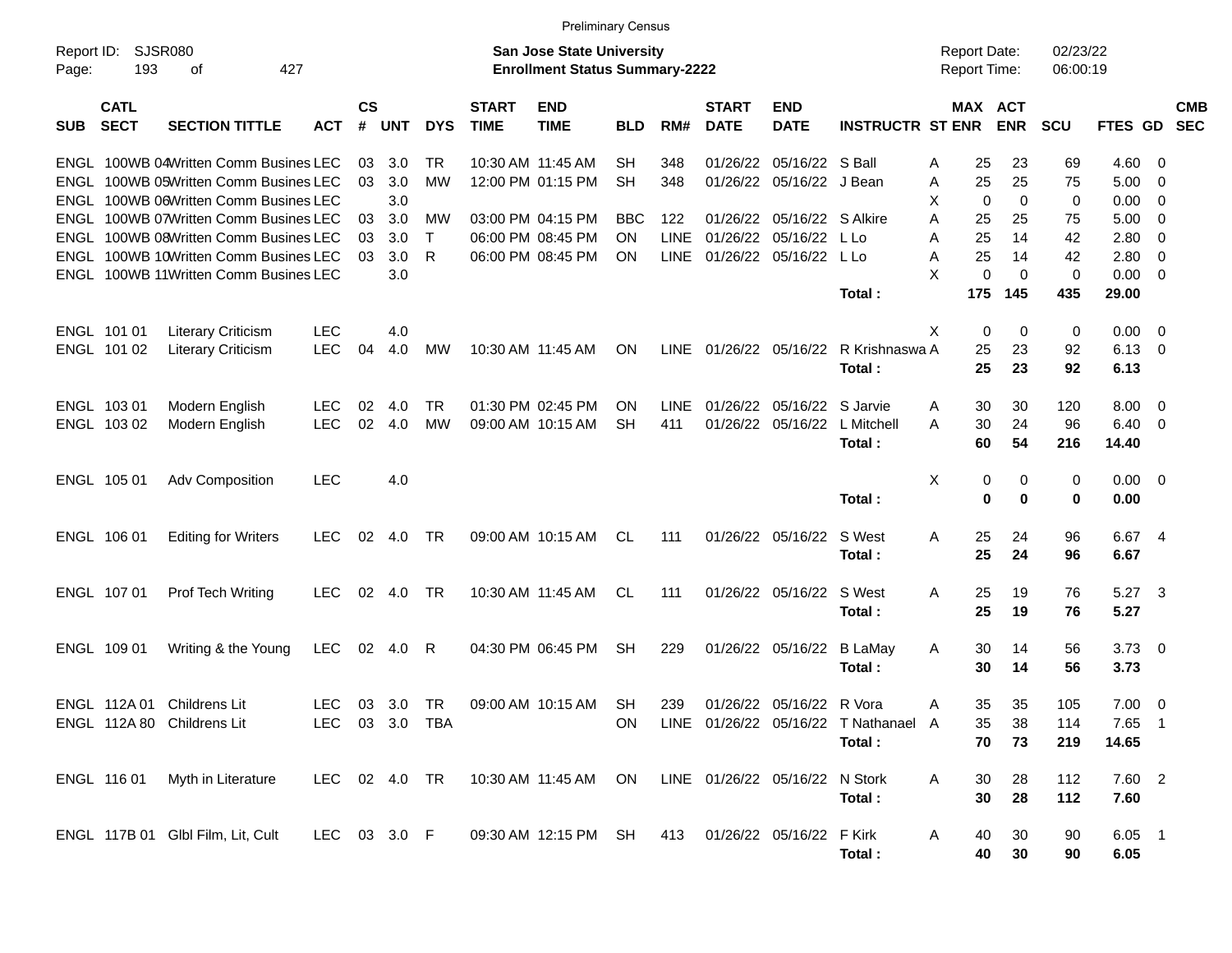|                     |                            |                                       |                |                    |            |            |                             | <b>Preliminary Census</b>                                                 |            |             |                             |                                |                                      |   |                                     |             |                      |          |                          |                          |
|---------------------|----------------------------|---------------------------------------|----------------|--------------------|------------|------------|-----------------------------|---------------------------------------------------------------------------|------------|-------------|-----------------------------|--------------------------------|--------------------------------------|---|-------------------------------------|-------------|----------------------|----------|--------------------------|--------------------------|
| Report ID:<br>Page: | 193                        | SJSR080<br>427<br>οf                  |                |                    |            |            |                             | <b>San Jose State University</b><br><b>Enrollment Status Summary-2222</b> |            |             |                             |                                |                                      |   | <b>Report Date:</b><br>Report Time: |             | 02/23/22<br>06:00:19 |          |                          |                          |
| <b>SUB</b>          | <b>CATL</b><br><b>SECT</b> | <b>SECTION TITTLE</b>                 | <b>ACT</b>     | $\mathsf{cs}$<br># | <b>UNT</b> | <b>DYS</b> | <b>START</b><br><b>TIME</b> | <b>END</b><br><b>TIME</b>                                                 | <b>BLD</b> | RM#         | <b>START</b><br><b>DATE</b> | <b>END</b><br><b>DATE</b>      | <b>INSTRUCTR ST ENR</b>              |   | MAX ACT                             | <b>ENR</b>  | <b>SCU</b>           | FTES GD  |                          | <b>CMB</b><br><b>SEC</b> |
|                     |                            | ENGL 100WB 04Written Comm Busines LEC |                | 03                 | 3.0        | TR         |                             | 10:30 AM 11:45 AM                                                         | <b>SH</b>  | 348         | 01/26/22                    | 05/16/22 S Ball                |                                      | A | 25                                  | 23          | 69                   | 4.60     | 0                        |                          |
| ENGL                |                            | 100WB 05Written Comm Busines LEC      |                | 03                 | 3.0        | <b>MW</b>  |                             | 12:00 PM 01:15 PM                                                         | <b>SH</b>  | 348         | 01/26/22                    | 05/16/22                       | J Bean                               | Α | 25                                  | 25          | 75                   | 5.00     | 0                        |                          |
| ENGL                |                            | 100WB 06Written Comm Busines LEC      |                |                    | 3.0        |            |                             |                                                                           |            |             |                             |                                |                                      | х | 0                                   | 0           | 0                    | 0.00     | 0                        |                          |
| ENGL                |                            | 100WB 07Written Comm Busines LEC      |                | 03                 | 3.0        | МW         |                             | 03:00 PM 04:15 PM                                                         | BBC        | 122         | 01/26/22                    | 05/16/22 S Alkire              |                                      | A | 25                                  | 25          | 75                   | 5.00     | 0                        |                          |
| <b>ENGL</b>         |                            | 100WB 08Written Comm Busines LEC      |                | 03                 | 3.0        | Т          |                             | 06:00 PM 08:45 PM                                                         | <b>ON</b>  | <b>LINE</b> | 01/26/22                    | 05/16/22                       | L Lo                                 | Α | 25                                  | 14          | 42                   | 2.80     | 0                        |                          |
| ENGL                |                            | 100WB 10Written Comm Busines LEC      |                | 03                 | 3.0        | R          |                             | 06:00 PM 08:45 PM                                                         | <b>ON</b>  | <b>LINE</b> | 01/26/22                    | 05/16/22                       | L Lo                                 | A | 25                                  | 14          | 42                   | 2.80     | 0                        |                          |
| ENGL                |                            | 100WB 11Written Comm Busines LEC      |                |                    | 3.0        |            |                             |                                                                           |            |             |                             |                                |                                      | X | 0                                   | 0           | 0                    | 0.00     | 0                        |                          |
|                     |                            |                                       |                |                    |            |            |                             |                                                                           |            |             |                             |                                | Total :                              |   | 175                                 | 145         | 435                  | 29.00    |                          |                          |
|                     | ENGL 101 01                | <b>Literary Criticism</b>             | <b>LEC</b>     |                    | 4.0        |            |                             |                                                                           |            |             |                             |                                |                                      | X | 0                                   | 0           | 0                    | 0.00     | - 0                      |                          |
|                     | ENGL 101 02                | <b>Literary Criticism</b>             | <b>LEC</b>     | 04                 | 4.0        | MW         | 10:30 AM 11:45 AM           |                                                                           | <b>ON</b>  | <b>LINE</b> | 01/26/22 05/16/22           |                                | R Krishnaswa A                       |   | 25                                  | 23          | 92                   | 6.13     | 0                        |                          |
|                     |                            |                                       |                |                    |            |            |                             |                                                                           |            |             |                             |                                | Total:                               |   | 25                                  | 23          | 92                   | 6.13     |                          |                          |
|                     | ENGL 103 01                | Modern English                        | <b>LEC</b>     | 02                 | 4.0        | TR         |                             | 01:30 PM 02:45 PM                                                         | <b>ON</b>  | <b>LINE</b> | 01/26/22                    | 05/16/22                       | S Jarvie                             | A | 30                                  | 30          | 120                  | 8.00     | $\overline{0}$           |                          |
|                     | ENGL 103 02                | Modern English                        | <b>LEC</b>     | 02                 | 4.0        | <b>MW</b>  | 09:00 AM 10:15 AM           |                                                                           | <b>SH</b>  | 411         | 01/26/22                    | 05/16/22                       | L Mitchell                           | A | 30                                  | 24          | 96                   | 6.40     | 0                        |                          |
|                     |                            |                                       |                |                    |            |            |                             |                                                                           |            |             |                             |                                | Total:                               |   | 60                                  | 54          | 216                  | 14.40    |                          |                          |
|                     | ENGL 105 01                | Adv Composition                       | <b>LEC</b>     |                    | 4.0        |            |                             |                                                                           |            |             |                             |                                |                                      | X | 0                                   | 0           | 0                    | 0.00     | - 0                      |                          |
|                     |                            |                                       |                |                    |            |            |                             |                                                                           |            |             |                             |                                | Total:                               |   | 0                                   | $\mathbf 0$ | 0                    | 0.00     |                          |                          |
|                     | ENGL 106 01                | <b>Editing for Writers</b>            | <b>LEC</b>     | 02                 | 4.0        | TR         |                             | 09:00 AM 10:15 AM                                                         | CL         | 111         | 01/26/22 05/16/22           |                                | S West                               | A | 25                                  | 24          | 96                   | 6.67     | 4                        |                          |
|                     |                            |                                       |                |                    |            |            |                             |                                                                           |            |             |                             |                                | Total:                               |   | 25                                  | 24          | 96                   | 6.67     |                          |                          |
|                     | ENGL 107 01                | <b>Prof Tech Writing</b>              | <b>LEC</b>     | 02                 | 4.0        | TR         |                             | 10:30 AM 11:45 AM                                                         | CL.        | 111         | 01/26/22 05/16/22           |                                | S West                               | A | 25                                  | 19          | 76                   | 5.27     | -3                       |                          |
|                     |                            |                                       |                |                    |            |            |                             |                                                                           |            |             |                             |                                | Total:                               |   | 25                                  | 19          | 76                   | 5.27     |                          |                          |
|                     | ENGL 109 01                | Writing & the Young                   | LEC            | 02                 | 4.0        | R          |                             | 04:30 PM 06:45 PM                                                         | <b>SH</b>  | 229         | 01/26/22 05/16/22           |                                | B LaMay                              | A | 30                                  | 14          | 56                   | 3.73     | $\overline{\phantom{0}}$ |                          |
|                     |                            |                                       |                |                    |            |            |                             |                                                                           |            |             |                             |                                | Total:                               |   | 30                                  | 14          | 56                   | 3.73     |                          |                          |
|                     | ENGL 112A 01               | Childrens Lit                         | <b>LEC</b>     | 03                 | 3.0        | TR         |                             | 09:00 AM 10:15 AM                                                         | <b>SH</b>  | 239         |                             | 01/26/22 05/16/22 R Vora       |                                      | A | 35                                  | 35          | 105                  | 7.00     | $\overline{\mathbf{0}}$  |                          |
|                     |                            | ENGL 112A 80 Childrens Lit            | LEC 03 3.0 TBA |                    |            |            |                             |                                                                           | 0N         |             |                             |                                | LINE 01/26/22 05/16/22 T Nathanael A |   | 35                                  | 38          | 114                  | 7.65 1   |                          |                          |
|                     |                            |                                       |                |                    |            |            |                             |                                                                           |            |             |                             |                                | Total:                               |   | 70                                  | 73          | 219                  | 14.65    |                          |                          |
|                     | ENGL 116 01                | Myth in Literature                    | LEC 02 4.0 TR  |                    |            |            |                             | 10:30 AM 11:45 AM ON                                                      |            |             |                             | LINE 01/26/22 05/16/22 N Stork |                                      | A | 30                                  | 28          | 112                  | 7.60 2   |                          |                          |
|                     |                            |                                       |                |                    |            |            |                             |                                                                           |            |             |                             |                                | Total:                               |   | 30                                  | 28          | 112                  | 7.60     |                          |                          |
|                     |                            | ENGL 117B 01 Glbl Film, Lit, Cult     | LEC 03 3.0 F   |                    |            |            |                             | 09:30 AM 12:15 PM SH                                                      |            |             |                             | 413 01/26/22 05/16/22 F Kirk   |                                      | A | 40                                  | 30          | 90                   | $6.05$ 1 |                          |                          |
|                     |                            |                                       |                |                    |            |            |                             |                                                                           |            |             |                             |                                | Total:                               |   | 40                                  | 30          | 90                   | 6.05     |                          |                          |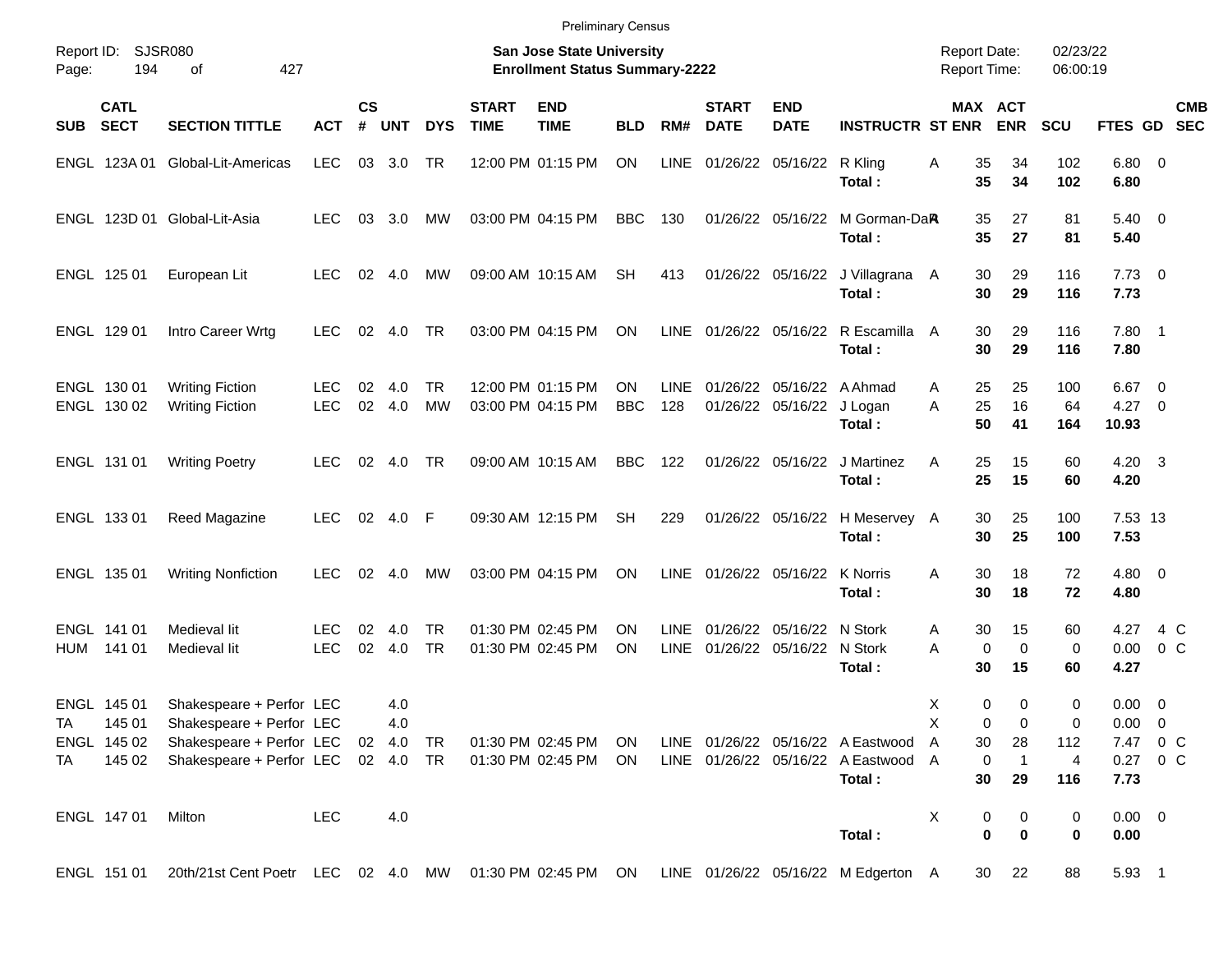|                                               |                            |                                                                                                                        |                          |                |                      |                        |                             | <b>Preliminary Census</b>                                                 |                  |                            |                             |                                                |                                                                          |                                            |                                        |                      |                                                    |                         |            |
|-----------------------------------------------|----------------------------|------------------------------------------------------------------------------------------------------------------------|--------------------------|----------------|----------------------|------------------------|-----------------------------|---------------------------------------------------------------------------|------------------|----------------------------|-----------------------------|------------------------------------------------|--------------------------------------------------------------------------|--------------------------------------------|----------------------------------------|----------------------|----------------------------------------------------|-------------------------|------------|
| Report ID:<br>Page:                           | SJSR080<br>194             | 427<br>οf                                                                                                              |                          |                |                      |                        |                             | <b>San Jose State University</b><br><b>Enrollment Status Summary-2222</b> |                  |                            |                             |                                                |                                                                          | <b>Report Date:</b><br><b>Report Time:</b> |                                        | 02/23/22<br>06:00:19 |                                                    |                         |            |
| <b>SUB</b>                                    | <b>CATL</b><br><b>SECT</b> | <b>SECTION TITTLE</b>                                                                                                  | <b>ACT</b>               | <b>CS</b><br># | <b>UNT</b>           | <b>DYS</b>             | <b>START</b><br><b>TIME</b> | <b>END</b><br><b>TIME</b>                                                 | <b>BLD</b>       | RM#                        | <b>START</b><br><b>DATE</b> | <b>END</b><br><b>DATE</b>                      | <b>INSTRUCTR ST ENR</b>                                                  | MAX ACT                                    | <b>ENR</b>                             | <b>SCU</b>           | FTES GD SEC                                        |                         | <b>CMB</b> |
|                                               |                            | ENGL 123A 01 Global-Lit-Americas                                                                                       | <b>LEC</b>               |                | 03 3.0               | <b>TR</b>              |                             | 12:00 PM 01:15 PM                                                         | ON               | LINE                       |                             | 01/26/22 05/16/22 R Kling                      | Total:                                                                   | Α<br>35<br>35                              | 34<br>34                               | 102<br>102           | $6.80$ 0<br>6.80                                   |                         |            |
|                                               |                            | ENGL 123D 01 Global-Lit-Asia                                                                                           | <b>LEC</b>               |                | 03 3.0               | МW                     |                             | 03:00 PM 04:15 PM                                                         | <b>BBC</b>       | 130                        |                             | 01/26/22 05/16/22                              | M Gorman-DaR<br>Total:                                                   | 35<br>35                                   | 27<br>27                               | 81<br>81             | $5.40 \ 0$<br>5.40                                 |                         |            |
| ENGL 125 01                                   |                            | European Lit                                                                                                           | <b>LEC</b>               |                | $02 \quad 4.0$       | МW                     |                             | 09:00 AM 10:15 AM                                                         | <b>SH</b>        | 413                        |                             | 01/26/22 05/16/22                              | J Villagrana A<br>Total:                                                 | 30<br>30                                   | 29<br>29                               | 116<br>116           | $7.73 \quad 0$<br>7.73                             |                         |            |
| ENGL 129 01                                   |                            | Intro Career Wrtg                                                                                                      | <b>LEC</b>               | 02             | 4.0                  | TR                     |                             | 03:00 PM 04:15 PM                                                         | ON               |                            |                             | LINE 01/26/22 05/16/22                         | R Escamilla A<br>Total:                                                  | 30<br>30                                   | 29<br>29                               | 116<br>116           | $7.80$ 1<br>7.80                                   |                         |            |
| ENGL 130 01<br>ENGL 130 02                    |                            | <b>Writing Fiction</b><br><b>Writing Fiction</b>                                                                       | <b>LEC</b><br><b>LEC</b> | 02<br>02       | 4.0<br>4.0           | <b>TR</b><br><b>MW</b> |                             | 12:00 PM 01:15 PM<br>03:00 PM 04:15 PM                                    | ON<br><b>BBC</b> | <b>LINE</b><br>128         |                             | 01/26/22 05/16/22 A Ahmad<br>01/26/22 05/16/22 | J Logan<br>Total:                                                        | 25<br>A<br>25<br>A<br>50                   | 25<br>16<br>41                         | 100<br>64<br>164     | 6.67<br>$4.27 \t 0$<br>10.93                       | $\overline{\mathbf{0}}$ |            |
| ENGL 131 01                                   |                            | <b>Writing Poetry</b>                                                                                                  | <b>LEC</b>               | 02             | 4.0                  | TR                     |                             | 09:00 AM 10:15 AM                                                         | <b>BBC</b>       | 122                        |                             | 01/26/22 05/16/22                              | J Martinez<br>Total:                                                     | 25<br>A<br>25                              | 15<br>15                               | 60<br>60             | $4.20 \quad 3$<br>4.20                             |                         |            |
| ENGL 133 01                                   |                            | Reed Magazine                                                                                                          | <b>LEC</b>               | 02             | 4.0                  | - F                    |                             | 09:30 AM 12:15 PM                                                         | <b>SH</b>        | 229                        |                             | 01/26/22 05/16/22                              | H Meservey A<br>Total:                                                   | 30<br>30                                   | 25<br>25                               | 100<br>100           | 7.53 13<br>7.53                                    |                         |            |
| ENGL 135 01                                   |                            | <b>Writing Nonfiction</b>                                                                                              | <b>LEC</b>               | 02             | 4.0                  | МW                     |                             | 03:00 PM 04:15 PM                                                         | <b>ON</b>        | <b>LINE</b>                | 01/26/22 05/16/22           |                                                | <b>K</b> Norris<br>Total:                                                | 30<br>A<br>30                              | 18<br>18                               | 72<br>72             | $4.80\ 0$<br>4.80                                  |                         |            |
| ENGL 141 01<br>HUM                            | 141 01                     | Medieval lit<br>Medieval lit                                                                                           | <b>LEC</b><br><b>LEC</b> | 02<br>02       | 4.0<br>4.0           | TR<br><b>TR</b>        |                             | 01:30 PM 02:45 PM<br>01:30 PM 02:45 PM                                    | ON<br>ON         | <b>LINE</b><br><b>LINE</b> |                             | 01/26/22 05/16/22<br>01/26/22 05/16/22         | N Stork<br>N Stork<br>Total:                                             | 30<br>A<br>A<br>0<br>30                    | 15<br>$\mathbf 0$<br>15                | 60<br>0<br>60        | 4.27<br>0.00<br>4.27                               | 4 C<br>0 <sup>o</sup>   |            |
| ENGL 145 01<br><b>TA</b><br>ENGL 145 02<br>TA | 145 01<br>145 02           | Shakespeare + Perfor LEC<br>Shakespeare + Perfor LEC<br>Shakespeare + Perfor LEC<br>Shakespeare + Perfor LEC 02 4.0 TR |                          |                | 4.0<br>4.0<br>02 4.0 | TR                     |                             | 01:30 PM 02:45 PM ON<br>01:30 PM 02:45 PM                                 | ON               |                            |                             |                                                | LINE 01/26/22 05/16/22 A Eastwood<br>LINE 01/26/22 05/16/22 A Eastwood A | Χ<br>0<br>Χ<br>0<br>30<br>A<br>0           | $\mathbf 0$<br>0<br>28<br>$\mathbf{1}$ | 0<br>0<br>112<br>4   | $0.00 \t 0$<br>$0.00 \t 0$<br>7.47 0 C<br>0.27 0 C |                         |            |
| ENGL 147 01                                   |                            | Milton                                                                                                                 | <b>LEC</b>               |                | 4.0                  |                        |                             |                                                                           |                  |                            |                             |                                                | Total:                                                                   | 30<br>X<br>0                               | 29<br>0                                | 116<br>0             | 7.73<br>$0.00 \t 0$                                |                         |            |
|                                               |                            |                                                                                                                        |                          |                |                      |                        |                             |                                                                           |                  |                            |                             |                                                | Total:                                                                   | 0                                          | $\mathbf 0$                            | 0                    | 0.00                                               |                         |            |
| ENGL 151 01                                   |                            | 20th/21st Cent Poetr LEC 02 4.0 MW 01:30 PM 02:45 PM ON LINE 01/26/22 05/16/22 M Edgerton A                            |                          |                |                      |                        |                             |                                                                           |                  |                            |                             |                                                |                                                                          | 30                                         | 22                                     | 88                   | 5.93 1                                             |                         |            |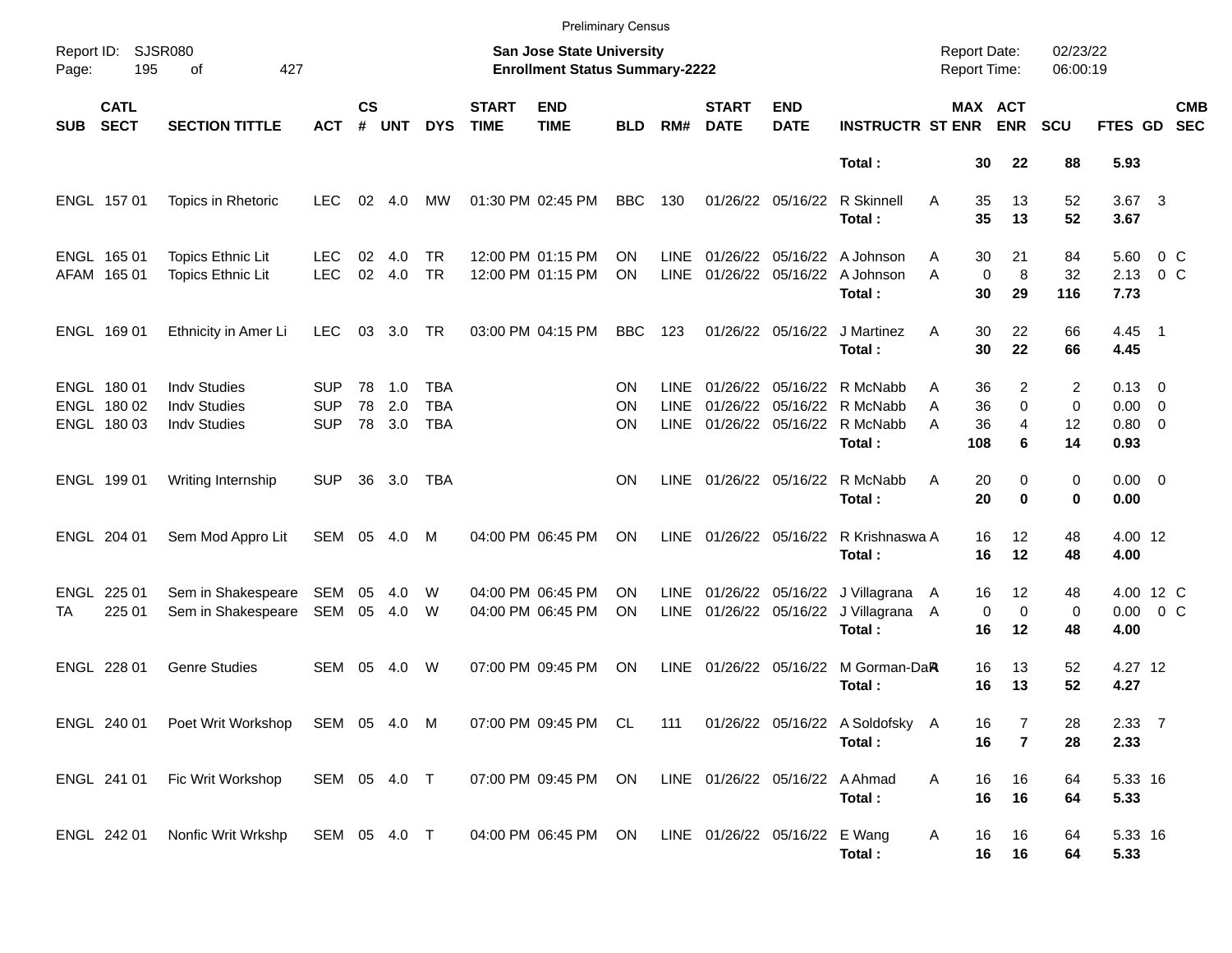|            |                                           |                                                                   |                                        |                    |                   |                                 |                             | <b>Preliminary Census</b>                                          |                        |                                    |                                |                           |                                                                       |                                     |                         |                                      |                      |                                                     |                   |                          |
|------------|-------------------------------------------|-------------------------------------------------------------------|----------------------------------------|--------------------|-------------------|---------------------------------|-----------------------------|--------------------------------------------------------------------|------------------------|------------------------------------|--------------------------------|---------------------------|-----------------------------------------------------------------------|-------------------------------------|-------------------------|--------------------------------------|----------------------|-----------------------------------------------------|-------------------|--------------------------|
| Page:      | Report ID: SJSR080<br>195                 | 427<br>of                                                         |                                        |                    |                   |                                 |                             | San Jose State University<br><b>Enrollment Status Summary-2222</b> |                        |                                    |                                |                           |                                                                       | <b>Report Date:</b><br>Report Time: |                         |                                      | 02/23/22<br>06:00:19 |                                                     |                   |                          |
| <b>SUB</b> | <b>CATL</b><br><b>SECT</b>                | <b>SECTION TITTLE</b>                                             | <b>ACT</b>                             | $\mathsf{cs}$<br># | <b>UNT</b>        | <b>DYS</b>                      | <b>START</b><br><b>TIME</b> | <b>END</b><br><b>TIME</b>                                          | <b>BLD</b>             | RM#                                | <b>START</b><br><b>DATE</b>    | <b>END</b><br><b>DATE</b> | <b>INSTRUCTR ST ENR</b>                                               |                                     |                         | MAX ACT<br><b>ENR</b>                | <b>SCU</b>           | FTES GD                                             |                   | <b>CMB</b><br><b>SEC</b> |
|            |                                           |                                                                   |                                        |                    |                   |                                 |                             |                                                                    |                        |                                    |                                |                           | Total:                                                                |                                     | 30                      | 22                                   | 88                   | 5.93                                                |                   |                          |
|            | ENGL 157 01                               | Topics in Rhetoric                                                | LEC.                                   | 02                 | 4.0               | МW                              |                             | 01:30 PM 02:45 PM                                                  | <b>BBC</b>             | 130                                |                                | 01/26/22 05/16/22         | R Skinnell<br>Total:                                                  | A                                   | 35<br>35                | 13<br>13                             | 52<br>52             | $3.67$ 3<br>3.67                                    |                   |                          |
|            | ENGL 165 01<br>AFAM 165 01                | <b>Topics Ethnic Lit</b><br><b>Topics Ethnic Lit</b>              | LEC.<br><b>LEC</b>                     | 02<br>02           | 4.0<br>4.0        | TR.<br><b>TR</b>                |                             | 12:00 PM 01:15 PM<br>12:00 PM 01:15 PM                             | <b>ON</b><br><b>ON</b> | LINE<br><b>LINE</b>                | 01/26/22<br>01/26/22 05/16/22  |                           | 05/16/22 A Johnson<br>A Johnson<br>Total:                             | Α<br>A                              | 30<br>$\mathbf 0$<br>30 | 21<br>8<br>29                        | 84<br>32<br>116      | 5.60<br>2.13<br>7.73                                | $0\,$ C<br>$0\,C$ |                          |
|            | ENGL 169 01                               | Ethnicity in Amer Li                                              | <b>LEC</b>                             | 03                 | 3.0               | TR                              |                             | 03:00 PM 04:15 PM                                                  | <b>BBC</b>             | 123                                |                                | 01/26/22 05/16/22         | J Martinez<br>Total:                                                  | A                                   | 30<br>30                | 22<br>22                             | 66<br>66             | $4.45$ 1<br>4.45                                    |                   |                          |
|            | ENGL 180 01<br>ENGL 180 02<br>ENGL 180 03 | <b>Indv Studies</b><br><b>Indv Studies</b><br><b>Indv Studies</b> | <b>SUP</b><br><b>SUP</b><br><b>SUP</b> | 78<br>78<br>78     | 1.0<br>2.0<br>3.0 | TBA<br><b>TBA</b><br><b>TBA</b> |                             |                                                                    | ΟN<br>ΟN<br>ΟN         | <b>LINE</b><br><b>LINE</b><br>LINE | 01/26/22                       | 01/26/22 05/16/22         | 05/16/22 R McNabb<br>01/26/22 05/16/22 R McNabb<br>R McNabb<br>Total: | Α<br>A<br>Α                         | 36<br>36<br>36<br>108   | 2<br>0<br>$\overline{4}$<br>6        | 2<br>0<br>12<br>14   | $0.13 \quad 0$<br>$0.00 \t 0$<br>$0.80 \ 0$<br>0.93 |                   |                          |
|            | ENGL 199 01                               | Writing Internship                                                | <b>SUP</b>                             | 36                 | 3.0               | TBA                             |                             |                                                                    | ΟN                     | LINE                               | 01/26/22 05/16/22              |                           | R McNabb<br>Total:                                                    | A                                   | 20<br>20                | 0<br>$\bf{0}$                        | 0<br>0               | $0.00 \t 0$<br>0.00                                 |                   |                          |
|            | ENGL 204 01                               | Sem Mod Appro Lit                                                 | SEM                                    | 05                 | 4.0               | М                               |                             | 04:00 PM 06:45 PM                                                  | ΟN                     | LINE                               | 01/26/22 05/16/22              |                           | R Krishnaswa A<br>Total:                                              |                                     | 16<br>16                | 12<br>12                             | 48<br>48             | 4.00 12<br>4.00                                     |                   |                          |
| TA         | ENGL 225 01<br>225 01                     | Sem in Shakespeare<br>Sem in Shakespeare                          | SEM<br>SEM                             | 05<br>05           | 4.0<br>4.0        | W<br>W                          |                             | 04:00 PM 06:45 PM<br>04:00 PM 06:45 PM                             | ON<br>ΟN               | LINE.<br>LINE                      |                                | 01/26/22 05/16/22         | 01/26/22 05/16/22 J Villagrana A<br>J Villagrana A<br>Total:          |                                     | 16<br>$\mathbf 0$<br>16 | 12 <sup>2</sup><br>$\mathbf 0$<br>12 | 48<br>0<br>48        | 4.00 12 C<br>$0.00 \t 0 C$<br>4.00                  |                   |                          |
|            | ENGL 228 01                               | <b>Genre Studies</b>                                              | SEM                                    | 05                 | 4.0               | W                               |                             | 07:00 PM 09:45 PM                                                  | ON                     | LINE                               | 01/26/22 05/16/22              |                           | M Gorman-DaR<br>Total:                                                |                                     | 16<br>16                | 13<br>13                             | 52<br>52             | 4.27 12<br>4.27                                     |                   |                          |
|            |                                           | ENGL 240 01  Poet Writ Workshop  SEM  05  4.0  M                  |                                        |                    |                   |                                 |                             |                                                                    |                        |                                    |                                |                           | 07:00 PM 09:45 PM CL 111 01/26/22 05/16/22 A Soldofsky A<br>Total:    |                                     | 16<br>16                | 7<br>$\overline{7}$                  | 28<br>28             | 2.33 7<br>2.33                                      |                   |                          |
|            | ENGL 241 01                               | Fic Writ Workshop                                                 | SEM 05 4.0 T                           |                    |                   |                                 |                             | 07:00 PM 09:45 PM ON                                               |                        |                                    | LINE 01/26/22 05/16/22 A Ahmad |                           | Total:                                                                | Α                                   | 16<br>16                | 16<br>16                             | 64<br>64             | 5.33 16<br>5.33                                     |                   |                          |
|            | ENGL 242 01                               | Nonfic Writ Wrkshp                                                | SEM 05 4.0 T                           |                    |                   |                                 |                             | 04:00 PM 06:45 PM ON                                               |                        |                                    | LINE 01/26/22 05/16/22 E Wang  |                           | Total:                                                                | A                                   | 16<br>16                | 16<br>16                             | 64<br>64             | 5.33 16<br>5.33                                     |                   |                          |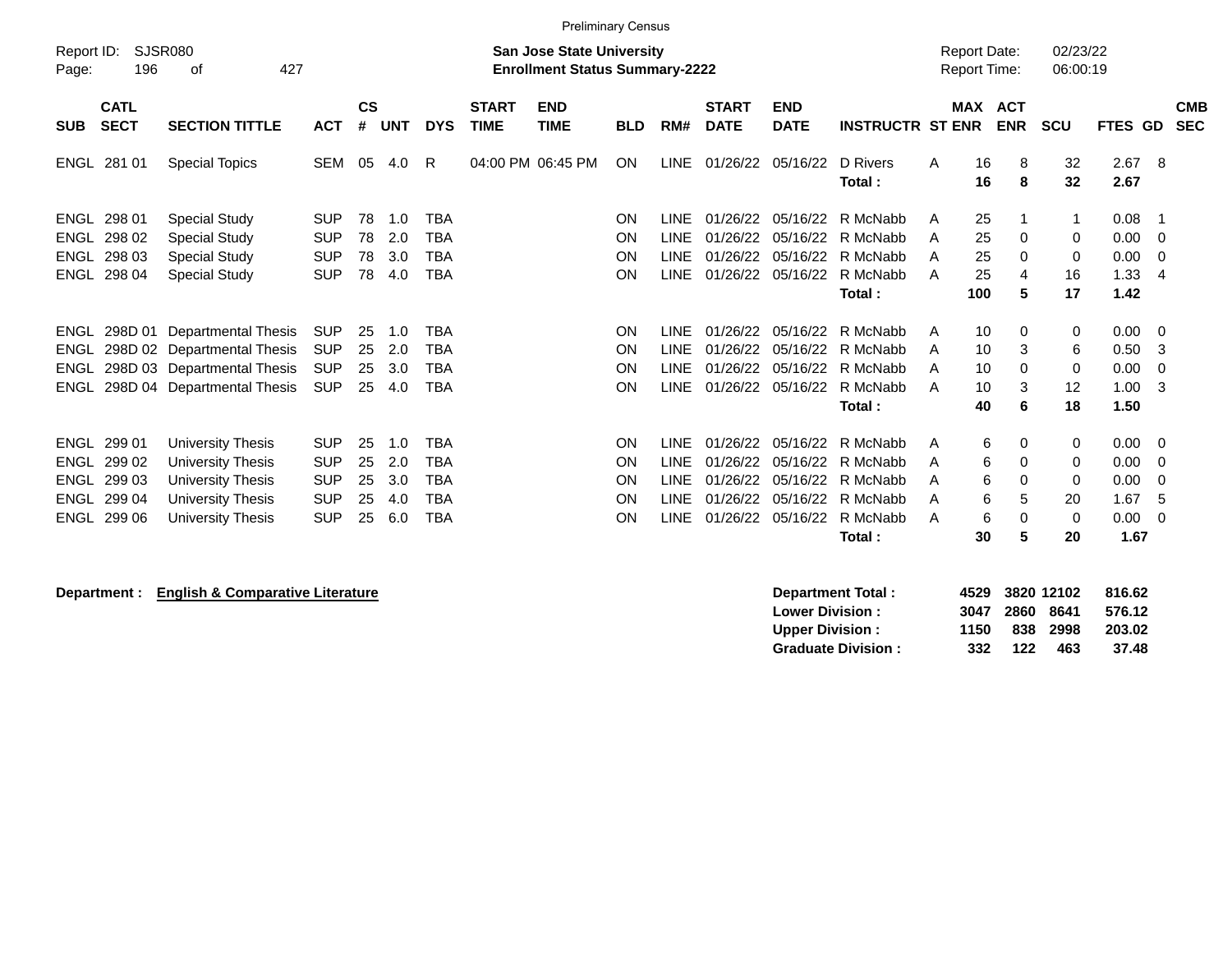|                     |                                             | <b>Preliminary Census</b>                    |                          |                    |            |                          |                             |                                       |            |                            |                             |                           |                         |        |                     |            |            |              |                |                          |
|---------------------|---------------------------------------------|----------------------------------------------|--------------------------|--------------------|------------|--------------------------|-----------------------------|---------------------------------------|------------|----------------------------|-----------------------------|---------------------------|-------------------------|--------|---------------------|------------|------------|--------------|----------------|--------------------------|
| Report ID:          | SJSR080<br><b>San Jose State University</b> |                                              |                          |                    |            |                          |                             |                                       |            |                            |                             |                           |                         |        | <b>Report Date:</b> |            | 02/23/22   |              |                |                          |
| Page:               | 196                                         | 427<br>οf                                    |                          |                    |            |                          |                             | <b>Enrollment Status Summary-2222</b> |            |                            |                             |                           |                         |        | <b>Report Time:</b> |            | 06:00:19   |              |                |                          |
| <b>SUB</b>          | <b>CATL</b><br><b>SECT</b>                  | <b>SECTION TITTLE</b>                        | <b>ACT</b>               | $\mathsf{cs}$<br># | <b>UNT</b> | <b>DYS</b>               | <b>START</b><br><b>TIME</b> | <b>END</b><br><b>TIME</b>             | <b>BLD</b> | RM#                        | <b>START</b><br><b>DATE</b> | <b>END</b><br><b>DATE</b> | <b>INSTRUCTR ST ENR</b> |        | <b>MAX ACT</b>      | <b>ENR</b> | <b>SCU</b> | FTES GD      |                | <b>CMB</b><br><b>SEC</b> |
|                     | ENGL 281 01                                 | <b>Special Topics</b>                        | <b>SEM</b>               | 05                 | 4.0        | R                        |                             | 04:00 PM 06:45 PM                     | <b>ON</b>  | LINE                       | 01/26/22                    | 05/16/22                  | D Rivers<br>Total:      | A      | 16<br>16            | 8<br>8     | 32<br>32   | 2.67<br>2.67 | - 8            |                          |
| ENGL<br><b>ENGL</b> | 298 01<br>298 02                            | <b>Special Study</b><br><b>Special Study</b> | <b>SUP</b><br><b>SUP</b> | 78<br>78           | 1.0<br>2.0 | <b>TBA</b><br><b>TBA</b> |                             |                                       | ON<br>ON   | <b>LINE</b><br><b>LINE</b> | 01/26/22<br>01/26/22        | 05/16/22<br>05/16/22      | R McNabb<br>R McNabb    | A<br>A | 25<br>25            | -1<br>0    | 1<br>0     | 0.08<br>0.00 | - 1<br>- 0     |                          |
| <b>ENGL</b>         | 298 03                                      | <b>Special Study</b>                         | <b>SUP</b>               | 78                 | 3.0        | <b>TBA</b>               |                             |                                       | ON         | <b>LINE</b>                | 01/26/22                    | 05/16/22                  | R McNabb                | A      | 25                  | 0          | 0          | 0.00         | - 0            |                          |
| <b>ENGL</b>         | 298 04                                      | <b>Special Study</b>                         | <b>SUP</b>               | 78                 | 4.0        | <b>TBA</b>               |                             |                                       | <b>ON</b>  | <b>LINE</b>                | 01/26/22                    | 05/16/22                  | R McNabb                | A      | 25                  | 4          | 16         | 1.33         | $\overline{4}$ |                          |
|                     |                                             |                                              |                          |                    |            |                          |                             |                                       |            |                            |                             |                           | Total:                  |        | 100                 | 5          | 17         | 1.42         |                |                          |
| ENGL                | 298D 01                                     | Departmental Thesis                          | <b>SUP</b>               | 25                 | 1.0        | TBA                      |                             |                                       | <b>ON</b>  | <b>LINE</b>                | 01/26/22                    | 05/16/22                  | R McNabb                | A      | 10                  | 0          | 0          | 0.00         | - 0            |                          |
| ENGL                |                                             | 298D 02 Departmental Thesis                  | <b>SUP</b>               | 25                 | 2.0        | <b>TBA</b>               |                             |                                       | ON         | <b>LINE</b>                | 01/26/22                    | 05/16/22                  | R McNabb                | A      | 10                  | 3          | 6          | 0.50         | -3             |                          |
| <b>ENGL</b>         |                                             | 298D 03 Departmental Thesis                  | <b>SUP</b>               | 25                 | 3.0        | TBA                      |                             |                                       | ON         | <b>LINE</b>                | 01/26/22                    | 05/16/22                  | R McNabb                | A      | 10                  | 0          | 0          | 0.00         | 0              |                          |
| ENGL                |                                             | 298D 04 Departmental Thesis                  | <b>SUP</b>               | 25                 | 4.0        | <b>TBA</b>               |                             |                                       | <b>ON</b>  | <b>LINE</b>                | 01/26/22                    | 05/16/22                  | R McNabb                | A      | 10                  | 3          | 12         | 1.00         | -3             |                          |
|                     |                                             |                                              |                          |                    |            |                          |                             |                                       |            |                            |                             |                           | Total:                  |        | 40                  | 6          | 18         | 1.50         |                |                          |
| ENGL                | 299 01                                      | University Thesis                            | <b>SUP</b>               | 25                 | 1.0        | <b>TBA</b>               |                             |                                       | <b>ON</b>  | <b>LINE</b>                | 01/26/22                    | 05/16/22                  | R McNabb                | A      | 6                   | 0          | 0          | 0.00         | - 0            |                          |
| <b>ENGL</b>         | 299 02                                      | University Thesis                            | <b>SUP</b>               | 25                 | 2.0        | <b>TBA</b>               |                             |                                       | ON         | <b>LINE</b>                | 01/26/22                    | 05/16/22                  | R McNabb                | A      | 6                   | $\Omega$   | 0          | 0.00         | - 0            |                          |
| <b>ENGL</b>         | 299 03                                      | <b>University Thesis</b>                     | <b>SUP</b>               | 25                 | 3.0        | <b>TBA</b>               |                             |                                       | ON         | <b>LINE</b>                | 01/26/22                    | 05/16/22                  | R McNabb                | A      | 6                   | 0          | 0          | 0.00         | -0             |                          |
| <b>ENGL</b>         | 299 04                                      | University Thesis                            | <b>SUP</b>               | 25                 | 4.0        | <b>TBA</b>               |                             |                                       | ON         | <b>LINE</b>                | 01/26/22                    | 05/16/22                  | R McNabb                | A      | 6                   | 5          | 20         | 1.67         | 5              |                          |
| ENGL                | 299 06                                      | <b>University Thesis</b>                     | <b>SUP</b>               | 25                 | 6.0        | <b>TBA</b>               |                             |                                       | ON         | <b>LINE</b>                | 01/26/22                    | 05/16/22                  | R McNabb                | A      | 6                   | $\Omega$   | 0          | 0.00         | - 0            |                          |
|                     |                                             |                                              |                          |                    |            |                          |                             |                                       |            |                            |                             |                           | Total:                  |        | 30                  | 5          | 20         | 1.67         |                |                          |

| Department : | <b>English &amp; Comparative Literature</b> | 4529<br>Department Total:        |      | 3820 12102 | 816.62 |
|--------------|---------------------------------------------|----------------------------------|------|------------|--------|
|              | <b>Lower Division:</b>                      | 3047                             | 2860 | 8641       | 576.12 |
|              | <b>Upper Division:</b>                      | 1150                             | 838  | 2998       | 203.02 |
|              |                                             | 332<br><b>Graduate Division:</b> | 122  | 463        | 37.48  |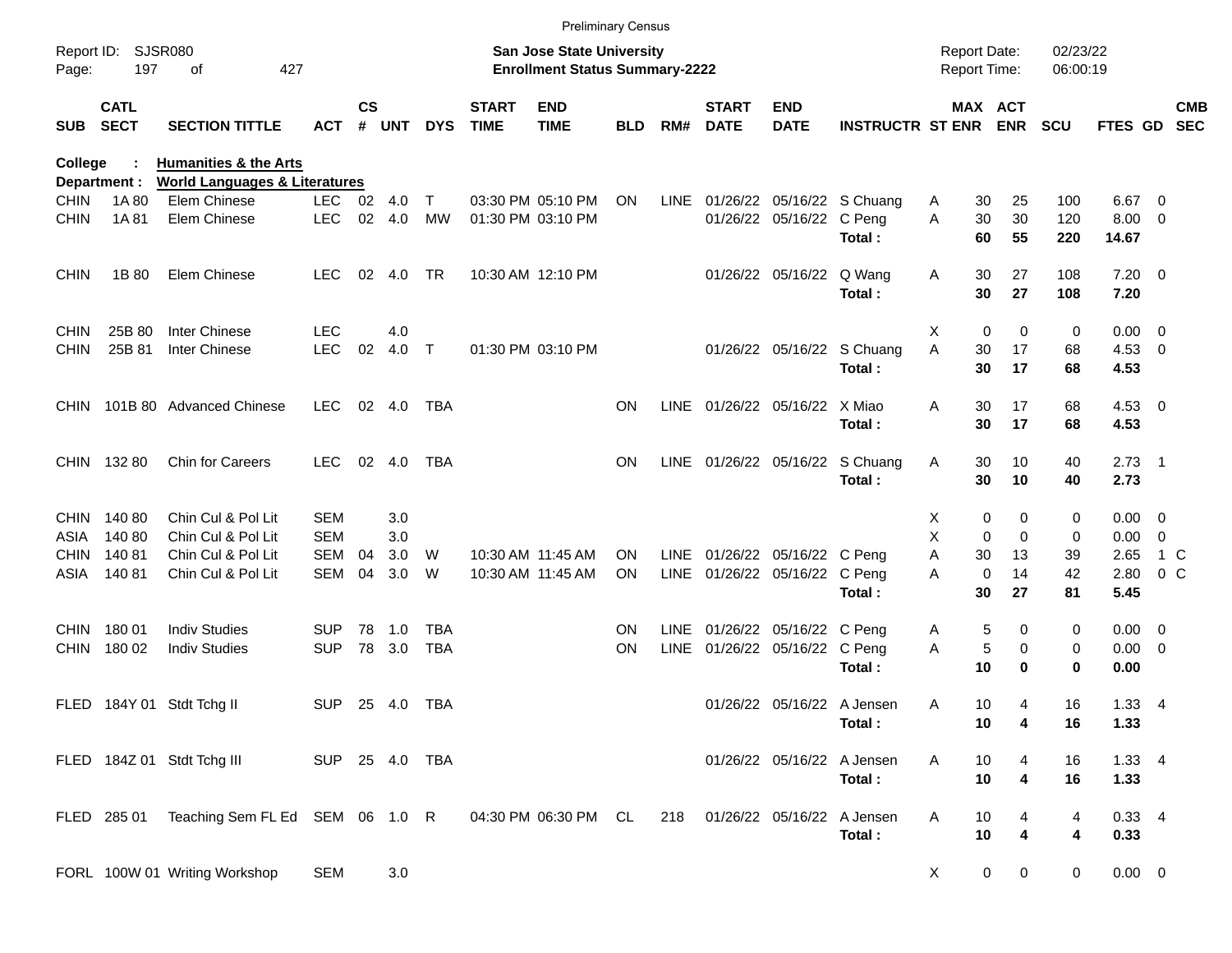|             |                            |                                                                              |                |               |       |            |                             | <b>Preliminary Census</b>                                                 |            |      |                             |                               |                                 |   |                                            |             |                      |                |                          |                          |
|-------------|----------------------------|------------------------------------------------------------------------------|----------------|---------------|-------|------------|-----------------------------|---------------------------------------------------------------------------|------------|------|-----------------------------|-------------------------------|---------------------------------|---|--------------------------------------------|-------------|----------------------|----------------|--------------------------|--------------------------|
| Page:       | Report ID: SJSR080<br>197  | 427<br>οf                                                                    |                |               |       |            |                             | <b>San Jose State University</b><br><b>Enrollment Status Summary-2222</b> |            |      |                             |                               |                                 |   | <b>Report Date:</b><br><b>Report Time:</b> |             | 02/23/22<br>06:00:19 |                |                          |                          |
| <b>SUB</b>  | <b>CATL</b><br><b>SECT</b> | <b>SECTION TITTLE</b>                                                        | <b>ACT</b>     | $\mathsf{cs}$ | # UNT | <b>DYS</b> | <b>START</b><br><b>TIME</b> | <b>END</b><br><b>TIME</b>                                                 | <b>BLD</b> | RM#  | <b>START</b><br><b>DATE</b> | <b>END</b><br><b>DATE</b>     | <b>INSTRUCTR ST ENR</b>         |   | MAX ACT                                    | <b>ENR</b>  | <b>SCU</b>           | <b>FTES GD</b> |                          | <b>CMB</b><br><b>SEC</b> |
| College     | Department :               | <b>Humanities &amp; the Arts</b><br><b>World Languages &amp; Literatures</b> |                |               |       |            |                             |                                                                           |            |      |                             |                               |                                 |   |                                            |             |                      |                |                          |                          |
| <b>CHIN</b> | 1A 80                      | Elem Chinese                                                                 | LEC 02 4.0     |               |       | $\top$     |                             | 03:30 PM 05:10 PM                                                         | <b>ON</b>  |      |                             |                               | LINE 01/26/22 05/16/22 S Chuang | A | 30                                         | 25          | 100                  | 6.67           | $\overline{\mathbf{0}}$  |                          |
| <b>CHIN</b> | 1A 81                      | Elem Chinese                                                                 | <b>LEC</b>     | 02            | 4.0   | <b>MW</b>  |                             | 01:30 PM 03:10 PM                                                         |            |      |                             | 01/26/22 05/16/22             | C Peng                          | A | 30                                         | 30          | 120                  | 8.00           | $\overline{\mathbf{0}}$  |                          |
|             |                            |                                                                              |                |               |       |            |                             |                                                                           |            |      |                             |                               | Total:                          |   | 60                                         | 55          | 220                  | 14.67          |                          |                          |
| <b>CHIN</b> | 1B 80                      | Elem Chinese                                                                 | <b>LEC</b>     | 02            | 4.0   | <b>TR</b>  |                             | 10:30 AM 12:10 PM                                                         |            |      |                             | 01/26/22 05/16/22             | Q Wang                          | A | 30                                         | 27          | 108                  | $7.20 \t 0$    |                          |                          |
|             |                            |                                                                              |                |               |       |            |                             |                                                                           |            |      |                             |                               | Total:                          |   | 30                                         | 27          | 108                  | 7.20           |                          |                          |
| <b>CHIN</b> | 25B 80                     | Inter Chinese                                                                | <b>LEC</b>     |               | 4.0   |            |                             |                                                                           |            |      |                             |                               |                                 | Χ | 0                                          | 0           | 0                    | 0.00           | $\overline{\phantom{0}}$ |                          |
| <b>CHIN</b> | 25B 81                     | Inter Chinese                                                                | <b>LEC</b>     | 02            | 4.0   | $\top$     |                             | 01:30 PM 03:10 PM                                                         |            |      |                             |                               | 01/26/22 05/16/22 S Chuang      | A | 30                                         | 17          | 68                   | 4.53           | $\overline{\phantom{0}}$ |                          |
|             |                            |                                                                              |                |               |       |            |                             |                                                                           |            |      |                             |                               | Total:                          |   | 30                                         | 17          | 68                   | 4.53           |                          |                          |
|             |                            | CHIN 101B 80 Advanced Chinese                                                | <b>LEC</b>     | 02            | 4.0   | TBA        |                             |                                                                           | <b>ON</b>  |      |                             | LINE 01/26/22 05/16/22        | X Miao                          | A | 30                                         | 17          | 68                   | 4.53           | $\overline{\phantom{0}}$ |                          |
|             |                            |                                                                              |                |               |       |            |                             |                                                                           |            |      |                             |                               | Total:                          |   | 30                                         | 17          | 68                   | 4.53           |                          |                          |
|             | CHIN 132 80                | <b>Chin for Careers</b>                                                      | <b>LEC</b>     | 02            | 4.0   | TBA        |                             |                                                                           | <b>ON</b>  |      |                             |                               | LINE 01/26/22 05/16/22 S Chuang | A | 30                                         | 10          | 40                   | 2.73           | - 1                      |                          |
|             |                            |                                                                              |                |               |       |            |                             |                                                                           |            |      |                             |                               | Total:                          |   | 30                                         | 10          | 40                   | 2.73           |                          |                          |
| <b>CHIN</b> | 140 80                     | Chin Cul & Pol Lit                                                           | <b>SEM</b>     |               | 3.0   |            |                             |                                                                           |            |      |                             |                               |                                 | х | 0                                          | 0           | 0                    | 0.00           | $\overline{\mathbf{0}}$  |                          |
| ASIA        | 14080                      | Chin Cul & Pol Lit                                                           | <b>SEM</b>     |               | 3.0   |            |                             |                                                                           |            |      |                             |                               |                                 | X | $\mathbf 0$                                | $\mathbf 0$ | 0                    | 0.00           | 0                        |                          |
| <b>CHIN</b> | 14081                      | Chin Cul & Pol Lit                                                           | <b>SEM</b>     | 04            | 3.0   | W          |                             | 10:30 AM 11:45 AM                                                         | ON.        |      |                             | LINE 01/26/22 05/16/22 C Peng |                                 | A | 30                                         | 13          | 39                   | 2.65           |                          | $1\,C$                   |
| ASIA        | 14081                      | Chin Cul & Pol Lit                                                           | SEM            | 04            | 3.0   | W          |                             | 10:30 AM 11:45 AM                                                         | ON         |      |                             | LINE 01/26/22 05/16/22 C Peng |                                 | A | 0                                          | 14          | 42                   | 2.80           |                          | 0 <sup>o</sup>           |
|             |                            |                                                                              |                |               |       |            |                             |                                                                           |            |      |                             |                               | Total:                          |   | 30                                         | 27          | 81                   | 5.45           |                          |                          |
| <b>CHIN</b> | 180 01                     | <b>Indiv Studies</b>                                                         | <b>SUP</b>     | 78            | 1.0   | <b>TBA</b> |                             |                                                                           | <b>ON</b>  |      |                             | LINE 01/26/22 05/16/22 C Peng |                                 | A | 5                                          | 0           | 0                    | 0.00           | $\overline{\mathbf{0}}$  |                          |
| <b>CHIN</b> | 180 02                     | <b>Indiv Studies</b>                                                         | <b>SUP</b>     | 78            | 3.0   | <b>TBA</b> |                             |                                                                           | <b>ON</b>  | LINE |                             | 01/26/22 05/16/22 C Peng      |                                 | A | 5                                          | 0           | 0                    | 0.00           | $\overline{\mathbf{0}}$  |                          |
|             |                            |                                                                              |                |               |       |            |                             |                                                                           |            |      |                             |                               | Total:                          |   | 10                                         | 0           | $\bf{0}$             | 0.00           |                          |                          |
|             |                            | FLED 184Y 01 Stdt Tchg II                                                    | <b>SUP</b>     | 25            | 4.0   | TBA        |                             |                                                                           |            |      |                             | 01/26/22 05/16/22 A Jensen    |                                 | A | 10                                         | 4           | 16                   | 1.33           | - 4                      |                          |
|             |                            |                                                                              |                |               |       |            |                             |                                                                           |            |      |                             |                               | Total:                          |   | 10                                         | 4           | 16                   | 1.33           |                          |                          |
|             |                            | FLED 184Z 01 Stdt Tchg III                                                   | SUP 25 4.0 TBA |               |       |            |                             |                                                                           |            |      |                             | 01/26/22 05/16/22 A Jensen    |                                 | A | 10                                         | 4           | 16                   | 1.33 4         |                          |                          |
|             |                            |                                                                              |                |               |       |            |                             |                                                                           |            |      |                             |                               | Total:                          |   | 10                                         | 4           | 16                   | 1.33           |                          |                          |
|             |                            | FLED 285 01 Teaching Sem FL Ed SEM 06 1.0 R                                  |                |               |       |            |                             | 04:30 PM 06:30 PM CL                                                      |            | 218  |                             | 01/26/22 05/16/22 A Jensen    |                                 | A | 10                                         | 4           | 4                    | $0.33 + 4$     |                          |                          |
|             |                            |                                                                              |                |               |       |            |                             |                                                                           |            |      |                             |                               | Total:                          |   | 10                                         | 4           | 4                    | 0.33           |                          |                          |
|             |                            | FORL 100W 01 Writing Workshop                                                | <b>SEM</b>     |               | 3.0   |            |                             |                                                                           |            |      |                             |                               |                                 | X | $\mathbf 0$                                | $\mathbf 0$ | 0                    | $0.00 \t 0$    |                          |                          |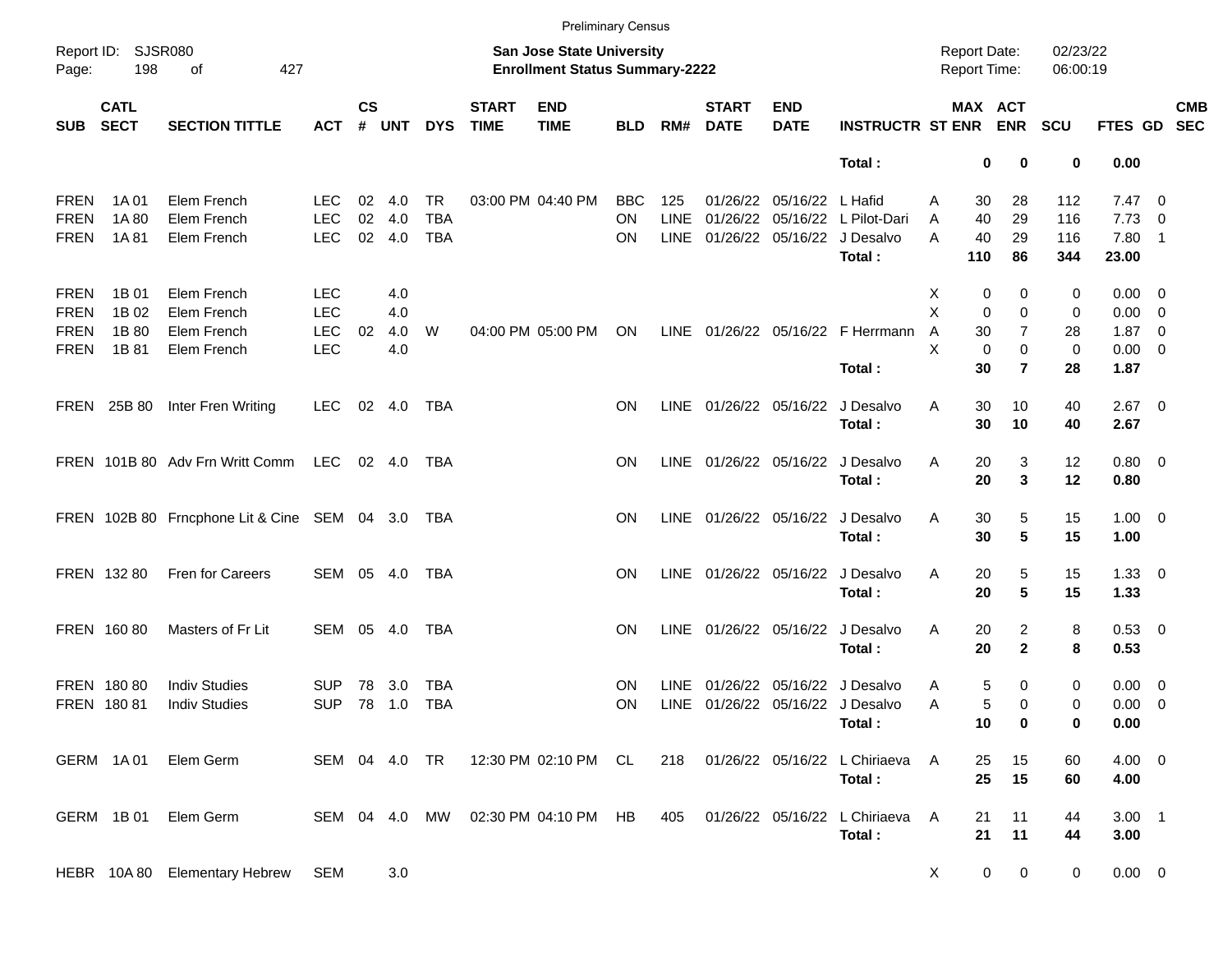|             |                            |                                                  |               |               |        |               |                             |                                                                           | <b>Preliminary Census</b> |             |                             |                           |                                  |   |             |                                     |                      |                |                          |            |
|-------------|----------------------------|--------------------------------------------------|---------------|---------------|--------|---------------|-----------------------------|---------------------------------------------------------------------------|---------------------------|-------------|-----------------------------|---------------------------|----------------------------------|---|-------------|-------------------------------------|----------------------|----------------|--------------------------|------------|
| Page:       | Report ID: SJSR080<br>198  | of<br>427                                        |               |               |        |               |                             | <b>San Jose State University</b><br><b>Enrollment Status Summary-2222</b> |                           |             |                             |                           |                                  |   |             | <b>Report Date:</b><br>Report Time: | 02/23/22<br>06:00:19 |                |                          |            |
| <b>SUB</b>  | <b>CATL</b><br><b>SECT</b> | <b>SECTION TITTLE</b>                            | <b>ACT</b>    | $\mathsf{cs}$ | # UNT  | <b>DYS</b>    | <b>START</b><br><b>TIME</b> | <b>END</b><br><b>TIME</b>                                                 | <b>BLD</b>                | RM#         | <b>START</b><br><b>DATE</b> | <b>END</b><br><b>DATE</b> | <b>INSTRUCTR ST ENR</b>          |   |             | MAX ACT<br><b>ENR</b>               | <b>SCU</b>           | FTES GD SEC    |                          | <b>CMB</b> |
|             |                            |                                                  |               |               |        |               |                             |                                                                           |                           |             |                             |                           | Total:                           |   | 0           | 0                                   | 0                    | 0.00           |                          |            |
| <b>FREN</b> | 1A 01                      | Elem French                                      | <b>LEC</b>    | 02            | 4.0    | TR            |                             | 03:00 PM 04:40 PM                                                         | <b>BBC</b>                | 125         |                             | 01/26/22 05/16/22 L Hafid |                                  | Α | 30          | 28                                  | 112                  | $7.47\quad 0$  |                          |            |
| <b>FREN</b> | 1A 80                      | Elem French                                      | <b>LEC</b>    | 02            | 4.0    | <b>TBA</b>    |                             |                                                                           | ΟN                        | <b>LINE</b> |                             |                           | 01/26/22 05/16/22 L Pilot-Dari   | A | 40          | 29                                  | 116                  | 7.73           | $\overline{\phantom{0}}$ |            |
| <b>FREN</b> | 1A 81                      | Elem French                                      | <b>LEC</b>    |               | 02 4.0 | <b>TBA</b>    |                             |                                                                           | ON.                       | <b>LINE</b> |                             |                           | 01/26/22 05/16/22 J Desalvo      | A | 40          | 29                                  | 116                  | $7.80$ 1       |                          |            |
|             |                            |                                                  |               |               |        |               |                             |                                                                           |                           |             |                             |                           | Total:                           |   | 110         | 86                                  | 344                  | 23.00          |                          |            |
| <b>FREN</b> | 1B 01                      | Elem French                                      | <b>LEC</b>    |               | 4.0    |               |                             |                                                                           |                           |             |                             |                           |                                  | х | 0           | 0                                   | 0                    | $0.00 \quad 0$ |                          |            |
| <b>FREN</b> | 1B 02                      | Elem French                                      | <b>LEC</b>    |               | 4.0    |               |                             |                                                                           |                           |             |                             |                           |                                  | X | $\mathbf 0$ | 0                                   | 0                    | $0.00 \t 0$    |                          |            |
| <b>FREN</b> | 1B 80                      | Elem French                                      | <b>LEC</b>    | 02            | 4.0    | W             |                             | 04:00 PM 05:00 PM                                                         | ON                        | LINE        |                             |                           | 01/26/22 05/16/22 F Herrmann     | Α | 30          | $\overline{7}$                      | 28                   | $1.87 \ 0$     |                          |            |
| <b>FREN</b> | 1B 81                      | Elem French                                      | <b>LEC</b>    |               | 4.0    |               |                             |                                                                           |                           |             |                             |                           |                                  | X | $\mathbf 0$ | $\mathbf 0$                         | 0                    | $0.00 \t 0$    |                          |            |
|             |                            |                                                  |               |               |        |               |                             |                                                                           |                           |             |                             |                           | Total:                           |   | 30          | $\overline{7}$                      | 28                   | 1.87           |                          |            |
|             | FREN 25B 80                | Inter Fren Writing                               | <b>LEC</b>    |               | 02 4.0 | TBA           |                             |                                                                           | ON                        |             |                             |                           | LINE 01/26/22 05/16/22 J Desalvo | A | 30          | 10                                  | 40                   | $2.67$ 0       |                          |            |
|             |                            |                                                  |               |               |        |               |                             |                                                                           |                           |             |                             |                           | Total:                           |   | 30          | 10                                  | 40                   | 2.67           |                          |            |
|             |                            | FREN 101B 80 Adv Frn Writt Comm                  | LEC           |               | 02 4.0 | TBA           |                             |                                                                           | ΟN                        |             |                             |                           | LINE 01/26/22 05/16/22 J Desalvo | Α | 20          | 3                                   | 12                   | $0.80 \ 0$     |                          |            |
|             |                            |                                                  |               |               |        |               |                             |                                                                           |                           |             |                             |                           | Total:                           |   | 20          | 3                                   | 12                   | 0.80           |                          |            |
|             |                            | FREN 102B 80 Frncphone Lit & Cine SEM 04 3.0 TBA |               |               |        |               |                             |                                                                           | ΟN                        |             |                             |                           | LINE 01/26/22 05/16/22 J Desalvo | Α | 30          | 5                                   | 15                   | $1.00 \t 0$    |                          |            |
|             |                            |                                                  |               |               |        |               |                             |                                                                           |                           |             |                             |                           | Total:                           |   | 30          | 5                                   | 15                   | 1.00           |                          |            |
|             | FREN 132 80                | Fren for Careers                                 | SEM 05 4.0    |               |        | TBA           |                             |                                                                           | ON                        |             |                             |                           | LINE 01/26/22 05/16/22 J Desalvo | Α | 20          | 5                                   | 15                   | $1.33 \ 0$     |                          |            |
|             |                            |                                                  |               |               |        |               |                             |                                                                           |                           |             |                             |                           | Total:                           |   | 20          | 5                                   | 15                   | 1.33           |                          |            |
|             | FREN 16080                 | Masters of Fr Lit                                | SEM 05 4.0    |               |        | TBA           |                             |                                                                           | ON                        | LINE        |                             |                           | 01/26/22 05/16/22 J Desalvo      | Α | 20          | 2                                   | 8                    | 0.53 0         |                          |            |
|             |                            |                                                  |               |               |        |               |                             |                                                                           |                           |             |                             |                           | Total:                           |   | 20          | $\mathbf{2}$                        | 8                    | 0.53           |                          |            |
|             | FREN 18080                 | <b>Indiv Studies</b>                             | <b>SUP</b>    | 78            | 3.0    | TBA           |                             |                                                                           | ON                        | <b>LINE</b> |                             |                           | 01/26/22 05/16/22 J Desalvo      | Α | 5           | 0                                   | 0                    | $0.00 \quad 0$ |                          |            |
|             | FREN 18081                 | <b>Indiv Studies</b>                             | <b>SUP</b>    |               | 78 1.0 | <b>TBA</b>    |                             |                                                                           | ΟN                        | LINE        |                             |                           | 01/26/22 05/16/22 J Desalvo      | Α | 5           | 0                                   | 0                    | $0.00 \t 0$    |                          |            |
|             |                            |                                                  |               |               |        |               |                             |                                                                           |                           |             |                             |                           | Total:                           |   | 10          | 0                                   | 0                    | 0.00           |                          |            |
|             | GERM 1A01                  | Elem Germ                                        |               |               |        | SEM 04 4.0 TR |                             | 12:30 PM 02:10 PM CL                                                      |                           | 218         |                             |                           | 01/26/22 05/16/22 L Chiriaeva    | A | 25          | 15                                  | 60                   | $4.00 \ 0$     |                          |            |
|             |                            |                                                  |               |               |        |               |                             |                                                                           |                           |             |                             |                           | Total:                           |   | 25          | 15                                  | 60                   | 4.00           |                          |            |
|             | GERM 1B01                  | Elem Germ                                        | SEM 04 4.0 MW |               |        |               |                             | 02:30 PM 04:10 PM HB                                                      |                           | 405         |                             |                           | 01/26/22 05/16/22 L Chiriaeva    | Α | 21          | 11                                  | 44                   | $3.00$ 1       |                          |            |
|             |                            |                                                  |               |               |        |               |                             |                                                                           |                           |             |                             |                           | Total:                           |   | 21          | 11                                  | 44                   | 3.00           |                          |            |
|             |                            | HEBR 10A 80 Elementary Hebrew                    | SEM           |               | 3.0    |               |                             |                                                                           |                           |             |                             |                           |                                  | X | $\mathbf 0$ | $\mathbf 0$                         | 0                    | $0.00 \t 0$    |                          |            |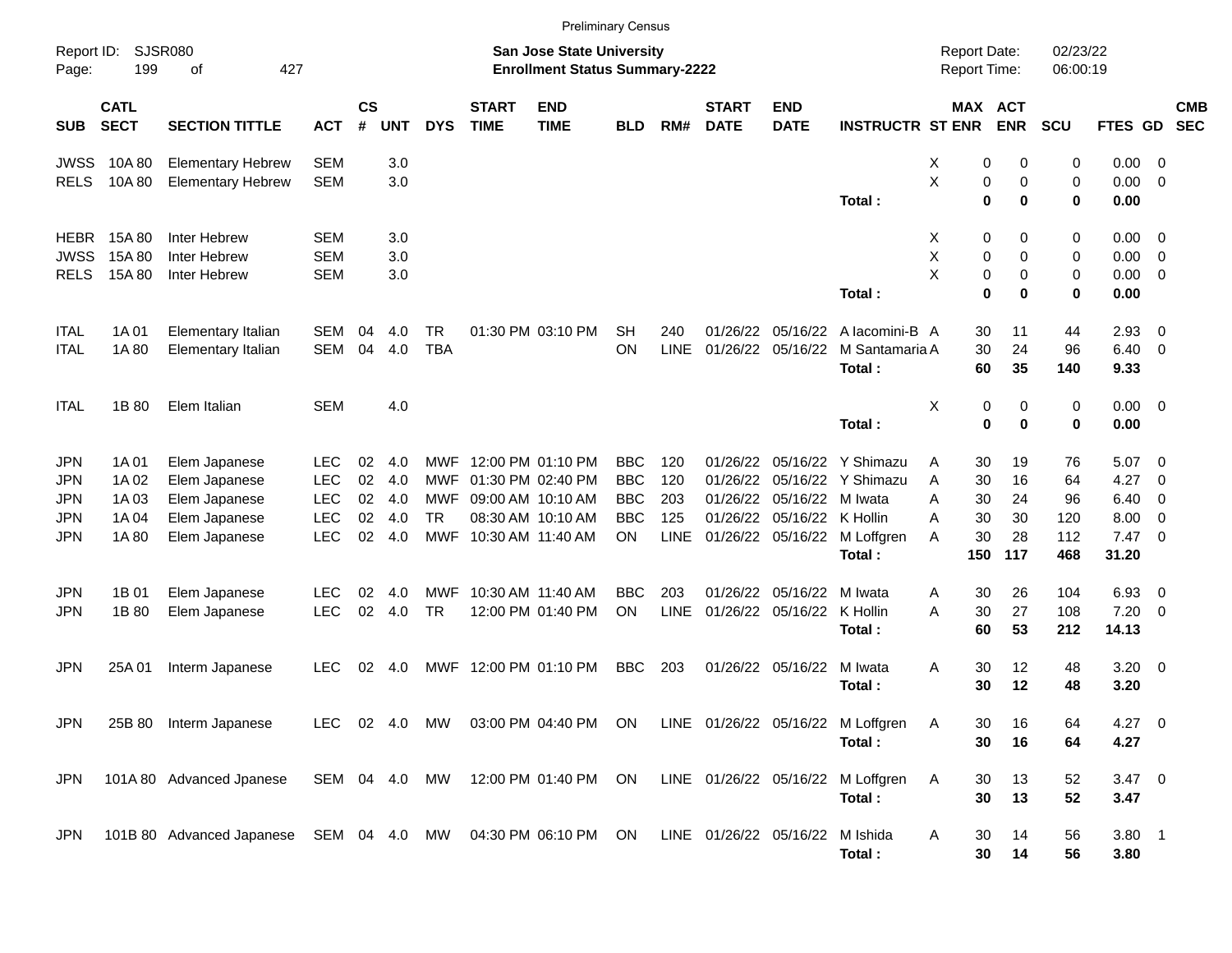|                                                                    |                                          |                                                                                   |                                                                    |                            |                                 |                                       |                             | <b>Preliminary Census</b>                                                                             |                                                                   |                                  |                                              |                                              |                                                                                         |                                                            |                                   |                                     |                                                         |                                                                                |                          |
|--------------------------------------------------------------------|------------------------------------------|-----------------------------------------------------------------------------------|--------------------------------------------------------------------|----------------------------|---------------------------------|---------------------------------------|-----------------------------|-------------------------------------------------------------------------------------------------------|-------------------------------------------------------------------|----------------------------------|----------------------------------------------|----------------------------------------------|-----------------------------------------------------------------------------------------|------------------------------------------------------------|-----------------------------------|-------------------------------------|---------------------------------------------------------|--------------------------------------------------------------------------------|--------------------------|
| Report ID:<br>Page:                                                | 199                                      | <b>SJSR080</b><br>427<br>оf                                                       |                                                                    |                            |                                 |                                       |                             | <b>San Jose State University</b><br><b>Enrollment Status Summary-2222</b>                             |                                                                   |                                  |                                              |                                              |                                                                                         | <b>Report Date:</b><br><b>Report Time:</b>                 |                                   | 02/23/22<br>06:00:19                |                                                         |                                                                                |                          |
| <b>SUB</b>                                                         | <b>CATL</b><br><b>SECT</b>               | <b>SECTION TITTLE</b>                                                             | <b>ACT</b>                                                         | <b>CS</b><br>#             | <b>UNT</b>                      | <b>DYS</b>                            | <b>START</b><br><b>TIME</b> | <b>END</b><br><b>TIME</b>                                                                             | <b>BLD</b>                                                        | RM#                              | <b>START</b><br><b>DATE</b>                  | <b>END</b><br><b>DATE</b>                    | <b>INSTRUCTR ST ENR</b>                                                                 | MAX ACT                                                    | <b>ENR</b>                        | <b>SCU</b>                          | FTES GD                                                 |                                                                                | <b>CMB</b><br><b>SEC</b> |
| <b>JWSS</b><br><b>RELS</b>                                         | 10A 80<br>10A 80                         | <b>Elementary Hebrew</b><br><b>Elementary Hebrew</b>                              | <b>SEM</b><br><b>SEM</b>                                           |                            | 3.0<br>3.0                      |                                       |                             |                                                                                                       |                                                                   |                                  |                                              |                                              | Total :                                                                                 | X<br>0<br>X<br>0<br>0                                      | 0<br>0<br>0                       | 0<br>0<br>$\bf{0}$                  | 0.00<br>0.00<br>0.00                                    | - 0<br>- 0                                                                     |                          |
| <b>HEBR</b><br><b>JWSS</b><br><b>RELS</b>                          | 15A 80<br>15A80<br>15A 80                | Inter Hebrew<br>Inter Hebrew<br>Inter Hebrew                                      | <b>SEM</b><br><b>SEM</b><br><b>SEM</b>                             |                            | 3.0<br>3.0<br>3.0               |                                       |                             |                                                                                                       |                                                                   |                                  |                                              |                                              | Total:                                                                                  | X<br>0<br>Χ<br>0<br>X<br>0<br>0                            | 0<br>0<br>0<br>0                  | 0<br>0<br>0<br>0                    | 0.00<br>0.00<br>0.00<br>0.00                            | - 0<br>$\overline{0}$<br>$\overline{0}$                                        |                          |
| <b>ITAL</b><br><b>ITAL</b>                                         | 1A 01<br>1A 80                           | Elementary Italian<br>Elementary Italian                                          | SEM<br>SEM                                                         | 04<br>04                   | 4.0<br>4.0                      | <b>TR</b><br><b>TBA</b>               |                             | 01:30 PM 03:10 PM                                                                                     | <b>SH</b><br>ON                                                   | 240<br><b>LINE</b>               | 01/26/22<br>01/26/22                         | 05/16/22<br>05/16/22                         | A lacomini-B A<br>M Santamaria A<br>Total:                                              | 30<br>30<br>60                                             | 11<br>24<br>35                    | 44<br>96<br>140                     | 2.93<br>6.40<br>9.33                                    | $\overline{\mathbf{0}}$<br>- 0                                                 |                          |
| <b>ITAL</b>                                                        | 1B 80                                    | Elem Italian                                                                      | <b>SEM</b>                                                         |                            | 4.0                             |                                       |                             |                                                                                                       |                                                                   |                                  |                                              |                                              | Total:                                                                                  | X<br>0<br>0                                                | 0<br>0                            | $\mathbf 0$<br>$\bf{0}$             | $0.00 \quad 0$<br>0.00                                  |                                                                                |                          |
| <b>JPN</b><br><b>JPN</b><br><b>JPN</b><br><b>JPN</b><br><b>JPN</b> | 1A 01<br>1A 02<br>1A03<br>1A 04<br>1A 80 | Elem Japanese<br>Elem Japanese<br>Elem Japanese<br>Elem Japanese<br>Elem Japanese | <b>LEC</b><br><b>LEC</b><br><b>LEC</b><br><b>LEC</b><br><b>LEC</b> | 02<br>02<br>02<br>02<br>02 | 4.0<br>4.0<br>4.0<br>4.0<br>4.0 | MWF<br>MWF<br>MWF<br><b>TR</b><br>MWF |                             | 12:00 PM 01:10 PM<br>01:30 PM 02:40 PM<br>09:00 AM 10:10 AM<br>08:30 AM 10:10 AM<br>10:30 AM 11:40 AM | <b>BBC</b><br><b>BBC</b><br><b>BBC</b><br><b>BBC</b><br><b>ON</b> | 120<br>120<br>203<br>125<br>LINE | 01/26/22<br>01/26/22<br>01/26/22<br>01/26/22 | 05/16/22<br>05/16/22<br>05/16/22<br>05/16/22 | Y Shimazu<br>Y Shimazu<br>M Iwata<br>K Hollin<br>01/26/22 05/16/22 M Loffgren<br>Total: | Α<br>30<br>A<br>30<br>Α<br>30<br>A<br>30<br>30<br>A<br>150 | 19<br>16<br>24<br>30<br>28<br>117 | 76<br>64<br>96<br>120<br>112<br>468 | 5.07<br>4.27<br>6.40<br>8.00<br>$7.47 \quad 0$<br>31.20 | $\overline{\phantom{0}}$<br>$\overline{0}$<br>$\overline{0}$<br>$\overline{0}$ |                          |
| <b>JPN</b><br><b>JPN</b>                                           | 1B 01<br>1B 80                           | Elem Japanese<br>Elem Japanese                                                    | <b>LEC</b><br><b>LEC</b>                                           | 02<br>02                   | 4.0<br>4.0                      | MWF<br><b>TR</b>                      |                             | 10:30 AM 11:40 AM<br>12:00 PM 01:40 PM                                                                | <b>BBC</b><br><b>ON</b>                                           | 203<br><b>LINE</b>               | 01/26/22<br>01/26/22                         | 05/16/22<br>05/16/22                         | M Iwata<br>K Hollin<br>Total:                                                           | 30<br>Α<br>30<br>A<br>60                                   | 26<br>27<br>53                    | 104<br>108<br>212                   | 6.93<br>7.20<br>14.13                                   | $\overline{\mathbf{0}}$<br>$\overline{0}$                                      |                          |
| <b>JPN</b>                                                         | 25A01                                    | Interm Japanese                                                                   | LEC                                                                | 02                         | 4.0                             | MWF                                   |                             | 12:00 PM 01:10 PM                                                                                     | <b>BBC</b>                                                        | 203                              |                                              | 01/26/22 05/16/22                            | M Iwata<br>Total:                                                                       | 30<br>A<br>30                                              | 12<br>12                          | 48<br>48                            | $3.20 \ 0$<br>3.20                                      |                                                                                |                          |
| <b>JPN</b>                                                         |                                          | 25B 80 Interm Japanese                                                            |                                                                    |                            |                                 |                                       |                             |                                                                                                       |                                                                   |                                  |                                              |                                              | LEC 02 4.0 MW 03:00 PM 04:40 PM ON LINE 01/26/22 05/16/22 M Loffgren<br>Total:          | 30<br>Α<br>30                                              | 16<br>16                          | 64<br>64                            | 4.27 0<br>4.27                                          |                                                                                |                          |
| <b>JPN</b>                                                         |                                          | 101A 80 Advanced Jpanese                                                          | SEM 04 4.0 MW                                                      |                            |                                 |                                       |                             | 12:00 PM 01:40 PM ON                                                                                  |                                                                   |                                  |                                              |                                              | LINE 01/26/22 05/16/22 M Loffgren<br>Total:                                             | Α<br>30<br>30                                              | 13<br>13                          | 52<br>52                            | $3.47 \ 0$<br>3.47                                      |                                                                                |                          |
| <b>JPN</b>                                                         |                                          | 101B 80 Advanced Japanese SEM 04 4.0 MW 04:30 PM 06:10 PM ON                      |                                                                    |                            |                                 |                                       |                             |                                                                                                       |                                                                   |                                  |                                              | LINE 01/26/22 05/16/22 M Ishida              | Total:                                                                                  | Α<br>30<br>30                                              | 14<br>14                          | 56<br>56                            | $3.80$ 1<br>3.80                                        |                                                                                |                          |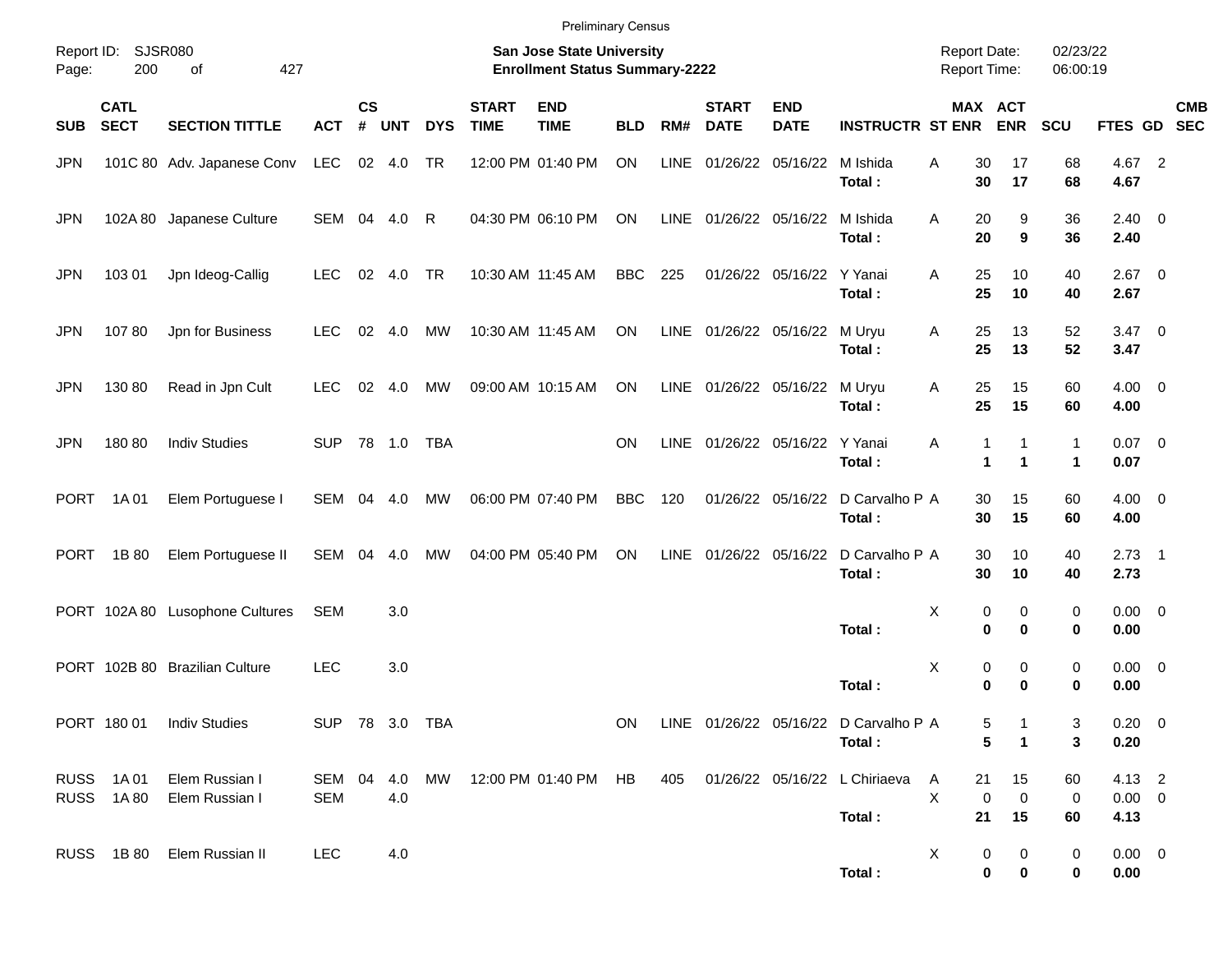|                     |                            |                                  |                             |                    |            |              |                             | <b>Preliminary Census</b>                                                 |            |      |                             |                                 |                                                 |                                            |                                           |                      |                               |            |
|---------------------|----------------------------|----------------------------------|-----------------------------|--------------------|------------|--------------|-----------------------------|---------------------------------------------------------------------------|------------|------|-----------------------------|---------------------------------|-------------------------------------------------|--------------------------------------------|-------------------------------------------|----------------------|-------------------------------|------------|
| Report ID:<br>Page: | 200                        | SJSR080<br>427<br>of             |                             |                    |            |              |                             | <b>San Jose State University</b><br><b>Enrollment Status Summary-2222</b> |            |      |                             |                                 |                                                 | <b>Report Date:</b><br><b>Report Time:</b> |                                           | 02/23/22<br>06:00:19 |                               |            |
| <b>SUB</b>          | <b>CATL</b><br><b>SECT</b> | <b>SECTION TITTLE</b>            | <b>ACT</b>                  | $\mathsf{cs}$<br># | <b>UNT</b> | <b>DYS</b>   | <b>START</b><br><b>TIME</b> | <b>END</b><br><b>TIME</b>                                                 | <b>BLD</b> | RM#  | <b>START</b><br><b>DATE</b> | <b>END</b><br><b>DATE</b>       | <b>INSTRUCTR ST ENR ENR</b>                     |                                            | MAX ACT                                   | <b>SCU</b>           | FTES GD SEC                   | <b>CMB</b> |
| <b>JPN</b>          |                            | 101C 80 Adv. Japanese Conv LEC   |                             |                    | 02 4.0     | TR           |                             | 12:00 PM 01:40 PM                                                         | ON         | LINE |                             | 01/26/22 05/16/22 M Ishida      | Total:                                          | A<br>30<br>30                              | 17<br>17                                  | 68<br>68             | 4.67 2<br>4.67                |            |
| <b>JPN</b>          |                            | 102A 80 Japanese Culture         | SEM                         |                    | 04 4.0     | $\mathsf{R}$ |                             | 04:30 PM 06:10 PM                                                         | ON         |      |                             | LINE 01/26/22 05/16/22 M Ishida | Total:                                          | 20<br>A<br>20                              | 9<br>9                                    | 36<br>36             | $2.40 \ 0$<br>2.40            |            |
| <b>JPN</b>          | 103 01                     | Jpn Ideog-Callig                 | LEC                         |                    | 02 4.0     | TR           |                             | 10:30 AM 11:45 AM                                                         | <b>BBC</b> | 225  |                             | 01/26/22 05/16/22 Y Yanai       | Total:                                          | A<br>25<br>25                              | 10<br>10                                  | 40<br>40             | $2.67$ 0<br>2.67              |            |
| <b>JPN</b>          | 10780                      | Jpn for Business                 | <b>LEC</b>                  |                    | 02 4.0     | MW           |                             | 10:30 AM 11:45 AM                                                         | ON         |      |                             | LINE 01/26/22 05/16/22 M Uryu   | Total:                                          | 25<br>Α<br>25                              | 13<br>13                                  | 52<br>52             | $3.47 \quad 0$<br>3.47        |            |
| <b>JPN</b>          | 130 80                     | Read in Jpn Cult                 | <b>LEC</b>                  | 02                 | 4.0        | <b>MW</b>    |                             | 09:00 AM 10:15 AM                                                         | ON         |      |                             | LINE 01/26/22 05/16/22 M Uryu   | Total:                                          | 25<br>Α<br>25                              | 15<br>15                                  | 60<br>60             | $4.00 \ 0$<br>4.00            |            |
| <b>JPN</b>          | 180 80                     | <b>Indiv Studies</b>             | SUP 78 1.0                  |                    |            | TBA          |                             |                                                                           | ON.        |      |                             | LINE 01/26/22 05/16/22 Y Yanai  | Total:                                          | Α                                          | 1<br>$\mathbf{1}$<br>$\blacktriangleleft$ | 1<br>1               | $0.07$ 0<br>0.07              |            |
| <b>PORT</b>         | 1A 01                      | Elem Portuguese I                | <b>SEM</b>                  |                    | 04 4.0     | <b>MW</b>    |                             | 06:00 PM 07:40 PM                                                         | <b>BBC</b> | 120  |                             |                                 | 01/26/22 05/16/22 D Carvalho P A<br>Total:      | 30<br>30                                   | 15<br>15                                  | 60<br>60             | $4.00 \ 0$<br>4.00            |            |
| <b>PORT</b>         | 1B 80                      | Elem Portuguese II               | SEM                         | 04                 | 4.0        | MW           |                             | 04:00 PM 05:40 PM                                                         | ON         |      |                             |                                 | LINE 01/26/22 05/16/22 D Carvalho P A<br>Total: | 30<br>30                                   | 10<br>10                                  | 40<br>40             | $2.73$ 1<br>2.73              |            |
|                     |                            | PORT 102A 80 Lusophone Cultures  | <b>SEM</b>                  |                    | 3.0        |              |                             |                                                                           |            |      |                             |                                 | Total:                                          | X                                          | 0<br>0<br>0<br>0                          | 0<br>0               | $0.00 \t 0$<br>0.00           |            |
|                     |                            | PORT 102B 80 Brazilian Culture   | <b>LEC</b>                  |                    | 3.0        |              |                             |                                                                           |            |      |                             |                                 | Total:                                          | Χ                                          | 0<br>0<br>0<br>$\bf{0}$                   | 0<br>0               | $0.00 \ 0$<br>0.00            |            |
|                     |                            | PORT 180 01 Indiv Studies        | SUP 78 3.0 TBA              |                    |            |              |                             |                                                                           | ON         |      |                             |                                 | LINE 01/26/22 05/16/22 D Carvalho P A<br>Total: |                                            | 5<br>5<br>$\mathbf 1$                     | 3<br>3               | $0.20 \ 0$<br>0.20            |            |
|                     | RUSS 1A01<br>RUSS 1A80     | Elem Russian I<br>Elem Russian I | SEM 04 4.0 MW<br><b>SEM</b> |                    | 4.0        |              |                             | 12:00 PM 01:40 PM HB                                                      |            | 405  |                             |                                 | 01/26/22 05/16/22 L Chiriaeva<br>Total:         | A<br>21<br>X<br>21                         | 15<br>$\mathbf 0$<br>0<br>15              | 60<br>0<br>60        | 4.13 2<br>$0.00 \t 0$<br>4.13 |            |
|                     |                            | RUSS 1B 80 Elem Russian II       | LEC                         |                    | 4.0        |              |                             |                                                                           |            |      |                             |                                 | Total:                                          | X                                          | 0<br>0<br>0<br>0                          | 0<br>$\bf{0}$        | $0.00 \t 0$<br>0.00           |            |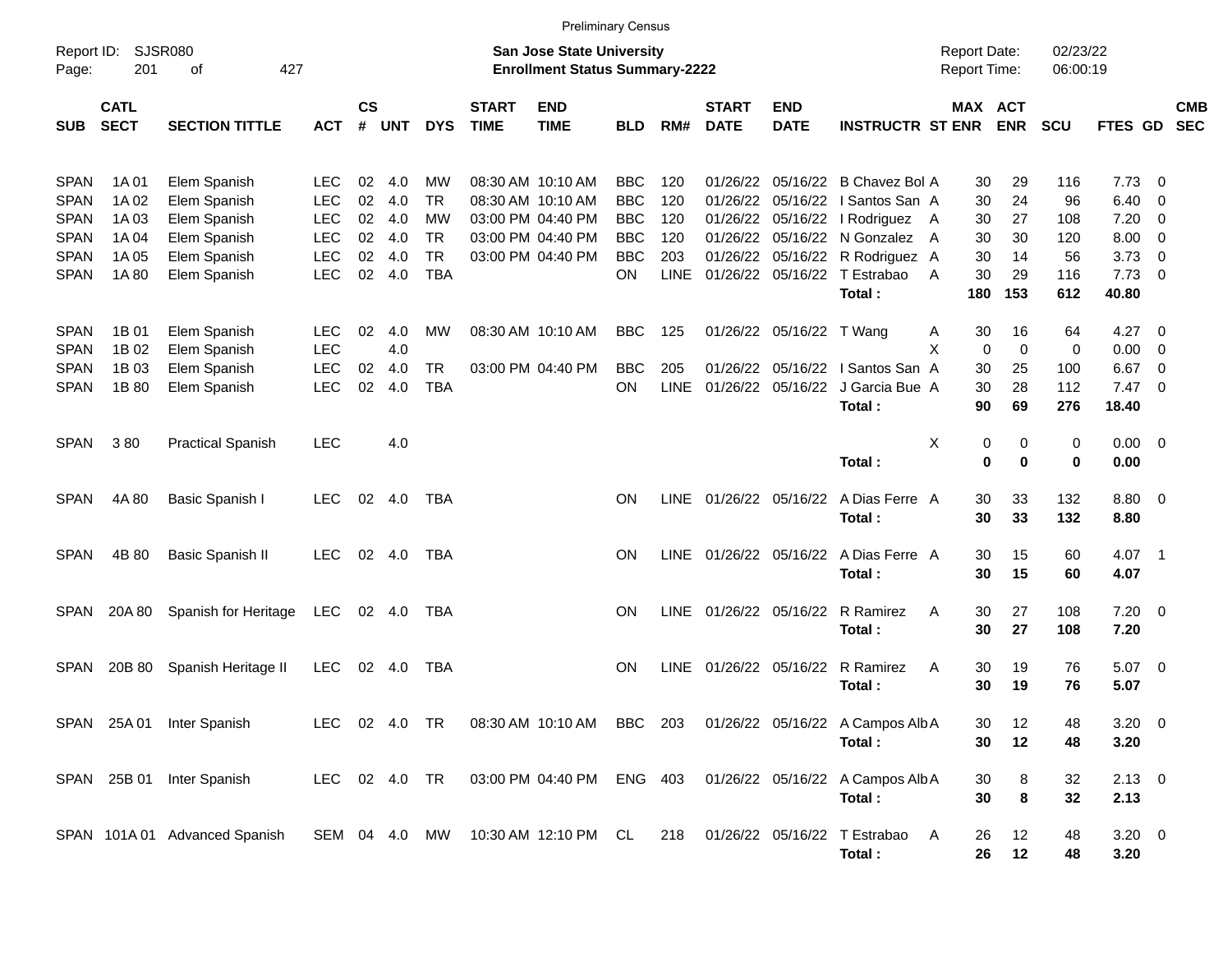|             |                            |                               |               |           |        |               |                             | <b>Preliminary Census</b>                                                 |            |             |                             |                           |                                                                       |                                     |             |                      |                   |                          |            |
|-------------|----------------------------|-------------------------------|---------------|-----------|--------|---------------|-----------------------------|---------------------------------------------------------------------------|------------|-------------|-----------------------------|---------------------------|-----------------------------------------------------------------------|-------------------------------------|-------------|----------------------|-------------------|--------------------------|------------|
| Page:       | Report ID: SJSR080<br>201  | of<br>427                     |               |           |        |               |                             | <b>San Jose State University</b><br><b>Enrollment Status Summary-2222</b> |            |             |                             |                           |                                                                       | <b>Report Date:</b><br>Report Time: |             | 02/23/22<br>06:00:19 |                   |                          |            |
| <b>SUB</b>  | <b>CATL</b><br><b>SECT</b> | <b>SECTION TITTLE</b>         | <b>ACT</b>    | <b>CS</b> | # UNT  | <b>DYS</b>    | <b>START</b><br><b>TIME</b> | <b>END</b><br><b>TIME</b>                                                 | <b>BLD</b> | RM#         | <b>START</b><br><b>DATE</b> | <b>END</b><br><b>DATE</b> | <b>INSTRUCTR ST ENR</b>                                               | MAX ACT                             | <b>ENR</b>  | <b>SCU</b>           | FTES GD SEC       |                          | <b>CMB</b> |
| <b>SPAN</b> | 1A 01                      | Elem Spanish                  | LEC           | 02        | 4.0    | MW            |                             | 08:30 AM 10:10 AM                                                         | BBC        | 120         |                             |                           | 01/26/22 05/16/22 B Chavez Bol A                                      | 30                                  | 29          | 116                  | 7.73              | $\overline{0}$           |            |
| <b>SPAN</b> | 1A 02                      | Elem Spanish                  | <b>LEC</b>    | 02        | 4.0    | <b>TR</b>     |                             | 08:30 AM 10:10 AM                                                         | <b>BBC</b> | 120         |                             |                           | 01/26/22 05/16/22   Santos San A                                      | 30                                  | 24          | 96                   | 6.40              | $\overline{0}$           |            |
| <b>SPAN</b> | 1A 03                      | Elem Spanish                  | <b>LEC</b>    | 02        | 4.0    | MW            |                             | 03:00 PM 04:40 PM                                                         | <b>BBC</b> | 120         |                             |                           | 01/26/22 05/16/22   Rodriguez A                                       | 30                                  | 27          | 108                  | 7.20              | 0                        |            |
| <b>SPAN</b> | 1A 04                      | Elem Spanish                  | <b>LEC</b>    | 02        | 4.0    | <b>TR</b>     |                             | 03:00 PM 04:40 PM                                                         | <b>BBC</b> | 120         |                             |                           | 01/26/22 05/16/22 N Gonzalez A                                        | 30                                  | 30          | 120                  | 8.00              | 0                        |            |
| <b>SPAN</b> | 1A 05                      | Elem Spanish                  | <b>LEC</b>    | 02        | 4.0    | <b>TR</b>     |                             | 03:00 PM 04:40 PM                                                         | <b>BBC</b> | 203         |                             |                           | 01/26/22 05/16/22 R Rodriguez A                                       | 30                                  | 14          | 56                   | 3.73              | $\overline{0}$           |            |
| <b>SPAN</b> | 1A 80                      | Elem Spanish                  | <b>LEC</b>    | 02        | 4.0    | <b>TBA</b>    |                             |                                                                           | ON.        | <b>LINE</b> |                             |                           | 01/26/22 05/16/22 T Estrabao                                          | 30<br>A                             | 29          | 116                  | 7.73              | - 0                      |            |
|             |                            |                               |               |           |        |               |                             |                                                                           |            |             |                             |                           | Total:                                                                | 180                                 | 153         | 612                  | 40.80             |                          |            |
| <b>SPAN</b> | 1B 01                      | Elem Spanish                  | <b>LEC</b>    | 02        | 4.0    | MW            |                             | 08:30 AM 10:10 AM                                                         | <b>BBC</b> | 125         |                             | 01/26/22 05/16/22 T Wang  |                                                                       | 30<br>A                             | 16          | 64                   | 4.27              | $\overline{\phantom{0}}$ |            |
| <b>SPAN</b> | 1B 02                      | Elem Spanish                  | <b>LEC</b>    |           | 4.0    |               |                             |                                                                           |            |             |                             |                           |                                                                       | X<br>$\mathbf 0$                    | $\mathbf 0$ | 0                    | 0.00              | - 0                      |            |
| <b>SPAN</b> | 1B 03                      | Elem Spanish                  | <b>LEC</b>    | 02        | 4.0    | <b>TR</b>     |                             | 03:00 PM 04:40 PM                                                         | <b>BBC</b> | 205         |                             |                           | 01/26/22 05/16/22   Santos San A                                      | 30                                  | 25          | 100                  | 6.67              | - 0                      |            |
| <b>SPAN</b> | 1B 80                      | Elem Spanish                  | <b>LEC</b>    | 02        | 4.0    | <b>TBA</b>    |                             |                                                                           | ON         | <b>LINE</b> |                             | 01/26/22 05/16/22         | J Garcia Bue A                                                        | 30                                  | 28          | 112                  | $7.47\quad 0$     |                          |            |
|             |                            |                               |               |           |        |               |                             |                                                                           |            |             |                             |                           | Total:                                                                | 90                                  | 69          | 276                  | 18.40             |                          |            |
|             |                            |                               |               |           |        |               |                             |                                                                           |            |             |                             |                           |                                                                       |                                     |             |                      |                   |                          |            |
| <b>SPAN</b> | 380                        | <b>Practical Spanish</b>      | <b>LEC</b>    |           | 4.0    |               |                             |                                                                           |            |             |                             |                           |                                                                       | X<br>0                              | 0           | 0                    | $0.00 \t 0$       |                          |            |
|             |                            |                               |               |           |        |               |                             |                                                                           |            |             |                             |                           | Total:                                                                | $\mathbf 0$                         | $\bf{0}$    | $\mathbf 0$          | 0.00              |                          |            |
|             |                            |                               |               |           |        |               |                             |                                                                           | ON         |             |                             |                           | A Dias Ferre A                                                        |                                     |             |                      |                   |                          |            |
| <b>SPAN</b> | 4A 80                      | Basic Spanish I               | LEC.          |           | 02 4.0 | TBA           |                             |                                                                           |            |             | LINE 01/26/22 05/16/22      |                           | Total:                                                                | 30<br>30                            | 33<br>33    | 132<br>132           | $8.80\ 0$<br>8.80 |                          |            |
|             |                            |                               |               |           |        |               |                             |                                                                           |            |             |                             |                           |                                                                       |                                     |             |                      |                   |                          |            |
| <b>SPAN</b> | 4B 80                      | Basic Spanish II              | <b>LEC</b>    |           | 02 4.0 | TBA           |                             |                                                                           | ON         |             |                             | LINE 01/26/22 05/16/22    | A Dias Ferre A                                                        | 30                                  | 15          | 60                   | 4.07 1            |                          |            |
|             |                            |                               |               |           |        |               |                             |                                                                           |            |             |                             |                           | Total:                                                                | 30                                  | 15          | 60                   | 4.07              |                          |            |
|             |                            |                               |               |           |        |               |                             |                                                                           |            |             |                             |                           |                                                                       |                                     |             |                      |                   |                          |            |
| <b>SPAN</b> | 20A 80                     | Spanish for Heritage          | <b>LEC</b>    |           | 02 4.0 | TBA           |                             |                                                                           | ON         | LINE        | 01/26/22 05/16/22           |                           | R Ramirez                                                             | 30<br>A                             | 27          | 108                  | $7.20 \t 0$       |                          |            |
|             |                            |                               |               |           |        |               |                             |                                                                           |            |             |                             |                           | Total:                                                                | 30                                  | 27          | 108                  | 7.20              |                          |            |
|             |                            |                               |               |           |        |               |                             |                                                                           |            |             |                             |                           |                                                                       |                                     |             |                      |                   |                          |            |
| <b>SPAN</b> | 20B 80                     | Spanish Heritage II           | <b>LEC</b>    |           | 02 4.0 | TBA           |                             |                                                                           | <b>ON</b>  | LINE        | 01/26/22 05/16/22           |                           | R Ramirez                                                             | A<br>30                             | 19          | 76                   | $5.07$ 0          |                          |            |
|             |                            |                               |               |           |        |               |                             |                                                                           |            |             |                             |                           | Total:                                                                | 30                                  | 19          | 76                   | 5.07              |                          |            |
|             |                            |                               |               |           |        |               |                             |                                                                           |            |             |                             |                           |                                                                       |                                     |             |                      |                   |                          |            |
|             |                            | SPAN 25A 01 Inter Spanish     |               |           |        | LEC 02 4.0 TR |                             |                                                                           |            |             |                             |                           | 08:30 AM 10:10 AM BBC 203 01/26/22 05/16/22 A Campos Alb A            | 30                                  | 12          | 48                   | $3.20 \ 0$        |                          |            |
|             |                            |                               |               |           |        |               |                             |                                                                           |            |             |                             |                           | Total:                                                                | 30                                  | 12          | 48                   | 3.20              |                          |            |
|             |                            |                               |               |           |        |               |                             |                                                                           |            |             |                             |                           |                                                                       |                                     |             |                      |                   |                          |            |
|             |                            | SPAN 25B 01 Inter Spanish     | LEC 02 4.0 TR |           |        |               |                             |                                                                           |            |             |                             |                           | 03:00 PM 04:40 PM ENG 403 01/26/22 05/16/22 A Campos Alb A            | 30                                  | 8           | 32                   | $2.13 \ 0$        |                          |            |
|             |                            |                               |               |           |        |               |                             |                                                                           |            |             |                             |                           | Total:                                                                | 30                                  | 8           | 32                   | 2.13              |                          |            |
|             |                            |                               |               |           |        |               |                             |                                                                           |            |             |                             |                           |                                                                       |                                     |             |                      |                   |                          |            |
|             |                            | SPAN 101A 01 Advanced Spanish |               |           |        |               |                             |                                                                           |            |             |                             |                           | SEM 04 4.0 MW 10:30 AM 12:10 PM CL 218 01/26/22 05/16/22 T Estrabao A | 26                                  | 12          | 48                   | $3.20 \ 0$        |                          |            |
|             |                            |                               |               |           |        |               |                             |                                                                           |            |             |                             |                           | Total:                                                                | 26                                  | 12          | 48                   | 3.20              |                          |            |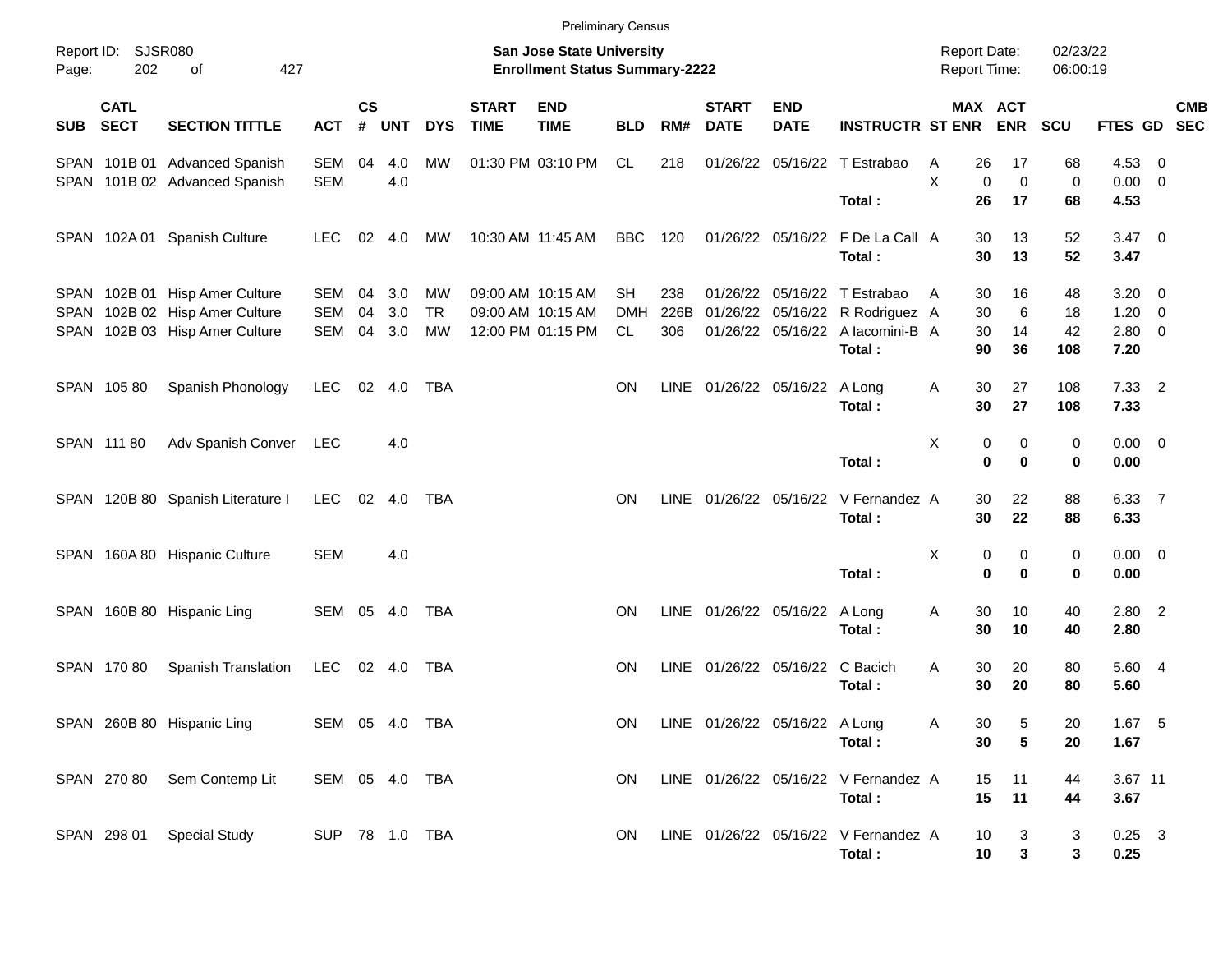|            |                            |                                                                |                   |                |               |                              |                             | <b>Preliminary Census</b>                                          |                  |             |                               |                           |                                                                 |                                            |                                              |                      |                                 |            |
|------------|----------------------------|----------------------------------------------------------------|-------------------|----------------|---------------|------------------------------|-----------------------------|--------------------------------------------------------------------|------------------|-------------|-------------------------------|---------------------------|-----------------------------------------------------------------|--------------------------------------------|----------------------------------------------|----------------------|---------------------------------|------------|
| Page:      | Report ID: SJSR080<br>202  | 427<br>οf                                                      |                   |                |               |                              |                             | San Jose State University<br><b>Enrollment Status Summary-2222</b> |                  |             |                               |                           |                                                                 | <b>Report Date:</b><br><b>Report Time:</b> |                                              | 02/23/22<br>06:00:19 |                                 |            |
| <b>SUB</b> | <b>CATL</b><br><b>SECT</b> | <b>SECTION TITTLE</b>                                          | <b>ACT</b>        | <b>CS</b><br># | <b>UNT</b>    | <b>DYS</b>                   | <b>START</b><br><b>TIME</b> | <b>END</b><br><b>TIME</b>                                          | <b>BLD</b>       | RM#         | <b>START</b><br><b>DATE</b>   | <b>END</b><br><b>DATE</b> | <b>INSTRUCTR ST ENR</b>                                         |                                            | MAX ACT<br><b>ENR</b>                        | <b>SCU</b>           | FTES GD SEC                     | <b>CMB</b> |
|            |                            | SPAN 101B 01 Advanced Spanish<br>SPAN 101B 02 Advanced Spanish | SEM<br><b>SEM</b> | 04             | 4.0<br>4.0    | MW                           |                             | 01:30 PM 03:10 PM                                                  | CL               | 218         |                               |                           | 01/26/22 05/16/22 T Estrabao                                    | A<br>X                                     | 26<br>17<br>$\mathbf 0$<br>$\mathbf 0$       | 68<br>$\mathbf 0$    | 4.53 0<br>$0.00 \t 0$           |            |
|            |                            | SPAN 102A 01 Spanish Culture                                   | <b>LEC</b>        | 02             | 4.0           | МW                           |                             | 10:30 AM 11:45 AM                                                  | BBC              | 120         |                               |                           | Total:<br>01/26/22 05/16/22 F De La Call A<br>Total:            |                                            | 26<br>17<br>13<br>30<br>30<br>13             | 68<br>52<br>52       | 4.53<br>$3.47 \quad 0$<br>3.47  |            |
| SPAN       |                            | SPAN 102B 01 Hisp Amer Culture<br>102B 02 Hisp Amer Culture    | SEM<br><b>SEM</b> | 04<br>04       | 3.0<br>3.0    | MW<br><b>TR</b><br><b>MW</b> |                             | 09:00 AM 10:15 AM<br>09:00 AM 10:15 AM                             | SH<br><b>DMH</b> | 238<br>226B |                               |                           | 01/26/22 05/16/22 T Estrabao<br>01/26/22 05/16/22 R Rodriguez A | A                                          | 30<br>16<br>30<br>6<br>30<br>14              | 48<br>18             | $3.20 \ 0$<br>$1.20 \t 0$       |            |
| SPAN       | SPAN 105 80                | 102B 03 Hisp Amer Culture<br>Spanish Phonology                 | SEM<br><b>LEC</b> | 04             | 3.0<br>02 4.0 | TBA                          |                             | 12:00 PM 01:15 PM                                                  | CL.<br>ΟN        | 306<br>LINE | 01/26/22 05/16/22 A Long      |                           | 01/26/22 05/16/22 A lacomini-B A<br>Total:                      | Α                                          | 90<br>36<br>30<br>27                         | 42<br>108<br>108     | $2.80 \t 0$<br>7.20<br>$7.33$ 2 |            |
|            | SPAN 111 80                | Adv Spanish Conver LEC                                         |                   |                | 4.0           |                              |                             |                                                                    |                  |             |                               |                           | Total:                                                          | X                                          | 30<br>27<br>0<br>0                           | 108<br>0             | 7.33<br>$0.00 \t 0$             |            |
|            |                            | SPAN 120B 80 Spanish Literature I                              | <b>LEC</b>        |                | 02 4.0        | TBA                          |                             |                                                                    | <b>ON</b>        | <b>LINE</b> |                               |                           | Total:<br>01/26/22 05/16/22 V Fernandez A<br>Total:             |                                            | $\bf{0}$<br>$\bf{0}$<br>30<br>22<br>30<br>22 | 0<br>88<br>88        | 0.00<br>6.33 7<br>6.33          |            |
|            |                            | SPAN 160A 80 Hispanic Culture                                  | SEM               |                | 4.0           |                              |                             |                                                                    |                  |             |                               |                           | Total:                                                          | X                                          | 0<br>0<br>$\bf{0}$<br>$\bf{0}$               | 0<br>0               | $0.00 \t 0$<br>0.00             |            |
|            |                            | SPAN 160B 80 Hispanic Ling                                     | SEM 05 4.0        |                |               | TBA                          |                             |                                                                    | ΟN               |             | LINE 01/26/22 05/16/22        |                           | A Long<br>Total:                                                | Α                                          | 30<br>10<br>30<br>10                         | 40<br>40             | $2.80$ 2<br>2.80                |            |
|            | SPAN 170 80                | Spanish Translation                                            | LEC 02 4.0        |                |               | TBA                          |                             |                                                                    | ΟN               | <b>LINE</b> | 01/26/22 05/16/22 C Bacich    |                           | Total:                                                          | Α                                          | 30<br>20<br>30<br>20                         | 80<br>80             | 5.60 4<br>5.60                  |            |
|            |                            | SPAN 260B 80 Hispanic Ling                                     | SEM 05 4.0 TBA    |                |               |                              |                             |                                                                    | ON               |             | LINE 01/26/22 05/16/22 A Long |                           | Total:                                                          | Α                                          | 30<br>5<br>5<br>30                           | 20<br>20             | 1.67 5<br>1.67                  |            |
|            |                            | SPAN 270 80 Sem Contemp Lit                                    | SEM 05 4.0 TBA    |                |               |                              |                             |                                                                    | ON.              |             |                               |                           | LINE 01/26/22 05/16/22 V Fernandez A<br>Total:                  |                                            | 15<br>11<br>15<br>11                         | 44<br>44             | 3.67 11<br>3.67                 |            |
|            |                            | SPAN 298 01 Special Study                                      | SUP 78 1.0 TBA    |                |               |                              |                             |                                                                    | ON.              |             |                               |                           | LINE 01/26/22 05/16/22 V Fernandez A<br>Total:                  |                                            | 10<br>3<br>$\mathbf{3}$<br>10                | 3<br>3               | $0.25$ 3<br>0.25                |            |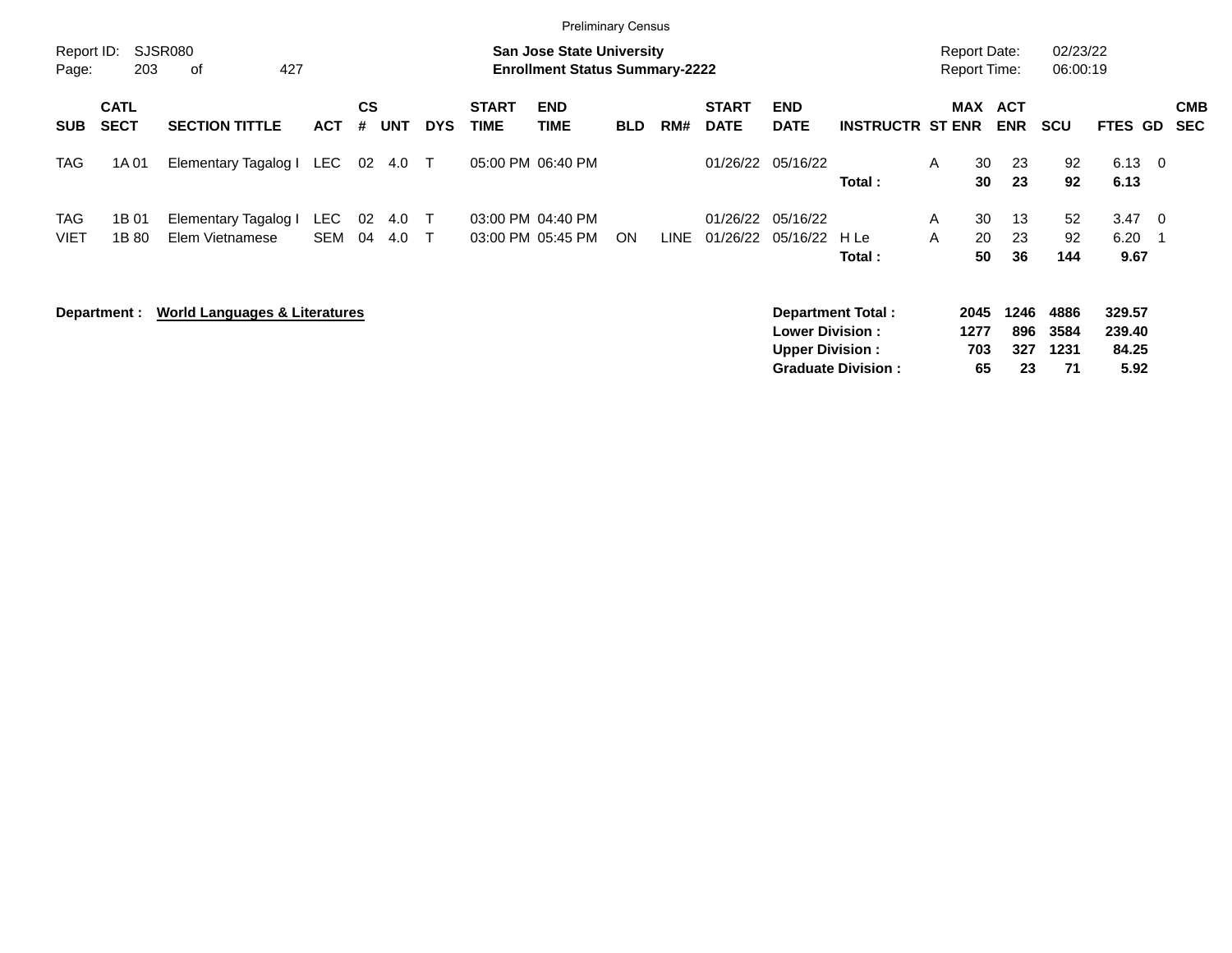|                           |                            |                                          |                          |                |            |            |                             | <b>Preliminary Census</b>                                                 |            |             |                             |                                                  |                                                |                                            |                |                          |                            |                                   |                          |
|---------------------------|----------------------------|------------------------------------------|--------------------------|----------------|------------|------------|-----------------------------|---------------------------------------------------------------------------|------------|-------------|-----------------------------|--------------------------------------------------|------------------------------------------------|--------------------------------------------|----------------|--------------------------|----------------------------|-----------------------------------|--------------------------|
| Report ID:<br>Page:       | 203                        | <b>SJSR080</b><br>427<br>0f              |                          |                |            |            |                             | <b>San Jose State University</b><br><b>Enrollment Status Summary-2222</b> |            |             |                             |                                                  |                                                | <b>Report Date:</b><br><b>Report Time:</b> |                |                          | 02/23/22<br>06:00:19       |                                   |                          |
| <b>SUB</b>                | <b>CATL</b><br><b>SECT</b> | <b>SECTION TITTLE</b>                    | <b>ACT</b>               | <b>CS</b><br># | <b>UNT</b> | <b>DYS</b> | <b>START</b><br><b>TIME</b> | <b>END</b><br><b>TIME</b>                                                 | <b>BLD</b> | RM#         | <b>START</b><br><b>DATE</b> | <b>END</b><br><b>DATE</b>                        | <b>INSTRUCTR ST ENR</b>                        | <b>MAX</b>                                 |                | <b>ACT</b><br><b>ENR</b> | <b>SCU</b>                 | FTES GD                           | <b>CMB</b><br><b>SEC</b> |
| TAG                       | 1A 01                      | Elementary Tagalog I                     | <b>LEC</b>               | 02             | 4.0        | $\top$     |                             | 05:00 PM 06:40 PM                                                         |            |             |                             | 01/26/22 05/16/22                                | Total:                                         | A                                          | 30<br>30       | 23<br>23                 | 92<br>92                   | $6.13 \quad 0$<br>6.13            |                          |
| <b>TAG</b><br><b>VIET</b> | 1B 01<br>1B 80             | Elementary Tagalog I<br>Elem Vietnamese  | <b>LEC</b><br><b>SEM</b> | 02<br>04       | 4.0<br>4.0 | $\top$     |                             | 03:00 PM 04:40 PM<br>03:00 PM 05:45 PM                                    | ON         | <b>LINE</b> | 01/26/22<br>01/26/22        | 05/16/22<br>05/16/22                             | H Le<br>Total:                                 | A<br>A                                     | 30<br>20<br>50 | 13<br>23<br>36           | 52<br>92<br>144            | $3.47 \quad 0$<br>6.20<br>9.67    |                          |
|                           | Department :               | <b>World Languages &amp; Literatures</b> |                          |                |            |            |                             |                                                                           |            |             |                             | <b>Lower Division:</b><br><b>Upper Division:</b> | Department Total:<br><b>Graduate Division:</b> | 2045<br>1277                               | 703<br>65      | 1246<br>896<br>327<br>23 | 4886<br>3584<br>1231<br>71 | 329.57<br>239.40<br>84.25<br>5.92 |                          |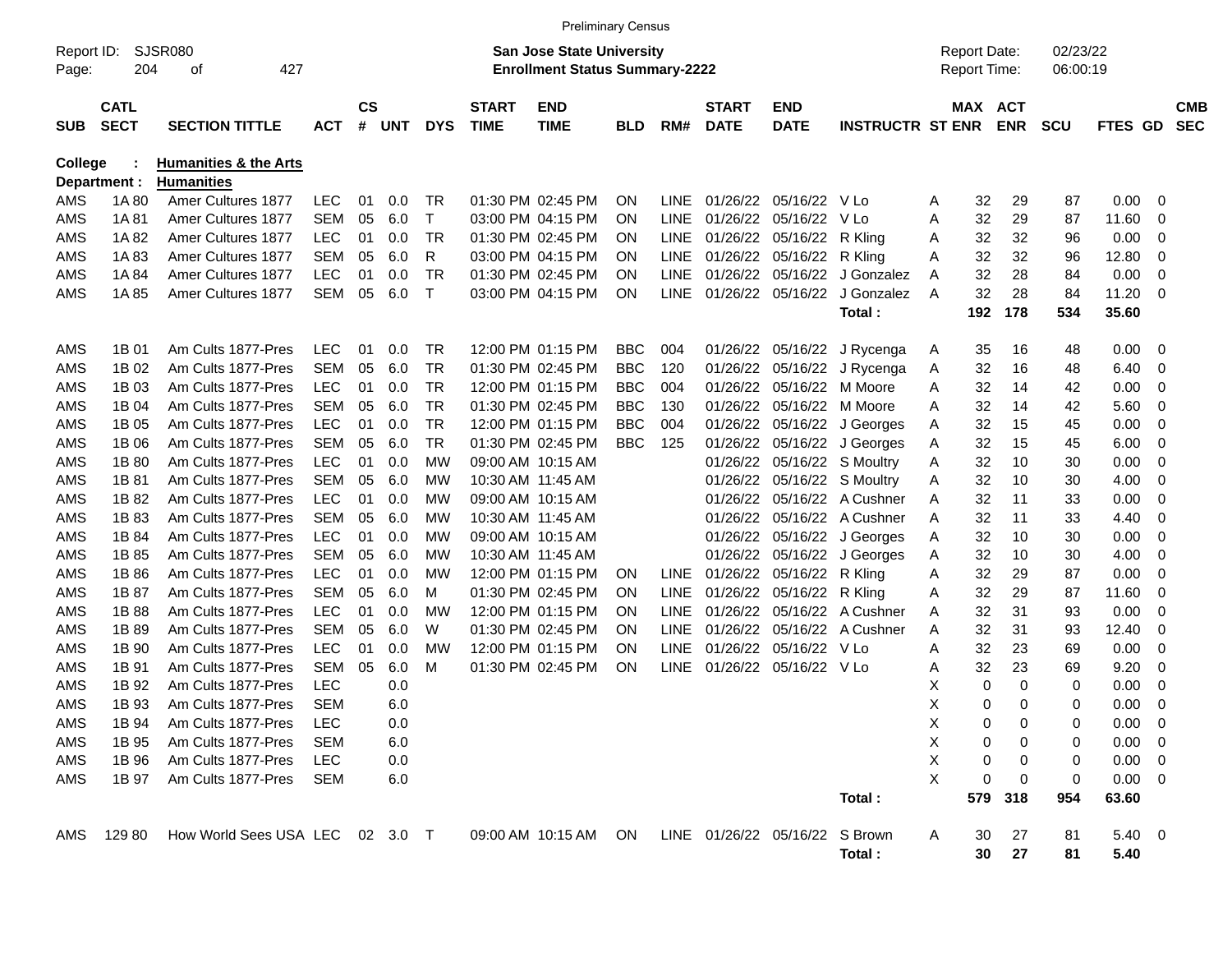|                     |                            |                                                |            |                |     |            |                             | <b>Preliminary Census</b>                                                 |            |             |                             |                                |                         |                                            |                       |                      |             |                          |                          |
|---------------------|----------------------------|------------------------------------------------|------------|----------------|-----|------------|-----------------------------|---------------------------------------------------------------------------|------------|-------------|-----------------------------|--------------------------------|-------------------------|--------------------------------------------|-----------------------|----------------------|-------------|--------------------------|--------------------------|
| Report ID:<br>Page: | 204                        | SJSR080<br>427<br>οf                           |            |                |     |            |                             | <b>San Jose State University</b><br><b>Enrollment Status Summary-2222</b> |            |             |                             |                                |                         | <b>Report Date:</b><br><b>Report Time:</b> |                       | 02/23/22<br>06:00:19 |             |                          |                          |
| <b>SUB</b>          | <b>CATL</b><br><b>SECT</b> | <b>SECTION TITTLE</b>                          | <b>ACT</b> | <b>CS</b><br># | UNT | <b>DYS</b> | <b>START</b><br><b>TIME</b> | <b>END</b><br><b>TIME</b>                                                 | <b>BLD</b> | RM#         | <b>START</b><br><b>DATE</b> | <b>END</b><br><b>DATE</b>      | <b>INSTRUCTR ST ENR</b> |                                            | MAX ACT<br><b>ENR</b> | <b>SCU</b>           | <b>FTES</b> | <b>GD</b>                | <b>CMB</b><br><b>SEC</b> |
| <b>College</b>      |                            | <b>Humanities &amp; the Arts</b>               |            |                |     |            |                             |                                                                           |            |             |                             |                                |                         |                                            |                       |                      |             |                          |                          |
| AMS                 | Department :<br>1A 80      | <b>Humanities</b><br><b>Amer Cultures 1877</b> | <b>LEC</b> | 01             | 0.0 | <b>TR</b>  |                             | 01:30 PM 02:45 PM                                                         | <b>ON</b>  | <b>LINE</b> | 01/26/22                    | 05/16/22                       | V Lo                    | 32<br>Α                                    | 29                    | 87                   | 0.00        | 0                        |                          |
| <b>AMS</b>          | 1A 81                      | Amer Cultures 1877                             | <b>SEM</b> | 05             | 6.0 | $\top$     |                             | 03:00 PM 04:15 PM                                                         | ON         | <b>LINE</b> | 01/26/22                    | 05/16/22                       | V Lo                    | 32<br>A                                    | 29                    | 87                   | 11.60       | 0                        |                          |
| AMS                 | 1A 82                      | Amer Cultures 1877                             | <b>LEC</b> | 01             | 0.0 | <b>TR</b>  |                             | 01:30 PM 02:45 PM                                                         | ON         | LINE        | 01/26/22                    | 05/16/22                       | R Kling                 | 32<br>Α                                    | 32                    | 96                   | 0.00        | 0                        |                          |
| AMS                 | 1A 83                      | Amer Cultures 1877                             | SEM        | 05             | 6.0 | R          |                             | 03:00 PM 04:15 PM                                                         | ON         | LINE        | 01/26/22                    | 05/16/22                       | R Kling                 | 32<br>A                                    | 32                    | 96                   | 12.80       | 0                        |                          |
| AMS                 | 1A 84                      | Amer Cultures 1877                             | LEC        | 01             | 0.0 | <b>TR</b>  |                             | 01:30 PM 02:45 PM                                                         | ON         | LINE        | 01/26/22                    | 05/16/22                       | J Gonzalez              | 32<br>A                                    | 28                    | 84                   | 0.00        | 0                        |                          |
| <b>AMS</b>          | 1A 85                      | Amer Cultures 1877                             | SEM        | 05             | 6.0 | $\top$     |                             | 03:00 PM 04:15 PM                                                         | ON         | <b>LINE</b> | 01/26/22                    | 05/16/22                       | J Gonzalez              | 32<br>$\overline{A}$                       | 28                    | 84                   | 11.20       | 0                        |                          |
|                     |                            |                                                |            |                |     |            |                             |                                                                           |            |             |                             |                                | Total:                  | 192                                        | 178                   | 534                  | 35.60       |                          |                          |
|                     |                            |                                                |            |                |     |            |                             |                                                                           |            |             |                             |                                |                         |                                            |                       |                      |             |                          |                          |
| AMS                 | 1B 01                      | Am Cults 1877-Pres                             | <b>LEC</b> | 01             | 0.0 | <b>TR</b>  |                             | 12:00 PM 01:15 PM                                                         | <b>BBC</b> | 004         | 01/26/22                    | 05/16/22                       | J Rycenga               | 35<br>A                                    | 16                    | 48                   | 0.00        | 0                        |                          |
| AMS                 | 1B 02                      | Am Cults 1877-Pres                             | <b>SEM</b> | 05             | 6.0 | <b>TR</b>  |                             | 01:30 PM 02:45 PM                                                         | <b>BBC</b> | 120         | 01/26/22                    | 05/16/22                       | J Rycenga               | 32<br>Α                                    | 16                    | 48                   | 6.40        | 0                        |                          |
| AMS                 | 1B 03                      | Am Cults 1877-Pres                             | <b>LEC</b> | 01             | 0.0 | <b>TR</b>  |                             | 12:00 PM 01:15 PM                                                         | <b>BBC</b> | 004         | 01/26/22                    | 05/16/22                       | M Moore                 | 32<br>A                                    | 14                    | 42                   | 0.00        | 0                        |                          |
| AMS                 | 1B 04                      | Am Cults 1877-Pres                             | SEM        | 05             | 6.0 | <b>TR</b>  |                             | 01:30 PM 02:45 PM                                                         | <b>BBC</b> | 130         | 01/26/22                    | 05/16/22                       | M Moore                 | 32<br>A                                    | 14                    | 42                   | 5.60        | 0                        |                          |
| AMS                 | 1B 05                      | Am Cults 1877-Pres                             | <b>LEC</b> | 01             | 0.0 | <b>TR</b>  |                             | 12:00 PM 01:15 PM                                                         | <b>BBC</b> | 004         | 01/26/22                    | 05/16/22                       | J Georges               | 32<br>Α                                    | 15                    | 45                   | 0.00        | 0                        |                          |
| AMS                 | 1B 06                      | Am Cults 1877-Pres                             | SEM        | 05             | 6.0 | <b>TR</b>  |                             | 01:30 PM 02:45 PM                                                         | <b>BBC</b> | 125         | 01/26/22                    | 05/16/22                       | J Georges               | 32<br>Α                                    | 15                    | 45                   | 6.00        | 0                        |                          |
| AMS                 | 1B 80                      | Am Cults 1877-Pres                             | <b>LEC</b> | 01             | 0.0 | <b>MW</b>  |                             | 09:00 AM 10:15 AM                                                         |            |             | 01/26/22                    | 05/16/22                       | S Moultry               | 32<br>Α                                    | 10                    | 30                   | 0.00        | 0                        |                          |
| AMS                 | 1B 81                      | Am Cults 1877-Pres                             | SEM        | 05             | 6.0 | МW         |                             | 10:30 AM 11:45 AM                                                         |            |             | 01/26/22                    | 05/16/22                       | S Moultry               | 32<br>Α                                    | 10                    | 30                   | 4.00        | 0                        |                          |
| AMS                 | 1B 82                      | Am Cults 1877-Pres                             | <b>LEC</b> | 01             | 0.0 | МW         |                             | 09:00 AM 10:15 AM                                                         |            |             | 01/26/22                    | 05/16/22                       | A Cushner               | 32<br>A                                    | 11                    | 33                   | 0.00        | 0                        |                          |
| AMS                 | 1B 83                      | Am Cults 1877-Pres                             | SEM        | 05             | 6.0 | МW         |                             | 10:30 AM 11:45 AM                                                         |            |             | 01/26/22                    | 05/16/22                       | A Cushner               | 32<br>A                                    | 11                    | 33                   | 4.40        | 0                        |                          |
| AMS                 | 1B 84                      | Am Cults 1877-Pres                             | <b>LEC</b> | 01             | 0.0 | МW         |                             | 09:00 AM 10:15 AM                                                         |            |             | 01/26/22                    | 05/16/22                       | J Georges               | 32<br>Α                                    | 10                    | 30                   | 0.00        | 0                        |                          |
| AMS                 | 1B 85                      | Am Cults 1877-Pres                             | SEM        | 05             | 6.0 | МW         |                             | 10:30 AM 11:45 AM                                                         |            |             | 01/26/22                    | 05/16/22                       | J Georges               | 32<br>Α                                    | 10                    | 30                   | 4.00        | 0                        |                          |
| AMS                 | 1B 86                      | Am Cults 1877-Pres                             | <b>LEC</b> | 01             | 0.0 | МW         |                             | 12:00 PM 01:15 PM                                                         | ON         | <b>LINE</b> | 01/26/22                    | 05/16/22                       | R Kling                 | 32<br>A                                    | 29                    | 87                   | 0.00        | 0                        |                          |
| AMS                 | 1B 87                      | Am Cults 1877-Pres                             | SEM        | 05             | 6.0 | м          |                             | 01:30 PM 02:45 PM                                                         | ON         | LINE        | 01/26/22                    | 05/16/22                       | R Kling                 | 32<br>Α                                    | 29                    | 87                   | 11.60       | 0                        |                          |
| AMS                 | 1B 88                      | Am Cults 1877-Pres                             | <b>LEC</b> | 01             | 0.0 | МW         |                             | 12:00 PM 01:15 PM                                                         | ON         | LINE        | 01/26/22                    | 05/16/22                       | A Cushner               | 32<br>A                                    | 31                    | 93                   | 0.00        | 0                        |                          |
| AMS                 | 1B 89                      | Am Cults 1877-Pres                             | SEM        | 05             | 6.0 | W          |                             | 01:30 PM 02:45 PM                                                         | ON         | <b>LINE</b> | 01/26/22                    | 05/16/22                       | A Cushner               | 32<br>A                                    | 31                    | 93                   | 12.40       | 0                        |                          |
| AMS                 | 1B 90                      | Am Cults 1877-Pres                             | <b>LEC</b> | 01             | 0.0 | МW         |                             | 12:00 PM 01:15 PM                                                         | ON         | LINE        | 01/26/22                    | 05/16/22                       | V Lo                    | 32<br>A                                    | 23                    | 69                   | 0.00        | 0                        |                          |
| AMS                 | 1B 91                      | Am Cults 1877-Pres                             | SEM        | 05             | 6.0 | м          |                             | 01:30 PM 02:45 PM                                                         | ON         | <b>LINE</b> | 01/26/22                    | 05/16/22                       | V Lo                    | 32<br>Α                                    | 23                    | 69                   | 9.20        | 0                        |                          |
| AMS                 | 1B 92                      | Am Cults 1877-Pres                             | <b>LEC</b> |                | 0.0 |            |                             |                                                                           |            |             |                             |                                |                         | X                                          | $\mathbf 0$<br>0      | 0                    | 0.00        | 0                        |                          |
| AMS                 | 1B 93                      | Am Cults 1877-Pres                             | <b>SEM</b> |                | 6.0 |            |                             |                                                                           |            |             |                             |                                |                         | X                                          | $\mathbf 0$<br>0      | 0                    | 0.00        | $\mathbf 0$              |                          |
| AMS                 | 1B 94                      | Am Cults 1877-Pres                             | LEC        |                | 0.0 |            |                             |                                                                           |            |             |                             |                                |                         | X                                          | 0<br>0                | 0                    | 0.00        | $\overline{\mathbf{0}}$  |                          |
| AMS                 | 1B 95                      | Am Cults 1877-Pres                             | <b>SEM</b> |                | 6.0 |            |                             |                                                                           |            |             |                             |                                |                         | X                                          | 0<br>0                | 0                    | 0.00        | - 0                      |                          |
| AMS                 | 1B 96                      | Am Cults 1877-Pres                             | <b>LEC</b> |                | 0.0 |            |                             |                                                                           |            |             |                             |                                |                         | X                                          | 0<br>0                | 0                    | 0.00        | $\overline{\phantom{0}}$ |                          |
| AMS                 | 1B 97                      | Am Cults 1877-Pres                             | SEM        |                | 6.0 |            |                             |                                                                           |            |             |                             |                                |                         | X                                          | 0<br>0                | 0                    | $0.00 \t 0$ |                          |                          |
|                     |                            |                                                |            |                |     |            |                             |                                                                           |            |             |                             |                                | Total:                  | 579                                        | 318                   | 954                  | 63.60       |                          |                          |
| AMS                 | 129 80                     | How World Sees USA LEC 02 3.0 T                |            |                |     |            |                             | 09:00 AM 10:15 AM ON                                                      |            |             |                             | LINE 01/26/22 05/16/22 S Brown |                         | 30<br>A                                    | 27                    | 81                   | $5.40\ 0$   |                          |                          |
|                     |                            |                                                |            |                |     |            |                             |                                                                           |            |             |                             |                                | Total:                  |                                            | 27<br>30              | 81                   | 5.40        |                          |                          |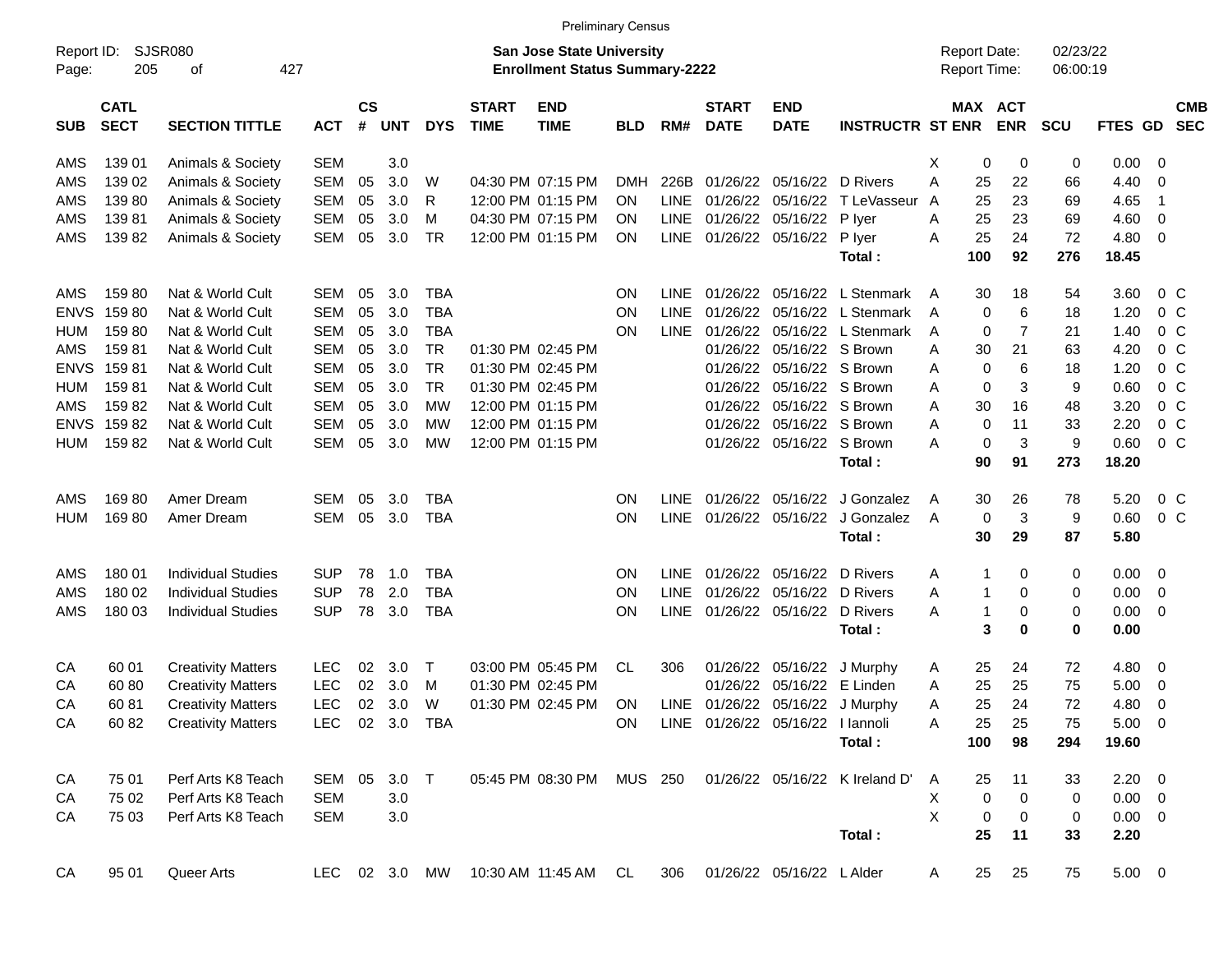|                     |                            |                             |                |                |            |            |                             |                                                                    | <b>Preliminary Census</b> |             |                             |                                  |                                |   |                                     |            |                      |             |                          |                          |
|---------------------|----------------------------|-----------------------------|----------------|----------------|------------|------------|-----------------------------|--------------------------------------------------------------------|---------------------------|-------------|-----------------------------|----------------------------------|--------------------------------|---|-------------------------------------|------------|----------------------|-------------|--------------------------|--------------------------|
| Report ID:<br>Page: | 205                        | <b>SJSR080</b><br>427<br>оf |                |                |            |            |                             | San Jose State University<br><b>Enrollment Status Summary-2222</b> |                           |             |                             |                                  |                                |   | <b>Report Date:</b><br>Report Time: |            | 02/23/22<br>06:00:19 |             |                          |                          |
| <b>SUB</b>          | <b>CATL</b><br><b>SECT</b> | <b>SECTION TITTLE</b>       | <b>ACT</b>     | <b>CS</b><br># | <b>UNT</b> | <b>DYS</b> | <b>START</b><br><b>TIME</b> | <b>END</b><br><b>TIME</b>                                          | <b>BLD</b>                | RM#         | <b>START</b><br><b>DATE</b> | <b>END</b><br><b>DATE</b>        | <b>INSTRUCTR ST ENR</b>        |   | MAX ACT                             | <b>ENR</b> | <b>SCU</b>           | FTES GD     |                          | <b>CMB</b><br><b>SEC</b> |
| AMS                 | 139 01                     | Animals & Society           | <b>SEM</b>     |                | 3.0        |            |                             |                                                                    |                           |             |                             |                                  |                                | Х | 0                                   | 0          | 0                    | 0.00        | - 0                      |                          |
| AMS                 | 139 02                     | Animals & Society           | <b>SEM</b>     | 05             | 3.0        | W          |                             | 04:30 PM 07:15 PM                                                  | DMH                       | 226B        |                             | 01/26/22 05/16/22                | D Rivers                       | A | 25                                  | 22         | 66                   | 4.40        | 0                        |                          |
| AMS                 | 13980                      | Animals & Society           | <b>SEM</b>     | 05             | 3.0        | R          |                             | 12:00 PM 01:15 PM                                                  | ON                        | <b>LINE</b> |                             |                                  | 01/26/22 05/16/22 T LeVasseur  | A | 25                                  | 23         | 69                   | 4.65        | -1                       |                          |
| AMS                 | 13981                      | Animals & Society           | <b>SEM</b>     | 05             | 3.0        | м          |                             | 04:30 PM 07:15 PM                                                  | ON                        | <b>LINE</b> |                             | 01/26/22 05/16/22                | P lyer                         | A | 25                                  | 23         | 69                   | 4.60        | 0                        |                          |
| AMS                 | 13982                      | Animals & Society           | <b>SEM</b>     | 05             | 3.0        | TR         |                             | 12:00 PM 01:15 PM                                                  | ΟN                        | LINE        |                             | 01/26/22 05/16/22                | P lyer                         | Α | 25                                  | 24         | 72                   | 4.80        | $\overline{\mathbf{0}}$  |                          |
|                     |                            |                             |                |                |            |            |                             |                                                                    |                           |             |                             |                                  | Total:                         |   | 100                                 | 92         | 276                  | 18.45       |                          |                          |
| AMS                 | 15980                      | Nat & World Cult            | <b>SEM</b>     | 05             | 3.0        | <b>TBA</b> |                             |                                                                    | <b>ON</b>                 | LINE        |                             |                                  | 01/26/22 05/16/22 L Stenmark   | A | 30                                  | 18         | 54                   | 3.60        | $0\,$ C                  |                          |
| <b>ENVS</b>         | 15980                      | Nat & World Cult            | <b>SEM</b>     | 05             | 3.0        | <b>TBA</b> |                             |                                                                    | <b>ON</b>                 | <b>LINE</b> |                             |                                  | 01/26/22 05/16/22 L Stenmark   | A | $\mathbf 0$                         | 6          | 18                   | 1.20        | $0\,C$                   |                          |
| <b>HUM</b>          | 15980                      | Nat & World Cult            | <b>SEM</b>     | 05             | 3.0        | TBA        |                             |                                                                    | ON                        | <b>LINE</b> |                             |                                  | 01/26/22 05/16/22 L Stenmark   | A | 0                                   | 7          | 21                   | 1.40        | 0 <sup>o</sup>           |                          |
| AMS                 | 15981                      | Nat & World Cult            | <b>SEM</b>     | 05             | 3.0        | <b>TR</b>  |                             | 01:30 PM 02:45 PM                                                  |                           |             |                             | 01/26/22 05/16/22 S Brown        |                                | A | 30                                  | 21         | 63                   | 4.20        | 0 <sup>o</sup>           |                          |
| <b>ENVS</b>         | 15981                      | Nat & World Cult            | <b>SEM</b>     | 05             | 3.0        | <b>TR</b>  |                             | 01:30 PM 02:45 PM                                                  |                           |             |                             | 01/26/22 05/16/22 S Brown        |                                | Α | 0                                   | 6          | 18                   | 1.20        | $0\,C$                   |                          |
| <b>HUM</b>          | 15981                      | Nat & World Cult            | <b>SEM</b>     | 05             | 3.0        | <b>TR</b>  |                             | 01:30 PM 02:45 PM                                                  |                           |             |                             | 01/26/22 05/16/22 S Brown        |                                | A | 0                                   | 3          | 9                    | 0.60        | 0 <sup>o</sup>           |                          |
| AMS                 | 15982                      | Nat & World Cult            | <b>SEM</b>     | 05             | 3.0        | MW         |                             | 12:00 PM 01:15 PM                                                  |                           |             |                             | 01/26/22 05/16/22 S Brown        |                                | Α | 30                                  | 16         | 48                   | 3.20        | 0 <sup>o</sup>           |                          |
| <b>ENVS</b>         | 15982                      | Nat & World Cult            | <b>SEM</b>     | 05             | 3.0        | MW         |                             | 12:00 PM 01:15 PM                                                  |                           |             |                             | 01/26/22 05/16/22 S Brown        |                                | Α | 0                                   | 11         | 33                   | 2.20        | 0 <sup>o</sup>           |                          |
| <b>HUM</b>          | 15982                      | Nat & World Cult            | <b>SEM</b>     | 05             | 3.0        | MW         |                             | 12:00 PM 01:15 PM                                                  |                           |             |                             | 01/26/22 05/16/22 S Brown        |                                | Α | 0                                   | 3          | 9                    | 0.60        | 0 <sup>o</sup>           |                          |
|                     |                            |                             |                |                |            |            |                             |                                                                    |                           |             |                             |                                  | Total:                         |   | 90                                  | 91         | 273                  | 18.20       |                          |                          |
| AMS                 | 16980                      | Amer Dream                  | SEM            | 05             | 3.0        | TBA        |                             |                                                                    | <b>ON</b>                 | <b>LINE</b> |                             |                                  | 01/26/22 05/16/22 J Gonzalez   | A | 30                                  | 26         | 78                   | 5.20        | $0\,$ C                  |                          |
| <b>HUM</b>          | 16980                      | Amer Dream                  | <b>SEM</b>     | 05             | 3.0        | TBA        |                             |                                                                    | <b>ON</b>                 | <b>LINE</b> |                             | 01/26/22 05/16/22                | J Gonzalez                     | A | 0                                   | 3          | 9                    | 0.60        | 0 <sup>o</sup>           |                          |
|                     |                            |                             |                |                |            |            |                             |                                                                    |                           |             |                             |                                  | Total:                         |   | 30                                  | 29         | 87                   | 5.80        |                          |                          |
| AMS                 | 180 01                     | <b>Individual Studies</b>   | <b>SUP</b>     | 78             | 1.0        | TBA        |                             |                                                                    | <b>ON</b>                 | <b>LINE</b> |                             | 01/26/22 05/16/22 D Rivers       |                                | A | 1                                   | 0          | 0                    | 0.00        | $\overline{\phantom{0}}$ |                          |
| AMS                 | 180 02                     | <b>Individual Studies</b>   | <b>SUP</b>     | 78             | 2.0        | <b>TBA</b> |                             |                                                                    | <b>ON</b>                 | <b>LINE</b> |                             | 01/26/22 05/16/22                | D Rivers                       | Α | $\mathbf{1}$                        | 0          | 0                    | 0.00        | $\overline{\mathbf{0}}$  |                          |
| AMS                 | 180 03                     | <b>Individual Studies</b>   | <b>SUP</b>     | 78             | 3.0        | <b>TBA</b> |                             |                                                                    | ΟN                        | <b>LINE</b> |                             | 01/26/22 05/16/22                | D Rivers                       | Α | $\mathbf{1}$                        | 0          | 0                    | 0.00        | $\overline{\mathbf{0}}$  |                          |
|                     |                            |                             |                |                |            |            |                             |                                                                    |                           |             |                             |                                  | Total:                         |   | 3                                   | 0          | 0                    | 0.00        |                          |                          |
| CA                  | 60 01                      | <b>Creativity Matters</b>   | <b>LEC</b>     | 02             | 3.0        | $\top$     |                             | 03:00 PM 05:45 PM                                                  | CL                        | 306         |                             |                                  | 01/26/22 05/16/22 J Murphy     | A | 25                                  | 24         | 72                   | 4.80        | $\overline{\mathbf{0}}$  |                          |
| CA                  | 6080                       | <b>Creativity Matters</b>   | <b>LEC</b>     | 02             | 3.0        | M          |                             | 01:30 PM 02:45 PM                                                  |                           |             |                             | 01/26/22 05/16/22 E Linden       |                                | A | 25                                  | 25         | 75                   | 5.00        | $\overline{\mathbf{0}}$  |                          |
| CA                  | 6081                       | <b>Creativity Matters</b>   | <b>LEC</b>     | 02             | 3.0        | W          |                             | 01:30 PM 02:45 PM                                                  | <b>ON</b>                 | LINE        |                             |                                  | 01/26/22 05/16/22 J Murphy     | Α | 25                                  | 24         | 72                   | 4.80        | 0                        |                          |
| CA                  | 60 82                      | <b>Creativity Matters</b>   | LEC 02 3.0 TBA |                |            |            |                             |                                                                    | ON.                       |             |                             | LINE 01/26/22 05/16/22 I lannoli |                                | Α | 25                                  | 25         | 75                   | $5.00 \t 0$ |                          |                          |
|                     |                            |                             |                |                |            |            |                             |                                                                    |                           |             |                             |                                  | Total:                         |   | 100                                 | 98         | 294                  | 19.60       |                          |                          |
| CA                  | 75 01                      | Perf Arts K8 Teach          | SEM 05         |                | $3.0$ T    |            |                             | 05:45 PM 08:30 PM                                                  | MUS 250                   |             |                             |                                  | 01/26/22 05/16/22 K Ireland D' | A | 25                                  | 11         | 33                   | $2.20 \t 0$ |                          |                          |
| CA                  | 75 02                      | Perf Arts K8 Teach          | <b>SEM</b>     |                | 3.0        |            |                             |                                                                    |                           |             |                             |                                  |                                | X | 0                                   | 0          | 0                    | $0.00 \t 0$ |                          |                          |
| CA                  | 75 03                      | Perf Arts K8 Teach          | SEM            |                | 3.0        |            |                             |                                                                    |                           |             |                             |                                  |                                | X | 0                                   | 0          | 0                    | $0.00 \t 0$ |                          |                          |
|                     |                            |                             |                |                |            |            |                             |                                                                    |                           |             |                             |                                  | Total:                         |   | 25                                  | 11         | 33                   | 2.20        |                          |                          |
| CA                  | 95 01                      | Queer Arts                  | LEC.           |                | 02 3.0 MW  |            |                             | 10:30 AM 11:45 AM                                                  | CL                        | 306         |                             | 01/26/22 05/16/22 L Alder        |                                | A | 25                                  | 25         | 75                   | $5.00 \t 0$ |                          |                          |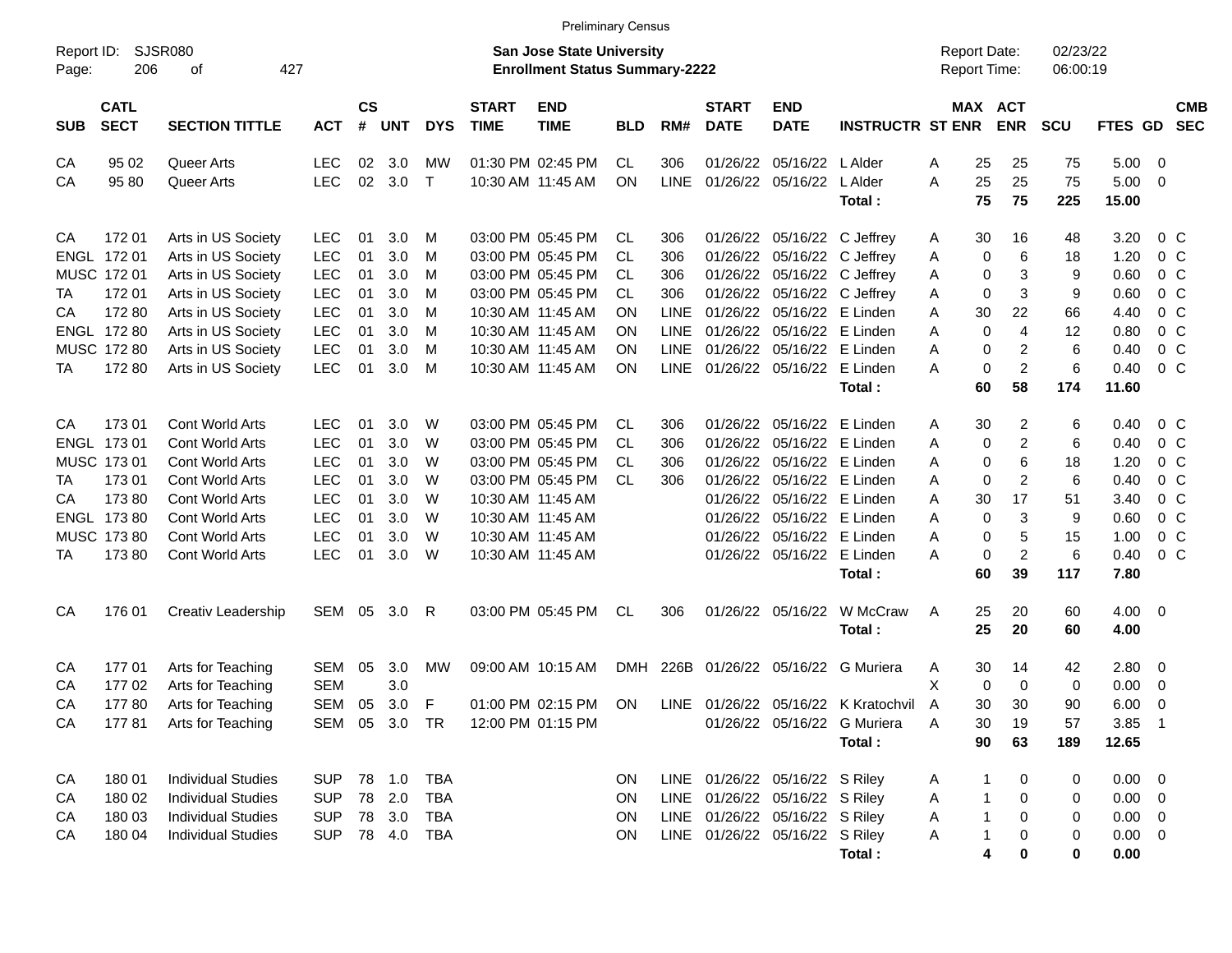|                     |                                                                   |                           |               |    |                         |              |                             | <b>Preliminary Census</b>                                                 |            |             |                                |                             |                                      |                                     |                |                      |             |                            |                          |
|---------------------|-------------------------------------------------------------------|---------------------------|---------------|----|-------------------------|--------------|-----------------------------|---------------------------------------------------------------------------|------------|-------------|--------------------------------|-----------------------------|--------------------------------------|-------------------------------------|----------------|----------------------|-------------|----------------------------|--------------------------|
| Report ID:<br>Page: | 206                                                               | SJSR080<br>427<br>οf      |               |    |                         |              |                             | <b>San Jose State University</b><br><b>Enrollment Status Summary-2222</b> |            |             |                                |                             |                                      | <b>Report Date:</b><br>Report Time: |                | 02/23/22<br>06:00:19 |             |                            |                          |
| <b>SUB</b>          | <b>CATL</b><br><b>SECT</b><br><b>SECTION TITTLE</b><br><b>ACT</b> |                           |               |    | <b>CS</b><br><b>UNT</b> | <b>DYS</b>   | <b>START</b><br><b>TIME</b> | <b>END</b><br><b>TIME</b>                                                 | <b>BLD</b> | RM#         | <b>START</b><br><b>DATE</b>    | <b>END</b><br><b>DATE</b>   | <b>INSTRUCTR ST ENR</b>              | <b>MAX ACT</b>                      | <b>ENR</b>     | <b>SCU</b>           | FTES GD     |                            | <b>CMB</b><br><b>SEC</b> |
| CA                  | 95 02                                                             | Queer Arts                | LEC           | 02 | 3.0                     | MW           |                             | 01:30 PM 02:45 PM                                                         | CL.        | 306         | 01/26/22                       | 05/16/22                    | L Alder                              | 25<br>Α                             | 25             | 75                   | 5.00        | $\overline{\phantom{0}}$   |                          |
| CA                  | 95 80                                                             | Queer Arts                | <b>LEC</b>    | 02 | 3.0                     | $\mathsf{T}$ |                             | 10:30 AM 11:45 AM                                                         | ΟN         | <b>LINE</b> | 01/26/22 05/16/22 LAIder       |                             |                                      | 25<br>A                             | 25             | 75                   | 5.00        | $\overline{\phantom{0}}$   |                          |
|                     |                                                                   |                           |               |    |                         |              |                             |                                                                           |            |             |                                |                             | Total:                               | 75                                  | 75             | 225                  | 15.00       |                            |                          |
| CA                  | 172 01                                                            | Arts in US Society        | LEC           | 01 | 3.0                     | M            |                             | 03:00 PM 05:45 PM                                                         | CL         | 306         |                                | 01/26/22 05/16/22 C Jeffrey |                                      | 30<br>A                             | 16             | 48                   | 3.20        | 0 C                        |                          |
|                     | ENGL 172 01                                                       | Arts in US Society        | <b>LEC</b>    | 01 | 3.0                     | M            |                             | 03:00 PM 05:45 PM                                                         | CL         | 306         |                                | 01/26/22 05/16/22 C Jeffrey |                                      | 0<br>A                              | 6              | 18                   | 1.20        | $0\,$ C                    |                          |
|                     | MUSC 172 01                                                       | Arts in US Society        | <b>LEC</b>    | 01 | 3.0                     | M            |                             | 03:00 PM 05:45 PM                                                         | CL.        | 306         |                                | 01/26/22 05/16/22 C Jeffrey |                                      | 0<br>A                              | 3              | 9                    | 0.60        | $0\,$ C                    |                          |
| TA                  | 172 01                                                            | Arts in US Society        | <b>LEC</b>    | 01 | 3.0                     | M            |                             | 03:00 PM 05:45 PM                                                         | CL.        | 306         |                                | 01/26/22 05/16/22 C Jeffrey |                                      | 0<br>Α                              | 3              | 9                    | 0.60        | $0\,$ C                    |                          |
| CA                  | 17280                                                             | Arts in US Society        | <b>LEC</b>    | 01 | 3.0                     | M            |                             | 10:30 AM 11:45 AM                                                         | ΟN         | <b>LINE</b> |                                | 01/26/22 05/16/22 E Linden  |                                      | 30<br>Α                             | 22             | 66                   | 4.40        | 0 <sup>o</sup>             |                          |
|                     | ENGL 172 80                                                       | Arts in US Society        | <b>LEC</b>    | 01 | 3.0                     | M            |                             | 10:30 AM 11:45 AM                                                         | ΟN         | <b>LINE</b> |                                | 01/26/22 05/16/22 E Linden  |                                      | 0<br>Α                              | $\overline{4}$ | 12                   | 0.80        | 0 <sup>o</sup>             |                          |
|                     | MUSC 172 80                                                       | Arts in US Society        | <b>LEC</b>    | 01 | 3.0                     | M            |                             | 10:30 AM 11:45 AM                                                         | ΟN         | LINE        |                                | 01/26/22 05/16/22 E Linden  |                                      | Α<br>0                              | 2              | 6                    | 0.40        | 0 <sup>o</sup>             |                          |
| TA                  | 17280                                                             | Arts in US Society        | <b>LEC</b>    | 01 | 3.0                     | M            |                             | 10:30 AM 11:45 AM                                                         | ΟN         | <b>LINE</b> |                                | 01/26/22 05/16/22 E Linden  |                                      | 0<br>Α                              | $\overline{c}$ | 6                    | 0.40        | $0\,$ C                    |                          |
|                     |                                                                   |                           |               |    |                         |              |                             |                                                                           |            |             |                                |                             | Total:                               | 60                                  | 58             | 174                  | 11.60       |                            |                          |
| CA                  | 17301                                                             | Cont World Arts           | <b>LEC</b>    | 01 | 3.0                     | W            |                             | 03:00 PM 05:45 PM                                                         | CL         | 306         |                                | 01/26/22 05/16/22 E Linden  |                                      | 30<br>A                             | 2              | 6                    | 0.40        | 0 C                        |                          |
|                     | ENGL 173 01                                                       | Cont World Arts           | <b>LEC</b>    | 01 | 3.0                     | W            |                             | 03:00 PM 05:45 PM                                                         | CL.        | 306         |                                | 01/26/22 05/16/22 E Linden  |                                      | Α<br>0                              | 2              | 6                    | 0.40        | 0 <sup>o</sup>             |                          |
|                     | MUSC 173 01                                                       | Cont World Arts           | <b>LEC</b>    | 01 | 3.0                     | W            |                             | 03:00 PM 05:45 PM                                                         | CL.        | 306         |                                | 01/26/22 05/16/22 E Linden  |                                      | 0<br>Α                              | 6              | 18                   | 1.20        | 0 <sup>o</sup>             |                          |
| TA                  | 17301                                                             | Cont World Arts           | <b>LEC</b>    | 01 | 3.0                     | W            |                             | 03:00 PM 05:45 PM                                                         | CL.        | 306         |                                | 01/26/22 05/16/22 E Linden  |                                      | 0<br>Α                              | 2              | 6                    | 0.40        | $0\,$ C                    |                          |
| СA                  | 17380                                                             | Cont World Arts           | <b>LEC</b>    | 01 | 3.0                     | W            |                             | 10:30 AM 11:45 AM                                                         |            |             |                                | 01/26/22 05/16/22 E Linden  |                                      | Α<br>30                             | 17             | 51                   | 3.40        | 0 <sup>o</sup>             |                          |
|                     | ENGL 173 80                                                       | Cont World Arts           | LEC           | 01 | 3.0                     | W            |                             | 10:30 AM 11:45 AM                                                         |            |             |                                | 01/26/22 05/16/22 E Linden  |                                      | 0<br>Α                              | 3              | 9                    | 0.60        | 0 <sup>o</sup>             |                          |
|                     | MUSC 173 80                                                       | Cont World Arts           | <b>LEC</b>    | 01 | 3.0                     | W            |                             | 10:30 AM 11:45 AM                                                         |            |             |                                | 01/26/22 05/16/22 E Linden  |                                      | Α<br>0                              | 5              | 15                   | 1.00        | 0 <sup>o</sup>             |                          |
| TA                  | 17380                                                             | <b>Cont World Arts</b>    | LEC           | 01 | 3.0                     | W            |                             | 10:30 AM 11:45 AM                                                         |            |             |                                | 01/26/22 05/16/22 E Linden  |                                      | 0<br>Α                              | $\overline{c}$ | 6                    | 0.40        | 0 <sup>o</sup>             |                          |
|                     |                                                                   |                           |               |    |                         |              |                             |                                                                           |            |             |                                |                             | Total:                               | 60                                  | 39             | 117                  | 7.80        |                            |                          |
| CA                  | 176 01                                                            | Creativ Leadership        | SEM 05 3.0    |    |                         | R            |                             | 03:00 PM 05:45 PM                                                         | CL         | 306         |                                | 01/26/22 05/16/22           | W McCraw                             | Α<br>25                             | 20             | 60                   | $4.00 \ 0$  |                            |                          |
|                     |                                                                   |                           |               |    |                         |              |                             |                                                                           |            |             |                                |                             | Total:                               | 25                                  | 20             | 60                   | 4.00        |                            |                          |
| CA                  | 17701                                                             | Arts for Teaching         | SEM           | 05 | 3.0                     | МW           |                             | 09:00 AM 10:15 AM                                                         |            |             |                                |                             | DMH 226B 01/26/22 05/16/22 G Muriera | 30<br>A                             | 14             | 42                   | 2.80        | $\overline{\phantom{0}}$   |                          |
| CA                  | 17702                                                             | Arts for Teaching         | <b>SEM</b>    |    | 3.0                     |              |                             |                                                                           |            |             |                                |                             |                                      | X<br>0                              | 0              | 0                    | 0.00        | $\overline{\mathbf{0}}$    |                          |
| CA                  | 17780                                                             | Arts for Teaching         | SEM           | 05 | 3.0                     | F            |                             | 01:00 PM 02:15 PM                                                         | ON         |             |                                |                             | LINE 01/26/22 05/16/22 K Kratochvil  | 30<br>A                             | 30             | 90                   | 6.00        | 0                          |                          |
| CA                  |                                                                   | 177 81 Arts for Teaching  | SEM 05 3.0 TR |    |                         |              |                             | 12:00 PM 01:15 PM                                                         |            |             |                                |                             | 01/26/22 05/16/22 G Muriera          | $30\,$<br>Α                         | 19             | 57                   | 3.85        | $\overline{\phantom{0}}$ 1 |                          |
|                     |                                                                   |                           |               |    |                         |              |                             |                                                                           |            |             |                                |                             | Total:                               | 90                                  | 63             | 189                  | 12.65       |                            |                          |
| CA                  | 180 01                                                            | <b>Individual Studies</b> | SUP           |    |                         | <b>TBA</b>   |                             |                                                                           | ON.        |             | LINE 01/26/22 05/16/22 S Riley |                             |                                      | 1<br>A                              | 0              | 0                    | $0.00 \t 0$ |                            |                          |
| CA                  | 180 02                                                            | <b>Individual Studies</b> | <b>SUP</b>    |    | 78 2.0                  | <b>TBA</b>   |                             |                                                                           | ON         |             | LINE 01/26/22 05/16/22 S Riley |                             |                                      | $\mathbf{1}$<br>A                   | 0              | 0                    | $0.00 \t 0$ |                            |                          |
| CA                  | 180 03                                                            | <b>Individual Studies</b> | <b>SUP</b>    |    | 78 3.0                  | <b>TBA</b>   |                             |                                                                           | ON         |             | LINE 01/26/22 05/16/22 S Riley |                             |                                      | $\mathbf{1}$<br>Α                   | 0              | 0                    | $0.00 \t 0$ |                            |                          |
| CA                  | 180 04                                                            | <b>Individual Studies</b> | <b>SUP</b>    |    | 78 4.0                  | TBA          |                             |                                                                           | ON         |             | LINE 01/26/22 05/16/22 S Riley |                             |                                      | $\mathbf{1}$<br>Α                   | 0              | 0                    | $0.00 \t 0$ |                            |                          |
|                     |                                                                   |                           |               |    |                         |              |                             |                                                                           |            |             |                                |                             | Total:                               | 4                                   | 0              | 0                    | 0.00        |                            |                          |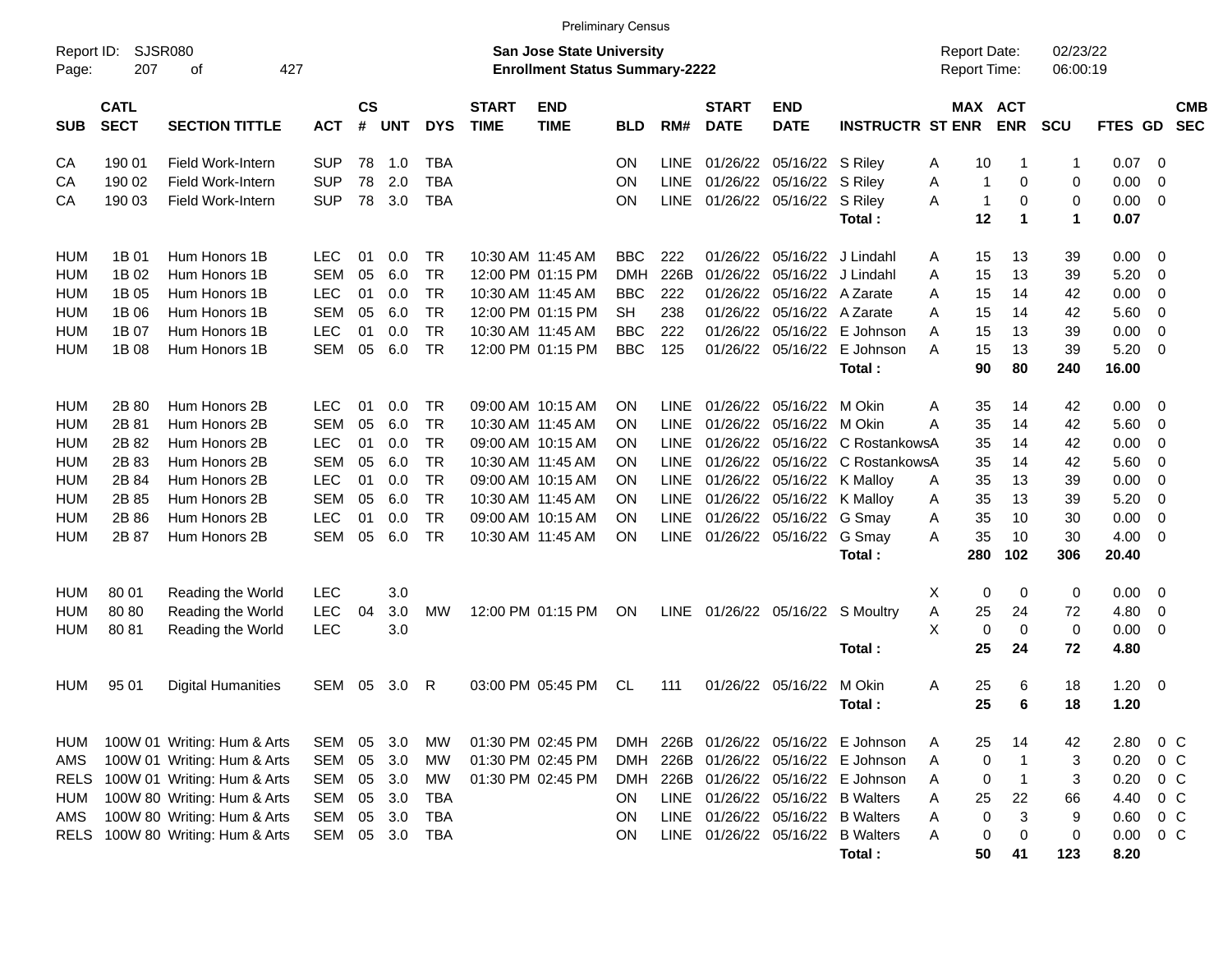|                     |                            |                                        |                          |                         |            |                          |                             | <b>Preliminary Census</b>                                                 |                          |                     |                             |                              |                                  |                                     |                  |                      |              |                    |                          |
|---------------------|----------------------------|----------------------------------------|--------------------------|-------------------------|------------|--------------------------|-----------------------------|---------------------------------------------------------------------------|--------------------------|---------------------|-----------------------------|------------------------------|----------------------------------|-------------------------------------|------------------|----------------------|--------------|--------------------|--------------------------|
| Report ID:<br>Page: | 207                        | <b>SJSR080</b><br>427<br>οf            |                          |                         |            |                          |                             | <b>San Jose State University</b><br><b>Enrollment Status Summary-2222</b> |                          |                     |                             |                              |                                  | <b>Report Date:</b><br>Report Time: |                  | 02/23/22<br>06:00:19 |              |                    |                          |
| <b>SUB</b>          | <b>CATL</b><br><b>SECT</b> | <b>SECTION TITTLE</b>                  | <b>ACT</b>               | <b>CS</b><br>$\pmb{\#}$ | <b>UNT</b> | <b>DYS</b>               | <b>START</b><br><b>TIME</b> | <b>END</b><br><b>TIME</b>                                                 | <b>BLD</b>               | RM#                 | <b>START</b><br><b>DATE</b> | <b>END</b><br><b>DATE</b>    | <b>INSTRUCTR ST ENR</b>          | MAX ACT                             | <b>ENR</b>       | SCU                  | FTES GD      |                    | <b>CMB</b><br><b>SEC</b> |
| CА<br>CА            | 190 01<br>190 02           | Field Work-Intern<br>Field Work-Intern | <b>SUP</b><br><b>SUP</b> | 78<br>78                | 1.0<br>2.0 | <b>TBA</b><br><b>TBA</b> |                             |                                                                           | ΟN<br>ΟN                 | LINE<br><b>LINE</b> | 01/26/22<br>01/26/22        | 05/16/22 S Riley<br>05/16/22 | S Riley                          | Α<br>10<br>A<br>$\mathbf{1}$        | -1<br>0          | $\mathbf 1$<br>0     | 0.07<br>0.00 | - 0<br>$\mathbf 0$ |                          |
| CА                  | 190 03                     | Field Work-Intern                      | <b>SUP</b>               | 78                      | 3.0        | <b>TBA</b>               |                             |                                                                           | ΟN                       | <b>LINE</b>         |                             | 01/26/22 05/16/22            | S Riley<br>Total:                | $\mathbf{1}$<br>A<br>12             | 0<br>$\mathbf 1$ | 0<br>$\mathbf 1$     | 0.00<br>0.07 | $\overline{0}$     |                          |
| HUM<br><b>HUM</b>   | 1B 01<br>1B 02             | Hum Honors 1B<br>Hum Honors 1B         | <b>LEC</b><br><b>SEM</b> | 01<br>05                | 0.0<br>6.0 | <b>TR</b><br><b>TR</b>   |                             | 10:30 AM 11:45 AM<br>12:00 PM 01:15 PM                                    | <b>BBC</b><br><b>DMH</b> | 222<br>226B         | 01/26/22<br>01/26/22        | 05/16/22<br>05/16/22         | J Lindahl<br>J Lindahl           | 15<br>A<br>15<br>Α                  | 13<br>13         | 39<br>39             | 0.00<br>5.20 | - 0<br>$\mathbf 0$ |                          |
| <b>HUM</b>          | 1B 05                      | Hum Honors 1B                          | <b>LEC</b>               | 01                      | 0.0        | <b>TR</b>                |                             | 10:30 AM 11:45 AM                                                         | <b>BBC</b>               | 222                 | 01/26/22                    | 05/16/22                     | A Zarate                         | 15<br>Α                             | 14               | 42                   | 0.00         | $\mathbf 0$        |                          |
| <b>HUM</b>          | 1B 06                      | Hum Honors 1B                          | <b>SEM</b>               | 05                      | 6.0        | <b>TR</b>                |                             | 12:00 PM 01:15 PM                                                         | <b>SH</b>                | 238                 | 01/26/22                    | 05/16/22                     | A Zarate                         | 15<br>Α                             | 14               | 42                   | 5.60         | $\overline{0}$     |                          |
| <b>HUM</b>          | 1B 07                      | Hum Honors 1B                          | <b>LEC</b>               | 01                      | 0.0        | <b>TR</b>                | 10:30 AM 11:45 AM           |                                                                           | <b>BBC</b>               | 222                 | 01/26/22                    | 05/16/22                     | E Johnson                        | 15<br>A                             | 13               | 39                   | 0.00         | $\overline{0}$     |                          |
| <b>HUM</b>          | 1B 08                      | Hum Honors 1B                          | <b>SEM</b>               | 05                      | 6.0        | <b>TR</b>                |                             | 12:00 PM 01:15 PM                                                         | <b>BBC</b>               | 125                 |                             | 01/26/22 05/16/22            | E Johnson                        | 15<br>A                             | 13               | 39                   | 5.20         | 0                  |                          |
|                     |                            |                                        |                          |                         |            |                          |                             |                                                                           |                          |                     |                             |                              | Total:                           | 90                                  | 80               | 240                  | 16.00        |                    |                          |
| HUM                 | 2B 80                      | Hum Honors 2B                          | <b>LEC</b>               | 01                      | 0.0        | <b>TR</b>                |                             | 09:00 AM 10:15 AM                                                         | ΟN                       | <b>LINE</b>         | 01/26/22                    | 05/16/22                     | M Okin                           | A<br>35                             | 14               | 42                   | 0.00         | - 0                |                          |
| <b>HUM</b>          | 2B 81                      | Hum Honors 2B                          | <b>SEM</b>               | 05                      | 6.0        | <b>TR</b>                |                             | 10:30 AM 11:45 AM                                                         | ΟN                       | <b>LINE</b>         | 01/26/22                    | 05/16/22                     | M Okin                           | 35<br>Α                             | 14               | 42                   | 5.60         | $\overline{0}$     |                          |
| <b>HUM</b>          | 2B 82                      | Hum Honors 2B                          | <b>LEC</b>               | 01                      | 0.0        | <b>TR</b>                |                             | 09:00 AM 10:15 AM                                                         | ΟN                       | <b>LINE</b>         | 01/26/22                    | 05/16/22                     | C RostankowsA                    | 35                                  | 14               | 42                   | 0.00         | $\mathbf 0$        |                          |
| <b>HUM</b>          | 2B 83                      | Hum Honors 2B                          | <b>SEM</b>               | 05                      | 6.0        | <b>TR</b>                |                             | 10:30 AM 11:45 AM                                                         | ΟN                       | <b>LINE</b>         | 01/26/22                    | 05/16/22                     | C RostankowsA                    | 35                                  | 14               | 42                   | 5.60         | $\overline{0}$     |                          |
| <b>HUM</b>          | 2B 84                      | Hum Honors 2B                          | <b>LEC</b>               | 01                      | 0.0        | <b>TR</b>                |                             | 09:00 AM 10:15 AM                                                         | ON                       | <b>LINE</b>         |                             | 01/26/22 05/16/22            | K Malloy                         | 35<br>A                             | 13               | 39                   | 0.00         | $\overline{0}$     |                          |
| <b>HUM</b>          | 2B 85                      | Hum Honors 2B                          | <b>SEM</b>               | 05                      | 6.0        | <b>TR</b>                |                             | 10:30 AM 11:45 AM                                                         | ΟN                       | <b>LINE</b>         |                             | 01/26/22 05/16/22            | K Malloy                         | 35<br>A                             | 13               | 39                   | 5.20         | $\overline{0}$     |                          |
| <b>HUM</b>          | 2B 86                      | Hum Honors 2B                          | <b>LEC</b>               | 01                      | 0.0        | <b>TR</b>                |                             | 09:00 AM 10:15 AM                                                         | ON                       | <b>LINE</b>         |                             | 01/26/22 05/16/22            | G Smay                           | 35<br>A                             | 10               | 30                   | 0.00         | $\mathbf 0$        |                          |
| <b>HUM</b>          | 2B 87                      | Hum Honors 2B                          | <b>SEM</b>               | 05                      | 6.0        | <b>TR</b>                |                             | 10:30 AM 11:45 AM                                                         | ΟN                       | <b>LINE</b>         |                             | 01/26/22 05/16/22            | G Smay                           | 35<br>A                             | 10               | 30                   | 4.00         | $\overline{0}$     |                          |
|                     |                            |                                        |                          |                         |            |                          |                             |                                                                           |                          |                     |                             |                              | Total:                           | 280                                 | 102              | 306                  | 20.40        |                    |                          |
| HUM                 | 80 01                      | Reading the World                      | <b>LEC</b>               |                         | 3.0        |                          |                             |                                                                           |                          |                     |                             |                              |                                  | Χ<br>0                              | 0                | 0                    | 0.00         | - 0                |                          |
| <b>HUM</b>          | 80 80                      | Reading the World                      | <b>LEC</b>               | 04                      | 3.0        | <b>MW</b>                |                             | 12:00 PM 01:15 PM                                                         | ON                       | <b>LINE</b>         |                             | 01/26/22 05/16/22            | S Moultry                        | 25<br>Α                             | 24               | 72                   | 4.80         | $\overline{0}$     |                          |
| <b>HUM</b>          | 80 81                      | Reading the World                      | <b>LEC</b>               |                         | 3.0        |                          |                             |                                                                           |                          |                     |                             |                              |                                  | X<br>0                              | 0                | $\pmb{0}$            | 0.00         | $\overline{0}$     |                          |
|                     |                            |                                        |                          |                         |            |                          |                             |                                                                           |                          |                     |                             |                              | Total:                           | 25                                  | 24               | 72                   | 4.80         |                    |                          |
| <b>HUM</b>          | 95 01                      | <b>Digital Humanities</b>              | SEM                      | 05                      | 3.0        | R                        |                             | 03:00 PM 05:45 PM                                                         | CL                       | 111                 |                             | 01/26/22 05/16/22            | M Okin                           | 25<br>A                             | 6                | 18                   | 1.20         | - 0                |                          |
|                     |                            |                                        |                          |                         |            |                          |                             |                                                                           |                          |                     |                             |                              | Total:                           | 25                                  | 6                | 18                   | 1.20         |                    |                          |
| HUM                 |                            | 100W 01 Writing: Hum & Arts            | SEM                      | 05                      | 3.0        | MW                       |                             | 01:30 PM 02:45 PM                                                         | <b>DMH</b>               |                     |                             |                              | 226B 01/26/22 05/16/22 E Johnson | 25<br>A                             | 14               | 42                   | 2.80         | $0\,C$             |                          |
| AMS                 |                            | 100W 01 Writing: Hum & Arts            | SEM                      | 05                      | 3.0        | <b>MW</b>                |                             | 01:30 PM 02:45 PM                                                         | <b>DMH</b>               |                     |                             |                              | 226B 01/26/22 05/16/22 E Johnson | 0<br>A                              | $\overline{1}$   | 3                    | 0.20         | 0 <sup>o</sup>     |                          |
| <b>RELS</b>         |                            | 100W 01 Writing: Hum & Arts            | SEM                      | 05                      | 3.0        | <b>MW</b>                |                             | 01:30 PM 02:45 PM                                                         | <b>DMH</b>               |                     |                             |                              | 226B 01/26/22 05/16/22 E Johnson | 0<br>A                              | $\overline{1}$   | 3                    | 0.20         | 0 C                |                          |
| <b>HUM</b>          |                            | 100W 80 Writing: Hum & Arts            | SEM                      | 05                      | 3.0        | <b>TBA</b>               |                             |                                                                           | ON.                      |                     |                             |                              | LINE 01/26/22 05/16/22 B Walters | 25<br>A                             | 22               | 66                   | 4.40         | 0 C                |                          |
| AMS                 |                            | 100W 80 Writing: Hum & Arts            | SEM                      | 05                      | 3.0        | <b>TBA</b>               |                             |                                                                           | ON                       |                     |                             |                              | LINE 01/26/22 05/16/22 B Walters | 0<br>A                              | $\mathbf{3}$     | 9                    | 0.60         | 0 C                |                          |
| <b>RELS</b>         |                            | 100W 80 Writing: Hum & Arts            | SEM                      | 05                      | 3.0        | TBA                      |                             |                                                                           | ON                       |                     |                             |                              | LINE 01/26/22 05/16/22 B Walters | 0<br>A                              | 0                | 0                    | 0.00         | $0\,C$             |                          |
|                     |                            |                                        |                          |                         |            |                          |                             |                                                                           |                          |                     |                             |                              | Total:                           | 50                                  | 41               | 123                  | 8.20         |                    |                          |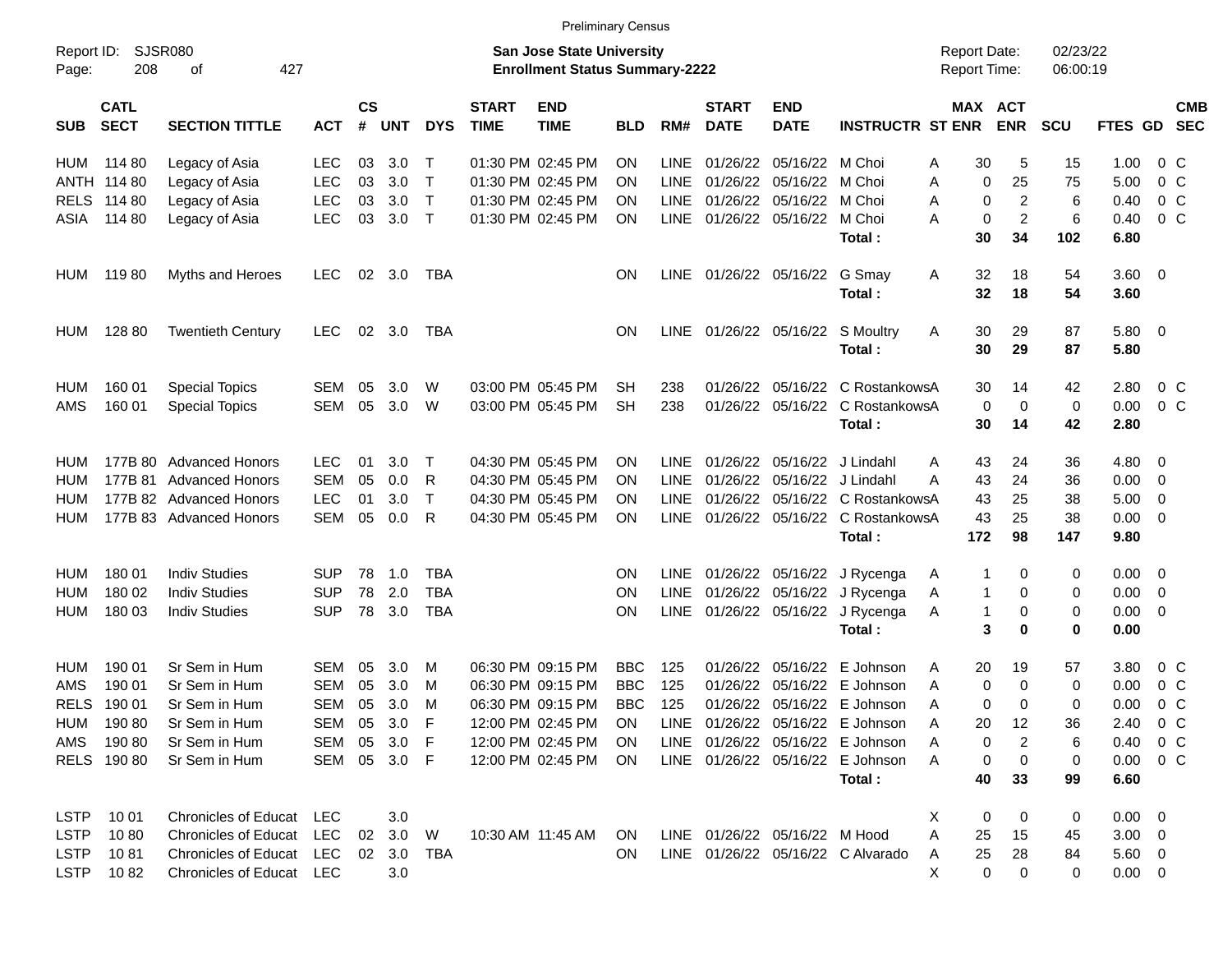|                     |                            |                             |              |                |                |            |                             |                                                                           | Preliminary Census |             |                             |                               |                                      |                                     |                       |                      |                        |                           |
|---------------------|----------------------------|-----------------------------|--------------|----------------|----------------|------------|-----------------------------|---------------------------------------------------------------------------|--------------------|-------------|-----------------------------|-------------------------------|--------------------------------------|-------------------------------------|-----------------------|----------------------|------------------------|---------------------------|
| Report ID:<br>Page: | 208                        | SJSR080<br>427<br>оf        |              |                |                |            |                             | <b>San Jose State University</b><br><b>Enrollment Status Summary-2222</b> |                    |             |                             |                               |                                      | <b>Report Date:</b><br>Report Time: |                       | 02/23/22<br>06:00:19 |                        |                           |
| <b>SUB</b>          | <b>CATL</b><br><b>SECT</b> | <b>SECTION TITTLE</b>       | <b>ACT</b>   | <b>CS</b><br># | <b>UNT</b>     | <b>DYS</b> | <b>START</b><br><b>TIME</b> | <b>END</b><br><b>TIME</b>                                                 | <b>BLD</b>         | RM#         | <b>START</b><br><b>DATE</b> | <b>END</b><br><b>DATE</b>     | <b>INSTRUCTR ST ENR</b>              |                                     | MAX ACT<br><b>ENR</b> | <b>SCU</b>           |                        | <b>CMB</b><br>FTES GD SEC |
| HUM                 | 114 80                     | Legacy of Asia              | <b>LEC</b>   | 03             | 3.0            | Т          |                             | 01:30 PM 02:45 PM                                                         | <b>ON</b>          | <b>LINE</b> |                             | 01/26/22 05/16/22 M Choi      |                                      | 30<br>A                             | 5                     | 15                   | 1.00                   | $0\,$ C                   |
|                     | ANTH 114 80                | Legacy of Asia              | <b>LEC</b>   | 03             | 3.0            | $\top$     |                             | 01:30 PM 02:45 PM                                                         | <b>ON</b>          | LINE        |                             | 01/26/22 05/16/22             | M Choi                               | 0<br>Α                              | 25                    | 75                   | 5.00                   | $0\,C$                    |
|                     | RELS 114 80                | Legacy of Asia              | <b>LEC</b>   | 03             | 3.0            | $\top$     |                             | 01:30 PM 02:45 PM                                                         | <b>ON</b>          | <b>LINE</b> |                             | 01/26/22 05/16/22             | M Choi                               | 0<br>A                              | 2                     | 6                    | 0.40                   | 0 <sup>o</sup>            |
| ASIA                | 114 80                     | Legacy of Asia              | <b>LEC</b>   | 03             | 3.0            | $\top$     |                             | 01:30 PM 02:45 PM                                                         | <b>ON</b>          |             |                             | LINE 01/26/22 05/16/22        | M Choi                               | A<br>0                              | $\overline{2}$        | 6                    | 0.40                   | $0\,C$                    |
|                     |                            |                             |              |                |                |            |                             |                                                                           |                    |             |                             |                               | Total:                               | 30                                  | 34                    | 102                  | 6.80                   |                           |
| HUM                 | 11980                      | Myths and Heroes            | LEC.         |                | $02 \quad 3.0$ | TBA        |                             |                                                                           | <b>ON</b>          |             |                             | LINE 01/26/22 05/16/22        | G Smay                               | A<br>32                             | 18                    | 54                   | $3.60 \quad 0$         |                           |
|                     |                            |                             |              |                |                |            |                             |                                                                           |                    |             |                             |                               | Total:                               | 32                                  | 18                    | 54                   | 3.60                   |                           |
| HUM                 | 128 80                     | <b>Twentieth Century</b>    | LEC.         |                | $02 \quad 3.0$ | TBA        |                             |                                                                           | <b>ON</b>          |             |                             | LINE 01/26/22 05/16/22        | S Moultry                            | A<br>30                             | 29                    | 87                   | $5.80 \ 0$             |                           |
|                     |                            |                             |              |                |                |            |                             |                                                                           |                    |             |                             |                               | Total:                               | 30                                  | 29                    | 87                   | 5.80                   |                           |
| HUM                 | 160 01                     | <b>Special Topics</b>       | <b>SEM</b>   | 05             | 3.0            | W          |                             | 03:00 PM 05:45 PM                                                         | <b>SH</b>          | 238         |                             | 01/26/22 05/16/22             | C RostankowsA                        | 30                                  | 14                    | 42                   | 2.80                   | $0\,$ C                   |
| AMS                 | 160 01                     | <b>Special Topics</b>       | SEM          | 05             | 3.0            | W          |                             | 03:00 PM 05:45 PM                                                         | <b>SH</b>          | 238         |                             |                               | 01/26/22 05/16/22 C RostankowsA      | 0                                   | 0                     | 0                    | 0.00                   | $0\,C$                    |
|                     |                            |                             |              |                |                |            |                             |                                                                           |                    |             |                             |                               | Total:                               | 30                                  | 14                    | 42                   | 2.80                   |                           |
| HUM                 |                            | 177B 80 Advanced Honors     | <b>LEC</b>   | 01             | 3.0            | $\top$     |                             | 04:30 PM 05:45 PM                                                         | <b>ON</b>          | <b>LINE</b> |                             | 01/26/22 05/16/22             | J Lindahl                            | 43<br>A                             | 24                    | 36                   | 4.80                   | - 0                       |
| HUM                 |                            | 177B 81 Advanced Honors     | <b>SEM</b>   | 05             | 0.0            | R          |                             | 04:30 PM 05:45 PM                                                         | <b>ON</b>          | LINE        |                             | 01/26/22 05/16/22 J Lindahl   |                                      | 43<br>Α                             | 24                    | 36                   | 0.00                   | $\overline{\mathbf{0}}$   |
| HUM                 |                            | 177B 82 Advanced Honors     | <b>LEC</b>   | 01             | 3.0            | Τ          |                             | 04:30 PM 05:45 PM                                                         | <b>ON</b>          | LINE        |                             |                               | 01/26/22 05/16/22 C RostankowsA      | 43                                  | 25                    | 38                   | 5.00                   | $\overline{\mathbf{0}}$   |
| HUM                 |                            | 177B 83 Advanced Honors     | <b>SEM</b>   | 05             | 0.0            | R          |                             | 04:30 PM 05:45 PM                                                         | <b>ON</b>          |             |                             |                               | LINE 01/26/22 05/16/22 C RostankowsA | 43                                  | 25                    | 38                   | 0.00                   | $\overline{\mathbf{0}}$   |
|                     |                            |                             |              |                |                |            |                             |                                                                           |                    |             |                             |                               | Total:                               | 172                                 | 98                    | 147                  | 9.80                   |                           |
| HUM                 | 180 01                     | <b>Indiv Studies</b>        | <b>SUP</b>   | 78             | 1.0            | TBA        |                             |                                                                           | <b>ON</b>          |             |                             | LINE 01/26/22 05/16/22        | J Rycenga                            | A                                   | 0                     | 0                    | $0.00\,$               | $\overline{\phantom{0}}$  |
| HUM                 | 180 02                     | <b>Indiv Studies</b>        | <b>SUP</b>   | 78             | 2.0            | <b>TBA</b> |                             |                                                                           | ON                 | LINE        |                             | 01/26/22 05/16/22             | J Rycenga                            | 1<br>A                              | 0                     | 0                    | 0.00                   | $\overline{\phantom{0}}$  |
| HUM                 | 180 03                     | <b>Indiv Studies</b>        | <b>SUP</b>   | 78             | 3.0            | <b>TBA</b> |                             |                                                                           | <b>ON</b>          |             |                             | LINE 01/26/22 05/16/22        | J Rycenga                            | A<br>1                              | 0                     | 0                    | 0.00                   | $\overline{\phantom{0}}$  |
|                     |                            |                             |              |                |                |            |                             |                                                                           |                    |             |                             |                               | Total:                               | 3                                   | 0                     | 0                    | 0.00                   |                           |
| HUM                 | 190 01                     | Sr Sem in Hum               | <b>SEM</b>   | 05             | 3.0            | M          |                             | 06:30 PM 09:15 PM                                                         | <b>BBC</b>         | 125         |                             | 01/26/22 05/16/22             | E Johnson                            | 20<br>A                             | 19                    | 57                   | 3.80                   | $0\,$ C                   |
| AMS                 | 190 01                     | Sr Sem in Hum               | <b>SEM</b>   | 05             | 3.0            | M          |                             | 06:30 PM 09:15 PM                                                         | <b>BBC</b>         | 125         |                             | 01/26/22 05/16/22             | E Johnson                            | A<br>0                              | 0                     | 0                    | 0.00                   | $0\,$ C                   |
|                     | RELS 190 01                | Sr Sem in Hum               | SEM          | 05             | 3.0            | м          |                             | 06:30 PM 09:15 PM                                                         | <b>BBC</b>         | 125         |                             |                               | 01/26/22 05/16/22 E Johnson          | 0<br>A                              | $\Omega$              | 0                    | 0.00                   | 0 <sup>o</sup>            |
|                     | HUM 190 80                 | Sr Sem in Hum               | SEM 05 3.0   |                |                | $-F$       |                             | 12:00 PM 02:45 PM                                                         | ON                 |             |                             |                               | LINE 01/26/22 05/16/22 E Johnson     | 20<br>Α                             | 12                    | 36                   | 2.40 0 C               |                           |
| AMS                 | 190 80                     | Sr Sem in Hum               | SEM          |                | 05 3.0         | F          |                             | 12:00 PM 02:45 PM                                                         | <b>ON</b>          |             |                             |                               | LINE 01/26/22 05/16/22 E Johnson     | A<br>0                              | 2                     | 6                    | $0.40 \quad 0 \quad C$ |                           |
|                     | RELS 190 80                | Sr Sem in Hum               | SEM 05 3.0 F |                |                |            |                             | 12:00 PM 02:45 PM                                                         | ON.                |             |                             |                               | LINE 01/26/22 05/16/22 E Johnson     | A<br>0                              | 0                     | 0                    | $0.00 \t 0 C$          |                           |
|                     |                            |                             |              |                |                |            |                             |                                                                           |                    |             |                             |                               | Total:                               | 40                                  | 33                    | 99                   | 6.60                   |                           |
| <b>LSTP</b>         | 10 01                      | Chronicles of Educat LEC    |              |                | 3.0            |            |                             |                                                                           |                    |             |                             |                               |                                      | X<br>0                              | 0                     | 0                    | $0.00 \t 0$            |                           |
| <b>LSTP</b>         | 1080                       | <b>Chronicles of Educat</b> | LEC          |                | 02 3.0         | W          |                             | 10:30 AM 11:45 AM                                                         | ON.                |             |                             | LINE 01/26/22 05/16/22 M Hood |                                      | A<br>25                             | 15                    | 45                   | $3.00 \ 0$             |                           |
|                     | LSTP 1081                  | Chronicles of Educat LEC    |              |                | 02 3.0         | TBA        |                             |                                                                           | <b>ON</b>          |             |                             |                               | LINE 01/26/22 05/16/22 C Alvarado    | 25<br>A                             | 28                    | 84                   | $5.60 \quad 0$         |                           |
|                     | LSTP 1082                  | Chronicles of Educat LEC    |              |                | 3.0            |            |                             |                                                                           |                    |             |                             |                               |                                      | X<br>$\mathbf 0$                    | $\overline{0}$        | 0                    | $0.00 \t 0$            |                           |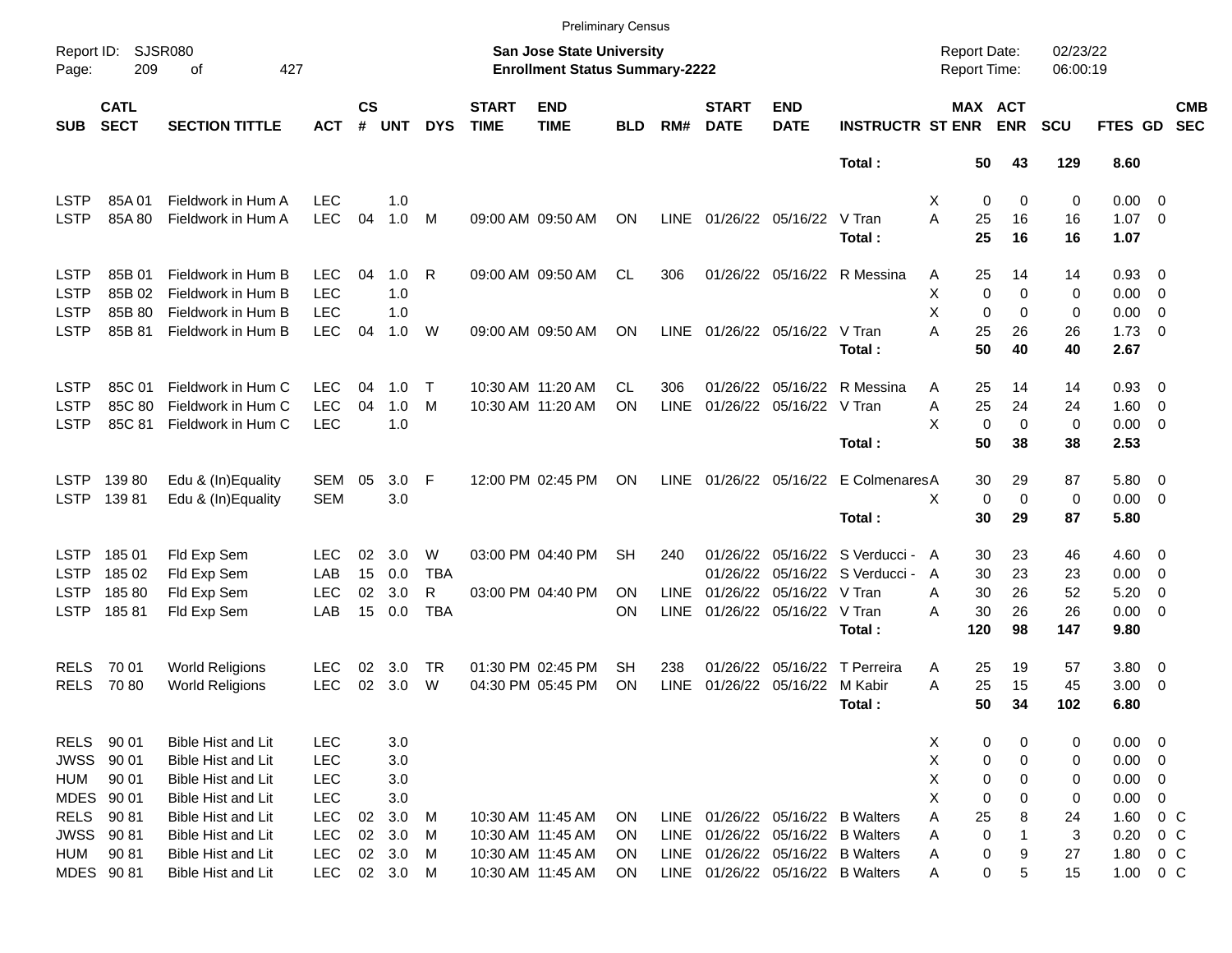|                     |                            |                             |            |                |            |            |                             | <b>Preliminary Census</b>                                                 |            |             |                             |                           |                                  |                                            |                            |                      |                     |                          |                          |
|---------------------|----------------------------|-----------------------------|------------|----------------|------------|------------|-----------------------------|---------------------------------------------------------------------------|------------|-------------|-----------------------------|---------------------------|----------------------------------|--------------------------------------------|----------------------------|----------------------|---------------------|--------------------------|--------------------------|
| Report ID:<br>Page: | 209                        | <b>SJSR080</b><br>427<br>οf |            |                |            |            |                             | <b>San Jose State University</b><br><b>Enrollment Status Summary-2222</b> |            |             |                             |                           |                                  | <b>Report Date:</b><br><b>Report Time:</b> |                            | 02/23/22<br>06:00:19 |                     |                          |                          |
| <b>SUB</b>          | <b>CATL</b><br><b>SECT</b> | <b>SECTION TITTLE</b>       | АСТ        | <b>CS</b><br># | <b>UNT</b> | <b>DYS</b> | <b>START</b><br><b>TIME</b> | <b>END</b><br><b>TIME</b>                                                 | <b>BLD</b> | RM#         | <b>START</b><br><b>DATE</b> | <b>END</b><br><b>DATE</b> | <b>INSTRUCTR ST ENR</b>          |                                            | MAX ACT<br><b>ENR</b>      | <b>SCU</b>           | FTES GD             |                          | <b>CMB</b><br><b>SEC</b> |
|                     |                            |                             |            |                |            |            |                             |                                                                           |            |             |                             |                           | Total:                           | 50                                         | 43                         | 129                  | 8.60                |                          |                          |
| LSTP                | 85A01                      | Fieldwork in Hum A          | <b>LEC</b> |                | 1.0        |            |                             |                                                                           |            |             |                             |                           |                                  | Х                                          | 0<br>0                     | 0                    | $0.00 \t 0$         |                          |                          |
| <b>LSTP</b>         | 85A 80                     | Fieldwork in Hum A          | <b>LEC</b> | 04             | 1.0        | M          |                             | 09:00 AM 09:50 AM                                                         | ON         | <b>LINE</b> |                             | 01/26/22 05/16/22 V Tran  |                                  | A<br>25                                    | 16                         | 16                   | $1.07 \t 0$         |                          |                          |
|                     |                            |                             |            |                |            |            |                             |                                                                           |            |             |                             |                           | Total:                           | 25                                         | 16                         | 16                   | 1.07                |                          |                          |
| <b>LSTP</b>         | 85B 01                     | Fieldwork in Hum B          | <b>LEC</b> | 04             | 1.0        | R          |                             | 09:00 AM 09:50 AM                                                         | CL.        | 306         |                             |                           | 01/26/22 05/16/22 R Messina      | 25<br>A                                    | 14                         | 14                   | $0.93$ 0            |                          |                          |
| <b>LSTP</b>         | 85B 02                     | Fieldwork in Hum B          | <b>LEC</b> |                | 1.0        |            |                             |                                                                           |            |             |                             |                           |                                  | X                                          | 0<br>0                     | 0                    | $0.00 \t 0$         |                          |                          |
| <b>LSTP</b>         | 85B 80                     | Fieldwork in Hum B          | <b>LEC</b> |                | 1.0        |            |                             |                                                                           |            |             |                             |                           |                                  | X                                          | $\mathbf 0$<br>$\Omega$    | 0                    | $0.00 \t 0$         |                          |                          |
| <b>LSTP</b>         | 85B 81                     | Fieldwork in Hum B          | <b>LEC</b> | 04             | 1.0        | W          |                             | 09:00 AM 09:50 AM                                                         | ΟN         | LINE        |                             | 01/26/22 05/16/22 V Tran  | Total:                           | A<br>25<br>50                              | 26<br>40                   | 26<br>40             | $1.73 \t 0$<br>2.67 |                          |                          |
| <b>LSTP</b>         | 85C 01                     | Fieldwork in Hum C          | <b>LEC</b> | 04             | 1.0        | $\top$     |                             | 10:30 AM 11:20 AM                                                         | CL.        | 306         | 01/26/22                    |                           | 05/16/22 R Messina               | 25<br>A                                    | 14                         | 14                   | $0.93$ 0            |                          |                          |
| <b>LSTP</b>         | 85C 80                     | Fieldwork in Hum C          | <b>LEC</b> | 04             | 1.0        | M          |                             | 10:30 AM 11:20 AM                                                         | ON         | LINE        |                             | 01/26/22 05/16/22 V Tran  |                                  | 25<br>Α                                    | 24                         | 24                   | $1.60 \t 0$         |                          |                          |
| <b>LSTP</b>         | 85C 81                     | Fieldwork in Hum C          | <b>LEC</b> |                | 1.0        |            |                             |                                                                           |            |             |                             |                           |                                  | X                                          | $\mathbf 0$<br>$\mathbf 0$ | $\mathbf 0$          | $0.00 \t 0$         |                          |                          |
|                     |                            |                             |            |                |            |            |                             |                                                                           |            |             |                             |                           | Total:                           | 50                                         | 38                         | 38                   | 2.53                |                          |                          |
| LSTP                | 13980                      | Edu & (In)Equality          | SEM        | 05             | $3.0$ F    |            |                             | 12:00 PM 02:45 PM                                                         | <b>ON</b>  | LINE        |                             |                           | 01/26/22 05/16/22 E ColmenaresA  | 30                                         | 29                         | 87                   | 5.80 0              |                          |                          |
| <b>LSTP</b>         | 13981                      | Edu & (In)Equality          | <b>SEM</b> |                | 3.0        |            |                             |                                                                           |            |             |                             |                           |                                  | X                                          | 0<br>$\mathbf 0$           | $\mathbf 0$          | $0.00 \t 0$         |                          |                          |
|                     |                            |                             |            |                |            |            |                             |                                                                           |            |             |                             |                           | Total:                           | 30                                         | 29                         | 87                   | 5.80                |                          |                          |
| LSTP                | 18501                      | Fld Exp Sem                 | <b>LEC</b> | 02             | 3.0        | W          |                             | 03:00 PM 04:40 PM                                                         | SН         | 240         | 01/26/22                    |                           | 05/16/22 S Verducci - A          | 30                                         | 23                         | 46                   | $4.60 \ 0$          |                          |                          |
| <b>LSTP</b>         | 185 02                     | Fld Exp Sem                 | LAB        | 15             | 0.0        | <b>TBA</b> |                             |                                                                           |            |             | 01/26/22                    |                           | 05/16/22 S Verducci -            | 30<br>A                                    | 23                         | 23                   | $0.00 \t 0$         |                          |                          |
| <b>LSTP</b>         | 18580                      | Fld Exp Sem                 | <b>LEC</b> | 02             | 3.0        | R          |                             | 03:00 PM 04:40 PM                                                         | ΟN         | <b>LINE</b> | 01/26/22                    | 05/16/22 V Tran           |                                  | 30<br>A                                    | 26                         | 52                   | 5.20                | - 0                      |                          |
| <b>LSTP</b>         | 18581                      | Fld Exp Sem                 | LAB        | 15             | 0.0        | <b>TBA</b> |                             |                                                                           | ΟN         | <b>LINE</b> |                             | 01/26/22 05/16/22 V Tran  |                                  | 30<br>Α                                    | 26                         | 26                   | $0.00 \t 0$         |                          |                          |
|                     |                            |                             |            |                |            |            |                             |                                                                           |            |             |                             |                           | Total:                           | 120                                        | 98                         | 147                  | 9.80                |                          |                          |
| <b>RELS</b>         | 70 01                      | <b>World Religions</b>      | <b>LEC</b> | 02             | 3.0        | TR         |                             | 01:30 PM 02:45 PM                                                         | SН         | 238         | 01/26/22                    |                           | 05/16/22 T Perreira              | 25<br>A                                    | 19                         | 57                   | 3.80 0              |                          |                          |
| <b>RELS</b>         | 7080                       | <b>World Religions</b>      | <b>LEC</b> | 02             | 3.0        | W          |                             | 04:30 PM 05:45 PM                                                         | ON         | <b>LINE</b> | 01/26/22                    | 05/16/22 M Kabir          |                                  | A<br>25                                    | 15                         | 45                   | 3.00                | $\overline{\phantom{0}}$ |                          |
|                     |                            |                             |            |                |            |            |                             |                                                                           |            |             |                             |                           | Total :                          | 50                                         | 34                         | 102                  | 6.80                |                          |                          |
| RELS                | 90 01                      | Bible Hist and Lit          | LEC        |                | 3.0        |            |                             |                                                                           |            |             |                             |                           |                                  | X                                          | 0<br>0                     | 0                    | $0.00 \t 0$         |                          |                          |
| JWSS                | 90 01                      | Bible Hist and Lit          | <b>LEC</b> |                | 3.0        |            |                             |                                                                           |            |             |                             |                           |                                  | Χ                                          | 0<br>0                     | 0                    | $0.00 \t 0$         |                          |                          |
| HUM                 | 90 01                      | Bible Hist and Lit          | <b>LEC</b> |                | 3.0        |            |                             |                                                                           |            |             |                             |                           |                                  | Χ                                          | 0<br>0                     | 0                    | $0.00 \t 0$         |                          |                          |
| MDES 90 01          |                            | Bible Hist and Lit          | <b>LEC</b> |                | 3.0        |            |                             |                                                                           |            |             |                             |                           |                                  | Χ                                          | 0<br>0                     | 0                    | 0.00                | 0                        |                          |
| <b>RELS</b>         | 9081                       | Bible Hist and Lit          | <b>LEC</b> | 02             | 3.0        | M          |                             | 10:30 AM 11:45 AM                                                         | 0N         | LINE        |                             |                           | 01/26/22 05/16/22 B Walters      | Α<br>25                                    | 8                          | 24                   | 1.60 0 C            |                          |                          |
| JWSS 90 81          |                            | Bible Hist and Lit          | <b>LEC</b> | 02             | 3.0        | M          |                             | 10:30 AM 11:45 AM                                                         | <b>ON</b>  | LINE        |                             |                           | 01/26/22 05/16/22 B Walters      | Α                                          | 0                          | 3                    | 0.20                | $0\,$ C                  |                          |
| HUM                 | 90 81                      | Bible Hist and Lit          | <b>LEC</b> |                | 02 3.0     | M          |                             | 10:30 AM 11:45 AM                                                         | <b>ON</b>  |             |                             |                           | LINE 01/26/22 05/16/22 B Walters | Α                                          | 0<br>9                     | 27                   | 1.80 0 C            |                          |                          |
| MDES 90 81          |                            | Bible Hist and Lit          | <b>LEC</b> |                | 02 3.0 M   |            |                             | 10:30 AM 11:45 AM                                                         | ON         |             |                             |                           | LINE 01/26/22 05/16/22 B Walters | Α                                          | 0<br>5                     | 15                   | $1.00 \t 0 C$       |                          |                          |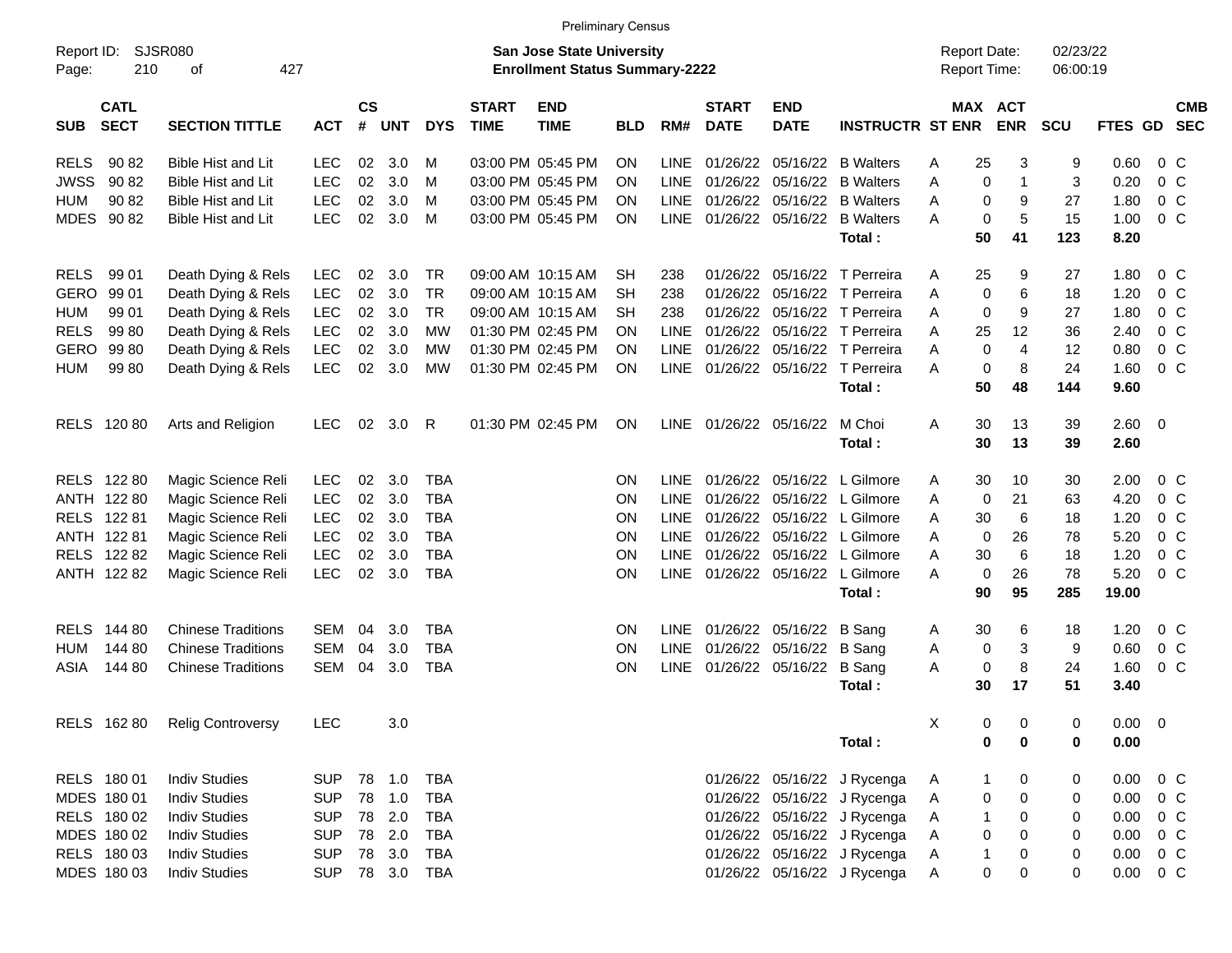|                                          |                                    |            |                    |            |            |                             | <b>Preliminary Census</b>                                                 |            |             |                             |                           |                              |                                            |             |                      |                |                |            |
|------------------------------------------|------------------------------------|------------|--------------------|------------|------------|-----------------------------|---------------------------------------------------------------------------|------------|-------------|-----------------------------|---------------------------|------------------------------|--------------------------------------------|-------------|----------------------|----------------|----------------|------------|
| Report ID:<br>Page:                      | <b>SJSR080</b><br>210<br>427<br>οf |            |                    |            |            |                             | <b>San Jose State University</b><br><b>Enrollment Status Summary-2222</b> |            |             |                             |                           |                              | <b>Report Date:</b><br><b>Report Time:</b> |             | 02/23/22<br>06:00:19 |                |                |            |
| <b>CATL</b><br><b>SECT</b><br><b>SUB</b> | <b>SECTION TITTLE</b>              | <b>ACT</b> | $\mathsf{cs}$<br># | <b>UNT</b> | <b>DYS</b> | <b>START</b><br><b>TIME</b> | <b>END</b><br><b>TIME</b>                                                 | <b>BLD</b> | RM#         | <b>START</b><br><b>DATE</b> | <b>END</b><br><b>DATE</b> | <b>INSTRUCTR ST ENR</b>      | MAX ACT                                    | <b>ENR</b>  | <b>SCU</b>           | FTES GD SEC    |                | <b>CMB</b> |
| 90 82<br><b>RELS</b>                     | Bible Hist and Lit                 | <b>LEC</b> | 02                 | 3.0        | M          |                             | 03:00 PM 05:45 PM                                                         | ON         | <b>LINE</b> | 01/26/22                    |                           | 05/16/22 B Walters           | 25<br>Α                                    | 3           | 9                    | 0.60           | 0 <sup>o</sup> |            |
| <b>JWSS</b><br>90 82                     | Bible Hist and Lit                 | <b>LEC</b> | 02                 | 3.0        | M          |                             | 03:00 PM 05:45 PM                                                         | ON         | <b>LINE</b> | 01/26/22                    |                           | 05/16/22 B Walters           | $\mathbf 0$<br>A                           |             | 3                    | 0.20           | 0 <sup>o</sup> |            |
| 90 82<br><b>HUM</b>                      | <b>Bible Hist and Lit</b>          | <b>LEC</b> | 02                 | 3.0        | M          |                             | 03:00 PM 05:45 PM                                                         | ON         | <b>LINE</b> | 01/26/22                    |                           | 05/16/22 B Walters           | A<br>0                                     | 9           | 27                   | 1.80           | 0 <sup>o</sup> |            |
| MDES 90 82                               | <b>Bible Hist and Lit</b>          | LEC        | 02                 | 3.0        | M          |                             | 03:00 PM 05:45 PM                                                         | ON.        | <b>LINE</b> |                             |                           | 01/26/22 05/16/22 B Walters  | $\mathbf 0$<br>A                           | 5           | 15                   | 1.00           | 0 <sup>o</sup> |            |
|                                          |                                    |            |                    |            |            |                             |                                                                           |            |             |                             |                           | Total:                       | 50                                         | 41          | 123                  | 8.20           |                |            |
| 99 01<br><b>RELS</b>                     | Death Dying & Rels                 | <b>LEC</b> | 02                 | 3.0        | TR         |                             | 09:00 AM 10:15 AM                                                         | <b>SH</b>  | 238         | 01/26/22                    |                           | 05/16/22 T Perreira          | 25<br>A                                    | 9           | 27                   | 1.80           | 0 <sup>o</sup> |            |
| <b>GERO</b><br>99 01                     | Death Dying & Rels                 | <b>LEC</b> | 02                 | 3.0        | <b>TR</b>  |                             | 09:00 AM 10:15 AM                                                         | SН         | 238         | 01/26/22                    |                           | 05/16/22 T Perreira          | $\mathbf 0$<br>A                           | 6           | 18                   | 1.20           | 0 <sup>o</sup> |            |
| 99 01<br><b>HUM</b>                      | Death Dying & Rels                 | <b>LEC</b> | 02                 | 3.0        | <b>TR</b>  |                             | 09:00 AM 10:15 AM                                                         | SН         | 238         | 01/26/22                    |                           | 05/16/22 T Perreira          | $\Omega$<br>A                              | 9           | 27                   | 1.80           | 0 <sup>o</sup> |            |
| <b>RELS</b><br>99 80                     | Death Dying & Rels                 | <b>LEC</b> | 02                 | 3.0        | МW         |                             | 01:30 PM 02:45 PM                                                         | ON         | <b>LINE</b> | 01/26/22                    |                           | 05/16/22 T Perreira          | 25<br>A                                    | 12          | 36                   | 2.40           | 0 <sup>o</sup> |            |
| <b>GERO</b><br>99 80                     | Death Dying & Rels                 | <b>LEC</b> | 02                 | 3.0        | МW         |                             | 01:30 PM 02:45 PM                                                         | ON         | <b>LINE</b> |                             |                           | 01/26/22 05/16/22 T Perreira | $\Omega$<br>A                              | 4           | 12                   | 0.80           | 0 <sup>o</sup> |            |
| 99 80<br>HUM                             | Death Dying & Rels                 | <b>LEC</b> | 02                 | 3.0        | <b>MW</b>  |                             | 01:30 PM 02:45 PM                                                         | ΟN         | <b>LINE</b> |                             |                           | 01/26/22 05/16/22 T Perreira | $\Omega$<br>A                              | 8           | 24                   | 1.60           | 0 <sup>o</sup> |            |
|                                          |                                    |            |                    |            |            |                             |                                                                           |            |             |                             |                           | Total:                       | 50                                         | 48          | 144                  | 9.60           |                |            |
| RELS 120 80                              | Arts and Religion                  | <b>LEC</b> | 02                 | 3.0        | R          |                             | 01:30 PM 02:45 PM                                                         | <b>ON</b>  | <b>LINE</b> | 01/26/22 05/16/22           |                           | M Choi                       | 30<br>Α                                    | 13          | 39                   | $2.60 \quad 0$ |                |            |
|                                          |                                    |            |                    |            |            |                             |                                                                           |            |             |                             |                           | Total:                       | 30                                         | 13          | 39                   | 2.60           |                |            |
| RELS 122 80                              | Magic Science Reli                 | <b>LEC</b> | 02                 | 3.0        | <b>TBA</b> |                             |                                                                           | ON.        | <b>LINE</b> |                             |                           | 01/26/22 05/16/22 L Gilmore  | 30<br>A                                    | 10          | 30                   | 2.00           | 0 <sup>o</sup> |            |
| ANTH 122 80                              | Magic Science Reli                 | <b>LEC</b> | 02                 | 3.0        | <b>TBA</b> |                             |                                                                           | ON         | <b>LINE</b> | 01/26/22                    |                           | 05/16/22 L Gilmore           | $\mathbf 0$<br>A                           | 21          | 63                   | 4.20           | 0 <sup>o</sup> |            |
| RELS 122 81                              | Magic Science Reli                 | <b>LEC</b> | 02                 | 3.0        | <b>TBA</b> |                             |                                                                           | ΟN         | <b>LINE</b> |                             |                           | 01/26/22 05/16/22 L Gilmore  | 30<br>A                                    | 6           | 18                   | 1.20           | 0 <sup>o</sup> |            |
| ANTH 122 81                              | Magic Science Reli                 | <b>LEC</b> | 02                 | 3.0        | <b>TBA</b> |                             |                                                                           | ΟN         | <b>LINE</b> |                             |                           | 01/26/22 05/16/22 L Gilmore  | $\mathbf 0$<br>A                           | 26          | 78                   | 5.20           | 0 <sup>o</sup> |            |
| RELS 122 82                              | Magic Science Reli                 | <b>LEC</b> | 02                 | 3.0        | <b>TBA</b> |                             |                                                                           | ΟN         | <b>LINE</b> |                             |                           | 01/26/22 05/16/22 L Gilmore  | 30<br>A                                    | 6           | 18                   | 1.20           | 0 <sup>o</sup> |            |
| ANTH 122 82                              | Magic Science Reli                 | LEC        | 02                 | 3.0        | <b>TBA</b> |                             |                                                                           | ON.        | <b>LINE</b> |                             |                           | 01/26/22 05/16/22 L Gilmore  | $\mathbf 0$<br>A                           | 26          | 78                   | 5.20           | 0 <sup>o</sup> |            |
|                                          |                                    |            |                    |            |            |                             |                                                                           |            |             |                             |                           | Total:                       | 90                                         | 95          | 285                  | 19.00          |                |            |
| RELS 144 80                              | <b>Chinese Traditions</b>          | SEM        | 04                 | 3.0        | <b>TBA</b> |                             |                                                                           | ON.        | <b>LINE</b> |                             | 01/26/22 05/16/22 B Sang  |                              | 30<br>A                                    | 6           | 18                   | 1.20           | 0 <sup>o</sup> |            |
| 144 80<br><b>HUM</b>                     | <b>Chinese Traditions</b>          | SEM        | 04                 | 3.0        | <b>TBA</b> |                             |                                                                           | ΟN         | <b>LINE</b> |                             | 01/26/22 05/16/22 B Sang  |                              | 0<br>Α                                     | 3           | 9                    | 0.60           | 0 <sup>o</sup> |            |
| ASIA<br>144 80                           | <b>Chinese Traditions</b>          | SEM        | 04                 | 3.0        | <b>TBA</b> |                             |                                                                           | ΟN         | LINE        |                             | 01/26/22 05/16/22 B Sang  |                              | A<br>0                                     | 8           | 24                   | 1.60           | 0 <sup>o</sup> |            |
|                                          |                                    |            |                    |            |            |                             |                                                                           |            |             |                             |                           | Total:                       | 30                                         | 17          | 51                   | 3.40           |                |            |
| RELS 162 80                              | <b>Relig Controversy</b>           | <b>LEC</b> |                    | 3.0        |            |                             |                                                                           |            |             |                             |                           |                              | х<br>0                                     | 0           | 0                    | $0.00 \t 0$    |                |            |
|                                          |                                    |            |                    |            |            |                             |                                                                           |            |             |                             |                           | Total:                       | 0                                          | 0           | 0                    | 0.00           |                |            |
| RELS 180 01                              | <b>Indiv Studies</b>               | <b>SUP</b> |                    | 78 1.0     | TBA        |                             |                                                                           |            |             |                             |                           | 01/26/22 05/16/22 J Rycenga  | A                                          | 0           | 0                    | 0.00           | $0\,$ C        |            |
| MDES 180 01                              | <b>Indiv Studies</b>               | <b>SUP</b> |                    | 78 1.0     | TBA        |                             |                                                                           |            |             |                             |                           | 01/26/22 05/16/22 J Rycenga  | 0<br>A                                     | 0           | 0                    | 0.00           | $0\,$ C        |            |
| RELS 180 02                              | <b>Indiv Studies</b>               | <b>SUP</b> |                    | 78 2.0     | TBA        |                             |                                                                           |            |             |                             |                           | 01/26/22 05/16/22 J Rycenga  | $\mathbf{1}$<br>A                          | 0           | 0                    | 0.00           | $0\,$ C        |            |
| MDES 180 02                              | <b>Indiv Studies</b>               | <b>SUP</b> |                    | 78 2.0     | TBA        |                             |                                                                           |            |             |                             |                           | 01/26/22 05/16/22 J Rycenga  | 0<br>A                                     | 0           | 0                    | 0.00           | 0 <sup>o</sup> |            |
| RELS 180 03                              | <b>Indiv Studies</b>               | <b>SUP</b> |                    | 78 3.0     | TBA        |                             |                                                                           |            |             |                             |                           | 01/26/22 05/16/22 J Rycenga  | 1<br>A                                     | 0           | 0                    | 0.00           | $0\,$ C        |            |
| MDES 180 03                              | <b>Indiv Studies</b>               | <b>SUP</b> |                    |            | 78 3.0 TBA |                             |                                                                           |            |             |                             |                           | 01/26/22 05/16/22 J Rycenga  | 0<br>A                                     | $\mathbf 0$ | 0                    | 0.00           | $0\,C$         |            |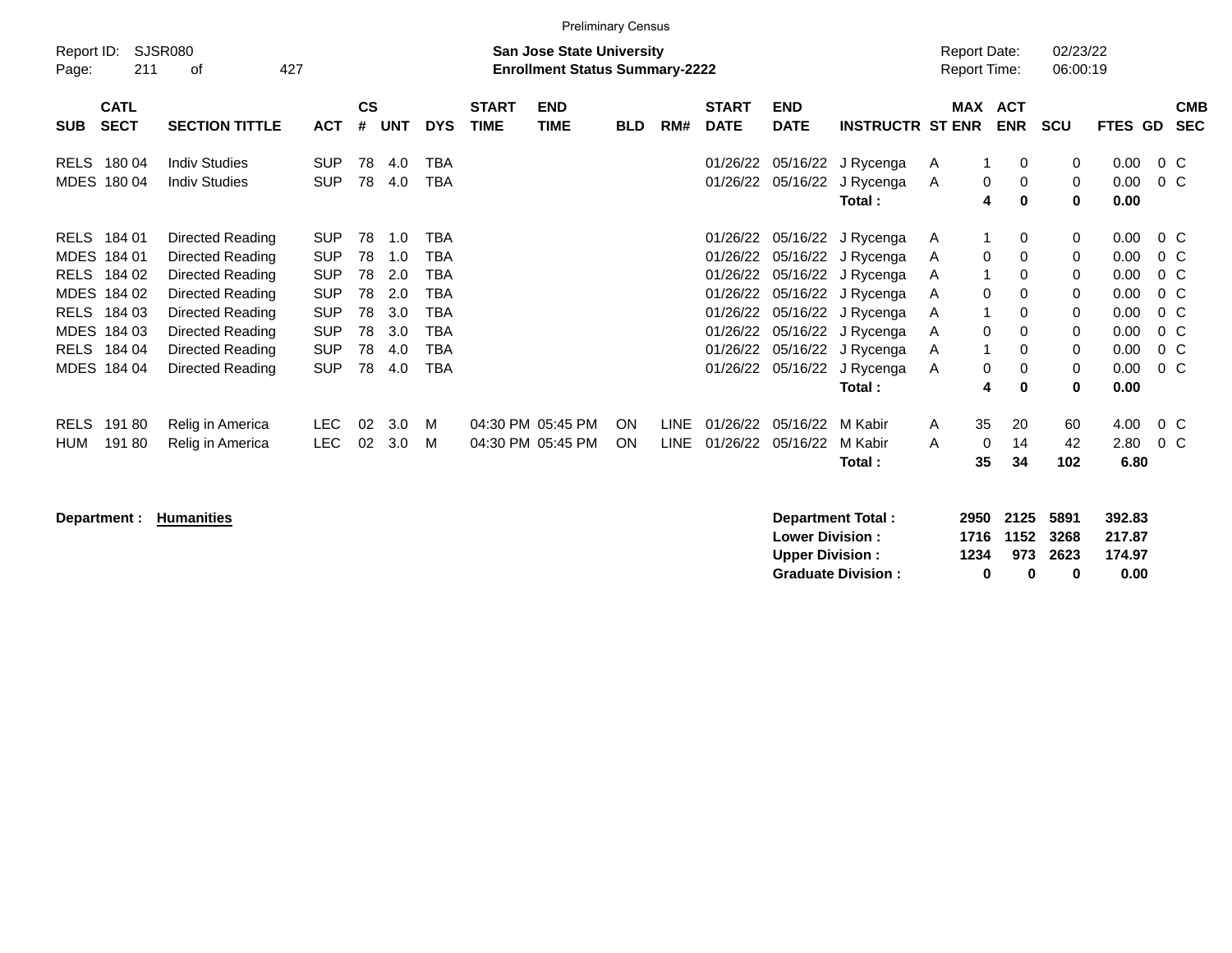|                     | <b>Preliminary Census</b><br>SJSR080<br>02/23/22<br><b>San Jose State University</b><br><b>Report Date:</b>          |                                                                                                                                                              |                                                                                                              |                                              |                                                      |                                                                                                |                             |                                        |            |                            |                                                                                              |                           |                                                                                                                                                                               |                                      |                                                                                                 |                                                               |                                                                      |                                                                |
|---------------------|----------------------------------------------------------------------------------------------------------------------|--------------------------------------------------------------------------------------------------------------------------------------------------------------|--------------------------------------------------------------------------------------------------------------|----------------------------------------------|------------------------------------------------------|------------------------------------------------------------------------------------------------|-----------------------------|----------------------------------------|------------|----------------------------|----------------------------------------------------------------------------------------------|---------------------------|-------------------------------------------------------------------------------------------------------------------------------------------------------------------------------|--------------------------------------|-------------------------------------------------------------------------------------------------|---------------------------------------------------------------|----------------------------------------------------------------------|----------------------------------------------------------------|
| Report ID:<br>Page: | 211                                                                                                                  | 427<br>оf                                                                                                                                                    |                                                                                                              |                                              |                                                      |                                                                                                |                             | <b>Enrollment Status Summary-2222</b>  |            |                            |                                                                                              |                           |                                                                                                                                                                               | <b>Report Time:</b>                  |                                                                                                 | 06:00:19                                                      |                                                                      |                                                                |
| <b>SUB</b>          | <b>CATL</b><br><b>SECT</b>                                                                                           | <b>SECTION TITTLE</b>                                                                                                                                        | ACT                                                                                                          | $\mathsf{cs}$<br>#                           | <b>UNT</b>                                           | <b>DYS</b>                                                                                     | <b>START</b><br><b>TIME</b> | <b>END</b><br><b>TIME</b>              | <b>BLD</b> | RM#                        | <b>START</b><br><b>DATE</b>                                                                  | <b>END</b><br><b>DATE</b> | <b>INSTRUCTR ST ENR</b>                                                                                                                                                       |                                      | MAX ACT<br><b>ENR</b>                                                                           | <b>SCU</b>                                                    | FTES GD                                                              | <b>CMB</b><br><b>SEC</b>                                       |
| RELS                | 180 04<br>MDES 180 04                                                                                                | <b>Indiv Studies</b><br><b>Indiv Studies</b>                                                                                                                 | <b>SUP</b><br><b>SUP</b>                                                                                     | 78<br>78                                     | 4.0<br>4.0                                           | TBA<br><b>TBA</b>                                                                              |                             |                                        |            |                            | 01/26/22<br>01/26/22                                                                         | 05/16/22                  | 05/16/22 J Rycenga<br>J Rycenga<br>Total:                                                                                                                                     | A<br>A                               | 1<br>0<br>0<br>0<br>4<br>$\bf{0}$                                                               | 0<br>0<br>0                                                   | 0.00<br>0.00<br>0.00                                                 | 0 C<br>0 C                                                     |
|                     | RELS 184 01<br>MDES 184 01<br>RELS 184 02<br>MDES 184 02<br>RELS 184 03<br>MDES 184 03<br>RELS 184 04<br>MDES 184 04 | Directed Reading<br>Directed Reading<br>Directed Reading<br>Directed Reading<br>Directed Reading<br>Directed Reading<br>Directed Reading<br>Directed Reading | <b>SUP</b><br><b>SUP</b><br><b>SUP</b><br><b>SUP</b><br><b>SUP</b><br><b>SUP</b><br><b>SUP</b><br><b>SUP</b> | 78<br>78<br>78<br>78<br>78<br>78<br>78<br>78 | 1.0<br>1.0<br>2.0<br>2.0<br>3.0<br>3.0<br>4.0<br>4.0 | <b>TBA</b><br>TBA<br><b>TBA</b><br><b>TBA</b><br><b>TBA</b><br>TBA<br><b>TBA</b><br><b>TBA</b> |                             |                                        |            |                            | 01/26/22<br>01/26/22<br>01/26/22<br>01/26/22<br>01/26/22<br>01/26/22<br>01/26/22<br>01/26/22 | 05/16/22                  | 05/16/22 J Rycenga<br>05/16/22 J Rycenga<br>05/16/22 J Rycenga<br>05/16/22 J Rycenga<br>05/16/22 J Rycenga<br>05/16/22 J Rycenga<br>05/16/22 J Rycenga<br>J Rycenga<br>Total: | A<br>A<br>A<br>A<br>A<br>A<br>A<br>A | -1<br>0<br>0<br>0<br>1<br>0<br>0<br>0<br>1<br>0<br>0<br>0<br>-1<br>0<br>0<br>$\Omega$<br>4<br>0 | 0<br>$\mathbf 0$<br>0<br>0<br>0<br>0<br>0<br>$\mathbf 0$<br>0 | 0.00<br>0.00<br>0.00<br>0.00<br>0.00<br>0.00<br>0.00<br>0.00<br>0.00 | $0\,$ C<br>0 C<br>0 C<br>0 C<br>0 C<br>$0\,C$<br>0 C<br>$0\,C$ |
| <b>RELS</b><br>HUM  | 19180<br>19180                                                                                                       | Relig in America<br>Relig in America                                                                                                                         | LEC.<br><b>LEC</b>                                                                                           | 02<br>02                                     | 3.0<br>3.0                                           | M<br>M                                                                                         |                             | 04:30 PM 05:45 PM<br>04:30 PM 05:45 PM | ON<br>ON   | <b>LINE</b><br><b>LINE</b> | 01/26/22<br>01/26/22                                                                         | 05/16/22<br>05/16/22      | M Kabir<br>M Kabir<br>Total:                                                                                                                                                  | 35<br>A<br>A<br>35                   | 20<br>0<br>14<br>34                                                                             | 60<br>42<br>102                                               | 4.00<br>2.80<br>6.80                                                 | $0\,$ C<br>$0\,$ C                                             |

**Department : Humanities** 

| Department Total:         |      | 2950 2125 5891 |          | 392.83 |
|---------------------------|------|----------------|----------|--------|
| <b>Lower Division:</b>    |      | 1716 1152 3268 |          | 217.87 |
| <b>Upper Division:</b>    | 1234 |                | 973 2623 | 174.97 |
| <b>Graduate Division:</b> | n    | n              | o        | 0.00   |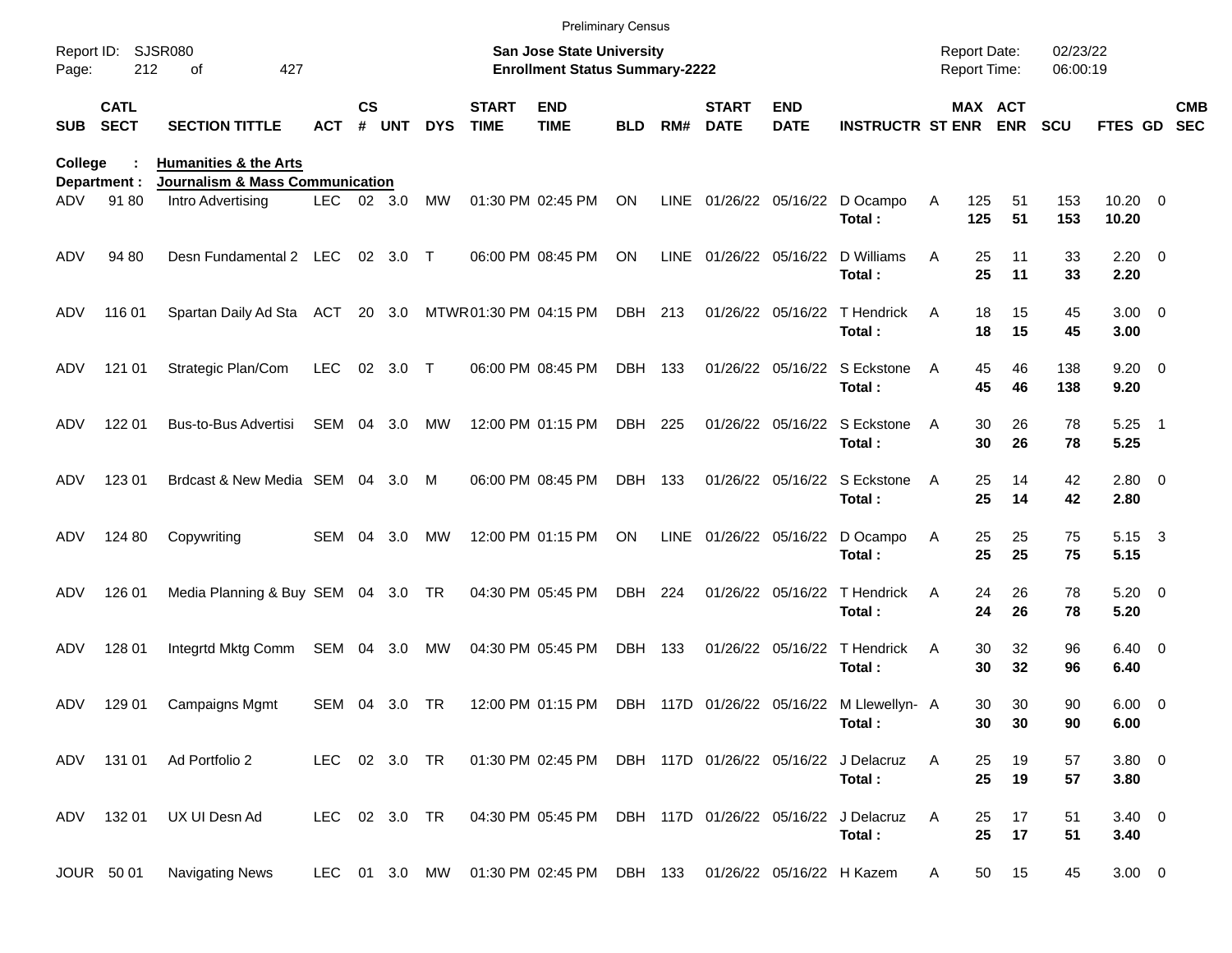|                |                            |                                                                                          |               |                    |            |            |                             | <b>Preliminary Census</b>                                                 |            |     |                             |                           |                                                                   |                                     |                                   |                      |                              |                          |
|----------------|----------------------------|------------------------------------------------------------------------------------------|---------------|--------------------|------------|------------|-----------------------------|---------------------------------------------------------------------------|------------|-----|-----------------------------|---------------------------|-------------------------------------------------------------------|-------------------------------------|-----------------------------------|----------------------|------------------------------|--------------------------|
| Page:          | Report ID: SJSR080<br>212  | 427<br>οf                                                                                |               |                    |            |            |                             | <b>San Jose State University</b><br><b>Enrollment Status Summary-2222</b> |            |     |                             |                           |                                                                   | <b>Report Date:</b><br>Report Time: |                                   | 02/23/22<br>06:00:19 |                              |                          |
| <b>SUB</b>     | <b>CATL</b><br><b>SECT</b> | <b>SECTION TITTLE</b>                                                                    | <b>ACT</b>    | $\mathsf{cs}$<br># | <b>UNT</b> | <b>DYS</b> | <b>START</b><br><b>TIME</b> | <b>END</b><br><b>TIME</b>                                                 | <b>BLD</b> | RM# | <b>START</b><br><b>DATE</b> | <b>END</b><br><b>DATE</b> | <b>INSTRUCTR ST ENR ENR</b>                                       |                                     | MAX ACT                           | <b>SCU</b>           | FTES GD                      | <b>CMB</b><br><b>SEC</b> |
| College<br>ADV | Department :<br>91 80      | <b>Humanities &amp; the Arts</b><br>Journalism & Mass Communication<br>Intro Advertising | LEC 02 3.0    |                    |            | MW         |                             | 01:30 PM 02:45 PM                                                         | ON         |     |                             |                           | LINE 01/26/22 05/16/22 D Ocampo                                   | 125<br>A                            | 51                                | 153                  | $10.20 \t 0$                 |                          |
| ADV            | 94 80                      | Desn Fundamental 2 LEC 02 3.0                                                            |               |                    |            | $\top$     |                             | 06:00 PM 08:45 PM                                                         | ON         |     |                             |                           | Total:<br>LINE 01/26/22 05/16/22 D Williams<br>Total:             | 125<br>Α                            | 51<br>25<br>11<br>25<br>11        | 153<br>33<br>33      | 10.20<br>$2.20 \t 0$<br>2.20 |                          |
| ADV            | 116 01                     | Spartan Daily Ad Sta ACT                                                                 |               |                    | 20 3.0     |            | MTWR01:30 PM 04:15 PM       |                                                                           | DBH 213    |     |                             |                           | 01/26/22 05/16/22 T Hendrick<br>Total:                            | A                                   | 15<br>18<br>15<br>18              | 45<br>45             | $3.00 \ 0$<br>3.00           |                          |
| ADV            | 121 01                     | Strategic Plan/Com                                                                       | <b>LEC</b>    |                    | 02 3.0 T   |            |                             | 06:00 PM 08:45 PM                                                         | DBH 133    |     |                             |                           | 01/26/22 05/16/22 S Eckstone<br>Total:                            | A                                   | 46<br>45<br>45<br>46              | 138<br>138           | $9.20 \ 0$<br>9.20           |                          |
| ADV            | 122 01                     | Bus-to-Bus Advertisi                                                                     | SEM 04 3.0    |                    |            | МW         |                             | 12:00 PM 01:15 PM                                                         | DBH 225    |     |                             |                           | 01/26/22 05/16/22 S Eckstone<br>Total:                            | A                                   | 26<br>30<br>30<br>26              | 78<br>78             | $5.25$ 1<br>5.25             |                          |
| ADV            | 123 01                     | Brdcast & New Media SEM 04 3.0                                                           |               |                    |            | M          |                             | 06:00 PM 08:45 PM                                                         | DBH 133    |     |                             |                           | 01/26/22 05/16/22 S Eckstone<br>Total:                            | A                                   | 25<br>14<br>25<br>14              | 42<br>42             | 2.80 0<br>2.80               |                          |
| ADV            | 124 80                     | Copywriting                                                                              | SEM 04        |                    | 3.0        | МW         |                             | 12:00 PM 01:15 PM                                                         | ON         |     |                             |                           | LINE 01/26/22 05/16/22 D Ocampo<br>Total:                         | A                                   | 25<br>25<br>25<br>25              | 75<br>75             | 5.15 3<br>5.15               |                          |
| ADV            | 126 01                     | Media Planning & Buy SEM 04 3.0 TR                                                       |               |                    |            |            |                             | 04:30 PM 05:45 PM                                                         | DBH 224    |     |                             | 01/26/22 05/16/22         | T Hendrick<br>Total:                                              | A                                   | 26<br>24<br>24<br>26              | 78<br>78             | $5.20 \ 0$<br>5.20           |                          |
| ADV            | 128 01                     | Integrtd Mktg Comm                                                                       | SEM 04 3.0    |                    |            | МW         |                             | 04:30 PM 05:45 PM                                                         | DBH 133    |     |                             |                           | 01/26/22 05/16/22 T Hendrick<br>Total:                            | A                                   | 30<br>32<br>30<br>32              | 96<br>96             | $6.40 \quad 0$<br>6.40       |                          |
| ADV            | 129 01                     | <b>Campaigns Mgmt</b>                                                                    | SEM 04        |                    | 3.0        | TR         |                             | 12:00 PM 01:15 PM                                                         |            |     |                             |                           | DBH 117D 01/26/22 05/16/22 M Llewellyn- A<br>Total:               |                                     | 30<br>30<br>30 <sub>o</sub><br>30 | 90<br>90             | $6.00 \t 0$<br>6.00          |                          |
|                |                            | ADV 131 01 Ad Portfolio 2                                                                | LEC 02 3.0 TR |                    |            |            |                             |                                                                           |            |     |                             |                           | 01:30 PM 02:45 PM DBH 117D 01/26/22 05/16/22 J Delacruz<br>Total: | A                                   | 19<br>25<br>25<br>19              | 57<br>57             | 3.80 0<br>3.80               |                          |
|                | ADV 132 01                 | UX UI Desn Ad                                                                            | LEC 02 3.0 TR |                    |            |            |                             | 04:30 PM 05:45 PM DBH 117D 01/26/22 05/16/22 J Delacruz                   |            |     |                             |                           | Total:                                                            | A                                   | 17<br>25<br>25<br>17              | 51<br>51             | $3.40 \ 0$<br>3.40           |                          |
|                | JOUR 50 01                 | <b>Navigating News</b>                                                                   |               |                    |            |            |                             | LEC 01 3.0 MW 01:30 PM 02:45 PM DBH 133 01/26/22 05/16/22 H Kazem         |            |     |                             |                           |                                                                   | A                                   | 50<br>15                          | 45                   | $3.00 \ 0$                   |                          |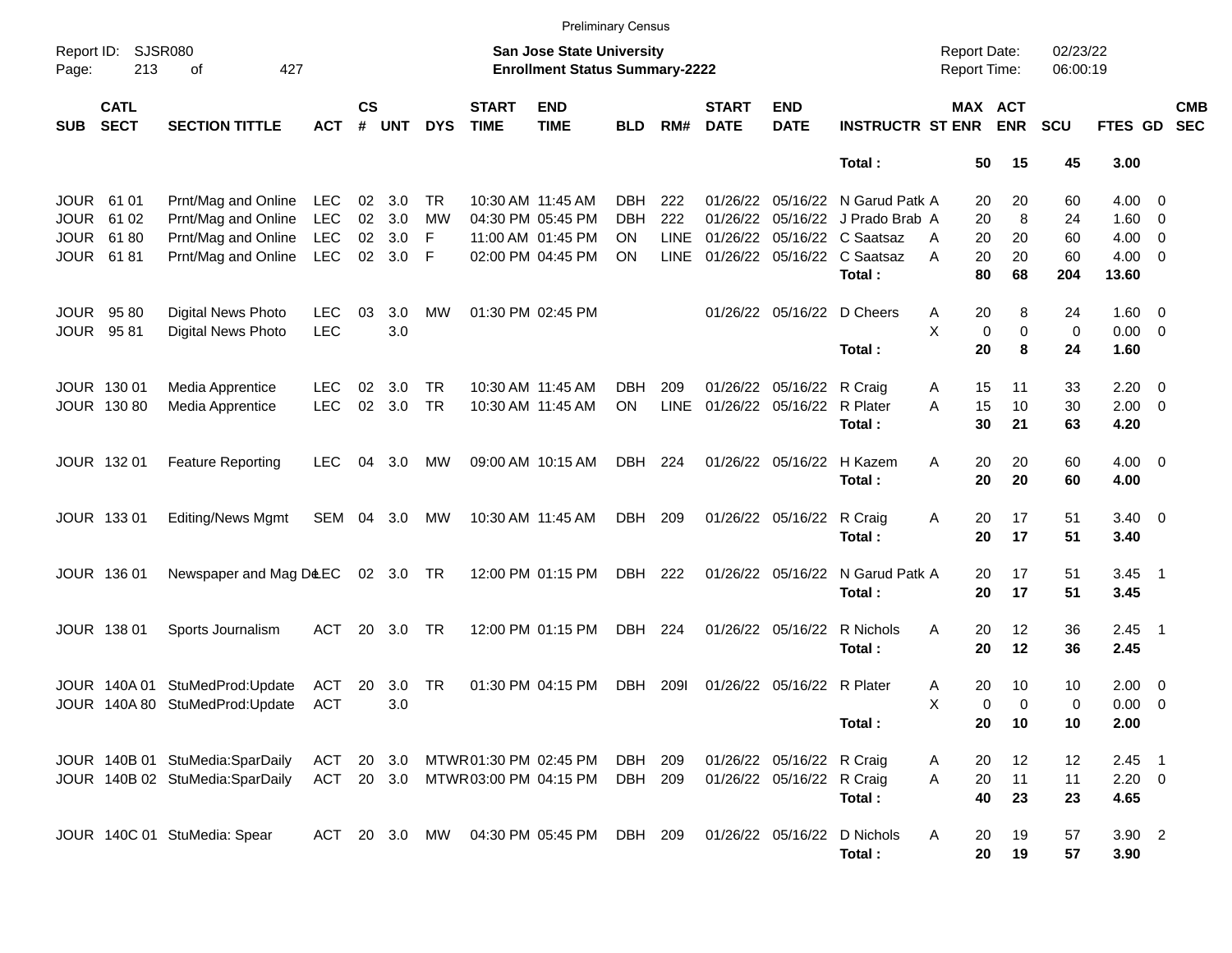|                     |                            |                                 |            |                |            |             |                             | <b>Preliminary Census</b>                                                 |            |             |                             |                           |                             |                                     |                       |                      |                |                            |                          |
|---------------------|----------------------------|---------------------------------|------------|----------------|------------|-------------|-----------------------------|---------------------------------------------------------------------------|------------|-------------|-----------------------------|---------------------------|-----------------------------|-------------------------------------|-----------------------|----------------------|----------------|----------------------------|--------------------------|
| Report ID:<br>Page: | <b>SJSR080</b><br>213      | 427<br>of                       |            |                |            |             |                             | <b>San Jose State University</b><br><b>Enrollment Status Summary-2222</b> |            |             |                             |                           |                             | <b>Report Date:</b><br>Report Time: |                       | 02/23/22<br>06:00:19 |                |                            |                          |
| <b>SUB</b>          | <b>CATL</b><br><b>SECT</b> | <b>SECTION TITTLE</b>           | <b>ACT</b> | <b>CS</b><br># | <b>UNT</b> | <b>DYS</b>  | <b>START</b><br><b>TIME</b> | <b>END</b><br><b>TIME</b>                                                 | <b>BLD</b> | RM#         | <b>START</b><br><b>DATE</b> | <b>END</b><br><b>DATE</b> | <b>INSTRUCTR ST ENR</b>     |                                     | MAX ACT<br><b>ENR</b> | SCU                  | FTES GD        |                            | <b>CMB</b><br><b>SEC</b> |
|                     |                            |                                 |            |                |            |             |                             |                                                                           |            |             |                             |                           | Total:                      | 50                                  | 15                    | 45                   | 3.00           |                            |                          |
| <b>JOUR</b>         | 61 01                      | Prnt/Mag and Online             | <b>LEC</b> | 02             | 3.0        | TR          |                             | 10:30 AM 11:45 AM                                                         | <b>DBH</b> | 222         |                             | 01/26/22 05/16/22         | N Garud Patk A              | 20                                  | 20                    | 60                   | $4.00 \ 0$     |                            |                          |
| <b>JOUR</b>         | 61 02                      | Prnt/Mag and Online             | <b>LEC</b> | 02             | 3.0        | MW          |                             | 04:30 PM 05:45 PM                                                         | <b>DBH</b> | 222         | 01/26/22                    | 05/16/22                  | J Prado Brab A              | 20                                  | 8                     | 24                   | $1.60 \ 0$     |                            |                          |
| <b>JOUR</b>         | 6180                       | Prnt/Mag and Online             | <b>LEC</b> | 02             | 3.0        | F           |                             | 11:00 AM 01:45 PM                                                         | <b>ON</b>  | <b>LINE</b> | 01/26/22                    | 05/16/22                  | C Saatsaz                   | 20<br>A                             | 20                    | 60                   | 4.00           | $\overline{\phantom{0}}$   |                          |
| <b>JOUR</b>         | 6181                       | Prnt/Mag and Online             | <b>LEC</b> | 02             | 3.0        | $\mathsf F$ |                             | 02:00 PM 04:45 PM                                                         | <b>ON</b>  | <b>LINE</b> |                             |                           | 01/26/22 05/16/22 C Saatsaz | 20<br>A                             | 20                    | 60                   | $4.00 \ 0$     |                            |                          |
|                     |                            |                                 |            |                |            |             |                             |                                                                           |            |             |                             |                           | Total:                      | 80                                  | 68                    | 204                  | 13.60          |                            |                          |
| <b>JOUR</b>         | 9580                       | Digital News Photo              | <b>LEC</b> | 03             | 3.0        | MW          |                             | 01:30 PM 02:45 PM                                                         |            |             |                             | 01/26/22 05/16/22         | D Cheers                    | 20<br>A                             | 8                     | 24                   | $1.60 \t 0$    |                            |                          |
| <b>JOUR</b>         | 9581                       | <b>Digital News Photo</b>       | <b>LEC</b> |                | 3.0        |             |                             |                                                                           |            |             |                             |                           |                             | X<br>$\mathbf 0$                    | $\mathbf 0$           | $\mathbf 0$          | $0.00 \t 0$    |                            |                          |
|                     |                            |                                 |            |                |            |             |                             |                                                                           |            |             |                             |                           | Total:                      | 20                                  | 8                     | 24                   | 1.60           |                            |                          |
|                     | JOUR 130 01                | Media Apprentice                | LEC.       | 02             | 3.0        | <b>TR</b>   |                             | 10:30 AM 11:45 AM                                                         | DBH        | 209         |                             | 01/26/22 05/16/22         | R Craig                     | Α<br>15                             | 11                    | 33                   | $2.20 \t 0$    |                            |                          |
|                     | JOUR 130 80                | Media Apprentice                | <b>LEC</b> | 02             | 3.0        | <b>TR</b>   |                             | 10:30 AM 11:45 AM                                                         | ON         | <b>LINE</b> | 01/26/22                    | 05/16/22                  | R Plater                    | A<br>15                             | 10                    | 30                   | $2.00 \t 0$    |                            |                          |
|                     |                            |                                 |            |                |            |             |                             |                                                                           |            |             |                             |                           | Total:                      | 30                                  | 21                    | 63                   | 4.20           |                            |                          |
|                     | JOUR 132 01                | <b>Feature Reporting</b>        | LEC.       | 04             | 3.0        | MW          |                             | 09:00 AM 10:15 AM                                                         | DBH        | 224         |                             | 01/26/22 05/16/22         | H Kazem                     | A<br>20                             | 20                    | 60                   | $4.00 \ 0$     |                            |                          |
|                     |                            |                                 |            |                |            |             |                             |                                                                           |            |             |                             |                           | Total:                      | 20                                  | 20                    | 60                   | 4.00           |                            |                          |
|                     | JOUR 133 01                | <b>Editing/News Mgmt</b>        | SEM        | 04             | 3.0        | MW          |                             | 10:30 AM 11:45 AM                                                         | DBH        | 209         |                             | 01/26/22 05/16/22         | R Craig                     | 20<br>Α                             | 17                    | 51                   | $3.40 \quad 0$ |                            |                          |
|                     |                            |                                 |            |                |            |             |                             |                                                                           |            |             |                             |                           | Total:                      | 20                                  | 17                    | 51                   | 3.40           |                            |                          |
|                     | JOUR 136 01                | Newspaper and Mag D&EC          |            |                | 02 3.0 TR  |             |                             | 12:00 PM 01:15 PM                                                         | DBH        | 222         |                             | 01/26/22 05/16/22         | N Garud Patk A              | 20                                  | 17                    | 51                   | 3.45           | $\overline{\phantom{0}}$ 1 |                          |
|                     |                            |                                 |            |                |            |             |                             |                                                                           |            |             |                             |                           | Total:                      | 20                                  | 17                    | 51                   | 3.45           |                            |                          |
|                     | JOUR 138 01                | Sports Journalism               | <b>ACT</b> | 20             | 3.0        | <b>TR</b>   |                             | 12:00 PM 01:15 PM                                                         | DBH        | 224         |                             | 01/26/22 05/16/22         | R Nichols                   | A<br>20                             | 12                    | 36                   | 2.45           | $\overline{\phantom{0}}$   |                          |
|                     |                            |                                 |            |                |            |             |                             |                                                                           |            |             |                             |                           | Total:                      | 20                                  | 12                    | 36                   | 2.45           |                            |                          |
|                     | JOUR 140A 01               | StuMedProd:Update               | ACT        | 20             | 3.0        | <b>TR</b>   |                             | 01:30 PM 04:15 PM                                                         | <b>DBH</b> | 2091        | 01/26/22                    | 05/16/22                  | R Plater                    | 20<br>Α                             | 10                    | 10                   | 2.00           | $\overline{\phantom{0}}$   |                          |
|                     |                            | JOUR 140A 80 StuMedProd: Update | <b>ACT</b> |                | 3.0        |             |                             |                                                                           |            |             |                             |                           |                             | X<br>0                              | $\Omega$              | 0                    | 0.00           | $\overline{\phantom{0}}$   |                          |
|                     |                            |                                 |            |                |            |             |                             |                                                                           |            |             |                             |                           | Total:                      | 20                                  | 10                    | 10                   | 2.00           |                            |                          |
|                     |                            | JOUR 140B 01 StuMedia:SparDaily | ACT        | 20             | 3.0        |             |                             | MTWR 01:30 PM 02:45 PM                                                    | DBH 209    |             |                             | 01/26/22 05/16/22 R Craig |                             | 20<br>A                             | 12                    | 12                   | $2.45$ 1       |                            |                          |
|                     |                            | JOUR 140B 02 StuMedia:SparDaily | ACT 20 3.0 |                |            |             |                             | MTWR03:00 PM 04:15 PM                                                     | DBH 209    |             |                             | 01/26/22 05/16/22 R Craig |                             | 20<br>Α                             | 11                    | 11                   | $2.20 \t 0$    |                            |                          |
|                     |                            |                                 |            |                |            |             |                             |                                                                           |            |             |                             |                           | Total:                      | 40                                  | 23                    | 23                   | 4.65           |                            |                          |
|                     |                            | JOUR 140C 01 StuMedia: Spear    | ACT 20 3.0 |                |            | MW          |                             | 04:30 PM 05:45 PM                                                         | DBH 209    |             |                             | 01/26/22 05/16/22         | D Nichols                   | Α<br>20                             | 19                    | 57                   | 3.90 2         |                            |                          |
|                     |                            |                                 |            |                |            |             |                             |                                                                           |            |             |                             |                           | Total:                      | 20                                  | 19                    | 57                   | 3.90           |                            |                          |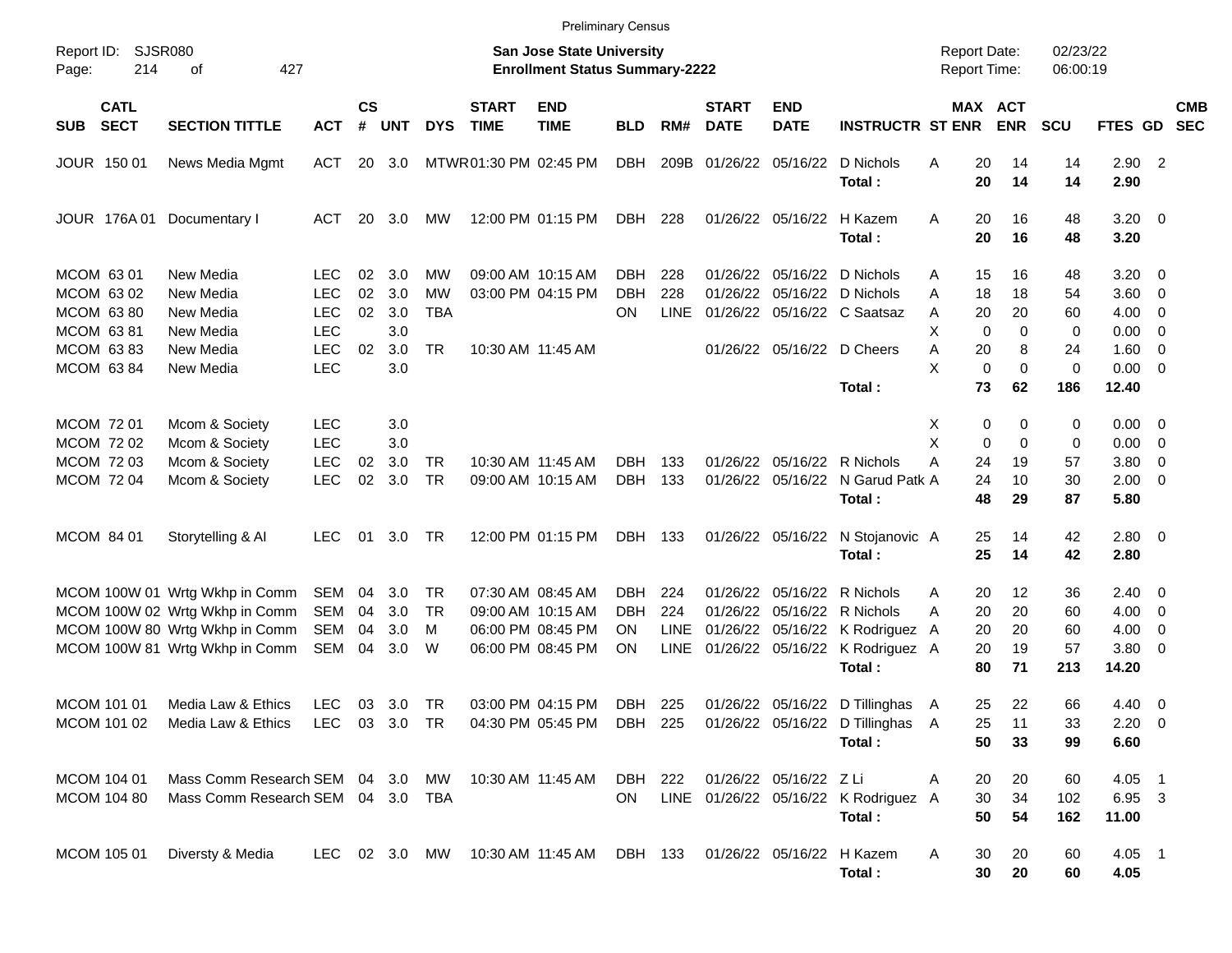|                                       |                                   |                          |                    |            |            |                             |                                                                    | <b>Preliminary Census</b> |             |                             |                           |                                                                                 |                                            |                              |                      |                     |                          |                          |
|---------------------------------------|-----------------------------------|--------------------------|--------------------|------------|------------|-----------------------------|--------------------------------------------------------------------|---------------------------|-------------|-----------------------------|---------------------------|---------------------------------------------------------------------------------|--------------------------------------------|------------------------------|----------------------|---------------------|--------------------------|--------------------------|
| SJSR080<br>Report ID:<br>Page:<br>214 | 427<br>οf                         |                          |                    |            |            |                             | San Jose State University<br><b>Enrollment Status Summary-2222</b> |                           |             |                             |                           |                                                                                 | <b>Report Date:</b><br><b>Report Time:</b> |                              | 02/23/22<br>06:00:19 |                     |                          |                          |
| <b>CATL</b><br><b>SECT</b><br>SUB     | <b>SECTION TITTLE</b>             | <b>ACT</b>               | $\mathsf{cs}$<br># | <b>UNT</b> | <b>DYS</b> | <b>START</b><br><b>TIME</b> | <b>END</b><br><b>TIME</b>                                          | <b>BLD</b>                | RM#         | <b>START</b><br><b>DATE</b> | <b>END</b><br><b>DATE</b> | <b>INSTRUCTR ST ENR</b>                                                         |                                            | MAX ACT<br><b>ENR</b>        | <b>SCU</b>           | <b>FTES GD</b>      |                          | <b>CMB</b><br><b>SEC</b> |
| JOUR 150 01                           | News Media Mgmt                   | ACT                      |                    | 20 3.0     |            | MTWR01:30 PM 02:45 PM       |                                                                    | <b>DBH</b>                | 209B        | 01/26/22                    | 05/16/22                  | D Nichols<br>Total:                                                             | Α                                          | 20<br>14<br>20<br>14         | 14<br>14             | $2.90$ 2<br>2.90    |                          |                          |
| JOUR 176A 01                          | Documentary I                     | ACT                      | 20                 | 3.0        | MW         |                             | 12:00 PM 01:15 PM                                                  | DBH                       | 228         |                             | 01/26/22 05/16/22         | H Kazem<br>Total:                                                               | A                                          | 16<br>20<br>20<br>16         | 48<br>48             | $3.20 \ 0$<br>3.20  |                          |                          |
| MCOM 63 01                            | New Media                         | <b>LEC</b>               | 02                 | 3.0        | МW         |                             | 09:00 AM 10:15 AM                                                  | DBH.                      | 228         | 01/26/22                    | 05/16/22                  | D Nichols                                                                       | Α                                          | 15<br>16                     | 48                   | $3.20 \ 0$          |                          |                          |
| MCOM 63 02                            | New Media                         | <b>LEC</b>               | 02                 | 3.0        | <b>MW</b>  |                             | 03:00 PM 04:15 PM                                                  | <b>DBH</b>                | 228         | 01/26/22                    |                           | 05/16/22 D Nichols                                                              | A                                          | 18<br>18                     | 54                   | 3.60 0              |                          |                          |
| <b>MCOM 6380</b>                      | New Media                         | <b>LEC</b><br><b>LEC</b> | 02                 | 3.0<br>3.0 | <b>TBA</b> |                             |                                                                    | OΝ                        | <b>LINE</b> |                             |                           | 01/26/22 05/16/22 C Saatsaz                                                     | A<br>Х                                     | 20<br>20<br>$\mathbf 0$<br>0 | 60                   | $4.00 \ 0$          |                          |                          |
| MCOM 6381<br>MCOM 6383                | New Media<br>New Media            | <b>LEC</b>               | 02                 | 3.0        | <b>TR</b>  |                             | 10:30 AM 11:45 AM                                                  |                           |             |                             |                           | 01/26/22 05/16/22 D Cheers                                                      | Α                                          | 8<br>20                      | 0<br>24              | 0.00<br>$1.60 \t 0$ | $\overline{\phantom{0}}$ |                          |
| MCOM 63 84                            | New Media                         | <b>LEC</b>               |                    | 3.0        |            |                             |                                                                    |                           |             |                             |                           |                                                                                 | X                                          | $\mathbf 0$                  | $\mathbf 0$<br>0     | $0.00 \t 0$         |                          |                          |
|                                       |                                   |                          |                    |            |            |                             |                                                                    |                           |             |                             |                           | Total:                                                                          |                                            | 73<br>62                     | 186                  | 12.40               |                          |                          |
| <b>MCOM 7201</b>                      | Mcom & Society                    | <b>LEC</b>               |                    | 3.0        |            |                             |                                                                    |                           |             |                             |                           |                                                                                 | Х                                          | 0                            | 0<br>0               | $0.00 \t 0$         |                          |                          |
| MCOM 72 02                            | Mcom & Society                    | <b>LEC</b>               |                    | 3.0        |            |                             |                                                                    |                           |             |                             |                           |                                                                                 | X                                          | 0                            | 0<br>0               | $0.00 \t 0$         |                          |                          |
| MCOM 72 03                            | Mcom & Society                    | <b>LEC</b>               | 02                 | 3.0        | <b>TR</b>  |                             | 10:30 AM 11:45 AM                                                  | DBH                       | 133         |                             |                           | 01/26/22 05/16/22 R Nichols                                                     | A                                          | 24<br>19                     | 57                   | 3.80                | $\overline{\phantom{0}}$ |                          |
| MCOM 72 04                            | Mcom & Society                    | <b>LEC</b>               | 02                 | 3.0        | <b>TR</b>  |                             | 09:00 AM 10:15 AM                                                  | <b>DBH</b>                | 133         |                             | 01/26/22 05/16/22         | N Garud Patk A                                                                  |                                            | 24<br>10                     | 30                   | $2.00 \t 0$         |                          |                          |
|                                       |                                   |                          |                    |            |            |                             |                                                                    |                           |             |                             |                           | Total:                                                                          |                                            | 48<br>29                     | 87                   | 5.80                |                          |                          |
| MCOM 84 01                            | Storytelling & Al                 | <b>LEC</b>               | 01                 | 3.0        | TR         |                             | 12:00 PM 01:15 PM                                                  | DBH                       | 133         |                             | 01/26/22 05/16/22         | N Stojanovic A                                                                  |                                            | 25<br>14                     | 42                   | $2.80 \t 0$         |                          |                          |
|                                       |                                   |                          |                    |            |            |                             |                                                                    |                           |             |                             |                           | Total:                                                                          |                                            | 25<br>14                     | 42                   | 2.80                |                          |                          |
|                                       | MCOM 100W 01 Wrtg Wkhp in Comm    | SEM                      | 04                 | 3.0        | TR         |                             | 07:30 AM 08:45 AM                                                  | DBH.                      | 224         | 01/26/22                    | 05/16/22                  | R Nichols                                                                       | Α                                          | 20<br>12                     | 36                   | $2.40 \quad 0$      |                          |                          |
|                                       | MCOM 100W 02 Wrtg Wkhp in Comm    | <b>SEM</b>               | 04                 | 3.0        | TR         |                             | 09:00 AM 10:15 AM                                                  | DBH                       | 224         | 01/26/22                    | 05/16/22                  | R Nichols                                                                       | А                                          | 20<br>20                     | 60                   | $4.00 \ 0$          |                          |                          |
|                                       | MCOM 100W 80 Wrtg Wkhp in Comm    | <b>SEM</b>               | 04                 | 3.0        | м          |                             | 06:00 PM 08:45 PM                                                  | OΝ                        | <b>LINE</b> | 01/26/22                    |                           | 05/16/22 K Rodriguez A                                                          |                                            | 20<br>20                     | 60                   | 4.00                | $\overline{\phantom{0}}$ |                          |
|                                       | MCOM 100W 81 Wrtg Wkhp in Comm    | <b>SEM</b>               | 04                 | 3.0        | W          |                             | 06:00 PM 08:45 PM                                                  | ON                        | LINE        |                             | 01/26/22 05/16/22         | K Rodriguez A<br>Total:                                                         |                                            | 20<br>19<br>80<br>71         | 57<br>213            | 3.80 0<br>14.20     |                          |                          |
| MCOM 101 01                           | Media Law & Ethics                | LEC.                     | 03                 | 3.0 TR     |            |                             | 03:00 PM 04:15 PM                                                  | DBH                       | 225         |                             |                           | 01/26/22 05/16/22 D Tillinghas A                                                |                                            | 22<br>25                     | 66                   | $4.40 \quad 0$      |                          |                          |
| MCOM 101 02                           | Media Law & Ethics                |                          |                    |            |            |                             |                                                                    |                           |             |                             |                           | LEC 03 3.0 TR  04:30 PM 05:45 PM  DBH  225  01/26/22  05/16/22  D Tillinghas  A |                                            | 25<br>11                     | 33                   | $2.20 \t 0$         |                          |                          |
|                                       |                                   |                          |                    |            |            |                             |                                                                    |                           |             |                             |                           | Total:                                                                          |                                            | 50<br>33                     | 99                   | 6.60                |                          |                          |
| MCOM 104 01                           | Mass Comm Research SEM 04 3.0 MW  |                          |                    |            |            |                             | 10:30 AM 11:45 AM                                                  | DBH 222                   |             |                             | 01/26/22 05/16/22 Z Li    |                                                                                 | Α                                          | 20<br>20                     | 60                   | $4.05$ 1            |                          |                          |
| MCOM 104 80                           | Mass Comm Research SEM 04 3.0 TBA |                          |                    |            |            |                             |                                                                    | ON                        |             |                             |                           | LINE 01/26/22 05/16/22 K Rodriguez A                                            |                                            | 30<br>34                     | 102                  | 6.95 3              |                          |                          |
|                                       |                                   |                          |                    |            |            |                             |                                                                    |                           |             |                             |                           | Total:                                                                          |                                            | 50<br>54                     | 162                  | 11.00               |                          |                          |
| <b>MCOM 105 01</b>                    | Diversty & Media                  | LEC 02 3.0 MW            |                    |            |            |                             | 10:30 AM 11:45 AM                                                  | DBH 133                   |             |                             |                           | 01/26/22 05/16/22 H Kazem<br>Total:                                             | A                                          | 30<br>20<br>30<br>20         | 60<br>60             | $4.05$ 1<br>4.05    |                          |                          |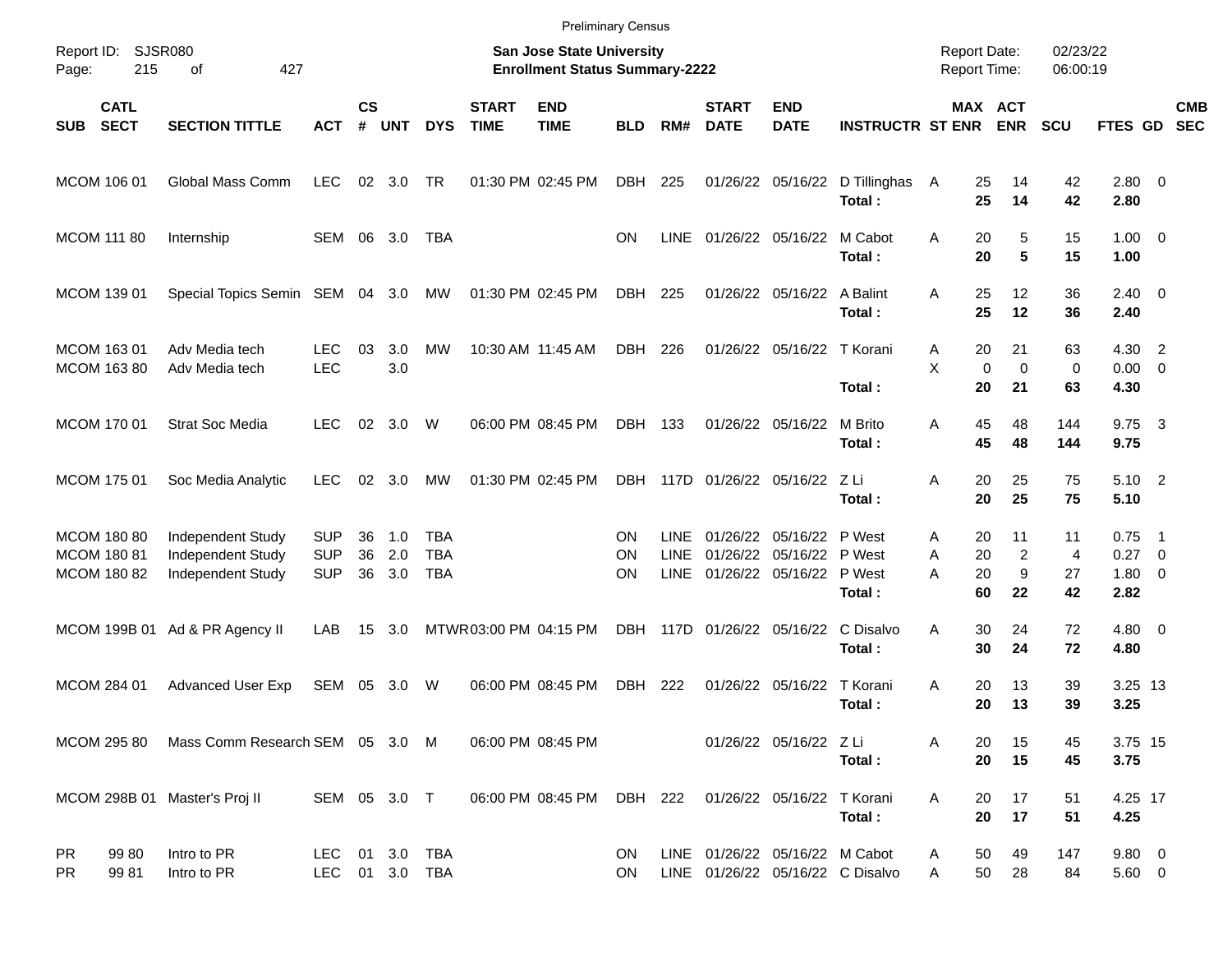|                                           |                            |                                                             |                                        |                    |                   |                                 |                             | <b>Preliminary Census</b>                                                 |                 |                                           |                             |                                           |                                      |                                     |                                        |                                  |                              |                                                              |                          |
|-------------------------------------------|----------------------------|-------------------------------------------------------------|----------------------------------------|--------------------|-------------------|---------------------------------|-----------------------------|---------------------------------------------------------------------------|-----------------|-------------------------------------------|-----------------------------|-------------------------------------------|--------------------------------------|-------------------------------------|----------------------------------------|----------------------------------|------------------------------|--------------------------------------------------------------|--------------------------|
| Report ID:<br>Page:                       | <b>SJSR080</b><br>215      | 427<br>οf                                                   |                                        |                    |                   |                                 |                             | <b>San Jose State University</b><br><b>Enrollment Status Summary-2222</b> |                 |                                           |                             |                                           |                                      | <b>Report Date:</b><br>Report Time: |                                        | 02/23/22<br>06:00:19             |                              |                                                              |                          |
| <b>SUB</b>                                | <b>CATL</b><br><b>SECT</b> | <b>SECTION TITTLE</b>                                       | <b>ACT</b>                             | $\mathsf{cs}$<br># | <b>UNT</b>        | <b>DYS</b>                      | <b>START</b><br><b>TIME</b> | <b>END</b><br><b>TIME</b>                                                 | <b>BLD</b>      | RM#                                       | <b>START</b><br><b>DATE</b> | <b>END</b><br><b>DATE</b>                 | <b>INSTRUCTR ST ENR</b>              |                                     | MAX ACT<br><b>ENR</b>                  | <b>SCU</b>                       | FTES GD                      |                                                              | <b>CMB</b><br><b>SEC</b> |
| MCOM 106 01                               |                            | Global Mass Comm                                            | <b>LEC</b>                             | 02                 | 3.0               | TR                              |                             | 01:30 PM 02:45 PM                                                         | DBH             | 225                                       | 01/26/22                    | 05/16/22                                  | D Tillinghas<br>Total:               | 25<br>A<br>25                       | 14<br>14                               | 42<br>42                         | 2.80 0<br>2.80               |                                                              |                          |
| <b>MCOM 111 80</b>                        |                            | Internship                                                  | SEM                                    | 06                 | 3.0               | TBA                             |                             |                                                                           | ON              | <b>LINE</b>                               |                             | 01/26/22 05/16/22                         | M Cabot<br>Total:                    | A<br>20<br>20                       | 5<br>$5\phantom{1}$                    | 15<br>15                         | $1.00 \t 0$<br>1.00          |                                                              |                          |
| MCOM 139 01                               |                            | Special Topics Semin SEM                                    |                                        | 04                 | 3.0               | MW                              |                             | 01:30 PM 02:45 PM                                                         | DBH             | 225                                       |                             | 01/26/22 05/16/22                         | A Balint<br>Total:                   | 25<br>A<br>25                       | 12<br>12                               | 36<br>36                         | $2.40 \ 0$<br>2.40           |                                                              |                          |
| MCOM 163 01<br>MCOM 163 80                |                            | Adv Media tech<br>Adv Media tech                            | <b>LEC</b><br><b>LEC</b>               | 03                 | 3.0<br>3.0        | MW                              |                             | 10:30 AM 11:45 AM                                                         | <b>DBH</b>      | 226                                       |                             | 01/26/22 05/16/22                         | T Korani<br>Total:                   | 20<br>Α<br>X<br>20                  | 21<br>$\mathbf 0$<br>$\mathbf 0$<br>21 | 63<br>0<br>63                    | 4.30<br>0.00<br>4.30         | $\overline{2}$<br>$\overline{0}$                             |                          |
| MCOM 170 01                               |                            | <b>Strat Soc Media</b>                                      | <b>LEC</b>                             | 02                 | 3.0               | W                               |                             | 06:00 PM 08:45 PM                                                         | <b>DBH</b>      | 133                                       |                             | 01/26/22 05/16/22                         | M Brito<br>Total:                    | 45<br>Α<br>45                       | 48<br>48                               | 144<br>144                       | 9.75<br>9.75                 | $\overline{\mathbf{3}}$                                      |                          |
| MCOM 175 01                               |                            | Soc Media Analytic                                          | <b>LEC</b>                             | 02                 | 3.0               | <b>MW</b>                       |                             | 01:30 PM 02:45 PM                                                         | <b>DBH</b>      | 117D                                      |                             | 01/26/22 05/16/22                         | – Z Li<br>Total:                     | 20<br>Α<br>20                       | 25<br>25                               | 75<br>75                         | 5.10 2<br>5.10               |                                                              |                          |
| MCOM 180 80<br>MCOM 180 81<br>MCOM 180 82 |                            | Independent Study<br>Independent Study<br>Independent Study | <b>SUP</b><br><b>SUP</b><br><b>SUP</b> | 36<br>36<br>36     | 1.0<br>2.0<br>3.0 | TBA<br><b>TBA</b><br><b>TBA</b> |                             |                                                                           | ON<br>ON<br>ΟN  | <b>LINE</b><br><b>LINE</b><br><b>LINE</b> | 01/26/22<br>01/26/22        | 05/16/22<br>05/16/22<br>01/26/22 05/16/22 | P West<br>P West<br>P West<br>Total: | Α<br>20<br>20<br>A<br>A<br>20<br>60 | 11<br>$\overline{c}$<br>9<br>22        | 11<br>$\overline{4}$<br>27<br>42 | 0.75<br>0.27<br>1.80<br>2.82 | $\overline{\phantom{1}}$<br>$\overline{0}$<br>$\overline{0}$ |                          |
| MCOM 199B 01                              |                            | Ad & PR Agency II                                           | LAB                                    | 15                 | 3.0               |                                 | MTWR03:00 PM 04:15 PM       |                                                                           | <b>DBH</b>      | 117D                                      |                             | 01/26/22 05/16/22                         | C Disalvo<br>Total:                  | 30<br>Α<br>30                       | 24<br>24                               | 72<br>72                         | $4.80\ 0$<br>4.80            |                                                              |                          |
| MCOM 284 01                               |                            | <b>Advanced User Exp</b>                                    | <b>SEM</b>                             | 05                 | 3.0               | W                               |                             | 06:00 PM 08:45 PM                                                         | <b>DBH</b>      | 222                                       | 01/26/22                    | 05/16/22                                  | T Korani<br>Total:                   | A<br>20<br>20                       | 13<br>13                               | 39<br>39                         | 3.25 13<br>3.25              |                                                              |                          |
| MCOM 295 80                               |                            | Mass Comm Research SEM 05 3.0 M                             |                                        |                    |                   |                                 |                             | 06:00 PM 08:45 PM                                                         |                 |                                           |                             | 01/26/22 05/16/22 Z Li                    | Total:                               | 20<br>A<br>20                       | 15<br>15                               | 45<br>45                         | 3.75 15<br>3.75              |                                                              |                          |
|                                           |                            | MCOM 298B 01 Master's Proj II                               | SEM 05 3.0 T                           |                    |                   |                                 |                             | 06:00 PM 08:45 PM                                                         | DBH             | 222                                       |                             | 01/26/22 05/16/22                         | T Korani<br>Total:                   | Α<br>20<br>20                       | 17<br>17                               | 51<br>51                         | 4.25 17<br>4.25              |                                                              |                          |
| <b>PR</b><br><b>PR</b>                    | 99 80<br>9981              | Intro to PR<br>Intro to PR                                  | <b>LEC</b><br>LEC.                     |                    | 01 3.0            | <b>TBA</b><br>01 3.0 TBA        |                             |                                                                           | ON<br><b>ON</b> |                                           |                             | LINE 01/26/22 05/16/22 M Cabot            | LINE 01/26/22 05/16/22 C Disalvo     | 50<br>A<br>50<br>Α                  | 49<br>28                               | 147<br>84                        | $9.80\ 0$<br>5.60 0          |                                                              |                          |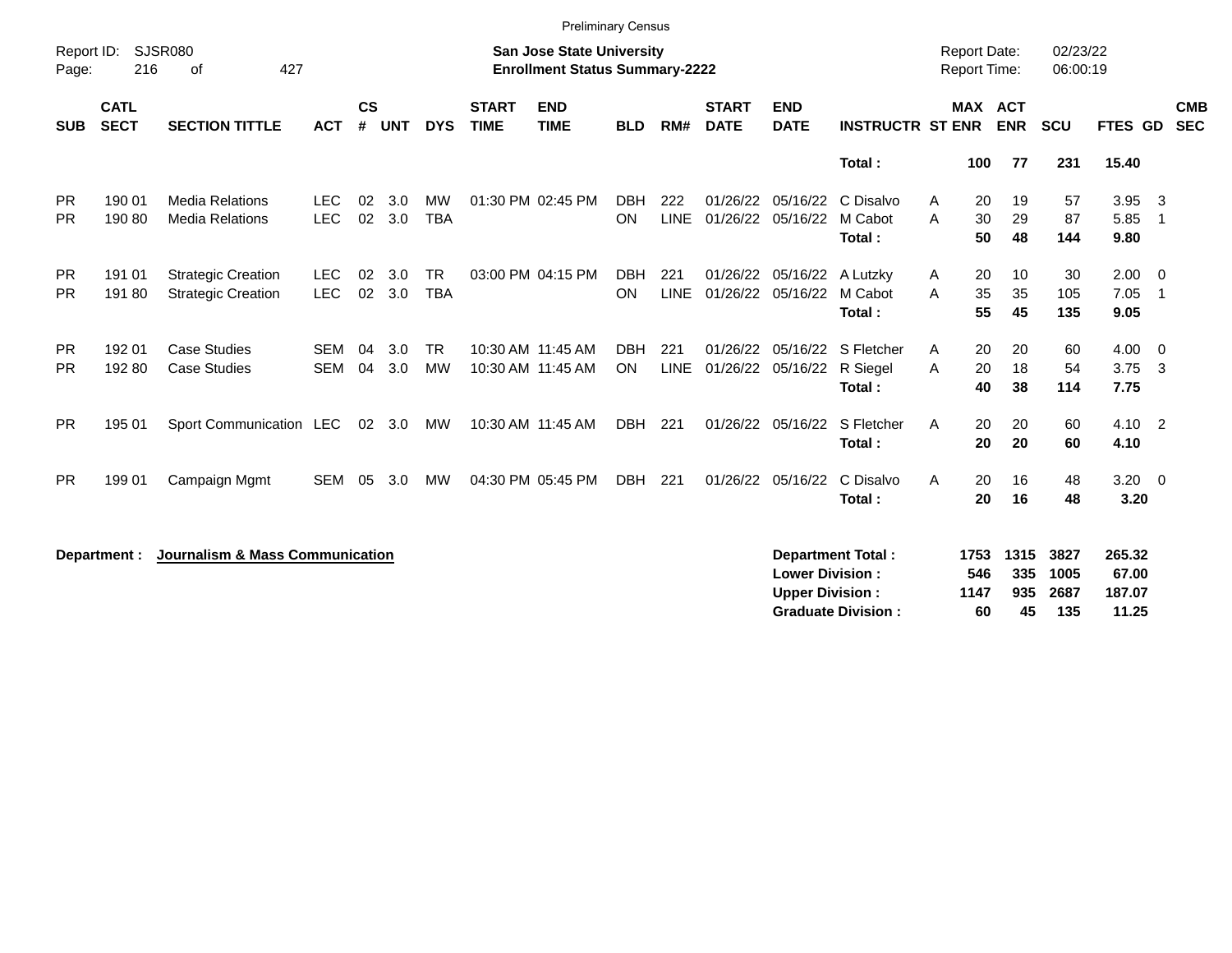|                        |                            |                                                        |                          |                    |                |                         |                             | <b>Preliminary Census</b>                                                 |                         |                    |                             |                                                  |                                                       |                                     |                          |                             |                                    |                                  |
|------------------------|----------------------------|--------------------------------------------------------|--------------------------|--------------------|----------------|-------------------------|-----------------------------|---------------------------------------------------------------------------|-------------------------|--------------------|-----------------------------|--------------------------------------------------|-------------------------------------------------------|-------------------------------------|--------------------------|-----------------------------|------------------------------------|----------------------------------|
| Report ID:<br>Page:    | 216                        | <b>SJSR080</b><br>427<br>οf                            |                          |                    |                |                         |                             | <b>San Jose State University</b><br><b>Enrollment Status Summary-2222</b> |                         |                    |                             |                                                  |                                                       | <b>Report Date:</b><br>Report Time: |                          | 02/23/22<br>06:00:19        |                                    |                                  |
| <b>SUB</b>             | <b>CATL</b><br><b>SECT</b> | <b>SECTION TITTLE</b>                                  | <b>ACT</b>               | $\mathsf{cs}$<br># | <b>UNT</b>     | <b>DYS</b>              | <b>START</b><br><b>TIME</b> | <b>END</b><br><b>TIME</b>                                                 | <b>BLD</b>              | RM#                | <b>START</b><br><b>DATE</b> | <b>END</b><br><b>DATE</b>                        | <b>INSTRUCTR ST ENR</b>                               | <b>MAX ACT</b>                      | <b>ENR</b>               | <b>SCU</b>                  | FTES GD                            | <b>CMB</b><br><b>SEC</b>         |
|                        |                            |                                                        |                          |                    |                |                         |                             |                                                                           |                         |                    |                             |                                                  | Total:                                                | 100                                 | 77                       | 231                         | 15.40                              |                                  |
| <b>PR</b><br><b>PR</b> | 190 01<br>190 80           | <b>Media Relations</b><br><b>Media Relations</b>       | <b>LEC</b><br><b>LEC</b> | 02<br>02           | 3.0<br>3.0     | <b>MW</b><br><b>TBA</b> |                             | 01:30 PM 02:45 PM                                                         | <b>DBH</b><br>ON        | 222<br><b>LINE</b> | 01/26/22<br>01/26/22        | 05/16/22<br>05/16/22                             | C Disalvo<br>M Cabot<br>Total:                        | A<br>20<br>A<br>30<br>50            | 19<br>29<br>48           | 57<br>87<br>144             | 3.95<br>5.85<br>9.80               | -3<br>$\overline{1}$             |
| <b>PR</b><br><b>PR</b> | 191 01<br>191 80           | <b>Strategic Creation</b><br><b>Strategic Creation</b> | <b>LEC</b><br><b>LEC</b> | 02<br>02           | 3.0<br>3.0     | <b>TR</b><br><b>TBA</b> |                             | 03:00 PM 04:15 PM                                                         | <b>DBH</b><br>ON        | 221<br><b>LINE</b> | 01/26/22                    | 01/26/22 05/16/22 A Lutzky<br>05/16/22           | M Cabot<br>Total:                                     | 20<br>A<br>35<br>A<br>55            | 10<br>35<br>45           | 30<br>105<br>135            | 2.00<br>7.05<br>9.05               | $\overline{0}$<br>$\overline{1}$ |
| <b>PR</b><br><b>PR</b> | 192 01<br>192 80           | <b>Case Studies</b><br><b>Case Studies</b>             | <b>SEM</b><br><b>SEM</b> | 04<br>04           | 3.0<br>3.0     | <b>TR</b><br><b>MW</b>  |                             | 10:30 AM 11:45 AM<br>10:30 AM 11:45 AM                                    | <b>DBH</b><br><b>ON</b> | 221<br><b>LINE</b> | 01/26/22                    | 05/16/22<br>01/26/22 05/16/22                    | S Fletcher<br>R Siegel<br>Total:                      | 20<br>A<br>20<br>A<br>40            | 20<br>18<br>38           | 60<br>54<br>114             | 4.00<br>3.75<br>7.75               | $\overline{0}$<br>$\mathbf{3}$   |
| <b>PR</b>              | 195 01                     | Sport Communication LEC                                |                          |                    | $02 \quad 3.0$ | MW                      |                             | 10:30 AM 11:45 AM                                                         | DBH                     | 221                |                             | 01/26/22 05/16/22                                | S Fletcher<br>Total:                                  | A<br>20<br>20                       | 20<br>20                 | 60<br>60                    | $4.10 \quad 2$<br>4.10             |                                  |
| <b>PR</b>              | 199 01                     | Campaign Mgmt                                          | <b>SEM</b>               | 05                 | 3.0            | MW                      |                             | 04:30 PM 05:45 PM                                                         | DBH 221                 |                    |                             | 01/26/22 05/16/22                                | C Disalvo<br>Total:                                   | A<br>20<br>20                       | 16<br>16                 | 48<br>48                    | $3.20 \ 0$<br>3.20                 |                                  |
|                        | Department :               | Journalism & Mass Communication                        |                          |                    |                |                         |                             |                                                                           |                         |                    |                             | <b>Lower Division:</b><br><b>Upper Division:</b> | <b>Department Total:</b><br><b>Graduate Division:</b> | 1753<br>546<br>1147<br>60           | 1315<br>335<br>935<br>45 | 3827<br>1005<br>2687<br>135 | 265.32<br>67.00<br>187.07<br>11.25 |                                  |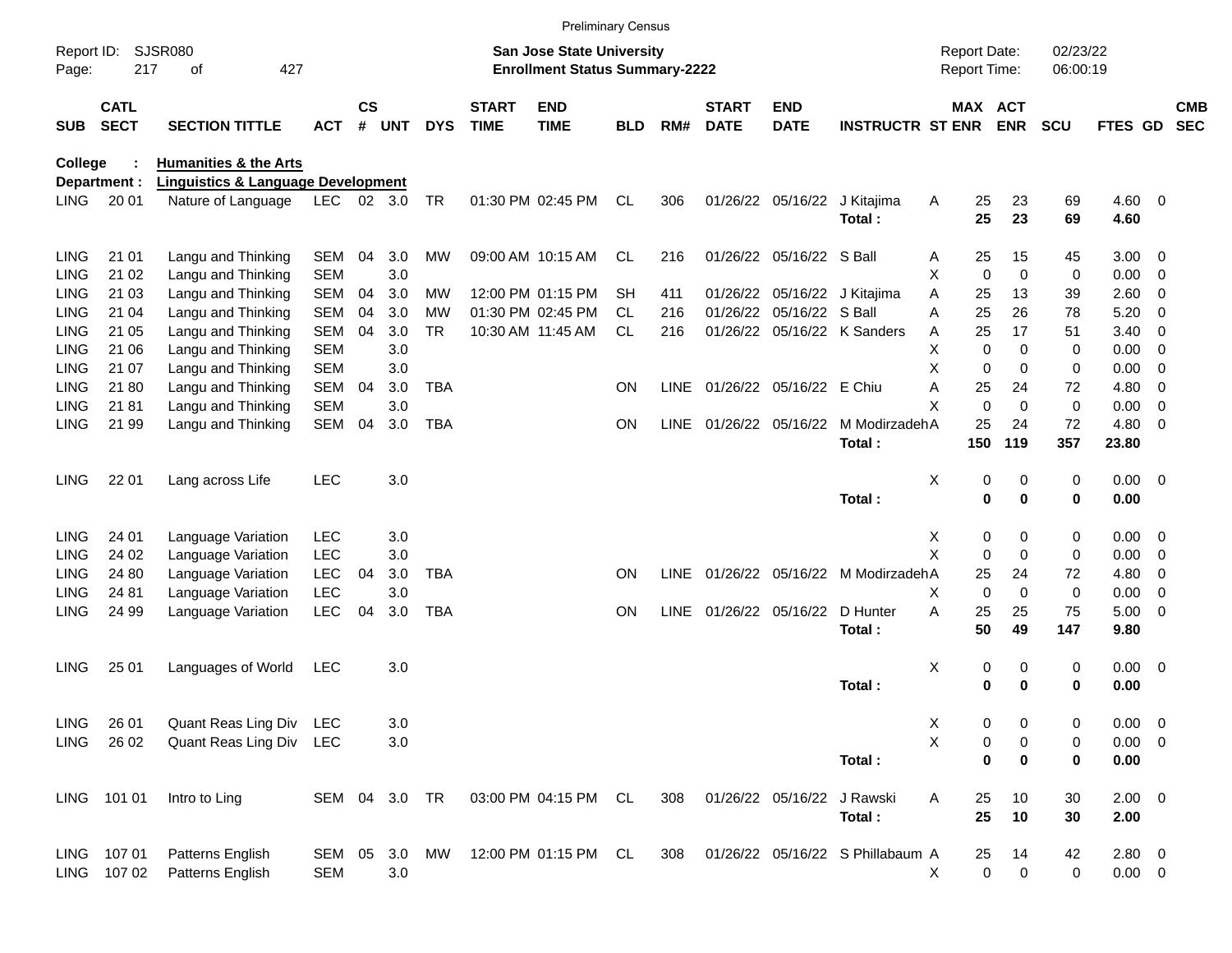|             |                                                  |                                               |               |                    |            |            |                             |                                                                    | <b>Preliminary Census</b> |             |                             |                            |                                        |                                     |                            |                      |                  |                          |                          |
|-------------|--------------------------------------------------|-----------------------------------------------|---------------|--------------------|------------|------------|-----------------------------|--------------------------------------------------------------------|---------------------------|-------------|-----------------------------|----------------------------|----------------------------------------|-------------------------------------|----------------------------|----------------------|------------------|--------------------------|--------------------------|
| Page:       | <b>SJSR080</b><br>Report ID:<br>427<br>217<br>οf |                                               |               |                    |            |            |                             | San Jose State University<br><b>Enrollment Status Summary-2222</b> |                           |             |                             |                            |                                        | <b>Report Date:</b><br>Report Time: |                            | 02/23/22<br>06:00:19 |                  |                          |                          |
| <b>SUB</b>  | <b>CATL</b><br><b>SECT</b>                       | <b>SECTION TITTLE</b>                         | <b>ACT</b>    | $\mathsf{cs}$<br># | <b>UNT</b> | <b>DYS</b> | <b>START</b><br><b>TIME</b> | <b>END</b><br><b>TIME</b>                                          | <b>BLD</b>                | RM#         | <b>START</b><br><b>DATE</b> | <b>END</b><br><b>DATE</b>  | <b>INSTRUCTR ST ENR</b>                |                                     | MAX ACT<br><b>ENR</b>      | <b>SCU</b>           | FTES GD          |                          | <b>CMB</b><br><b>SEC</b> |
| College     |                                                  | <b>Humanities &amp; the Arts</b>              |               |                    |            |            |                             |                                                                    |                           |             |                             |                            |                                        |                                     |                            |                      |                  |                          |                          |
|             | Department :                                     | <b>Linguistics &amp; Language Development</b> |               |                    |            |            |                             |                                                                    |                           |             |                             |                            |                                        |                                     |                            |                      |                  |                          |                          |
| <b>LING</b> | 20 01                                            | Nature of Language                            | LEC 02 3.0    |                    |            | <b>TR</b>  |                             | 01:30 PM 02:45 PM                                                  | CL                        | 306         |                             |                            | 01/26/22 05/16/22 J Kitajima<br>Total: | Α<br>25<br>25                       | 23<br>23                   | 69<br>69             | $4.60$ 0<br>4.60 |                          |                          |
| <b>LING</b> | 21 01                                            | Langu and Thinking                            | <b>SEM</b>    | 04                 | 3.0        | MW         |                             | 09:00 AM 10:15 AM                                                  | CL                        | 216         |                             | 01/26/22 05/16/22 S Ball   |                                        | 25<br>A                             | 15                         | 45                   | $3.00 \ 0$       |                          |                          |
| <b>LING</b> | 21 02                                            | Langu and Thinking                            | <b>SEM</b>    |                    | 3.0        |            |                             |                                                                    |                           |             |                             |                            |                                        | X                                   | $\mathbf 0$<br>$\mathbf 0$ | 0                    | 0.00             | $\overline{\phantom{0}}$ |                          |
| LING        | 21 03                                            | Langu and Thinking                            | <b>SEM</b>    | 04                 | 3.0        | MW         |                             | 12:00 PM 01:15 PM                                                  | <b>SH</b>                 | 411         |                             |                            | 01/26/22 05/16/22 J Kitajima           | A<br>25                             | 13                         | 39                   | 2.60             | $\overline{\phantom{0}}$ |                          |
| LING        | 21 04                                            | Langu and Thinking                            | <b>SEM</b>    | 04                 | 3.0        | МW         |                             | 01:30 PM 02:45 PM                                                  | CL.                       | 216         |                             | 01/26/22 05/16/22 S Ball   |                                        | A<br>25                             | 26                         | 78                   | 5.20             | $\overline{0}$           |                          |
| LING        | 21 05                                            | Langu and Thinking                            | <b>SEM</b>    | 04                 | 3.0        | <b>TR</b>  |                             | 10:30 AM 11:45 AM                                                  | <b>CL</b>                 | 216         |                             |                            | 01/26/22 05/16/22 K Sanders            | 25<br>Α                             | 17                         | 51                   | 3.40             | $\overline{\mathbf{0}}$  |                          |
| LING        | 21 06                                            | Langu and Thinking                            | <b>SEM</b>    |                    | 3.0        |            |                             |                                                                    |                           |             |                             |                            |                                        | х                                   | $\mathbf 0$<br>$\Omega$    | 0                    | 0.00             | 0                        |                          |
| LING        | 21 07                                            | Langu and Thinking                            | <b>SEM</b>    |                    | 3.0        |            |                             |                                                                    |                           |             |                             |                            |                                        | X                                   | $\mathbf 0$<br>$\Omega$    | 0                    | 0.00             | $\overline{0}$           |                          |
| <b>LING</b> | 21 80                                            | Langu and Thinking                            | <b>SEM</b>    | 04                 | 3.0        | <b>TBA</b> |                             |                                                                    | <b>ON</b>                 | <b>LINE</b> |                             | 01/26/22 05/16/22 E Chiu   |                                        | A<br>25                             | 24                         | 72                   | 4.80             | $\overline{0}$           |                          |
| LING        | 2181                                             | Langu and Thinking                            | <b>SEM</b>    |                    | 3.0        |            |                             |                                                                    |                           |             |                             |                            |                                        | X                                   | $\Omega$<br>$\Omega$       | 0                    | 0.00             | $\overline{0}$           |                          |
| <b>LING</b> | 21 99                                            | Langu and Thinking                            | <b>SEM</b>    | 04                 | 3.0        | <b>TBA</b> |                             |                                                                    | <b>ON</b>                 | <b>LINE</b> |                             |                            | 01/26/22 05/16/22 M ModirzadehA        | 25                                  | 24                         | 72                   | 4.80             | $\overline{\phantom{0}}$ |                          |
|             |                                                  |                                               |               |                    |            |            |                             |                                                                    |                           |             |                             |                            | Total:                                 | 150                                 | 119                        | 357                  | 23.80            |                          |                          |
| <b>LING</b> | 22 01                                            | Lang across Life                              | <b>LEC</b>    |                    | 3.0        |            |                             |                                                                    |                           |             |                             |                            |                                        | Χ                                   | 0<br>0                     | 0                    | $0.00 \t 0$      |                          |                          |
|             |                                                  |                                               |               |                    |            |            |                             |                                                                    |                           |             |                             |                            | Total:                                 |                                     | 0<br>$\mathbf 0$           | 0                    | 0.00             |                          |                          |
| <b>LING</b> | 24 01                                            | Language Variation                            | <b>LEC</b>    |                    | 3.0        |            |                             |                                                                    |                           |             |                             |                            |                                        | X                                   | 0<br>0                     | 0                    | $0.00 \t 0$      |                          |                          |
| <b>LING</b> | 24 02                                            | Language Variation                            | <b>LEC</b>    |                    | 3.0        |            |                             |                                                                    |                           |             |                             |                            |                                        | X                                   | $\mathbf 0$<br>$\Omega$    | 0                    | 0.00             | $\overline{\mathbf{0}}$  |                          |
| <b>LING</b> | 24 80                                            | Language Variation                            | <b>LEC</b>    | 04                 | 3.0        | <b>TBA</b> |                             |                                                                    | <b>ON</b>                 | <b>LINE</b> |                             |                            | 01/26/22 05/16/22 M ModirzadehA        | 25                                  | 24                         | 72                   | 4.80             | $\overline{0}$           |                          |
| <b>LING</b> | 24 81                                            | Language Variation                            | LEC           |                    | 3.0        |            |                             |                                                                    |                           |             |                             |                            |                                        | X                                   | $\mathbf 0$<br>$\Omega$    | 0                    | 0.00             | 0                        |                          |
| <b>LING</b> | 24 99                                            | Language Variation                            | <b>LEC</b>    | 04                 | 3.0        | <b>TBA</b> |                             |                                                                    | <b>ON</b>                 | <b>LINE</b> |                             | 01/26/22 05/16/22          | D Hunter                               | A<br>25                             | 25                         | 75                   | $5.00 \t 0$      |                          |                          |
|             |                                                  |                                               |               |                    |            |            |                             |                                                                    |                           |             |                             |                            | Total:                                 | 50                                  | 49                         | 147                  | 9.80             |                          |                          |
| <b>LING</b> | 25 01                                            | Languages of World                            | LEC           |                    | 3.0        |            |                             |                                                                    |                           |             |                             |                            |                                        | х                                   | 0<br>0                     | 0                    | $0.00 \t 0$      |                          |                          |
|             |                                                  |                                               |               |                    |            |            |                             |                                                                    |                           |             |                             |                            | Total:                                 |                                     | 0<br>0                     | 0                    | 0.00             |                          |                          |
| LING        | 26 01                                            | Quant Reas Ling Div LEC                       |               |                    | 3.0        |            |                             |                                                                    |                           |             |                             |                            |                                        | Χ                                   | 0<br>0                     | 0                    | $0.00 \t 0$      |                          |                          |
| LING        | 26 02                                            | Quant Reas Ling Div LEC                       |               |                    | 3.0        |            |                             |                                                                    |                           |             |                             |                            |                                        | X                                   | 0<br>0                     | 0                    | $0.00 \t 0$      |                          |                          |
|             |                                                  |                                               |               |                    |            |            |                             |                                                                    |                           |             |                             |                            | Total:                                 |                                     | 0<br>0                     | 0                    | 0.00             |                          |                          |
|             | LING 101 01                                      | Intro to Ling                                 | SEM 04 3.0 TR |                    |            |            |                             | 03:00 PM 04:15 PM CL                                               |                           | 308         |                             | 01/26/22 05/16/22 J Rawski |                                        | Α<br>25                             | 10                         | 30                   | $2.00 \t 0$      |                          |                          |
|             |                                                  |                                               |               |                    |            |            |                             |                                                                    |                           |             |                             |                            | Total:                                 | 25                                  | 10                         | 30                   | 2.00             |                          |                          |
|             | LING 107 01                                      | Patterns English                              | SEM 05 3.0    |                    |            | MW         |                             | 12:00 PM 01:15 PM CL                                               |                           | 308         |                             |                            | 01/26/22 05/16/22 S Phillabaum A       | 25                                  | 14                         | 42                   | 2.80 0           |                          |                          |
|             | LING 107 02                                      | Patterns English                              | <b>SEM</b>    |                    | 3.0        |            |                             |                                                                    |                           |             |                             |                            |                                        | X                                   | $\pmb{0}$<br>$\mathbf 0$   | $\pmb{0}$            | $0.00 \t 0$      |                          |                          |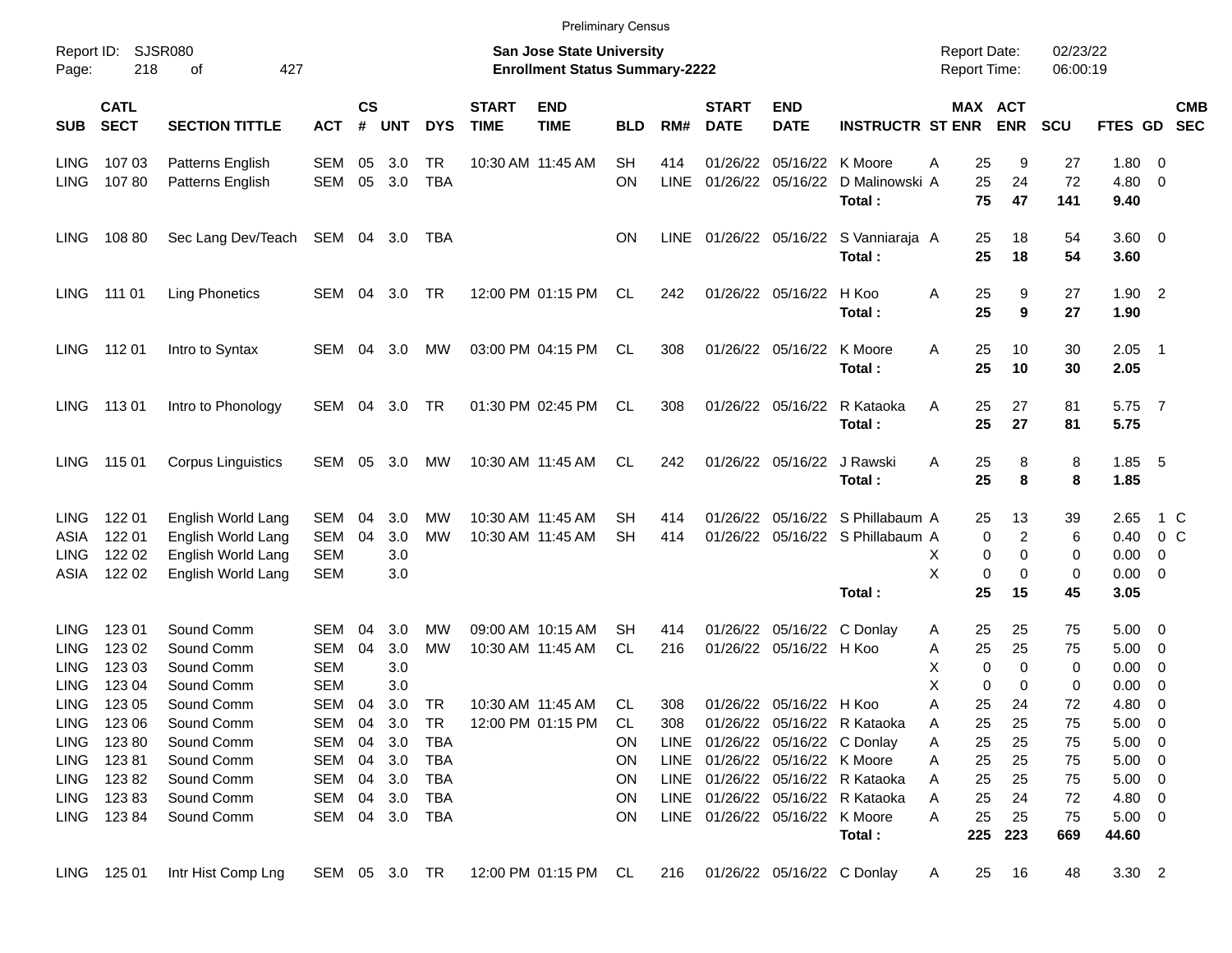|                                                          |                                                  |                                                                                      |                                                      |                    |                          |                               |                             | <b>Preliminary Census</b>                                                 |                               |                    |                             |                                                                                              |                                                                 |                                            |                                                     |                              |                                                                  |                                                                    |                          |
|----------------------------------------------------------|--------------------------------------------------|--------------------------------------------------------------------------------------|------------------------------------------------------|--------------------|--------------------------|-------------------------------|-----------------------------|---------------------------------------------------------------------------|-------------------------------|--------------------|-----------------------------|----------------------------------------------------------------------------------------------|-----------------------------------------------------------------|--------------------------------------------|-----------------------------------------------------|------------------------------|------------------------------------------------------------------|--------------------------------------------------------------------|--------------------------|
| Report ID:<br>Page:                                      | 218                                              | SJSR080<br>427<br>οf                                                                 |                                                      |                    |                          |                               |                             | <b>San Jose State University</b><br><b>Enrollment Status Summary-2222</b> |                               |                    |                             |                                                                                              |                                                                 | <b>Report Date:</b><br><b>Report Time:</b> |                                                     | 02/23/22<br>06:00:19         |                                                                  |                                                                    |                          |
| <b>SUB</b>                                               | <b>CATL</b><br><b>SECT</b>                       | <b>SECTION TITTLE</b>                                                                | <b>ACT</b>                                           | $\mathsf{cs}$<br># | <b>UNT</b>               | <b>DYS</b>                    | <b>START</b><br><b>TIME</b> | <b>END</b><br><b>TIME</b>                                                 | <b>BLD</b>                    | RM#                | <b>START</b><br><b>DATE</b> | <b>END</b><br><b>DATE</b>                                                                    | <b>INSTRUCTR ST ENR</b>                                         |                                            | MAX ACT<br><b>ENR</b>                               | <b>SCU</b>                   | FTES GD                                                          |                                                                    | <b>CMB</b><br><b>SEC</b> |
| <b>LING</b><br><b>LING</b>                               | 107 03<br>10780                                  | Patterns English<br>Patterns English                                                 | <b>SEM</b><br><b>SEM</b>                             | 05<br>05           | 3.0<br>3.0               | <b>TR</b><br><b>TBA</b>       |                             | 10:30 AM 11:45 AM                                                         | <b>SH</b><br>ON               | 414<br><b>LINE</b> | 01/26/22<br>01/26/22        | 05/16/22<br>05/16/22                                                                         | K Moore<br>D Malinowski A<br>Total:                             | 25<br>Α<br>25<br>75                        | 9<br>24<br>47                                       | 27<br>72<br>141              | 1.80<br>4.80<br>9.40                                             | - 0<br>- 0                                                         |                          |
| <b>LING</b>                                              | 108 80                                           | Sec Lang Dev/Teach SEM 04 3.0                                                        |                                                      |                    |                          | TBA                           |                             |                                                                           | ON.                           | <b>LINE</b>        |                             |                                                                                              | 01/26/22 05/16/22 S Vanniaraja A<br>Total:                      | 25<br>25                                   | 18<br>18                                            | 54<br>54                     | $3.60 \ 0$<br>3.60                                               |                                                                    |                          |
| <b>LING</b>                                              | 111 01                                           | <b>Ling Phonetics</b>                                                                | SEM                                                  | 04                 | 3.0                      | - TR                          |                             | 12:00 PM 01:15 PM                                                         | CL                            | 242                |                             | 01/26/22 05/16/22                                                                            | H Koo<br>Total:                                                 | 25<br>Α<br>25                              | 9<br>9                                              | 27<br>27                     | 1.90<br>1.90                                                     | $\overline{2}$                                                     |                          |
| <b>LING</b>                                              | 112 01                                           | Intro to Syntax                                                                      | SEM                                                  | 04                 | 3.0                      | MW                            |                             | 03:00 PM 04:15 PM                                                         | CL                            | 308                |                             | 01/26/22 05/16/22                                                                            | K Moore<br>Total:                                               | A<br>25<br>25                              | 10<br>10                                            | 30<br>30                     | 2.05<br>2.05                                                     | $\overline{\phantom{0}}$                                           |                          |
| <b>LING</b>                                              | 11301                                            | Intro to Phonology                                                                   | SEM                                                  | 04                 | 3.0                      | TR                            |                             | 01:30 PM 02:45 PM                                                         | CL                            | 308                |                             | 01/26/22 05/16/22                                                                            | R Kataoka<br>Total:                                             | Α<br>25<br>25                              | 27<br>27                                            | 81<br>81                     | 5.75<br>5.75                                                     | $\overline{7}$                                                     |                          |
| <b>LING</b>                                              | 115 01                                           | <b>Corpus Linguistics</b>                                                            | SEM                                                  | 05                 | 3.0                      | MW                            |                             | 10:30 AM 11:45 AM                                                         | CL.                           | 242                |                             | 01/26/22 05/16/22                                                                            | J Rawski<br>Total:                                              | 25<br>A<br>25                              | 8<br>8                                              | 8<br>8                       | 1.85<br>1.85                                                     | - 5                                                                |                          |
| <b>LING</b><br>ASIA<br><b>LING</b><br><b>ASIA</b>        | 122 01<br>122 01<br>122 02<br>122 02             | English World Lang<br>English World Lang<br>English World Lang<br>English World Lang | SEM<br><b>SEM</b><br><b>SEM</b><br><b>SEM</b>        | 04<br>04           | 3.0<br>3.0<br>3.0<br>3.0 | МW<br><b>MW</b>               |                             | 10:30 AM 11:45 AM<br>10:30 AM 11:45 AM                                    | SН<br><b>SH</b>               | 414<br>414         | 01/26/22<br>01/26/22        |                                                                                              | 05/16/22 S Phillabaum A<br>05/16/22 S Phillabaum A<br>Total:    | 25<br>х<br>X<br>25                         | 13<br>$\overline{c}$<br>0<br>0<br>0<br>0<br>0<br>15 | 39<br>6<br>0<br>0<br>45      | 2.65<br>0.40<br>0.00<br>0.00<br>3.05                             | 1 C<br>$0\,C$<br>0<br>- 0                                          |                          |
| <b>LING</b><br><b>LING</b><br><b>LING</b><br><b>LING</b> | 123 01<br>123 02<br>123 03<br>123 04             | Sound Comm<br>Sound Comm<br>Sound Comm<br>Sound Comm                                 | <b>SEM</b><br><b>SEM</b><br><b>SEM</b><br><b>SEM</b> | 04<br>04           | 3.0<br>3.0<br>3.0<br>3.0 | МW<br><b>MW</b>               |                             | 09:00 AM 10:15 AM<br>10:30 AM 11:45 AM                                    | SН<br><b>CL</b>               | 414<br>216         | 01/26/22<br>01/26/22        | 05/16/22 H Koo                                                                               | 05/16/22 C Donlay                                               | 25<br>A<br>25<br>Α<br>X<br>X               | 25<br>25<br>0<br>0<br>0<br>0                        | 75<br>75<br>0<br>$\mathbf 0$ | 5.00<br>5.00<br>0.00<br>0.00                                     | - 0<br>$\overline{\mathbf{0}}$<br>$\overline{0}$<br>$\overline{0}$ |                          |
| <b>LING</b><br><b>LING</b><br>LING<br>LING               | 123 05<br>LING 123 06<br>12380<br>12381<br>12382 | Sound Comm<br>Sound Comm<br>Sound Comm<br>Sound Comm                                 | <b>SEM</b><br>SEM 04<br>SEM 04<br>SEM 04 3.0         | 04                 | 3.0<br>3.0<br>3.0<br>3.0 | <b>TR</b><br>TR<br>TBA<br>TBA |                             | 10:30 AM 11:45 AM<br>12:00 PM 01:15 PM                                    | CL.<br>CL.<br>ON.<br>ON<br>ON | 308<br>308         |                             | 01/26/22 05/16/22 H Koo<br>LINE 01/26/22 05/16/22 C Donlay<br>LINE 01/26/22 05/16/22 K Moore | 01/26/22 05/16/22 R Kataoka<br>LINE 01/26/22 05/16/22 R Kataoka | 25<br>Α<br>25<br>Α<br>25<br>Α<br>25<br>Α   | 24<br>25<br>25<br>25                                | 72<br>75<br>75<br>75         | 4.80<br>$5.00 \t 0$<br>$5.00 \t 0$<br>$5.00 \t 0$<br>$5.00 \t 0$ | - 0                                                                |                          |
|                                                          | LING 123 83<br>LING 123 84                       | Sound Comm<br>Sound Comm<br>Sound Comm                                               | SEM 04<br>SEM 04 3.0<br>SEM 04 3.0                   |                    |                          | TBA<br>TBA<br>TBA             |                             |                                                                           | ON<br>ON                      |                    |                             | LINE 01/26/22 05/16/22 K Moore                                                               | LINE 01/26/22 05/16/22 R Kataoka<br>Total:                      | 25<br>Α<br>25<br>Α<br>25<br>Α<br>225       | 25<br>24<br>25<br>223                               | 75<br>72<br>75<br>669        | 4.80 0<br>$5.00 \t 0$<br>44.60                                   |                                                                    |                          |
|                                                          | LING 125 01                                      | Intr Hist Comp Lng                                                                   |                                                      |                    |                          |                               |                             | SEM 05 3.0 TR 12:00 PM 01:15 PM CL                                        |                               | 216                |                             | 01/26/22 05/16/22 C Donlay                                                                   |                                                                 | 25<br>A                                    | 16                                                  | 48                           | 3.30 2                                                           |                                                                    |                          |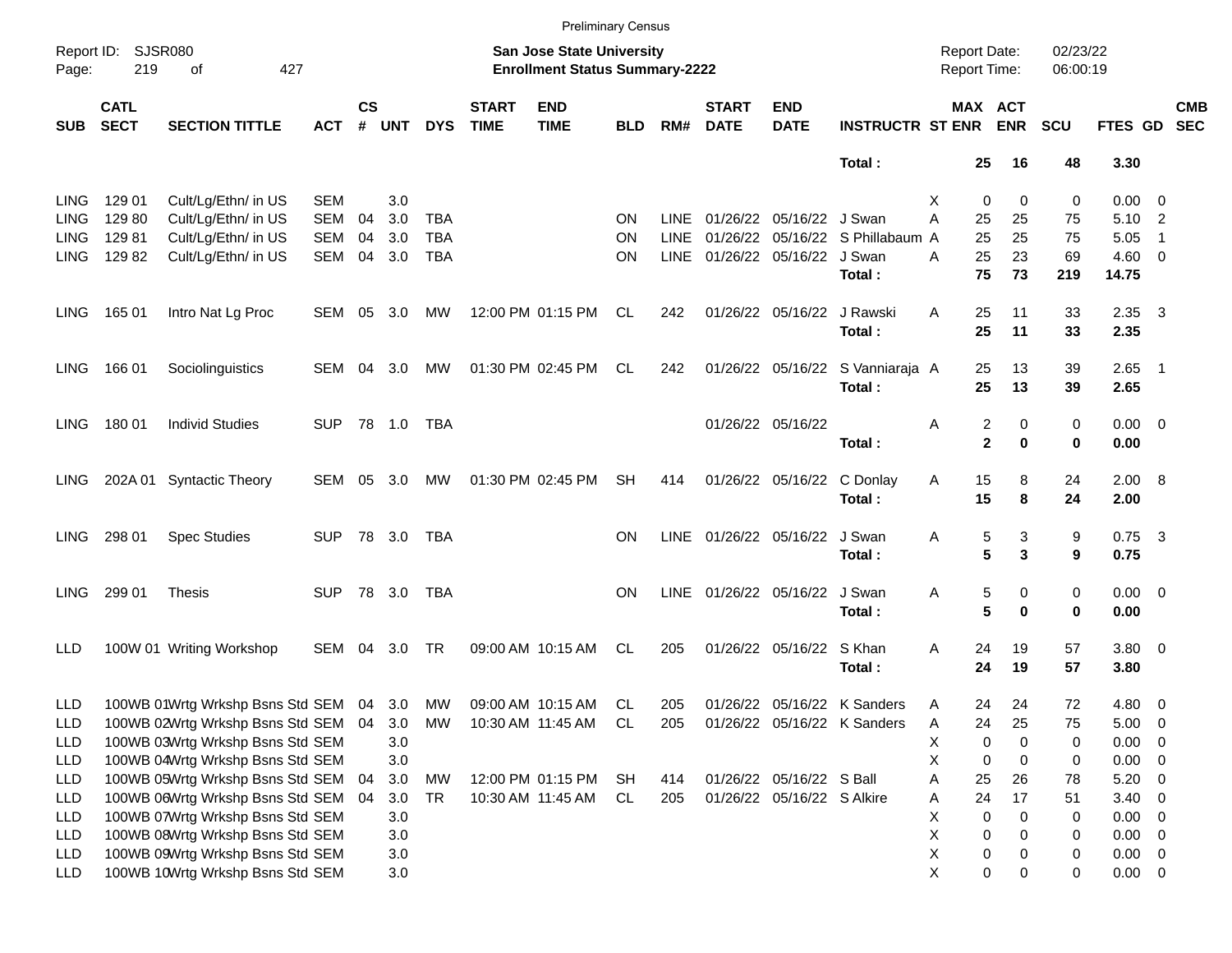|             |                            |                                            |            |                |            |            |                             |                                                                           | <b>Preliminary Census</b> |             |                             |                            |                                  |                                     |                              |                      |                |                          |                          |
|-------------|----------------------------|--------------------------------------------|------------|----------------|------------|------------|-----------------------------|---------------------------------------------------------------------------|---------------------------|-------------|-----------------------------|----------------------------|----------------------------------|-------------------------------------|------------------------------|----------------------|----------------|--------------------------|--------------------------|
| Page:       | Report ID: SJSR080<br>219  | of<br>427                                  |            |                |            |            |                             | <b>San Jose State University</b><br><b>Enrollment Status Summary-2222</b> |                           |             |                             |                            |                                  | <b>Report Date:</b><br>Report Time: |                              | 02/23/22<br>06:00:19 |                |                          |                          |
| <b>SUB</b>  | <b>CATL</b><br><b>SECT</b> | <b>SECTION TITTLE</b>                      | <b>ACT</b> | <b>CS</b><br># | <b>UNT</b> | <b>DYS</b> | <b>START</b><br><b>TIME</b> | <b>END</b><br><b>TIME</b>                                                 | <b>BLD</b>                | RM#         | <b>START</b><br><b>DATE</b> | <b>END</b><br><b>DATE</b>  | <b>INSTRUCTR ST ENR</b>          |                                     | MAX ACT<br><b>ENR</b>        | <b>SCU</b>           | FTES GD        |                          | <b>CMB</b><br><b>SEC</b> |
|             |                            |                                            |            |                |            |            |                             |                                                                           |                           |             |                             |                            | Total:                           | 25                                  | 16                           | 48                   | 3.30           |                          |                          |
| <b>LING</b> | 129 01                     | Cult/Lg/Ethn/ in US                        | <b>SEM</b> |                | 3.0        |            |                             |                                                                           |                           |             |                             |                            |                                  | Х<br>0                              | 0                            | 0                    | 0.00           | $\overline{\phantom{0}}$ |                          |
| <b>LING</b> | 129 80                     | Cult/Lg/Ethn/ in US                        | <b>SEM</b> | 04             | 3.0        | <b>TBA</b> |                             |                                                                           | <b>ON</b>                 | LINE        |                             | 01/26/22 05/16/22 J Swan   |                                  | А<br>25                             | 25                           | 75                   | 5.10           | $\overline{\phantom{0}}$ |                          |
| <b>LING</b> | 12981                      | Cult/Lg/Ethn/ in US                        | <b>SEM</b> | 04             | 3.0        | <b>TBA</b> |                             |                                                                           | ON                        | <b>LINE</b> |                             |                            | 01/26/22 05/16/22 S Phillabaum A | 25                                  | 25                           | 75                   | 5.05           | $\overline{1}$           |                          |
| LING        | 12982                      | Cult/Lg/Ethn/ in US                        | SEM        | 04             | 3.0        | <b>TBA</b> |                             |                                                                           | ΟN                        | <b>LINE</b> |                             | 01/26/22 05/16/22 J Swan   |                                  | A<br>25                             | 23                           | 69                   | $4.60$ 0       |                          |                          |
|             |                            |                                            |            |                |            |            |                             |                                                                           |                           |             |                             |                            | Total:                           | 75                                  | 73                           | 219                  | 14.75          |                          |                          |
| LING.       | 165 01                     | Intro Nat Lg Proc                          | SEM 05     |                | 3.0        | МW         |                             | 12:00 PM 01:15 PM                                                         | CL.                       | 242         |                             | 01/26/22 05/16/22          | J Rawski                         | 25<br>A                             | 11                           | 33                   | $2.35 \quad 3$ |                          |                          |
|             |                            |                                            |            |                |            |            |                             |                                                                           |                           |             |                             |                            | Total:                           | 25                                  | 11                           | 33                   | 2.35           |                          |                          |
| LING.       | 166 01                     | Sociolinguistics                           | SEM        | 04             | 3.0        | МW         |                             | 01:30 PM 02:45 PM                                                         | CL                        | 242         |                             |                            | 01/26/22 05/16/22 S Vanniaraja A | 25                                  | 13                           | 39                   | $2.65$ 1       |                          |                          |
|             |                            |                                            |            |                |            |            |                             |                                                                           |                           |             |                             |                            | Total:                           | 25                                  | 13                           | 39                   | 2.65           |                          |                          |
| LING.       | 180 01                     | <b>Individ Studies</b>                     | <b>SUP</b> |                | 78 1.0     | <b>TBA</b> |                             |                                                                           |                           |             |                             | 01/26/22 05/16/22          |                                  | Α                                   | $\overline{\mathbf{c}}$<br>0 | 0                    | $0.00 \t 0$    |                          |                          |
|             |                            |                                            |            |                |            |            |                             |                                                                           |                           |             |                             |                            | Total:                           |                                     | $\mathbf 2$<br>$\bf{0}$      | 0                    | 0.00           |                          |                          |
| LING.       |                            | 202A 01 Syntactic Theory                   | SEM        | 05             | 3.0        | МW         |                             | 01:30 PM 02:45 PM                                                         | <b>SH</b>                 | 414         |                             | 01/26/22 05/16/22          | C Donlay                         | 15<br>Α                             | 8                            | 24                   | 2.00 8         |                          |                          |
|             |                            |                                            |            |                |            |            |                             |                                                                           |                           |             |                             |                            | Total:                           | 15                                  | 8                            | 24                   | 2.00           |                          |                          |
| LING.       | 298 01                     | <b>Spec Studies</b>                        | <b>SUP</b> |                | 78 3.0     | TBA        |                             |                                                                           | <b>ON</b>                 | LINE        |                             | 01/26/22 05/16/22          | J Swan                           | 5<br>Α                              | 3                            | 9                    | $0.75$ 3       |                          |                          |
|             |                            |                                            |            |                |            |            |                             |                                                                           |                           |             |                             |                            | Total:                           |                                     | 5<br>3                       | 9                    | 0.75           |                          |                          |
| <b>LING</b> | 299 01                     | <b>Thesis</b>                              | <b>SUP</b> |                | 78 3.0     | TBA        |                             |                                                                           | <b>ON</b>                 | LINE        |                             | 01/26/22 05/16/22          | J Swan                           | A                                   | 5<br>0                       | 0                    | $0.00 \t 0$    |                          |                          |
|             |                            |                                            |            |                |            |            |                             |                                                                           |                           |             |                             |                            | Total:                           | 5                                   | $\bf{0}$                     | 0                    | 0.00           |                          |                          |
| LLD         |                            | 100W 01 Writing Workshop                   | SEM        | 04             | 3.0        | TR         |                             | 09:00 AM 10:15 AM                                                         | CL.                       | 205         |                             | 01/26/22 05/16/22          | S Khan                           | Α<br>24                             | 19                           | 57                   | $3.80\ 0$      |                          |                          |
|             |                            |                                            |            |                |            |            |                             |                                                                           |                           |             |                             |                            | Total:                           | 24                                  | 19                           | 57                   | 3.80           |                          |                          |
| LLD         |                            | 100WB 01Wrtg Wrkshp Bsns Std SEM 04 3.0 MW |            |                |            |            |                             | 09:00 AM 10:15 AM                                                         | CL                        | 205         |                             |                            | 01/26/22 05/16/22 K Sanders      | 24<br>A                             | 24                           | 72                   | $4.80$ 0       |                          |                          |
| LLD         |                            | 100WB 02Wrtg Wrkshp Bsns Std SEM           |            | 04             | 3.0        | МW         |                             | 10:30 AM 11:45 AM                                                         | - CL                      | 205         |                             |                            | 01/26/22 05/16/22 K Sanders      | 24<br>A                             | 25                           | 75                   | 5.00           | $\overline{\phantom{0}}$ |                          |
| <b>LLD</b>  |                            | 100WB 03Wrtg Wrkshp Bsns Std SEM           |            |                | 3.0        |            |                             |                                                                           |                           |             |                             |                            |                                  | X<br>$\mathbf 0$                    | $\Omega$                     | 0                    | $0.00 \t 0$    |                          |                          |
| LLD         |                            | 100WB 04Wrtg Wrkshp Bsns Std SEM           |            |                | 3.0        |            |                             |                                                                           |                           |             |                             |                            |                                  | X<br>$\mathbf 0$                    | $\mathbf 0$                  | 0                    | $0.00 \t 0$    |                          |                          |
| LLD         |                            | 100WB 05Wrtg Wrkshp Bsns Std SEM           |            | 04             | 3.0        | MW         |                             | 12:00 PM 01:15 PM                                                         | <b>SH</b>                 | 414         |                             | 01/26/22 05/16/22 S Ball   |                                  | Α<br>25                             | 26                           | 78                   | 5.20           | $\overline{\phantom{0}}$ |                          |
| LLD         |                            | 100WB 06Wrtg Wrkshp Bsns Std SEM           |            | 04             | 3.0        | <b>TR</b>  |                             | 10:30 AM 11:45 AM                                                         | CL                        | 205         |                             | 01/26/22 05/16/22 S Alkire |                                  | 24<br>A                             | 17                           | 51                   | $3.40 \ 0$     |                          |                          |
| LLD         |                            | 100WB 07Wrtg Wrkshp Bsns Std SEM           |            |                | 3.0        |            |                             |                                                                           |                           |             |                             |                            |                                  | X<br>0                              | $\Omega$                     | 0                    | $0.00 \t 0$    |                          |                          |
| LLD         |                            | 100WB 08Wrtg Wrkshp Bsns Std SEM           |            |                | 3.0        |            |                             |                                                                           |                           |             |                             |                            |                                  | X<br>$\mathbf 0$                    | $\Omega$                     | 0                    | $0.00 \quad 0$ |                          |                          |
| LLD         |                            | 100WB 09Wrtg Wrkshp Bsns Std SEM           |            |                | 3.0        |            |                             |                                                                           |                           |             |                             |                            |                                  | X<br>$\pmb{0}$                      | $\Omega$                     | 0                    | $0.00 \t 0$    |                          |                          |
| <b>LLD</b>  |                            | 100WB 10Wrtg Wrkshp Bsns Std SEM           |            |                | $3.0\,$    |            |                             |                                                                           |                           |             |                             |                            |                                  | X<br>$\pmb{0}$                      | 0                            | 0                    | $0.00 \t 0$    |                          |                          |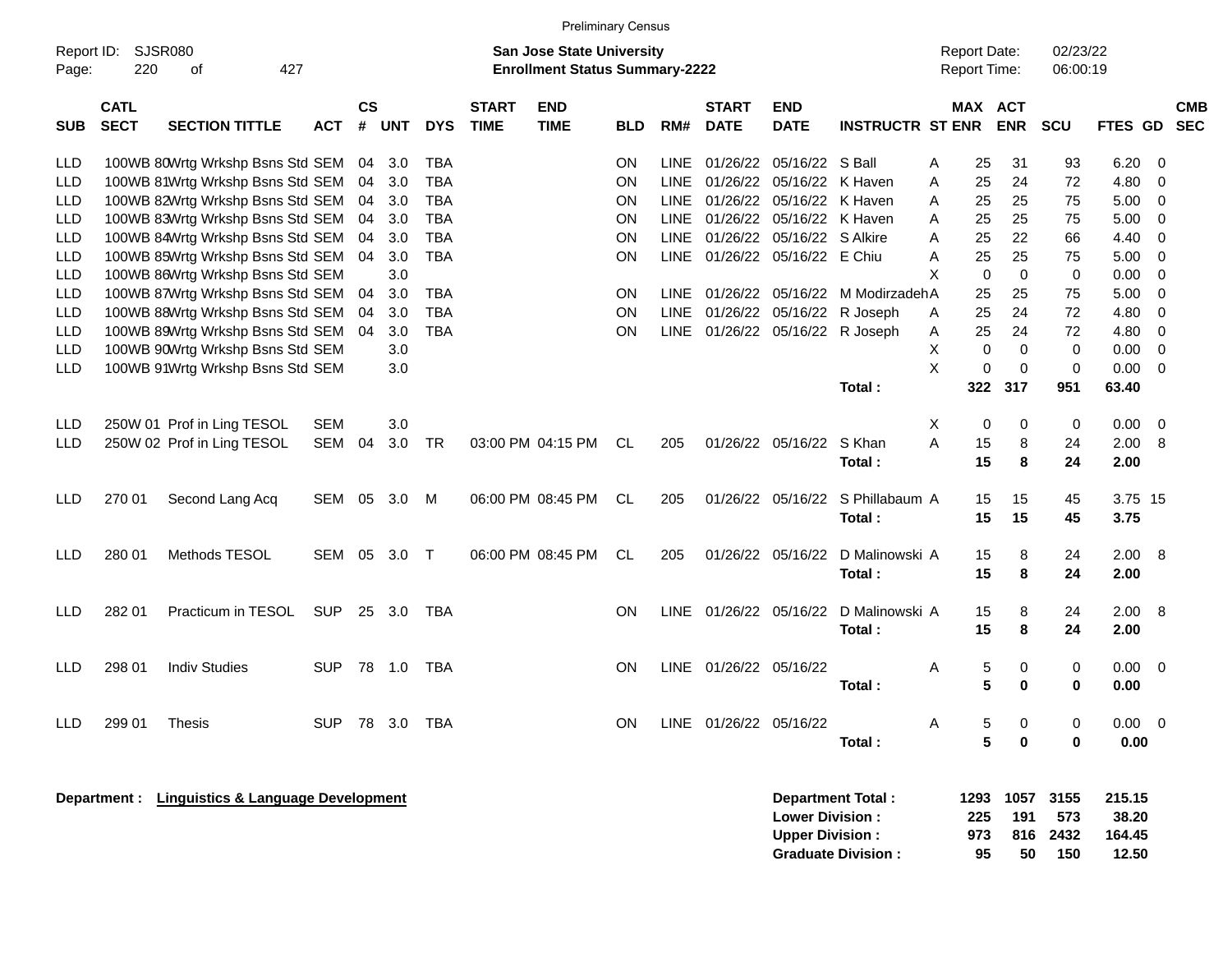|                                                                                                                                                                        | <b>Preliminary Census</b>                                                                                                                                                                                                                                                                |                                  |                |                    |            |            |                             |                           |           |             |                             |                           |                         |                      |        |                              |             |              |   |                          |
|------------------------------------------------------------------------------------------------------------------------------------------------------------------------|------------------------------------------------------------------------------------------------------------------------------------------------------------------------------------------------------------------------------------------------------------------------------------------|----------------------------------|----------------|--------------------|------------|------------|-----------------------------|---------------------------|-----------|-------------|-----------------------------|---------------------------|-------------------------|----------------------|--------|------------------------------|-------------|--------------|---|--------------------------|
| Report ID:<br>SJSR080<br><b>San Jose State University</b><br><b>Report Date:</b><br>220<br>427<br><b>Enrollment Status Summary-2222</b><br>Report Time:<br>Page:<br>οf |                                                                                                                                                                                                                                                                                          |                                  |                |                    |            |            |                             |                           |           |             |                             |                           |                         | 02/23/22<br>06:00:19 |        |                              |             |              |   |                          |
| <b>SUB</b>                                                                                                                                                             | <b>CATL</b><br><b>SECT</b>                                                                                                                                                                                                                                                               | <b>SECTION TITTLE</b>            | <b>ACT</b>     | $\mathsf{cs}$<br># | <b>UNT</b> | <b>DYS</b> | <b>START</b><br><b>TIME</b> | <b>END</b><br><b>TIME</b> | BLD       | RM#         | <b>START</b><br><b>DATE</b> | <b>END</b><br><b>DATE</b> | <b>INSTRUCTR ST ENR</b> |                      |        | <b>MAX ACT</b><br><b>ENR</b> | SCU         | FTES GD      |   | <b>CMB</b><br><b>SEC</b> |
| LLD                                                                                                                                                                    |                                                                                                                                                                                                                                                                                          | 100WB 80Wrtg Wrkshp Bsns Std SEM |                | 04                 | 3.0        | <b>TBA</b> |                             |                           | OΝ        | <b>LINE</b> | 01/26/22                    | 05/16/22 S Ball           |                         | Α                    | 25     | 31                           | 93          | 6.20         | 0 |                          |
| LLD                                                                                                                                                                    |                                                                                                                                                                                                                                                                                          | 100WB 81Wrtg Wrkshp Bsns Std SEM |                | 04                 | 3.0        | <b>TBA</b> |                             |                           | ΟN        | <b>LINE</b> | 01/26/22                    | 05/16/22 K Haven          |                         | Α                    | 25     | 24                           | 72          | 4.80         | 0 |                          |
| LLD                                                                                                                                                                    | 100WB 82Wrtg Wrkshp Bsns Std SEM<br>05/16/22 K Haven<br>3.0<br><b>TBA</b><br>ΟN<br><b>LINE</b><br>01/26/22<br>04<br><b>TBA</b><br>01/26/22<br>3.0<br>ΟN<br><b>LINE</b><br>04                                                                                                             |                                  |                |                    |            |            |                             |                           |           |             |                             |                           |                         | A                    | 25     | 25                           | 75          | 5.00         | 0 |                          |
| LLD                                                                                                                                                                    | 100WB 83Wrtg Wrkshp Bsns Std SEM<br>05/16/22 K Haven<br>100WB 84Wrtg Wrkshp Bsns Std SEM<br><b>TBA</b><br>ΟN<br><b>LINE</b>                                                                                                                                                              |                                  |                |                    |            |            |                             |                           |           |             |                             |                           |                         | A                    | 25     | 25                           | 75          | 5.00         | 0 |                          |
| <b>LLD</b>                                                                                                                                                             |                                                                                                                                                                                                                                                                                          |                                  |                | 04                 | 3.0        |            |                             |                           |           |             | 01/26/22                    | 05/16/22 S Alkire         |                         | A                    | 25     | 22                           | 66          | 4.40         | 0 |                          |
| <b>LLD</b>                                                                                                                                                             |                                                                                                                                                                                                                                                                                          | 100WB 85Wrtg Wrkshp Bsns Std SEM |                | 04                 | 3.0        | <b>TBA</b> |                             |                           | ΟN        | <b>LINE</b> | 01/26/22                    | 05/16/22 E Chiu           |                         | Α                    | 25     | 25                           | 75          | 5.00         | 0 |                          |
| <b>LLD</b>                                                                                                                                                             |                                                                                                                                                                                                                                                                                          | 100WB 86Wrtg Wrkshp Bsns Std SEM |                |                    | 3.0        |            |                             |                           |           |             |                             |                           |                         | X                    | 0      | $\mathbf 0$                  | 0           | 0.00         | 0 |                          |
| <b>LLD</b>                                                                                                                                                             | 100WB 87Wrtg Wrkshp Bsns Std SEM<br>04<br>3.0<br>TBA<br>ΟN<br>LINE<br>01/26/22<br>05/16/22<br>M ModirzadehA                                                                                                                                                                              |                                  |                |                    |            |            |                             |                           |           |             |                             |                           |                         |                      | 25     | 25                           | 75          | 5.00         | 0 |                          |
| <b>LLD</b>                                                                                                                                                             | 100WB 88Wrtg Wrkshp Bsns Std SEM<br><b>TBA</b><br><b>LINE</b><br>01/26/22<br>3.0<br>ΟN<br>05/16/22<br>04                                                                                                                                                                                 |                                  |                |                    |            |            |                             |                           |           |             |                             |                           |                         | Α                    | 25     | 24                           | 72          | 4.80         | 0 |                          |
| <b>LLD</b>                                                                                                                                                             | R Joseph<br>100WB 89Wrtg Wrkshp Bsns Std SEM<br><b>TBA</b><br>3.0<br>ΟN<br><b>LINE</b><br>04                                                                                                                                                                                             |                                  |                |                    |            |            |                             |                           |           |             |                             |                           |                         | Α                    | 25     | 24                           | 72          | 4.80         | 0 |                          |
| <b>LLD</b>                                                                                                                                                             | 01/26/22 05/16/22 R Joseph<br>100WB 90Wrtg Wrkshp Bsns Std SEM<br>3.0                                                                                                                                                                                                                    |                                  |                |                    |            |            |                             |                           |           |             |                             |                           |                         | Χ                    | 0      | 0                            | 0           | 0.00         | 0 |                          |
| <b>LLD</b>                                                                                                                                                             |                                                                                                                                                                                                                                                                                          |                                  |                |                    |            |            |                             |                           |           |             |                             |                           |                         |                      |        |                              | $\mathbf 0$ | 0.00         | 0 |                          |
|                                                                                                                                                                        | X<br>$\mathbf 0$<br>0<br>100WB 91Wrtg Wrkshp Bsns Std SEM<br>3.0<br>Total:<br>322<br>317<br>63.40<br>951                                                                                                                                                                                 |                                  |                |                    |            |            |                             |                           |           |             |                             |                           |                         |                      |        |                              |             |              |   |                          |
| <b>LLD</b>                                                                                                                                                             |                                                                                                                                                                                                                                                                                          | 250W 01 Prof in Ling TESOL       | <b>SEM</b>     |                    | 3.0        |            |                             |                           |           |             |                             |                           |                         | X                    | 0      | 0                            | 0           | 0.00         | 0 |                          |
| <b>LLD</b>                                                                                                                                                             |                                                                                                                                                                                                                                                                                          | 250W 02 Prof in Ling TESOL       | <b>SEM</b>     | 04                 | 3.0        | <b>TR</b>  |                             | 03:00 PM 04:15 PM         | CL        | 205         |                             | 01/26/22 05/16/22         | S Khan                  | A                    | 15     | 8                            | 24          | 2.00         | 8 |                          |
|                                                                                                                                                                        |                                                                                                                                                                                                                                                                                          |                                  |                |                    |            |            |                             |                           |           |             |                             |                           | Total:                  |                      | 15     | 8                            | 24          | 2.00         |   |                          |
| <b>LLD</b>                                                                                                                                                             | 270 01                                                                                                                                                                                                                                                                                   | Second Lang Acq                  | SEM            | 05                 | 3.0        | M          |                             | 06:00 PM 08:45 PM         | <b>CL</b> | 205         |                             | 01/26/22 05/16/22         | S Phillabaum A          |                      | 15     | 15                           | 45          | 3.75 15      |   |                          |
|                                                                                                                                                                        |                                                                                                                                                                                                                                                                                          |                                  |                |                    |            |            |                             |                           |           |             |                             |                           | Total:                  |                      | 15     | 15                           | 45          | 3.75         |   |                          |
| <b>LLD</b>                                                                                                                                                             | 280 01                                                                                                                                                                                                                                                                                   | Methods TESOL                    | SEM            | 05                 | 3.0        | Т          |                             | 06:00 PM 08:45 PM         | <b>CL</b> | 205         |                             | 01/26/22 05/16/22         | D Malinowski A          |                      | 15     | 8                            | 24          | 2.00         | 8 |                          |
|                                                                                                                                                                        |                                                                                                                                                                                                                                                                                          |                                  |                |                    |            |            |                             |                           |           |             |                             |                           | Total:                  |                      | 15     | 8                            | 24          | 2.00         |   |                          |
| LLD.                                                                                                                                                                   | 282 01                                                                                                                                                                                                                                                                                   | Practicum in TESOL               | <b>SUP</b>     | 25                 | 3.0        | <b>TBA</b> |                             |                           | <b>ON</b> | LINE        | 01/26/22 05/16/22           |                           | D Malinowski A          |                      | 15     | 8                            | 24          | 2.00         | 8 |                          |
|                                                                                                                                                                        |                                                                                                                                                                                                                                                                                          |                                  |                |                    |            |            |                             |                           |           |             |                             |                           | Total:                  |                      | 15     | 8                            | 24          | 2.00         |   |                          |
|                                                                                                                                                                        | 298 01                                                                                                                                                                                                                                                                                   | <b>Indiv Studies</b>             | <b>SUP</b>     | 78                 |            | <b>TBA</b> |                             |                           | <b>ON</b> | LINE        | 01/26/22 05/16/22           |                           |                         |                      |        |                              |             |              | 0 |                          |
| <b>LLD</b>                                                                                                                                                             |                                                                                                                                                                                                                                                                                          |                                  |                |                    | 1.0        |            |                             |                           |           |             |                             |                           | Total:                  | A                    | 5<br>5 | 0<br>0                       | 0<br>0      | 0.00<br>0.00 |   |                          |
|                                                                                                                                                                        |                                                                                                                                                                                                                                                                                          |                                  |                |                    |            |            |                             |                           |           |             |                             |                           |                         |                      |        |                              |             |              |   |                          |
| LLD                                                                                                                                                                    | 299 01                                                                                                                                                                                                                                                                                   | <b>Thesis</b>                    | SUP 78 3.0 TBA |                    |            |            |                             |                           | ON        |             | LINE 01/26/22 05/16/22      |                           |                         | Α                    | 5      | 0                            | 0           | $0.00 \t 0$  |   |                          |
|                                                                                                                                                                        |                                                                                                                                                                                                                                                                                          |                                  |                |                    |            |            |                             |                           |           |             |                             |                           | Total:                  |                      | 5      | 0                            | 0           | 0.00         |   |                          |
|                                                                                                                                                                        | Department : Linguistics & Language Development<br>1057<br>215.15<br><b>Department Total:</b><br>1293<br>3155<br><b>Lower Division:</b><br>225<br>191<br>38.20<br>573<br><b>Upper Division:</b><br>973<br>164.45<br>816<br>2432<br><b>Graduate Division:</b><br>150<br>12.50<br>95<br>50 |                                  |                |                    |            |            |                             |                           |           |             |                             |                           |                         |                      |        |                              |             |              |   |                          |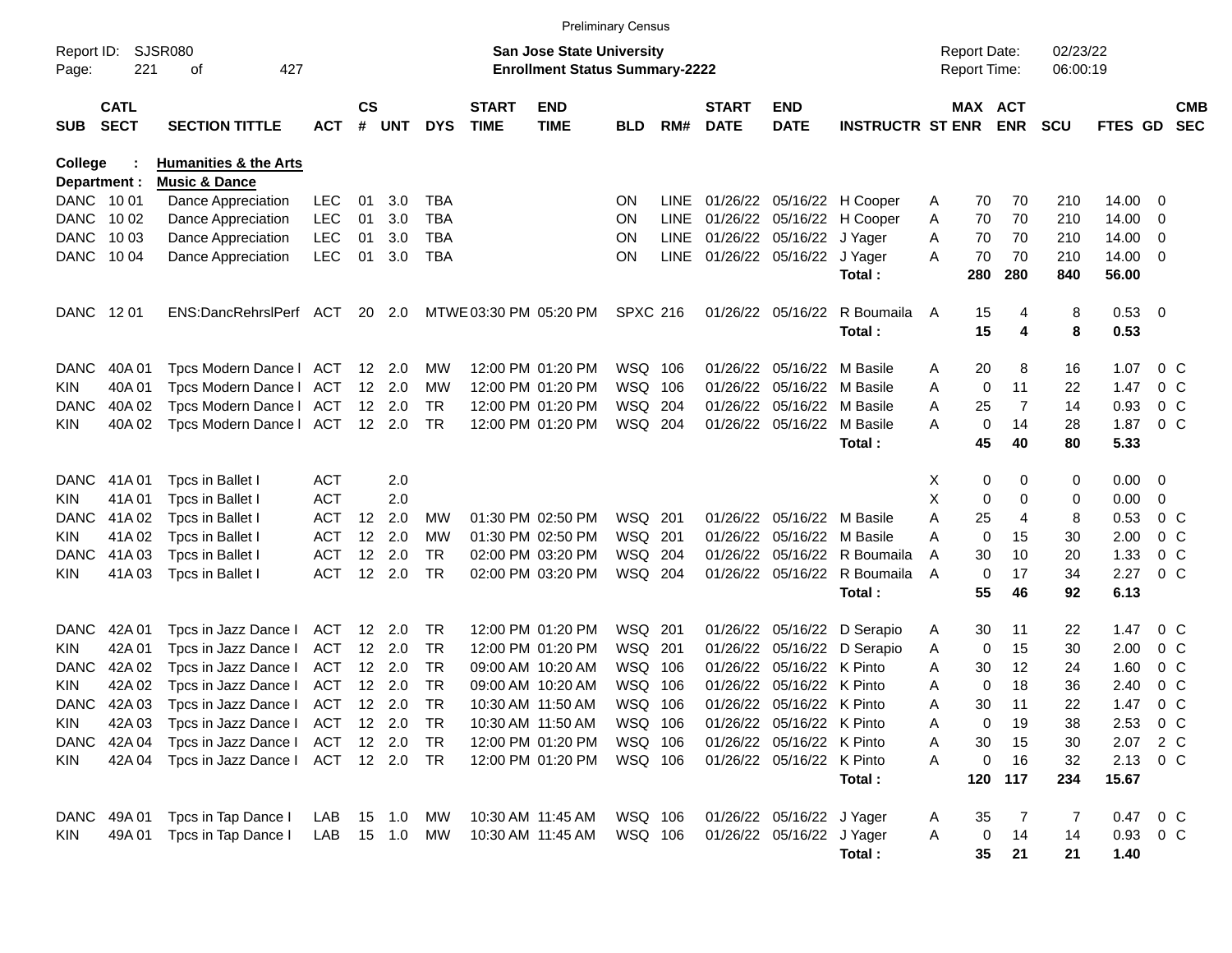|                |                            |                                  |            |                    |                |            |                             |                                       | <b>Preliminary Census</b> |             |                             |                            |                              |    |                     |          |            |          |                         |                          |
|----------------|----------------------------|----------------------------------|------------|--------------------|----------------|------------|-----------------------------|---------------------------------------|---------------------------|-------------|-----------------------------|----------------------------|------------------------------|----|---------------------|----------|------------|----------|-------------------------|--------------------------|
| Report ID:     |                            | <b>SJSR080</b>                   |            |                    |                |            |                             | <b>San Jose State University</b>      |                           |             |                             |                            |                              |    | <b>Report Date:</b> |          | 02/23/22   |          |                         |                          |
| Page:          | 221                        | 427<br>οf                        |            |                    |                |            |                             | <b>Enrollment Status Summary-2222</b> |                           |             |                             |                            |                              |    | <b>Report Time:</b> |          | 06:00:19   |          |                         |                          |
|                |                            |                                  |            |                    |                |            |                             |                                       |                           |             |                             |                            |                              |    |                     |          |            |          |                         |                          |
|                | <b>CATL</b><br><b>SECT</b> | <b>SECTION TITTLE</b>            |            | $\mathsf{cs}$<br># | <b>UNT</b>     |            | <b>START</b><br><b>TIME</b> | <b>END</b>                            |                           |             | <b>START</b><br><b>DATE</b> | <b>END</b>                 |                              |    | MAX ACT             |          |            | FTES GD  |                         | <b>CMB</b><br><b>SEC</b> |
| <b>SUB</b>     |                            |                                  | <b>ACT</b> |                    |                | <b>DYS</b> |                             | <b>TIME</b>                           | <b>BLD</b>                | RM#         |                             | <b>DATE</b>                | <b>INSTRUCTR ST ENR ENR</b>  |    |                     |          | <b>SCU</b> |          |                         |                          |
| <b>College</b> |                            | <b>Humanities &amp; the Arts</b> |            |                    |                |            |                             |                                       |                           |             |                             |                            |                              |    |                     |          |            |          |                         |                          |
| Department :   |                            | <b>Music &amp; Dance</b>         |            |                    |                |            |                             |                                       |                           |             |                             |                            |                              |    |                     |          |            |          |                         |                          |
| DANC 1001      |                            | Dance Appreciation               | <b>LEC</b> | 01                 | 3.0            | TBA        |                             |                                       | <b>ON</b>                 | <b>LINE</b> |                             | 01/26/22 05/16/22 H Cooper |                              | A  | 70                  | 70       | 210        | 14.00    | 0                       |                          |
| DANC 1002      |                            | Dance Appreciation               | <b>LEC</b> | 01                 | 3.0            | <b>TBA</b> |                             |                                       | <b>ON</b>                 | <b>LINE</b> |                             |                            | 01/26/22 05/16/22 H Cooper   | A  | 70                  | 70       | 210        | 14.00    | 0                       |                          |
| DANC           | 10 03                      | Dance Appreciation               | <b>LEC</b> | 01                 | 3.0            | <b>TBA</b> |                             |                                       | <b>ON</b>                 | <b>LINE</b> |                             | 01/26/22 05/16/22 J Yager  |                              | A  | 70                  | 70       | 210        | 14.00    | 0                       |                          |
| DANC 1004      |                            | Dance Appreciation               | <b>LEC</b> | 01                 | 3.0            | <b>TBA</b> |                             |                                       | ΟN                        | LINE        |                             | 01/26/22 05/16/22 J Yager  |                              | Α  | 70                  | 70       | 210        | 14.00    | 0                       |                          |
|                |                            |                                  |            |                    |                |            |                             |                                       |                           |             |                             |                            | Total:                       |    | 280                 | 280      | 840        | 56.00    |                         |                          |
|                |                            |                                  |            |                    |                |            |                             |                                       |                           |             |                             |                            |                              |    |                     |          |            |          |                         |                          |
| DANC 1201      |                            | ENS:DancRehrslPerf ACT           |            |                    | 20 2.0         |            | MTWE 03:30 PM 05:20 PM      |                                       | <b>SPXC 216</b>           |             |                             | 01/26/22 05/16/22          | R Boumaila                   | A  | 15                  | 4        | 8          | 0.53     | $\overline{\mathbf{0}}$ |                          |
|                |                            |                                  |            |                    |                |            |                             |                                       |                           |             |                             |                            | Total:                       |    | 15                  | 4        | 8          | 0.53     |                         |                          |
| DANC           | 40A 01                     | Tpcs Modern Dance   ACT          |            |                    | 12 2.0         | MW         |                             | 12:00 PM 01:20 PM                     | WSQ 106                   |             |                             | 01/26/22 05/16/22 M Basile |                              | Α  | 20                  | 8        | 16         | 1.07     | $0\,$ C                 |                          |
| KIN            | 40A 01                     | Tpcs Modern Dance   ACT          |            |                    | 12 2.0         | МW         |                             | 12:00 PM 01:20 PM                     | WSQ 106                   |             |                             | 01/26/22 05/16/22 M Basile |                              | A  | 0                   | 11       | 22         | 1.47     | $0\,$ C                 |                          |
| DANC           | 40A 02                     | Tpcs Modern Dance I              | ACT        |                    | $12 \quad 2.0$ | <b>TR</b>  |                             | 12:00 PM 01:20 PM                     | WSQ 204                   |             |                             | 01/26/22 05/16/22 M Basile |                              | A  | 25                  | 7        | 14         | 0.93     | 0 <sup>o</sup>          |                          |
| KIN            | 40A 02                     | Tpcs Modern Dance   ACT          |            |                    | 12 2.0         | TR         |                             | 12:00 PM 01:20 PM                     | WSQ 204                   |             |                             | 01/26/22 05/16/22 M Basile |                              | Α  | 0                   | 14       | 28         | 1.87     | 0 <sup>o</sup>          |                          |
|                |                            |                                  |            |                    |                |            |                             |                                       |                           |             |                             |                            | Total:                       |    | 45                  | 40       | 80         | 5.33     |                         |                          |
|                |                            |                                  |            |                    |                |            |                             |                                       |                           |             |                             |                            |                              |    |                     |          |            |          |                         |                          |
| DANC.          | 41A 01                     | Tpcs in Ballet I                 | ACT        |                    | 2.0            |            |                             |                                       |                           |             |                             |                            |                              | X. | 0                   | 0        | 0          | 0.00     | 0                       |                          |
| KIN            | 41A01                      | Tpcs in Ballet I                 | <b>ACT</b> |                    | 2.0            |            |                             |                                       |                           |             |                             |                            |                              | X  | 0                   | $\Omega$ | 0          | 0.00     | 0                       |                          |
| DANC.          | 41A 02                     | Tpcs in Ballet I                 | ACT        | 12 <sup>12</sup>   | 2.0            | МW         |                             | 01:30 PM 02:50 PM                     | WSQ 201                   |             |                             | 01/26/22 05/16/22 M Basile |                              | Α  | 25                  | 4        | 8          | 0.53     | $0\,$ C                 |                          |
| KIN            | 41A 02                     | Tpcs in Ballet I                 | ACT        | 12 <sup>°</sup>    | 2.0            | МW         |                             | 01:30 PM 02:50 PM                     | WSQ 201                   |             |                             | 01/26/22 05/16/22 M Basile |                              | Α  | 0                   | 15       | 30         | 2.00     | 0 <sup>o</sup>          |                          |
| DANC.          | 41A03                      | Tpcs in Ballet I                 | ACT        | 12 <sup>2</sup>    | 2.0            | TR         |                             | 02:00 PM 03:20 PM                     | WSQ 204                   |             |                             |                            | 01/26/22 05/16/22 R Boumaila | Α  | 30                  | 10       | 20         | 1.33     | 0 <sup>o</sup>          |                          |
| KIN.           | 41A03                      | Tpcs in Ballet I                 | ACT        |                    | 12 2.0         | <b>TR</b>  |                             | 02:00 PM 03:20 PM                     | WSQ 204                   |             |                             |                            | 01/26/22 05/16/22 R Boumaila | A  | 0                   | 17       | 34         | 2.27     | $0\,C$                  |                          |
|                |                            |                                  |            |                    |                |            |                             |                                       |                           |             |                             |                            | Total:                       |    | 55                  | 46       | 92         | 6.13     |                         |                          |
|                |                            |                                  |            |                    |                |            |                             |                                       |                           |             |                             |                            |                              |    |                     |          |            |          |                         |                          |
| DANC           | 42A 01                     | Tpcs in Jazz Dance I             | ACT        |                    | 12 2.0         | TR         |                             | 12:00 PM 01:20 PM                     | WSQ 201                   |             |                             |                            | 01/26/22 05/16/22 D Serapio  | A  | 30                  | 11       | 22         | 1.47     | $0\,$ C                 |                          |
| KIN            | 42A 01                     | Tpcs in Jazz Dance I             | <b>ACT</b> |                    | $12 \quad 2.0$ | TR         |                             | 12:00 PM 01:20 PM                     | WSQ 201                   |             |                             |                            | 01/26/22 05/16/22 D Serapio  | A  | 0                   | 15       | 30         | 2.00     | 0 <sup>o</sup>          |                          |
| DANC           | 42A 02                     | Tpcs in Jazz Dance I             | ACT        |                    | 12 2.0         | <b>TR</b>  |                             | 09:00 AM 10:20 AM                     | WSQ 106                   |             |                             | 01/26/22 05/16/22 K Pinto  |                              | Α  | 30                  | 12       | 24         | 1.60     | 0 <sup>o</sup>          |                          |
| KIN            | 42A 02                     | Tpcs in Jazz Dance I             | <b>ACT</b> |                    | 12 2.0         | <b>TR</b>  |                             | 09:00 AM 10:20 AM                     | WSQ 106                   |             |                             | 01/26/22 05/16/22 K Pinto  |                              | Α  | 0                   | 18       | 36         | 2.40     | 0 <sup>o</sup>          |                          |
| DANC.          | 42A 03                     | Tpcs in Jazz Dance I             | ACT        |                    | $12 \quad 2.0$ | TR         |                             | 10:30 AM 11:50 AM                     | WSQ 106                   |             |                             | 01/26/22 05/16/22 K Pinto  |                              | A  | 30                  | 11       | 22         | 1.47     | 0 <sup>o</sup>          |                          |
| <b>KIN</b>     | 42A 03                     | Tpcs in Jazz Dance I ACT         |            |                    | 12 2.0         | TR         |                             | 10:30 AM 11:50 AM                     | WSQ 106                   |             |                             | 01/26/22 05/16/22 K Pinto  |                              | A  | 0                   | 19       | 38         | 2.53     | $0\,$ C                 |                          |
| DANC           | 42A 04                     | Tpcs in Jazz Dance I             | ACT        |                    | 12 2.0         | TR         |                             | 12:00 PM 01:20 PM                     | WSQ 106                   |             |                             | 01/26/22 05/16/22 K Pinto  |                              | Α  | 30                  | 15       | 30         | 2.07 2 C |                         |                          |
| KIN            | 42A 04                     | Tpcs in Jazz Dance I             | ACT 12 2.0 |                    |                | - TR       |                             | 12:00 PM 01:20 PM                     | WSQ 106                   |             |                             | 01/26/22 05/16/22 K Pinto  |                              | Α  | 0                   | 16       | 32         | 2.13     | $0\,$ C                 |                          |
|                |                            |                                  |            |                    |                |            |                             |                                       |                           |             |                             |                            | Total:                       |    |                     | 120 117  | 234        | 15.67    |                         |                          |
| DANC           | 49A 01                     | Tpcs in Tap Dance I              | LAB        |                    | 15 1.0         | MW         |                             | 10:30 AM 11:45 AM                     | WSQ 106                   |             |                             | 01/26/22 05/16/22 J Yager  |                              | A  | 35                  | 7        | 7          | 0.47 0 C |                         |                          |
| KIN            | 49A 01                     | Tpcs in Tap Dance I              | LAB        |                    | 15  1.0  MW    |            |                             | 10:30 AM 11:45 AM                     | WSQ 106                   |             |                             | 01/26/22 05/16/22 J Yager  |                              | Α  | 0                   | 14       | 14         | 0.93 0 C |                         |                          |
|                |                            |                                  |            |                    |                |            |                             |                                       |                           |             |                             |                            | Total:                       |    | 35                  | 21       | 21         | 1.40     |                         |                          |
|                |                            |                                  |            |                    |                |            |                             |                                       |                           |             |                             |                            |                              |    |                     |          |            |          |                         |                          |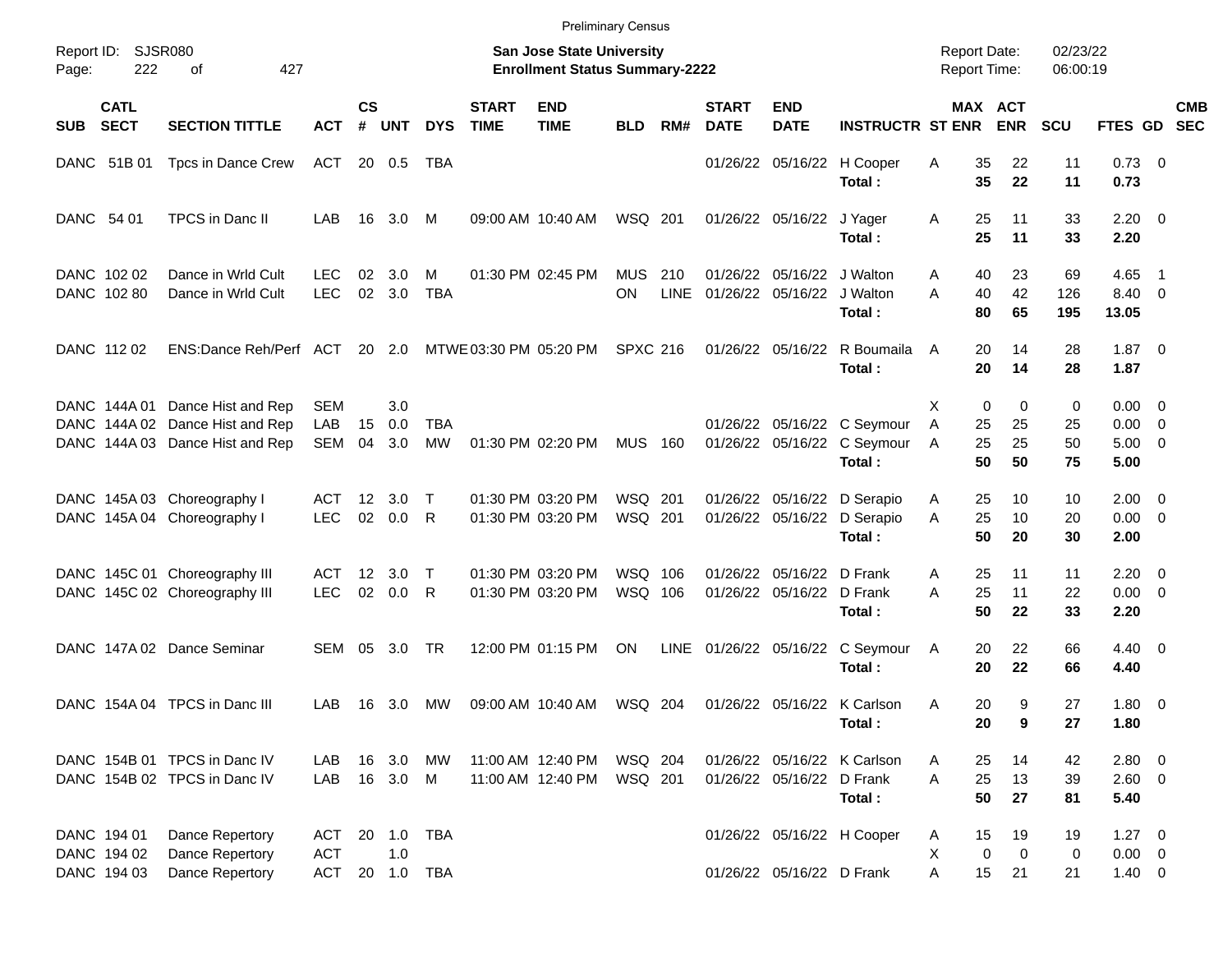|             |                            |                                                                                          |                                 |                        |                   |                   |                             |                                                                           | <b>Preliminary Census</b> |                    |                             |                                                          |                                                                      |                                     |                         |                      |                                                   |                          |            |
|-------------|----------------------------|------------------------------------------------------------------------------------------|---------------------------------|------------------------|-------------------|-------------------|-----------------------------|---------------------------------------------------------------------------|---------------------------|--------------------|-----------------------------|----------------------------------------------------------|----------------------------------------------------------------------|-------------------------------------|-------------------------|----------------------|---------------------------------------------------|--------------------------|------------|
| Page:       | Report ID: SJSR080<br>222  | 427<br>οf                                                                                |                                 |                        |                   |                   |                             | <b>San Jose State University</b><br><b>Enrollment Status Summary-2222</b> |                           |                    |                             |                                                          |                                                                      | <b>Report Date:</b><br>Report Time: |                         | 02/23/22<br>06:00:19 |                                                   |                          |            |
| <b>SUB</b>  | <b>CATL</b><br><b>SECT</b> | <b>SECTION TITTLE</b>                                                                    | <b>ACT</b>                      | $\mathsf{cs}$<br>#     | <b>UNT</b>        | <b>DYS</b>        | <b>START</b><br><b>TIME</b> | <b>END</b><br><b>TIME</b>                                                 | <b>BLD</b>                | RM#                | <b>START</b><br><b>DATE</b> | <b>END</b><br><b>DATE</b>                                | <b>INSTRUCTR ST ENR</b>                                              |                                     | MAX ACT<br><b>ENR</b>   | <b>SCU</b>           | FTES GD SEC                                       |                          | <b>CMB</b> |
|             | DANC 51B 01                | Tpcs in Dance Crew                                                                       | ACT                             |                        | 20 0.5            | TBA               |                             |                                                                           |                           |                    |                             |                                                          | 01/26/22 05/16/22 H Cooper<br>Total:                                 | 35<br>Α<br>35                       | 22<br>22                | 11<br>11             | $0.73 \ 0$<br>0.73                                |                          |            |
| DANC 54 01  |                            | TPCS in Danc II                                                                          | LAB                             | 16                     | 3.0               | M                 |                             | 09:00 AM 10:40 AM                                                         | WSQ 201                   |                    |                             | 01/26/22 05/16/22 J Yager                                | Total:                                                               | 25<br>Α<br>25                       | 11<br>11                | 33<br>33             | $2.20 \t 0$<br>2.20                               |                          |            |
|             | DANC 102 02<br>DANC 102 80 | Dance in Wrld Cult<br>Dance in Wrld Cult                                                 | LEC.<br><b>LEC</b>              | 02                     | 3.0<br>02 3.0     | м<br><b>TBA</b>   |                             | 01:30 PM 02:45 PM                                                         | MUS<br><b>ON</b>          | 210<br><b>LINE</b> |                             | 01/26/22 05/16/22 J Walton<br>01/26/22 05/16/22 J Walton | Total:                                                               | Α<br>40<br>A<br>40<br>80            | 23<br>42<br>65          | 69<br>126<br>195     | 4.65<br>8.40 0<br>13.05                           | $\overline{\phantom{1}}$ |            |
|             | DANC 112 02                | ENS:Dance Reh/Perf ACT                                                                   |                                 |                        | 20 2.0            |                   |                             | MTWE 03:30 PM 05:20 PM                                                    | <b>SPXC 216</b>           |                    |                             |                                                          | 01/26/22 05/16/22 R Boumaila<br>Total:                               | 20<br>A<br>20                       | 14<br>14                | 28<br>28             | $1.87 \t 0$<br>1.87                               |                          |            |
|             | DANC 144A 01               | Dance Hist and Rep<br>DANC 144A 02 Dance Hist and Rep<br>DANC 144A 03 Dance Hist and Rep | SEM<br>LAB<br>SEM               | 15<br>04               | 3.0<br>0.0<br>3.0 | TBA<br><b>MW</b>  |                             | 01:30 PM 02:20 PM                                                         | <b>MUS 160</b>            |                    |                             |                                                          | 01/26/22 05/16/22 C Seymour<br>01/26/22 05/16/22 C Seymour<br>Total: | X<br>0<br>Α<br>25<br>25<br>A<br>50  | 0<br>25<br>25<br>50     | 0<br>25<br>50<br>75  | $0.00 \t 0$<br>$0.00 \t 0$<br>$5.00 \t 0$<br>5.00 |                          |            |
|             |                            | DANC 145A 03 Choreography I<br>DANC 145A 04 Choreography I                               | ACT<br><b>LEC</b>               | 12 <sup>°</sup><br>02  | 3.0<br>0.0        | Т<br>R            |                             | 01:30 PM 03:20 PM<br>01:30 PM 03:20 PM                                    | WSQ 201<br>WSQ 201        |                    |                             |                                                          | 01/26/22 05/16/22 D Serapio<br>01/26/22 05/16/22 D Serapio<br>Total: | 25<br>Α<br>25<br>A<br>50            | 10<br>10<br>20          | 10<br>20<br>30       | $2.00 \t 0$<br>$0.00 \t 0$<br>2.00                |                          |            |
|             |                            | DANC 145C 01 Choreography III<br>DANC 145C 02 Choreography III                           | ACT<br><b>LEC</b>               | 12 <sup>12</sup><br>02 | 3.0<br>0.0        | Т<br>R            |                             | 01:30 PM 03:20 PM<br>01:30 PM 03:20 PM                                    | WSQ 106<br>WSQ 106        |                    |                             | 01/26/22 05/16/22 D Frank<br>01/26/22 05/16/22 D Frank   | Total:                                                               | 25<br>Α<br>25<br>A<br>50            | 11<br>11<br>22          | 11<br>22<br>33       | $2.20 \t 0$<br>$0.00 \t 0$<br>2.20                |                          |            |
|             |                            | DANC 147A 02 Dance Seminar                                                               | SEM                             | 05                     | 3.0               | <b>TR</b>         |                             | 12:00 PM 01:15 PM                                                         | ON                        | LINE               |                             |                                                          | 01/26/22 05/16/22 C Seymour<br>Total:                                | 20<br>A<br>20                       | 22<br>22                | 66<br>66             | $4.40 \quad 0$<br>4.40                            |                          |            |
|             |                            | DANC 154A 04 TPCS in Danc III                                                            | LAB                             |                        | 16 3.0            | МW                |                             | 09:00 AM 10:40 AM                                                         | WSQ 204                   |                    |                             |                                                          | 01/26/22 05/16/22 K Carlson<br>Total :                               | 20<br>Α<br>20                       | 9<br>9                  | 27<br>27             | $1.80 \ 0$<br>1.80                                |                          |            |
|             |                            | DANC 154B 01 TPCS in Danc IV<br>DANC 154B 02 TPCS in Danc IV                             | LAB<br>LAB                      |                        | 16 3.0<br>16 3.0  | MW<br>M           |                             | 11:00 AM 12:40 PM<br>11:00 AM 12:40 PM                                    | WSQ 204<br>WSQ 201        |                    |                             | 01/26/22 05/16/22 D Frank                                | 01/26/22 05/16/22 K Carlson<br>Total:                                | 25<br>A<br>25<br>A<br>50            | 14<br>13<br>27          | 42<br>39<br>81       | 2.80 0<br>2.60 0<br>5.40                          |                          |            |
| DANC 194 01 | DANC 194 02<br>DANC 194 03 | Dance Repertory<br>Dance Repertory<br>Dance Repertory                                    | ACT<br><b>ACT</b><br><b>ACT</b> |                        | 20 1.0<br>1.0     | TBA<br>20 1.0 TBA |                             |                                                                           |                           |                    |                             | 01/26/22 05/16/22 D Frank                                | 01/26/22 05/16/22 H Cooper                                           | 15<br>Α<br>Χ<br>0<br>15<br>Α        | 19<br>$\mathbf 0$<br>21 | 19<br>0<br>21        | $1.27 \t 0$<br>$0.00 \t 0$<br>$1.40 \ 0$          |                          |            |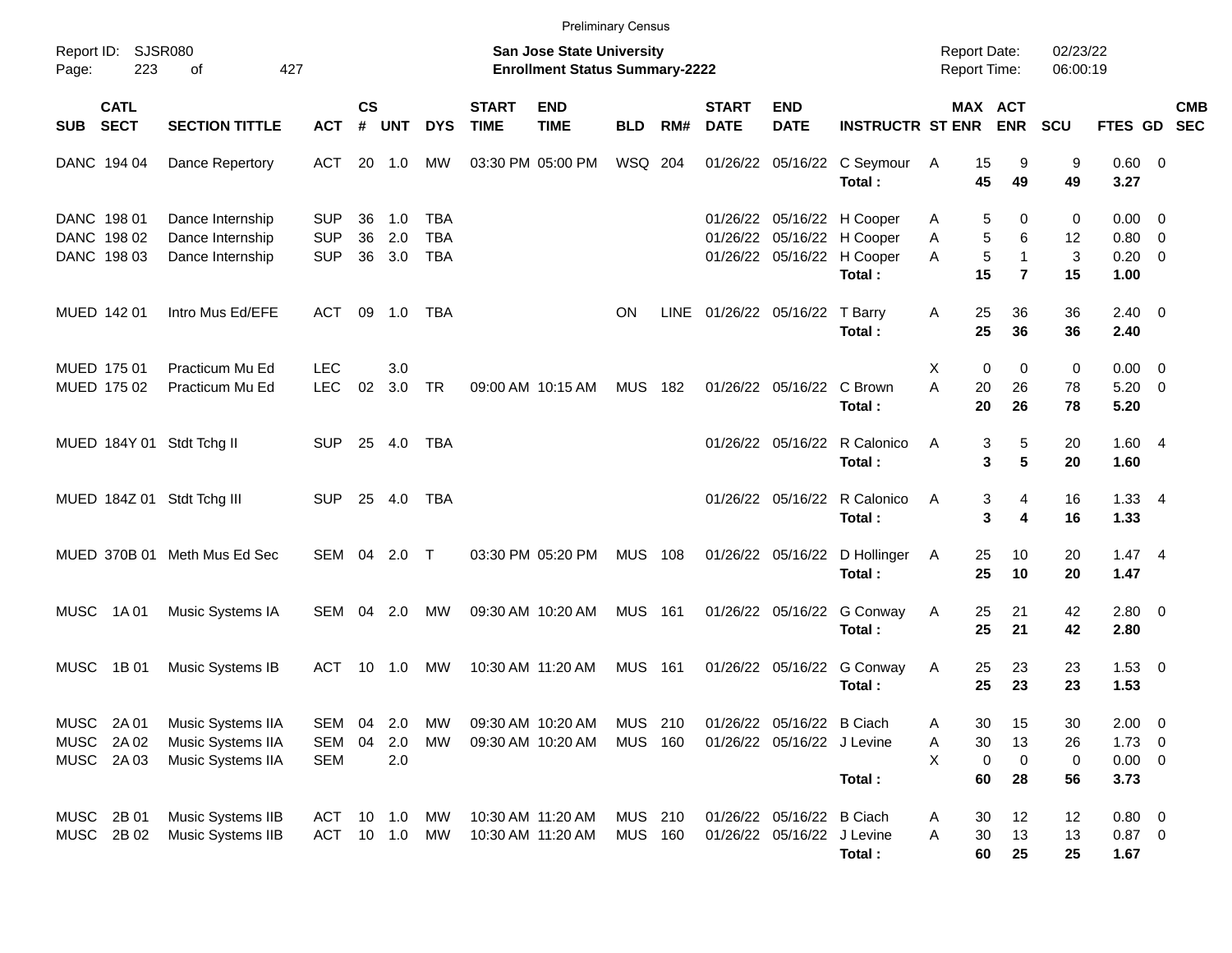|                                                                                                                              |                            |                                                             |                                        |                |                   |                                        |                             | <b>Preliminary Census</b>              |                           |       |                             |                                                         |                                                                                         |                               |                                                         |                     |                                                   |            |
|------------------------------------------------------------------------------------------------------------------------------|----------------------------|-------------------------------------------------------------|----------------------------------------|----------------|-------------------|----------------------------------------|-----------------------------|----------------------------------------|---------------------------|-------|-----------------------------|---------------------------------------------------------|-----------------------------------------------------------------------------------------|-------------------------------|---------------------------------------------------------|---------------------|---------------------------------------------------|------------|
| Report ID: SJSR080<br><b>San Jose State University</b><br>223<br>427<br><b>Enrollment Status Summary-2222</b><br>of<br>Page: |                            |                                                             |                                        |                |                   |                                        |                             |                                        |                           |       |                             |                                                         | <b>Report Date:</b><br><b>Report Time:</b>                                              |                               | 02/23/22<br>06:00:19                                    |                     |                                                   |            |
| <b>SUB</b>                                                                                                                   | <b>CATL</b><br><b>SECT</b> | <b>SECTION TITTLE</b>                                       | <b>ACT</b>                             | <b>CS</b><br># | <b>UNT</b>        | <b>DYS</b>                             | <b>START</b><br><b>TIME</b> | <b>END</b><br><b>TIME</b>              | <b>BLD</b>                | RM#   | <b>START</b><br><b>DATE</b> | <b>END</b><br><b>DATE</b>                               | <b>INSTRUCTR ST ENR</b>                                                                 |                               | MAX ACT<br><b>ENR</b>                                   | SCU                 | FTES GD SEC                                       | <b>CMB</b> |
| DANC 194 04                                                                                                                  |                            | Dance Repertory                                             | <b>ACT</b>                             | 20             | 1.0               | MW                                     |                             | 03:30 PM 05:00 PM                      | WSQ 204                   |       |                             |                                                         | 01/26/22 05/16/22 C Seymour<br>Total:                                                   | 15<br>A<br>45                 | 9<br>49                                                 | 9<br>49             | $0.60 \ 0$<br>3.27                                |            |
| DANC 198 01<br>DANC 198 02<br>DANC 198 03                                                                                    |                            | Dance Internship<br>Dance Internship<br>Dance Internship    | <b>SUP</b><br><b>SUP</b><br><b>SUP</b> | 36<br>36<br>36 | 1.0<br>2.0<br>3.0 | <b>TBA</b><br><b>TBA</b><br><b>TBA</b> |                             |                                        |                           |       | 01/26/22                    |                                                         | 01/26/22 05/16/22 H Cooper<br>05/16/22 H Cooper<br>01/26/22 05/16/22 H Cooper<br>Total: | Α<br>A<br>A<br>15             | 5<br>0<br>5<br>6<br>5<br>$\mathbf{1}$<br>$\overline{7}$ | 0<br>12<br>3<br>15  | $0.00 \t 0$<br>0.80 0<br>$0.20 \ 0$<br>1.00       |            |
| MUED 142 01                                                                                                                  |                            | Intro Mus Ed/EFE                                            | ACT                                    | 09             | 1.0               | TBA                                    |                             |                                        | <b>ON</b>                 | LINE  |                             | 01/26/22 05/16/22 T Barry                               | Total:                                                                                  | 25<br>Α<br>25                 | 36<br>36                                                | 36<br>36            | $2.40 \quad 0$<br>2.40                            |            |
| MUED 175 01<br>MUED 175 02                                                                                                   |                            | Practicum Mu Ed<br>Practicum Mu Ed                          | <b>LEC</b><br><b>LEC</b>               | 02             | 3.0<br>3.0        | TR                                     |                             | 09:00 AM 10:15 AM                      | <b>MUS</b>                | 182   |                             | 01/26/22 05/16/22                                       | C Brown<br>Total:                                                                       | X<br>A<br>20<br>20            | $\mathbf 0$<br>0<br>26<br>26                            | 0<br>78<br>78       | $0.00 \t 0$<br>$5.20 \ 0$<br>5.20                 |            |
|                                                                                                                              |                            | MUED 184Y 01 Stdt Tchg II                                   | <b>SUP</b>                             |                | 25 4.0            | TBA                                    |                             |                                        |                           |       |                             | 01/26/22 05/16/22                                       | R Calonico<br>Total:                                                                    | A                             | 3<br>5<br>3<br>$5\phantom{.0}$                          | 20<br>20            | 1.604<br>1.60                                     |            |
|                                                                                                                              |                            | MUED 184Z 01 Stdt Tchg III                                  | <b>SUP</b>                             | 25             | 4.0               | TBA                                    |                             |                                        |                           |       |                             | 01/26/22 05/16/22                                       | R Calonico<br>Total:                                                                    | A                             | 3<br>4<br>3<br>4                                        | 16<br>16            | $1.33 + 4$<br>1.33                                |            |
|                                                                                                                              |                            | MUED 370B 01 Meth Mus Ed Sec                                | SEM 04                                 |                | 2.0               | $\top$                                 |                             | 03:30 PM 05:20 PM                      | <b>MUS</b>                | 108   |                             | 01/26/22 05/16/22                                       | D Hollinger<br>Total:                                                                   | 25<br>A<br>25                 | 10<br>10                                                | 20<br>20            | $1.47 \quad 4$<br>1.47                            |            |
| MUSC                                                                                                                         | 1A 01                      | Music Systems IA                                            | SEM                                    | 04             | 2.0               | MW                                     |                             | 09:30 AM 10:20 AM                      | <b>MUS 161</b>            |       |                             | 01/26/22 05/16/22                                       | G Conway<br>Total:                                                                      | 25<br>A<br>25                 | 21<br>21                                                | 42<br>42            | $2.80 \t 0$<br>2.80                               |            |
| <b>MUSC</b>                                                                                                                  | 1B 01                      | Music Systems IB                                            | ACT                                    | 10             | 1.0               | MW                                     |                             | 10:30 AM 11:20 AM                      | MUS                       | 161   |                             | 01/26/22 05/16/22                                       | G Conway<br>Total:                                                                      | A<br>25<br>25                 | 23<br>23                                                | 23<br>23            | $1.53 \t 0$<br>1.53                               |            |
| MUSC<br><b>MUSC</b><br>MUSC 2A03                                                                                             | 2A 01<br>2A 02             | Music Systems IIA<br>Music Systems IIA<br>Music Systems IIA | SEM<br><b>SEM</b><br><b>SEM</b>        | 04<br>04       | 2.0<br>2.0<br>2.0 | МW<br>МW                               |                             | 09:30 AM 10:20 AM<br>09:30 AM 10:20 AM | MUS<br><b>MUS 160</b>     | - 210 |                             | 01/26/22 05/16/22 B Ciach<br>01/26/22 05/16/22 J Levine | Total:                                                                                  | 30<br>А<br>30<br>Α<br>X<br>60 | 15<br>13<br>0<br>0<br>28                                | 30<br>26<br>0<br>56 | $2.00 \t 0$<br>$1.73 \t 0$<br>$0.00 \t 0$<br>3.73 |            |
| MUSC<br>MUSC                                                                                                                 | 2B 01<br>2B 02             | Music Systems IIB<br>Music Systems IIB                      | ACT<br>ACT 10 1.0                      | 10             | 1.0               | МW<br>MW                               |                             | 10:30 AM 11:20 AM<br>10:30 AM 11:20 AM | MUS 210<br><b>MUS 160</b> |       |                             | 01/26/22 05/16/22 B Ciach<br>01/26/22 05/16/22 J Levine | Total:                                                                                  | A<br>30<br>30<br>Α<br>60      | 12<br>13<br>25                                          | 12<br>13<br>25      | $0.80 \ 0$<br>$0.87$ 0<br>1.67                    |            |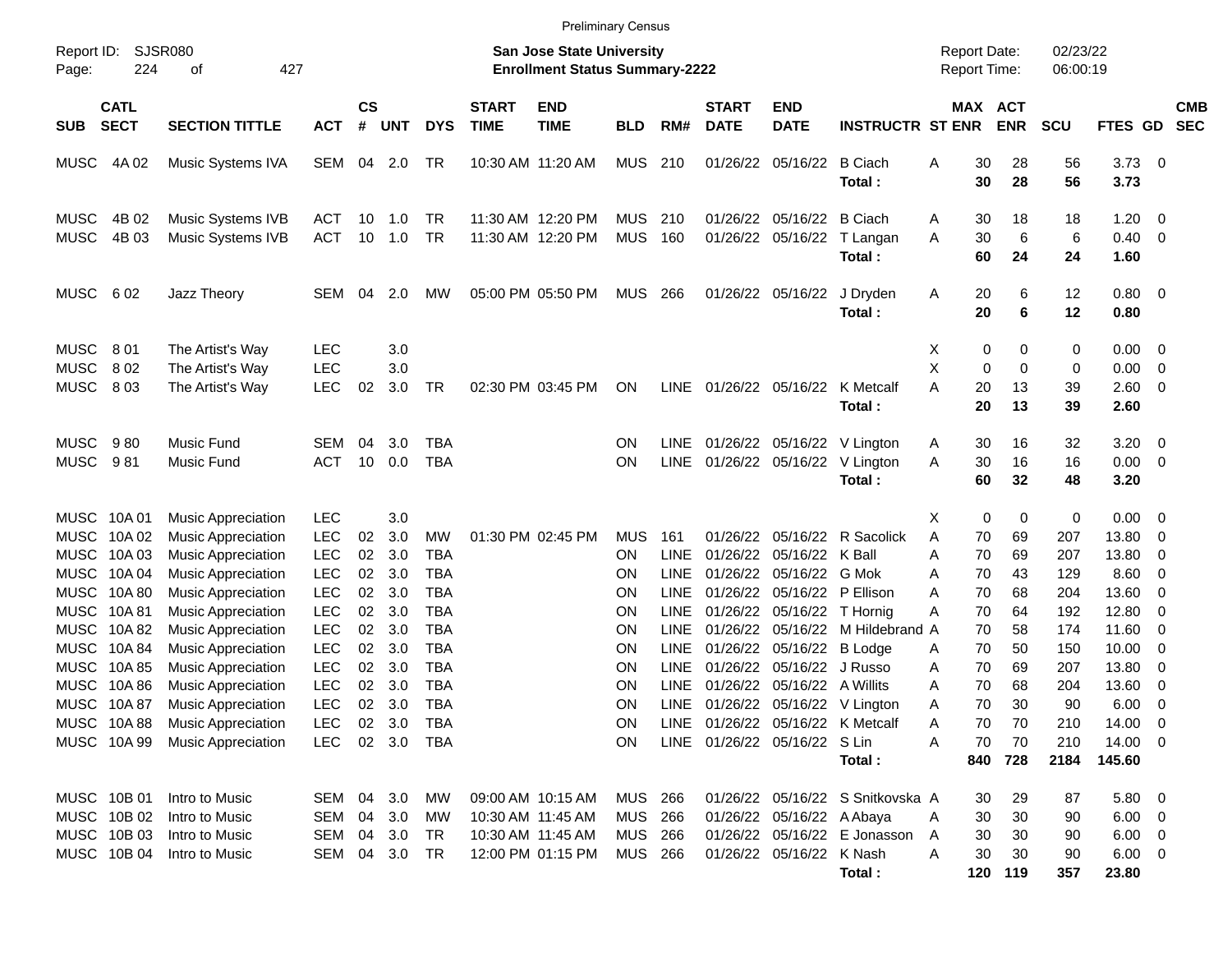|                                                                                          |                                                                                                         |                                                                                                                                                                                                                                                                                                                             |                                                                                                                                                        |                                                          |                                                                           |                                                                                                                           |                             | <b>Preliminary Census</b>                                                        |                                                           |                                                                                                                |                                                                                                          |                                                                                                                                            |                                                                               |                                                                                                                 |                                                               |                                                                        |                                                                                                     |                                                                                                 |                          |
|------------------------------------------------------------------------------------------|---------------------------------------------------------------------------------------------------------|-----------------------------------------------------------------------------------------------------------------------------------------------------------------------------------------------------------------------------------------------------------------------------------------------------------------------------|--------------------------------------------------------------------------------------------------------------------------------------------------------|----------------------------------------------------------|---------------------------------------------------------------------------|---------------------------------------------------------------------------------------------------------------------------|-----------------------------|----------------------------------------------------------------------------------|-----------------------------------------------------------|----------------------------------------------------------------------------------------------------------------|----------------------------------------------------------------------------------------------------------|--------------------------------------------------------------------------------------------------------------------------------------------|-------------------------------------------------------------------------------|-----------------------------------------------------------------------------------------------------------------|---------------------------------------------------------------|------------------------------------------------------------------------|-----------------------------------------------------------------------------------------------------|-------------------------------------------------------------------------------------------------|--------------------------|
| Report ID:<br>Page:                                                                      | 224                                                                                                     | <b>SJSR080</b><br>427<br>οf                                                                                                                                                                                                                                                                                                 |                                                                                                                                                        |                                                          |                                                                           |                                                                                                                           |                             | San Jose State University<br><b>Enrollment Status Summary-2222</b>               |                                                           |                                                                                                                |                                                                                                          |                                                                                                                                            |                                                                               | <b>Report Date:</b><br>Report Time:                                                                             |                                                               | 02/23/22<br>06:00:19                                                   |                                                                                                     |                                                                                                 |                          |
| <b>SUB</b>                                                                               | <b>CATL</b><br><b>SECT</b>                                                                              | <b>SECTION TITTLE</b>                                                                                                                                                                                                                                                                                                       | <b>ACT</b>                                                                                                                                             | $\mathbf{c}\mathbf{s}$<br>#                              | <b>UNT</b>                                                                | <b>DYS</b>                                                                                                                | <b>START</b><br><b>TIME</b> | <b>END</b><br><b>TIME</b>                                                        | <b>BLD</b>                                                | RM#                                                                                                            | <b>START</b><br><b>DATE</b>                                                                              | <b>END</b><br><b>DATE</b>                                                                                                                  | <b>INSTRUCTR ST ENR</b>                                                       |                                                                                                                 | MAX ACT<br><b>ENR</b>                                         | <b>SCU</b>                                                             | <b>FTES GD</b>                                                                                      |                                                                                                 | <b>CMB</b><br><b>SEC</b> |
| MUSC                                                                                     | 4A 02                                                                                                   | Music Systems IVA                                                                                                                                                                                                                                                                                                           | SEM                                                                                                                                                    |                                                          | 04 2.0                                                                    | TR                                                                                                                        |                             | 10:30 AM 11:20 AM                                                                | <b>MUS</b>                                                | 210                                                                                                            |                                                                                                          | 01/26/22 05/16/22                                                                                                                          | <b>B</b> Ciach<br>Total:                                                      | 30<br>Α<br>30                                                                                                   | 28<br>28                                                      | 56<br>56                                                               | $3.73$ 0<br>3.73                                                                                    |                                                                                                 |                          |
| <b>MUSC</b><br><b>MUSC</b>                                                               | 4B 02<br>4B 03                                                                                          | Music Systems IVB<br>Music Systems IVB                                                                                                                                                                                                                                                                                      | ACT<br><b>ACT</b>                                                                                                                                      | 10<br>10                                                 | 1.0<br>1.0                                                                | TR.<br><b>TR</b>                                                                                                          |                             | 11:30 AM 12:20 PM<br>11:30 AM 12:20 PM                                           | <b>MUS</b><br><b>MUS</b>                                  | 210<br>160                                                                                                     | 01/26/22                                                                                                 | 05/16/22<br>01/26/22 05/16/22                                                                                                              | <b>B</b> Ciach<br>T Langan<br>Total:                                          | 30<br>Α<br>A<br>30<br>60                                                                                        | 18<br>6<br>24                                                 | 18<br>6<br>24                                                          | 1.20<br>$0.40 \quad 0$<br>1.60                                                                      | $\overline{\phantom{0}}$                                                                        |                          |
| <b>MUSC</b>                                                                              | 602                                                                                                     | Jazz Theory                                                                                                                                                                                                                                                                                                                 | <b>SEM</b>                                                                                                                                             | 04                                                       | 2.0                                                                       | МW                                                                                                                        |                             | 05:00 PM 05:50 PM                                                                | MUS                                                       | - 266                                                                                                          |                                                                                                          | 01/26/22 05/16/22                                                                                                                          | J Dryden<br>Total:                                                            | Α<br>20<br>20                                                                                                   | 6<br>6                                                        | 12<br>12                                                               | $0.80 \ 0$<br>0.80                                                                                  |                                                                                                 |                          |
| <b>MUSC</b><br><b>MUSC</b><br><b>MUSC</b>                                                | 801<br>802<br>803                                                                                       | The Artist's Way<br>The Artist's Way<br>The Artist's Way                                                                                                                                                                                                                                                                    | <b>LEC</b><br><b>LEC</b><br><b>LEC</b>                                                                                                                 | 02                                                       | 3.0<br>3.0<br>3.0                                                         | TR                                                                                                                        |                             | 02:30 PM 03:45 PM                                                                | ON                                                        | LINE                                                                                                           | 01/26/22 05/16/22                                                                                        |                                                                                                                                            | K Metcalf<br>Total:                                                           | X<br>0<br>X<br>0<br>Α<br>20<br>20                                                                               | 0<br>0<br>13<br>13                                            | 0<br>0<br>39<br>39                                                     | $0.00 \t 0$<br>0.00<br>2.60 0<br>2.60                                                               | $\overline{\mathbf{0}}$                                                                         |                          |
| <b>MUSC</b><br><b>MUSC</b>                                                               | 980<br>981                                                                                              | <b>Music Fund</b><br>Music Fund                                                                                                                                                                                                                                                                                             | SEM<br><b>ACT</b>                                                                                                                                      | 04<br>10                                                 | 3.0<br>0.0                                                                | TBA<br><b>TBA</b>                                                                                                         |                             |                                                                                  | ΟN<br>ON                                                  | <b>LINE</b><br><b>LINE</b>                                                                                     |                                                                                                          |                                                                                                                                            | 01/26/22 05/16/22 V Lington<br>01/26/22 05/16/22 V Lington<br>Total:          | 30<br>A<br>A<br>30<br>60                                                                                        | 16<br>16<br>32                                                | 32<br>16<br>48                                                         | $3.20 \ 0$<br>$0.00 \t 0$<br>3.20                                                                   |                                                                                                 |                          |
| MUSC 10A01<br><b>MUSC</b><br>MUSC<br>MUSC<br>MUSC<br>MUSC<br>MUSC<br>MUSC<br><b>MUSC</b> | 10A 02<br>10A03<br>10A 04<br>10A 80<br>10A81<br>10A 82<br>10A 84<br>MUSC 10A 85<br>10A 86<br>MUSC 10A87 | <b>Music Appreciation</b><br><b>Music Appreciation</b><br><b>Music Appreciation</b><br><b>Music Appreciation</b><br><b>Music Appreciation</b><br><b>Music Appreciation</b><br><b>Music Appreciation</b><br><b>Music Appreciation</b><br><b>Music Appreciation</b><br><b>Music Appreciation</b><br><b>Music Appreciation</b> | <b>LEC</b><br><b>LEC</b><br><b>LEC</b><br><b>LEC</b><br><b>LEC</b><br><b>LEC</b><br><b>LEC</b><br><b>LEC</b><br><b>LEC</b><br><b>LEC</b><br><b>LEC</b> | 02<br>02<br>02<br>02<br>02<br>02<br>02<br>02<br>02<br>02 | 3.0<br>3.0<br>3.0<br>3.0<br>3.0<br>3.0<br>3.0<br>3.0<br>3.0<br>3.0<br>3.0 | <b>MW</b><br><b>TBA</b><br>TBA<br><b>TBA</b><br><b>TBA</b><br><b>TBA</b><br><b>TBA</b><br>TBA<br><b>TBA</b><br><b>TBA</b> |                             | 01:30 PM 02:45 PM                                                                | MUS<br>ΟN<br>ΟN<br>ΟN<br>ON<br>ΟN<br>ON<br>ΟN<br>ΟN<br>ΟN | 161<br><b>LINE</b><br><b>LINE</b><br>LINE<br>LINE<br>LINE<br><b>LINE</b><br><b>LINE</b><br>LINE<br><b>LINE</b> | 01/26/22<br>01/26/22<br>01/26/22<br>01/26/22<br>01/26/22<br>01/26/22<br>01/26/22<br>01/26/22<br>01/26/22 | 05/16/22 K Ball<br>05/16/22 G Mok<br>05/16/22 P Ellison<br>05/16/22 T Hornig<br>05/16/22 B Lodge<br>05/16/22 J Russo<br>05/16/22 A Willits | 05/16/22 R Sacolick<br>05/16/22 M Hildebrand A<br>01/26/22 05/16/22 V Lington | 0<br>X<br>A<br>70<br>70<br>Α<br>70<br>Α<br>70<br>Α<br>Α<br>70<br>70<br>70<br>A<br>70<br>Α<br>70<br>Α<br>70<br>Α | 0<br>69<br>69<br>43<br>68<br>64<br>58<br>50<br>69<br>68<br>30 | 0<br>207<br>207<br>129<br>204<br>192<br>174<br>150<br>207<br>204<br>90 | $0.00 \t 0$<br>13.80<br>13.80<br>8.60<br>13.60<br>12.80<br>11.60<br>10.00<br>13.80<br>13.60<br>6.00 | 0<br>0<br>- 0<br>0<br>0<br>- 0<br>0<br>0<br>$\overline{\mathbf{0}}$<br>$\overline{\phantom{0}}$ |                          |
|                                                                                          | MUSC 10A 99                                                                                             | MUSC 10A 88 Music Appreciation<br><b>Music Appreciation</b>                                                                                                                                                                                                                                                                 | <b>LEC</b><br>LEC                                                                                                                                      |                                                          | 02 3.0                                                                    | TBA<br>02 3.0 TBA                                                                                                         |                             |                                                                                  | ON<br>ON                                                  |                                                                                                                |                                                                                                          | LINE 01/26/22 05/16/22 S Lin                                                                                                               | LINE 01/26/22 05/16/22 K Metcalf<br>Total:                                    | 70<br>A<br>70<br>Α                                                                                              | 70<br>70<br>840 728                                           | 210<br>210<br>2184                                                     | 14.00 0<br>14.00 0<br>145.60                                                                        |                                                                                                 |                          |
|                                                                                          | MUSC 10B 01<br>MUSC 10B 02<br>MUSC 10B 03<br>MUSC 10B 04                                                | Intro to Music<br>Intro to Music<br>Intro to Music<br>Intro to Music                                                                                                                                                                                                                                                        | SEM 04 3.0<br>SEM<br>SEM<br>SEM                                                                                                                        |                                                          | 04 3.0<br>04 3.0<br>04 3.0 TR                                             | МW<br>МW<br>TR                                                                                                            |                             | 09:00 AM 10:15 AM<br>10:30 AM 11:45 AM<br>10:30 AM 11:45 AM<br>12:00 PM 01:15 PM | MUS 266<br>MUS 266<br>MUS 266<br>MUS 266                  |                                                                                                                |                                                                                                          | 01/26/22 05/16/22 A Abaya<br>01/26/22 05/16/22 K Nash                                                                                      | 01/26/22 05/16/22 S Snitkovska A<br>01/26/22 05/16/22 E Jonasson<br>Total:    | 30<br>30<br>Α<br>30<br>A<br>30<br>Α                                                                             | 29<br>30<br>30<br>30<br>120 119                               | 87<br>90<br>90<br>90<br>357                                            | $5.80\ 0$<br>$6.00 \t 0$<br>$6.00 \t 0$<br>$6.00 \t 0$<br>23.80                                     |                                                                                                 |                          |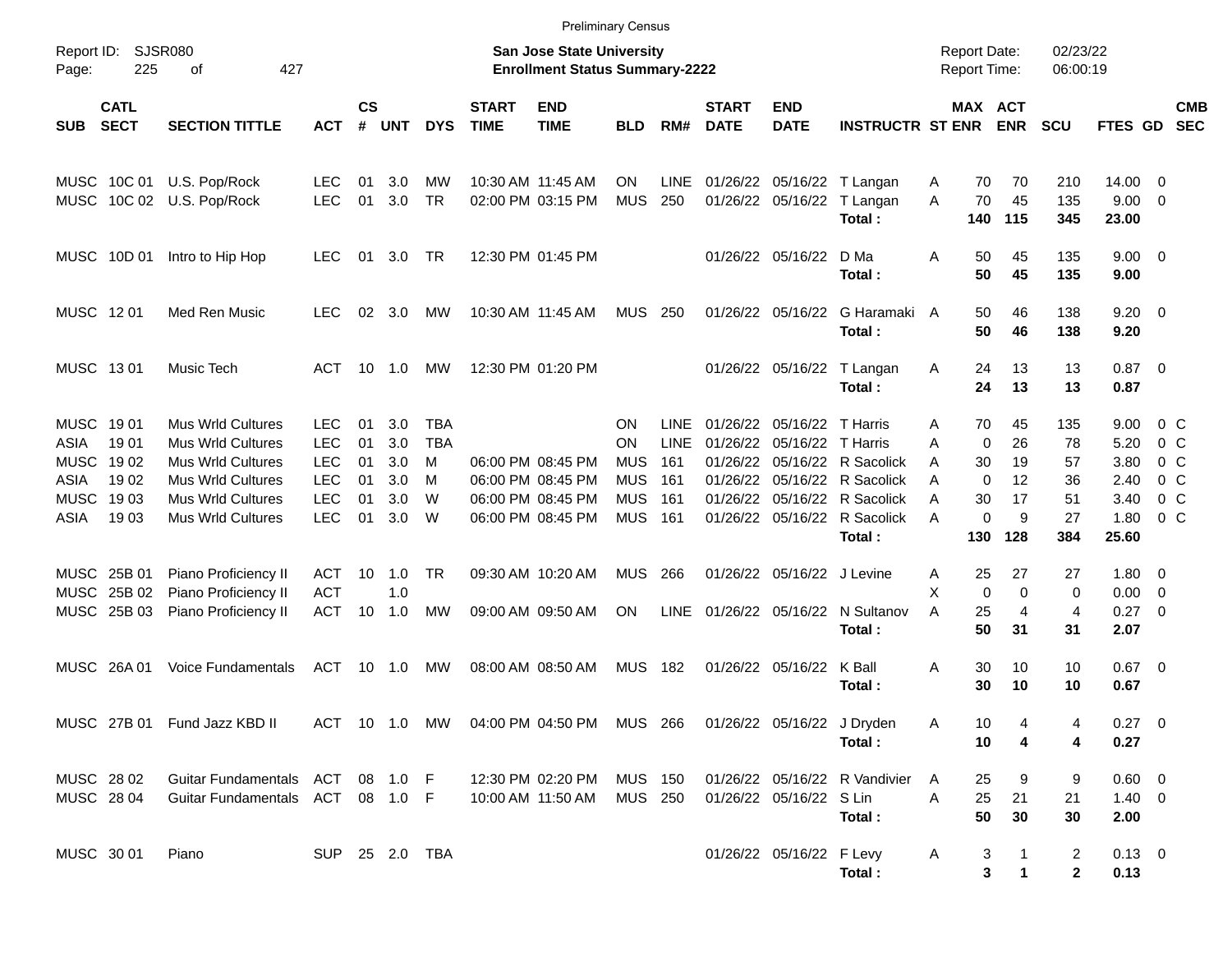|                                                                                 |                                               |                                                                                                                                                                      |                                                                                  |                                  |                                        |                                              |                             | <b>Preliminary Census</b>                                                        |                                                                  |                                                        |                                                          |                                        |                                                                                                                                     |                            |                                                       |                                        |                                          |                                                       |                                                             |                          |
|---------------------------------------------------------------------------------|-----------------------------------------------|----------------------------------------------------------------------------------------------------------------------------------------------------------------------|----------------------------------------------------------------------------------|----------------------------------|----------------------------------------|----------------------------------------------|-----------------------------|----------------------------------------------------------------------------------|------------------------------------------------------------------|--------------------------------------------------------|----------------------------------------------------------|----------------------------------------|-------------------------------------------------------------------------------------------------------------------------------------|----------------------------|-------------------------------------------------------|----------------------------------------|------------------------------------------|-------------------------------------------------------|-------------------------------------------------------------|--------------------------|
| Report ID:<br>Page:                                                             | 225                                           | <b>SJSR080</b><br>427<br>οf                                                                                                                                          |                                                                                  |                                  |                                        |                                              |                             | <b>San Jose State University</b><br><b>Enrollment Status Summary-2222</b>        |                                                                  |                                                        |                                                          |                                        |                                                                                                                                     |                            | <b>Report Date:</b><br><b>Report Time:</b>            |                                        | 02/23/22<br>06:00:19                     |                                                       |                                                             |                          |
| <b>SUB</b>                                                                      | <b>CATL</b><br><b>SECT</b>                    | <b>SECTION TITTLE</b>                                                                                                                                                | <b>ACT</b>                                                                       | <b>CS</b><br>#                   | <b>UNT</b>                             | <b>DYS</b>                                   | <b>START</b><br><b>TIME</b> | <b>END</b><br><b>TIME</b>                                                        | <b>BLD</b>                                                       | RM#                                                    | <b>START</b><br><b>DATE</b>                              | <b>END</b><br><b>DATE</b>              | <b>INSTRUCTR ST ENR</b>                                                                                                             |                            | MAX ACT                                               | <b>ENR</b>                             | <b>SCU</b>                               | FTES GD                                               |                                                             | <b>CMB</b><br><b>SEC</b> |
| MUSC                                                                            |                                               | MUSC 10C 01 U.S. Pop/Rock<br>10C 02 U.S. Pop/Rock                                                                                                                    | <b>LEC</b><br><b>LEC</b>                                                         | 01<br>01                         | 3.0<br>3.0                             | МW<br><b>TR</b>                              |                             | 10:30 AM 11:45 AM<br>02:00 PM 03:15 PM                                           | ON<br><b>MUS</b>                                                 | <b>LINE</b><br>250                                     | 01/26/22                                                 | 05/16/22                               | 01/26/22 05/16/22 T Langan<br>T Langan<br>Total:                                                                                    | Α<br>A                     | 70<br>70<br>140                                       | 70<br>45<br>115                        | 210<br>135<br>345                        | 14.00 0<br>9.00<br>23.00                              | - 0                                                         |                          |
|                                                                                 | MUSC 10D 01                                   | Intro to Hip Hop                                                                                                                                                     | <b>LEC</b>                                                                       | 01                               | 3.0                                    | TR                                           |                             | 12:30 PM 01:45 PM                                                                |                                                                  |                                                        |                                                          | 01/26/22 05/16/22                      | D Ma<br>Total:                                                                                                                      | A                          | 50<br>50                                              | 45<br>45                               | 135<br>135                               | $9.00 \t 0$<br>9.00                                   |                                                             |                          |
| MUSC 1201                                                                       |                                               | Med Ren Music                                                                                                                                                        | <b>LEC</b>                                                                       | 02                               | 3.0                                    | МW                                           |                             | 10:30 AM 11:45 AM                                                                | <b>MUS</b>                                                       | 250                                                    |                                                          | 01/26/22 05/16/22                      | G Haramaki A<br>Total:                                                                                                              |                            | 50<br>50                                              | 46<br>46                               | 138<br>138                               | $9.20 \ 0$<br>9.20                                    |                                                             |                          |
| MUSC 1301                                                                       |                                               | Music Tech                                                                                                                                                           | ACT                                                                              | 10                               | 1.0                                    | МW                                           |                             | 12:30 PM 01:20 PM                                                                |                                                                  |                                                        |                                                          |                                        | 01/26/22 05/16/22 T Langan<br>Total:                                                                                                | A                          | 24<br>24                                              | 13<br>13                               | 13<br>13                                 | $0.87$ 0<br>0.87                                      |                                                             |                          |
| <b>MUSC</b><br><b>ASIA</b><br><b>MUSC</b><br>ASIA<br><b>MUSC</b><br><b>ASIA</b> | 19 01<br>1901<br>1902<br>1902<br>1903<br>1903 | <b>Mus Wrld Cultures</b><br><b>Mus Wrld Cultures</b><br><b>Mus Wrld Cultures</b><br><b>Mus Wrld Cultures</b><br><b>Mus Wrld Cultures</b><br><b>Mus Wrld Cultures</b> | <b>LEC</b><br><b>LEC</b><br><b>LEC</b><br><b>LEC</b><br><b>LEC</b><br><b>LEC</b> | 01<br>01<br>01<br>01<br>01<br>01 | 3.0<br>3.0<br>3.0<br>3.0<br>3.0<br>3.0 | <b>TBA</b><br><b>TBA</b><br>M<br>M<br>W<br>W |                             | 06:00 PM 08:45 PM<br>06:00 PM 08:45 PM<br>06:00 PM 08:45 PM<br>06:00 PM 08:45 PM | ON<br>ON<br><b>MUS</b><br><b>MUS</b><br><b>MUS</b><br><b>MUS</b> | <b>LINE</b><br><b>LINE</b><br>161<br>161<br>161<br>161 | 01/26/22<br>01/26/22<br>01/26/22<br>01/26/22<br>01/26/22 | 05/16/22<br>05/16/22                   | T Harris<br>T Harris<br>05/16/22 R Sacolick<br>05/16/22 R Sacolick<br>05/16/22 R Sacolick<br>01/26/22 05/16/22 R Sacolick<br>Total: | Α<br>A<br>A<br>A<br>A<br>A | 70<br>$\mathbf 0$<br>30<br>$\Omega$<br>30<br>0<br>130 | 45<br>26<br>19<br>12<br>17<br>9<br>128 | 135<br>78<br>57<br>36<br>51<br>27<br>384 | 9.00<br>5.20<br>3.80<br>2.40<br>3.40<br>1.80<br>25.60 | $0\,$ C<br>$0\,C$<br>$0\,C$<br>$0\,C$<br>$0\,$ C<br>$0\,$ C |                          |
| <b>MUSC</b><br><b>MUSC</b><br><b>MUSC</b>                                       | 25B 01<br>25B 02<br>25B 03                    | Piano Proficiency II<br>Piano Proficiency II<br>Piano Proficiency II                                                                                                 | ACT<br><b>ACT</b><br><b>ACT</b>                                                  | 10<br>10                         | 1.0<br>1.0<br>1.0                      | <b>TR</b><br>MW                              |                             | 09:30 AM 10:20 AM<br>09:00 AM 09:50 AM                                           | <b>MUS</b><br><b>ON</b>                                          | 266<br>LINE                                            |                                                          | 01/26/22 05/16/22<br>01/26/22 05/16/22 | J Levine<br>N Sultanov<br>Total:                                                                                                    | Α<br>X<br>A                | 25<br>0<br>25<br>50                                   | 27<br>0<br>4<br>31                     | 27<br>0<br>$\overline{4}$<br>31          | $1.80 \ 0$<br>0.00<br>0.27<br>2.07                    | $\overline{\mathbf{0}}$<br>$\overline{\phantom{0}}$         |                          |
| <b>MUSC</b>                                                                     | 26A 01                                        | <b>Voice Fundamentals</b>                                                                                                                                            | <b>ACT</b>                                                                       | 10                               | 1.0                                    | МW                                           |                             | 08:00 AM 08:50 AM                                                                | <b>MUS</b>                                                       | 182                                                    |                                                          | 01/26/22 05/16/22                      | K Ball<br>Total:                                                                                                                    | A                          | 30<br>30                                              | 10<br>10                               | 10<br>10                                 | $0.67$ 0<br>0.67                                      |                                                             |                          |
|                                                                                 |                                               | MUSC 27B 01 Fund Jazz KBD II                                                                                                                                         |                                                                                  |                                  |                                        |                                              |                             | ACT 10 1.0 MW 04:00 PM 04:50 PM MUS 266 01/26/22 05/16/22 J Dryden               |                                                                  |                                                        |                                                          |                                        | Total:                                                                                                                              |                            | 10<br>10                                              | 4                                      | 4                                        | $0.27$ 0<br>0.27                                      |                                                             |                          |
| MUSC 28 02<br>MUSC 28 04                                                        |                                               | Guitar Fundamentals ACT 08 1.0 F<br>Guitar Fundamentals ACT 08 1.0 F                                                                                                 |                                                                                  |                                  |                                        |                                              |                             | 12:30 PM 02:20 PM MUS 150<br>10:00 AM 11:50 AM                                   | MUS 250                                                          |                                                        |                                                          | 01/26/22 05/16/22 S Lin                | 01/26/22 05/16/22 R Vandivier<br>Total:                                                                                             | A<br>A                     | 25<br>25<br>50                                        | 9<br>21<br>30                          | 9<br>21<br>30                            | $0.60 \t 0$<br>$1.40 \ 0$<br>2.00                     |                                                             |                          |
| MUSC 30 01                                                                      |                                               | Piano                                                                                                                                                                | SUP 25 2.0 TBA                                                                   |                                  |                                        |                                              |                             |                                                                                  |                                                                  |                                                        |                                                          | 01/26/22 05/16/22 F Levy               | Total:                                                                                                                              | A                          | 3<br>3                                                | $\mathbf{1}$                           | $\overline{c}$<br>$\mathbf{2}$           | $0.13 \ 0$<br>0.13                                    |                                                             |                          |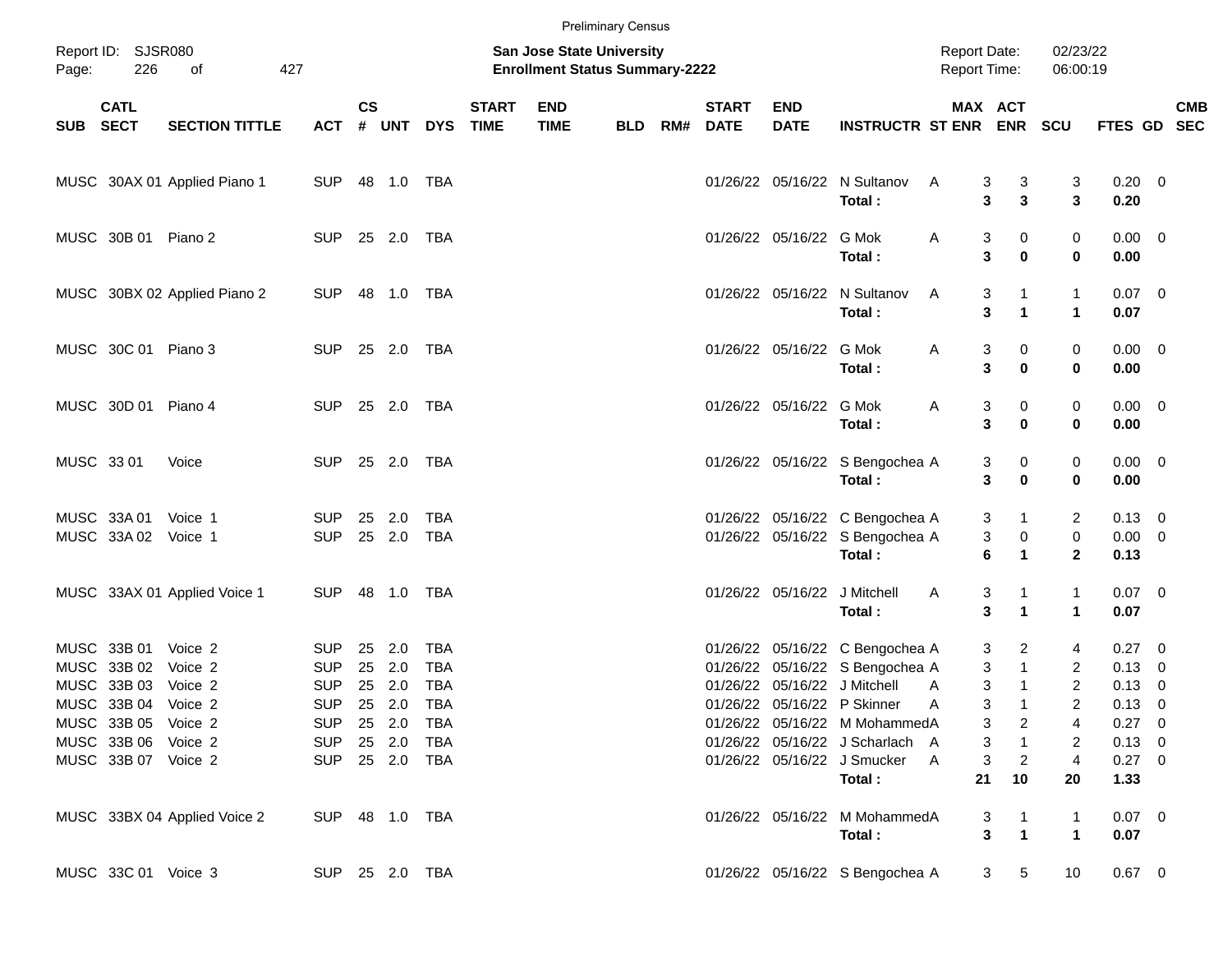|       |                                                                   |                               |                                            |                  |                   |                                 |                             |                                                                           | <b>Preliminary Census</b> |     |                             |                           |                                                                                                    |                                     |                                                   |                           |                                             |            |
|-------|-------------------------------------------------------------------|-------------------------------|--------------------------------------------|------------------|-------------------|---------------------------------|-----------------------------|---------------------------------------------------------------------------|---------------------------|-----|-----------------------------|---------------------------|----------------------------------------------------------------------------------------------------|-------------------------------------|---------------------------------------------------|---------------------------|---------------------------------------------|------------|
| Page: | Report ID: SJSR080<br>226                                         | of                            | 427                                        |                  |                   |                                 |                             | <b>San Jose State University</b><br><b>Enrollment Status Summary-2222</b> |                           |     |                             |                           |                                                                                                    | <b>Report Date:</b><br>Report Time: |                                                   | 02/23/22<br>06:00:19      |                                             |            |
|       | <b>CATL</b><br>SUB SECT                                           | <b>SECTION TITTLE</b>         | ACT                                        | $\mathsf{cs}$    |                   | # UNT DYS                       | <b>START</b><br><b>TIME</b> | <b>END</b><br><b>TIME</b>                                                 | <b>BLD</b>                | RM# | <b>START</b><br><b>DATE</b> | <b>END</b><br><b>DATE</b> | <b>INSTRUCTR ST ENR ENR</b>                                                                        | MAX ACT                             |                                                   | <b>SCU</b>                | FTES GD SEC                                 | <b>CMB</b> |
|       |                                                                   | MUSC 30AX 01 Applied Piano 1  | SUP                                        | 48  1.0  TBA     |                   |                                 |                             |                                                                           |                           |     |                             |                           | 01/26/22 05/16/22 N Sultanov<br>Total:                                                             | Α<br>3<br>3                         | 3<br>3                                            | 3<br>3                    | $0.20 \ 0$<br>0.20                          |            |
|       | MUSC 30B 01 Piano 2                                               |                               | SUP 25 2.0 TBA                             |                  |                   |                                 |                             |                                                                           |                           |     |                             | 01/26/22 05/16/22 G Mok   | Total:                                                                                             | 3<br>A<br>3                         | 0<br>$\mathbf 0$                                  | 0<br>0                    | $0.00 \t 0$<br>0.00                         |            |
|       |                                                                   | MUSC 30BX 02 Applied Piano 2  | <b>SUP</b>                                 | 48  1.0  TBA     |                   |                                 |                             |                                                                           |                           |     |                             |                           | 01/26/22 05/16/22 N Sultanov<br>Total:                                                             | 3<br>A<br>3                         | 1<br>$\blacktriangleleft$                         | 1<br>$\mathbf{1}$         | $0.07$ 0<br>0.07                            |            |
|       | MUSC 30C 01 Piano 3                                               |                               | SUP 25 2.0 TBA                             |                  |                   |                                 |                             |                                                                           |                           |     |                             | 01/26/22 05/16/22 G Mok   | Total:                                                                                             | 3<br>A<br>3                         | 0<br>$\bf{0}$                                     | 0<br>0                    | $0.00 \t 0$<br>0.00                         |            |
|       | MUSC 30D 01 Piano 4                                               |                               | SUP 25 2.0 TBA                             |                  |                   |                                 |                             |                                                                           |                           |     |                             | 01/26/22 05/16/22 G Mok   | Total:                                                                                             | Α<br>3<br>3                         | 0<br>$\mathbf 0$                                  | 0<br>0                    | $0.00 \t 0$<br>0.00                         |            |
|       | MUSC 33 01                                                        | Voice                         | <b>SUP</b>                                 | 25 2.0 TBA       |                   |                                 |                             |                                                                           |                           |     |                             |                           | 01/26/22 05/16/22 S Bengochea A<br>Total:                                                          | 3<br>3                              | 0<br>$\mathbf 0$                                  | 0<br>0                    | $0.00 \t 0$<br>0.00                         |            |
|       | MUSC 33A 01<br>MUSC 33A 02                                        | Voice 1<br>Voice 1            | <b>SUP</b><br><b>SUP</b>                   | 25 2.0<br>25 2.0 |                   | TBA<br>TBA                      |                             |                                                                           |                           |     |                             |                           | 01/26/22 05/16/22 C Bengochea A<br>01/26/22 05/16/22 S Bengochea A<br>Total:                       | 3<br>3<br>6                         | $\mathbf{1}$<br>$\pmb{0}$<br>$\blacktriangleleft$ | 2<br>0<br>$\overline{2}$  | $0.13 \quad 0$<br>$0.00 \t 0$<br>0.13       |            |
|       |                                                                   | MUSC 33AX 01 Applied Voice 1  | <b>SUP</b>                                 |                  |                   |                                 |                             |                                                                           |                           |     |                             |                           | 01/26/22 05/16/22 J Mitchell<br>Total:                                                             | 3<br>A<br>3                         | 1<br>1                                            | 1<br>$\mathbf{1}$         | $0.07$ 0<br>0.07                            |            |
|       | MUSC 33B 01<br>MUSC 33B 02<br>MUSC 33B 03                         | Voice 2<br>Voice 2<br>Voice 2 | <b>SUP</b><br><b>SUP</b><br><b>SUP</b>     | 25<br>25<br>25   | 2.0<br>2.0<br>2.0 | TBA<br><b>TBA</b><br><b>TBA</b> |                             |                                                                           |                           |     |                             |                           | 01/26/22 05/16/22 C Bengochea A<br>01/26/22 05/16/22 S Bengochea A<br>01/26/22 05/16/22 J Mitchell | 3<br>3<br>3<br>A                    | 2<br>$\mathbf{1}$<br>$\mathbf 1$                  | 4<br>2<br>$\overline{2}$  | $0.27$ 0<br>$0.13 \ 0$<br>$0.13 \ 0$        |            |
|       | MUSC 33B 04 Voice 2<br>MUSC 33B 05 Voice 2<br>MUSC 33B 06 Voice 2 |                               | <b>SUP</b><br>SUP 25 2.0 TBA<br>SUP 25 2.0 | 25 2.0           |                   | <b>TBA</b><br>TBA               |                             |                                                                           |                           |     |                             |                           | 01/26/22 05/16/22 P Skinner<br>01/26/22 05/16/22 M MohammedA<br>01/26/22 05/16/22 J Scharlach A    | 3<br>A<br>3<br>3                    | 1<br>2<br>$\mathbf{1}$                            | $\overline{2}$<br>4<br>2  | $0.13 \quad 0$<br>$0.27 \t 0$<br>$0.13 \ 0$ |            |
|       | MUSC 33B 07 Voice 2                                               |                               | SUP 25 2.0 TBA                             |                  |                   |                                 |                             |                                                                           |                           |     |                             |                           | 01/26/22 05/16/22 J Smucker<br>Total:                                                              | 3<br>A<br>21                        | $\overline{2}$<br>10                              | $\overline{4}$<br>20      | $0.27$ 0<br>1.33                            |            |
|       |                                                                   | MUSC 33BX 04 Applied Voice 2  | SUP 48 1.0 TBA                             |                  |                   |                                 |                             |                                                                           |                           |     |                             |                           | 01/26/22 05/16/22 M MohammedA<br>Total:                                                            | 3<br>3                              | 1<br>$\mathbf{1}$                                 | 1<br>$\blacktriangleleft$ | $0.07$ 0<br>0.07                            |            |
|       | MUSC 33C 01 Voice 3                                               |                               | SUP 25 2.0 TBA                             |                  |                   |                                 |                             |                                                                           |                           |     |                             |                           | 01/26/22 05/16/22 S Bengochea A                                                                    |                                     | 5<br>3 <sup>1</sup>                               | 10                        | $0.67$ 0                                    |            |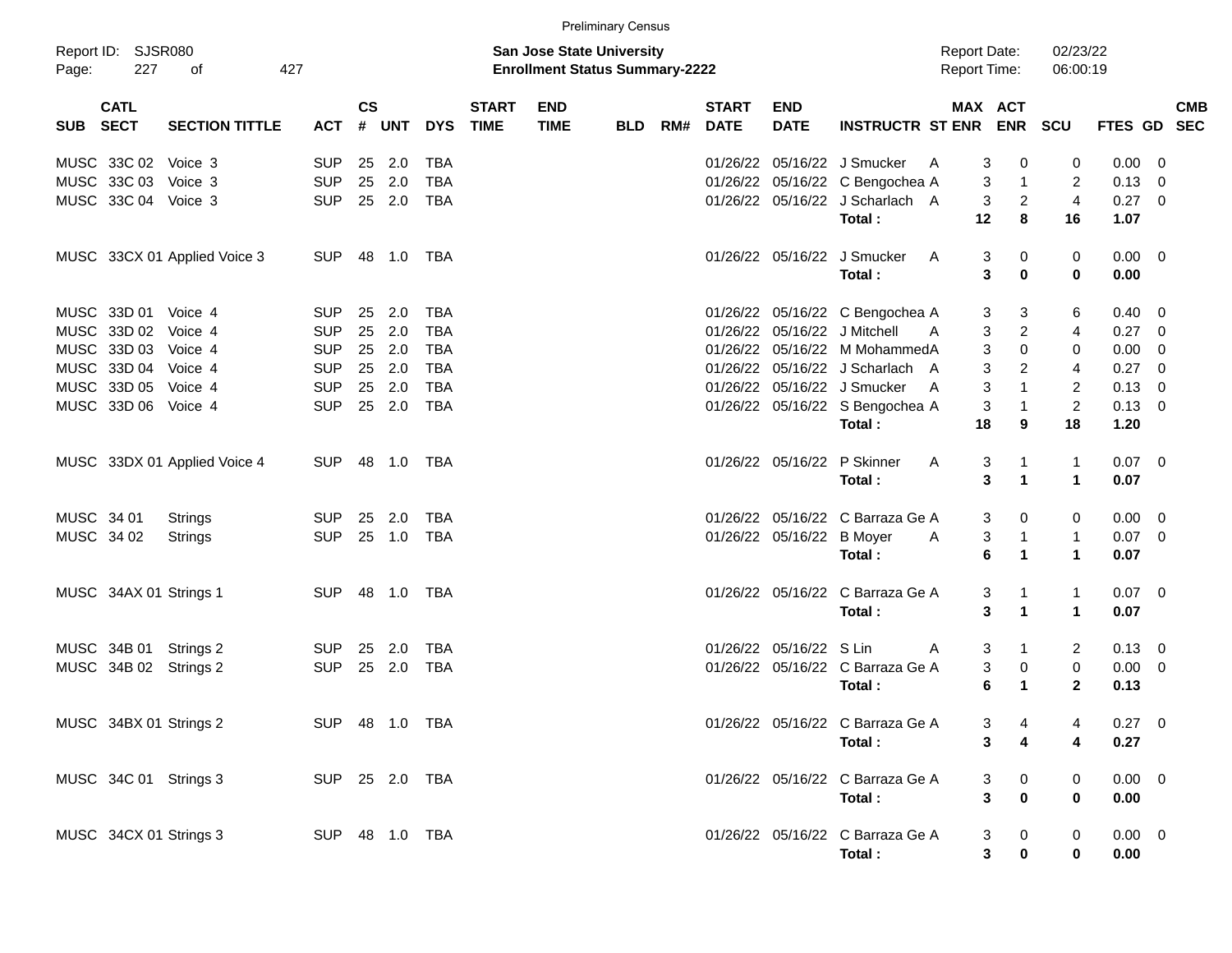|            |                           |                              |                |               |                |            |                             | <b>Preliminary Census</b>                                                 |     |     |                             |                           |                                  |   |    |                                            |                      |                |                         |            |
|------------|---------------------------|------------------------------|----------------|---------------|----------------|------------|-----------------------------|---------------------------------------------------------------------------|-----|-----|-----------------------------|---------------------------|----------------------------------|---|----|--------------------------------------------|----------------------|----------------|-------------------------|------------|
| Page:      | Report ID: SJSR080<br>227 | 427<br>οf                    |                |               |                |            |                             | <b>San Jose State University</b><br><b>Enrollment Status Summary-2222</b> |     |     |                             |                           |                                  |   |    | <b>Report Date:</b><br><b>Report Time:</b> | 02/23/22<br>06:00:19 |                |                         |            |
| SUB SECT   | <b>CATL</b>               | <b>SECTION TITTLE</b>        | <b>ACT</b>     | $\mathsf{cs}$ |                | # UNT DYS  | <b>START</b><br><b>TIME</b> | <b>END</b><br><b>TIME</b>                                                 | BLD | RM# | <b>START</b><br><b>DATE</b> | <b>END</b><br><b>DATE</b> | INSTRUCTR ST ENR ENR SCU         |   |    | MAX ACT                                    |                      | FTES GD SEC    |                         | <b>CMB</b> |
|            | MUSC 33C 02 Voice 3       |                              | <b>SUP</b>     |               | 25 2.0         | TBA        |                             |                                                                           |     |     |                             |                           | 01/26/22 05/16/22 J Smucker      | A | 3  | 0                                          | 0                    | 0.00           | - 0                     |            |
|            | MUSC 33C 03 Voice 3       |                              | <b>SUP</b>     | 25            | 2.0            | <b>TBA</b> |                             |                                                                           |     |     |                             |                           | 01/26/22 05/16/22 C Bengochea A  |   | 3  | $\overline{1}$                             | 2                    | $0.13 \ 0$     |                         |            |
|            | MUSC 33C 04 Voice 3       |                              | <b>SUP</b>     |               | 25 2.0         | <b>TBA</b> |                             |                                                                           |     |     |                             |                           | 01/26/22 05/16/22 J Scharlach A  |   | 3  | $\overline{c}$                             | $\overline{4}$       | $0.27$ 0       |                         |            |
|            |                           |                              |                |               |                |            |                             |                                                                           |     |     |                             |                           | Total:                           |   | 12 | 8                                          | 16                   | 1.07           |                         |            |
|            |                           | MUSC 33CX 01 Applied Voice 3 | SUP            |               | 48  1.0  TBA   |            |                             |                                                                           |     |     |                             |                           | 01/26/22 05/16/22 J Smucker      | A | 3  | 0                                          | 0                    | $0.00 \t 0$    |                         |            |
|            |                           |                              |                |               |                |            |                             |                                                                           |     |     |                             |                           | Total:                           |   | 3  | $\bf{0}$                                   | $\mathbf 0$          | 0.00           |                         |            |
|            | MUSC 33D 01 Voice 4       |                              | <b>SUP</b>     | 25            | 2.0            | TBA        |                             |                                                                           |     |     |                             |                           | 01/26/22 05/16/22 C Bengochea A  |   | 3  | 3                                          | 6                    | $0.40 \quad 0$ |                         |            |
|            | MUSC 33D 02 Voice 4       |                              | <b>SUP</b>     | 25            | 2.0            | <b>TBA</b> |                             |                                                                           |     |     |                             |                           | 01/26/22 05/16/22 J Mitchell     | A | 3  | $\overline{2}$                             | 4                    | $0.27$ 0       |                         |            |
|            | MUSC 33D 03 Voice 4       |                              | <b>SUP</b>     |               | 25 2.0         | <b>TBA</b> |                             |                                                                           |     |     |                             |                           | 01/26/22 05/16/22 M MohammedA    |   | 3  | $\Omega$                                   | $\mathbf 0$          | 0.00           | - 0                     |            |
|            | MUSC 33D 04 Voice 4       |                              | <b>SUP</b>     |               | 25 2.0         | <b>TBA</b> |                             |                                                                           |     |     |                             |                           | 01/26/22 05/16/22 J Scharlach A  |   | 3  | $\overline{2}$                             | 4                    | 0.27           | $\overline{\mathbf{0}}$ |            |
|            | MUSC 33D 05 Voice 4       |                              | <b>SUP</b>     |               | 25 2.0         | <b>TBA</b> |                             |                                                                           |     |     |                             |                           | 01/26/22 05/16/22 J Smucker      | A | 3  | $\mathbf{1}$                               | $\overline{c}$       | $0.13 \ 0$     |                         |            |
|            | MUSC 33D 06 Voice 4       |                              | <b>SUP</b>     |               | 25 2.0         | <b>TBA</b> |                             |                                                                           |     |     |                             |                           | 01/26/22 05/16/22 S Bengochea A  |   | 3  | $\overline{1}$                             | $\overline{2}$       | $0.13 \ 0$     |                         |            |
|            |                           |                              |                |               |                |            |                             |                                                                           |     |     |                             |                           | Total:                           |   | 18 | 9                                          | 18                   | 1.20           |                         |            |
|            |                           | MUSC 33DX 01 Applied Voice 4 | SUP            |               | 48  1.0  TBA   |            |                             |                                                                           |     |     |                             | 01/26/22 05/16/22         | P Skinner                        | A | 3  | 1                                          | $\mathbf{1}$         | $0.07 \ 0$     |                         |            |
|            |                           |                              |                |               |                |            |                             |                                                                           |     |     |                             |                           | Total:                           |   | 3  | $\mathbf{1}$                               | $\mathbf{1}$         | 0.07           |                         |            |
| MUSC 34 01 |                           | Strings                      | <b>SUP</b>     | 25            | 2.0            | TBA        |                             |                                                                           |     |     |                             |                           | 01/26/22 05/16/22 C Barraza Ge A |   | 3  | 0                                          | 0                    | $0.00 \t 0$    |                         |            |
| MUSC 34 02 |                           | Strings                      | <b>SUP</b>     |               | 25 1.0         | TBA        |                             |                                                                           |     |     |                             | 01/26/22 05/16/22         | <b>B</b> Moyer                   | A | 3  | $\mathbf{1}$                               | $\mathbf{1}$         | $0.07 \ 0$     |                         |            |
|            |                           |                              |                |               |                |            |                             |                                                                           |     |     |                             |                           | Total:                           |   | 6  | $\mathbf{1}$                               | $\mathbf 1$          | 0.07           |                         |            |
|            | MUSC 34AX 01 Strings 1    |                              | SUP            |               |                |            |                             |                                                                           |     |     |                             |                           | 01/26/22 05/16/22 C Barraza Ge A |   | 3  | -1                                         | $\mathbf{1}$         | $0.07 \ 0$     |                         |            |
|            |                           |                              |                |               |                |            |                             |                                                                           |     |     |                             |                           | Total:                           |   | 3  | $\mathbf{1}$                               | $\mathbf 1$          | 0.07           |                         |            |
|            |                           | MUSC 34B 01 Strings 2        | SUP            | 25            | 2.0            | TBA        |                             |                                                                           |     |     |                             | 01/26/22 05/16/22 S Lin   |                                  | A | 3  | $\mathbf 1$                                | 2                    | $0.13 \ 0$     |                         |            |
|            |                           | MUSC 34B 02 Strings 2        | <b>SUP</b>     |               | 25 2.0         | <b>TBA</b> |                             |                                                                           |     |     |                             |                           | 01/26/22 05/16/22 C Barraza Ge A |   | 3  | 0                                          | 0                    | $0.00 \t 0$    |                         |            |
|            |                           |                              |                |               |                |            |                             |                                                                           |     |     |                             |                           | Total:                           |   | 6  | $\mathbf 1$                                | $\mathbf{2}$         | 0.13           |                         |            |
|            |                           | MUSC 34BX 01 Strings 2       |                |               | SUP 48 1.0 TBA |            |                             |                                                                           |     |     |                             |                           | 01/26/22 05/16/22 C Barraza Ge A |   | 3  | 4                                          | 4                    | $0.27$ 0       |                         |            |
|            |                           |                              |                |               |                |            |                             |                                                                           |     |     |                             |                           | Total:                           |   | 3  | 4                                          | 4                    | 0.27           |                         |            |
|            |                           | MUSC 34C 01 Strings 3        | SUP 25 2.0 TBA |               |                |            |                             |                                                                           |     |     |                             |                           | 01/26/22 05/16/22 C Barraza Ge A |   | 3  | 0                                          | 0                    | $0.00 \t 0$    |                         |            |
|            |                           |                              |                |               |                |            |                             |                                                                           |     |     |                             |                           | Total:                           |   | 3  | $\pmb{0}$                                  | $\bf{0}$             | 0.00           |                         |            |
|            |                           | MUSC 34CX 01 Strings 3       | SUP 48 1.0 TBA |               |                |            |                             |                                                                           |     |     |                             |                           | 01/26/22 05/16/22 C Barraza Ge A |   | 3  | 0                                          | 0                    | $0.00 \t 0$    |                         |            |
|            |                           |                              |                |               |                |            |                             |                                                                           |     |     |                             |                           | Total:                           |   | 3  | $\pmb{0}$                                  | 0                    | 0.00           |                         |            |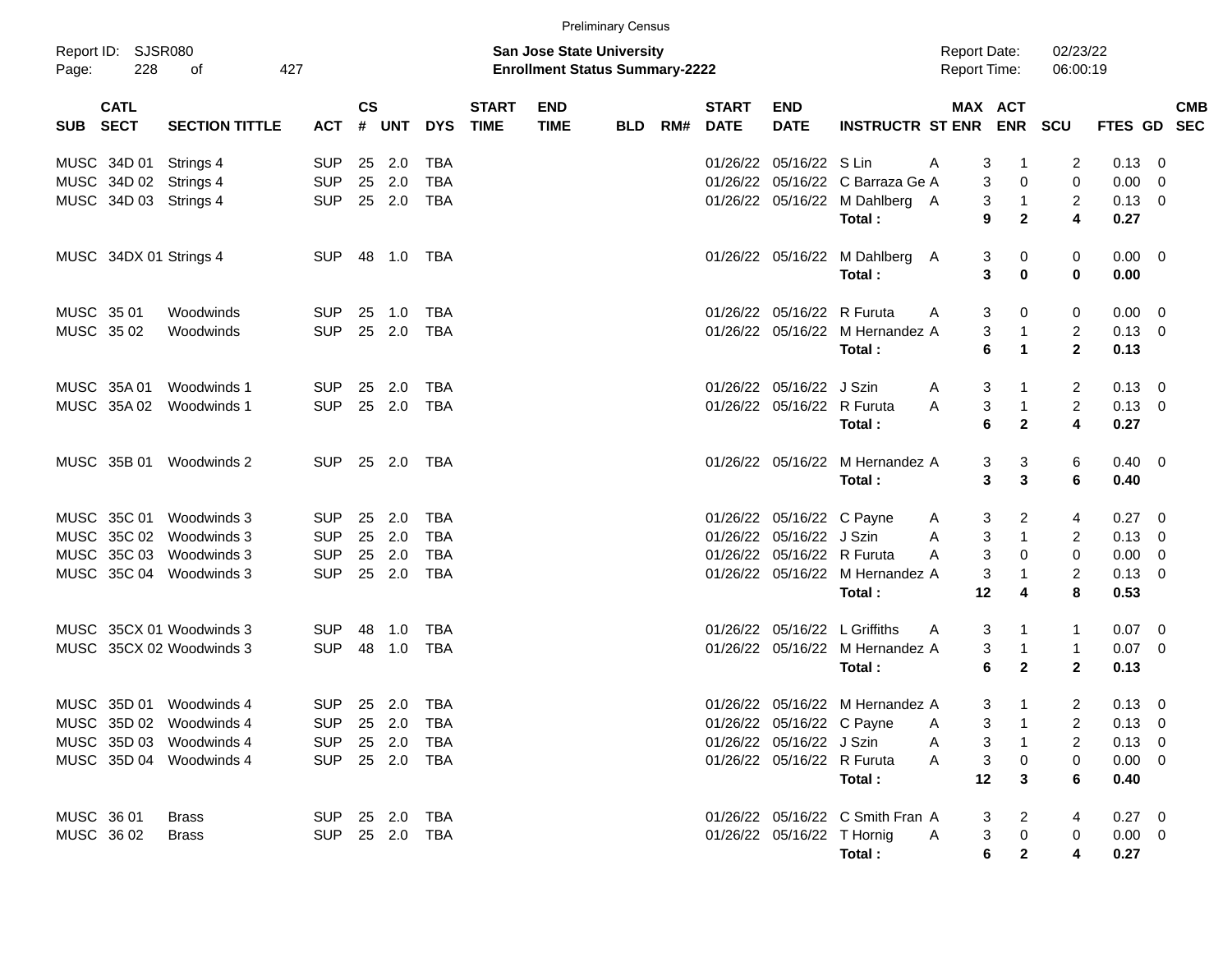|            |                            |                          |                |                |                |            |                             |                                                                           | <b>Preliminary Census</b> |     |                             |                            |                                           |                                            |                     |                      |                |                          |
|------------|----------------------------|--------------------------|----------------|----------------|----------------|------------|-----------------------------|---------------------------------------------------------------------------|---------------------------|-----|-----------------------------|----------------------------|-------------------------------------------|--------------------------------------------|---------------------|----------------------|----------------|--------------------------|
| Page:      | Report ID: SJSR080<br>228  | 427<br>оf                |                |                |                |            |                             | <b>San Jose State University</b><br><b>Enrollment Status Summary-2222</b> |                           |     |                             |                            |                                           | <b>Report Date:</b><br><b>Report Time:</b> |                     | 02/23/22<br>06:00:19 |                |                          |
| <b>SUB</b> | <b>CATL</b><br><b>SECT</b> | <b>SECTION TITTLE</b>    | <b>ACT</b>     | <b>CS</b><br># | <b>UNT</b>     | <b>DYS</b> | <b>START</b><br><b>TIME</b> | <b>END</b><br><b>TIME</b>                                                 | <b>BLD</b>                | RM# | <b>START</b><br><b>DATE</b> | <b>END</b><br><b>DATE</b>  | <b>INSTRUCTR ST ENR ENR</b>               |                                            | <b>MAX ACT</b>      | <b>SCU</b>           | FTES GD SEC    | <b>CMB</b>               |
|            | MUSC 34D 01                | Strings 4                | <b>SUP</b>     | 25             | 2.0            | TBA        |                             |                                                                           |                           |     |                             | 01/26/22 05/16/22 S Lin    |                                           | A<br>3                                     | $\mathbf{1}$        | 2                    | 0.13           | - 0                      |
|            | MUSC 34D 02 Strings 4      |                          | <b>SUP</b>     | 25             | 2.0            | TBA        |                             |                                                                           |                           |     |                             |                            | 01/26/22 05/16/22 C Barraza Ge A          | 3                                          | 0                   | 0                    | 0.00           | 0                        |
|            | MUSC 34D 03 Strings 4      |                          | <b>SUP</b>     | 25             | 2.0            | TBA        |                             |                                                                           |                           |     |                             |                            | 01/26/22 05/16/22 M Dahlberg A            | 3                                          | $\overline{1}$      | 2                    | 0.13           | $\overline{\phantom{0}}$ |
|            |                            |                          |                |                |                |            |                             |                                                                           |                           |     |                             |                            | Total:                                    | 9                                          | $\mathbf{2}$        | 4                    | 0.27           |                          |
|            | MUSC 34DX 01 Strings 4     |                          | <b>SUP</b>     |                | 48  1.0        | TBA        |                             |                                                                           |                           |     |                             |                            | 01/26/22 05/16/22 M Dahlberg              | 3<br>A                                     | 0                   | 0                    | $0.00 \t 0$    |                          |
|            |                            |                          |                |                |                |            |                             |                                                                           |                           |     |                             |                            | Total:                                    | 3                                          | 0                   | 0                    | 0.00           |                          |
| MUSC 3501  |                            | Woodwinds                | <b>SUP</b>     | 25             | 1.0            | TBA        |                             |                                                                           |                           |     |                             | 01/26/22 05/16/22 R Furuta |                                           | A<br>3                                     | 0                   | 0                    | 0.00           | $\overline{\mathbf{0}}$  |
| MUSC 35 02 |                            | Woodwinds                | <b>SUP</b>     | 25             | 2.0            | TBA        |                             |                                                                           |                           |     |                             |                            | 01/26/22 05/16/22 M Hernandez A           | 3                                          | $\mathbf{1}$        | $\overline{2}$       | $0.13 \quad 0$ |                          |
|            |                            |                          |                |                |                |            |                             |                                                                           |                           |     |                             |                            | Total:                                    | 6                                          | $\mathbf{1}$        | $\mathbf{2}$         | 0.13           |                          |
|            | MUSC 35A01                 | Woodwinds 1              | <b>SUP</b>     | 25             | 2.0            | TBA        |                             |                                                                           |                           |     |                             | 01/26/22 05/16/22 J Szin   |                                           | 3<br>A                                     | 1                   | 2                    | 0.13           | - 0                      |
|            |                            | MUSC 35A 02 Woodwinds 1  | <b>SUP</b>     | 25             | 2.0            | TBA        |                             |                                                                           |                           |     |                             | 01/26/22 05/16/22 R Furuta |                                           | 3<br>A                                     | $\mathbf{1}$        | $\overline{c}$       | 0.13           | $\overline{\phantom{0}}$ |
|            |                            |                          |                |                |                |            |                             |                                                                           |                           |     |                             |                            | Total:                                    | 6                                          | $\mathbf{2}$        | 4                    | 0.27           |                          |
|            |                            | MUSC 35B 01 Woodwinds 2  | <b>SUP</b>     |                | 25 2.0         | TBA        |                             |                                                                           |                           |     |                             |                            | 01/26/22 05/16/22 M Hernandez A           | 3                                          | 3                   | 6                    | $0.40 \quad 0$ |                          |
|            |                            |                          |                |                |                |            |                             |                                                                           |                           |     |                             |                            | Total:                                    | 3                                          | 3                   | 6                    | 0.40           |                          |
|            |                            | MUSC 35C 01 Woodwinds 3  | <b>SUP</b>     | 25             | 2.0            | TBA        |                             |                                                                           |                           |     |                             | 01/26/22 05/16/22 C Payne  |                                           | 3<br>A                                     | 2                   | 4                    | 0.27           | $\overline{\mathbf{0}}$  |
|            |                            | MUSC 35C 02 Woodwinds 3  | <b>SUP</b>     | 25             | 2.0            | TBA        |                             |                                                                           |                           |     |                             | 01/26/22 05/16/22 J Szin   |                                           | 3<br>A                                     | $\overline{1}$      | 2                    | 0.13           | $\overline{0}$           |
|            |                            | MUSC 35C 03 Woodwinds 3  | <b>SUP</b>     | 25             | 2.0            | TBA        |                             |                                                                           |                           |     |                             | 01/26/22 05/16/22 R Furuta |                                           | 3<br>A                                     | 0                   | 0                    | 0.00           | 0                        |
|            |                            | MUSC 35C 04 Woodwinds 3  | <b>SUP</b>     | 25             | 2.0            | TBA        |                             |                                                                           |                           |     |                             |                            | 01/26/22 05/16/22 M Hernandez A<br>Total: | 3<br>12                                    | $\mathbf{1}$<br>4   | $\overline{2}$<br>8  | 0.13<br>0.53   | $\overline{\mathbf{0}}$  |
|            |                            | MUSC 35CX 01 Woodwinds 3 | <b>SUP</b>     | 48             | 1.0            | TBA        |                             |                                                                           |                           |     |                             |                            | 01/26/22 05/16/22 L Griffiths             | 3<br>A                                     | 1                   | 1                    | $0.07 \quad 0$ |                          |
|            |                            | MUSC 35CX 02 Woodwinds 3 | <b>SUP</b>     | 48             | 1.0            | TBA        |                             |                                                                           |                           |     |                             |                            | 01/26/22 05/16/22 M Hernandez A           | 3                                          | $\mathbf{1}$        | $\mathbf{1}$         | $0.07$ 0       |                          |
|            |                            |                          |                |                |                |            |                             |                                                                           |                           |     |                             |                            | Total:                                    | 6                                          | $\overline{2}$      | $\mathbf{2}$         | 0.13           |                          |
|            |                            | MUSC 35D 01 Woodwinds 4  |                |                | SUP 25 2.0 TBA |            |                             |                                                                           |                           |     |                             |                            | 01/26/22 05/16/22 M Hernandez A           |                                            | 3<br>$\overline{1}$ | $\overline{2}$       | $0.13 \quad 0$ |                          |
|            |                            | MUSC 35D 02 Woodwinds 4  | SUP 25 2.0 TBA |                |                |            |                             |                                                                           |                           |     |                             |                            | 01/26/22 05/16/22 C Payne A               |                                            | $3 \quad 1$         |                      | 2 0.13 0       |                          |
|            |                            | MUSC 35D 03 Woodwinds 4  | SUP 25 2.0 TBA |                |                |            |                             |                                                                           |                           |     |                             | 01/26/22 05/16/22 J Szin   |                                           | A<br>3                                     | $\overline{1}$      | 2                    | $0.13 \ 0$     |                          |
|            |                            | MUSC 35D 04 Woodwinds 4  | SUP 25 2.0 TBA |                |                |            |                             |                                                                           |                           |     |                             | 01/26/22 05/16/22 R Furuta |                                           | $\ensuremath{\mathsf{3}}$<br>$\mathsf{A}$  | $\mathbf 0$         | 0                    | $0.00 \t 0$    |                          |
|            |                            |                          |                |                |                |            |                             |                                                                           |                           |     |                             |                            | Total:                                    | 12                                         | 3                   | 6                    | 0.40           |                          |
| MUSC 36 01 |                            | <b>Brass</b>             | SUP 25 2.0 TBA |                |                |            |                             |                                                                           |                           |     |                             |                            | 01/26/22 05/16/22 C Smith Fran A          | 3                                          | 2                   | 4                    | $0.27 \t 0$    |                          |
|            | MUSC 36 02                 | <b>Brass</b>             | SUP 25 2.0 TBA |                |                |            |                             |                                                                           |                           |     |                             | 01/26/22 05/16/22 T Hornig |                                           | 3<br>A                                     | $\mathbf 0$         | 0                    | $0.00 \quad 0$ |                          |
|            |                            |                          |                |                |                |            |                             |                                                                           |                           |     |                             |                            | Total:                                    | 6                                          | $\mathbf 2$         | 4                    | 0.27           |                          |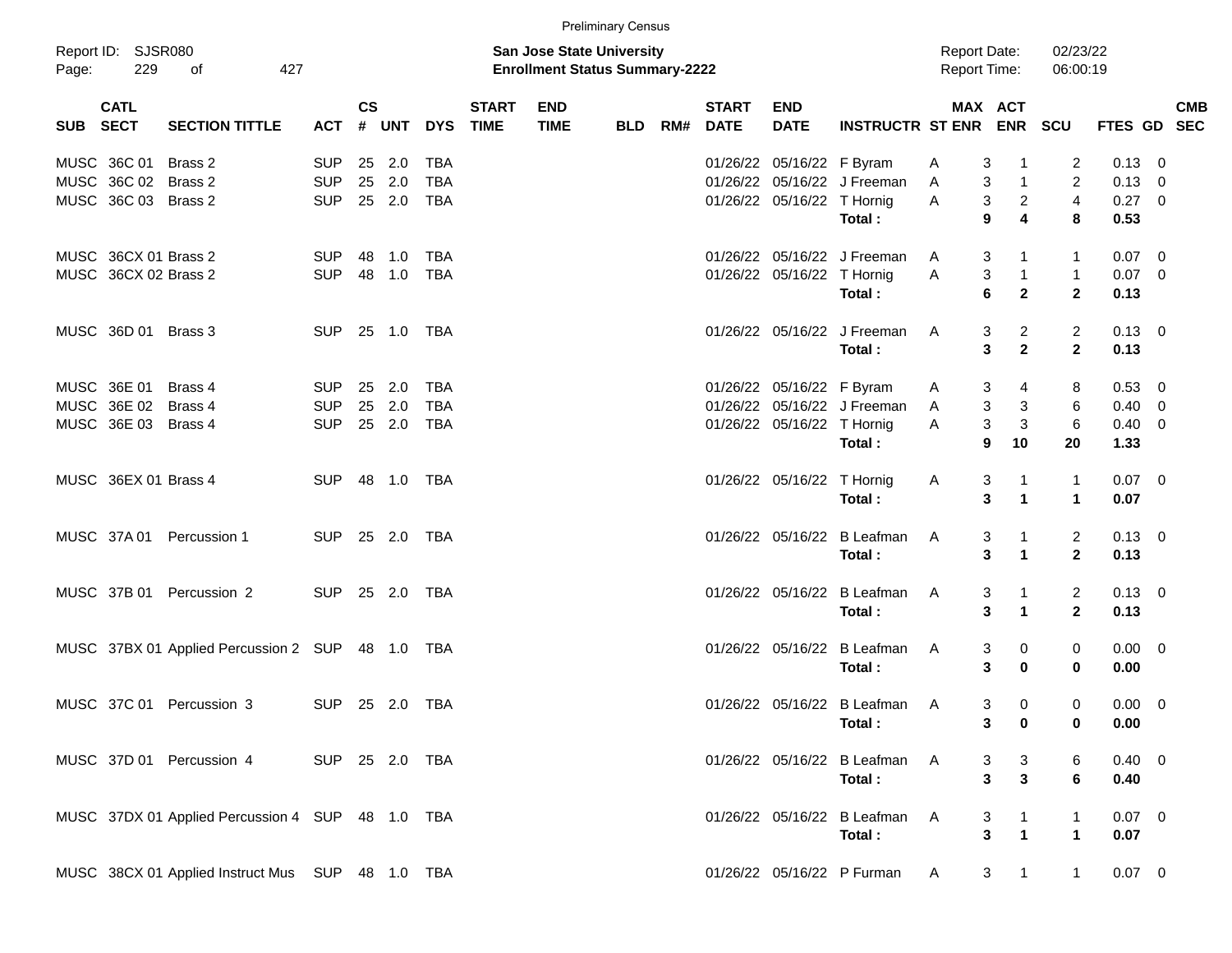|                     |                      |                                                  |                |                    |            |            |                             |                                                                           | <b>Preliminary Census</b> |     |                             |                            |                               |                                     |                                |                         |                |            |
|---------------------|----------------------|--------------------------------------------------|----------------|--------------------|------------|------------|-----------------------------|---------------------------------------------------------------------------|---------------------------|-----|-----------------------------|----------------------------|-------------------------------|-------------------------------------|--------------------------------|-------------------------|----------------|------------|
| Report ID:<br>Page: | 229                  | <b>SJSR080</b><br>427<br>of                      |                |                    |            |            |                             | <b>San Jose State University</b><br><b>Enrollment Status Summary-2222</b> |                           |     |                             |                            |                               | <b>Report Date:</b><br>Report Time: |                                | 02/23/22<br>06:00:19    |                |            |
| SUB SECT            | <b>CATL</b>          | <b>SECTION TITTLE</b>                            | <b>ACT</b>     | $\mathsf{cs}$<br># | <b>UNT</b> | <b>DYS</b> | <b>START</b><br><b>TIME</b> | <b>END</b><br><b>TIME</b>                                                 | <b>BLD</b>                | RM# | <b>START</b><br><b>DATE</b> | <b>END</b><br><b>DATE</b>  | <b>INSTRUCTR ST ENR</b>       |                                     | <b>MAX ACT</b><br><b>ENR</b>   | <b>SCU</b>              | FTES GD SEC    | <b>CMB</b> |
|                     | MUSC 36C 01          | Brass 2                                          | <b>SUP</b>     | 25                 | 2.0        | <b>TBA</b> |                             |                                                                           |                           |     |                             | 01/26/22 05/16/22 F Byram  |                               | 3<br>A                              | $\overline{1}$                 | 2                       | $0.13 \ 0$     |            |
|                     | MUSC 36C 02 Brass 2  |                                                  | <b>SUP</b>     | 25                 | 2.0        | <b>TBA</b> |                             |                                                                           |                           |     |                             |                            | 01/26/22 05/16/22 J Freeman   | 3<br>Α                              | $\overline{1}$                 | $\overline{c}$          | $0.13 \ 0$     |            |
|                     | MUSC 36C 03 Brass 2  |                                                  | <b>SUP</b>     |                    | 25 2.0     | <b>TBA</b> |                             |                                                                           |                           |     |                             | 01/26/22 05/16/22 T Hornig |                               | Α                                   | $\overline{2}$<br>3            | $\overline{\mathbf{4}}$ | $0.27$ 0       |            |
|                     |                      |                                                  |                |                    |            |            |                             |                                                                           |                           |     |                             |                            | Total:                        | 9                                   | $\overline{\mathbf{4}}$        | 8                       | 0.53           |            |
|                     | MUSC 36CX 01 Brass 2 |                                                  | <b>SUP</b>     | 48                 | 1.0        | TBA        |                             |                                                                           |                           |     |                             |                            | 01/26/22 05/16/22 J Freeman   | A                                   | 3<br>-1                        | 1                       | $0.07$ 0       |            |
|                     | MUSC 36CX 02 Brass 2 |                                                  | <b>SUP</b>     | 48                 | 1.0        | <b>TBA</b> |                             |                                                                           |                           |     |                             | 01/26/22 05/16/22 T Hornig |                               | Α                                   | 3<br>$\overline{1}$            | $\mathbf{1}$            | $0.07$ 0       |            |
|                     |                      |                                                  |                |                    |            |            |                             |                                                                           |                           |     |                             |                            | Total:                        | 6                                   | $\overline{\mathbf{2}}$        | $\overline{2}$          | 0.13           |            |
|                     | MUSC 36D 01 Brass 3  |                                                  | <b>SUP</b>     |                    | 25 1.0     | TBA        |                             |                                                                           |                           |     |                             |                            | 01/26/22 05/16/22 J Freeman   | A                                   | $\overline{c}$<br>3            | $\overline{2}$          | $0.13 \quad 0$ |            |
|                     |                      |                                                  |                |                    |            |            |                             |                                                                           |                           |     |                             |                            | Total:                        |                                     | $\overline{\mathbf{2}}$<br>3   | $\overline{2}$          | 0.13           |            |
|                     | MUSC 36E 01          | Brass 4                                          | <b>SUP</b>     | 25                 | 2.0        | <b>TBA</b> |                             |                                                                           |                           |     |                             | 01/26/22 05/16/22 F Byram  |                               | A                                   | 3<br>4                         | 8                       | $0.53 \ 0$     |            |
|                     | MUSC 36E 02          | Brass 4                                          | <b>SUP</b>     | 25                 | 2.0        | <b>TBA</b> |                             |                                                                           |                           |     |                             |                            | 01/26/22 05/16/22 J Freeman   | Α                                   | 3<br>3                         | 6                       | $0.40 \ 0$     |            |
|                     | MUSC 36E 03 Brass 4  |                                                  | <b>SUP</b>     |                    | 25 2.0     | <b>TBA</b> |                             |                                                                           |                           |     |                             | 01/26/22 05/16/22 T Hornig |                               | Α                                   | 3<br>$\mathbf{3}$              | $6\phantom{1}6$         | $0.40 \ 0$     |            |
|                     |                      |                                                  |                |                    |            |            |                             |                                                                           |                           |     |                             |                            | Total:                        | 9                                   | 10                             | 20                      | 1.33           |            |
|                     | MUSC 36EX 01 Brass 4 |                                                  | <b>SUP</b>     |                    |            | TBA        |                             |                                                                           |                           |     |                             | 01/26/22 05/16/22 T Hornig |                               | A                                   | 3<br>$\mathbf 1$               | $\mathbf{1}$            | $0.07$ 0       |            |
|                     |                      |                                                  |                |                    |            |            |                             |                                                                           |                           |     |                             |                            | Total:                        | 3                                   | $\blacktriangleleft$           | $\blacktriangleleft$    | 0.07           |            |
|                     | MUSC 37A 01          | Percussion 1                                     | <b>SUP</b>     |                    | 25 2.0     | TBA        |                             |                                                                           |                           |     |                             |                            | 01/26/22 05/16/22 B Leafman   | A                                   | 3<br>$\overline{1}$            | $\overline{2}$          | $0.13 \ 0$     |            |
|                     |                      |                                                  |                |                    |            |            |                             |                                                                           |                           |     |                             |                            | Total:                        |                                     | 3<br>$\blacktriangleleft$      | $\overline{2}$          | 0.13           |            |
|                     | MUSC 37B 01          | Percussion 2                                     | <b>SUP</b>     |                    | 25 2.0     | TBA        |                             |                                                                           |                           |     |                             |                            | 01/26/22 05/16/22 B Leafman   | A                                   | 3<br>$\overline{1}$            | $\overline{2}$          | $0.13 \ 0$     |            |
|                     |                      |                                                  |                |                    |            |            |                             |                                                                           |                           |     |                             |                            | Total:                        |                                     | 3<br>$\blacktriangleleft$      | $\overline{2}$          | 0.13           |            |
|                     |                      | MUSC 37BX 01 Applied Percussion 2 SUP 48 1.0     |                |                    |            | TBA        |                             |                                                                           |                           |     |                             |                            | 01/26/22 05/16/22 B Leafman   | A                                   | 3<br>0                         | 0                       | $0.00 \t 0$    |            |
|                     |                      |                                                  |                |                    |            |            |                             |                                                                           |                           |     |                             |                            | Total:                        | 3                                   | $\bf{0}$                       | 0                       | 0.00           |            |
|                     |                      | MUSC 37C 01 Percussion 3                         | SUP 25 2.0     |                    |            | TBA        |                             |                                                                           |                           |     |                             |                            | 01/26/22 05/16/22 B Leafman   | - A                                 | 0<br>3                         | 0                       | $0.00 \quad 0$ |            |
|                     |                      |                                                  |                |                    |            |            |                             |                                                                           |                           |     |                             |                            | Total:                        |                                     | $3 \t 0$                       | 0                       | 0.00           |            |
|                     |                      | MUSC 37D 01 Percussion 4                         | SUP 25 2.0 TBA |                    |            |            |                             |                                                                           |                           |     |                             |                            | 01/26/22 05/16/22 B Leafman A |                                     | 3<br>3                         | 6                       | $0.40 \ 0$     |            |
|                     |                      |                                                  |                |                    |            |            |                             |                                                                           |                           |     |                             |                            | Total:                        |                                     | $\mathbf{3}$<br>3              | 6                       | 0.40           |            |
|                     |                      | MUSC 37DX 01 Applied Percussion 4 SUP 48 1.0 TBA |                |                    |            |            |                             |                                                                           |                           |     |                             |                            | 01/26/22 05/16/22 B Leafman   | A                                   | 3<br>$\overline{1}$            | 1                       | $0.07$ 0       |            |
|                     |                      |                                                  |                |                    |            |            |                             |                                                                           |                           |     |                             |                            | Total:                        |                                     | $\overline{1}$<br>3            | $\mathbf 1$             | 0.07           |            |
|                     |                      | MUSC 38CX 01 Applied Instruct Mus SUP 48 1.0 TBA |                |                    |            |            |                             |                                                                           |                           |     |                             |                            | 01/26/22 05/16/22 P Furman    | A                                   | $\mathbf{3}$<br>$\overline{1}$ | $\mathbf{1}$            | $0.07 \t 0$    |            |
|                     |                      |                                                  |                |                    |            |            |                             |                                                                           |                           |     |                             |                            |                               |                                     |                                |                         |                |            |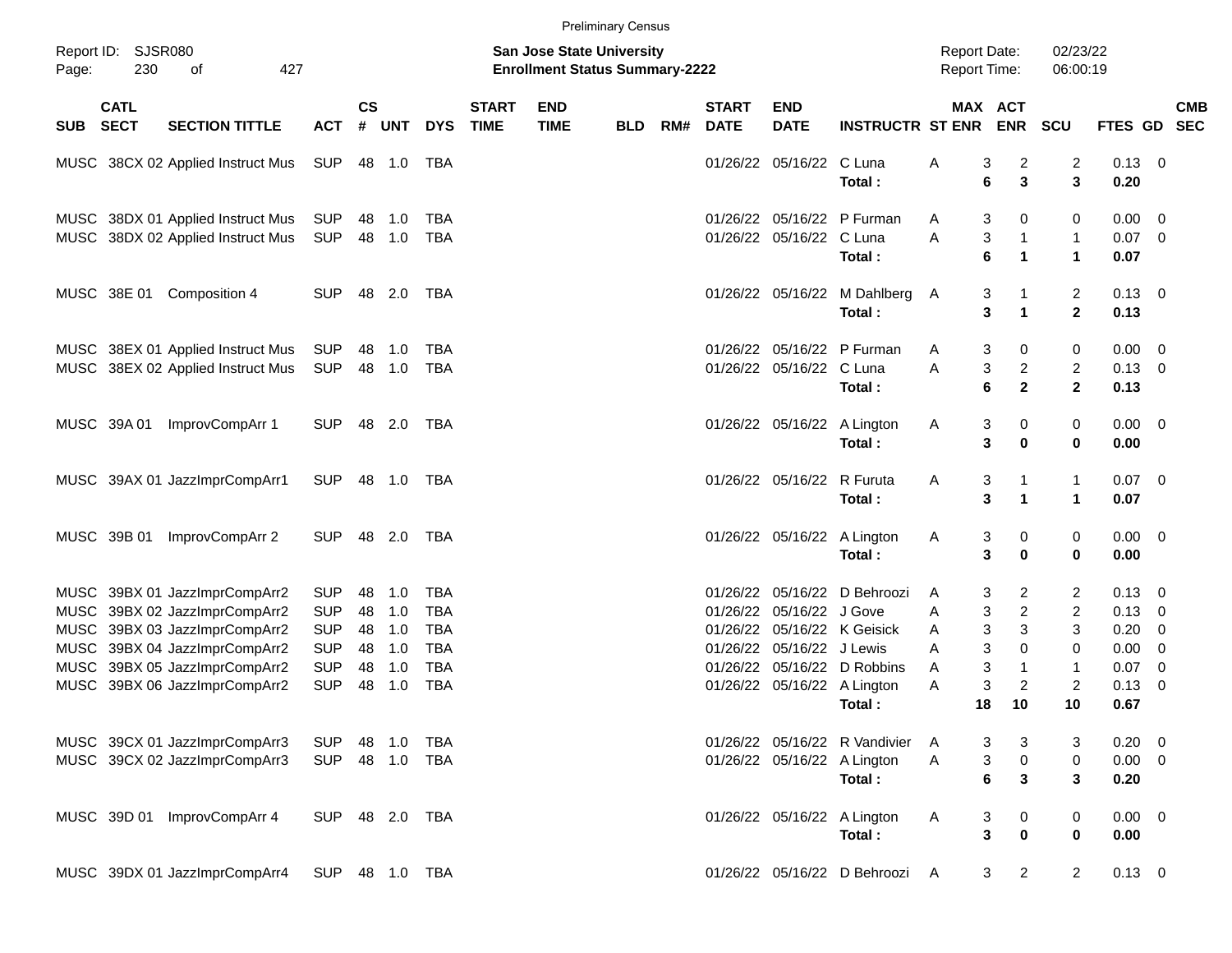| <b>Preliminary Census</b> |                            |                                                                                                                                                                   |                                                                    |                            |                                 |                                                                    |                             |                                                                           |            |     |                                                          |                                                          |                                                                        |                                            |                       |                                               |                                                            |                                      |                                                                                                                             |            |
|---------------------------|----------------------------|-------------------------------------------------------------------------------------------------------------------------------------------------------------------|--------------------------------------------------------------------|----------------------------|---------------------------------|--------------------------------------------------------------------|-----------------------------|---------------------------------------------------------------------------|------------|-----|----------------------------------------------------------|----------------------------------------------------------|------------------------------------------------------------------------|--------------------------------------------|-----------------------|-----------------------------------------------|------------------------------------------------------------|--------------------------------------|-----------------------------------------------------------------------------------------------------------------------------|------------|
| Page:                     | Report ID: SJSR080<br>230  | 427<br>οf                                                                                                                                                         |                                                                    |                            |                                 |                                                                    |                             | <b>San Jose State University</b><br><b>Enrollment Status Summary-2222</b> |            |     |                                                          |                                                          |                                                                        | <b>Report Date:</b><br><b>Report Time:</b> |                       |                                               | 02/23/22<br>06:00:19                                       |                                      |                                                                                                                             |            |
| <b>SUB</b>                | <b>CATL</b><br><b>SECT</b> | <b>SECTION TITTLE</b>                                                                                                                                             | <b>ACT</b>                                                         | <b>CS</b><br>#             | <b>UNT</b>                      | <b>DYS</b>                                                         | <b>START</b><br><b>TIME</b> | <b>END</b><br><b>TIME</b>                                                 | <b>BLD</b> | RM# | <b>START</b><br><b>DATE</b>                              | <b>END</b><br><b>DATE</b>                                | <b>INSTRUCTR ST ENR</b>                                                |                                            |                       | MAX ACT<br><b>ENR</b>                         | <b>SCU</b>                                                 | FTES GD SEC                          |                                                                                                                             | <b>CMB</b> |
|                           |                            | MUSC 38CX 02 Applied Instruct Mus                                                                                                                                 | SUP                                                                |                            | 48 1.0                          | TBA                                                                |                             |                                                                           |            |     |                                                          | 01/26/22 05/16/22                                        | C Luna<br>Total:                                                       | Α                                          | 3<br>6                | $\overline{c}$<br>3                           | $\overline{2}$<br>3                                        | $0.13 \ 0$<br>0.20                   |                                                                                                                             |            |
|                           |                            | MUSC 38DX 01 Applied Instruct Mus<br>MUSC 38DX 02 Applied Instruct Mus                                                                                            | SUP<br><b>SUP</b>                                                  | 48                         | 48 1.0<br>1.0                   | <b>TBA</b><br><b>TBA</b>                                           |                             |                                                                           |            |     |                                                          | 01/26/22 05/16/22                                        | 01/26/22 05/16/22 P Furman<br>C Luna<br>Total:                         | A<br>A                                     | 3<br>3<br>6           | 0<br>$\mathbf{1}$<br>$\mathbf{1}$             | 0<br>$\mathbf{1}$<br>$\mathbf 1$                           | 0.00<br>0.07<br>0.07                 | $\overline{\phantom{0}}$<br>$\overline{0}$                                                                                  |            |
|                           | MUSC 38E 01                | Composition 4                                                                                                                                                     | <b>SUP</b>                                                         | 48                         | 2.0                             | TBA                                                                |                             |                                                                           |            |     |                                                          |                                                          | 01/26/22 05/16/22 M Dahlberg<br>Total:                                 | A                                          | 3<br>3                | 1<br>$\mathbf{1}$                             | $\overline{2}$<br>$\mathbf{2}$                             | $0.13 \quad 0$<br>0.13               |                                                                                                                             |            |
|                           |                            | MUSC 38EX 01 Applied Instruct Mus<br>MUSC 38EX 02 Applied Instruct Mus                                                                                            | SUP<br><b>SUP</b>                                                  | 48                         | 48 1.0<br>1.0                   | <b>TBA</b><br><b>TBA</b>                                           |                             |                                                                           |            |     |                                                          | 01/26/22 05/16/22                                        | 01/26/22 05/16/22 P Furman<br>C Luna<br>Total:                         | A<br>A                                     | 3<br>3<br>6           | 0<br>$\overline{c}$<br>$\mathbf{2}$           | 0<br>$\overline{c}$<br>$\mathbf{2}$                        | 0.00<br>$0.13 \quad 0$<br>0.13       | $\overline{\mathbf{0}}$                                                                                                     |            |
|                           | MUSC 39A 01                | ImprovCompArr 1                                                                                                                                                   | <b>SUP</b>                                                         | 48                         | 2.0                             | TBA                                                                |                             |                                                                           |            |     |                                                          |                                                          | 01/26/22 05/16/22 A Lington<br>Total:                                  | A                                          | 3<br>3                | 0<br>$\mathbf 0$                              | 0<br>$\bf{0}$                                              | $0.00 \t 0$<br>0.00                  |                                                                                                                             |            |
|                           |                            | MUSC 39AX 01 JazzImprCompArr1                                                                                                                                     | <b>SUP</b>                                                         | 48                         | 1.0                             | TBA                                                                |                             |                                                                           |            |     |                                                          | 01/26/22 05/16/22                                        | R Furuta<br>Total:                                                     | Α                                          | 3<br>3                | $\mathbf{1}$<br>$\mathbf{1}$                  | $\mathbf{1}$<br>$\mathbf{1}$                               | 0.07<br>0.07                         | $\overline{\mathbf{0}}$                                                                                                     |            |
|                           | MUSC 39B 01                | ImprovCompArr 2                                                                                                                                                   | <b>SUP</b>                                                         | 48                         | 2.0                             | TBA                                                                |                             |                                                                           |            |     |                                                          |                                                          | 01/26/22 05/16/22 A Lington<br>Total:                                  | A                                          | 3<br>3                | 0<br>$\mathbf 0$                              | 0<br>$\bf{0}$                                              | $0.00 \t 0$<br>0.00                  |                                                                                                                             |            |
|                           |                            | MUSC 39BX 01 JazzImprCompArr2<br>MUSC 39BX 02 JazzImprCompArr2<br>MUSC 39BX 03 JazzImprCompArr2<br>MUSC 39BX 04 JazzImprCompArr2<br>MUSC 39BX 05 JazzImprCompArr2 | <b>SUP</b><br><b>SUP</b><br><b>SUP</b><br><b>SUP</b><br><b>SUP</b> | 48<br>48<br>48<br>48<br>48 | 1.0<br>1.0<br>1.0<br>1.0<br>1.0 | <b>TBA</b><br><b>TBA</b><br><b>TBA</b><br><b>TBA</b><br><b>TBA</b> |                             |                                                                           |            |     | 01/26/22<br>01/26/22<br>01/26/22<br>01/26/22<br>01/26/22 | 05/16/22<br>05/16/22<br>05/16/22<br>05/16/22<br>05/16/22 | D Behroozi<br>J Gove<br>K Geisick<br>J Lewis<br>D Robbins              | A<br>Α<br>Α<br>Α<br>A                      | 3<br>3<br>3<br>3<br>3 | 2<br>$\overline{c}$<br>3<br>0<br>$\mathbf{1}$ | $\overline{2}$<br>$\overline{c}$<br>3<br>0<br>$\mathbf{1}$ | 0.13<br>0.13<br>0.20<br>0.00<br>0.07 | $\overline{\phantom{0}}$<br>$\overline{\mathbf{0}}$<br>$\overline{\mathbf{0}}$<br>$\overline{\mathbf{0}}$<br>$\overline{0}$ |            |
|                           |                            | MUSC 39BX 06 JazzImprCompArr2                                                                                                                                     | <b>SUP</b>                                                         | 48                         | 1.0                             | <b>TBA</b>                                                         |                             |                                                                           |            |     |                                                          |                                                          | 01/26/22 05/16/22 A Lington<br>Total:                                  | A                                          | 3<br>18               | $\overline{c}$<br>10                          | $\overline{c}$<br>10                                       | 0.13<br>0.67                         | $\overline{\mathbf{0}}$                                                                                                     |            |
|                           |                            | MUSC 39CX 01 JazzImprCompArr3<br>MUSC 39CX 02 JazzImprCompArr3                                                                                                    | <b>SUP</b><br><b>SUP</b>                                           | 48                         | 1.0<br>48 1.0                   | <b>TBA</b><br>TBA                                                  |                             |                                                                           |            |     |                                                          |                                                          | 01/26/22 05/16/22 R Vandivier<br>01/26/22 05/16/22 A Lington<br>Total: | A<br>Α                                     | 3<br>3<br>6           | 3<br>$\mathbf 0$<br>3                         | 3<br>0<br>3                                                | 0.20<br>$0.00 \t 0$<br>0.20          | $\overline{\phantom{0}}$                                                                                                    |            |
|                           |                            | MUSC 39D 01 ImprovCompArr 4                                                                                                                                       | <b>SUP</b>                                                         |                            | 48 2.0                          | TBA                                                                |                             |                                                                           |            |     |                                                          |                                                          | 01/26/22 05/16/22 A Lington<br>Total:                                  | A                                          | 3<br>3                | 0<br>$\mathbf 0$                              | 0<br>0                                                     | $0.00 \t 0$<br>0.00                  |                                                                                                                             |            |
|                           |                            | MUSC 39DX 01 JazzImprCompArr4                                                                                                                                     | <b>SUP</b>                                                         |                            | 48  1.0  TBA                    |                                                                    |                             |                                                                           |            |     |                                                          |                                                          | 01/26/22 05/16/22 D Behroozi                                           | A                                          | 3                     | $\overline{2}$                                | $\overline{2}$                                             | $0.13 \ 0$                           |                                                                                                                             |            |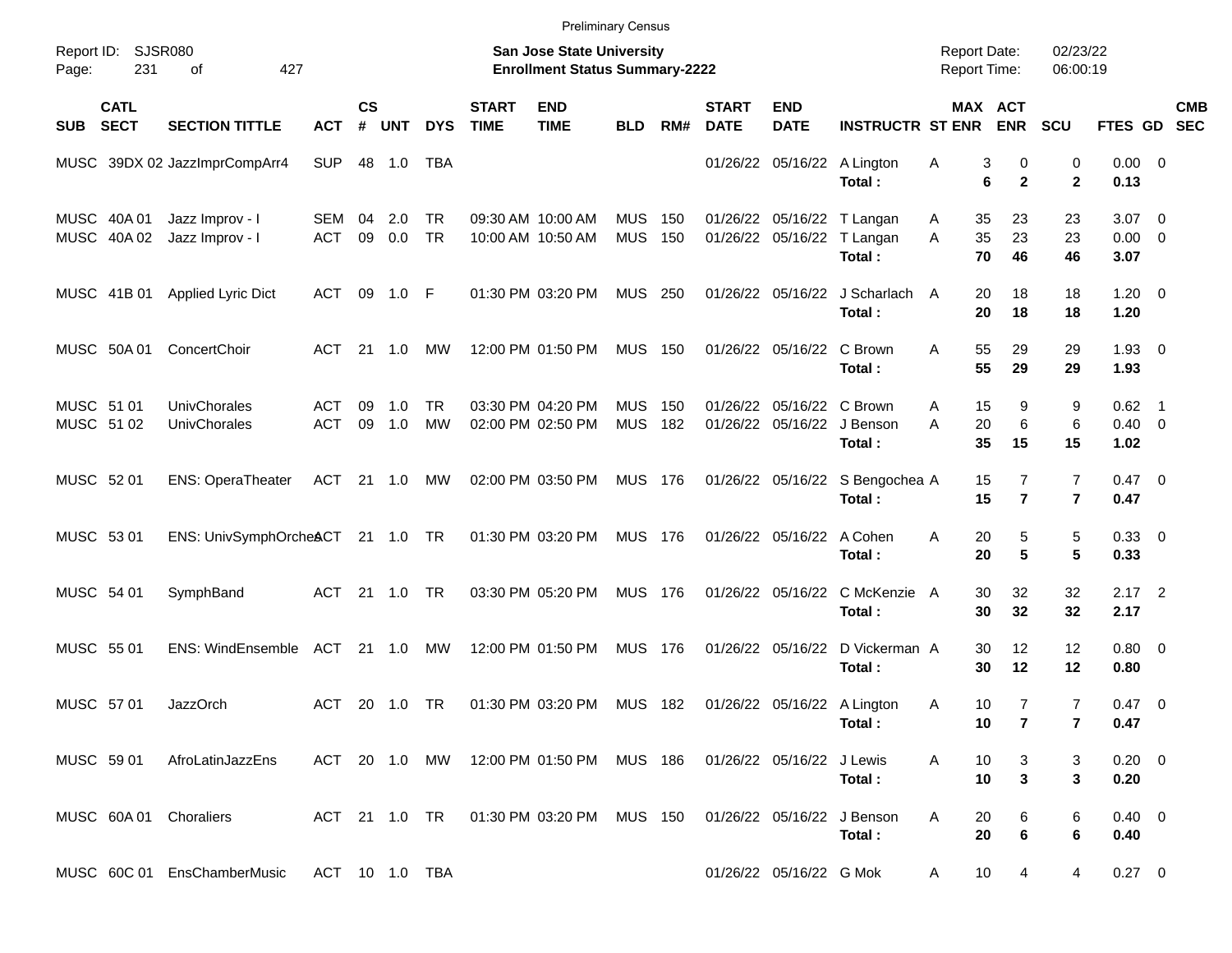|                                    |                            |                                    |                          |                                                                           |                |                        |                             | <b>Preliminary Census</b>                   |                          |            |                             |                                        |                                                  |                                            |                                              |                                  |                                |                          |
|------------------------------------|----------------------------|------------------------------------|--------------------------|---------------------------------------------------------------------------|----------------|------------------------|-----------------------------|---------------------------------------------|--------------------------|------------|-----------------------------|----------------------------------------|--------------------------------------------------|--------------------------------------------|----------------------------------------------|----------------------------------|--------------------------------|--------------------------|
| Report ID: SJSR080<br>231<br>Page: |                            | 427<br>οf                          |                          | <b>San Jose State University</b><br><b>Enrollment Status Summary-2222</b> |                |                        |                             |                                             |                          |            |                             |                                        |                                                  | <b>Report Date:</b><br><b>Report Time:</b> | 02/23/22<br>06:00:19                         |                                  |                                |                          |
| <b>SUB</b>                         | <b>CATL</b><br><b>SECT</b> | <b>SECTION TITTLE</b>              | <b>ACT</b>               | <b>CS</b><br>#                                                            | <b>UNT</b>     | <b>DYS</b>             | <b>START</b><br><b>TIME</b> | <b>END</b><br><b>TIME</b>                   | <b>BLD</b>               | RM#        | <b>START</b><br><b>DATE</b> | <b>END</b><br><b>DATE</b>              | <b>INSTRUCTR ST ENR</b>                          |                                            | MAX ACT<br><b>ENR</b>                        | <b>SCU</b>                       | <b>FTES GD</b>                 | <b>CMB</b><br><b>SEC</b> |
|                                    |                            | MUSC 39DX 02 JazzImprCompArr4      | <b>SUP</b>               | 48                                                                        | 1.0            | <b>TBA</b>             |                             |                                             |                          |            |                             |                                        | 01/26/22 05/16/22 A Lington<br>Total:            | Α                                          | 3<br>0<br>6<br>$\mathbf{2}$                  | 0<br>$\mathbf{2}$                | $0.00 \t 0$<br>0.13            |                          |
|                                    | MUSC 40A 01<br>MUSC 40A 02 | Jazz Improv - I<br>Jazz Improv - I | SEM 04<br><b>ACT</b>     | 09                                                                        | 2.0<br>0.0     | TR<br><b>TR</b>        |                             | 09:30 AM 10:00 AM<br>10:00 AM 10:50 AM      | <b>MUS</b><br><b>MUS</b> | 150<br>150 |                             | 01/26/22 05/16/22                      | 01/26/22 05/16/22 T Langan<br>T Langan<br>Total: | A<br>A                                     | 35<br>23<br>35<br>23<br>70<br>46             | 23<br>23<br>46                   | $3.07$ 0<br>$0.00 \ 0$<br>3.07 |                          |
|                                    | MUSC 41B 01                | <b>Applied Lyric Dict</b>          | ACT                      | 09                                                                        | 1.0            | -F                     |                             | 01:30 PM 03:20 PM                           | <b>MUS</b>               | 250        |                             | 01/26/22 05/16/22                      | J Scharlach<br>Total:                            | A                                          | 20<br>18<br>20<br>18                         | 18<br>18                         | $1.20 \t 0$<br>1.20            |                          |
|                                    | MUSC 50A 01                | ConcertChoir                       | <b>ACT</b>               | 21                                                                        | $-1.0$         | MW                     |                             | 12:00 PM 01:50 PM                           | <b>MUS 150</b>           |            |                             | 01/26/22 05/16/22                      | C Brown<br>Total:                                | A                                          | 55<br>29<br>55<br>29                         | 29<br>29                         | $1.93 \ 0$<br>1.93             |                          |
| MUSC 51 01<br>MUSC 51 02           |                            | UnivChorales<br>UnivChorales       | <b>ACT</b><br><b>ACT</b> | 09<br>09                                                                  | 1.0<br>1.0     | <b>TR</b><br><b>MW</b> |                             | 03:30 PM 04:20 PM<br>02:00 PM 02:50 PM      | <b>MUS</b><br><b>MUS</b> | 150<br>182 |                             | 01/26/22 05/16/22<br>01/26/22 05/16/22 | C Brown<br>J Benson<br>Total:                    | A<br>A                                     | 15<br>9<br>20<br>6<br>35<br>15               | 9<br>6<br>15                     | $0.62$ 1<br>$0.40 \ 0$<br>1.02 |                          |
| MUSC 52 01                         |                            | <b>ENS: OperaTheater</b>           | ACT                      |                                                                           | $21 \quad 1.0$ | MW                     |                             | 02:00 PM 03:50 PM                           | <b>MUS 176</b>           |            |                             | 01/26/22 05/16/22                      | S Bengochea A<br>Total:                          |                                            | 7<br>15<br>15<br>$\overline{\mathbf{r}}$     | $\overline{7}$<br>$\overline{7}$ | $0.47 \quad 0$<br>0.47         |                          |
| MUSC 53 01                         |                            | ENS: UnivSymphOrcheACT 21 1.0 TR   |                          |                                                                           |                |                        |                             | 01:30 PM 03:20 PM                           | <b>MUS 176</b>           |            |                             | 01/26/22 05/16/22                      | A Cohen<br>Total:                                | A                                          | 20<br>5<br>$5\phantom{1}$<br>20              | 5<br>5                           | 0.33 0<br>0.33                 |                          |
| MUSC 54 01                         |                            | SymphBand                          | <b>ACT</b>               | 21                                                                        | 1.0            | <b>TR</b>              |                             | 03:30 PM 05:20 PM                           | <b>MUS 176</b>           |            |                             | 01/26/22 05/16/22                      | C McKenzie A<br>Total:                           |                                            | 30<br>32<br>30<br>32                         | 32<br>32                         | $2.17$ 2<br>2.17               |                          |
| MUSC 55 01                         |                            | <b>ENS: WindEnsemble</b>           | ACT                      |                                                                           | 21 1.0         | MW                     |                             | 12:00 PM 01:50 PM                           | <b>MUS</b>               | 176        |                             | 01/26/22 05/16/22                      | D Vickerman A<br>Total:                          |                                            | 30<br>12<br>12<br>30                         | 12<br>12                         | $0.80 \ 0$<br>0.80             |                          |
| MUSC 57 01                         |                            | <b>JazzOrch</b>                    | ACT                      |                                                                           | 20 1.0         | <b>TR</b>              |                             | 01:30 PM 03:20 PM                           | <b>MUS 182</b>           |            |                             |                                        | 01/26/22 05/16/22 A Lington<br>Total:            | Α                                          | $\overline{7}$<br>10<br>10<br>$\overline{7}$ | $\overline{7}$<br>$\mathbf{7}$   | $0.47 \quad 0$<br>0.47         |                          |
| MUSC 59 01                         |                            | AfroLatinJazzEns                   | ACT 20 1.0 MW            |                                                                           |                |                        |                             | 12:00 PM 01:50 PM MUS 186                   |                          |            | 01/26/22 05/16/22           |                                        | J Lewis<br>Total:                                | A                                          | 10<br>3<br>3<br>10                           | 3<br>3                           | $0.20 \ 0$<br>0.20             |                          |
|                                    |                            | MUSC 60A 01 Choraliers             |                          |                                                                           |                |                        |                             | ACT 21 1.0 TR  01:30 PM  03:20 PM  MUS  150 |                          |            | 01/26/22 05/16/22           |                                        | J Benson<br>Total:                               | A                                          | 6<br>20<br>6<br>20                           | 6<br>6                           | $0.40 \quad 0$<br>0.40         |                          |
|                                    |                            | MUSC 60C 01 EnsChamberMusic        | ACT 10 1.0 TBA           |                                                                           |                |                        |                             |                                             |                          |            |                             | 01/26/22 05/16/22 G Mok                |                                                  | A                                          | 10<br>4                                      | 4                                | $0.27$ 0                       |                          |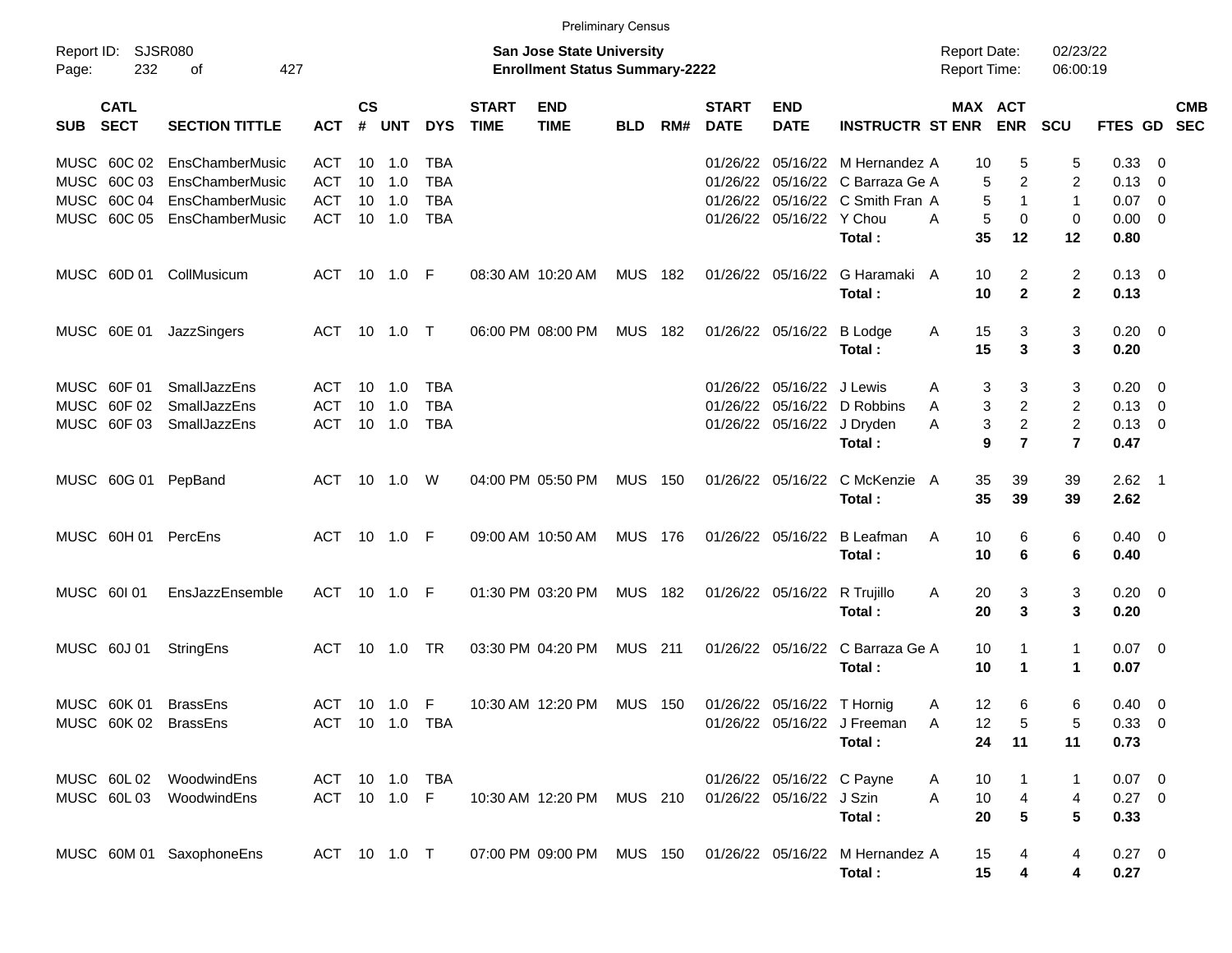|             |                            |                          |                |                    |            |            |                             | <b>Preliminary Census</b>                                          |                |     |                             |                            |                                                           |                                     |                       |                                |                        |                          |            |
|-------------|----------------------------|--------------------------|----------------|--------------------|------------|------------|-----------------------------|--------------------------------------------------------------------|----------------|-----|-----------------------------|----------------------------|-----------------------------------------------------------|-------------------------------------|-----------------------|--------------------------------|------------------------|--------------------------|------------|
| Page:       | Report ID: SJSR080<br>232  | 427<br>оf                |                |                    |            |            |                             | San Jose State University<br><b>Enrollment Status Summary-2222</b> |                |     |                             |                            |                                                           | <b>Report Date:</b><br>Report Time: |                       | 02/23/22<br>06:00:19           |                        |                          |            |
| SUB         | <b>CATL</b><br><b>SECT</b> | <b>SECTION TITTLE</b>    | <b>ACT</b>     | $\mathsf{cs}$<br># | <b>UNT</b> | <b>DYS</b> | <b>START</b><br><b>TIME</b> | <b>END</b><br><b>TIME</b>                                          | <b>BLD</b>     | RM# | <b>START</b><br><b>DATE</b> | <b>END</b><br><b>DATE</b>  | <b>INSTRUCTR ST ENR</b>                                   |                                     | MAX ACT<br><b>ENR</b> | <b>SCU</b>                     | FTES GD SEC            |                          | <b>CMB</b> |
|             | MUSC 60C 02                | EnsChamberMusic          | <b>ACT</b>     | 10                 | 1.0        | TBA        |                             |                                                                    |                |     | 01/26/22                    |                            | 05/16/22 M Hernandez A                                    | 10                                  | 5                     | 5                              | 0.33                   | $\overline{\mathbf{0}}$  |            |
|             | MUSC 60C 03                | EnsChamberMusic          | <b>ACT</b>     | 10                 | 1.0        | <b>TBA</b> |                             |                                                                    |                |     |                             |                            | 01/26/22 05/16/22 C Barraza Ge A                          |                                     | $\overline{c}$<br>5   | 2                              | 0.13                   | $\overline{\mathbf{0}}$  |            |
|             | MUSC 60C 04                | EnsChamberMusic          | <b>ACT</b>     | 10                 | 1.0        | <b>TBA</b> |                             |                                                                    |                |     |                             |                            | 01/26/22 05/16/22 C Smith Fran A                          |                                     | 5<br>$\mathbf 1$      | $\overline{1}$                 | 0.07                   | $\overline{\phantom{0}}$ |            |
|             | MUSC 60C 05                | EnsChamberMusic          | <b>ACT</b>     | 10                 | 1.0        | <b>TBA</b> |                             |                                                                    |                |     |                             | 01/26/22 05/16/22 Y Chou   | Total:                                                    | A<br>35                             | 5<br>0<br>12          | 0<br>12                        | 0.00<br>0.80           | $\overline{\phantom{0}}$ |            |
|             |                            | MUSC 60D 01 CollMusicum  | ACT            |                    | 10 1.0 F   |            |                             | 08:30 AM 10:20 AM                                                  | <b>MUS 182</b> |     |                             | 01/26/22 05/16/22          | G Haramaki A<br>Total:                                    | 10<br>10                            | 2<br>$\mathbf{2}$     | $\overline{2}$<br>$\mathbf{2}$ | $0.13 \quad 0$<br>0.13 |                          |            |
|             |                            |                          |                |                    |            |            |                             |                                                                    |                |     |                             |                            |                                                           |                                     |                       |                                |                        |                          |            |
|             | MUSC 60E 01                | JazzSingers              | ACT            |                    | 10 1.0     | $\top$     |                             | 06:00 PM 08:00 PM                                                  | MUS            | 182 |                             | 01/26/22 05/16/22          | B Lodge<br>Total:                                         | 15<br>A<br>15                       | 3<br>3                | 3<br>3                         | $0.20 \ 0$<br>0.20     |                          |            |
|             | MUSC 60F 01                | SmallJazzEns             | ACT            | 10                 | 1.0        | <b>TBA</b> |                             |                                                                    |                |     |                             | 01/26/22 05/16/22          | J Lewis                                                   | A                                   | 3<br>3                | 3                              | 0.20                   | $\overline{\mathbf{0}}$  |            |
|             | MUSC 60F 02                | SmallJazzEns             | <b>ACT</b>     | 10                 | 1.0        | <b>TBA</b> |                             |                                                                    |                |     |                             | 01/26/22 05/16/22          | D Robbins                                                 | A                                   | $\overline{c}$<br>3   | $\overline{2}$                 | 0.13                   | $\overline{\mathbf{0}}$  |            |
|             | MUSC 60F03                 | SmallJazzEns             | <b>ACT</b>     |                    | $10$ $1.0$ | <b>TBA</b> |                             |                                                                    |                |     |                             | 01/26/22 05/16/22 J Dryden |                                                           | A                                   | $\overline{c}$<br>3   | 2                              | 0.13                   | $\overline{\phantom{0}}$ |            |
|             |                            |                          |                |                    |            |            |                             |                                                                    |                |     |                             |                            | Total:                                                    |                                     | 9<br>$\overline{7}$   | $\overline{7}$                 | 0.47                   |                          |            |
|             | MUSC 60G 01                | PepBand                  | <b>ACT</b>     |                    | $10$ $1.0$ | W          |                             | 04:00 PM 05:50 PM                                                  | <b>MUS 150</b> |     |                             | 01/26/22 05/16/22          | C McKenzie A                                              | 35                                  | 39                    | 39                             | $2.62$ 1               |                          |            |
|             |                            |                          |                |                    |            |            |                             |                                                                    |                |     |                             |                            | Total:                                                    | 35                                  | 39                    | 39                             | 2.62                   |                          |            |
|             | MUSC 60H 01                | PercEns                  | <b>ACT</b>     |                    | 10  1.0  F |            |                             | 09:00 AM 10:50 AM                                                  | <b>MUS 176</b> |     |                             | 01/26/22 05/16/22          | <b>B</b> Leafman                                          | A                                   | 6<br>10               | 6                              | $0.40 \quad 0$         |                          |            |
|             |                            |                          |                |                    |            |            |                             |                                                                    |                |     |                             |                            | Total:                                                    | 10                                  | 6                     | 6                              | 0.40                   |                          |            |
| MUSC 60101  |                            | EnsJazzEnsemble          | <b>ACT</b>     |                    | 10 1.0 F   |            |                             | 01:30 PM 03:20 PM                                                  | MUS 182        |     |                             | 01/26/22 05/16/22          | R Trujillo                                                | 20<br>A                             | 3                     | 3                              | $0.20 \ 0$             |                          |            |
|             |                            |                          |                |                    |            |            |                             |                                                                    |                |     |                             |                            | Total:                                                    | 20                                  | 3                     | 3                              | 0.20                   |                          |            |
| MUSC 60J 01 |                            | StringEns                | <b>ACT</b>     |                    | $10 \t1.0$ | <b>TR</b>  |                             | 03:30 PM 04:20 PM                                                  | <b>MUS 211</b> |     |                             | 01/26/22 05/16/22          | C Barraza Ge A                                            | 10                                  | 1                     | $\mathbf{1}$                   | $0.07$ 0               |                          |            |
|             |                            |                          |                |                    |            |            |                             |                                                                    |                |     |                             |                            | Total:                                                    | 10                                  | $\mathbf 1$           | $\mathbf{1}$                   | 0.07                   |                          |            |
|             | MUSC 60K 01                | <b>BrassEns</b>          | <b>ACT</b>     |                    | 10 1.0 F   |            |                             | 10:30 AM 12:20 PM                                                  | <b>MUS 150</b> |     |                             | 01/26/22 05/16/22 T Hornig |                                                           | 12<br>A                             | 6                     | 6                              | 0.40                   | $\overline{\phantom{0}}$ |            |
|             |                            | MUSC 60K 02 BrassEns     | ACT 10 1.0 TBA |                    |            |            |                             |                                                                    |                |     |                             |                            | 01/26/22 05/16/22 J Freeman                               | 12<br>A                             | 5                     | 5                              | 0.33 0                 |                          |            |
|             |                            |                          |                |                    |            |            |                             |                                                                    |                |     |                             |                            | Total:                                                    | 24                                  | 11                    | 11                             | 0.73                   |                          |            |
|             |                            | MUSC 60L02 WoodwindEns   | ACT 10 1.0     |                    |            | TBA        |                             |                                                                    |                |     |                             | 01/26/22 05/16/22 C Payne  |                                                           | 10<br>A                             |                       | $\mathbf{1}$                   | $0.07 \quad 0$         |                          |            |
|             |                            | MUSC 60L03 WoodwindEns   | ACT 10 1.0 F   |                    |            |            |                             | 10:30 AM 12:20 PM MUS 210                                          |                |     |                             | 01/26/22 05/16/22 J Szin   |                                                           | A<br>10                             | $\overline{4}$        | 4                              | $0.27$ 0               |                          |            |
|             |                            |                          |                |                    |            |            |                             |                                                                    |                |     |                             |                            | Total:                                                    | 20                                  | $\sqrt{5}$            | $5\phantom{.0}$                | 0.33                   |                          |            |
|             |                            | MUSC 60M 01 SaxophoneEns | ACT 10 1.0 T   |                    |            |            |                             |                                                                    |                |     |                             |                            | 07:00 PM 09:00 PM MUS 150 01/26/22 05/16/22 M Hernandez A | 15                                  | 4                     | 4                              | $0.27 \t 0$            |                          |            |
|             |                            |                          |                |                    |            |            |                             |                                                                    |                |     |                             |                            | Total:                                                    | 15                                  | 4                     | 4                              | 0.27                   |                          |            |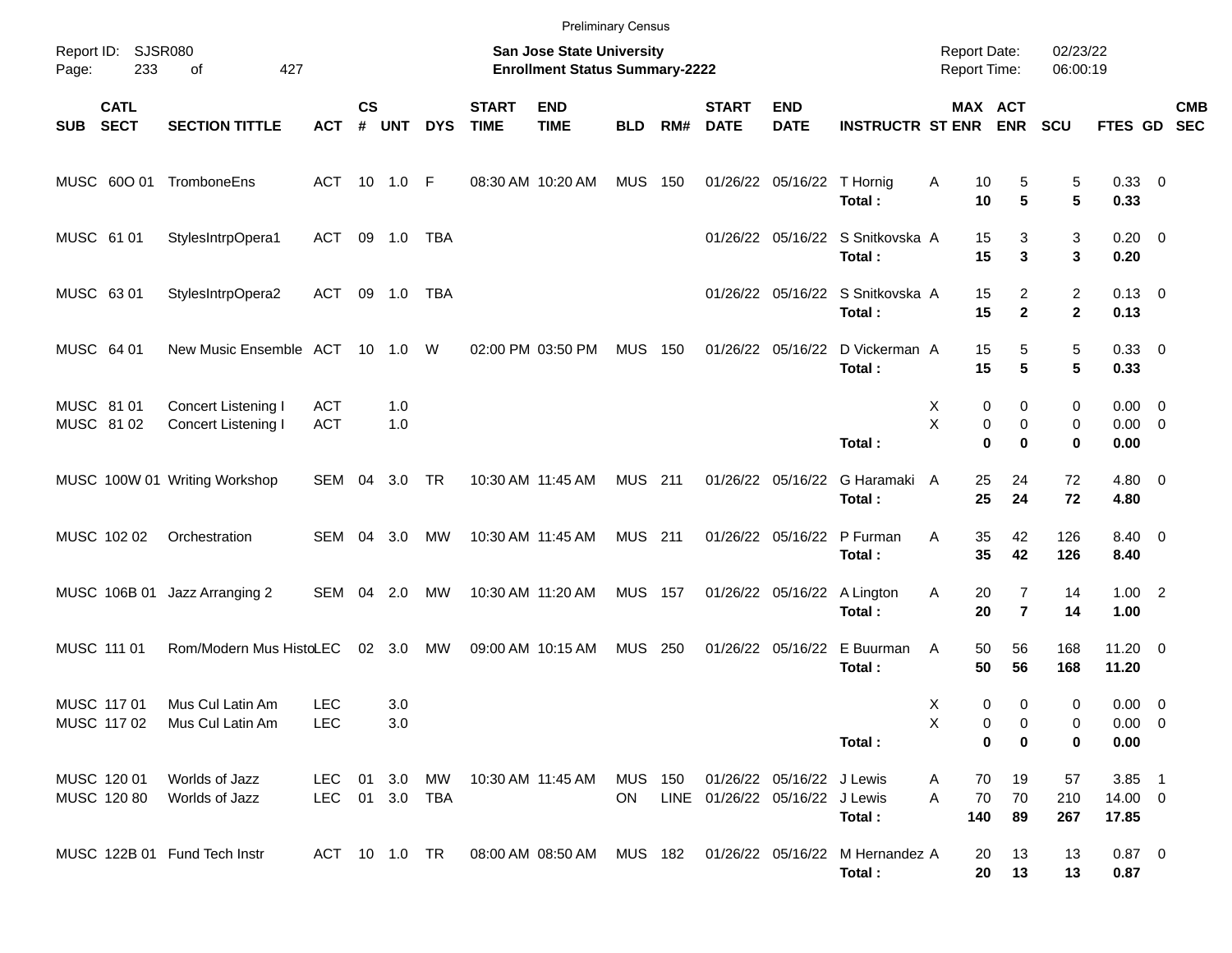|                            |                            |                                            |                          |                |            |            |                             | <b>Preliminary Census</b>                                                 |                      |     |                                |                           |                                                                     |                                            |                                           |                                |                                    |                          |  |
|----------------------------|----------------------------|--------------------------------------------|--------------------------|----------------|------------|------------|-----------------------------|---------------------------------------------------------------------------|----------------------|-----|--------------------------------|---------------------------|---------------------------------------------------------------------|--------------------------------------------|-------------------------------------------|--------------------------------|------------------------------------|--------------------------|--|
| Report ID:<br>Page:        | 233                        | SJSR080<br>427<br>of                       |                          |                |            |            |                             | <b>San Jose State University</b><br><b>Enrollment Status Summary-2222</b> |                      |     |                                |                           |                                                                     | <b>Report Date:</b><br><b>Report Time:</b> |                                           | 02/23/22<br>06:00:19           |                                    |                          |  |
| <b>SUB</b>                 | <b>CATL</b><br><b>SECT</b> | <b>SECTION TITTLE</b>                      | <b>ACT</b>               | <b>CS</b><br># | <b>UNT</b> | <b>DYS</b> | <b>START</b><br><b>TIME</b> | <b>END</b><br><b>TIME</b>                                                 | <b>BLD</b>           | RM# | <b>START</b><br><b>DATE</b>    | <b>END</b><br><b>DATE</b> | <b>INSTRUCTR ST ENR</b>                                             |                                            | MAX ACT<br><b>ENR</b>                     | <b>SCU</b>                     | FTES GD                            | <b>CMB</b><br><b>SEC</b> |  |
| MUSC 600 01                |                            | TromboneEns                                | ACT                      | 10             | 1.0        | -F         |                             | 08:30 AM 10:20 AM                                                         | <b>MUS</b>           | 150 |                                | 01/26/22 05/16/22         | T Hornig<br>Total:                                                  | Α<br>10<br>10                              | 5<br>5                                    | 5<br>5                         | 0.33 0<br>0.33                     |                          |  |
| MUSC 61 01                 |                            | StylesIntrpOpera1                          | ACT                      | 09             | 1.0        | <b>TBA</b> |                             |                                                                           |                      |     |                                |                           | 01/26/22 05/16/22 S Snitkovska A<br>Total:                          | 15<br>15                                   | 3<br>3                                    | 3<br>3                         | $0.20 \ 0$<br>0.20                 |                          |  |
| MUSC 63 01                 |                            | StylesIntrpOpera2                          | ACT                      | 09             | 1.0        | <b>TBA</b> |                             |                                                                           |                      |     |                                |                           | 01/26/22 05/16/22 S Snitkovska A<br>Total:                          | 15<br>15                                   | $\overline{2}$<br>$\mathbf{2}$            | $\overline{2}$<br>$\mathbf{2}$ | $0.13 \quad 0$<br>0.13             |                          |  |
| MUSC 64 01                 |                            | New Music Ensemble ACT                     |                          |                | 10 1.0     | W          |                             | 02:00 PM 03:50 PM                                                         | <b>MUS</b>           | 150 |                                | 01/26/22 05/16/22         | D Vickerman A<br>Total:                                             | 15<br>15                                   | 5<br>5                                    | 5<br>5                         | 0.33 0<br>0.33                     |                          |  |
| MUSC 81 01<br>MUSC 8102    |                            | Concert Listening I<br>Concert Listening I | <b>ACT</b><br><b>ACT</b> |                | 1.0<br>1.0 |            |                             |                                                                           |                      |     |                                |                           | Total:                                                              | х<br>Χ                                     | 0<br>0<br>0<br>0<br>0<br>$\bf{0}$         | 0<br>0<br>0                    | $0.00 \t 0$<br>0.00<br>0.00        | $\overline{\phantom{0}}$ |  |
|                            |                            | MUSC 100W 01 Writing Workshop              | SEM                      | 04             | 3.0        | TR         |                             | 10:30 AM 11:45 AM                                                         | <b>MUS 211</b>       |     |                                | 01/26/22 05/16/22         | G Haramaki<br>Total:                                                | A<br>25<br>25                              | 24<br>24                                  | 72<br>72                       | $4.80\ 0$<br>4.80                  |                          |  |
| MUSC 102 02                |                            | Orchestration                              | SEM                      | 04             | 3.0        | МW         |                             | 10:30 AM 11:45 AM                                                         | <b>MUS</b> 211       |     |                                | 01/26/22 05/16/22         | P Furman<br>Total:                                                  | Α<br>35<br>35                              | 42<br>42                                  | 126<br>126                     | 8.40 0<br>8.40                     |                          |  |
|                            |                            | MUSC 106B 01 Jazz Arranging 2              | SEM                      | 04             | 2.0        | МW         |                             | 10:30 AM 11:20 AM                                                         | <b>MUS 157</b>       |     |                                |                           | 01/26/22 05/16/22 A Lington<br>Total:                               | Α<br>20<br>20                              | $\overline{7}$<br>$\overline{\mathbf{r}}$ | 14<br>14                       | $1.00$ 2<br>1.00                   |                          |  |
| MUSC 111 01                |                            | Rom/Modern Mus HistoLEC                    |                          |                | 02 3.0     | <b>MW</b>  |                             | 09:00 AM 10:15 AM                                                         | <b>MUS</b>           | 250 |                                | 01/26/22 05/16/22         | E Buurman<br>Total:                                                 | A<br>50<br>50                              | 56<br>56                                  | 168<br>168                     | $11.20 \t 0$<br>11.20              |                          |  |
| MUSC 117 01<br>MUSC 117 02 |                            | Mus Cul Latin Am<br>Mus Cul Latin Am       | <b>LEC</b><br><b>LEC</b> |                | 3.0<br>3.0 |            |                             |                                                                           |                      |     |                                |                           | Total:                                                              | X<br>х                                     | 0<br>0<br>0<br>0<br>0<br>0                | 0<br>0<br>0                    | $0.00 \t 0$<br>$0.00 \t 0$<br>0.00 |                          |  |
| MUSC 120 01<br>MUSC 120 80 |                            | Worlds of Jazz<br>Worlds of Jazz           | LEC<br>LEC 01 3.0 TBA    |                | 01 3.0     | МW         |                             | 10:30 AM 11:45 AM                                                         | MUS 150<br><b>ON</b> |     | LINE 01/26/22 05/16/22 J Lewis | 01/26/22 05/16/22 J Lewis | Total:                                                              | 70<br>A<br>70<br>A<br>140                  | 19<br>70<br>89                            | 57<br>210<br>267               | $3.85$ 1<br>14.00 0<br>17.85       |                          |  |
|                            |                            | MUSC 122B 01 Fund Tech Instr               | ACT 10 1.0 TR            |                |            |            |                             |                                                                           |                      |     |                                |                           | 08:00 AM 08:50 AM MUS 182 01/26/22 05/16/22 M Hernandez A<br>Total: | 20<br>20                                   | 13<br>13                                  | 13<br>13                       | $0.87$ 0<br>0.87                   |                          |  |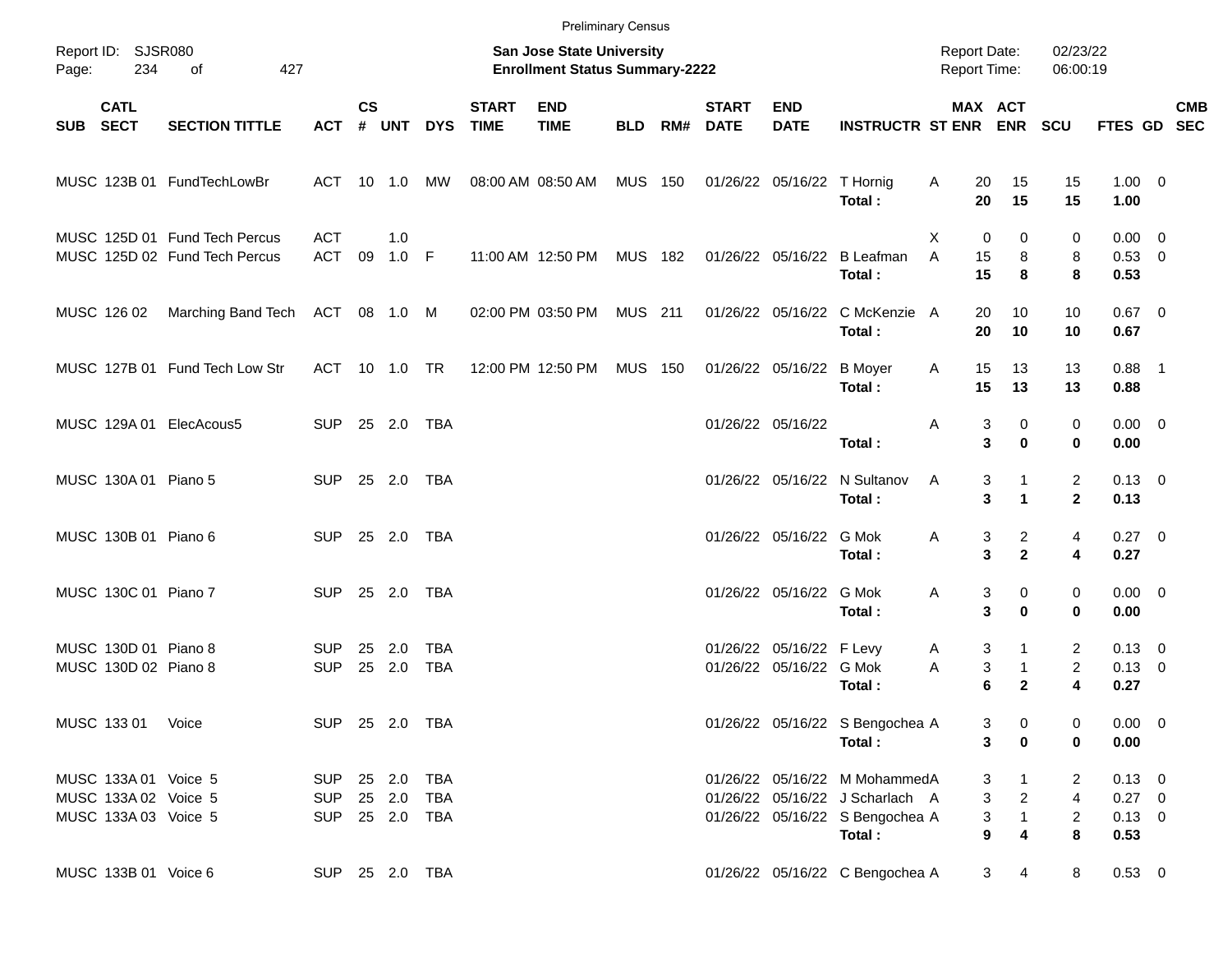|       |                                                                      |                                                                |                              |               |                |                                |                             |                                                                    | <b>Preliminary Census</b> |     |                             |                                                     |                                                                                                               |                                            |                                                                                    |                                            |                                              |            |
|-------|----------------------------------------------------------------------|----------------------------------------------------------------|------------------------------|---------------|----------------|--------------------------------|-----------------------------|--------------------------------------------------------------------|---------------------------|-----|-----------------------------|-----------------------------------------------------|---------------------------------------------------------------------------------------------------------------|--------------------------------------------|------------------------------------------------------------------------------------|--------------------------------------------|----------------------------------------------|------------|
| Page: | Report ID: SJSR080<br>234                                            | of<br>427                                                      |                              |               |                |                                |                             | San Jose State University<br><b>Enrollment Status Summary-2222</b> |                           |     |                             |                                                     |                                                                                                               | <b>Report Date:</b><br><b>Report Time:</b> |                                                                                    | 02/23/22<br>06:00:19                       |                                              |            |
|       | <b>CATL</b><br>SUB SECT                                              | <b>SECTION TITTLE</b>                                          | ACT                          | $\mathsf{cs}$ | # UNT          | <b>DYS</b>                     | <b>START</b><br><b>TIME</b> | <b>END</b><br><b>TIME</b>                                          | <b>BLD</b>                | RM# | <b>START</b><br><b>DATE</b> | <b>END</b><br><b>DATE</b>                           | <b>INSTRUCTR ST ENR ENR</b>                                                                                   | MAX ACT                                    |                                                                                    | <b>SCU</b>                                 | FTES GD SEC                                  | <b>CMB</b> |
|       |                                                                      | MUSC 123B 01 FundTechLowBr                                     | ACT 10 1.0 MW                |               |                |                                |                             | 08:00 AM 08:50 AM                                                  | <b>MUS 150</b>            |     |                             | 01/26/22 05/16/22 T Hornig                          | Total:                                                                                                        | Α<br>20<br>20                              | 15<br>15                                                                           | 15<br>15                                   | $1.00 \t 0$<br>1.00                          |            |
|       |                                                                      | MUSC 125D 01 Fund Tech Percus<br>MUSC 125D 02 Fund Tech Percus | <b>ACT</b><br>ACT            | 09            | 1.0<br>$1.0$ F |                                |                             | 11:00 AM 12:50 PM                                                  | MUS 182                   |     |                             | 01/26/22 05/16/22                                   | <b>B</b> Leafman<br>Total:                                                                                    | X<br>0<br>A<br>15<br>15                    | $\Omega$<br>8<br>8                                                                 | 0<br>8<br>8                                | $0.00 \t 0$<br>0.53 0<br>0.53                |            |
|       | MUSC 126 02                                                          | Marching Band Tech                                             | ACT 08 1.0 M                 |               |                |                                |                             | 02:00 PM 03:50 PM                                                  | MUS 211                   |     |                             |                                                     | 01/26/22 05/16/22 C McKenzie A<br>Total:                                                                      | 20<br>20                                   | 10<br>10                                                                           | 10<br>10                                   | $0.67$ 0<br>0.67                             |            |
|       |                                                                      | MUSC 127B 01 Fund Tech Low Str                                 | ACT 10 1.0 TR                |               |                |                                |                             | 12:00 PM 12:50 PM                                                  | <b>MUS 150</b>            |     |                             | 01/26/22 05/16/22                                   | <b>B</b> Moyer<br>Total:                                                                                      | 15<br>Α<br>15                              | 13<br>13                                                                           | 13<br>13                                   | $0.88$ 1<br>0.88                             |            |
|       |                                                                      | MUSC 129A 01 ElecAcous5                                        | SUP 25 2.0 TBA               |               |                |                                |                             |                                                                    |                           |     |                             | 01/26/22 05/16/22                                   | Total:                                                                                                        | 3<br>Α<br>3                                | 0<br>$\bf{0}$                                                                      | 0<br>0                                     | $0.00 \t 0$<br>0.00                          |            |
|       | MUSC 130A 01 Piano 5                                                 |                                                                | SUP 25 2.0 TBA               |               |                |                                |                             |                                                                    |                           |     |                             |                                                     | 01/26/22 05/16/22 N Sultanov<br>Total:                                                                        | Α<br>3<br>3                                | 1<br>$\blacktriangleleft$                                                          | $\overline{c}$<br>$\mathbf{2}$             | $0.13 \quad 0$<br>0.13                       |            |
|       | MUSC 130B 01 Piano 6                                                 |                                                                | SUP 25 2.0 TBA               |               |                |                                |                             |                                                                    |                           |     |                             | 01/26/22 05/16/22 G Mok                             | Total:                                                                                                        | Α<br>3<br>3                                | $\overline{a}$<br>$\overline{2}$                                                   | 4<br>4                                     | $0.27$ 0<br>0.27                             |            |
|       | MUSC 130C 01 Piano 7                                                 |                                                                | SUP 25 2.0                   |               |                | TBA                            |                             |                                                                    |                           |     |                             | 01/26/22 05/16/22 G Mok                             | Total:                                                                                                        | Α<br>3<br>3                                | 0<br>$\bf{0}$                                                                      | 0<br>0                                     | $0.00 \t 0$<br>0.00                          |            |
|       | MUSC 130D 01 Piano 8<br>MUSC 130D 02 Piano 8                         |                                                                | <b>SUP</b><br><b>SUP</b>     | 25            | 2.0<br>25 2.0  | TBA<br><b>TBA</b>              |                             |                                                                    |                           |     |                             | 01/26/22 05/16/22 F Levy<br>01/26/22 05/16/22 G Mok | Total:                                                                                                        | 3<br>A<br>3<br>Α<br>6                      | 1<br>$\mathbf{1}$<br>$\mathbf{2}$                                                  | 2<br>$\overline{c}$<br>4                   | $0.13 \ 0$<br>$0.13 \ 0$<br>0.27             |            |
|       | MUSC 133 01 Voice                                                    |                                                                |                              |               |                | SUP 25 2.0 TBA                 |                             |                                                                    |                           |     |                             |                                                     | 01/26/22 05/16/22 S Bengochea A<br>Total:                                                                     | 3<br>3                                     | 0<br>$\bf{0}$                                                                      | 0<br>0                                     | $0.00 \t 0$<br>0.00                          |            |
|       | MUSC 133A 01 Voice 5<br>MUSC 133A 02 Voice 5<br>MUSC 133A 03 Voice 5 |                                                                | SUP 25 2.0 TBA<br><b>SUP</b> |               |                | 25  2.0  TBA<br>SUP 25 2.0 TBA |                             |                                                                    |                           |     |                             |                                                     | 01/26/22 05/16/22 M MohammedA<br>01/26/22 05/16/22 J Scharlach A<br>01/26/22 05/16/22 S Bengochea A<br>Total: | 3<br>9                                     | $\mathbf 1$<br>3<br>$\overline{2}$<br>$\mathbf{1}$<br>3<br>$\overline{\mathbf{4}}$ | 2<br>$\overline{4}$<br>$\overline{c}$<br>8 | $0.13 \ 0$<br>$0.27$ 0<br>$0.13 \ 0$<br>0.53 |            |
|       | MUSC 133B 01 Voice 6                                                 |                                                                | SUP 25 2.0 TBA               |               |                |                                |                             |                                                                    |                           |     |                             |                                                     | 01/26/22 05/16/22 C Bengochea A                                                                               |                                            | 3<br>4                                                                             | 8                                          | $0.53 \t 0$                                  |            |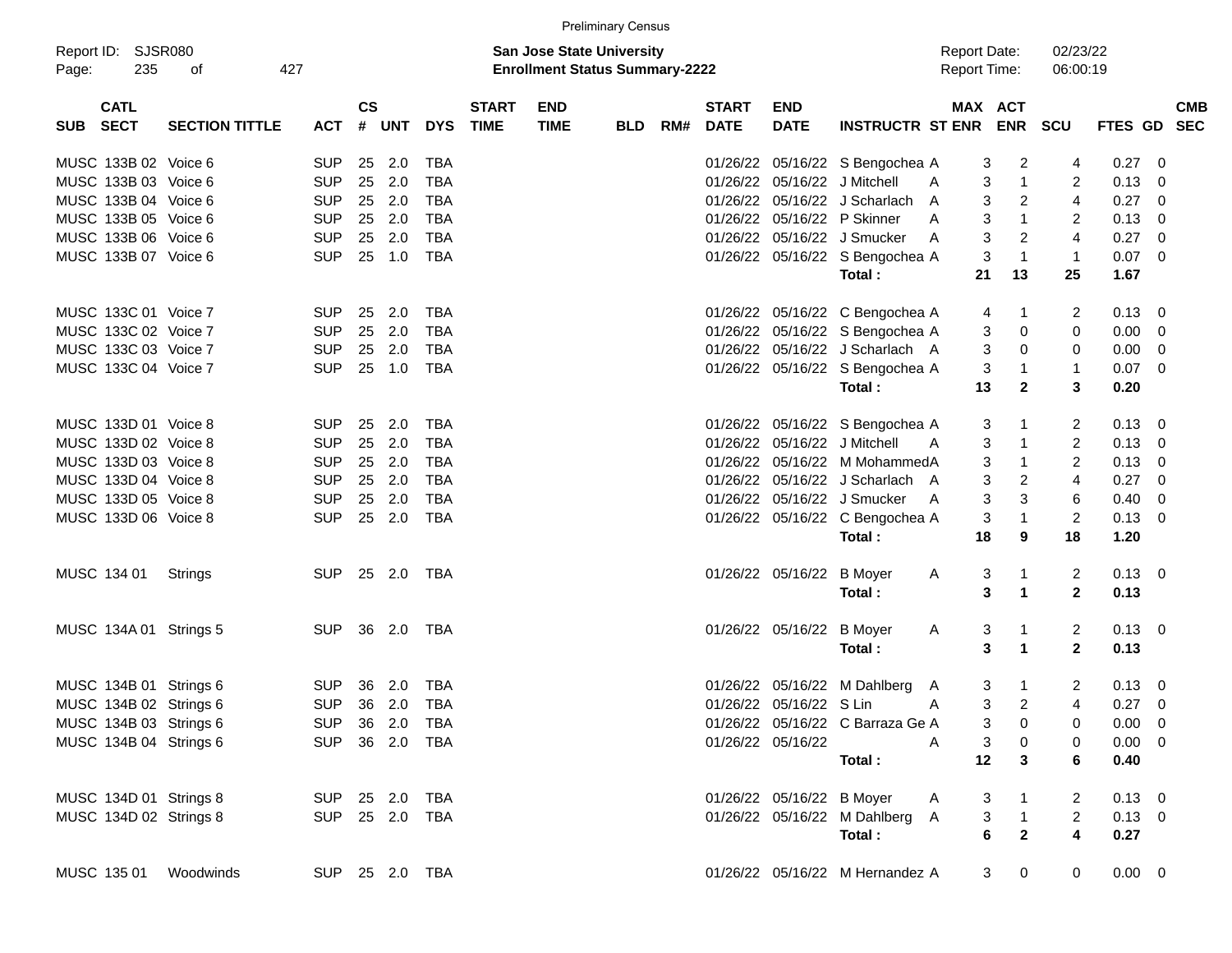|                                    |                       |                |                    |        |                |                             |                                                                           | <b>Preliminary Census</b> |     |                             |                           |                                  |                                     |                         |                         |                |                          |            |
|------------------------------------|-----------------------|----------------|--------------------|--------|----------------|-----------------------------|---------------------------------------------------------------------------|---------------------------|-----|-----------------------------|---------------------------|----------------------------------|-------------------------------------|-------------------------|-------------------------|----------------|--------------------------|------------|
| Report ID: SJSR080<br>235<br>Page: | 427<br>οf             |                |                    |        |                |                             | <b>San Jose State University</b><br><b>Enrollment Status Summary-2222</b> |                           |     |                             |                           |                                  | <b>Report Date:</b><br>Report Time: |                         | 02/23/22<br>06:00:19    |                |                          |            |
| <b>CATL</b><br>SUB SECT            | <b>SECTION TITTLE</b> | <b>ACT</b>     | $\mathsf{cs}$<br># | UNT    | <b>DYS</b>     | <b>START</b><br><b>TIME</b> | <b>END</b><br><b>TIME</b>                                                 | <b>BLD</b>                | RM# | <b>START</b><br><b>DATE</b> | <b>END</b><br><b>DATE</b> | <b>INSTRUCTR ST ENR</b>          | MAX ACT                             | <b>ENR SCU</b>          |                         | FTES GD SEC    |                          | <b>CMB</b> |
| MUSC 133B 02 Voice 6               |                       | <b>SUP</b>     |                    | 25 2.0 | TBA            |                             |                                                                           |                           |     |                             |                           | 01/26/22 05/16/22 S Bengochea A  | 3                                   | 2                       | 4                       | 0.27           | $\overline{\phantom{0}}$ |            |
| MUSC 133B 03 Voice 6               |                       | <b>SUP</b>     |                    | 25 2.0 | <b>TBA</b>     |                             |                                                                           |                           |     |                             |                           | 01/26/22 05/16/22 J Mitchell     | 3<br>A                              | $\overline{1}$          | 2                       | 0.13           | - 0                      |            |
| MUSC 133B 04 Voice 6               |                       | <b>SUP</b>     |                    | 25 2.0 | <b>TBA</b>     |                             |                                                                           |                           |     |                             |                           | 01/26/22 05/16/22 J Scharlach    | 3<br>A                              | $\overline{2}$          | $\overline{4}$          | 0.27           | $\overline{\phantom{0}}$ |            |
| MUSC 133B 05 Voice 6               |                       | <b>SUP</b>     | 25                 | 2.0    | <b>TBA</b>     |                             |                                                                           |                           |     |                             |                           | 01/26/22 05/16/22 P Skinner      | 3<br>A                              | $\overline{1}$          | 2                       | 0.13           | $\overline{\phantom{0}}$ |            |
| MUSC 133B 06 Voice 6               |                       | <b>SUP</b>     | 25                 | 2.0    | <b>TBA</b>     |                             |                                                                           |                           |     |                             |                           | 01/26/22 05/16/22 J Smucker      | 3<br>A                              | $\overline{2}$          | $\overline{4}$          | 0.27           | $\overline{\mathbf{0}}$  |            |
| MUSC 133B 07 Voice 6               |                       | <b>SUP</b>     |                    | 25 1.0 | <b>TBA</b>     |                             |                                                                           |                           |     |                             |                           | 01/26/22 05/16/22 S Bengochea A  | 3                                   | $\overline{1}$          | $\mathbf{1}$            | $0.07$ 0       |                          |            |
|                                    |                       |                |                    |        |                |                             |                                                                           |                           |     |                             |                           | Total:                           | 21                                  | 13                      | 25                      | 1.67           |                          |            |
| MUSC 133C 01 Voice 7               |                       | <b>SUP</b>     |                    | 25 2.0 | TBA            |                             |                                                                           |                           |     |                             |                           | 01/26/22 05/16/22 C Bengochea A  | 4                                   | $\mathbf{1}$            | 2                       | $0.13 \quad 0$ |                          |            |
| MUSC 133C 02 Voice 7               |                       | <b>SUP</b>     |                    | 25 2.0 | <b>TBA</b>     |                             |                                                                           |                           |     |                             |                           | 01/26/22 05/16/22 S Bengochea A  | 3                                   | 0                       | 0                       | $0.00 \t 0$    |                          |            |
| MUSC 133C 03 Voice 7               |                       | <b>SUP</b>     | 25                 | 2.0    | <b>TBA</b>     |                             |                                                                           |                           |     |                             |                           | 01/26/22 05/16/22 J Scharlach A  | 3                                   | 0                       | 0                       | $0.00 \t 0$    |                          |            |
| MUSC 133C 04 Voice 7               |                       | <b>SUP</b>     |                    | 25 1.0 | <b>TBA</b>     |                             |                                                                           |                           |     |                             |                           | 01/26/22 05/16/22 S Bengochea A  | 3                                   | $\mathbf 1$             | 1                       | $0.07$ 0       |                          |            |
|                                    |                       |                |                    |        |                |                             |                                                                           |                           |     |                             |                           | Total:                           | 13                                  | $\mathbf{2}$            | 3                       | 0.20           |                          |            |
| MUSC 133D 01 Voice 8               |                       | <b>SUP</b>     | 25                 | 2.0    | TBA            |                             |                                                                           |                           |     |                             |                           | 01/26/22 05/16/22 S Bengochea A  | 3                                   | -1                      | 2                       | $0.13 \quad 0$ |                          |            |
| MUSC 133D 02 Voice 8               |                       | <b>SUP</b>     |                    | 25 2.0 | <b>TBA</b>     |                             |                                                                           |                           |     |                             |                           | 01/26/22 05/16/22 J Mitchell     | 3<br>A                              | $\overline{1}$          | $\overline{2}$          | $0.13 \ 0$     |                          |            |
| MUSC 133D 03 Voice 8               |                       | <b>SUP</b>     |                    | 25 2.0 | <b>TBA</b>     |                             |                                                                           |                           |     |                             |                           | 01/26/22 05/16/22 M MohammedA    | 3                                   | $\overline{1}$          | $\overline{2}$          | 0.13           | $\overline{\mathbf{0}}$  |            |
| MUSC 133D 04 Voice 8               |                       | <b>SUP</b>     |                    | 25 2.0 | <b>TBA</b>     |                             |                                                                           |                           |     |                             |                           | 01/26/22 05/16/22 J Scharlach A  | 3                                   | $\overline{2}$          | $\overline{4}$          | 0.27           | $\overline{\phantom{0}}$ |            |
| MUSC 133D 05 Voice 8               |                       | <b>SUP</b>     | 25                 | 2.0    | <b>TBA</b>     |                             |                                                                           |                           |     |                             |                           | 01/26/22 05/16/22 J Smucker      | 3<br>A                              | 3                       | 6                       | 0.40           | $\overline{\mathbf{0}}$  |            |
| MUSC 133D 06 Voice 8               |                       | <b>SUP</b>     |                    | 25 2.0 | <b>TBA</b>     |                             |                                                                           |                           |     |                             |                           | 01/26/22 05/16/22 C Bengochea A  | 3                                   | $\overline{1}$          | $\overline{2}$          | $0.13 \ 0$     |                          |            |
|                                    |                       |                |                    |        |                |                             |                                                                           |                           |     |                             |                           | Total:                           | 18                                  | 9                       | 18                      | 1.20           |                          |            |
| MUSC 134 01                        | Strings               | SUP 25 2.0 TBA |                    |        |                |                             |                                                                           |                           |     |                             | 01/26/22 05/16/22         | B Moyer                          | A<br>3                              | $\mathbf 1$             | 2                       | $0.13 \ 0$     |                          |            |
|                                    |                       |                |                    |        |                |                             |                                                                           |                           |     |                             |                           | Total:                           | 3                                   | $\mathbf 1$             | $\mathbf{2}$            | 0.13           |                          |            |
| MUSC 134A 01 Strings 5             |                       | SUP 36 2.0 TBA |                    |        |                |                             |                                                                           |                           |     |                             | 01/26/22 05/16/22 B Moyer |                                  | 3<br>A                              | $\mathbf 1$             | 2                       | $0.13 \quad 0$ |                          |            |
|                                    |                       |                |                    |        |                |                             |                                                                           |                           |     |                             |                           | Total:                           | 3                                   | $\mathbf{1}$            | $\mathbf{2}$            | 0.13           |                          |            |
| MUSC 134B 01 Strings 6             |                       | <b>SUP</b>     | - 36               | 2.0    | TBA            |                             |                                                                           |                           |     |                             |                           | 01/26/22 05/16/22 M Dahlberg     | 3<br>A                              | $\overline{1}$          | 2                       | $0.13 \quad 0$ |                          |            |
| MUSC 134B 02 Strings 6             |                       | SUP 36 2.0     |                    |        | TBA            |                             |                                                                           |                           |     |                             | 01/26/22 05/16/22 S Lin   |                                  | 3<br>A                              | $\overline{2}$          | 4                       | $0.27$ 0       |                          |            |
| MUSC 134B 03 Strings 6             |                       | SUP 36 2.0 TBA |                    |        |                |                             |                                                                           |                           |     |                             |                           | 01/26/22 05/16/22 C Barraza Ge A |                                     | $3 \t 0$                | 0                       | $0.00 \t 0$    |                          |            |
| MUSC 134B 04 Strings 6             |                       |                |                    |        | SUP 36 2.0 TBA |                             |                                                                           |                           |     |                             | 01/26/22 05/16/22         |                                  | 3<br>A                              | 0                       | 0                       | $0.00 \quad 0$ |                          |            |
|                                    |                       |                |                    |        |                |                             |                                                                           |                           |     |                             |                           | Total:                           | 12                                  | $\mathbf{3}$            | 6                       | 0.40           |                          |            |
| MUSC 134D 01 Strings 8             |                       | SUP 25 2.0 TBA |                    |        |                |                             |                                                                           |                           |     |                             | 01/26/22 05/16/22 B Moyer |                                  | 3<br>A                              | $\overline{1}$          | 2                       | $0.13 \ 0$     |                          |            |
| MUSC 134D 02 Strings 8             |                       | SUP 25 2.0 TBA |                    |        |                |                             |                                                                           |                           |     |                             |                           | 01/26/22 05/16/22 M Dahlberg A   | $\mathbf{3}$                        | $\overline{\mathbf{1}}$ | $\overline{a}$          | $0.13 \ 0$     |                          |            |
|                                    |                       |                |                    |        |                |                             |                                                                           |                           |     |                             |                           | Total:                           | 6                                   | $\overline{2}$          | $\overline{\mathbf{4}}$ | 0.27           |                          |            |
| MUSC 135 01                        | Woodwinds             |                |                    |        | SUP 25 2.0 TBA |                             |                                                                           |                           |     |                             |                           | 01/26/22 05/16/22 M Hernandez A  | 3                                   | $\mathbf 0$             | 0                       | $0.00 \t 0$    |                          |            |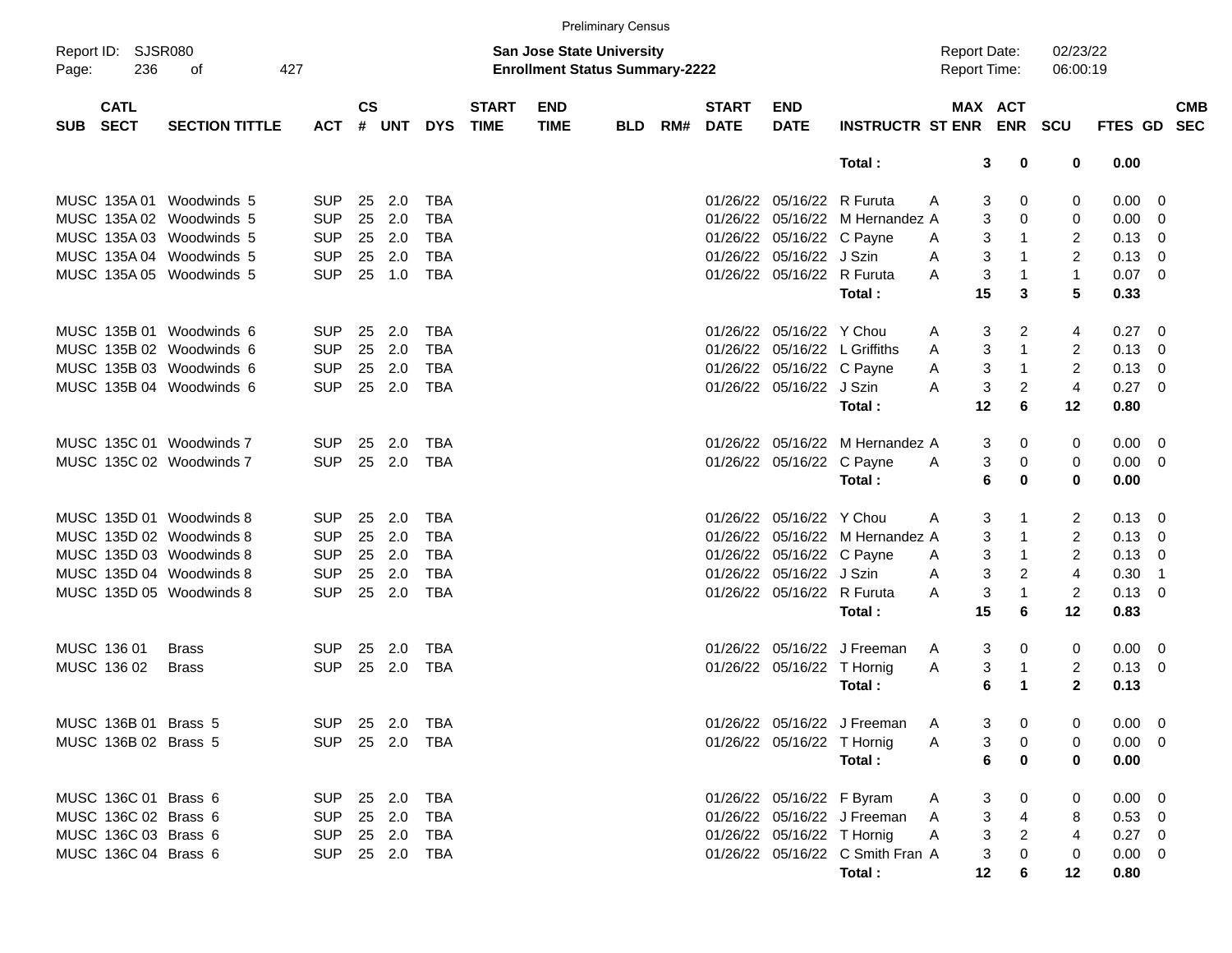|       |                            |                          |                |                    |                |            |                             |                                                                           | <b>Preliminary Census</b> |     |                             |                            |                                  |                                            |                             |                      |                |                            |
|-------|----------------------------|--------------------------|----------------|--------------------|----------------|------------|-----------------------------|---------------------------------------------------------------------------|---------------------------|-----|-----------------------------|----------------------------|----------------------------------|--------------------------------------------|-----------------------------|----------------------|----------------|----------------------------|
| Page: | Report ID: SJSR080<br>236  | 427<br>оf                |                |                    |                |            |                             | <b>San Jose State University</b><br><b>Enrollment Status Summary-2222</b> |                           |     |                             |                            |                                  | <b>Report Date:</b><br><b>Report Time:</b> |                             | 02/23/22<br>06:00:19 |                |                            |
| SUB   | <b>CATL</b><br><b>SECT</b> | <b>SECTION TITTLE</b>    | <b>ACT</b>     | $\mathsf{cs}$<br># | UNT            | <b>DYS</b> | <b>START</b><br><b>TIME</b> | <b>END</b><br><b>TIME</b>                                                 | <b>BLD</b>                | RM# | <b>START</b><br><b>DATE</b> | <b>END</b><br><b>DATE</b>  | INSTRUCTR ST ENR ENR SCU         |                                            | MAX ACT                     |                      | FTES GD SEC    | <b>CMB</b>                 |
|       |                            |                          |                |                    |                |            |                             |                                                                           |                           |     |                             |                            | Total:                           |                                            | 3<br>0                      | 0                    | 0.00           |                            |
|       |                            | MUSC 135A 01 Woodwinds 5 | <b>SUP</b>     | 25                 | 2.0            | <b>TBA</b> |                             |                                                                           |                           |     |                             | 01/26/22 05/16/22 R Furuta |                                  | A                                          | 3<br>0                      | 0                    | $0.00 \quad 0$ |                            |
|       |                            | MUSC 135A 02 Woodwinds 5 | <b>SUP</b>     | 25                 | 2.0            | <b>TBA</b> |                             |                                                                           |                           |     |                             |                            | 01/26/22 05/16/22 M Hernandez A  |                                            | 3<br>$\Omega$               | 0                    | 0.00           | $\overline{\phantom{0}}$   |
|       |                            | MUSC 135A 03 Woodwinds 5 | <b>SUP</b>     | 25                 | 2.0            | TBA        |                             |                                                                           |                           |     |                             | 01/26/22 05/16/22 C Payne  |                                  | A                                          | 3<br>1                      | $\overline{2}$       | $0.13 \ 0$     |                            |
|       |                            | MUSC 135A 04 Woodwinds 5 | <b>SUP</b>     | 25                 | 2.0            | <b>TBA</b> |                             |                                                                           |                           |     |                             | 01/26/22 05/16/22 J Szin   |                                  | A                                          | 3<br>$\mathbf{1}$           | 2                    | $0.13 \quad 0$ |                            |
|       |                            | MUSC 135A 05 Woodwinds 5 | <b>SUP</b>     |                    | 25 1.0         | <b>TBA</b> |                             |                                                                           |                           |     |                             | 01/26/22 05/16/22 R Furuta |                                  | A                                          | 3<br>1                      | $\mathbf{1}$         | $0.07 \ 0$     |                            |
|       |                            |                          |                |                    |                |            |                             |                                                                           |                           |     |                             |                            | Total:                           | 15                                         | 3                           | 5                    | 0.33           |                            |
|       |                            |                          |                |                    |                |            |                             |                                                                           |                           |     |                             |                            |                                  |                                            |                             |                      |                |                            |
|       |                            | MUSC 135B 01 Woodwinds 6 | <b>SUP</b>     | 25                 | 2.0            | TBA        |                             |                                                                           |                           |     |                             | 01/26/22 05/16/22 Y Chou   |                                  | A                                          | 2<br>3                      | 4                    | $0.27 \quad 0$ |                            |
|       |                            | MUSC 135B 02 Woodwinds 6 | <b>SUP</b>     | 25                 | 2.0            | <b>TBA</b> |                             |                                                                           |                           |     |                             |                            | 01/26/22 05/16/22 L Griffiths    | A                                          | 3<br>$\mathbf{1}$           | $\overline{2}$       | 0.13           | $\overline{\mathbf{0}}$    |
|       |                            | MUSC 135B 03 Woodwinds 6 | <b>SUP</b>     | 25                 | 2.0            | <b>TBA</b> |                             |                                                                           |                           |     |                             | 01/26/22 05/16/22 C Payne  |                                  | Α                                          | $\mathbf 3$<br>$\mathbf{1}$ | $\overline{2}$       | $0.13 \quad 0$ |                            |
|       |                            | MUSC 135B 04 Woodwinds 6 | <b>SUP</b>     |                    | 25 2.0         | <b>TBA</b> |                             |                                                                           |                           |     |                             | 01/26/22 05/16/22 J Szin   |                                  | A                                          | 3<br>2                      | $\overline{4}$       | $0.27 \ 0$     |                            |
|       |                            |                          |                |                    |                |            |                             |                                                                           |                           |     |                             |                            | Total:                           | 12                                         | 6                           | 12                   | 0.80           |                            |
|       |                            |                          |                |                    |                |            |                             |                                                                           |                           |     |                             |                            |                                  |                                            |                             |                      |                |                            |
|       |                            | MUSC 135C 01 Woodwinds 7 | <b>SUP</b>     | 25                 | 2.0            | TBA        |                             |                                                                           |                           |     |                             |                            | 01/26/22 05/16/22 M Hernandez A  |                                            | 3<br>0                      | 0                    | $0.00 \quad 0$ |                            |
|       |                            | MUSC 135C 02 Woodwinds 7 | <b>SUP</b>     | 25                 | 2.0            | <b>TBA</b> |                             |                                                                           |                           |     |                             | 01/26/22 05/16/22 C Payne  |                                  | A                                          | 3<br>0                      | 0                    | $0.00 \t 0$    |                            |
|       |                            |                          |                |                    |                |            |                             |                                                                           |                           |     |                             |                            | Total:                           |                                            | 6<br>0                      | $\bf{0}$             | 0.00           |                            |
|       |                            |                          |                |                    |                |            |                             |                                                                           |                           |     |                             |                            |                                  |                                            |                             |                      |                |                            |
|       |                            | MUSC 135D 01 Woodwinds 8 | <b>SUP</b>     | 25                 | 2.0            | TBA        |                             |                                                                           |                           |     |                             | 01/26/22 05/16/22 Y Chou   |                                  | A                                          | 3<br>-1                     | 2                    | $0.13 \quad 0$ |                            |
|       |                            | MUSC 135D 02 Woodwinds 8 | <b>SUP</b>     | 25                 | 2.0            | <b>TBA</b> |                             |                                                                           |                           |     |                             |                            | 01/26/22 05/16/22 M Hernandez A  |                                            | 3<br>$\mathbf{1}$           | $\overline{2}$       | 0.13           | $\overline{\mathbf{0}}$    |
|       |                            | MUSC 135D 03 Woodwinds 8 | <b>SUP</b>     | 25                 | 2.0            | <b>TBA</b> |                             |                                                                           |                           |     |                             | 01/26/22 05/16/22 C Payne  |                                  | A                                          | 3<br>$\mathbf{1}$           | $\overline{2}$       | $0.13 \quad 0$ |                            |
|       |                            | MUSC 135D 04 Woodwinds 8 | <b>SUP</b>     | 25                 | 2.0            | <b>TBA</b> |                             |                                                                           |                           |     |                             | 01/26/22 05/16/22 J Szin   |                                  | A                                          | 3<br>2                      | $\overline{4}$       | 0.30           | $\overline{\phantom{0}}$ 1 |
|       |                            | MUSC 135D 05 Woodwinds 8 | <b>SUP</b>     |                    | 25 2.0         | <b>TBA</b> |                             |                                                                           |                           |     |                             | 01/26/22 05/16/22 R Furuta |                                  | A                                          | 3<br>$\mathbf{1}$           | $\overline{2}$       | $0.13 \quad 0$ |                            |
|       |                            |                          |                |                    |                |            |                             |                                                                           |                           |     |                             |                            | Total:                           | 15                                         | 6                           | 12                   | 0.83           |                            |
|       | MUSC 136 01                | <b>Brass</b>             | <b>SUP</b>     | 25                 | 2.0            | TBA        |                             |                                                                           |                           |     |                             |                            | 01/26/22 05/16/22 J Freeman      | A                                          | 3<br>0                      | 0                    | $0.00 \t 0$    |                            |
|       | MUSC 136 02                | <b>Brass</b>             | <b>SUP</b>     | 25                 | 2.0            | <b>TBA</b> |                             |                                                                           |                           |     |                             | 01/26/22 05/16/22 T Hornig |                                  | Α                                          | 3<br>1                      | $\overline{2}$       | $0.13 \ 0$     |                            |
|       |                            |                          |                |                    |                |            |                             |                                                                           |                           |     |                             |                            | Total:                           |                                            | 6<br>1                      | $\mathbf{2}$         | 0.13           |                            |
|       |                            |                          |                |                    |                |            |                             |                                                                           |                           |     |                             |                            |                                  |                                            |                             |                      |                |                            |
|       | MUSC 136B 01 Brass 5       |                          |                |                    | SUP 25 2.0 TBA |            |                             |                                                                           |                           |     |                             |                            | 01/26/22 05/16/22 J Freeman      | $\mathsf{A}$                               | 3<br>0                      | 0                    | $0.00 \quad 0$ |                            |
|       | MUSC 136B 02 Brass 5       |                          |                |                    | SUP 25 2.0 TBA |            |                             |                                                                           |                           |     |                             | 01/26/22 05/16/22 T Hornig |                                  | A                                          | 3<br>0                      | 0                    | $0.00 \t 0$    |                            |
|       |                            |                          |                |                    |                |            |                             |                                                                           |                           |     |                             |                            | Total:                           |                                            | 6<br>0                      | 0                    | 0.00           |                            |
|       | MUSC 136C 01 Brass 6       |                          | SUP 25 2.0 TBA |                    |                |            |                             |                                                                           |                           |     |                             | 01/26/22 05/16/22 F Byram  |                                  | A                                          | 3<br>0                      | 0                    | $0.00 \t 0$    |                            |
|       | MUSC 136C 02 Brass 6       |                          | <b>SUP</b>     |                    | 25 2.0         | TBA        |                             |                                                                           |                           |     |                             |                            | 01/26/22 05/16/22 J Freeman      | A                                          | 3<br>4                      | 8                    | $0.53$ 0       |                            |
|       | MUSC 136C 03 Brass 6       |                          | <b>SUP</b>     |                    | 25 2.0         | TBA        |                             |                                                                           |                           |     |                             | 01/26/22 05/16/22 T Hornig |                                  | A                                          | 3<br>2                      | $\overline{4}$       | $0.27$ 0       |                            |
|       | MUSC 136C 04 Brass 6       |                          |                |                    | SUP 25 2.0 TBA |            |                             |                                                                           |                           |     |                             |                            | 01/26/22 05/16/22 C Smith Fran A |                                            | 3<br>0                      | 0                    | $0.00 \t 0$    |                            |
|       |                            |                          |                |                    |                |            |                             |                                                                           |                           |     |                             |                            | Total:                           | 12                                         | 6                           | 12                   | 0.80           |                            |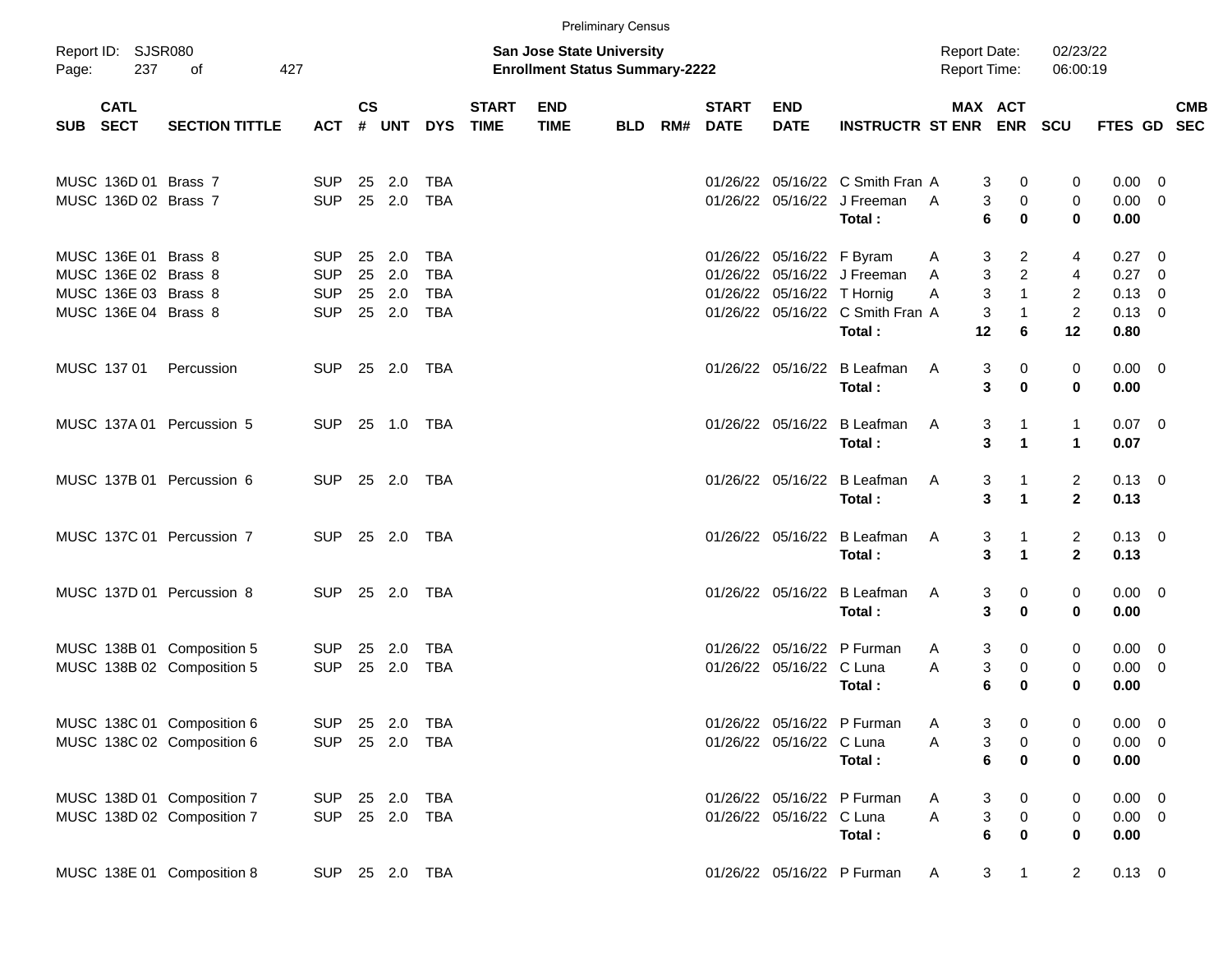|       |                                                                                              |                                                          |                                                      |           |                                   |                                                      |                             |                                                                    | <b>Preliminary Census</b> |     |                             |                                                         |                                                                           |                                               |                                                                       |                                                               |                                                |                                                                        |            |
|-------|----------------------------------------------------------------------------------------------|----------------------------------------------------------|------------------------------------------------------|-----------|-----------------------------------|------------------------------------------------------|-----------------------------|--------------------------------------------------------------------|---------------------------|-----|-----------------------------|---------------------------------------------------------|---------------------------------------------------------------------------|-----------------------------------------------|-----------------------------------------------------------------------|---------------------------------------------------------------|------------------------------------------------|------------------------------------------------------------------------|------------|
| Page: | Report ID: SJSR080<br>237                                                                    | 427<br>оf                                                |                                                      |           |                                   |                                                      |                             | San Jose State University<br><b>Enrollment Status Summary-2222</b> |                           |     |                             |                                                         |                                                                           | <b>Report Date:</b><br><b>Report Time:</b>    |                                                                       | 02/23/22<br>06:00:19                                          |                                                |                                                                        |            |
|       | <b>CATL</b><br>SUB SECT                                                                      | <b>SECTION TITTLE</b>                                    | <b>ACT</b>                                           | <b>CS</b> | # UNT                             | <b>DYS</b>                                           | <b>START</b><br><b>TIME</b> | <b>END</b><br><b>TIME</b>                                          | <b>BLD</b>                | RM# | <b>START</b><br><b>DATE</b> | <b>END</b><br><b>DATE</b>                               | <b>INSTRUCTR ST ENR</b>                                                   |                                               | MAX ACT<br><b>ENR</b>                                                 | <b>SCU</b>                                                    | FTES GD SEC                                    |                                                                        | <b>CMB</b> |
|       | MUSC 136D 01 Brass 7<br>MUSC 136D 02 Brass 7                                                 |                                                          | <b>SUP</b><br><b>SUP</b>                             |           | 25 2.0<br>25 2.0                  | <b>TBA</b><br><b>TBA</b>                             |                             |                                                                    |                           |     |                             |                                                         | 01/26/22 05/16/22 C Smith Fran A<br>01/26/22 05/16/22 J Freeman<br>Total: | 3<br>3<br>A<br>6                              | 0<br>$\mathbf 0$<br>0                                                 | 0<br>$\mathbf 0$<br>$\bf{0}$                                  | $0.00 \t 0$<br>$0.00 \t 0$<br>0.00             |                                                                        |            |
|       | MUSC 136E 01 Brass 8<br>MUSC 136E 02 Brass 8<br>MUSC 136E 03 Brass 8<br>MUSC 136E 04 Brass 8 |                                                          | <b>SUP</b><br><b>SUP</b><br><b>SUP</b><br><b>SUP</b> | 25        | 2.0<br>25 2.0<br>25 2.0<br>25 2.0 | <b>TBA</b><br><b>TBA</b><br><b>TBA</b><br><b>TBA</b> |                             |                                                                    |                           |     |                             | 01/26/22 05/16/22 F Byram<br>01/26/22 05/16/22 T Hornig | 01/26/22 05/16/22 J Freeman<br>01/26/22 05/16/22 C Smith Fran A<br>Total: | 3<br>A<br>3<br>A<br>3<br>Α<br>3<br>12         | $\overline{c}$<br>$\overline{2}$<br>$\mathbf{1}$<br>$\mathbf{1}$<br>6 | 4<br>$\overline{4}$<br>$\overline{2}$<br>$\overline{2}$<br>12 | 0.27<br>0.27<br>0.13<br>$0.13 \quad 0$<br>0.80 | $\overline{\phantom{0}}$<br>$\overline{0}$<br>$\overline{\phantom{0}}$ |            |
|       | MUSC 137 01                                                                                  | Percussion                                               | <b>SUP</b>                                           |           | 25 2.0                            | TBA                                                  |                             |                                                                    |                           |     |                             |                                                         | 01/26/22 05/16/22 B Leafman<br>Total:                                     | A<br>3<br>3                                   | 0<br>$\bf{0}$                                                         | 0<br>$\bf{0}$                                                 | $0.00 \t 0$<br>0.00                            |                                                                        |            |
|       |                                                                                              | MUSC 137A 01 Percussion 5                                | <b>SUP</b>                                           |           | 25 1.0                            | TBA                                                  |                             |                                                                    |                           |     |                             |                                                         | 01/26/22 05/16/22 B Leafman<br>Total:                                     | A<br>3<br>3                                   | $\mathbf{1}$<br>$\mathbf{1}$                                          | $\mathbf{1}$<br>$\mathbf{1}$                                  | $0.07$ 0<br>0.07                               |                                                                        |            |
|       |                                                                                              | MUSC 137B 01 Percussion 6                                | <b>SUP</b>                                           |           | 25 2.0                            | TBA                                                  |                             |                                                                    |                           |     |                             |                                                         | 01/26/22 05/16/22 B Leafman<br>Total:                                     | A<br>3<br>3                                   | $\mathbf{1}$<br>$\mathbf{1}$                                          | $\overline{2}$<br>$\overline{2}$                              | $0.13 \quad 0$<br>0.13                         |                                                                        |            |
|       |                                                                                              | MUSC 137C 01 Percussion 7                                | <b>SUP</b>                                           |           | 25 2.0                            | TBA                                                  |                             |                                                                    |                           |     |                             |                                                         | 01/26/22 05/16/22 B Leafman<br>Total:                                     | A<br>3<br>3                                   | $\mathbf{1}$<br>$\mathbf{1}$                                          | $\overline{2}$<br>$\mathbf{2}$                                | $0.13 \quad 0$<br>0.13                         |                                                                        |            |
|       |                                                                                              | MUSC 137D 01 Percussion 8                                | <b>SUP</b>                                           |           | 25 2.0                            | TBA                                                  |                             |                                                                    |                           |     |                             |                                                         | 01/26/22 05/16/22 B Leafman<br>Total:                                     | A<br>3<br>3                                   | 0<br>0                                                                | 0<br>0                                                        | $0.00 \quad 0$<br>0.00                         |                                                                        |            |
|       |                                                                                              | MUSC 138B 01 Composition 5<br>MUSC 138B 02 Composition 5 | <b>SUP</b><br><b>SUP</b>                             |           | 25 2.0<br>25 2.0                  | <b>TBA</b><br><b>TBA</b>                             |                             |                                                                    |                           |     |                             | 01/26/22 05/16/22 C Luna                                | 01/26/22 05/16/22 P Furman<br>Total:                                      | A<br>3<br>$\ensuremath{\mathsf{3}}$<br>A<br>6 | 0<br>0<br>0                                                           | 0<br>0<br>0                                                   | $0.00 \quad 0$<br>$0.00 \t 0$<br>0.00          |                                                                        |            |
|       |                                                                                              | MUSC 138C 01 Composition 6<br>MUSC 138C 02 Composition 6 | SUP 25 2.0<br>SUP 25 2.0                             |           |                                   | TBA<br>TBA                                           |                             |                                                                    |                           |     |                             | 01/26/22 05/16/22 C Luna                                | 01/26/22 05/16/22 P Furman<br>Total:                                      | Α<br>3<br>Α<br>6                              | 0<br>3<br>$\mathbf 0$<br>$\mathbf 0$                                  | 0<br>0<br>$\bf{0}$                                            | $0.00 \t 0$<br>$0.00 \t 0$<br>0.00             |                                                                        |            |
|       |                                                                                              | MUSC 138D 01 Composition 7<br>MUSC 138D 02 Composition 7 | SUP 25 2.0<br>SUP 25 2.0 TBA                         |           |                                   | TBA                                                  |                             |                                                                    |                           |     |                             | 01/26/22 05/16/22 C Luna                                | 01/26/22 05/16/22 P Furman<br>Total:                                      | Α<br>3<br>3<br>Α<br>6                         | 0<br>$\mathbf 0$<br>$\mathbf 0$                                       | 0<br>0<br>$\bf{0}$                                            | $0.00 \t 0$<br>$0.00 \t 0$<br>0.00             |                                                                        |            |
|       |                                                                                              | MUSC 138E 01 Composition 8                               | SUP 25 2.0 TBA                                       |           |                                   |                                                      |                             |                                                                    |                           |     |                             |                                                         | 01/26/22 05/16/22 P Furman                                                | 3<br>$\mathsf{A}$                             | $\overline{1}$                                                        | $\overline{2}$                                                | $0.13 \ 0$                                     |                                                                        |            |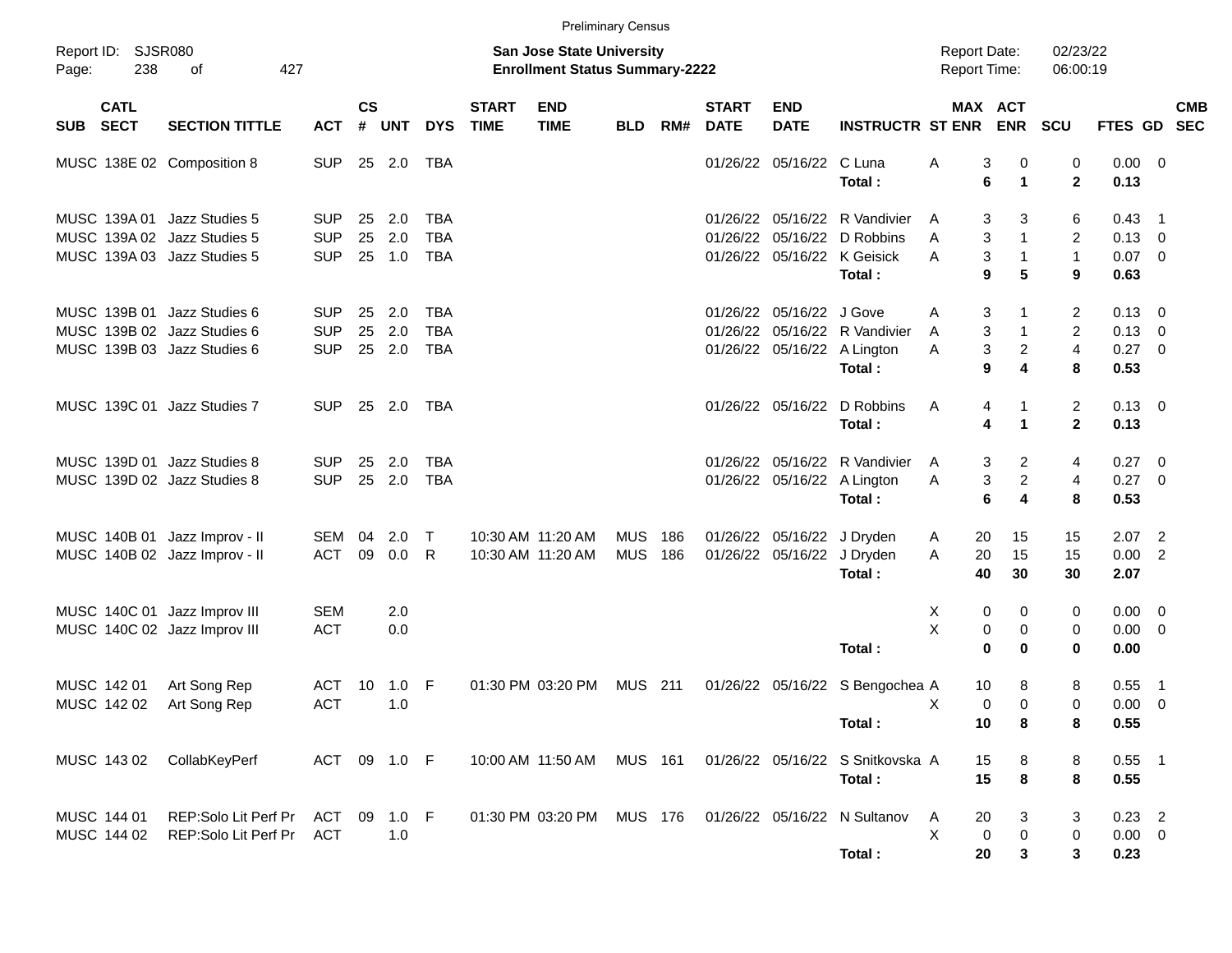|          |                            |                                                                                           |                                        |                    |                      |                                        |                             |                                                                    | <b>Preliminary Census</b> |            |                             |                                                         |                                                                                     |                                           |                                                    |                                  |                                  |                                                                               |            |
|----------|----------------------------|-------------------------------------------------------------------------------------------|----------------------------------------|--------------------|----------------------|----------------------------------------|-----------------------------|--------------------------------------------------------------------|---------------------------|------------|-----------------------------|---------------------------------------------------------|-------------------------------------------------------------------------------------|-------------------------------------------|----------------------------------------------------|----------------------------------|----------------------------------|-------------------------------------------------------------------------------|------------|
| Page:    | Report ID: SJSR080<br>238  | 427<br>of                                                                                 |                                        |                    |                      |                                        |                             | San Jose State University<br><b>Enrollment Status Summary-2222</b> |                           |            |                             |                                                         |                                                                                     | <b>Report Date:</b><br>Report Time:       |                                                    | 02/23/22<br>06:00:19             |                                  |                                                                               |            |
| SUB SECT | <b>CATL</b>                | <b>SECTION TITTLE</b>                                                                     | <b>ACT</b>                             | $\mathsf{cs}$<br># | <b>UNT</b>           | <b>DYS</b>                             | <b>START</b><br><b>TIME</b> | <b>END</b><br><b>TIME</b>                                          | <b>BLD</b>                | RM#        | <b>START</b><br><b>DATE</b> | <b>END</b><br><b>DATE</b>                               | <b>INSTRUCTR ST ENR</b>                                                             | MAX ACT                                   | <b>ENR</b>                                         | <b>SCU</b>                       | FTES GD SEC                      |                                                                               | <b>CMB</b> |
|          |                            | MUSC 138E 02 Composition 8                                                                | <b>SUP</b>                             |                    | 25 2.0               | TBA                                    |                             |                                                                    |                           |            |                             | 01/26/22 05/16/22 C Luna                                | Total:                                                                              | Α<br>3<br>6                               | 0<br>$\blacktriangleleft$                          | 0<br>$\overline{2}$              | 0.00<br>0.13                     | $\overline{\mathbf{0}}$                                                       |            |
|          |                            | MUSC 139A 01 Jazz Studies 5<br>MUSC 139A 02 Jazz Studies 5<br>MUSC 139A 03 Jazz Studies 5 | <b>SUP</b><br><b>SUP</b><br><b>SUP</b> | 25<br>25           | 2.0<br>2.0<br>25 1.0 | <b>TBA</b><br><b>TBA</b><br><b>TBA</b> |                             |                                                                    |                           |            |                             | 01/26/22 05/16/22                                       | 01/26/22 05/16/22 R Vandivier<br>D Robbins<br>01/26/22 05/16/22 K Geisick<br>Total: | 3<br>A<br>3<br>A<br>3<br>A<br>9           | 3<br>$\mathbf 1$<br>$\mathbf{1}$<br>5              | 6<br>2<br>$\mathbf{1}$<br>9      | 0.43<br>0.13<br>$0.07$ 0<br>0.63 | $\overline{\phantom{1}}$<br>$\overline{\phantom{0}}$                          |            |
|          |                            | MUSC 139B 01 Jazz Studies 6<br>MUSC 139B 02 Jazz Studies 6<br>MUSC 139B 03 Jazz Studies 6 | <b>SUP</b><br><b>SUP</b><br><b>SUP</b> | 25<br>25           | 2.0<br>2.0<br>25 2.0 | <b>TBA</b><br><b>TBA</b><br><b>TBA</b> |                             |                                                                    |                           |            |                             | 01/26/22 05/16/22 J Gove<br>01/26/22 05/16/22 A Lington | 01/26/22 05/16/22 R Vandivier<br>Total:                                             | 3<br>Α<br>3<br>A<br>3<br>Α<br>9           | -1<br>$\mathbf{1}$<br>$\overline{\mathbf{c}}$<br>4 | $\overline{2}$<br>2<br>4<br>8    | 0.13<br>0.13<br>0.27<br>0.53     | $\overline{\mathbf{0}}$<br>$\overline{\mathbf{0}}$<br>$\overline{\mathbf{0}}$ |            |
|          |                            | MUSC 139C 01 Jazz Studies 7                                                               | <b>SUP</b>                             |                    | 25 2.0               | TBA                                    |                             |                                                                    |                           |            |                             | 01/26/22 05/16/22                                       | D Robbins<br>Total:                                                                 | A<br>4<br>4                               | 1<br>$\blacktriangleleft$                          | $\overline{2}$<br>$\overline{2}$ | $0.13 \quad 0$<br>0.13           |                                                                               |            |
|          |                            | MUSC 139D 01 Jazz Studies 8<br>MUSC 139D 02 Jazz Studies 8                                | <b>SUP</b><br><b>SUP</b>               | 25<br>25           | 2.0<br>2.0           | <b>TBA</b><br><b>TBA</b>               |                             |                                                                    |                           |            |                             | 01/26/22 05/16/22 A Lington                             | 01/26/22 05/16/22 R Vandivier<br>Total:                                             | 3<br>A<br>3<br>Α<br>6                     | 2<br>$\overline{c}$<br>4                           | 4<br>4<br>8                      | 0.27<br>0.27<br>0.53             | $\overline{\mathbf{0}}$<br>$\overline{0}$                                     |            |
|          |                            | MUSC 140B 01 Jazz Improv - II<br>MUSC 140B 02 Jazz Improv - II                            | SEM<br>ACT                             | 04<br>09           | 2.0<br>0.0           | $\top$<br>R.                           |                             | 10:30 AM 11:20 AM<br>10:30 AM 11:20 AM                             | <b>MUS</b><br><b>MUS</b>  | 186<br>186 |                             | 01/26/22 05/16/22<br>01/26/22 05/16/22                  | J Dryden<br>J Dryden<br>Total:                                                      | 20<br>A<br>20<br>A<br>40                  | 15<br>15<br>30                                     | 15<br>15<br>30                   | 2.07<br>0.00<br>2.07             | $\overline{2}$<br>$\overline{2}$                                              |            |
|          |                            | MUSC 140C 01 Jazz Improv III<br>MUSC 140C 02 Jazz Improv III                              | <b>SEM</b><br><b>ACT</b>               |                    | 2.0<br>0.0           |                                        |                             |                                                                    |                           |            |                             |                                                         | Total:                                                                              | Х<br>0<br>X<br>$\mathbf 0$<br>$\mathbf 0$ | 0<br>0<br>0                                        | 0<br>0<br>$\bf{0}$               | 0.00<br>0.00<br>0.00             | $\overline{\mathbf{0}}$<br>$\overline{\mathbf{0}}$                            |            |
|          | MUSC 142 01<br>MUSC 142 02 | Art Song Rep<br>Art Song Rep                                                              | <b>ACT</b><br><b>ACT</b>               | 10                 | 1.0<br>1.0           | - F                                    |                             | 01:30 PM 03:20 PM                                                  | <b>MUS</b>                | 211        |                             | 01/26/22 05/16/22                                       | S Bengochea A<br>Total:                                                             | 10<br>$\mathbf 0$<br>Χ<br>10              | 8<br>$\Omega$<br>8                                 | 8<br>$\mathbf 0$<br>8            | 0.55<br>0.00<br>0.55             | $\overline{\phantom{1}}$<br>$\overline{0}$                                    |            |
|          | MUSC 143 02                | CollabKeyPerf                                                                             | ACT 09 1.0 F                           |                    |                      |                                        |                             | 10:00 AM 11:50 AM                                                  | MUS 161                   |            |                             |                                                         | 01/26/22 05/16/22 S Snitkovska A<br>Total:                                          | 15<br>15                                  | 8<br>8                                             | 8<br>8                           | $0.55$ 1<br>0.55                 |                                                                               |            |
|          | MUSC 144 01<br>MUSC 144 02 | REP:Solo Lit Perf Pr<br>REP:Solo Lit Perf Pr                                              | ACT<br>ACT                             |                    | 09 1.0 F<br>1.0      |                                        |                             | 01:30 PM 03:20 PM                                                  | MUS 176                   |            |                             |                                                         | 01/26/22 05/16/22 N Sultanov<br>Total:                                              | Α<br>20<br>X<br>0<br>20                   | 3<br>0<br>3                                        | 3<br>0<br>$\mathbf{3}$           | $0.23$ 2<br>$0.00 \t 0$<br>0.23  |                                                                               |            |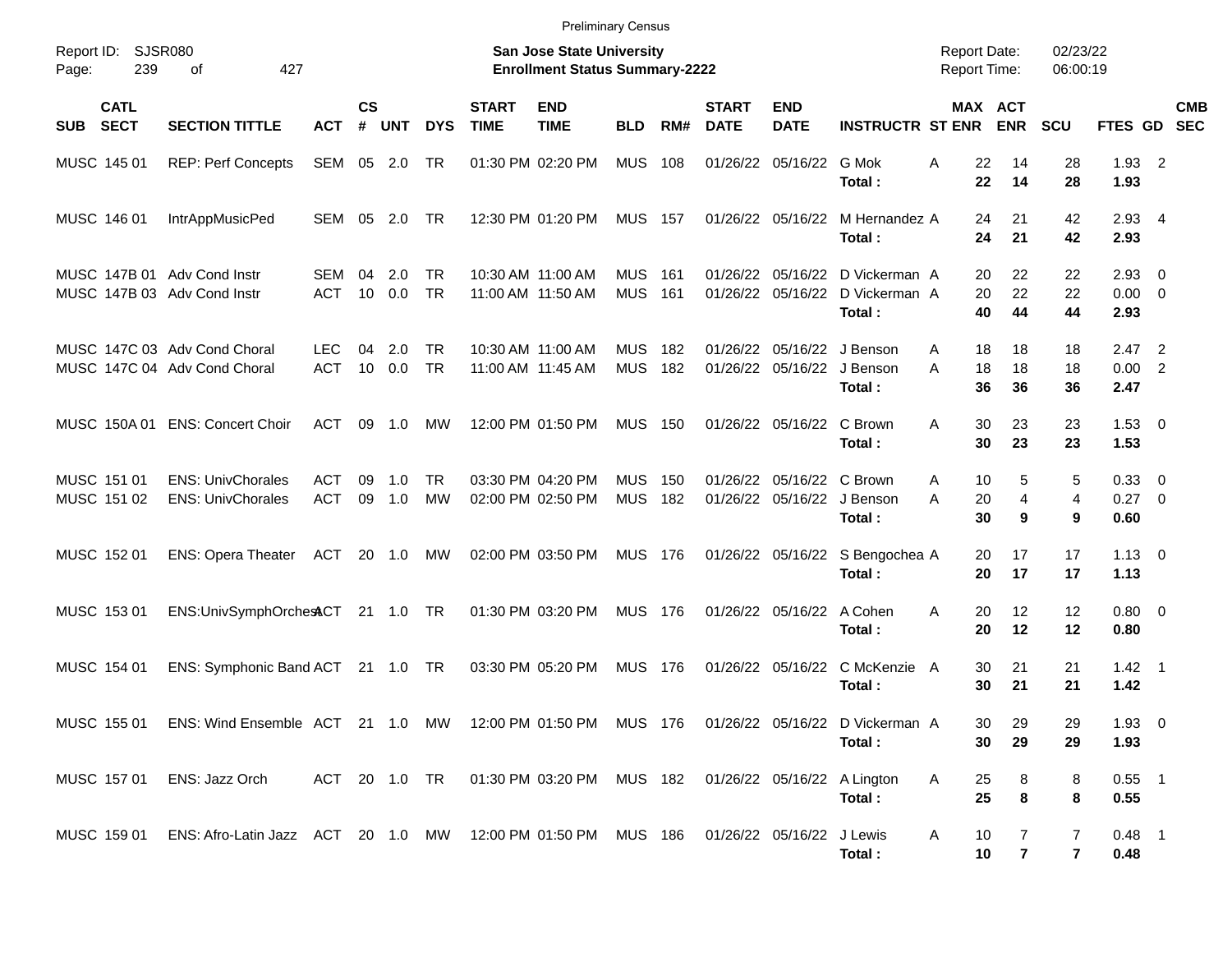|                                                            |                                                                                            |                          |                    |             |                 |                                        | <b>Preliminary Census</b>                                                 |                          |            |                             |                                       |                                                                     |                                            |                                |                      |                        |                                           |
|------------------------------------------------------------|--------------------------------------------------------------------------------------------|--------------------------|--------------------|-------------|-----------------|----------------------------------------|---------------------------------------------------------------------------|--------------------------|------------|-----------------------------|---------------------------------------|---------------------------------------------------------------------|--------------------------------------------|--------------------------------|----------------------|------------------------|-------------------------------------------|
| Report ID:<br>239<br>Page:                                 | <b>SJSR080</b><br>427<br>οf                                                                |                          |                    |             |                 |                                        | <b>San Jose State University</b><br><b>Enrollment Status Summary-2222</b> |                          |            |                             |                                       |                                                                     | <b>Report Date:</b><br><b>Report Time:</b> |                                | 02/23/22<br>06:00:19 |                        |                                           |
| <b>CATL</b><br><b>SECT</b><br><b>SUB</b>                   | <b>SECTION TITTLE</b>                                                                      | ACT                      | $\mathsf{cs}$<br># | <b>UNT</b>  | <b>DYS</b>      | <b>START</b><br><b>TIME</b>            | <b>END</b><br><b>TIME</b>                                                 | <b>BLD</b>               | RM#        | <b>START</b><br><b>DATE</b> | <b>END</b><br><b>DATE</b>             | <b>INSTRUCTR ST ENR</b>                                             |                                            | <b>MAX ACT</b><br><b>ENR</b>   | <b>SCU</b>           | FTES GD                | <b>CMB</b><br><b>SEC</b>                  |
| MUSC 145 01                                                | <b>REP: Perf Concepts</b>                                                                  | SEM                      | 05                 | 2.0         | TR              | 01:30 PM 02:20 PM                      |                                                                           | <b>MUS</b>               | 108        |                             | 01/26/22 05/16/22 G Mok               | Total:                                                              | 22<br>A<br>22                              | 14<br>14                       | 28<br>28             | $1.93$ 2<br>1.93       |                                           |
| MUSC 146 01                                                | <b>IntrAppMusicPed</b>                                                                     | SEM                      | 05                 | 2.0         | TR.             |                                        | 12:30 PM 01:20 PM                                                         | <b>MUS</b>               | 157        |                             | 01/26/22 05/16/22                     | M Hernandez A<br>Total:                                             | 24<br>24                                   | 21<br>21                       | 42<br>42             | $2.93$ 4<br>2.93       |                                           |
| MUSC 147B 01 Adv Cond Instr<br>MUSC 147B 03 Adv Cond Instr |                                                                                            | SEM<br><b>ACT</b>        | 04<br>10           | 2.0<br>0.0  | TR<br><b>TR</b> | 10:30 AM 11:00 AM<br>11:00 AM 11:50 AM |                                                                           | <b>MUS</b><br><b>MUS</b> | 161<br>161 | 01/26/22                    |                                       | 01/26/22 05/16/22 D Vickerman A<br>05/16/22 D Vickerman A<br>Total: | 20<br>40                                   | 22<br>20<br>22<br>44           | 22<br>22<br>44       | 2.93<br>0.00<br>2.93   | - 0<br>$\overline{0}$                     |
|                                                            | MUSC 147C 03 Adv Cond Choral<br>MUSC 147C 04 Adv Cond Choral                               | <b>LEC</b><br><b>ACT</b> | 04<br>10           | 2.0<br>0.0  | TR<br><b>TR</b> | 10:30 AM 11:00 AM                      | 11:00 AM 11:45 AM                                                         | <b>MUS</b><br><b>MUS</b> | 182<br>182 | 01/26/22                    | 05/16/22                              | 01/26/22 05/16/22 J Benson<br>J Benson<br>Total:                    | 18<br>A<br>18<br>A<br>36                   | 18<br>18<br>36                 | 18<br>18<br>36       | 2.47<br>0.00<br>2.47   | $\overline{\phantom{0}}^2$<br>2           |
| MUSC 150A 01                                               | <b>ENS: Concert Choir</b>                                                                  | <b>ACT</b>               | 09                 | 1.0         | МW              |                                        | 12:00 PM 01:50 PM                                                         | <b>MUS</b>               | 150        |                             | 01/26/22 05/16/22 C Brown             | Total:                                                              | A<br>30<br>30                              | 23<br>23                       | 23<br>23             | $1.53 \t 0$<br>1.53    |                                           |
| MUSC 151 01<br>MUSC 151 02                                 | <b>ENS: UnivChorales</b><br><b>ENS: UnivChorales</b>                                       | <b>ACT</b><br><b>ACT</b> | 09<br>09           | 1.0<br>1.0  | <b>TR</b><br>MW | 03:30 PM 04:20 PM<br>02:00 PM 02:50 PM |                                                                           | <b>MUS</b><br><b>MUS</b> | 150<br>182 | 01/26/22                    | 01/26/22 05/16/22 C Brown<br>05/16/22 | J Benson<br>Total:                                                  | A<br>20<br>Α<br>30                         | 5<br>10<br>$\overline{4}$<br>9 | 5<br>4<br>9          | 0.33<br>0.27<br>0.60   | $\overline{\mathbf{0}}$<br>$\overline{0}$ |
| MUSC 152 01                                                | <b>ENS: Opera Theater</b>                                                                  | ACT                      |                    | 20 1.0      | MW              |                                        | 02:00 PM 03:50 PM                                                         | <b>MUS</b>               | 176        |                             |                                       | 01/26/22 05/16/22 S Bengochea A<br>Total:                           | 20                                         | 20<br>17<br>17                 | 17<br>17             | $1.13 \ 0$<br>1.13     |                                           |
| MUSC 153 01                                                | ENS:UnivSymphOrchestCT                                                                     |                          |                    | $21 \t1.0$  | TR              |                                        | 01:30 PM 03:20 PM                                                         | <b>MUS</b>               | 176        |                             | 01/26/22 05/16/22                     | A Cohen<br>Total:                                                   | A<br>20                                    | 12<br>20<br>12                 | 12<br>12             | $0.80 \ 0$<br>0.80     |                                           |
| MUSC 154 01                                                | ENS: Symphonic Band ACT                                                                    |                          |                    | $21 \t 1.0$ | TR              |                                        | 03:30 PM 05:20 PM                                                         | <b>MUS</b>               | 176        |                             |                                       | 01/26/22 05/16/22 C McKenzie A<br>Total:                            | 30<br>30                                   | 21<br>21                       | 21<br>21             | $1.42 \quad 1$<br>1.42 |                                           |
| MUSC 155 01                                                | ENS: Wind Ensemble ACT 21 1.0 MW 12:00 PM 01:50 PM MUS 176 01/26/22 05/16/22 D Vickerman A |                          |                    |             |                 |                                        |                                                                           |                          |            |                             |                                       | Total:                                                              | 30                                         | 29<br>30<br>29                 | 29<br>29             | $1.93$ 0<br>1.93       |                                           |
| MUSC 157 01                                                | ENS: Jazz Orch                                                                             | ACT 20 1.0 TR            |                    |             |                 |                                        | 01:30 PM 03:20 PM MUS 182 01/26/22 05/16/22 A Lington                     |                          |            |                             |                                       | Total:                                                              | Α<br>25<br>25                              | 8<br>8                         | 8<br>8               | $0.55$ 1<br>0.55       |                                           |
| MUSC 159 01                                                | ENS: Afro-Latin Jazz ACT 20 1.0 MW 12:00 PM 01:50 PM MUS 186 01/26/22 05/16/22 J Lewis     |                          |                    |             |                 |                                        |                                                                           |                          |            |                             |                                       | Total:                                                              | A<br>10<br>10                              | 7<br>$\overline{7}$            | 7<br>$\overline{7}$  | $0.48$ 1<br>0.48       |                                           |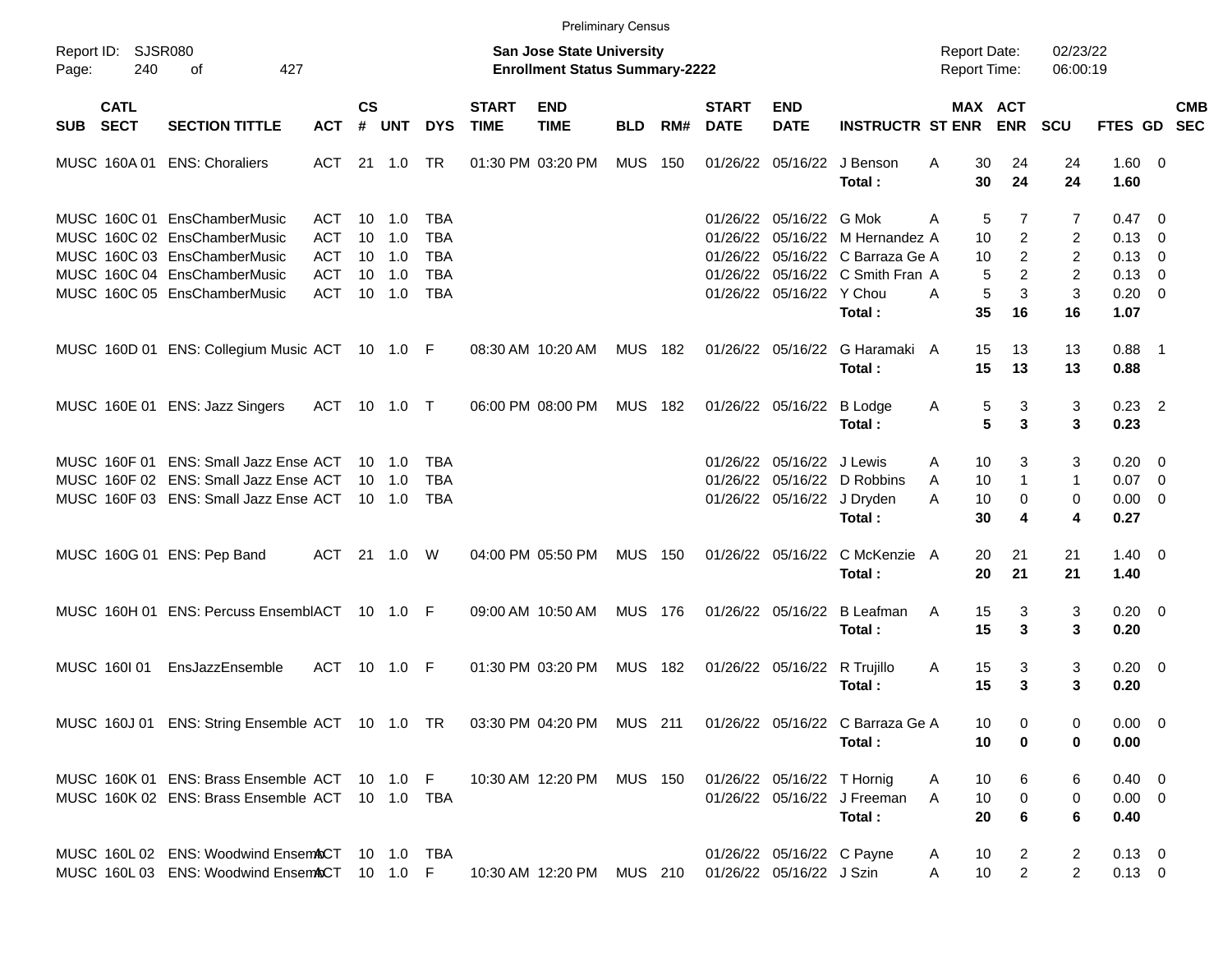|                     |                            |                                                                                                            |            |                    |            |            |                             |                                                                           | <b>Preliminary Census</b> |     |                             |                            |                                  |                                            |                              |                      |                        |                          |                          |
|---------------------|----------------------------|------------------------------------------------------------------------------------------------------------|------------|--------------------|------------|------------|-----------------------------|---------------------------------------------------------------------------|---------------------------|-----|-----------------------------|----------------------------|----------------------------------|--------------------------------------------|------------------------------|----------------------|------------------------|--------------------------|--------------------------|
| Report ID:<br>Page: | SJSR080<br>240             | 427<br>оf                                                                                                  |            |                    |            |            |                             | <b>San Jose State University</b><br><b>Enrollment Status Summary-2222</b> |                           |     |                             |                            |                                  | <b>Report Date:</b><br><b>Report Time:</b> |                              | 02/23/22<br>06:00:19 |                        |                          |                          |
| SUB                 | <b>CATL</b><br><b>SECT</b> | <b>SECTION TITTLE</b>                                                                                      | <b>ACT</b> | $\mathsf{cs}$<br># | <b>UNT</b> | <b>DYS</b> | <b>START</b><br><b>TIME</b> | <b>END</b><br><b>TIME</b>                                                 | <b>BLD</b>                | RM# | <b>START</b><br><b>DATE</b> | <b>END</b><br><b>DATE</b>  | <b>INSTRUCTR ST ENR</b>          |                                            | <b>MAX ACT</b><br><b>ENR</b> | <b>SCU</b>           | FTES GD                |                          | <b>CMB</b><br><b>SEC</b> |
|                     | MUSC 160A 01               | <b>ENS: Choraliers</b>                                                                                     | ACT        | 21                 | 1.0        | TR         |                             | 01:30 PM 03:20 PM                                                         | <b>MUS</b>                | 150 | 01/26/22                    | 05/16/22                   | J Benson<br>Total:               | A                                          | 30<br>24<br>30<br>24         | 24<br>24             | $1.60 \t 0$<br>1.60    |                          |                          |
|                     |                            | MUSC 160C 01 EnsChamberMusic                                                                               | ACT        | 10                 | 1.0        | TBA        |                             |                                                                           |                           |     | 01/26/22                    | 05/16/22                   | G Mok                            | A                                          | 5<br>7                       | 7                    | $0.47 \quad 0$         |                          |                          |
|                     |                            | MUSC 160C 02 EnsChamberMusic                                                                               | <b>ACT</b> | 10                 | 1.0        | <b>TBA</b> |                             |                                                                           |                           |     | 01/26/22                    | 05/16/22                   | M Hernandez A                    |                                            | $\overline{c}$<br>10         | 2                    | 0.13                   | $\overline{\mathbf{0}}$  |                          |
|                     |                            | MUSC 160C 03 EnsChamberMusic                                                                               | <b>ACT</b> | 10                 | 1.0        | <b>TBA</b> |                             |                                                                           |                           |     | 01/26/22                    | 05/16/22                   | C Barraza Ge A                   |                                            | 2<br>10                      | 2                    | 0.13                   | $\overline{\mathbf{0}}$  |                          |
|                     |                            | MUSC 160C 04 EnsChamberMusic                                                                               | <b>ACT</b> | 10                 | 1.0        | <b>TBA</b> |                             |                                                                           |                           |     |                             |                            | 01/26/22 05/16/22 C Smith Fran A |                                            | 5<br>2                       | 2                    | 0.13                   | - 0                      |                          |
|                     |                            | MUSC 160C 05 EnsChamberMusic                                                                               | <b>ACT</b> | 10                 | 1.0        | <b>TBA</b> |                             |                                                                           |                           |     |                             | 01/26/22 05/16/22          | Y Chou<br>Total:                 | A                                          | 5<br>3<br>35<br>16           | 3<br>16              | 0.20<br>1.07           | $\overline{0}$           |                          |
|                     |                            | MUSC 160D 01 ENS: Collegium Music ACT 10 1.0 F                                                             |            |                    |            |            |                             | 08:30 AM 10:20 AM                                                         | <b>MUS</b>                | 182 |                             | 01/26/22 05/16/22          | G Haramaki A<br>Total:           |                                            | 15<br>13<br>15<br>13         | 13<br>13             | 0.88<br>0.88           | $\blacksquare$ 1         |                          |
|                     |                            | MUSC 160E 01 ENS: Jazz Singers                                                                             | ACT        | 10                 | 1.0        | $\top$     |                             | 06:00 PM 08:00 PM                                                         | <b>MUS</b>                | 182 |                             | 01/26/22 05/16/22          | <b>B</b> Lodge<br>Total:         | A                                          | 5<br>3<br>5<br>3             | 3<br>3               | $0.23$ 2<br>0.23       |                          |                          |
|                     | MUSC 160F 01               | <b>ENS: Small Jazz Ense ACT</b>                                                                            |            | 10                 | 1.0        | TBA        |                             |                                                                           |                           |     | 01/26/22                    | 05/16/22                   | J Lewis                          | Α                                          | 10<br>3                      | 3                    | 0.20                   | $\overline{\phantom{0}}$ |                          |
|                     |                            | MUSC 160F 02 ENS: Small Jazz Ense ACT                                                                      |            | 10                 | 1.0        | <b>TBA</b> |                             |                                                                           |                           |     | 01/26/22                    | 05/16/22                   | D Robbins                        | A                                          | 10<br>$\mathbf{1}$           | $\mathbf{1}$         | 0.07                   | $\overline{\mathbf{0}}$  |                          |
|                     |                            | MUSC 160F 03 ENS: Small Jazz Ense ACT                                                                      |            |                    | 10 1.0     | <b>TBA</b> |                             |                                                                           |                           |     |                             | 01/26/22 05/16/22          | J Dryden                         | A                                          | 10<br>0                      | 0                    | 0.00                   | $\overline{\mathbf{0}}$  |                          |
|                     |                            |                                                                                                            |            |                    |            |            |                             |                                                                           |                           |     |                             |                            | Total:                           |                                            | 30<br>4                      | 4                    | 0.27                   |                          |                          |
|                     |                            | MUSC 160G 01 ENS: Pep Band                                                                                 | ACT        | - 21               | 1.0        | W          |                             | 04:00 PM 05:50 PM                                                         | <b>MUS</b>                | 150 |                             | 01/26/22 05/16/22          | C McKenzie A<br>Total:           |                                            | 20<br>21<br>20<br>21         | 21<br>21             | $1.40 \quad 0$<br>1.40 |                          |                          |
|                     |                            | MUSC 160H 01 ENS: Percuss EnsemblACT 10 1.0 F                                                              |            |                    |            |            |                             | 09:00 AM 10:50 AM                                                         | <b>MUS</b>                | 176 |                             | 01/26/22 05/16/22          | <b>B</b> Leafman                 | A                                          | 15<br>3                      | 3                    | $0.20 \ 0$             |                          |                          |
|                     |                            |                                                                                                            |            |                    |            |            |                             |                                                                           |                           |     |                             |                            | Total:                           |                                            | 15<br>3                      | 3                    | 0.20                   |                          |                          |
|                     | MUSC 160101                | EnsJazzEnsemble                                                                                            | ACT        | 10                 | 1.0        | -F         |                             | 01:30 PM 03:20 PM                                                         | <b>MUS</b>                | 182 |                             | 01/26/22 05/16/22          | R Trujillo<br>Total:             | A                                          | 15<br>3<br>15<br>3           | 3<br>3               | $0.20 \ 0$<br>0.20     |                          |                          |
|                     |                            | MUSC 160J 01 ENS: String Ensemble ACT 10 1.0 TR 03:30 PM 04:20 PM MUS 211 01/26/22 05/16/22 C Barraza Ge A |            |                    |            |            |                             |                                                                           |                           |     |                             |                            |                                  |                                            | 0<br>10                      | 0                    | $0.00 \t 0$            |                          |                          |
|                     |                            |                                                                                                            |            |                    |            |            |                             |                                                                           |                           |     |                             |                            | Total:                           |                                            | 10<br>0                      | 0                    | 0.00                   |                          |                          |
|                     |                            | MUSC 160K 01 ENS: Brass Ensemble ACT 10 1.0 F                                                              |            |                    |            |            |                             | 10:30 AM 12:20 PM MUS 150                                                 |                           |     |                             | 01/26/22 05/16/22 T Hornig |                                  | A                                          | 10<br>6                      | 6                    | $0.40 \quad 0$         |                          |                          |
|                     |                            | MUSC 160K 02 ENS: Brass Ensemble ACT 10 1.0 TBA                                                            |            |                    |            |            |                             |                                                                           |                           |     |                             |                            | 01/26/22 05/16/22 J Freeman      | A                                          | 10<br>0                      | 0                    | $0.00 \t 0$            |                          |                          |
|                     |                            |                                                                                                            |            |                    |            |            |                             |                                                                           |                           |     |                             |                            | Total:                           |                                            | 20<br>6                      | 6                    | 0.40                   |                          |                          |
|                     |                            | MUSC 160L 02 ENS: Woodwind Ensem&CT 10 1.0 TBA                                                             |            |                    |            |            |                             |                                                                           |                           |     |                             | 01/26/22 05/16/22 C Payne  |                                  | A                                          | 10<br>2                      | $\overline{2}$       | $0.13 \ 0$             |                          |                          |
|                     |                            | MUSC 160L 03 ENS: Woodwind Ensem&CT 10 1.0 F                                                               |            |                    |            |            |                             | 10:30 AM 12:20 PM                                                         | MUS 210                   |     |                             | 01/26/22 05/16/22 J Szin   |                                  | Α                                          | 10<br>$\overline{2}$         | $\overline{2}$       | $0.13 \ 0$             |                          |                          |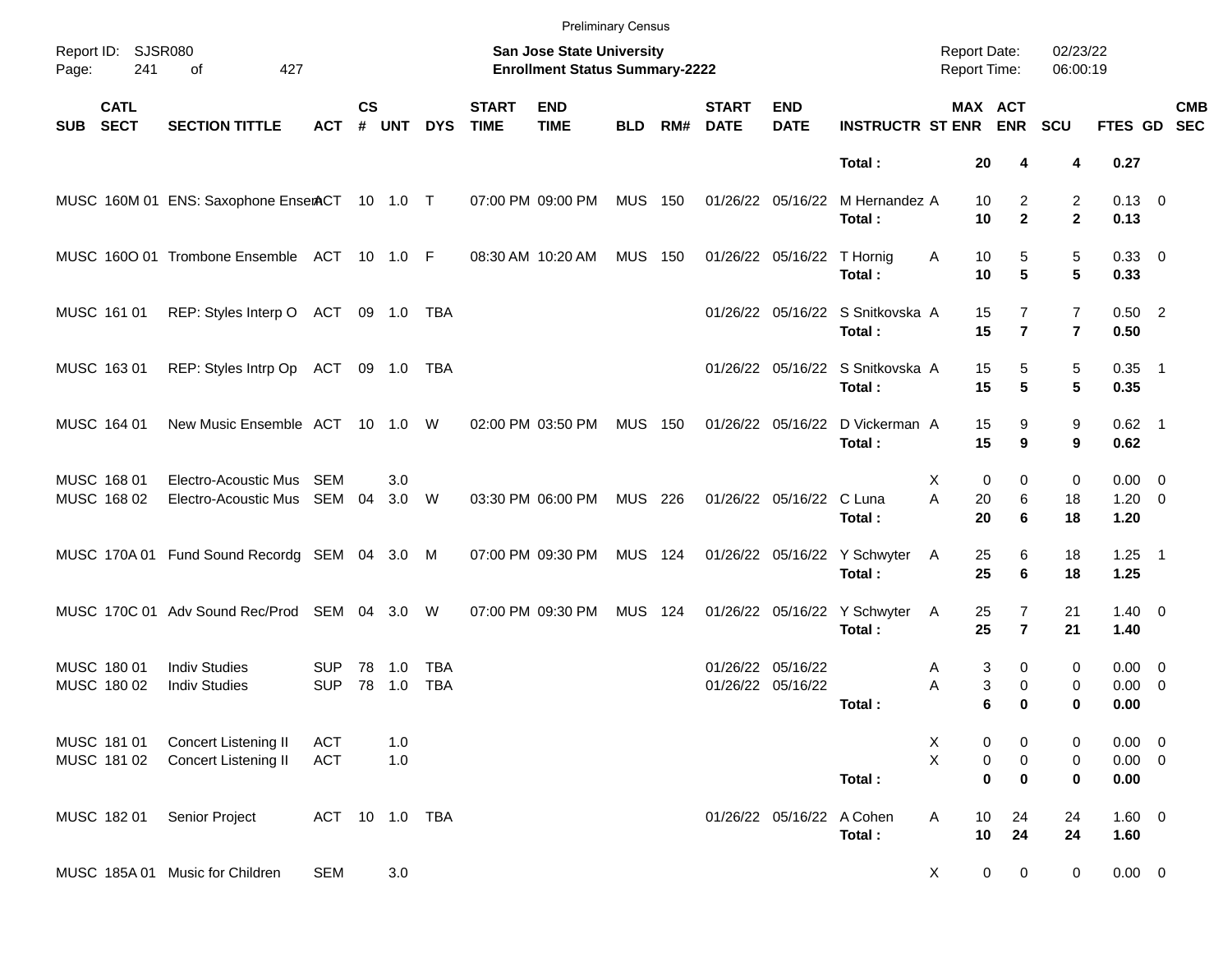|            |                            |                                                     |                          |               |               |                   |                             |                                                                    | <b>Preliminary Census</b> |     |                             |                                        |                                            |                                     |                                                           |                                  |                                       |            |
|------------|----------------------------|-----------------------------------------------------|--------------------------|---------------|---------------|-------------------|-----------------------------|--------------------------------------------------------------------|---------------------------|-----|-----------------------------|----------------------------------------|--------------------------------------------|-------------------------------------|-----------------------------------------------------------|----------------------------------|---------------------------------------|------------|
| Page:      | Report ID: SJSR080<br>241  | 427<br>οf                                           |                          |               |               |                   |                             | San Jose State University<br><b>Enrollment Status Summary-2222</b> |                           |     |                             |                                        |                                            | <b>Report Date:</b><br>Report Time: |                                                           | 02/23/22<br>06:00:19             |                                       |            |
| <b>SUB</b> | <b>CATL</b><br><b>SECT</b> | <b>SECTION TITTLE</b>                               | <b>ACT</b>               | $\mathsf{cs}$ | # UNT         | <b>DYS</b>        | <b>START</b><br><b>TIME</b> | <b>END</b><br><b>TIME</b>                                          | <b>BLD</b>                | RM# | <b>START</b><br><b>DATE</b> | <b>END</b><br><b>DATE</b>              | <b>INSTRUCTR ST ENR ENR</b>                |                                     | MAX ACT                                                   | <b>SCU</b>                       | FTES GD SEC                           | <b>CMB</b> |
|            |                            |                                                     |                          |               |               |                   |                             |                                                                    |                           |     |                             |                                        | Total:                                     | 20                                  | 4                                                         | 4                                | 0.27                                  |            |
|            |                            | MUSC 160M 01 ENS: Saxophone EnserACT 10 1.0 T       |                          |               |               |                   |                             | 07:00 PM 09:00 PM                                                  | <b>MUS 150</b>            |     |                             | 01/26/22 05/16/22                      | M Hernandez A<br>Total:                    | 10<br>10                            | 2<br>$\mathbf{2}$                                         | 2<br>$\mathbf{2}$                | $0.13 \quad 0$<br>0.13                |            |
|            |                            | MUSC 1600 01 Trombone Ensemble ACT 10 1.0 F         |                          |               |               |                   |                             | 08:30 AM 10:20 AM                                                  | <b>MUS 150</b>            |     |                             | 01/26/22 05/16/22 T Hornig             | Total:                                     | 10<br>Α<br>10                       | 5<br>5                                                    | 5<br>5                           | 0.33 0<br>0.33                        |            |
|            | MUSC 161 01                | REP: Styles Interp O ACT                            |                          |               | 09 1.0        | TBA               |                             |                                                                    |                           |     |                             |                                        | 01/26/22 05/16/22 S Snitkovska A<br>Total: | 15<br>15                            | $\overline{7}$<br>$\overline{7}$                          | $\overline{7}$<br>$\overline{7}$ | $0.50$ 2<br>0.50                      |            |
|            | MUSC 163 01                | REP: Styles Intrp Op ACT                            |                          |               | 09 1.0        | TBA               |                             |                                                                    |                           |     |                             |                                        | 01/26/22 05/16/22 S Snitkovska A<br>Total: | 15<br>15                            | 5<br>5                                                    | 5<br>5                           | $0.35$ 1<br>0.35                      |            |
|            | MUSC 164 01                | New Music Ensemble ACT 10 1.0                       |                          |               |               | W                 |                             | 02:00 PM 03:50 PM                                                  | <b>MUS 150</b>            |     |                             | 01/26/22 05/16/22                      | D Vickerman A<br>Total:                    | 15<br>15                            | 9<br>9                                                    | 9<br>9                           | $0.62$ 1<br>0.62                      |            |
|            | MUSC 168 01<br>MUSC 168 02 | Electro-Acoustic Mus<br>Electro-Acoustic Mus SEM 04 | SEM                      |               | 3.0<br>3.0    | W                 |                             | 03:30 PM 06:00 PM                                                  | MUS 226                   |     |                             | 01/26/22 05/16/22 C Luna               | Total:                                     | X.<br>Α<br>20<br>20                 | 0<br>0<br>6<br>6                                          | 0<br>18<br>18                    | $0.00 \t 0$<br>$1.20 \t 0$<br>1.20    |            |
|            |                            | MUSC 170A 01 Fund Sound Recordg SEM 04 3.0 M        |                          |               |               |                   |                             | 07:00 PM 09:30 PM                                                  | <b>MUS 124</b>            |     |                             |                                        | 01/26/22 05/16/22 Y Schwyter<br>Total:     | 25<br>A<br>25                       | 6<br>6                                                    | 18<br>18                         | $1.25$ 1<br>1.25                      |            |
|            |                            | MUSC 170C 01 Adv Sound Rec/Prod SEM 04 3.0          |                          |               |               | W                 |                             | 07:00 PM 09:30 PM                                                  | MUS 124                   |     |                             |                                        | 01/26/22 05/16/22 Y Schwyter<br>Total:     | 25<br>A<br>25                       | $\overline{7}$<br>$\overline{7}$                          | 21<br>21                         | $1.40 \ 0$<br>1.40                    |            |
|            | MUSC 180 01<br>MUSC 180 02 | <b>Indiv Studies</b><br><b>Indiv Studies</b>        | <b>SUP</b><br><b>SUP</b> | 78            | 1.0<br>78 1.0 | TBA<br><b>TBA</b> |                             |                                                                    |                           |     |                             | 01/26/22 05/16/22<br>01/26/22 05/16/22 | Total:                                     | Α<br>Α                              | 3<br>0<br>3<br>$\mathbf 0$<br>6<br>$\bf{0}$               | 0<br>0<br>0                      | $0.00 \quad 0$<br>$0.00 \t 0$<br>0.00 |            |
|            | MUSC 181 01<br>MUSC 181 02 | Concert Listening II<br>Concert Listening II        | <b>ACT</b><br><b>ACT</b> |               | 1.0<br>1.0    |                   |                             |                                                                    |                           |     |                             |                                        | Total:                                     | X<br>$\mathsf X$                    | 0<br>0<br>$\pmb{0}$<br>$\pmb{0}$<br>$\pmb{0}$<br>$\bf{0}$ | 0<br>$\pmb{0}$<br>0              | $0.00 \t 0$<br>$0.00 \t 0$<br>0.00    |            |
|            | MUSC 182 01                | Senior Project                                      | ACT                      |               | 10  1.0  TBA  |                   |                             |                                                                    |                           |     |                             | 01/26/22 05/16/22 A Cohen              | Total:                                     | $10$<br>Α<br>$10$                   | 24<br>24                                                  | 24<br>24                         | $1.60 \t 0$<br>1.60                   |            |
|            |                            | MUSC 185A 01 Music for Children                     | <b>SEM</b>               |               | 3.0           |                   |                             |                                                                    |                           |     |                             |                                        |                                            | X                                   | $\pmb{0}$<br>$\mathbf 0$                                  | $\mathbf 0$                      | $0.00 \t 0$                           |            |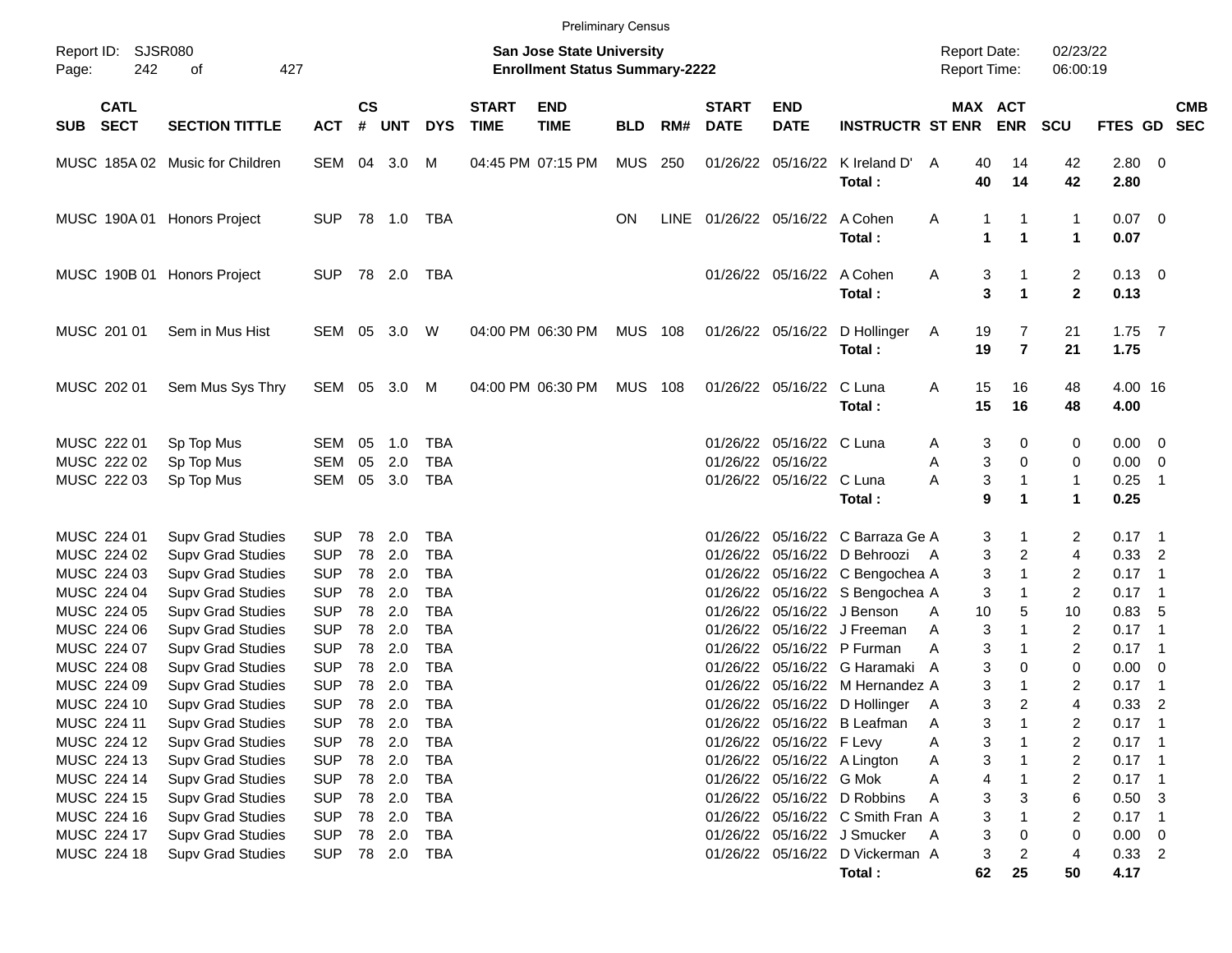| Report ID:<br><b>SJSR080</b><br>02/23/22<br><b>San Jose State University</b><br><b>Report Date:</b><br>242<br>427<br><b>Enrollment Status Summary-2222</b><br>Report Time:<br>06:00:19<br>οf<br>Page:<br><b>CS</b><br><b>CATL</b><br><b>START</b><br><b>END</b><br><b>START</b><br><b>END</b><br>MAX ACT<br><b>CMB</b><br><b>SECT</b><br>#<br><b>DATE</b><br><b>ENR</b><br>FTES GD SEC<br><b>SECTION TITTLE</b><br><b>UNT</b><br><b>DYS</b><br><b>TIME</b><br><b>TIME</b><br><b>BLD</b><br>RM#<br><b>DATE</b><br><b>INSTRUCTR ST ENR</b><br><b>SCU</b><br><b>SUB</b><br><b>ACT</b><br>SEM 04 3.0<br>04:45 PM 07:15 PM<br>MUS 250<br>01/26/22 05/16/22<br>2.80 0<br>MUSC 185A 02 Music for Children<br>M<br>K Ireland D'<br>40<br>14<br>42<br>A<br>40<br>Total:<br>14<br>42<br>2.80<br>01/26/22 05/16/22 A Cohen<br>1<br>$0.07$ 0<br>MUSC 190A 01 Honors Project<br><b>SUP</b><br>TBA<br><b>ON</b><br>LINE<br>Α<br>1<br>1<br>1<br>$\mathbf{1}$<br>Total:<br>1<br>0.07<br>$\overline{c}$<br>01/26/22 05/16/22 A Cohen<br>$0.13 \quad 0$<br>MUSC 190B 01 Honors Project<br><b>SUP</b><br>TBA<br>3<br>A<br>3<br>$\mathbf{2}$<br>$\mathbf{1}$<br>0.13<br>Total:<br>MUSC 201 01<br>04:00 PM 06:30 PM<br><b>MUS 108</b><br>$1.75$ 7<br>Sem in Mus Hist<br>SEM 05 3.0<br>W<br>01/26/22 05/16/22 D Hollinger<br>19<br>7<br>21<br>A<br>$\overline{7}$<br>19<br>21<br>1.75<br>Total:<br>SEM 05 3.0 M<br>04:00 PM 06:30 PM<br><b>MUS 108</b><br>01/26/22 05/16/22 C Luna<br>15<br>16<br>4.00 16<br>MUSC 202 01<br>Sem Mus Sys Thry<br>Α<br>48<br>15<br>16<br>Total:<br>48<br>4.00<br>MUSC 222 01<br><b>TBA</b><br>01/26/22 05/16/22 C Luna<br>$0.00 \t 0$<br>Sp Top Mus<br>SEM<br>05<br>1.0<br>3<br>0<br>0<br>A<br>3<br>$\mathbf 0$<br>MUSC 222 02<br><b>SEM</b><br>05<br>2.0<br><b>TBA</b><br>01/26/22 05/16/22<br>$0.00 \t 0$<br>Sp Top Mus<br>Α<br>0<br>3<br>$\mathbf{1}$<br>SEM<br>05 3.0<br><b>TBA</b><br>01/26/22 05/16/22 C Luna<br>Α<br>1<br>0.25<br>MUSC 222 03<br>Sp Top Mus<br>$\overline{\phantom{1}}$<br>9<br>$\mathbf{1}$<br>Total:<br>1<br>0.25<br>MUSC 224 01<br>2.0<br>05/16/22 C Barraza Ge A<br>2<br>$0.17$ 1<br><b>Supv Grad Studies</b><br><b>SUP</b><br>78<br><b>TBA</b><br>01/26/22<br>3<br>1<br>2.0<br>3<br>$\overline{c}$<br>MUSC 224 02<br><b>Supv Grad Studies</b><br><b>SUP</b><br>78<br><b>TBA</b><br>05/16/22 D Behroozi<br>$0.33$ 2<br>01/26/22<br>4<br>A<br>2.0<br>3<br>MUSC 224 03<br><b>Supv Grad Studies</b><br><b>SUP</b><br>78<br><b>TBA</b><br>01/26/22 05/16/22 C Bengochea A<br>$\mathbf{1}$<br>2<br>$0.17$ 1<br>2.0<br>MUSC 224 04<br><b>Supv Grad Studies</b><br><b>SUP</b><br>78<br><b>TBA</b><br>01/26/22 05/16/22 S Bengochea A<br>3<br>1<br>2<br>$0.17$ 1<br>2.0<br>MUSC 224 05<br><b>SUP</b><br>78<br><b>TBA</b><br>01/26/22<br>05/16/22 J Benson<br>10<br>5<br>0.83, 5<br><b>Supv Grad Studies</b><br>10<br>A<br>MUSC 224 06<br><b>SUP</b><br>78<br>2.0<br><b>TBA</b><br>05/16/22 J Freeman<br>3<br>$\mathbf{1}$<br>2<br>$0.17$ 1<br><b>Supv Grad Studies</b><br>01/26/22<br>A<br>2.0<br>3<br>MUSC 224 07<br><b>SUP</b><br>78<br><b>TBA</b><br>01/26/22<br>05/16/22 P Furman<br>2<br>$0.17$ 1<br><b>Supv Grad Studies</b><br>Α<br>1<br>3<br>MUSC 224 08<br><b>SUP</b><br>78<br>2.0<br><b>TBA</b><br>01/26/22<br>05/16/22 G Haramaki A<br>0<br>0<br>$0.00 \t 0$<br><b>Supv Grad Studies</b><br><b>Supv Grad Studies</b><br><b>SUP</b><br>78<br>2.0<br><b>TBA</b><br>05/16/22 M Hernandez A<br>3<br>$\mathbf{1}$<br>2<br>0.17<br>MUSC 224 09<br>01/26/22<br>$\overline{\phantom{1}}$<br>3<br>$\overline{c}$<br><b>SUP</b><br>78 2.0<br><b>TBA</b><br>4<br>0.33<br>$\overline{\phantom{0}}$<br>MUSC 224 10<br><b>Supv Grad Studies</b><br>01/26/22 05/16/22 D Hollinger<br>A<br>MUSC 224 11<br><b>Supv Grad Studies</b><br><b>SUP</b><br>78<br>2.0<br><b>TBA</b><br>01/26/22 05/16/22 B Leafman<br>3<br>2<br>$0.17$ 1<br>A<br>MUSC 224 12<br>2.0<br>01/26/22 05/16/22 F Levy<br>3<br><b>Supv Grad Studies</b><br><b>SUP</b><br>78<br>TBA<br>2<br>$0.17$ 1<br>Α<br>MUSC 224 13<br><b>SUP</b><br>78 2.0<br><b>TBA</b><br>01/26/22 05/16/22 A Lington<br>3<br>2<br>$0.17$ 1<br><b>Supv Grad Studies</b><br>Α<br>MUSC 224 14<br><b>SUP</b><br>78 2.0<br>01/26/22 05/16/22 G Mok<br>4<br>$0.17$ 1<br><b>Supv Grad Studies</b><br>TBA<br>2<br>Α<br>MUSC 224 15<br>Supv Grad Studies<br><b>SUP</b><br>78 2.0<br><b>TBA</b><br>01/26/22 05/16/22 D Robbins<br>3<br>$0.50$ 3<br>3<br>6<br>Α<br>MUSC 224 16<br>Supv Grad Studies<br><b>SUP</b><br>78 2.0<br>01/26/22 05/16/22 C Smith Fran A<br>3<br>$0.17$ 1<br>TBA<br>2<br>MUSC 224 17<br><b>Supv Grad Studies</b><br><b>SUP</b><br>78 2.0<br>01/26/22 05/16/22 J Smucker<br>3<br>$0.00 \t 0$<br>TBA<br>0<br>A<br>0<br>MUSC 224 18<br><b>SUP</b><br>01/26/22 05/16/22 D Vickerman A<br>3<br>$0.33$ 2<br><b>Supv Grad Studies</b><br>78 2.0<br>TBA<br>2<br>4<br>62 |  |  |  |  | <b>Preliminary Census</b> |  |        |    |    |      |  |
|--------------------------------------------------------------------------------------------------------------------------------------------------------------------------------------------------------------------------------------------------------------------------------------------------------------------------------------------------------------------------------------------------------------------------------------------------------------------------------------------------------------------------------------------------------------------------------------------------------------------------------------------------------------------------------------------------------------------------------------------------------------------------------------------------------------------------------------------------------------------------------------------------------------------------------------------------------------------------------------------------------------------------------------------------------------------------------------------------------------------------------------------------------------------------------------------------------------------------------------------------------------------------------------------------------------------------------------------------------------------------------------------------------------------------------------------------------------------------------------------------------------------------------------------------------------------------------------------------------------------------------------------------------------------------------------------------------------------------------------------------------------------------------------------------------------------------------------------------------------------------------------------------------------------------------------------------------------------------------------------------------------------------------------------------------------------------------------------------------------------------------------------------------------------------------------------------------------------------------------------------------------------------------------------------------------------------------------------------------------------------------------------------------------------------------------------------------------------------------------------------------------------------------------------------------------------------------------------------------------------------------------------------------------------------------------------------------------------------------------------------------------------------------------------------------------------------------------------------------------------------------------------------------------------------------------------------------------------------------------------------------------------------------------------------------------------------------------------------------------------------------------------------------------------------------------------------------------------------------------------------------------------------------------------------------------------------------------------------------------------------------------------------------------------------------------------------------------------------------------------------------------------------------------------------------------------------------------------------------------------------------------------------------------------------------------------------------------------------------------------------------------------------------------------------------------------------------------------------------------------------------------------------------------------------------------------------------------------------------------------------------------------------------------------------------------------------------------------------------------------------------------------------------------------------------------------------------------------------------------------------------------------------------------------------------------------------------------------------------------------------------------------------------------------------------------------------------------------------------------------------------------------------------------------------------------------------------------------------------------------------------------------------------------------------------------------------------------------------------------------------------------------------------------------------------------------------------------------|--|--|--|--|---------------------------|--|--------|----|----|------|--|
|                                                                                                                                                                                                                                                                                                                                                                                                                                                                                                                                                                                                                                                                                                                                                                                                                                                                                                                                                                                                                                                                                                                                                                                                                                                                                                                                                                                                                                                                                                                                                                                                                                                                                                                                                                                                                                                                                                                                                                                                                                                                                                                                                                                                                                                                                                                                                                                                                                                                                                                                                                                                                                                                                                                                                                                                                                                                                                                                                                                                                                                                                                                                                                                                                                                                                                                                                                                                                                                                                                                                                                                                                                                                                                                                                                                                                                                                                                                                                                                                                                                                                                                                                                                                                                                                                                                                                                                                                                                                                                                                                                                                                                                                                                                                                                                                                                            |  |  |  |  |                           |  |        |    |    |      |  |
|                                                                                                                                                                                                                                                                                                                                                                                                                                                                                                                                                                                                                                                                                                                                                                                                                                                                                                                                                                                                                                                                                                                                                                                                                                                                                                                                                                                                                                                                                                                                                                                                                                                                                                                                                                                                                                                                                                                                                                                                                                                                                                                                                                                                                                                                                                                                                                                                                                                                                                                                                                                                                                                                                                                                                                                                                                                                                                                                                                                                                                                                                                                                                                                                                                                                                                                                                                                                                                                                                                                                                                                                                                                                                                                                                                                                                                                                                                                                                                                                                                                                                                                                                                                                                                                                                                                                                                                                                                                                                                                                                                                                                                                                                                                                                                                                                                            |  |  |  |  |                           |  |        |    |    |      |  |
|                                                                                                                                                                                                                                                                                                                                                                                                                                                                                                                                                                                                                                                                                                                                                                                                                                                                                                                                                                                                                                                                                                                                                                                                                                                                                                                                                                                                                                                                                                                                                                                                                                                                                                                                                                                                                                                                                                                                                                                                                                                                                                                                                                                                                                                                                                                                                                                                                                                                                                                                                                                                                                                                                                                                                                                                                                                                                                                                                                                                                                                                                                                                                                                                                                                                                                                                                                                                                                                                                                                                                                                                                                                                                                                                                                                                                                                                                                                                                                                                                                                                                                                                                                                                                                                                                                                                                                                                                                                                                                                                                                                                                                                                                                                                                                                                                                            |  |  |  |  |                           |  |        |    |    |      |  |
|                                                                                                                                                                                                                                                                                                                                                                                                                                                                                                                                                                                                                                                                                                                                                                                                                                                                                                                                                                                                                                                                                                                                                                                                                                                                                                                                                                                                                                                                                                                                                                                                                                                                                                                                                                                                                                                                                                                                                                                                                                                                                                                                                                                                                                                                                                                                                                                                                                                                                                                                                                                                                                                                                                                                                                                                                                                                                                                                                                                                                                                                                                                                                                                                                                                                                                                                                                                                                                                                                                                                                                                                                                                                                                                                                                                                                                                                                                                                                                                                                                                                                                                                                                                                                                                                                                                                                                                                                                                                                                                                                                                                                                                                                                                                                                                                                                            |  |  |  |  |                           |  |        |    |    |      |  |
|                                                                                                                                                                                                                                                                                                                                                                                                                                                                                                                                                                                                                                                                                                                                                                                                                                                                                                                                                                                                                                                                                                                                                                                                                                                                                                                                                                                                                                                                                                                                                                                                                                                                                                                                                                                                                                                                                                                                                                                                                                                                                                                                                                                                                                                                                                                                                                                                                                                                                                                                                                                                                                                                                                                                                                                                                                                                                                                                                                                                                                                                                                                                                                                                                                                                                                                                                                                                                                                                                                                                                                                                                                                                                                                                                                                                                                                                                                                                                                                                                                                                                                                                                                                                                                                                                                                                                                                                                                                                                                                                                                                                                                                                                                                                                                                                                                            |  |  |  |  |                           |  |        |    |    |      |  |
|                                                                                                                                                                                                                                                                                                                                                                                                                                                                                                                                                                                                                                                                                                                                                                                                                                                                                                                                                                                                                                                                                                                                                                                                                                                                                                                                                                                                                                                                                                                                                                                                                                                                                                                                                                                                                                                                                                                                                                                                                                                                                                                                                                                                                                                                                                                                                                                                                                                                                                                                                                                                                                                                                                                                                                                                                                                                                                                                                                                                                                                                                                                                                                                                                                                                                                                                                                                                                                                                                                                                                                                                                                                                                                                                                                                                                                                                                                                                                                                                                                                                                                                                                                                                                                                                                                                                                                                                                                                                                                                                                                                                                                                                                                                                                                                                                                            |  |  |  |  |                           |  |        |    |    |      |  |
|                                                                                                                                                                                                                                                                                                                                                                                                                                                                                                                                                                                                                                                                                                                                                                                                                                                                                                                                                                                                                                                                                                                                                                                                                                                                                                                                                                                                                                                                                                                                                                                                                                                                                                                                                                                                                                                                                                                                                                                                                                                                                                                                                                                                                                                                                                                                                                                                                                                                                                                                                                                                                                                                                                                                                                                                                                                                                                                                                                                                                                                                                                                                                                                                                                                                                                                                                                                                                                                                                                                                                                                                                                                                                                                                                                                                                                                                                                                                                                                                                                                                                                                                                                                                                                                                                                                                                                                                                                                                                                                                                                                                                                                                                                                                                                                                                                            |  |  |  |  |                           |  |        |    |    |      |  |
|                                                                                                                                                                                                                                                                                                                                                                                                                                                                                                                                                                                                                                                                                                                                                                                                                                                                                                                                                                                                                                                                                                                                                                                                                                                                                                                                                                                                                                                                                                                                                                                                                                                                                                                                                                                                                                                                                                                                                                                                                                                                                                                                                                                                                                                                                                                                                                                                                                                                                                                                                                                                                                                                                                                                                                                                                                                                                                                                                                                                                                                                                                                                                                                                                                                                                                                                                                                                                                                                                                                                                                                                                                                                                                                                                                                                                                                                                                                                                                                                                                                                                                                                                                                                                                                                                                                                                                                                                                                                                                                                                                                                                                                                                                                                                                                                                                            |  |  |  |  |                           |  |        |    |    |      |  |
|                                                                                                                                                                                                                                                                                                                                                                                                                                                                                                                                                                                                                                                                                                                                                                                                                                                                                                                                                                                                                                                                                                                                                                                                                                                                                                                                                                                                                                                                                                                                                                                                                                                                                                                                                                                                                                                                                                                                                                                                                                                                                                                                                                                                                                                                                                                                                                                                                                                                                                                                                                                                                                                                                                                                                                                                                                                                                                                                                                                                                                                                                                                                                                                                                                                                                                                                                                                                                                                                                                                                                                                                                                                                                                                                                                                                                                                                                                                                                                                                                                                                                                                                                                                                                                                                                                                                                                                                                                                                                                                                                                                                                                                                                                                                                                                                                                            |  |  |  |  |                           |  |        |    |    |      |  |
|                                                                                                                                                                                                                                                                                                                                                                                                                                                                                                                                                                                                                                                                                                                                                                                                                                                                                                                                                                                                                                                                                                                                                                                                                                                                                                                                                                                                                                                                                                                                                                                                                                                                                                                                                                                                                                                                                                                                                                                                                                                                                                                                                                                                                                                                                                                                                                                                                                                                                                                                                                                                                                                                                                                                                                                                                                                                                                                                                                                                                                                                                                                                                                                                                                                                                                                                                                                                                                                                                                                                                                                                                                                                                                                                                                                                                                                                                                                                                                                                                                                                                                                                                                                                                                                                                                                                                                                                                                                                                                                                                                                                                                                                                                                                                                                                                                            |  |  |  |  |                           |  |        |    |    |      |  |
|                                                                                                                                                                                                                                                                                                                                                                                                                                                                                                                                                                                                                                                                                                                                                                                                                                                                                                                                                                                                                                                                                                                                                                                                                                                                                                                                                                                                                                                                                                                                                                                                                                                                                                                                                                                                                                                                                                                                                                                                                                                                                                                                                                                                                                                                                                                                                                                                                                                                                                                                                                                                                                                                                                                                                                                                                                                                                                                                                                                                                                                                                                                                                                                                                                                                                                                                                                                                                                                                                                                                                                                                                                                                                                                                                                                                                                                                                                                                                                                                                                                                                                                                                                                                                                                                                                                                                                                                                                                                                                                                                                                                                                                                                                                                                                                                                                            |  |  |  |  |                           |  |        |    |    |      |  |
|                                                                                                                                                                                                                                                                                                                                                                                                                                                                                                                                                                                                                                                                                                                                                                                                                                                                                                                                                                                                                                                                                                                                                                                                                                                                                                                                                                                                                                                                                                                                                                                                                                                                                                                                                                                                                                                                                                                                                                                                                                                                                                                                                                                                                                                                                                                                                                                                                                                                                                                                                                                                                                                                                                                                                                                                                                                                                                                                                                                                                                                                                                                                                                                                                                                                                                                                                                                                                                                                                                                                                                                                                                                                                                                                                                                                                                                                                                                                                                                                                                                                                                                                                                                                                                                                                                                                                                                                                                                                                                                                                                                                                                                                                                                                                                                                                                            |  |  |  |  |                           |  |        |    |    |      |  |
|                                                                                                                                                                                                                                                                                                                                                                                                                                                                                                                                                                                                                                                                                                                                                                                                                                                                                                                                                                                                                                                                                                                                                                                                                                                                                                                                                                                                                                                                                                                                                                                                                                                                                                                                                                                                                                                                                                                                                                                                                                                                                                                                                                                                                                                                                                                                                                                                                                                                                                                                                                                                                                                                                                                                                                                                                                                                                                                                                                                                                                                                                                                                                                                                                                                                                                                                                                                                                                                                                                                                                                                                                                                                                                                                                                                                                                                                                                                                                                                                                                                                                                                                                                                                                                                                                                                                                                                                                                                                                                                                                                                                                                                                                                                                                                                                                                            |  |  |  |  |                           |  |        |    |    |      |  |
|                                                                                                                                                                                                                                                                                                                                                                                                                                                                                                                                                                                                                                                                                                                                                                                                                                                                                                                                                                                                                                                                                                                                                                                                                                                                                                                                                                                                                                                                                                                                                                                                                                                                                                                                                                                                                                                                                                                                                                                                                                                                                                                                                                                                                                                                                                                                                                                                                                                                                                                                                                                                                                                                                                                                                                                                                                                                                                                                                                                                                                                                                                                                                                                                                                                                                                                                                                                                                                                                                                                                                                                                                                                                                                                                                                                                                                                                                                                                                                                                                                                                                                                                                                                                                                                                                                                                                                                                                                                                                                                                                                                                                                                                                                                                                                                                                                            |  |  |  |  |                           |  |        |    |    |      |  |
|                                                                                                                                                                                                                                                                                                                                                                                                                                                                                                                                                                                                                                                                                                                                                                                                                                                                                                                                                                                                                                                                                                                                                                                                                                                                                                                                                                                                                                                                                                                                                                                                                                                                                                                                                                                                                                                                                                                                                                                                                                                                                                                                                                                                                                                                                                                                                                                                                                                                                                                                                                                                                                                                                                                                                                                                                                                                                                                                                                                                                                                                                                                                                                                                                                                                                                                                                                                                                                                                                                                                                                                                                                                                                                                                                                                                                                                                                                                                                                                                                                                                                                                                                                                                                                                                                                                                                                                                                                                                                                                                                                                                                                                                                                                                                                                                                                            |  |  |  |  |                           |  |        |    |    |      |  |
|                                                                                                                                                                                                                                                                                                                                                                                                                                                                                                                                                                                                                                                                                                                                                                                                                                                                                                                                                                                                                                                                                                                                                                                                                                                                                                                                                                                                                                                                                                                                                                                                                                                                                                                                                                                                                                                                                                                                                                                                                                                                                                                                                                                                                                                                                                                                                                                                                                                                                                                                                                                                                                                                                                                                                                                                                                                                                                                                                                                                                                                                                                                                                                                                                                                                                                                                                                                                                                                                                                                                                                                                                                                                                                                                                                                                                                                                                                                                                                                                                                                                                                                                                                                                                                                                                                                                                                                                                                                                                                                                                                                                                                                                                                                                                                                                                                            |  |  |  |  |                           |  |        |    |    |      |  |
|                                                                                                                                                                                                                                                                                                                                                                                                                                                                                                                                                                                                                                                                                                                                                                                                                                                                                                                                                                                                                                                                                                                                                                                                                                                                                                                                                                                                                                                                                                                                                                                                                                                                                                                                                                                                                                                                                                                                                                                                                                                                                                                                                                                                                                                                                                                                                                                                                                                                                                                                                                                                                                                                                                                                                                                                                                                                                                                                                                                                                                                                                                                                                                                                                                                                                                                                                                                                                                                                                                                                                                                                                                                                                                                                                                                                                                                                                                                                                                                                                                                                                                                                                                                                                                                                                                                                                                                                                                                                                                                                                                                                                                                                                                                                                                                                                                            |  |  |  |  |                           |  |        |    |    |      |  |
|                                                                                                                                                                                                                                                                                                                                                                                                                                                                                                                                                                                                                                                                                                                                                                                                                                                                                                                                                                                                                                                                                                                                                                                                                                                                                                                                                                                                                                                                                                                                                                                                                                                                                                                                                                                                                                                                                                                                                                                                                                                                                                                                                                                                                                                                                                                                                                                                                                                                                                                                                                                                                                                                                                                                                                                                                                                                                                                                                                                                                                                                                                                                                                                                                                                                                                                                                                                                                                                                                                                                                                                                                                                                                                                                                                                                                                                                                                                                                                                                                                                                                                                                                                                                                                                                                                                                                                                                                                                                                                                                                                                                                                                                                                                                                                                                                                            |  |  |  |  |                           |  |        |    |    |      |  |
|                                                                                                                                                                                                                                                                                                                                                                                                                                                                                                                                                                                                                                                                                                                                                                                                                                                                                                                                                                                                                                                                                                                                                                                                                                                                                                                                                                                                                                                                                                                                                                                                                                                                                                                                                                                                                                                                                                                                                                                                                                                                                                                                                                                                                                                                                                                                                                                                                                                                                                                                                                                                                                                                                                                                                                                                                                                                                                                                                                                                                                                                                                                                                                                                                                                                                                                                                                                                                                                                                                                                                                                                                                                                                                                                                                                                                                                                                                                                                                                                                                                                                                                                                                                                                                                                                                                                                                                                                                                                                                                                                                                                                                                                                                                                                                                                                                            |  |  |  |  |                           |  |        |    |    |      |  |
|                                                                                                                                                                                                                                                                                                                                                                                                                                                                                                                                                                                                                                                                                                                                                                                                                                                                                                                                                                                                                                                                                                                                                                                                                                                                                                                                                                                                                                                                                                                                                                                                                                                                                                                                                                                                                                                                                                                                                                                                                                                                                                                                                                                                                                                                                                                                                                                                                                                                                                                                                                                                                                                                                                                                                                                                                                                                                                                                                                                                                                                                                                                                                                                                                                                                                                                                                                                                                                                                                                                                                                                                                                                                                                                                                                                                                                                                                                                                                                                                                                                                                                                                                                                                                                                                                                                                                                                                                                                                                                                                                                                                                                                                                                                                                                                                                                            |  |  |  |  |                           |  |        |    |    |      |  |
|                                                                                                                                                                                                                                                                                                                                                                                                                                                                                                                                                                                                                                                                                                                                                                                                                                                                                                                                                                                                                                                                                                                                                                                                                                                                                                                                                                                                                                                                                                                                                                                                                                                                                                                                                                                                                                                                                                                                                                                                                                                                                                                                                                                                                                                                                                                                                                                                                                                                                                                                                                                                                                                                                                                                                                                                                                                                                                                                                                                                                                                                                                                                                                                                                                                                                                                                                                                                                                                                                                                                                                                                                                                                                                                                                                                                                                                                                                                                                                                                                                                                                                                                                                                                                                                                                                                                                                                                                                                                                                                                                                                                                                                                                                                                                                                                                                            |  |  |  |  |                           |  |        |    |    |      |  |
|                                                                                                                                                                                                                                                                                                                                                                                                                                                                                                                                                                                                                                                                                                                                                                                                                                                                                                                                                                                                                                                                                                                                                                                                                                                                                                                                                                                                                                                                                                                                                                                                                                                                                                                                                                                                                                                                                                                                                                                                                                                                                                                                                                                                                                                                                                                                                                                                                                                                                                                                                                                                                                                                                                                                                                                                                                                                                                                                                                                                                                                                                                                                                                                                                                                                                                                                                                                                                                                                                                                                                                                                                                                                                                                                                                                                                                                                                                                                                                                                                                                                                                                                                                                                                                                                                                                                                                                                                                                                                                                                                                                                                                                                                                                                                                                                                                            |  |  |  |  |                           |  |        |    |    |      |  |
|                                                                                                                                                                                                                                                                                                                                                                                                                                                                                                                                                                                                                                                                                                                                                                                                                                                                                                                                                                                                                                                                                                                                                                                                                                                                                                                                                                                                                                                                                                                                                                                                                                                                                                                                                                                                                                                                                                                                                                                                                                                                                                                                                                                                                                                                                                                                                                                                                                                                                                                                                                                                                                                                                                                                                                                                                                                                                                                                                                                                                                                                                                                                                                                                                                                                                                                                                                                                                                                                                                                                                                                                                                                                                                                                                                                                                                                                                                                                                                                                                                                                                                                                                                                                                                                                                                                                                                                                                                                                                                                                                                                                                                                                                                                                                                                                                                            |  |  |  |  |                           |  |        |    |    |      |  |
|                                                                                                                                                                                                                                                                                                                                                                                                                                                                                                                                                                                                                                                                                                                                                                                                                                                                                                                                                                                                                                                                                                                                                                                                                                                                                                                                                                                                                                                                                                                                                                                                                                                                                                                                                                                                                                                                                                                                                                                                                                                                                                                                                                                                                                                                                                                                                                                                                                                                                                                                                                                                                                                                                                                                                                                                                                                                                                                                                                                                                                                                                                                                                                                                                                                                                                                                                                                                                                                                                                                                                                                                                                                                                                                                                                                                                                                                                                                                                                                                                                                                                                                                                                                                                                                                                                                                                                                                                                                                                                                                                                                                                                                                                                                                                                                                                                            |  |  |  |  |                           |  |        |    |    |      |  |
|                                                                                                                                                                                                                                                                                                                                                                                                                                                                                                                                                                                                                                                                                                                                                                                                                                                                                                                                                                                                                                                                                                                                                                                                                                                                                                                                                                                                                                                                                                                                                                                                                                                                                                                                                                                                                                                                                                                                                                                                                                                                                                                                                                                                                                                                                                                                                                                                                                                                                                                                                                                                                                                                                                                                                                                                                                                                                                                                                                                                                                                                                                                                                                                                                                                                                                                                                                                                                                                                                                                                                                                                                                                                                                                                                                                                                                                                                                                                                                                                                                                                                                                                                                                                                                                                                                                                                                                                                                                                                                                                                                                                                                                                                                                                                                                                                                            |  |  |  |  |                           |  |        |    |    |      |  |
|                                                                                                                                                                                                                                                                                                                                                                                                                                                                                                                                                                                                                                                                                                                                                                                                                                                                                                                                                                                                                                                                                                                                                                                                                                                                                                                                                                                                                                                                                                                                                                                                                                                                                                                                                                                                                                                                                                                                                                                                                                                                                                                                                                                                                                                                                                                                                                                                                                                                                                                                                                                                                                                                                                                                                                                                                                                                                                                                                                                                                                                                                                                                                                                                                                                                                                                                                                                                                                                                                                                                                                                                                                                                                                                                                                                                                                                                                                                                                                                                                                                                                                                                                                                                                                                                                                                                                                                                                                                                                                                                                                                                                                                                                                                                                                                                                                            |  |  |  |  |                           |  |        |    |    |      |  |
|                                                                                                                                                                                                                                                                                                                                                                                                                                                                                                                                                                                                                                                                                                                                                                                                                                                                                                                                                                                                                                                                                                                                                                                                                                                                                                                                                                                                                                                                                                                                                                                                                                                                                                                                                                                                                                                                                                                                                                                                                                                                                                                                                                                                                                                                                                                                                                                                                                                                                                                                                                                                                                                                                                                                                                                                                                                                                                                                                                                                                                                                                                                                                                                                                                                                                                                                                                                                                                                                                                                                                                                                                                                                                                                                                                                                                                                                                                                                                                                                                                                                                                                                                                                                                                                                                                                                                                                                                                                                                                                                                                                                                                                                                                                                                                                                                                            |  |  |  |  |                           |  | Total: | 25 | 50 | 4.17 |  |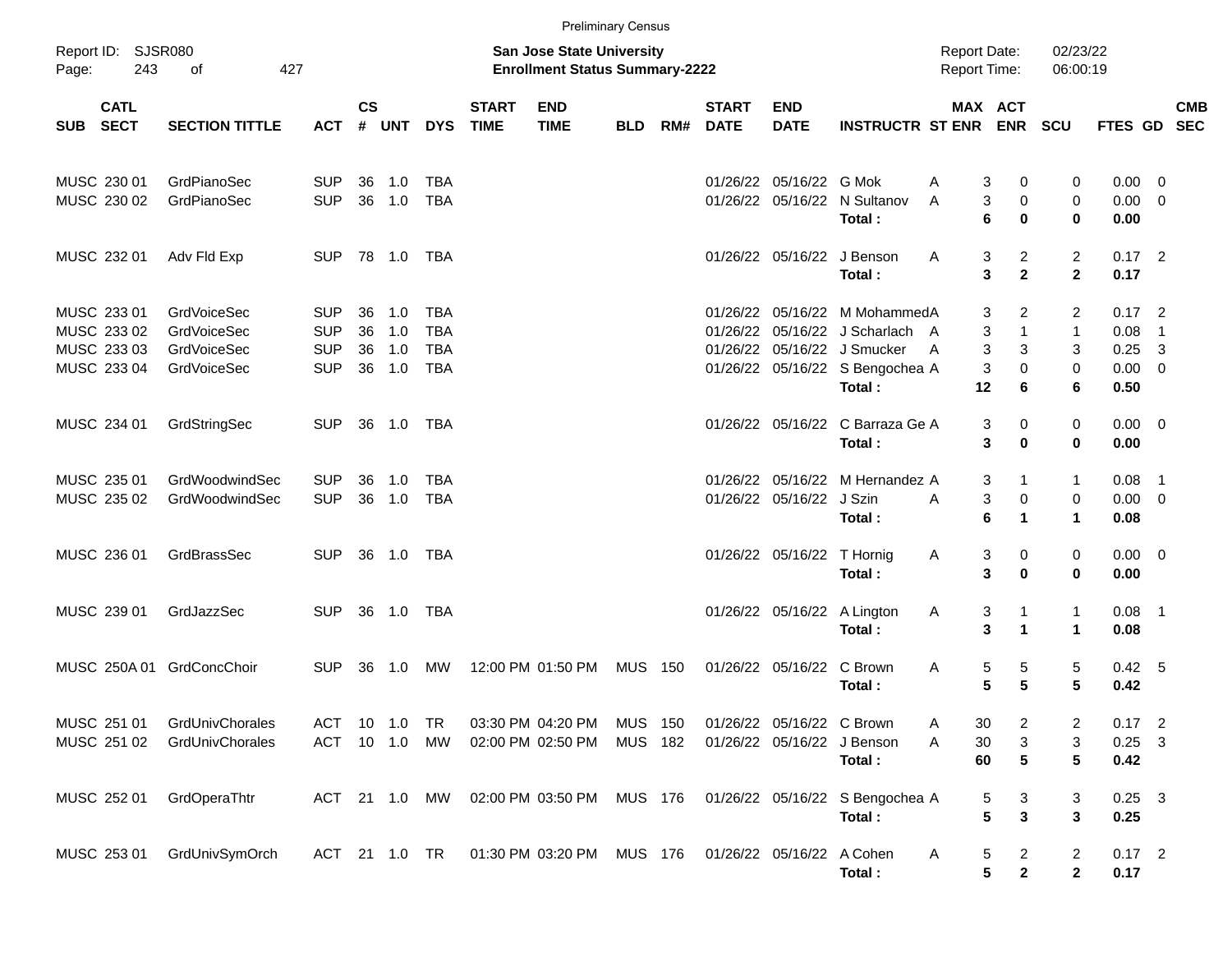|                                                          |                                                                 |                                                      |                      |                          |                                                      |                             | <b>Preliminary Census</b>                                                 |                                  |     |                             |                                               |                                                                                                                                              |                                     |                                               |                                             |                                      |                                                                   |            |
|----------------------------------------------------------|-----------------------------------------------------------------|------------------------------------------------------|----------------------|--------------------------|------------------------------------------------------|-----------------------------|---------------------------------------------------------------------------|----------------------------------|-----|-----------------------------|-----------------------------------------------|----------------------------------------------------------------------------------------------------------------------------------------------|-------------------------------------|-----------------------------------------------|---------------------------------------------|--------------------------------------|-------------------------------------------------------------------|------------|
| Report ID: SJSR080<br>Page:                              | 243<br>427<br>of                                                |                                                      |                      |                          |                                                      |                             | <b>San Jose State University</b><br><b>Enrollment Status Summary-2222</b> |                                  |     |                             |                                               |                                                                                                                                              | <b>Report Date:</b><br>Report Time: |                                               | 02/23/22<br>06:00:19                        |                                      |                                                                   |            |
| <b>CATL</b><br>SUB SECT                                  | <b>SECTION TITTLE</b>                                           | ACT                                                  | <b>CS</b><br>#       | <b>UNT</b>               | <b>DYS</b>                                           | <b>START</b><br><b>TIME</b> | <b>END</b><br><b>TIME</b>                                                 | <b>BLD</b>                       | RM# | <b>START</b><br><b>DATE</b> | <b>END</b><br><b>DATE</b>                     | <b>INSTRUCTR ST ENR ENR</b>                                                                                                                  | <b>MAX ACT</b>                      |                                               | <b>SCU</b>                                  | FTES GD SEC                          |                                                                   | <b>CMB</b> |
| MUSC 230 01<br>MUSC 230 02                               | GrdPianoSec<br>GrdPianoSec                                      | <b>SUP</b><br><b>SUP</b>                             | 36                   | 1.0<br>36 1.0            | <b>TBA</b><br><b>TBA</b>                             |                             |                                                                           |                                  |     |                             | 01/26/22 05/16/22 G Mok<br>01/26/22 05/16/22  | N Sultanov<br>Total:                                                                                                                         | A<br>3<br>3<br>A<br>6               | 0<br>0<br>0                                   | 0<br>$\mathbf 0$<br>$\bf{0}$                | 0.00<br>0.00<br>0.00                 | - 0<br>$\overline{0}$                                             |            |
| MUSC 232 01                                              | Adv Fld Exp                                                     | <b>SUP</b>                                           |                      | 78 1.0                   | TBA                                                  |                             |                                                                           |                                  |     |                             |                                               | 01/26/22 05/16/22 J Benson<br>Total:                                                                                                         | A<br>3<br>3                         | $\overline{2}$<br>$\mathbf{2}$                | $\overline{2}$<br>$\overline{2}$            | $0.17$ 2<br>0.17                     |                                                                   |            |
| MUSC 233 01<br>MUSC 233 02<br>MUSC 233 03<br>MUSC 233 04 | GrdVoiceSec<br><b>GrdVoiceSec</b><br>GrdVoiceSec<br>GrdVoiceSec | <b>SUP</b><br><b>SUP</b><br><b>SUP</b><br><b>SUP</b> | 36<br>36<br>36<br>36 | 1.0<br>1.0<br>1.0<br>1.0 | <b>TBA</b><br><b>TBA</b><br><b>TBA</b><br><b>TBA</b> |                             |                                                                           |                                  |     |                             |                                               | 01/26/22 05/16/22 M MohammedA<br>01/26/22 05/16/22 J Scharlach A<br>01/26/22 05/16/22 J Smucker<br>01/26/22 05/16/22 S Bengochea A<br>Total: | 3<br>3<br>3<br>A<br>3<br>12         | $\overline{2}$<br>$\mathbf{1}$<br>3<br>0<br>6 | 2<br>$\mathbf{1}$<br>3<br>$\mathbf 0$<br>6  | 0.17<br>0.08<br>0.25<br>0.00<br>0.50 | $\overline{\phantom{0}}$<br>$\overline{1}$<br>3<br>$\overline{0}$ |            |
| MUSC 234 01                                              | GrdStringSec                                                    | <b>SUP</b>                                           |                      | 36 1.0                   | <b>TBA</b>                                           |                             |                                                                           |                                  |     |                             |                                               | 01/26/22 05/16/22 C Barraza Ge A<br>Total:                                                                                                   | 3<br>3                              | 0<br>0                                        | $\mathbf 0$<br>$\mathbf 0$                  | $0.00 \quad 0$<br>0.00               |                                                                   |            |
| MUSC 235 01<br>MUSC 235 02                               | GrdWoodwindSec<br>GrdWoodwindSec                                | <b>SUP</b><br><b>SUP</b>                             | 36<br>36             | 1.0<br>1.0               | <b>TBA</b><br><b>TBA</b>                             |                             |                                                                           |                                  |     |                             | 01/26/22 05/16/22<br>01/26/22 05/16/22 J Szin | M Hernandez A<br>Total:                                                                                                                      | 3<br>3<br>A<br>6                    | 1<br>0<br>1                                   | $\mathbf{1}$<br>$\mathbf 0$<br>$\mathbf{1}$ | 0.08<br>$0.00 \t 0$<br>0.08          | $\overline{1}$                                                    |            |
| MUSC 236 01                                              | GrdBrassSec                                                     | <b>SUP</b>                                           |                      | 36 1.0                   | TBA                                                  |                             |                                                                           |                                  |     |                             | 01/26/22 05/16/22 T Hornig                    | Total:                                                                                                                                       | 3<br>Α<br>3                         | 0<br>0                                        | 0<br>$\bf{0}$                               | $0.00 \t 0$<br>0.00                  |                                                                   |            |
| MUSC 239 01                                              | GrdJazzSec                                                      | <b>SUP</b>                                           | 36                   | 1.0                      | TBA                                                  |                             |                                                                           |                                  |     |                             |                                               | 01/26/22 05/16/22 A Lington<br>Total:                                                                                                        | Α<br>3<br>3                         | 1<br>$\blacktriangleleft$                     | $\mathbf{1}$<br>$\mathbf{1}$                | 0.08<br>0.08                         | $\overline{\phantom{1}}$                                          |            |
| MUSC 250A 01                                             | GrdConcChoir                                                    | <b>SUP</b>                                           | 36                   | 1.0                      | MW                                                   |                             | 12:00 PM 01:50 PM                                                         | MUS                              | 150 |                             | 01/26/22 05/16/22                             | C Brown<br>Total:                                                                                                                            | A<br>5<br>5                         | 5<br>5                                        | 5<br>5                                      | 0.42 5<br>0.42                       |                                                                   |            |
| MUSC 251 01<br>MUSC 251 02                               | GrdUnivChorales<br>GrdUnivChorales                              | <b>ACT</b><br>ACT                                    |                      | $10$ $1.0$<br>10 1.0     | TR<br>МW                                             |                             | 03:30 PM 04:20 PM<br>02:00 PM 02:50 PM                                    | <b>MUS 150</b><br><b>MUS 182</b> |     |                             | 01/26/22 05/16/22 C Brown                     | 01/26/22 05/16/22 J Benson<br>Total:                                                                                                         | 30<br>$30\,$<br>Α<br>60             | $\overline{\mathbf{c}}$<br>3<br>5             | 2<br>3<br>5                                 | $0.17$ 2<br>$0.25$ 3<br>0.42         |                                                                   |            |
| MUSC 252 01                                              | GrdOperaThtr                                                    |                                                      |                      | ACT 21 1.0 MW            |                                                      |                             | 02:00 PM 03:50 PM                                                         | MUS 176                          |     |                             |                                               | 01/26/22 05/16/22 S Bengochea A<br>Total:                                                                                                    | 5<br>5                              | 3<br>3                                        | 3<br>3                                      | $0.25$ 3<br>0.25                     |                                                                   |            |
| MUSC 253 01                                              | GrdUnivSymOrch                                                  |                                                      |                      | ACT 21 1.0 TR            |                                                      |                             | 01:30 PM 03:20 PM                                                         | MUS 176                          |     |                             | 01/26/22 05/16/22 A Cohen                     | Total:                                                                                                                                       | A<br>5<br>5                         | $\overline{\mathbf{c}}$<br>$\mathbf 2$        | $\overline{c}$<br>$\mathbf{2}$              | $0.17$ 2<br>0.17                     |                                                                   |            |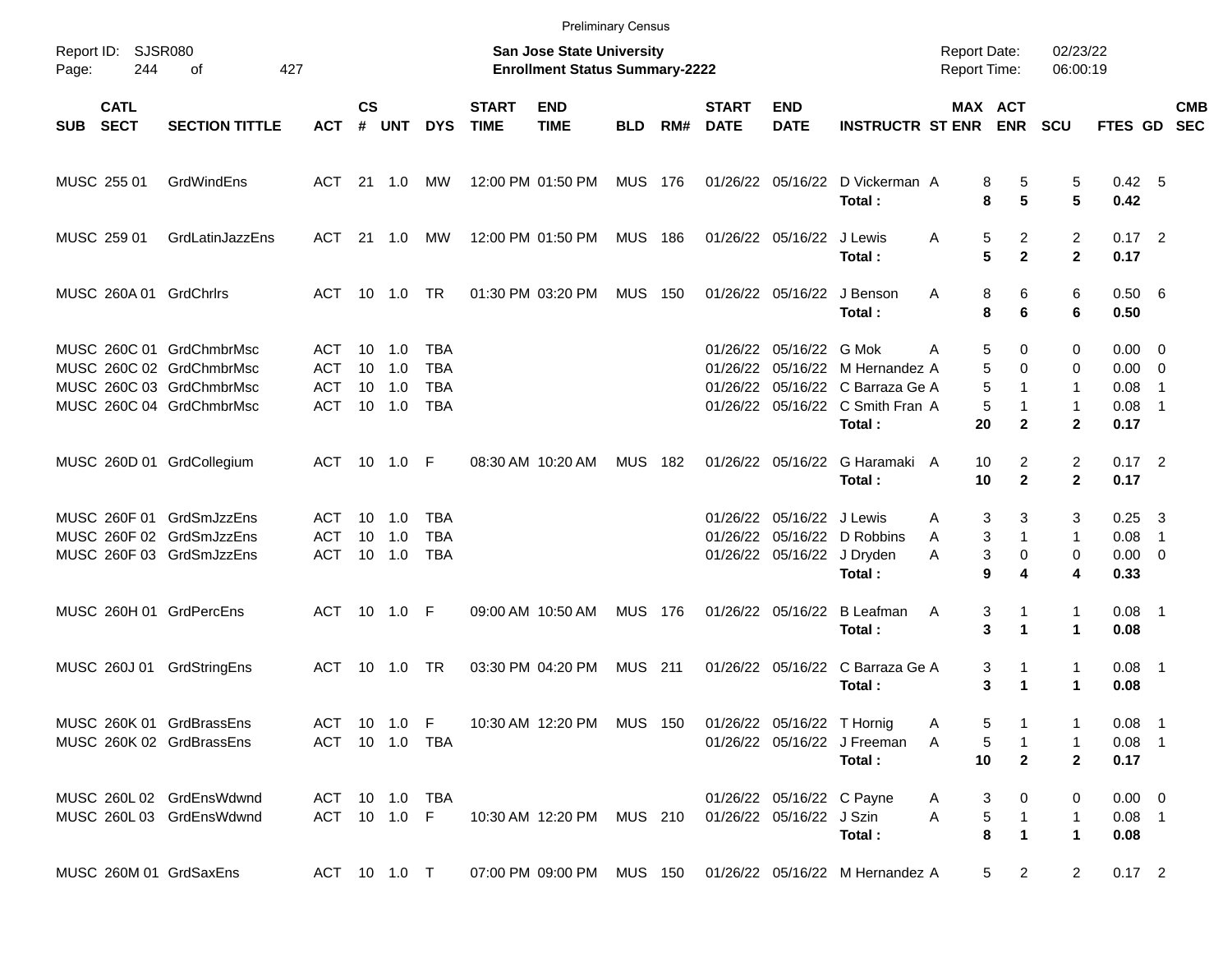|       | <b>Preliminary Census</b><br>Report ID: SJSR080<br>San Jose State University<br>02/23/22<br><b>Report Date:</b> |                                                                                                              |                                 |                    |                                         |                                               |                             |                                       |                |     |                             |                                                         |                                                                                                 |                                 |                                                      |                                             |                                                       |                                                     |            |
|-------|-----------------------------------------------------------------------------------------------------------------|--------------------------------------------------------------------------------------------------------------|---------------------------------|--------------------|-----------------------------------------|-----------------------------------------------|-----------------------------|---------------------------------------|----------------|-----|-----------------------------|---------------------------------------------------------|-------------------------------------------------------------------------------------------------|---------------------------------|------------------------------------------------------|---------------------------------------------|-------------------------------------------------------|-----------------------------------------------------|------------|
| Page: | 244                                                                                                             | 427<br>оf                                                                                                    |                                 |                    |                                         |                                               |                             | <b>Enrollment Status Summary-2222</b> |                |     |                             |                                                         |                                                                                                 | <b>Report Time:</b>             |                                                      | 06:00:19                                    |                                                       |                                                     |            |
|       | <b>CATL</b><br>SUB SECT                                                                                         | <b>SECTION TITTLE</b>                                                                                        | <b>ACT</b>                      | $\mathsf{cs}$<br># | <b>UNT</b>                              | <b>DYS</b>                                    | <b>START</b><br><b>TIME</b> | <b>END</b><br><b>TIME</b>             | <b>BLD</b>     | RM# | <b>START</b><br><b>DATE</b> | <b>END</b><br><b>DATE</b>                               | <b>INSTRUCTR ST ENR</b>                                                                         |                                 | MAX ACT<br><b>ENR</b>                                | <b>SCU</b>                                  | FTES GD SEC                                           |                                                     | <b>CMB</b> |
|       | MUSC 255 01                                                                                                     | GrdWindEns                                                                                                   | ACT 21 1.0                      |                    |                                         | МW                                            |                             | 12:00 PM 01:50 PM                     | <b>MUS 176</b> |     |                             | 01/26/22 05/16/22                                       | D Vickerman A<br>Total:                                                                         | 8<br>8                          | 5<br>5                                               | 5<br>5                                      | 0.42 5<br>0.42                                        |                                                     |            |
|       | MUSC 259 01                                                                                                     | GrdLatinJazzEns                                                                                              | ACT 21 1.0                      |                    |                                         | МW                                            |                             | 12:00 PM 01:50 PM                     | <b>MUS 186</b> |     |                             | 01/26/22 05/16/22                                       | J Lewis<br>Total:                                                                               | A<br>5<br>5                     | $\overline{2}$<br>$\overline{2}$                     | $\overline{2}$<br>$\mathbf{2}$              | $0.17$ 2<br>0.17                                      |                                                     |            |
|       |                                                                                                                 | MUSC 260A 01 GrdChrlrs                                                                                       |                                 |                    | ACT 10 1.0 TR                           |                                               |                             | 01:30 PM 03:20 PM                     | <b>MUS</b>     | 150 |                             | 01/26/22 05/16/22                                       | J Benson<br>Total:                                                                              | A<br>8<br>8                     | 6<br>6                                               | 6<br>6                                      | 0.50 6<br>0.50                                        |                                                     |            |
|       |                                                                                                                 | MUSC 260C 01 GrdChmbrMsc<br>MUSC 260C 02 GrdChmbrMsc<br>MUSC 260C 03 GrdChmbrMsc<br>MUSC 260C 04 GrdChmbrMsc | ACT<br>ACT<br>ACT<br><b>ACT</b> | 10<br>10           | $10 \quad 1.0$<br>1.0<br>1.0<br>10  1.0 | TBA<br><b>TBA</b><br><b>TBA</b><br><b>TBA</b> |                             |                                       |                |     | 01/26/22<br>01/26/22        | 01/26/22 05/16/22 G Mok                                 | 05/16/22 M Hernandez A<br>05/16/22 C Barraza Ge A<br>01/26/22 05/16/22 C Smith Fran A<br>Total: | 5<br>А<br>5<br>5<br>5<br>20     | $\Omega$<br>$\Omega$<br>1<br>1<br>$\mathbf{2}$       | 0<br>0<br>1<br>$\mathbf{1}$<br>$\mathbf{2}$ | $0.00 \quad 0$<br>$0.00 \t 0$<br>0.08<br>0.08<br>0.17 | $\overline{\mathbf{1}}$<br>- 1                      |            |
|       |                                                                                                                 | MUSC 260D 01 GrdCollegium                                                                                    | ACT 10 1.0 F                    |                    |                                         |                                               |                             | 08:30 AM 10:20 AM                     | <b>MUS</b>     | 182 |                             | 01/26/22 05/16/22                                       | G Haramaki A<br>Total:                                                                          | 10<br>10                        | $\overline{2}$<br>$\overline{2}$                     | $\overline{2}$<br>$\mathbf{2}$              | $0.17$ 2<br>0.17                                      |                                                     |            |
|       |                                                                                                                 | MUSC 260F 01 GrdSmJzzEns<br>MUSC 260F 02 GrdSmJzzEns<br>MUSC 260F 03 GrdSmJzzEns                             | ACT<br>ACT<br>ACT               | 10                 | 10 1.0<br>1.0                           | TBA<br><b>TBA</b><br><b>TBA</b>               |                             |                                       |                |     | 01/26/22                    | 01/26/22 05/16/22 J Lewis<br>01/26/22 05/16/22 J Dryden | 05/16/22 D Robbins<br>Total:                                                                    | A<br>A<br>A<br>9                | 3<br>3<br>3<br>$\mathbf{1}$<br>3<br>$\mathbf 0$<br>4 | 3<br>$\mathbf{1}$<br>$\mathbf 0$<br>4       | 0.25<br>0.08<br>$0.00 \t 0$<br>0.33                   | $\overline{\mathbf{3}}$<br>$\overline{\phantom{1}}$ |            |
|       |                                                                                                                 | MUSC 260H 01 GrdPercEns                                                                                      |                                 |                    | ACT 10 1.0 F                            |                                               |                             | 09:00 AM 10:50 AM                     | <b>MUS 176</b> |     |                             | 01/26/22 05/16/22                                       | <b>B</b> Leafman<br>Total:                                                                      | Α                               | 3<br>1<br>3<br>$\mathbf{1}$                          | $\mathbf{1}$<br>1                           | $0.08$ 1<br>0.08                                      |                                                     |            |
|       | MUSC 260J 01                                                                                                    | GrdStringEns                                                                                                 | ACT 10 1.0 TR                   |                    |                                         |                                               |                             | 03:30 PM 04:20 PM                     | <b>MUS</b> 211 |     |                             | 01/26/22 05/16/22                                       | C Barraza Ge A<br>Total:                                                                        | 3                               | 3<br>1<br>1                                          | $\mathbf{1}$<br>$\blacktriangleleft$        | $0.08$ 1<br>0.08                                      |                                                     |            |
|       |                                                                                                                 | MUSC 260K 01 GrdBrassEns<br>MUSC 260K 02 GrdBrassEns                                                         |                                 |                    |                                         | ACT 10 1.0 F<br>ACT 10 1.0 TBA                |                             | 10:30 AM 12:20 PM MUS 150             |                |     |                             | 01/26/22 05/16/22 T Hornig                              | 01/26/22 05/16/22 J Freeman<br>Total:                                                           | 5<br>A<br>5<br>A<br>10          | 1<br>$\mathbf{2}$                                    | 1<br>$\mathbf{2}$                           | $0.08$ 1<br>$0.08$ 1<br>0.17                          |                                                     |            |
|       |                                                                                                                 | MUSC 260L 02 GrdEnsWdwnd<br>MUSC 260L 03 GrdEnsWdwnd                                                         | ACT 10 1.0 F                    |                    |                                         | ACT 10 1.0 TBA                                |                             | 10:30 AM_12:20 PM                     | MUS 210        |     |                             | 01/26/22 05/16/22 C Payne<br>01/26/22 05/16/22 J Szin   | Total:                                                                                          | 3<br>A<br>$\,$ 5 $\,$<br>A<br>8 | 0<br>$\mathbf{1}$<br>$\mathbf 1$                     | 0<br>1<br>$\mathbf{1}$                      | $0.00 \t 0$<br>$0.08$ 1<br>0.08                       |                                                     |            |
|       |                                                                                                                 | MUSC 260M 01 GrdSaxEns                                                                                       | ACT 10 1.0 T                    |                    |                                         |                                               |                             |                                       |                |     |                             |                                                         | 07:00 PM 09:00 PM MUS 150 01/26/22 05/16/22 M Hernandez A                                       |                                 | 5 <sub>5</sub><br>$\overline{2}$                     | $\overline{2}$                              | $0.17$ 2                                              |                                                     |            |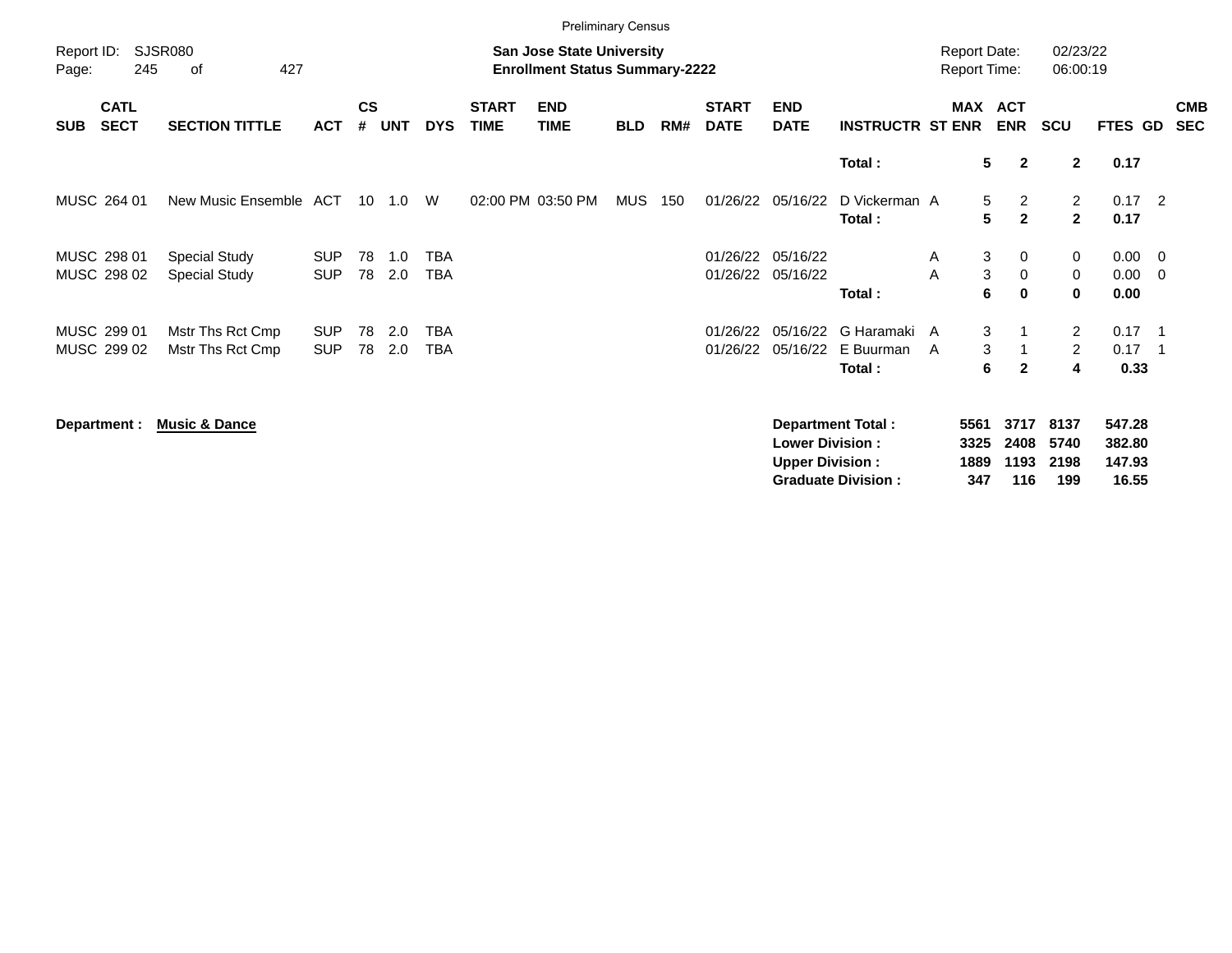|                     | <b>Preliminary Census</b>  |                                              |                          |                    |            |                          |                             |                                                                           |            |     |                             |                                                  |                                                       |                                            |             |                                  |                                       |                                     |                         |                          |
|---------------------|----------------------------|----------------------------------------------|--------------------------|--------------------|------------|--------------------------|-----------------------------|---------------------------------------------------------------------------|------------|-----|-----------------------------|--------------------------------------------------|-------------------------------------------------------|--------------------------------------------|-------------|----------------------------------|---------------------------------------|-------------------------------------|-------------------------|--------------------------|
| Report ID:<br>Page: | 245                        | SJSR080<br>427<br>of                         |                          |                    |            |                          |                             | <b>San Jose State University</b><br><b>Enrollment Status Summary-2222</b> |            |     |                             |                                                  |                                                       | <b>Report Date:</b><br><b>Report Time:</b> |             |                                  | 02/23/22<br>06:00:19                  |                                     |                         |                          |
| <b>SUB</b>          | <b>CATL</b><br><b>SECT</b> | <b>SECTION TITTLE</b>                        | <b>ACT</b>               | $\mathsf{cs}$<br># | <b>UNT</b> | <b>DYS</b>               | <b>START</b><br><b>TIME</b> | <b>END</b><br><b>TIME</b>                                                 | <b>BLD</b> | RM# | <b>START</b><br><b>DATE</b> | <b>END</b><br><b>DATE</b>                        | <b>INSTRUCTR ST ENR</b>                               | MAX ACT                                    |             | <b>ENR</b>                       | <b>SCU</b>                            | FTES GD                             |                         | <b>CMB</b><br><b>SEC</b> |
|                     |                            |                                              |                          |                    |            |                          |                             |                                                                           |            |     |                             |                                                  | Total:                                                |                                            | 5           | $\overline{2}$                   | $\mathbf{2}$                          | 0.17                                |                         |                          |
|                     | MUSC 264 01                | New Music Ensemble ACT                       |                          |                    | 10 1.0     | W                        |                             | 02:00 PM 03:50 PM                                                         | <b>MUS</b> | 150 | 01/26/22                    | 05/16/22                                         | D Vickerman A<br>Total:                               |                                            | 5<br>5      | $\overline{2}$<br>$\overline{2}$ | $\overline{2}$<br>$\overline{2}$      | $0.17$ 2<br>0.17                    |                         |                          |
|                     | MUSC 298 01<br>MUSC 298 02 | <b>Special Study</b><br><b>Special Study</b> | <b>SUP</b><br><b>SUP</b> | 78<br>78           | 1.0<br>2.0 | <b>TBA</b><br><b>TBA</b> |                             |                                                                           |            |     |                             | 01/26/22 05/16/22<br>01/26/22 05/16/22           | Total:                                                | A<br>A                                     | 3<br>3<br>6 | 0<br>0<br>0                      | 0<br>0<br>$\mathbf 0$                 | $0.00 \t 0$<br>0.00<br>0.00         | $\overline{\mathbf{0}}$ |                          |
|                     | MUSC 299 01<br>MUSC 299 02 | Mstr Ths Rct Cmp<br>Mstr Ths Rct Cmp         | <b>SUP</b><br><b>SUP</b> | 78<br>78           | 2.0<br>2.0 | <b>TBA</b><br><b>TBA</b> |                             |                                                                           |            |     | 01/26/22<br>01/26/22        | 05/16/22<br>05/16/22                             | G Haramaki<br>E Buurman<br>Total:                     | A<br>A                                     | 3<br>3<br>6 | $\mathbf{2}$                     | $\overline{2}$<br>$\overline{2}$<br>4 | $0.17$ 1<br>$0.17$ 1<br>0.33        |                         |                          |
|                     | Department :               | <b>Music &amp; Dance</b>                     |                          |                    |            |                          |                             |                                                                           |            |     |                             | <b>Lower Division:</b><br><b>Upper Division:</b> | <b>Department Total:</b><br><b>Graduate Division:</b> | 5561<br>3325<br>1889                       | 347         | 3717<br>2408<br>1193<br>116      | 8137<br>5740<br>2198<br>199           | 547.28<br>382.80<br>147.93<br>16.55 |                         |                          |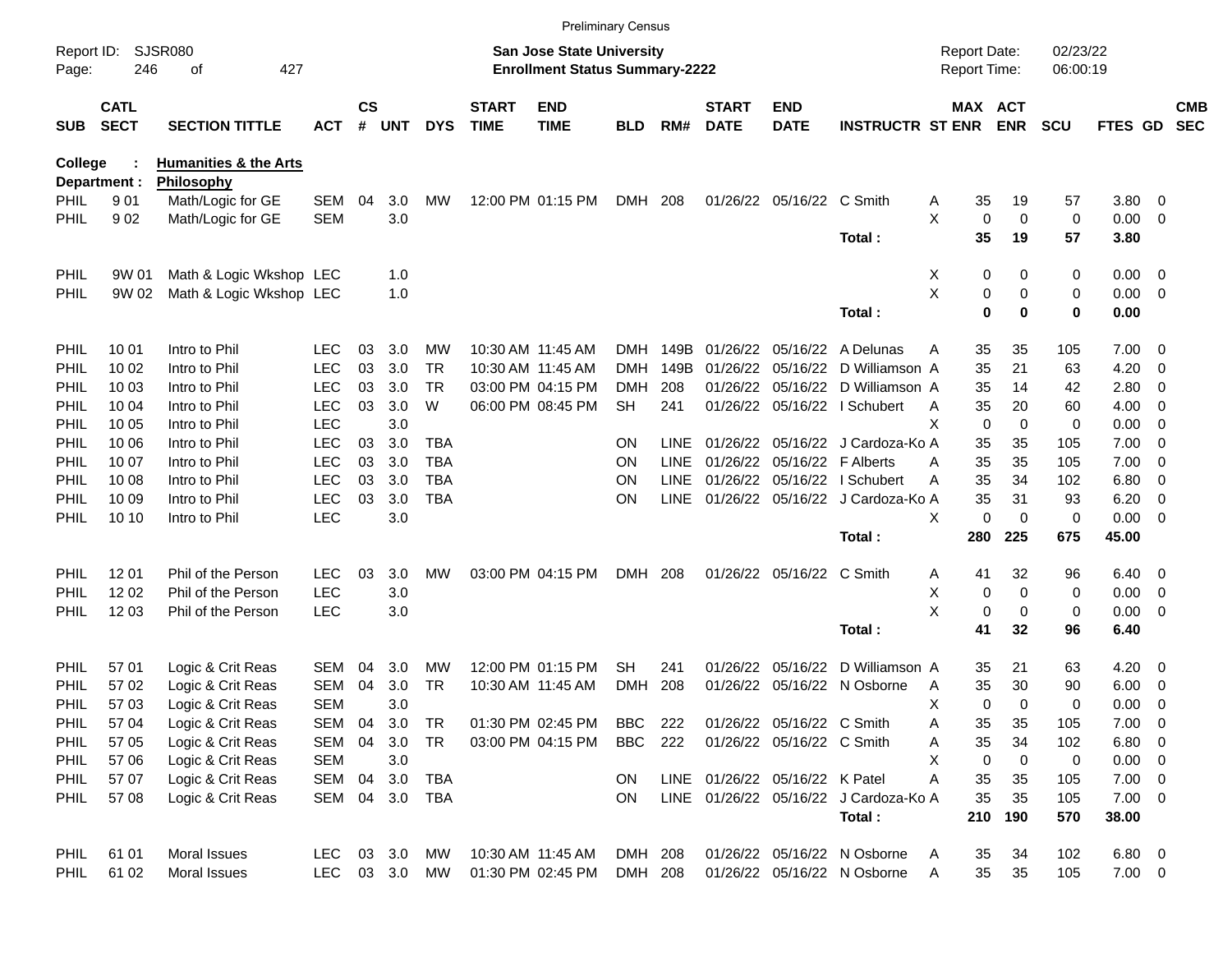| <b>Preliminary Census</b><br>SJSR080<br>02/23/22<br>Report ID:<br><b>San Jose State University</b><br><b>Report Date:</b> |                            |                                  |                   |                |            |            |                             |                                       |                |             |                             |                                |                                       |                     |                   |            |              |                                                      |                          |
|---------------------------------------------------------------------------------------------------------------------------|----------------------------|----------------------------------|-------------------|----------------|------------|------------|-----------------------------|---------------------------------------|----------------|-------------|-----------------------------|--------------------------------|---------------------------------------|---------------------|-------------------|------------|--------------|------------------------------------------------------|--------------------------|
| Page:                                                                                                                     | 246                        | 427<br>οf                        |                   |                |            |            |                             | <b>Enrollment Status Summary-2222</b> |                |             |                             |                                |                                       | <b>Report Time:</b> |                   | 06:00:19   |              |                                                      |                          |
| <b>SUB</b>                                                                                                                | <b>CATL</b><br><b>SECT</b> | <b>SECTION TITTLE</b>            | <b>ACT</b>        | <b>CS</b><br># | <b>UNT</b> | <b>DYS</b> | <b>START</b><br><b>TIME</b> | <b>END</b><br><b>TIME</b>             | <b>BLD</b>     | RM#         | <b>START</b><br><b>DATE</b> | <b>END</b><br><b>DATE</b>      | <b>INSTRUCTR ST ENR ENR</b>           | MAX ACT             |                   | <b>SCU</b> | FTES GD      |                                                      | <b>CMB</b><br><b>SEC</b> |
| <b>College</b>                                                                                                            |                            | <b>Humanities &amp; the Arts</b> |                   |                |            |            |                             |                                       |                |             |                             |                                |                                       |                     |                   |            |              |                                                      |                          |
|                                                                                                                           | Department :               | <b>Philosophy</b>                |                   |                |            |            |                             | 12:00 PM 01:15 PM                     |                |             |                             | 01/26/22 05/16/22 C Smith      |                                       |                     |                   |            |              |                                                      |                          |
| <b>PHIL</b><br><b>PHIL</b>                                                                                                | 901<br>902                 | Math/Logic for GE                | SEM<br><b>SEM</b> | 04             | 3.0<br>3.0 | МW         |                             |                                       | DMH 208        |             |                             |                                |                                       | 35<br>Α<br>X<br>0   | 19<br>$\mathbf 0$ | 57<br>0    | 3.80<br>0.00 | $\overline{\phantom{0}}$<br>$\overline{\phantom{0}}$ |                          |
|                                                                                                                           |                            | Math/Logic for GE                |                   |                |            |            |                             |                                       |                |             |                             |                                | Total:                                | 35                  | 19                | 57         | 3.80         |                                                      |                          |
| PHIL                                                                                                                      | 9W 01                      | Math & Logic Wkshop LEC          |                   |                | 1.0        |            |                             |                                       |                |             |                             |                                |                                       | X<br>0              | 0                 | 0          | $0.00 \t 0$  |                                                      |                          |
| PHIL                                                                                                                      | 9W 02                      | Math & Logic Wkshop LEC          |                   |                | 1.0        |            |                             |                                       |                |             |                             |                                |                                       | X<br>0              | 0                 | 0          | 0.00         | $\overline{\phantom{0}}$                             |                          |
|                                                                                                                           |                            |                                  |                   |                |            |            |                             |                                       |                |             |                             |                                | Total:                                | 0                   | 0                 | 0          | 0.00         |                                                      |                          |
| PHIL                                                                                                                      | 10 01                      | Intro to Phil                    | LEC               | 03             | 3.0        | МW         |                             | 10:30 AM 11:45 AM                     | <b>DMH</b>     | 149B        |                             |                                | 01/26/22 05/16/22 A Delunas           | 35<br>Α             | 35                | 105        | 7.00         | $\overline{\phantom{0}}$                             |                          |
| PHIL                                                                                                                      | 10 02                      | Intro to Phil                    | <b>LEC</b>        | 03             | 3.0        | TR         |                             | 10:30 AM 11:45 AM                     | <b>DMH</b>     | 149B        |                             | 01/26/22 05/16/22              | D Williamson A                        | 35                  | 21                | 63         | 4.20         | $\overline{\mathbf{0}}$                              |                          |
| PHIL                                                                                                                      | 10 03                      | Intro to Phil                    | <b>LEC</b>        | 03             | 3.0        | TR         |                             | 03:00 PM 04:15 PM                     | <b>DMH</b>     | 208         |                             | 01/26/22 05/16/22              | D Williamson A                        | 35                  | 14                | 42         | 2.80         | $\overline{\mathbf{0}}$                              |                          |
| PHIL                                                                                                                      | 10 04                      | Intro to Phil                    | <b>LEC</b>        | 03             | 3.0        | W          |                             | 06:00 PM 08:45 PM                     | <b>SH</b>      | 241         |                             |                                | 01/26/22 05/16/22   Schubert          | 35<br>A             | 20                | 60         | 4.00         | $\overline{\mathbf{0}}$                              |                          |
| PHIL                                                                                                                      | 10 05                      | Intro to Phil                    | <b>LEC</b>        |                | 3.0        |            |                             |                                       |                |             |                             |                                |                                       | X<br>0              | $\mathbf 0$       | 0          | 0.00         | $\overline{\mathbf{0}}$                              |                          |
| PHIL                                                                                                                      | 10 06                      | Intro to Phil                    | <b>LEC</b>        | 03             | 3.0        | <b>TBA</b> |                             |                                       | <b>ON</b>      | LINE        |                             |                                | 01/26/22 05/16/22 J Cardoza-Ko A      | 35                  | 35                | 105        | 7.00         | $\overline{\mathbf{0}}$                              |                          |
| PHIL                                                                                                                      | 10 07                      | Intro to Phil                    | <b>LEC</b>        | 03             | 3.0        | <b>TBA</b> |                             |                                       | <b>ON</b>      | <b>LINE</b> |                             | 01/26/22 05/16/22 F Alberts    |                                       | 35<br>Α             | 35                | 105        | 7.00         | $\overline{\mathbf{0}}$                              |                          |
| PHIL                                                                                                                      | 10 08                      | Intro to Phil                    | <b>LEC</b>        | 03             | 3.0        | <b>TBA</b> |                             |                                       | <b>ON</b>      | <b>LINE</b> |                             |                                | 01/26/22 05/16/22   Schubert          | 35<br>Α             | 34                | 102        | 6.80         | $\overline{\mathbf{0}}$                              |                          |
| PHIL                                                                                                                      | 10 09                      | Intro to Phil                    | <b>LEC</b>        | 03             | 3.0        | <b>TBA</b> |                             |                                       | <b>ON</b>      | <b>LINE</b> |                             |                                | 01/26/22 05/16/22 J Cardoza-Ko A      | 35                  | 31                | 93         | 6.20         | 0                                                    |                          |
| <b>PHIL</b>                                                                                                               | 10 10                      | Intro to Phil                    | <b>LEC</b>        |                | 3.0        |            |                             |                                       |                |             |                             |                                |                                       | 0<br>X              | $\mathbf 0$       | 0          | 0.00         | $\overline{\mathbf{0}}$                              |                          |
|                                                                                                                           |                            |                                  |                   |                |            |            |                             |                                       |                |             |                             |                                | Total:                                | 280                 | 225               | 675        | 45.00        |                                                      |                          |
| PHIL                                                                                                                      | 12 01                      | Phil of the Person               | <b>LEC</b>        | 03             | 3.0        | МW         |                             | 03:00 PM 04:15 PM                     | DMH 208        |             |                             | 01/26/22 05/16/22 C Smith      |                                       | 41<br>Α             | 32                | 96         | 6.40         | $\overline{\phantom{0}}$                             |                          |
| PHIL                                                                                                                      | 12 02                      | Phil of the Person               | <b>LEC</b>        |                | 3.0        |            |                             |                                       |                |             |                             |                                |                                       | X<br>0              | 0                 | 0          | 0.00         | $\overline{\phantom{0}}$                             |                          |
| <b>PHIL</b>                                                                                                               | 12 03                      | Phil of the Person               | <b>LEC</b>        |                | 3.0        |            |                             |                                       |                |             |                             |                                |                                       | X<br>0              | $\mathbf 0$       | 0          | 0.00         | $\overline{\phantom{0}}$                             |                          |
|                                                                                                                           |                            |                                  |                   |                |            |            |                             |                                       |                |             |                             |                                | Total:                                | 41                  | 32                | 96         | 6.40         |                                                      |                          |
| PHIL                                                                                                                      | 57 01                      | Logic & Crit Reas                | SEM               | 04             | 3.0        | МW         |                             | 12:00 PM 01:15 PM                     | <b>SH</b>      | 241         |                             | 01/26/22 05/16/22              | D Williamson A                        | 35                  | 21                | 63         | 4.20         | $\overline{\phantom{0}}$                             |                          |
| PHIL                                                                                                                      | 57 02                      | Logic & Crit Reas                | SEM               | 04             | 3.0        | TR         |                             | 10:30 AM 11:45 AM                     | <b>DMH</b>     | 208         |                             |                                | 01/26/22 05/16/22 N Osborne           | 35<br>Α             | 30                | 90         | 6.00         | $\overline{\phantom{0}}$                             |                          |
| PHIL                                                                                                                      | 57 03                      | Logic & Crit Reas                | <b>SEM</b>        |                | 3.0        |            |                             |                                       |                |             |                             |                                |                                       | X<br>0              | $\Omega$          | 0          | 0.00         | - 0                                                  |                          |
| PHIL                                                                                                                      | 57 04                      | Logic & Crit Reas                | SEM               | 04             | 3.0        | <b>TR</b>  |                             | 01:30 PM 02:45 PM                     | BBC            | 222         |                             | 01/26/22 05/16/22 C Smith      |                                       | 35<br>A             | 35                | 105        | 7.00         | $\overline{\phantom{0}}$                             |                          |
| <b>PHIL</b>                                                                                                               | 57 05                      | Logic & Crit Reas                | SEM               | 04             | 3.0        | <b>TR</b>  |                             | 03:00 PM 04:15 PM                     | <b>BBC</b> 222 |             |                             | 01/26/22 05/16/22 C Smith      |                                       | 35<br>Α             | 34                | 102        | $6.80$ 0     |                                                      |                          |
| <b>PHIL</b>                                                                                                               | 57 06                      | Logic & Crit Reas                | <b>SEM</b>        |                | 3.0        |            |                             |                                       |                |             |                             |                                |                                       | X<br>0              | $\mathbf 0$       | 0          | $0.00 \t 0$  |                                                      |                          |
| <b>PHIL</b>                                                                                                               | 57 07                      | Logic & Crit Reas                | SEM               | 04             | 3.0        | <b>TBA</b> |                             |                                       | ON             |             |                             | LINE 01/26/22 05/16/22 K Patel |                                       | Α<br>35             | 35                | 105        | $7.00 \t 0$  |                                                      |                          |
| <b>PHIL</b>                                                                                                               | 57 08                      | Logic & Crit Reas                | SEM               |                | 04 3.0     | TBA        |                             |                                       | ON             |             |                             |                                | LINE 01/26/22 05/16/22 J Cardoza-Ko A | 35                  | 35                | 105        | $7.00 \t 0$  |                                                      |                          |
|                                                                                                                           |                            |                                  |                   |                |            |            |                             |                                       |                |             |                             |                                | Total:                                | 210                 | 190               | 570        | 38.00        |                                                      |                          |
| <b>PHIL</b>                                                                                                               | 61 01                      | Moral Issues                     | LEC               |                | 03 3.0     | MW         |                             | 10:30 AM 11:45 AM                     | DMH 208        |             |                             |                                | 01/26/22 05/16/22 N Osborne           | 35<br>A             | 34                | 102        | $6.80$ 0     |                                                      |                          |
| <b>PHIL</b>                                                                                                               | 61 02                      | Moral Issues                     | LEC 03 3.0 MW     |                |            |            |                             | 01:30 PM 02:45 PM                     | DMH 208        |             |                             |                                | 01/26/22 05/16/22 N Osborne           | 35<br>A             | 35                | 105        | $7.00 \t 0$  |                                                      |                          |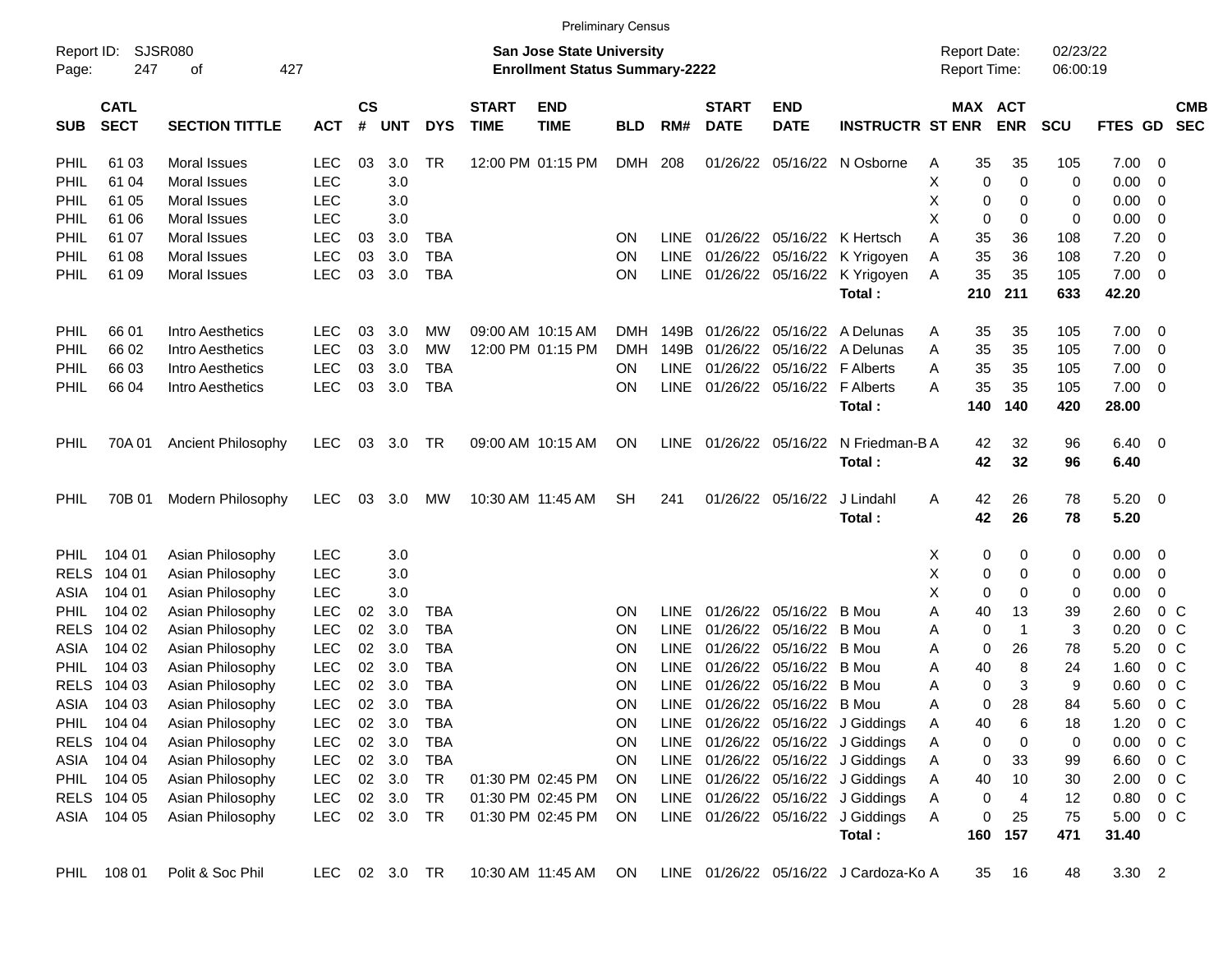|                                                                                                                                                                        | <b>Preliminary Census</b><br>02/23/22 |                       |               |                |            |            |                             |                           |            |             |                             |                           |                                       |          |         |            |             |         |                         |                          |
|------------------------------------------------------------------------------------------------------------------------------------------------------------------------|---------------------------------------|-----------------------|---------------|----------------|------------|------------|-----------------------------|---------------------------|------------|-------------|-----------------------------|---------------------------|---------------------------------------|----------|---------|------------|-------------|---------|-------------------------|--------------------------|
| SJSR080<br><b>San Jose State University</b><br>Report ID:<br><b>Report Date:</b><br>247<br>427<br><b>Enrollment Status Summary-2222</b><br>Report Time:<br>Page:<br>οf |                                       |                       |               |                |            |            |                             |                           |            |             |                             |                           |                                       | 06:00:19 |         |            |             |         |                         |                          |
| <b>SUB</b>                                                                                                                                                             | <b>CATL</b><br><b>SECT</b>            | <b>SECTION TITTLE</b> | <b>ACT</b>    | <b>CS</b><br># | <b>UNT</b> | <b>DYS</b> | <b>START</b><br><b>TIME</b> | <b>END</b><br><b>TIME</b> | <b>BLD</b> | RM#         | <b>START</b><br><b>DATE</b> | <b>END</b><br><b>DATE</b> | <b>INSTRUCTR ST ENR</b>               |          | MAX ACT | <b>ENR</b> | <b>SCU</b>  | FTES GD |                         | <b>CMB</b><br><b>SEC</b> |
| PHIL                                                                                                                                                                   | 61 03                                 | Moral Issues          | <b>LEC</b>    | 03             | 3.0        | TR         |                             | 12:00 PM 01:15 PM         | <b>DMH</b> | 208         | 01/26/22                    | 05/16/22                  | N Osborne                             | Α        | 35      | 35         | 105         | 7.00    | $\overline{\mathbf{0}}$ |                          |
| PHIL                                                                                                                                                                   | 61 04                                 | Moral Issues          | <b>LEC</b>    |                | 3.0        |            |                             |                           |            |             |                             |                           |                                       | X        | 0       | 0          | 0           | 0.00    | 0                       |                          |
| PHIL                                                                                                                                                                   | 61 05                                 | Moral Issues          | <b>LEC</b>    |                | 3.0        |            |                             |                           |            |             |                             |                           |                                       | Χ        | 0       | 0          | 0           | 0.00    | 0                       |                          |
| PHIL                                                                                                                                                                   | 61 06                                 | Moral Issues          | <b>LEC</b>    |                | 3.0        |            |                             |                           |            |             |                             |                           |                                       | X        | 0       | 0          | $\mathbf 0$ | 0.00    | 0                       |                          |
| PHIL                                                                                                                                                                   | 61 07                                 | Moral Issues          | <b>LEC</b>    | 03             | 3.0        | <b>TBA</b> |                             |                           | ON         | <b>LINE</b> |                             | 01/26/22 05/16/22         | K Hertsch                             | Α        | 35      | 36         | 108         | 7.20    | 0                       |                          |
| PHIL                                                                                                                                                                   | 61 08                                 | Moral Issues          | <b>LEC</b>    | 03             | 3.0        | <b>TBA</b> |                             |                           | ΟN         | <b>LINE</b> | 01/26/22                    | 05/16/22                  | K Yrigoyen                            | Α        | 35      | 36         | 108         | 7.20    | 0                       |                          |
| PHIL                                                                                                                                                                   | 61 09                                 | Moral Issues          | <b>LEC</b>    | 03             | 3.0        | <b>TBA</b> |                             |                           | ΟN         | <b>LINE</b> |                             | 01/26/22 05/16/22         | K Yrigoyen                            | Α        | 35      | 35         | 105         | 7.00    | $\mathbf 0$             |                          |
|                                                                                                                                                                        |                                       |                       |               |                |            |            |                             |                           |            |             |                             |                           | Total:                                |          | 210     | 211        | 633         | 42.20   |                         |                          |
| <b>PHIL</b>                                                                                                                                                            | 66 01                                 | Intro Aesthetics      | <b>LEC</b>    | 03             | 3.0        | МW         |                             | 09:00 AM 10:15 AM         | <b>DMH</b> | 149B        | 01/26/22                    | 05/16/22                  | A Delunas                             | Α        | 35      | 35         | 105         | 7.00    | 0                       |                          |
| PHIL                                                                                                                                                                   | 66 02                                 | Intro Aesthetics      | <b>LEC</b>    | 03             | 3.0        | MW         |                             | 12:00 PM 01:15 PM         | <b>DMH</b> | 149B        | 01/26/22                    | 05/16/22                  | A Delunas                             | Α        | 35      | 35         | 105         | 7.00    | $\mathbf 0$             |                          |
| PHIL                                                                                                                                                                   | 66 03                                 | Intro Aesthetics      | <b>LEC</b>    | 03             | 3.0        | <b>TBA</b> |                             |                           | ΟN         | <b>LINE</b> | 01/26/22                    | 05/16/22                  | <b>F</b> Alberts                      | Α        | 35      | 35         | 105         | 7.00    | $\mathbf 0$             |                          |
| PHIL                                                                                                                                                                   | 66 04                                 | Intro Aesthetics      | <b>LEC</b>    | 03             | 3.0        | <b>TBA</b> |                             |                           | ΟN         | <b>LINE</b> |                             | 01/26/22 05/16/22         | <b>F</b> Alberts                      | Α        | 35      | 35         | 105         | 7.00    | $\overline{0}$          |                          |
|                                                                                                                                                                        |                                       |                       |               |                |            |            |                             |                           |            |             |                             |                           | Total:                                |          | 140     | 140        | 420         | 28.00   |                         |                          |
| PHIL                                                                                                                                                                   | 70A 01                                | Ancient Philosophy    | LEC           | 03             | 3.0        | TR         |                             | 09:00 AM 10:15 AM         | ON         | LINE        |                             | 01/26/22 05/16/22         | N Friedman-B A                        |          | 42      | 32         | 96          | 6.40    | $\overline{\mathbf{0}}$ |                          |
|                                                                                                                                                                        |                                       |                       |               |                |            |            |                             |                           |            |             |                             |                           | Total:                                |          | 42      | 32         | 96          | 6.40    |                         |                          |
| PHIL                                                                                                                                                                   | 70B 01                                | Modern Philosophy     | <b>LEC</b>    | 03             | 3.0        | МW         |                             | 10:30 AM 11:45 AM         | <b>SH</b>  | 241         |                             | 01/26/22 05/16/22         | J Lindahl                             | A        | 42      | 26         | 78          | 5.20    | $\overline{\mathbf{0}}$ |                          |
|                                                                                                                                                                        |                                       |                       |               |                |            |            |                             |                           |            |             |                             |                           | Total:                                |          | 42      | 26         | 78          | 5.20    |                         |                          |
| <b>PHIL</b>                                                                                                                                                            | 104 01                                | Asian Philosophy      | <b>LEC</b>    |                | 3.0        |            |                             |                           |            |             |                             |                           |                                       | х        | 0       | 0          | 0           | 0.00    | 0                       |                          |
| <b>RELS</b>                                                                                                                                                            | 104 01                                | Asian Philosophy      | <b>LEC</b>    |                | 3.0        |            |                             |                           |            |             |                             |                           |                                       | X        | 0       | 0          | 0           | 0.00    | 0                       |                          |
| <b>ASIA</b>                                                                                                                                                            | 104 01                                | Asian Philosophy      | <b>LEC</b>    |                | 3.0        |            |                             |                           |            |             |                             |                           |                                       | X        | 0       | 0          | 0           | 0.00    | 0                       |                          |
| <b>PHIL</b>                                                                                                                                                            | 104 02                                | Asian Philosophy      | <b>LEC</b>    | 02             | 3.0        | <b>TBA</b> |                             |                           | ON         | <b>LINE</b> | 01/26/22                    | 05/16/22                  | B Mou                                 | Α        | 40      | 13         | 39          | 2.60    | 0 <sup>o</sup>          |                          |
| <b>RELS</b>                                                                                                                                                            | 104 02                                | Asian Philosophy      | LEC           | 02             | 3.0        | <b>TBA</b> |                             |                           | ΟN         | <b>LINE</b> | 01/26/22                    | 05/16/22                  | <b>B</b> Mou                          | А        | 0       | -1         | 3           | 0.20    | 0 <sup>o</sup>          |                          |
| ASIA                                                                                                                                                                   | 104 02                                | Asian Philosophy      | <b>LEC</b>    | 02             | 3.0        | <b>TBA</b> |                             |                           | ΟN         | <b>LINE</b> | 01/26/22                    | 05/16/22                  | <b>B</b> Mou                          | A        | 0       | 26         | 78          | 5.20    | 0 <sup>o</sup>          |                          |
| <b>PHIL</b>                                                                                                                                                            | 104 03                                | Asian Philosophy      | <b>LEC</b>    | 02             | 3.0        | <b>TBA</b> |                             |                           | ON         | <b>LINE</b> | 01/26/22                    | 05/16/22                  | <b>B</b> Mou                          | A        | 40      | 8          | 24          | 1.60    | 0 <sup>o</sup>          |                          |
| <b>RELS</b>                                                                                                                                                            | 104 03                                | Asian Philosophy      | <b>LEC</b>    | 02             | 3.0        | <b>TBA</b> |                             |                           | ΟN         | <b>LINE</b> | 01/26/22                    | 05/16/22                  | <b>B</b> Mou                          | А        | 0       | 3          | 9           | 0.60    | 0 <sup>o</sup>          |                          |
| ASIA                                                                                                                                                                   | 104 03                                | Asian Philosophy      | <b>LEC</b>    | 02             | 3.0        | <b>TBA</b> |                             |                           | ΟN         | <b>LINE</b> |                             | 01/26/22 05/16/22 B Mou   |                                       | Α        | 0       | 28         | 84          | 5.60    | $0\,C$                  |                          |
|                                                                                                                                                                        | PHIL 104 04                           | Asian Philosophy      | <b>LEC</b>    | 02             | 3.0        | TBA        |                             |                           | ON         |             |                             |                           | LINE 01/26/22 05/16/22 J Giddings     | Α        | 40      | 6          | 18          | 1.20    | 0 <sup>o</sup>          |                          |
|                                                                                                                                                                        | RELS 104 04                           | Asian Philosophy      | <b>LEC</b>    |                | 02 3.0     | <b>TBA</b> |                             |                           | <b>ON</b>  |             |                             |                           | LINE 01/26/22 05/16/22 J Giddings     | Α        | 0       | 0          | 0           | 0.00    | 0 <sup>o</sup>          |                          |
|                                                                                                                                                                        | ASIA 104 04                           | Asian Philosophy      | <b>LEC</b>    |                | 02 3.0     | <b>TBA</b> |                             |                           | ON.        |             |                             |                           | LINE 01/26/22 05/16/22 J Giddings     | Α        | 0       | 33         | 99          | 6.60    | $0\,$ C                 |                          |
|                                                                                                                                                                        | PHIL 104 05                           | Asian Philosophy      | <b>LEC</b>    |                | 02 3.0     | TR         |                             | 01:30 PM 02:45 PM         | ON.        |             |                             |                           | LINE 01/26/22 05/16/22 J Giddings     | Α        | 40      | 10         | 30          | 2.00    | $0\,$ C                 |                          |
|                                                                                                                                                                        | RELS 104 05                           | Asian Philosophy      | <b>LEC</b>    |                | 02 3.0     | <b>TR</b>  |                             | 01:30 PM 02:45 PM         | ON.        |             |                             |                           | LINE 01/26/22 05/16/22 J Giddings     | Α        | 0       | 4          | 12          | 0.80    | $0\,$ C                 |                          |
|                                                                                                                                                                        | ASIA 104 05                           | Asian Philosophy      | <b>LEC</b>    |                | 02 3.0     | <b>TR</b>  |                             | 01:30 PM 02:45 PM         | ON         |             |                             |                           | LINE 01/26/22 05/16/22 J Giddings     | A        | 0       | 25         | 75          | 5.00    | $0\,$ C                 |                          |
|                                                                                                                                                                        |                                       |                       |               |                |            |            |                             |                           |            |             |                             |                           | Total:                                |          | 160     | 157        | 471         | 31.40   |                         |                          |
|                                                                                                                                                                        | PHIL 108 01                           | Polit & Soc Phil      | LEC 02 3.0 TR |                |            |            |                             | 10:30 AM 11:45 AM         | ON         |             |                             |                           | LINE 01/26/22 05/16/22 J Cardoza-Ko A |          | 35      | 16         | 48          | 3.30 2  |                         |                          |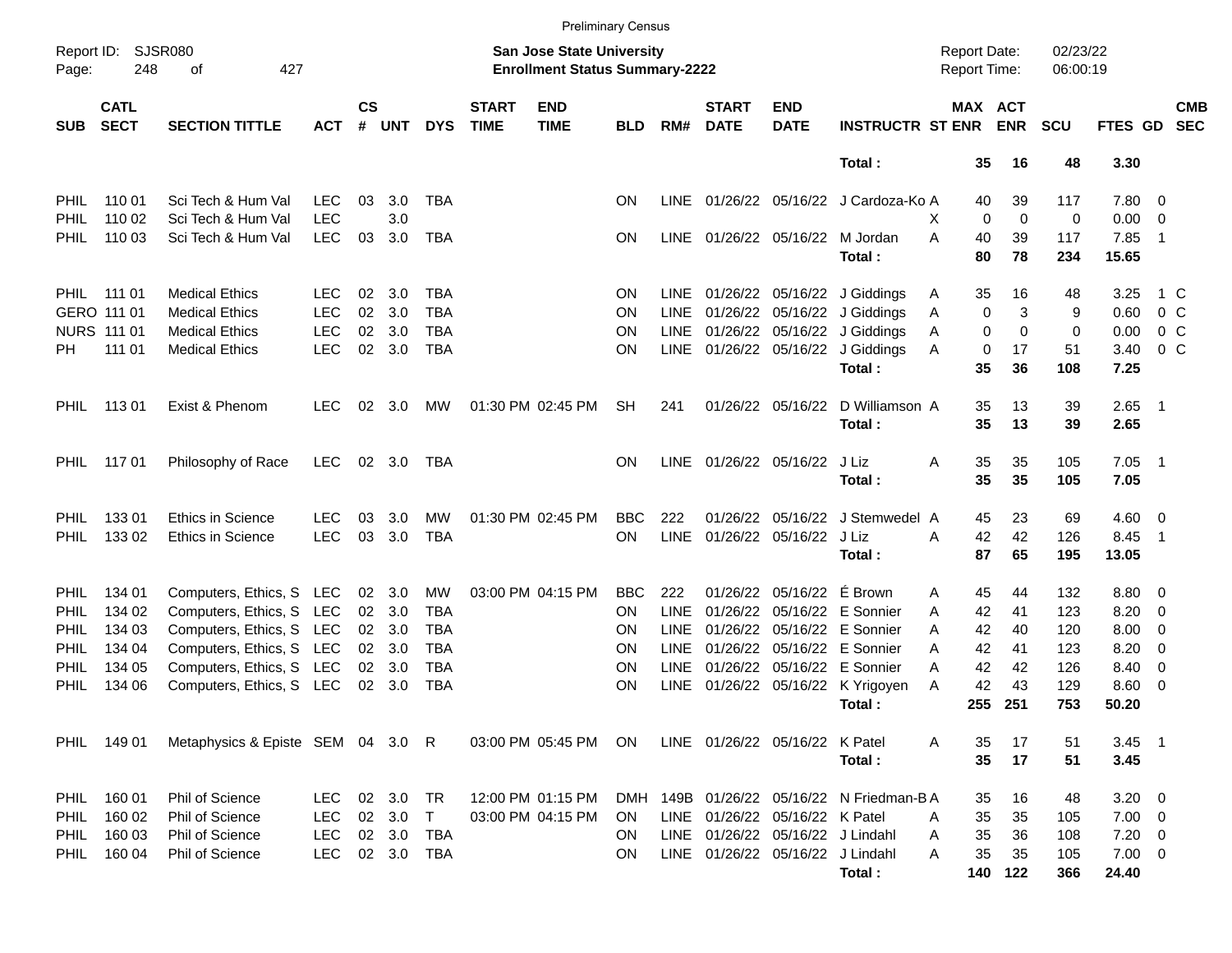|                                                                                  | <b>Preliminary Census</b><br>SJSR080<br><b>San Jose State University</b><br>02/23/22<br><b>Report Date:</b> |                                                  |            |                    |            |                          |                             |                           |                        |                            |                             |                                  |                                        |                     |                       |            |                      |                              |                          |
|----------------------------------------------------------------------------------|-------------------------------------------------------------------------------------------------------------|--------------------------------------------------|------------|--------------------|------------|--------------------------|-----------------------------|---------------------------|------------------------|----------------------------|-----------------------------|----------------------------------|----------------------------------------|---------------------|-----------------------|------------|----------------------|------------------------------|--------------------------|
| Report ID:<br>248<br>427<br><b>Enrollment Status Summary-2222</b><br>Page:<br>оf |                                                                                                             |                                                  |            |                    |            |                          |                             |                           |                        |                            |                             |                                  |                                        | <b>Report Time:</b> |                       | 06:00:19   |                      |                              |                          |
| <b>SUB</b>                                                                       | <b>CATL</b><br><b>SECT</b>                                                                                  | <b>SECTION TITTLE</b>                            | <b>ACT</b> | $\mathsf{cs}$<br># | <b>UNT</b> | <b>DYS</b>               | <b>START</b><br><b>TIME</b> | <b>END</b><br><b>TIME</b> | <b>BLD</b>             | RM#                        | <b>START</b><br><b>DATE</b> | <b>END</b><br><b>DATE</b>        | <b>INSTRUCTR ST ENR</b>                |                     | MAX ACT<br><b>ENR</b> | <b>SCU</b> | FTES GD              |                              | <b>CMB</b><br><b>SEC</b> |
|                                                                                  |                                                                                                             |                                                  |            |                    |            |                          |                             |                           |                        |                            |                             |                                  | Total :                                | 35                  | 16                    | 48         | 3.30                 |                              |                          |
| <b>PHIL</b>                                                                      | 110 01                                                                                                      | Sci Tech & Hum Val                               | <b>LEC</b> | 03                 | 3.0        | TBA                      |                             |                           | <b>ON</b>              | <b>LINE</b>                |                             |                                  | 01/26/22 05/16/22 J Cardoza-Ko A       | 40                  | 39                    | 117        | 7.80 0               |                              |                          |
| <b>PHIL</b>                                                                      | 110 02                                                                                                      | Sci Tech & Hum Val                               | <b>LEC</b> |                    | 3.0        |                          |                             |                           |                        |                            |                             |                                  |                                        | X                   | 0<br>0                | 0          | 0.00                 | $\overline{0}$               |                          |
| <b>PHIL</b>                                                                      | 110 03                                                                                                      | Sci Tech & Hum Val                               | <b>LEC</b> | 03                 | 3.0        | TBA                      |                             |                           | ON                     | LINE                       |                             | 01/26/22 05/16/22                | M Jordan<br>Total:                     | Α<br>40<br>80       | 39<br>78              | 117<br>234 | 7.85<br>15.65        | $\overline{\phantom{0}}$     |                          |
| PHIL                                                                             | 111 01                                                                                                      | <b>Medical Ethics</b>                            | <b>LEC</b> | 02                 | 3.0        | TBA                      |                             |                           | <b>ON</b>              | <b>LINE</b>                |                             |                                  | 01/26/22 05/16/22 J Giddings           | 35<br>A             | 16                    | 48         | 3.25                 | 1 C                          |                          |
|                                                                                  | GERO 111 01                                                                                                 | <b>Medical Ethics</b>                            | <b>LEC</b> | 02                 | 3.0        | <b>TBA</b>               |                             |                           | ΟN                     | <b>LINE</b>                |                             | 01/26/22 05/16/22                | J Giddings                             | Α                   | 3<br>0                | 9          | 0.60                 | 0 <sup>o</sup>               |                          |
|                                                                                  | <b>NURS 111 01</b>                                                                                          | <b>Medical Ethics</b>                            | <b>LEC</b> | 02                 | 3.0        | <b>TBA</b>               |                             |                           | ON                     | <b>LINE</b>                |                             | 01/26/22 05/16/22                | J Giddings                             | Α                   | 0<br>0                | 0          | 0.00                 | 0 <sup>o</sup>               |                          |
| PH.                                                                              | 111 01                                                                                                      | <b>Medical Ethics</b>                            | <b>LEC</b> | 02                 | 3.0        | <b>TBA</b>               |                             |                           | ΟN                     | <b>LINE</b>                |                             |                                  | 01/26/22 05/16/22 J Giddings<br>Total: | A<br>35             | 17<br>0<br>36         | 51<br>108  | 3.40<br>7.25         | 0 <sup>o</sup>               |                          |
| <b>PHIL</b>                                                                      | 113 01                                                                                                      | Exist & Phenom                                   | LEC.       | 02                 | 3.0        | MW                       |                             | 01:30 PM 02:45 PM         | SН                     | 241                        |                             | 01/26/22 05/16/22                | D Williamson A<br>Total:               | 35<br>35            | 13<br>13              | 39<br>39   | $2.65$ 1<br>2.65     |                              |                          |
|                                                                                  |                                                                                                             |                                                  |            |                    |            |                          |                             |                           |                        |                            |                             |                                  |                                        |                     |                       |            |                      |                              |                          |
| <b>PHIL</b>                                                                      | 117 01                                                                                                      | Philosophy of Race                               | <b>LEC</b> | 02                 | 3.0        | TBA                      |                             |                           | <b>ON</b>              | LINE                       |                             | 01/26/22 05/16/22                | J Liz<br>Total :                       | 35<br>Α<br>35       | 35<br>35              | 105<br>105 | 7.05<br>7.05         | $\overline{\phantom{0}}$ 1   |                          |
| <b>PHIL</b>                                                                      | 13301                                                                                                       | <b>Ethics in Science</b>                         | LEC.       | 03                 | 3.0        | <b>MW</b>                |                             | 01:30 PM 02:45 PM         | <b>BBC</b>             | 222                        | 01/26/22                    | 05/16/22                         | J Stemwedel A                          | 45                  | 23                    | 69         | $4.60$ 0             |                              |                          |
| <b>PHIL</b>                                                                      | 133 02                                                                                                      | <b>Ethics in Science</b>                         | <b>LEC</b> | 03                 | 3.0        | <b>TBA</b>               |                             |                           | OΝ                     | <b>LINE</b>                |                             | 01/26/22 05/16/22                | J Liz                                  | 42<br>A             | 42                    | 126        | 8.45                 | $\overline{\phantom{1}}$     |                          |
|                                                                                  |                                                                                                             |                                                  |            |                    |            |                          |                             |                           |                        |                            |                             |                                  | Total :                                | 87                  | 65                    | 195        | 13.05                |                              |                          |
| <b>PHIL</b>                                                                      | 134 01                                                                                                      | Computers, Ethics, S LEC                         |            | 02                 | 3.0        | <b>MW</b>                |                             | 03:00 PM 04:15 PM         | <b>BBC</b>             | 222                        | 01/26/22                    | 05/16/22                         | É Brown                                | 45<br>A             | 44                    | 132        | $8.80\ 0$            |                              |                          |
| PHIL                                                                             | 134 02                                                                                                      | Computers, Ethics, S                             | LEC        | 02                 | 3.0        | <b>TBA</b>               |                             |                           | <b>ON</b>              | <b>LINE</b>                | 01/26/22                    | 05/16/22                         | E Sonnier                              | 42<br>A             | 41                    | 123        | 8.20                 | $\overline{\mathbf{0}}$      |                          |
| PHIL                                                                             | 134 03                                                                                                      | Computers, Ethics, S                             | LEC        | 02                 | 3.0        | <b>TBA</b>               |                             |                           | ΟN                     | <b>LINE</b>                | 01/26/22                    | 05/16/22                         | E Sonnier                              | 42<br>A             | 40                    | 120        | 8.00                 | $\overline{\mathbf{0}}$      |                          |
| PHIL<br>PHIL                                                                     | 134 04<br>134 05                                                                                            | Computers, Ethics, S<br>Computers, Ethics, S LEC | LEC        | 02<br>02           | 3.0<br>3.0 | <b>TBA</b><br><b>TBA</b> |                             |                           | <b>ON</b><br><b>ON</b> | <b>LINE</b><br><b>LINE</b> | 01/26/22<br>01/26/22        | 05/16/22<br>05/16/22             | E Sonnier<br>E Sonnier                 | 42<br>A<br>42<br>A  | 41<br>42              | 123<br>126 | 8.20<br>8.40         | $\overline{\mathbf{0}}$<br>0 |                          |
| <b>PHIL</b>                                                                      | 134 06                                                                                                      | Computers, Ethics, S                             | LEC        | 02                 | 3.0        | <b>TBA</b>               |                             |                           | ΟN                     | <b>LINE</b>                |                             |                                  | 01/26/22 05/16/22 K Yrigoyen           | 42<br>A             | 43                    | 129        | 8.60                 | - 0                          |                          |
|                                                                                  |                                                                                                             |                                                  |            |                    |            |                          |                             |                           |                        |                            |                             |                                  | Total:                                 | 255                 | 251                   | 753        | 50.20                |                              |                          |
|                                                                                  | PHIL 149 01                                                                                                 | Metaphysics & Episte SEM 04 3.0 R                |            |                    |            |                          |                             | 03:00 PM 05:45 PM         | ON.                    |                            |                             | LINE 01/26/22 05/16/22 K Patel   |                                        | 35<br>A             | 17                    | 51         | $3.45$ 1             |                              |                          |
|                                                                                  |                                                                                                             |                                                  |            |                    |            |                          |                             |                           |                        |                            |                             |                                  | Total:                                 | 35                  | 17                    | 51         | 3.45                 |                              |                          |
| PHIL                                                                             | 160 01                                                                                                      | Phil of Science                                  | <b>LEC</b> | 02                 | 3.0        | TR                       |                             | 12:00 PM 01:15 PM         | DMH                    | 149B                       |                             |                                  | 01/26/22 05/16/22 N Friedman-B A       | 35                  | 16                    | 48         | $3.20 \ 0$           |                              |                          |
| <b>PHIL</b>                                                                      | 160 02                                                                                                      | Phil of Science                                  | <b>LEC</b> |                    | 02 3.0     | $\top$                   |                             | 03:00 PM 04:15 PM         | ON.                    |                            |                             | LINE 01/26/22 05/16/22 K Patel   |                                        | 35<br>Α             | 35                    | 105        | $7.00 \t 0$          |                              |                          |
| <b>PHIL</b>                                                                      | 160 03                                                                                                      | Phil of Science                                  | <b>LEC</b> |                    | 02 3.0     | <b>TBA</b>               |                             |                           | ON.                    |                            |                             | LINE 01/26/22 05/16/22 J Lindahl |                                        | 35<br>Α             | 36                    | 108        | $7.20 \t 0$          |                              |                          |
| <b>PHIL</b>                                                                      | 160 04                                                                                                      | Phil of Science                                  | <b>LEC</b> |                    | 02 3.0     | TBA                      |                             |                           | ON.                    |                            |                             | LINE 01/26/22 05/16/22 J Lindahl | Total:                                 | 35<br>Α<br>140      | 35<br>122             | 105<br>366 | $7.00 \t 0$<br>24.40 |                              |                          |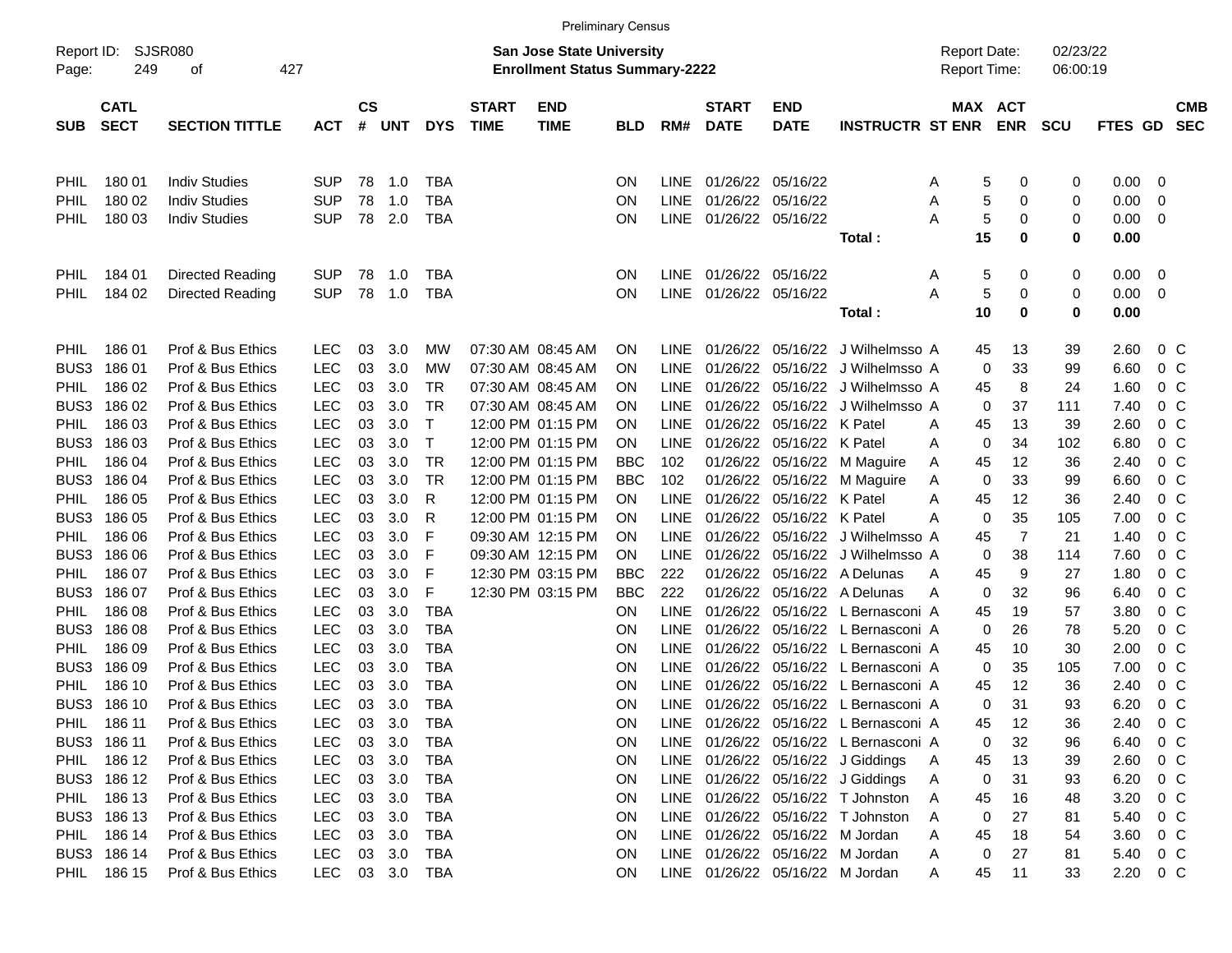|                                                                                                                     | <b>Preliminary Census</b><br>SJSR080<br>San Jose State University<br><b>Report Date:</b><br>02/23/22 |                                        |            |                    |            |                   |                             |                           |                 |             |                             |                           |                                                                      |        |                       |            |                |                  |                          |
|---------------------------------------------------------------------------------------------------------------------|------------------------------------------------------------------------------------------------------|----------------------------------------|------------|--------------------|------------|-------------------|-----------------------------|---------------------------|-----------------|-------------|-----------------------------|---------------------------|----------------------------------------------------------------------|--------|-----------------------|------------|----------------|------------------|--------------------------|
| Report ID:<br>249<br>427<br><b>Enrollment Status Summary-2222</b><br><b>Report Time:</b><br>06:00:19<br>оf<br>Page: |                                                                                                      |                                        |            |                    |            |                   |                             |                           |                 |             |                             |                           |                                                                      |        |                       |            |                |                  |                          |
| <b>SUB</b>                                                                                                          | <b>CATL</b><br><b>SECT</b>                                                                           | <b>SECTION TITTLE</b>                  | <b>ACT</b> | $\mathsf{cs}$<br># | UNT        | <b>DYS</b>        | <b>START</b><br><b>TIME</b> | <b>END</b><br><b>TIME</b> | <b>BLD</b>      | RM#         | <b>START</b><br><b>DATE</b> | <b>END</b><br><b>DATE</b> | <b>INSTRUCTR ST ENR</b>                                              |        | MAX ACT<br><b>ENR</b> | <b>SCU</b> | <b>FTES GD</b> |                  | <b>CMB</b><br><b>SEC</b> |
| <b>PHIL</b>                                                                                                         | 180 01                                                                                               | <b>Indiv Studies</b>                   | <b>SUP</b> | 78                 | 1.0        | <b>TBA</b>        |                             |                           | ON.             | LINE        | 01/26/22 05/16/22           |                           |                                                                      |        | 5<br>0                | 0          | 0.00           | 0                |                          |
| <b>PHIL</b>                                                                                                         | 180 02                                                                                               | <b>Indiv Studies</b>                   | <b>SUP</b> | 78                 | 1.0        | <b>TBA</b>        |                             |                           | ON              | LINE        | 01/26/22 05/16/22           |                           |                                                                      | A<br>A | 5<br>0                | 0          | 0.00           | 0                |                          |
| <b>PHIL</b>                                                                                                         | 180 03                                                                                               | <b>Indiv Studies</b>                   | <b>SUP</b> | 78                 | 2.0        | <b>TBA</b>        |                             |                           | ON              |             | LINE 01/26/22 05/16/22      |                           |                                                                      | А      | 5<br>0                | 0          | 0.00           | 0                |                          |
|                                                                                                                     |                                                                                                      |                                        |            |                    |            |                   |                             |                           |                 |             |                             |                           | Total :                                                              |        | 15<br>0               | 0          | 0.00           |                  |                          |
| <b>PHIL</b>                                                                                                         | 184 01                                                                                               | Directed Reading                       | <b>SUP</b> | 78                 | 1.0        | <b>TBA</b>        |                             |                           | 0N              | LINE        | 01/26/22 05/16/22           |                           |                                                                      | A      | 5<br>0                | 0          | 0.00           | 0                |                          |
| <b>PHIL</b>                                                                                                         | 184 02                                                                                               | Directed Reading                       | <b>SUP</b> | 78                 | 1.0        | <b>TBA</b>        |                             |                           | ΟN              |             | LINE 01/26/22 05/16/22      |                           |                                                                      | А      | 5<br>0                | 0          | 0.00           | 0                |                          |
|                                                                                                                     |                                                                                                      |                                        |            |                    |            |                   |                             |                           |                 |             |                             |                           | Total:                                                               |        | 10<br>$\bf{0}$        | 0          | 0.00           |                  |                          |
| <b>PHIL</b>                                                                                                         | 18601                                                                                                | Prof & Bus Ethics                      | <b>LEC</b> | 03                 | 3.0        | MW                |                             | 07:30 AM 08:45 AM         | ON.             | <b>LINE</b> | 01/26/22                    | 05/16/22                  | J Wilhelmsso A                                                       |        | 13<br>45              | 39         | 2.60           | $0\,C$           |                          |
| BUS3                                                                                                                | 18601                                                                                                | Prof & Bus Ethics                      | <b>LEC</b> | 03                 | 3.0        | MW                |                             | 07:30 AM 08:45 AM         | 0N              | LINE        | 01/26/22                    |                           | 05/16/22 J Wilhelmsso A                                              |        | 33<br>0               | 99         | 6.60           | 0 <sup>C</sup>   |                          |
| <b>PHIL</b>                                                                                                         | 186 02                                                                                               | Prof & Bus Ethics                      | <b>LEC</b> | 03                 | 3.0        | TR                |                             | 07:30 AM 08:45 AM         | 0N              | <b>LINE</b> |                             |                           | 01/26/22 05/16/22 J Wilhelmsso A                                     |        | 8<br>45               | 24         | 1.60           | 0 <sup>C</sup>   |                          |
| BUS3                                                                                                                | 18602                                                                                                | Prof & Bus Ethics                      | <b>LEC</b> | 03                 | 3.0        | TR                |                             | 07:30 AM 08:45 AM         | ON.             | <b>LINE</b> |                             |                           | 01/26/22 05/16/22 J Wilhelmsso A                                     |        | 37<br>0               | 111        | 7.40           | 0 <sup>o</sup>   |                          |
| <b>PHIL</b>                                                                                                         | 186 03                                                                                               | Prof & Bus Ethics                      | <b>LEC</b> | 03                 | 3.0        | $\mathsf T$       |                             | 12:00 PM 01:15 PM         | ON.             | <b>LINE</b> | 01/26/22                    | 05/16/22 K Patel          |                                                                      | Α      | 45<br>13              | 39         | 2.60           | 0 <sup>o</sup>   |                          |
| BUS3                                                                                                                | 18603                                                                                                | Prof & Bus Ethics                      | LEC        | 03                 | 3.0        | $\mathsf{T}$      |                             | 12:00 PM 01:15 PM         | <b>ON</b>       | LINE        | 01/26/22                    | 05/16/22 K Patel          |                                                                      | A      | 34<br>0               | 102        | 6.80           | 0 <sup>o</sup>   |                          |
| <b>PHIL</b>                                                                                                         | 186 04                                                                                               | Prof & Bus Ethics                      | <b>LEC</b> | 03                 | 3.0        | TR                |                             | 12:00 PM 01:15 PM         | <b>BBC</b>      | 102         | 01/26/22                    |                           | 05/16/22 M Maguire                                                   | Α      | 45<br>12              | 36         | 2.40           | 0 <sup>o</sup>   |                          |
| BUS3                                                                                                                | 18604                                                                                                | Prof & Bus Ethics                      | <b>LEC</b> | 03                 | 3.0        | TR                |                             | 12:00 PM 01:15 PM         | <b>BBC</b>      | 102         | 01/26/22                    |                           | 05/16/22 M Maguire                                                   | A      | 33<br>0               | 99         | 6.60           | 0 <sup>o</sup>   |                          |
| <b>PHIL</b>                                                                                                         | 186 05                                                                                               | Prof & Bus Ethics                      | <b>LEC</b> | 03                 | 3.0        | R                 |                             | 12:00 PM 01:15 PM         | ON.             | <b>LINE</b> | 01/26/22                    | 05/16/22 K Patel          |                                                                      | Α      | 45<br>12              | 36         | 2.40           | 0 <sup>o</sup>   |                          |
| BUS3                                                                                                                | 186 05                                                                                               | Prof & Bus Ethics                      | LEC        | 03                 | 3.0        | R                 |                             | 12:00 PM 01:15 PM         | ON              | <b>LINE</b> | 01/26/22                    | 05/16/22 K Patel          |                                                                      | Α      | 35<br>0               | 105        | 7.00           | 0 <sup>o</sup>   |                          |
| <b>PHIL</b>                                                                                                         | 186 06                                                                                               | Prof & Bus Ethics                      | <b>LEC</b> | 03                 | 3.0        | F                 |                             | 09:30 AM 12:15 PM         | ON.             | <b>LINE</b> |                             |                           | 01/26/22 05/16/22 J Wilhelmsso A                                     |        | 7<br>45               | 21         | 1.40           | 0 <sup>o</sup>   |                          |
| BUS3                                                                                                                | 186 06                                                                                               | Prof & Bus Ethics                      | <b>LEC</b> | 03                 | 3.0        | F                 |                             | 09:30 AM 12:15 PM         | <b>ON</b>       | <b>LINE</b> | 01/26/22                    |                           | 05/16/22 J Wilhelmsso A                                              |        | 38<br>0               | 114        | 7.60           | 0 <sup>o</sup>   |                          |
| <b>PHIL</b>                                                                                                         | 186 07                                                                                               | Prof & Bus Ethics                      | <b>LEC</b> | 03                 | 3.0        | F                 |                             | 12:30 PM 03:15 PM         | <b>BBC</b>      | 222         | 01/26/22                    |                           | 05/16/22 A Delunas                                                   | Α      | 9<br>45               | 27         | 1.80           | 0 <sup>o</sup>   |                          |
| BUS3                                                                                                                | 186 07                                                                                               | Prof & Bus Ethics                      | <b>LEC</b> | 03                 | 3.0        | F                 |                             | 12:30 PM 03:15 PM         | <b>BBC</b>      | 222         | 01/26/22                    |                           | 05/16/22 A Delunas                                                   | A      | 32<br>0               | 96         | 6.40           | 0 <sup>o</sup>   |                          |
| <b>PHIL</b>                                                                                                         | 186 08                                                                                               | Prof & Bus Ethics                      | <b>LEC</b> | 03                 | 3.0        | <b>TBA</b>        |                             |                           | <b>ON</b>       | <b>LINE</b> | 01/26/22                    |                           | 05/16/22 L Bernasconi A                                              |        | 19<br>45              | 57         | 3.80           | 0 <sup>C</sup>   |                          |
| BUS3                                                                                                                | 18608                                                                                                | Prof & Bus Ethics                      | LEC        | 03                 | 3.0        | <b>TBA</b>        |                             |                           | 0N              | <b>LINE</b> | 01/26/22                    |                           | 05/16/22 L Bernasconi A                                              |        | 26<br>0               | 78         | 5.20           | 0 <sup>C</sup>   |                          |
| <b>PHIL</b>                                                                                                         | 186 09                                                                                               | Prof & Bus Ethics                      | LEC        | 03                 | 3.0        | <b>TBA</b>        |                             |                           | ON              | <b>LINE</b> | 01/26/22                    |                           | 05/16/22 L Bernasconi A                                              |        | 10<br>45              | 30         | 2.00           | 0 <sup>C</sup>   |                          |
| BUS3                                                                                                                | 18609                                                                                                | Prof & Bus Ethics                      | LEC        | 03                 | 3.0        | <b>TBA</b>        |                             |                           | ON              | <b>LINE</b> | 01/26/22                    |                           | 05/16/22 L Bernasconi A                                              |        | 0<br>35               | 105        | 7.00           | 0 <sup>C</sup>   |                          |
| <b>PHIL</b>                                                                                                         | 186 10                                                                                               | Prof & Bus Ethics                      | <b>LEC</b> | 03                 | 3.0        | <b>TBA</b>        |                             |                           | 0N              | <b>LINE</b> |                             |                           | 01/26/22 05/16/22 L Bernasconi A                                     |        | 12<br>45              | 36         | 2.40           | 0 <sup>C</sup>   |                          |
|                                                                                                                     | BUS3 186 10                                                                                          | Prof & Bus Ethics                      | <b>LEC</b> | 03                 | 3.0        | <b>TBA</b>        |                             |                           | ΟN              |             |                             |                           | LINE 01/26/22 05/16/22 L Bernasconi A                                |        | 31<br>0               | 93         | 6.20           | 0 <sup>o</sup>   |                          |
| PHIL                                                                                                                | 186 11                                                                                               | Prof & Bus Ethics                      | LEC        |                    | 03 3.0     | <b>TBA</b>        |                             |                           | ON              |             |                             |                           | LINE 01/26/22 05/16/22 L Bernasconi A                                |        | 45<br>12              | 36         | 2.40           | $0\,C$           |                          |
|                                                                                                                     | BUS3 186 11                                                                                          | Prof & Bus Ethics                      | <b>LEC</b> | 03                 | 3.0        | <b>TBA</b>        |                             |                           | 0N              |             |                             |                           | LINE 01/26/22 05/16/22 L Bernasconi A                                |        | 32<br>0               | 96         | 6.40           | $0\,C$           |                          |
|                                                                                                                     | PHIL 186 12                                                                                          | Prof & Bus Ethics                      | LEC        | 03                 | 3.0        | TBA               |                             |                           | 0N              |             |                             |                           | LINE 01/26/22 05/16/22 J Giddings                                    | A      | 13<br>45              | 39         | 2.60           | $0\,C$           |                          |
|                                                                                                                     | BUS3 186 12                                                                                          | Prof & Bus Ethics                      | LEC        | 03                 | 3.0        | <b>TBA</b>        |                             |                           | 0N              |             |                             |                           | LINE 01/26/22 05/16/22 J Giddings                                    | A      | 31<br>0               | 93         | 6.20           | $0\,C$           |                          |
|                                                                                                                     | PHIL 186 13<br>BUS3 186 13                                                                           | Prof & Bus Ethics                      | LEC        | 03                 | 3.0        | <b>TBA</b>        |                             |                           | 0N              |             |                             |                           | LINE 01/26/22 05/16/22 T Johnston                                    | Α      | 16<br>45              | 48         | 3.20           | $0\,C$           |                          |
|                                                                                                                     |                                                                                                      | Prof & Bus Ethics                      | LEC        | 03                 | 3.0<br>3.0 | TBA               |                             |                           | 0N              |             |                             |                           | LINE 01/26/22 05/16/22 T Johnston<br>LINE 01/26/22 05/16/22 M Jordan | Α      | 0<br>27               | 81         | 5.40           | $0\,C$<br>$0\,C$ |                          |
|                                                                                                                     | PHIL 186 14<br>BUS3 186 14                                                                           | Prof & Bus Ethics                      | LEC        | 03                 | 03 3.0     | TBA               |                             |                           | 0N              |             |                             |                           | LINE 01/26/22 05/16/22 M Jordan                                      | A      | 45<br>18              | 54         | 3.60           | $0\,C$           |                          |
|                                                                                                                     | PHIL 186 15                                                                                          | Prof & Bus Ethics<br>Prof & Bus Ethics | LEC<br>LEC |                    |            | TBA<br>03 3.0 TBA |                             |                           | 0N<br><b>ON</b> |             |                             |                           | LINE 01/26/22 05/16/22 M Jordan                                      | A<br>Α | 0<br>27<br>11         | 81<br>33   | 5.40<br>2.20   | $0\,C$           |                          |
|                                                                                                                     |                                                                                                      |                                        |            |                    |            |                   |                             |                           |                 |             |                             |                           |                                                                      |        | 45                    |            |                |                  |                          |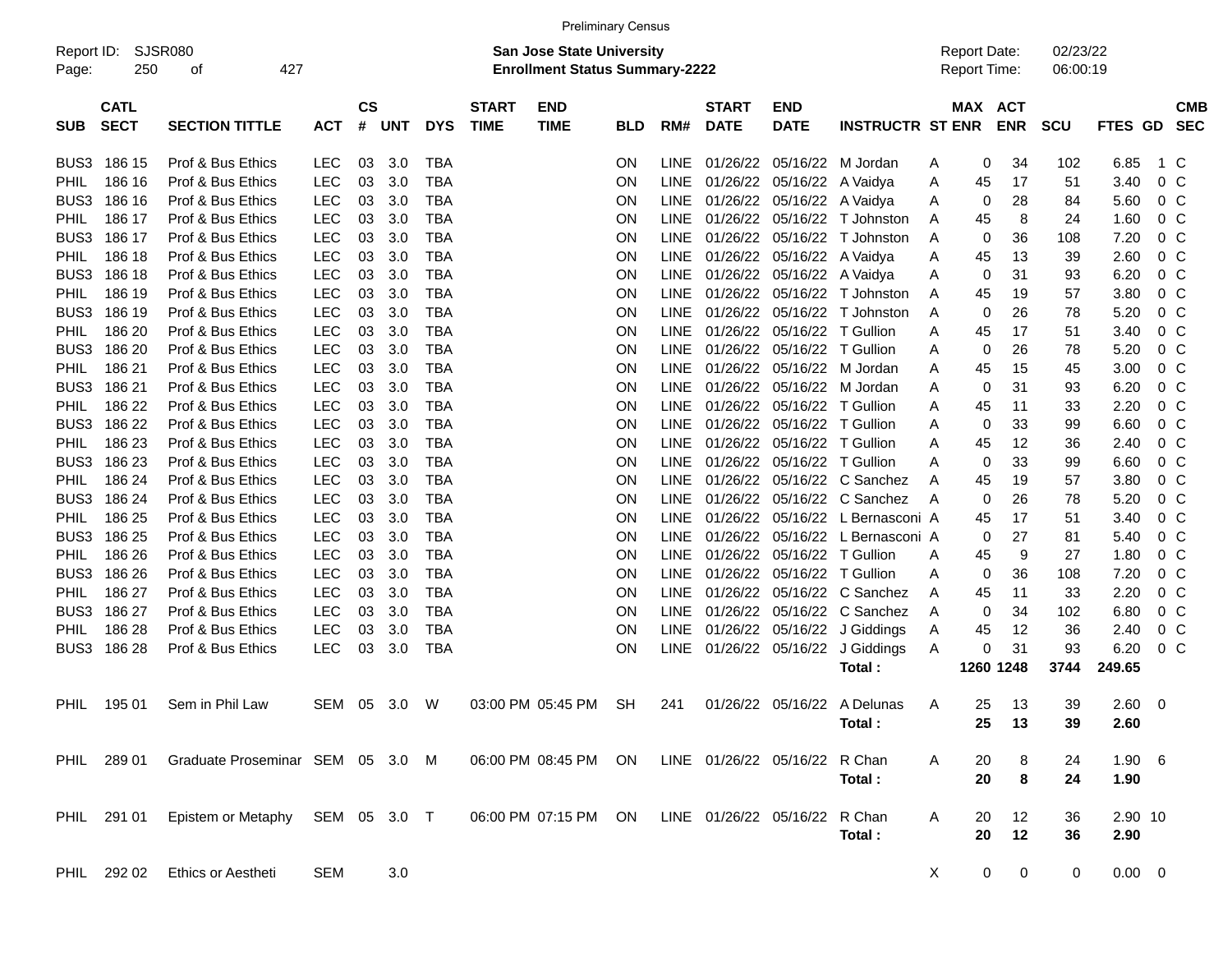|                                                                                                                     | <b>Preliminary Census</b><br>SJSR080<br>02/23/22<br><b>San Jose State University</b><br><b>Report Date:</b> |                                  |            |                |            |            |                             |                           |            |             |                             |                           |                         |   |            |                          |            |                |                |                          |
|---------------------------------------------------------------------------------------------------------------------|-------------------------------------------------------------------------------------------------------------|----------------------------------|------------|----------------|------------|------------|-----------------------------|---------------------------|------------|-------------|-----------------------------|---------------------------|-------------------------|---|------------|--------------------------|------------|----------------|----------------|--------------------------|
| Report ID:<br>427<br><b>Enrollment Status Summary-2222</b><br>250<br><b>Report Time:</b><br>06:00:19<br>οf<br>Page: |                                                                                                             |                                  |            |                |            |            |                             |                           |            |             |                             |                           |                         |   |            |                          |            |                |                |                          |
| <b>SUB</b>                                                                                                          | <b>CATL</b><br><b>SECT</b>                                                                                  | <b>SECTION TITTLE</b>            | <b>ACT</b> | <b>CS</b><br># | <b>UNT</b> | <b>DYS</b> | <b>START</b><br><b>TIME</b> | <b>END</b><br><b>TIME</b> | <b>BLD</b> | RM#         | <b>START</b><br><b>DATE</b> | <b>END</b><br><b>DATE</b> | <b>INSTRUCTR ST ENR</b> |   | <b>MAX</b> | <b>ACT</b><br><b>ENR</b> | <b>SCU</b> | <b>FTES GD</b> |                | <b>CMB</b><br><b>SEC</b> |
| BUS3                                                                                                                | 186 15                                                                                                      | Prof & Bus Ethics                | LEC        | 03             | 3.0        | <b>TBA</b> |                             |                           | ON         | <b>LINE</b> | 01/26/22                    | 05/16/22                  | M Jordan                | Α | 0          | 34                       | 102        | 6.85           | 1 C            |                          |
| <b>PHIL</b>                                                                                                         | 186 16                                                                                                      | Prof & Bus Ethics                | <b>LEC</b> | 03             | 3.0        | <b>TBA</b> |                             |                           | ON         | <b>LINE</b> | 01/26/22                    | 05/16/22                  | A Vaidya                | Α | 45         | 17                       | 51         | 3.40           | 0 <sup>C</sup> |                          |
| BUS3                                                                                                                | 186 16                                                                                                      | Prof & Bus Ethics                | <b>LEC</b> | 03             | 3.0        | <b>TBA</b> |                             |                           | ON         | <b>LINE</b> | 01/26/22                    | 05/16/22                  | A Vaidya                | Α | 0          | 28                       | 84         | 5.60           | 0 <sup>C</sup> |                          |
| <b>PHIL</b>                                                                                                         | 186 17                                                                                                      | Prof & Bus Ethics                | <b>LEC</b> | 03             | 3.0        | <b>TBA</b> |                             |                           | ON         | <b>LINE</b> | 01/26/22                    | 05/16/22                  | T Johnston              | Α | 45         | 8                        | 24         | 1.60           | 0 <sup>C</sup> |                          |
| BUS3                                                                                                                | 186 17                                                                                                      | Prof & Bus Ethics                | <b>LEC</b> | 03             | 3.0        | <b>TBA</b> |                             |                           | ON         | <b>LINE</b> | 01/26/22                    | 05/16/22                  | T Johnston              | Α | 0          | 36                       | 108        | 7.20           | 0 <sup>C</sup> |                          |
| <b>PHIL</b>                                                                                                         | 186 18                                                                                                      | Prof & Bus Ethics                | <b>LEC</b> | 03             | 3.0        | <b>TBA</b> |                             |                           | ON         | <b>LINE</b> | 01/26/22                    | 05/16/22                  | A Vaidya                | Α | 45         | 13                       | 39         | 2.60           | 0 <sup>C</sup> |                          |
| BUS3                                                                                                                | 186 18                                                                                                      | Prof & Bus Ethics                | <b>LEC</b> | 03             | 3.0        | <b>TBA</b> |                             |                           | ON         | <b>LINE</b> | 01/26/22                    | 05/16/22                  | A Vaidya                | Α | 0          | 31                       | 93         | 6.20           | 0 <sup>C</sup> |                          |
| <b>PHIL</b>                                                                                                         | 186 19                                                                                                      | Prof & Bus Ethics                | <b>LEC</b> | 03             | 3.0        | <b>TBA</b> |                             |                           | ON         | <b>LINE</b> | 01/26/22                    | 05/16/22                  | T Johnston              | Α | 45         | 19                       | 57         | 3.80           | 0 <sup>C</sup> |                          |
| BUS3                                                                                                                | 186 19                                                                                                      | Prof & Bus Ethics                | <b>LEC</b> | 03             | 3.0        | <b>TBA</b> |                             |                           | ON         | <b>LINE</b> | 01/26/22                    | 05/16/22                  | T Johnston              | Α | 0          | 26                       | 78         | 5.20           | 0 <sup>C</sup> |                          |
| <b>PHIL</b>                                                                                                         | 186 20                                                                                                      | Prof & Bus Ethics                | <b>LEC</b> | 03             | 3.0        | <b>TBA</b> |                             |                           | ON         | <b>LINE</b> | 01/26/22                    | 05/16/22                  | <b>T</b> Gullion        | Α | 45         | 17                       | 51         | 3.40           | 0 <sup>C</sup> |                          |
| BUS3                                                                                                                | 186 20                                                                                                      | Prof & Bus Ethics                | <b>LEC</b> | 03             | 3.0        | <b>TBA</b> |                             |                           | ON         | <b>LINE</b> | 01/26/22                    | 05/16/22                  | T Gullion               | Α | 0          | 26                       | 78         | 5.20           | 0 <sup>C</sup> |                          |
| <b>PHIL</b>                                                                                                         | 186 21                                                                                                      | Prof & Bus Ethics                | <b>LEC</b> | 03             | 3.0        | <b>TBA</b> |                             |                           | ON         | <b>LINE</b> | 01/26/22                    | 05/16/22                  | M Jordan                | Α | 45         | 15                       | 45         | 3.00           | 0 <sup>C</sup> |                          |
| BUS3                                                                                                                | 186 21                                                                                                      | Prof & Bus Ethics                | <b>LEC</b> | 03             | 3.0        | <b>TBA</b> |                             |                           | ON         | <b>LINE</b> | 01/26/22                    | 05/16/22                  | M Jordan                | Α | 0          | 31                       | 93         | 6.20           | 0 <sup>C</sup> |                          |
| <b>PHIL</b>                                                                                                         | 186 22                                                                                                      | Prof & Bus Ethics                | <b>LEC</b> | 03             | 3.0        | <b>TBA</b> |                             |                           | ON         | <b>LINE</b> | 01/26/22                    | 05/16/22                  | <b>T</b> Gullion        | Α | 45         | 11                       | 33         | 2.20           | 0 <sup>C</sup> |                          |
| BUS3                                                                                                                | 186 22                                                                                                      | Prof & Bus Ethics                | <b>LEC</b> | 03             | 3.0        | <b>TBA</b> |                             |                           | ON         | <b>LINE</b> | 01/26/22                    | 05/16/22                  | T Gullion               | Α | 0          | 33                       | 99         | 6.60           | 0 <sup>C</sup> |                          |
| <b>PHIL</b>                                                                                                         | 186 23                                                                                                      | Prof & Bus Ethics                | <b>LEC</b> | 03             | 3.0        | <b>TBA</b> |                             |                           | ON         | <b>LINE</b> | 01/26/22                    | 05/16/22                  | T Gullion               | Α | 45         | 12                       | 36         | 2.40           | 0 <sup>C</sup> |                          |
| BUS3                                                                                                                | 186 23                                                                                                      | Prof & Bus Ethics                | <b>LEC</b> | 03             | 3.0        | <b>TBA</b> |                             |                           | ON         | <b>LINE</b> | 01/26/22                    | 05/16/22                  | T Gullion               | Α | 0          | 33                       | 99         | 6.60           | 0 <sup>C</sup> |                          |
| PHIL                                                                                                                | 186 24                                                                                                      | Prof & Bus Ethics                | <b>LEC</b> | 03             | 3.0        | <b>TBA</b> |                             |                           | ON         | <b>LINE</b> | 01/26/22                    | 05/16/22                  | C Sanchez               | A | 45         | 19                       | 57         | 3.80           | 0 <sup>C</sup> |                          |
| BUS3                                                                                                                | 186 24                                                                                                      | Prof & Bus Ethics                | <b>LEC</b> | 03             | 3.0        | <b>TBA</b> |                             |                           | ON         | <b>LINE</b> | 01/26/22                    | 05/16/22                  | C Sanchez               | A | 0          | 26                       | 78         | 5.20           | 0 <sup>C</sup> |                          |
| <b>PHIL</b>                                                                                                         | 186 25                                                                                                      | Prof & Bus Ethics                | <b>LEC</b> | 03             | 3.0        | <b>TBA</b> |                             |                           | ON         | <b>LINE</b> | 01/26/22                    | 05/16/22                  | L Bernasconi A          |   | 45         | 17                       | 51         | 3.40           | 0 <sup>C</sup> |                          |
| BUS3                                                                                                                | 186 25                                                                                                      | Prof & Bus Ethics                | <b>LEC</b> | 03             | 3.0        | <b>TBA</b> |                             |                           | ON         | <b>LINE</b> | 01/26/22                    | 05/16/22                  | L Bernasconi A          |   | 0          | 27                       | 81         | 5.40           | 0 <sup>C</sup> |                          |
| <b>PHIL</b>                                                                                                         | 186 26                                                                                                      | Prof & Bus Ethics                | <b>LEC</b> | 03             | 3.0        | <b>TBA</b> |                             |                           | ON         | <b>LINE</b> | 01/26/22                    | 05/16/22                  | T Gullion               | Α | 45         | 9                        | 27         | 1.80           | 0 <sup>C</sup> |                          |
| BUS3                                                                                                                | 186 26                                                                                                      | Prof & Bus Ethics                | <b>LEC</b> | 03             | 3.0        | <b>TBA</b> |                             |                           | ON         | <b>LINE</b> | 01/26/22                    | 05/16/22                  | T Gullion               | Α | 0          | 36                       | 108        | 7.20           | 0 <sup>C</sup> |                          |
| <b>PHIL</b>                                                                                                         | 186 27                                                                                                      | Prof & Bus Ethics                | <b>LEC</b> | 03             | 3.0        | <b>TBA</b> |                             |                           | ON         | <b>LINE</b> | 01/26/22                    | 05/16/22                  | C Sanchez               | Α | 45         | 11                       | 33         | 2.20           | 0 <sup>C</sup> |                          |
| BUS3                                                                                                                | 186 27                                                                                                      | Prof & Bus Ethics                | <b>LEC</b> | 03             | 3.0        | <b>TBA</b> |                             |                           | ON         | <b>LINE</b> | 01/26/22                    | 05/16/22                  | C Sanchez               | A | 0          | 34                       | 102        | 6.80           | 0 <sup>C</sup> |                          |
| PHIL                                                                                                                | 186 28                                                                                                      | Prof & Bus Ethics                | <b>LEC</b> | 03             | 3.0        | <b>TBA</b> |                             |                           | ON         | <b>LINE</b> | 01/26/22                    | 05/16/22                  | J Giddings              | A | 45         | 12                       | 36         | 2.40           | 0 <sup>C</sup> |                          |
| BUS3                                                                                                                | 186 28                                                                                                      | Prof & Bus Ethics                | <b>LEC</b> | 03             | 3.0        | <b>TBA</b> |                             |                           | ON         | <b>LINE</b> | 01/26/22 05/16/22           |                           | J Giddings              | A | 0          | 31                       | 93         | 6.20           | 0 <sup>C</sup> |                          |
|                                                                                                                     |                                                                                                             |                                  |            |                |            |            |                             |                           |            |             |                             |                           | Total:                  |   |            | 1260 1248                | 3744       | 249.65         |                |                          |
| PHIL                                                                                                                | 195 01                                                                                                      | Sem in Phil Law                  | SEM        | 05             | 3.0        | W          |                             | 03:00 PM 05:45 PM         | <b>SH</b>  | 241         |                             | 01/26/22 05/16/22         | A Delunas               | A | 25         | 13                       | 39         | 2.60           | 0              |                          |
|                                                                                                                     |                                                                                                             |                                  |            |                |            |            |                             |                           |            |             |                             |                           | Total:                  |   | 25         | 13                       | კყ         | 2.60           |                |                          |
|                                                                                                                     | PHIL 289 01                                                                                                 | Graduate Proseminar SEM 05 3.0 M |            |                |            |            |                             | 06:00 PM 08:45 PM ON      |            |             | LINE 01/26/22 05/16/22      |                           | R Chan                  | A | 20         | 8                        | 24         | $1.90\quad 6$  |                |                          |
|                                                                                                                     |                                                                                                             |                                  |            |                |            |            |                             |                           |            |             |                             |                           | Total:                  |   | 20         | 8                        | 24         | 1.90           |                |                          |
|                                                                                                                     | PHIL 291 01                                                                                                 | Epistem or Metaphy SEM 05 3.0 T  |            |                |            |            |                             | 06:00 PM 07:15 PM ON      |            |             | LINE 01/26/22 05/16/22      |                           | R Chan                  | A | 20         | 12                       | 36         | 2.90 10        |                |                          |
|                                                                                                                     |                                                                                                             |                                  |            |                |            |            |                             |                           |            |             |                             |                           | Total:                  |   | 20         | 12                       | 36         | 2.90           |                |                          |
|                                                                                                                     | PHIL 292 02                                                                                                 | Ethics or Aestheti               | <b>SEM</b> |                | 3.0        |            |                             |                           |            |             |                             |                           |                         | X | 0          | 0                        | 0          | $0.00 \t 0$    |                |                          |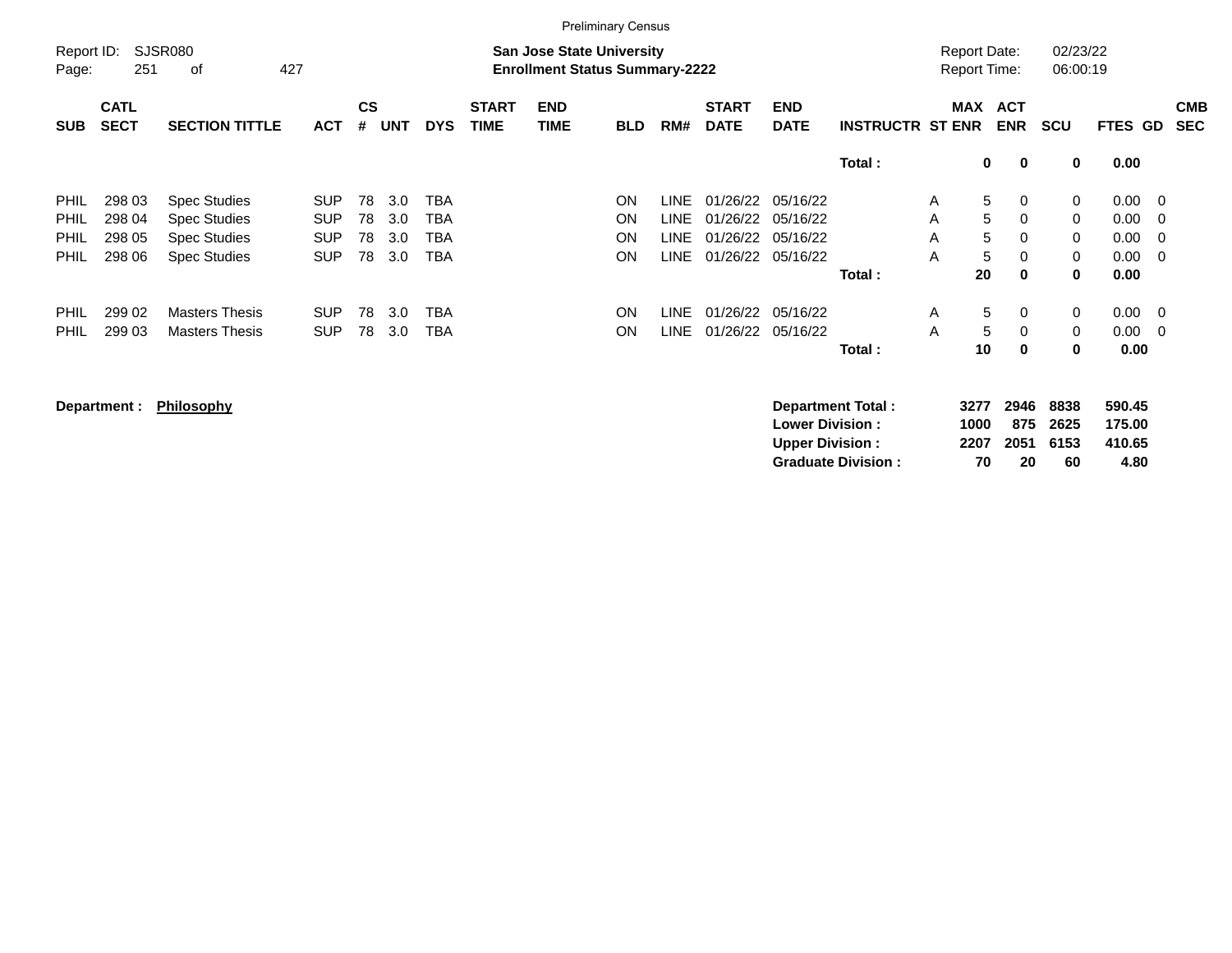|            | <b>Preliminary Census</b><br>SJSR080<br>02/23/22<br><b>Report Date:</b><br><b>San Jose State University</b> |                       |            |           |            |            |              |                                       |            |      |              |                   |                         |                     |                            |             |                                  |            |
|------------|-------------------------------------------------------------------------------------------------------------|-----------------------|------------|-----------|------------|------------|--------------|---------------------------------------|------------|------|--------------|-------------------|-------------------------|---------------------|----------------------------|-------------|----------------------------------|------------|
| Report ID: |                                                                                                             |                       |            |           |            |            |              |                                       |            |      |              |                   |                         |                     |                            |             |                                  |            |
| Page:      | 251                                                                                                         | 427<br>οf             |            |           |            |            |              | <b>Enrollment Status Summary-2222</b> |            |      |              |                   |                         | <b>Report Time:</b> |                            | 06:00:19    |                                  |            |
|            | <b>CATL</b>                                                                                                 |                       |            | <b>CS</b> |            |            | <b>START</b> | <b>END</b>                            |            |      | <b>START</b> | <b>END</b>        |                         |                     | MAX ACT                    |             |                                  | <b>CMB</b> |
| <b>SUB</b> | <b>SECT</b>                                                                                                 | <b>SECTION TITTLE</b> | <b>ACT</b> | #         | <b>UNT</b> | <b>DYS</b> | <b>TIME</b>  | <b>TIME</b>                           | <b>BLD</b> | RM#  | <b>DATE</b>  | <b>DATE</b>       | <b>INSTRUCTR ST ENR</b> |                     | <b>ENR</b>                 | <b>SCU</b>  | FTES GD                          | <b>SEC</b> |
|            |                                                                                                             |                       |            |           |            |            |              |                                       |            |      |              |                   | Total:                  |                     | $\mathbf 0$<br>$\mathbf 0$ | 0           | 0.00                             |            |
| PHIL       | 298 03                                                                                                      | <b>Spec Studies</b>   | <b>SUP</b> | 78        | 3.0        | <b>TBA</b> |              |                                       | <b>ON</b>  | LINE |              | 01/26/22 05/16/22 |                         | A                   | 5<br>0                     | $\mathbf 0$ | $0.00 \t 0$                      |            |
| PHIL.      | 298 04                                                                                                      | <b>Spec Studies</b>   | <b>SUP</b> | 78        | 3.0        | TBA        |              |                                       | <b>ON</b>  | LINE |              | 01/26/22 05/16/22 |                         | A                   | 5<br>0                     | 0           | 0.00<br>$\overline{0}$           |            |
| PHIL       | 298 05                                                                                                      | <b>Spec Studies</b>   | <b>SUP</b> | 78        | 3.0        | <b>TBA</b> |              |                                       | <b>ON</b>  | LINE |              | 01/26/22 05/16/22 |                         | A                   | 5<br>$\Omega$              | $\Omega$    | 0.00<br>$\overline{0}$           |            |
| PHIL.      | 298 06                                                                                                      | <b>Spec Studies</b>   | <b>SUP</b> | 78        | 3.0        | TBA        |              |                                       | <b>ON</b>  | LINE |              | 01/26/22 05/16/22 |                         | A                   | 5<br>$\Omega$              | $\mathbf 0$ | 0.00<br>$\overline{\phantom{0}}$ |            |
|            |                                                                                                             |                       |            |           |            |            |              |                                       |            |      |              |                   | Total:                  | 20                  | $\bf{0}$                   | 0           | 0.00                             |            |
| PHIL       | 299 02                                                                                                      | <b>Masters Thesis</b> | <b>SUP</b> | 78        | 3.0        | <b>TBA</b> |              |                                       | <b>ON</b>  | LINE |              | 01/26/22 05/16/22 |                         | A                   | 5<br>0                     | $\mathbf 0$ | 0.00<br>$\overline{\phantom{0}}$ |            |
| PHIL       | 299 03                                                                                                      | <b>Masters Thesis</b> | <b>SUP</b> | 78        | 3.0        | <b>TBA</b> |              |                                       | <b>ON</b>  | LINE | 01/26/22     | 05/16/22          |                         | A                   | 5<br>$\Omega$              | $\mathbf 0$ | 0.00<br>$\overline{\mathbf{0}}$  |            |
|            |                                                                                                             |                       |            |           |            |            |              |                                       |            |      |              |                   | Total :                 | 10                  | 0                          | 0           | 0.00                             |            |

**Department : Philosophy** 

| <b>Department Total:</b>  |      | 3277 2946 8838 |          | 590.45 |
|---------------------------|------|----------------|----------|--------|
| <b>Lower Division :</b>   | 1000 |                | 875 2625 | 175.00 |
| <b>Upper Division :</b>   |      | 2207 2051 6153 |          | 410.65 |
| <b>Graduate Division:</b> | 70   | 20             | 60       | 4.80   |